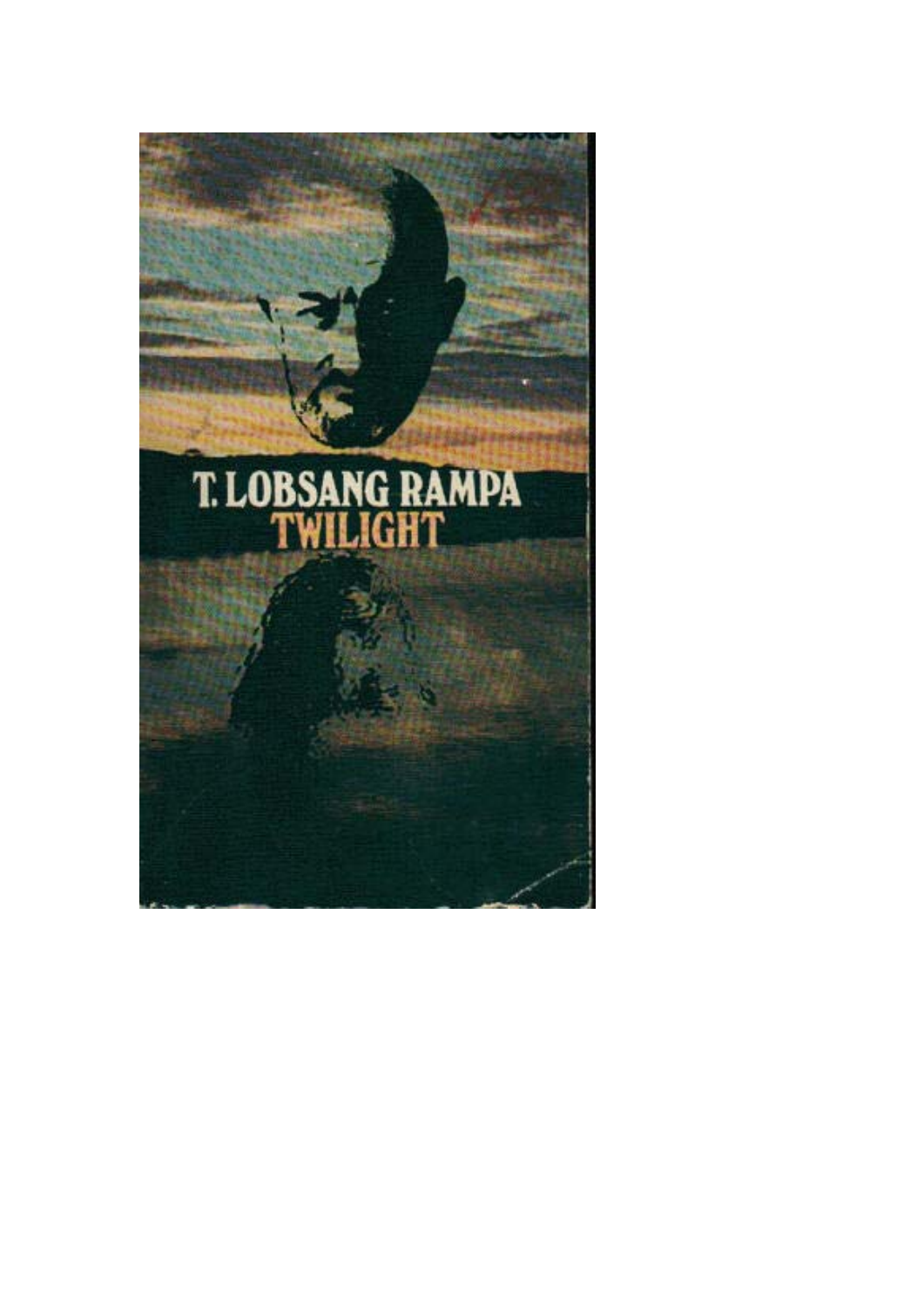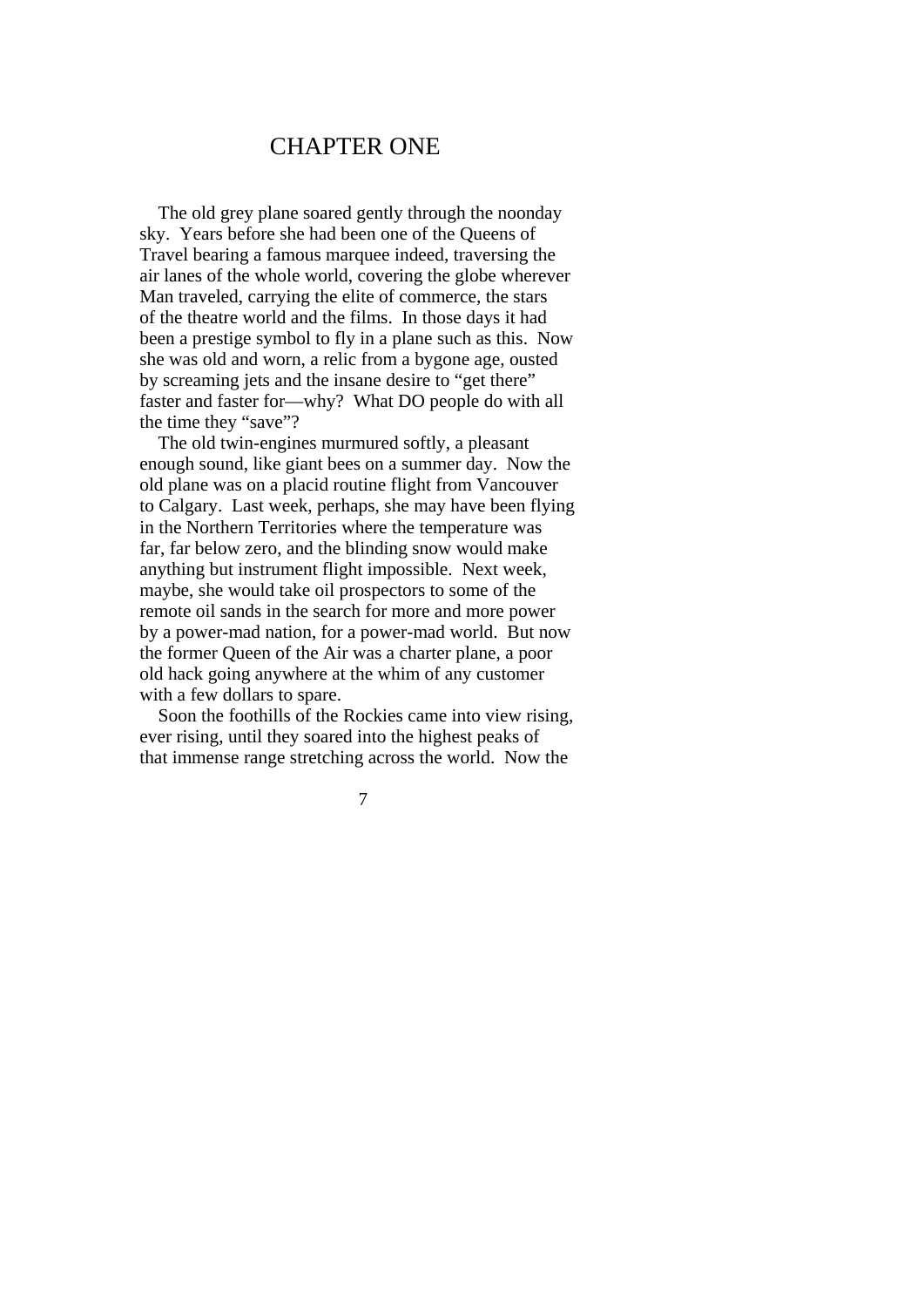## CHAPTER ONE

 The old grey plane soared gently through the noonday sky. Years before she had been one of the Queens of Travel bearing a famous marquee indeed, traversing the air lanes of the whole world, covering the globe wherever Man traveled, carrying the elite of commerce, the stars of the theatre world and the films. In those days it had been a prestige symbol to fly in a plane such as this. Now she was old and worn, a relic from a bygone age, ousted by screaming jets and the insane desire to "get there" faster and faster for—why? What DO people do with all the time they "save"?

 The old twin-engines murmured softly, a pleasant enough sound, like giant bees on a summer day. Now the old plane was on a placid routine flight from Vancouver to Calgary. Last week, perhaps, she may have been flying in the Northern Territories where the temperature was far, far below zero, and the blinding snow would make anything but instrument flight impossible. Next week, maybe, she would take oil prospectors to some of the remote oil sands in the search for more and more power by a power-mad nation, for a power-mad world. But now the former Queen of the Air was a charter plane, a poor old hack going anywhere at the whim of any customer with a few dollars to spare.

 Soon the foothills of the Rockies came into view rising, ever rising, until they soared into the highest peaks of that immense range stretching across the world. Now the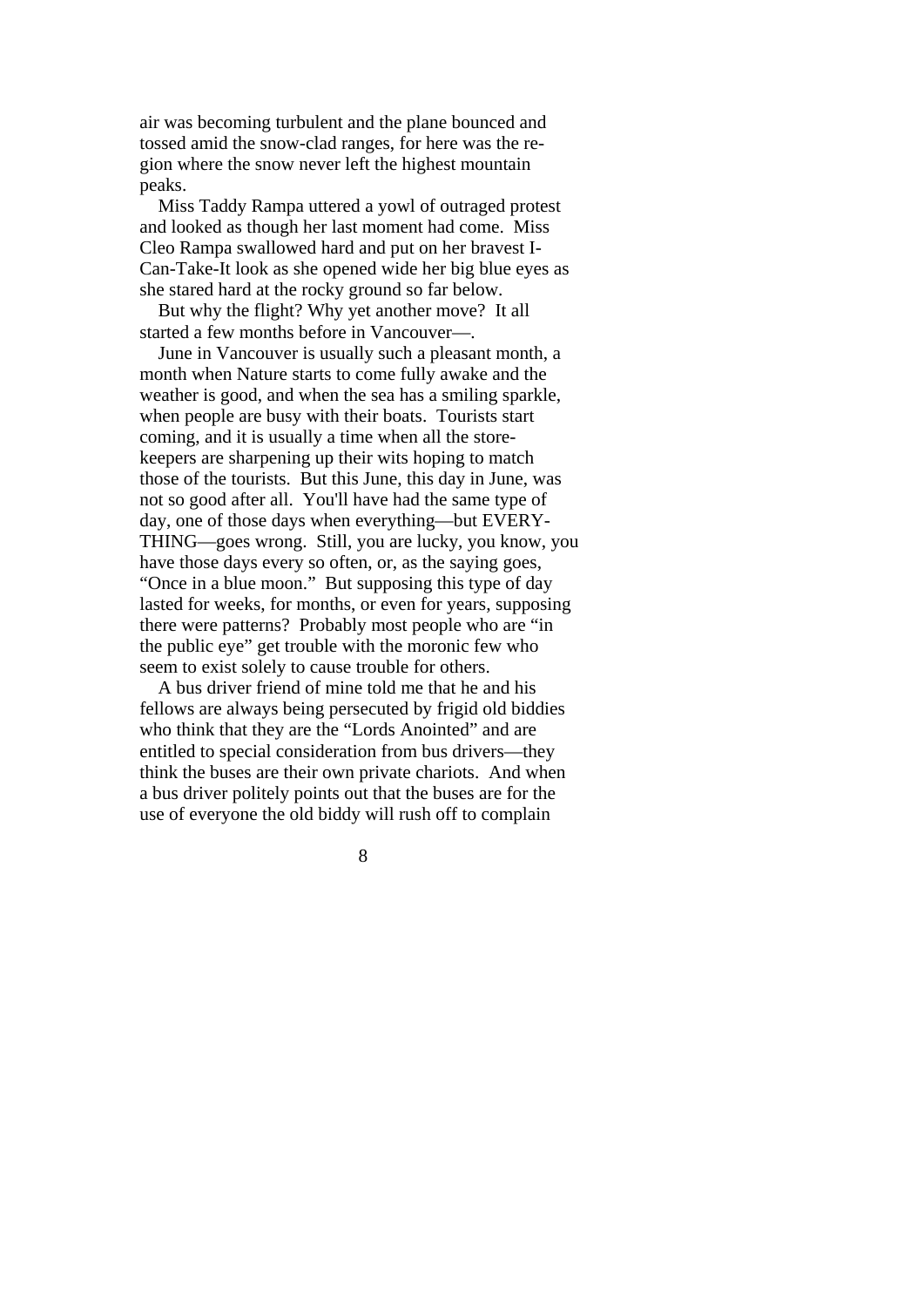air was becoming turbulent and the plane bounced and tossed amid the snow-clad ranges, for here was the region where the snow never left the highest mountain peaks.

 Miss Taddy Rampa uttered a yowl of outraged protest and looked as though her last moment had come. Miss Cleo Rampa swallowed hard and put on her bravest I-Can-Take-It look as she opened wide her big blue eyes as she stared hard at the rocky ground so far below.

 But why the flight? Why yet another move? It all started a few months before in Vancouver—.

 June in Vancouver is usually such a pleasant month, a month when Nature starts to come fully awake and the weather is good, and when the sea has a smiling sparkle, when people are busy with their boats. Tourists start coming, and it is usually a time when all the storekeepers are sharpening up their wits hoping to match those of the tourists. But this June, this day in June, was not so good after all. You'll have had the same type of day, one of those days when everything—but EVERY-THING—goes wrong. Still, you are lucky, you know, you have those days every so often, or, as the saying goes, "Once in a blue moon." But supposing this type of day lasted for weeks, for months, or even for years, supposing there were patterns? Probably most people who are "in the public eye" get trouble with the moronic few who seem to exist solely to cause trouble for others.

 A bus driver friend of mine told me that he and his fellows are always being persecuted by frigid old biddies who think that they are the "Lords Anointed" and are entitled to special consideration from bus drivers—they think the buses are their own private chariots. And when a bus driver politely points out that the buses are for the use of everyone the old biddy will rush off to complain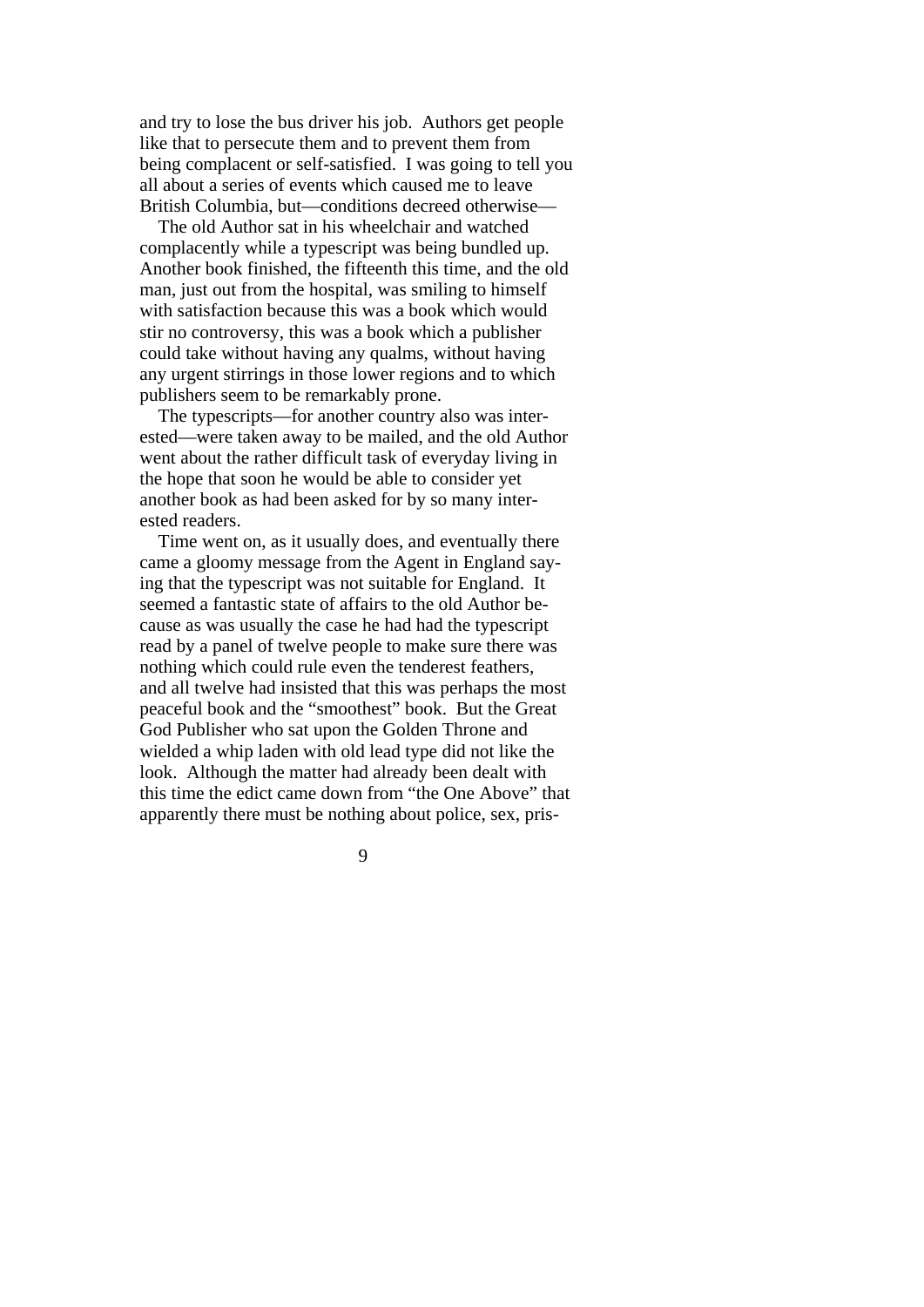and try to lose the bus driver his job. Authors get people like that to persecute them and to prevent them from being complacent or self-satisfied. I was going to tell you all about a series of events which caused me to leave British Columbia, but—conditions decreed otherwise—

 The old Author sat in his wheelchair and watched complacently while a typescript was being bundled up. Another book finished, the fifteenth this time, and the old man, just out from the hospital, was smiling to himself with satisfaction because this was a book which would stir no controversy, this was a book which a publisher could take without having any qualms, without having any urgent stirrings in those lower regions and to which publishers seem to be remarkably prone.

 The typescripts—for another country also was interested—were taken away to be mailed, and the old Author went about the rather difficult task of everyday living in the hope that soon he would be able to consider yet another book as had been asked for by so many interested readers.

 Time went on, as it usually does, and eventually there came a gloomy message from the Agent in England saying that the typescript was not suitable for England. It seemed a fantastic state of affairs to the old Author because as was usually the case he had had the typescript read by a panel of twelve people to make sure there was nothing which could rule even the tenderest feathers, and all twelve had insisted that this was perhaps the most peaceful book and the "smoothest" book. But the Great God Publisher who sat upon the Golden Throne and wielded a whip laden with old lead type did not like the look. Although the matter had already been dealt with this time the edict came down from "the One Above" that apparently there must be nothing about police, sex, pris-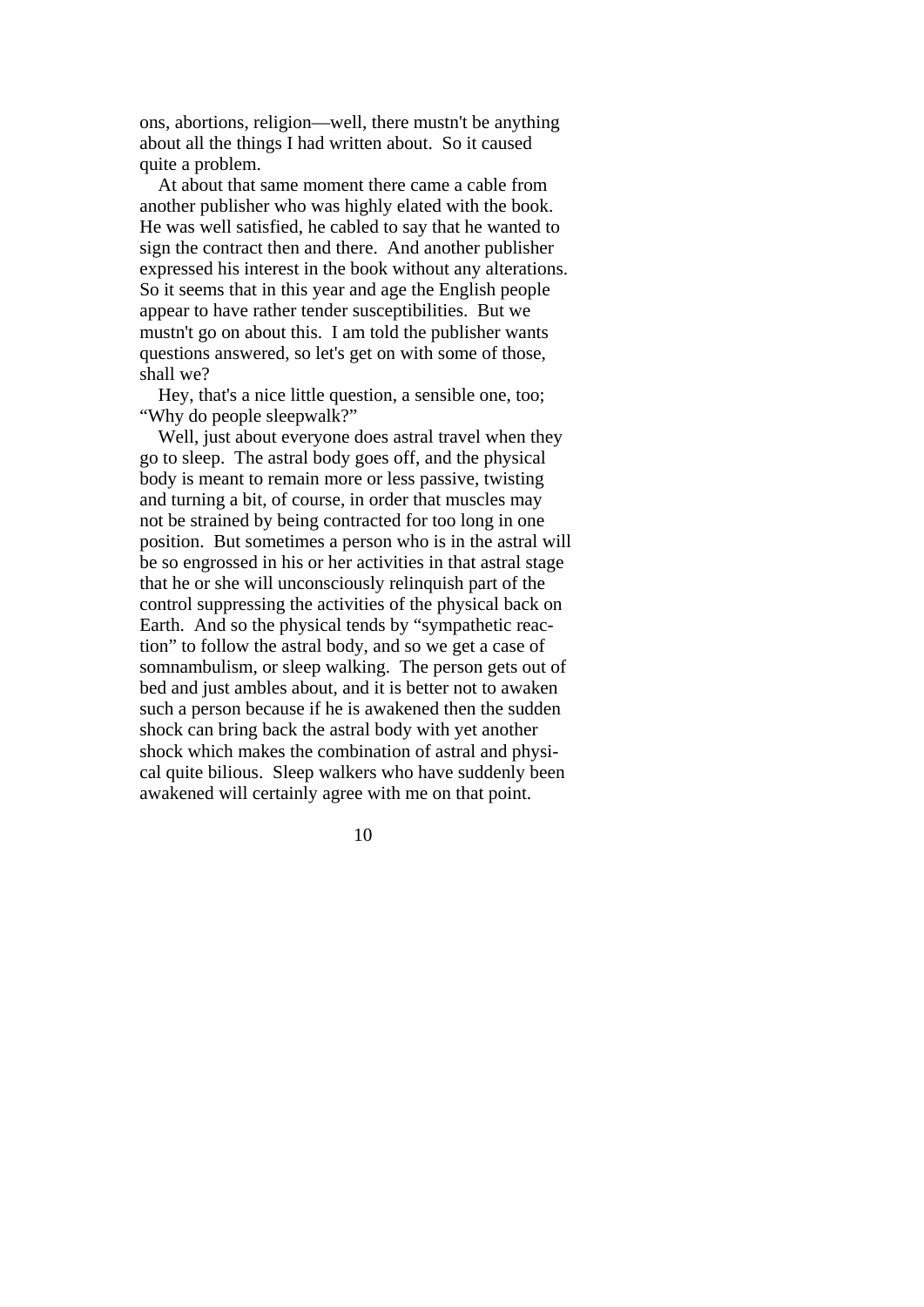ons, abortions, religion—well, there mustn't be anything about all the things I had written about. So it caused quite a problem.

 At about that same moment there came a cable from another publisher who was highly elated with the book. He was well satisfied, he cabled to say that he wanted to sign the contract then and there. And another publisher expressed his interest in the book without any alterations. So it seems that in this year and age the English people appear to have rather tender susceptibilities. But we mustn't go on about this. I am told the publisher wants questions answered, so let's get on with some of those, shall we?

 Hey, that's a nice little question, a sensible one, too; "Why do people sleepwalk?"

 Well, just about everyone does astral travel when they go to sleep. The astral body goes off, and the physical body is meant to remain more or less passive, twisting and turning a bit, of course, in order that muscles may not be strained by being contracted for too long in one position. But sometimes a person who is in the astral will be so engrossed in his or her activities in that astral stage that he or she will unconsciously relinquish part of the control suppressing the activities of the physical back on Earth. And so the physical tends by "sympathetic reaction" to follow the astral body, and so we get a case of somnambulism, or sleep walking. The person gets out of bed and just ambles about, and it is better not to awaken such a person because if he is awakened then the sudden shock can bring back the astral body with yet another shock which makes the combination of astral and physical quite bilious. Sleep walkers who have suddenly been awakened will certainly agree with me on that point.

10 and 10 and 10 and 10 and 10 and 10 and 10 and 10 and 10 and 10 and 10 and 10 and 10 and 10 and 10 and 10 and 10 and 10 and 10 and 10 and 10 and 10 and 10 and 10 and 10 and 10 and 10 and 10 and 10 and 10 and 10 and 10 an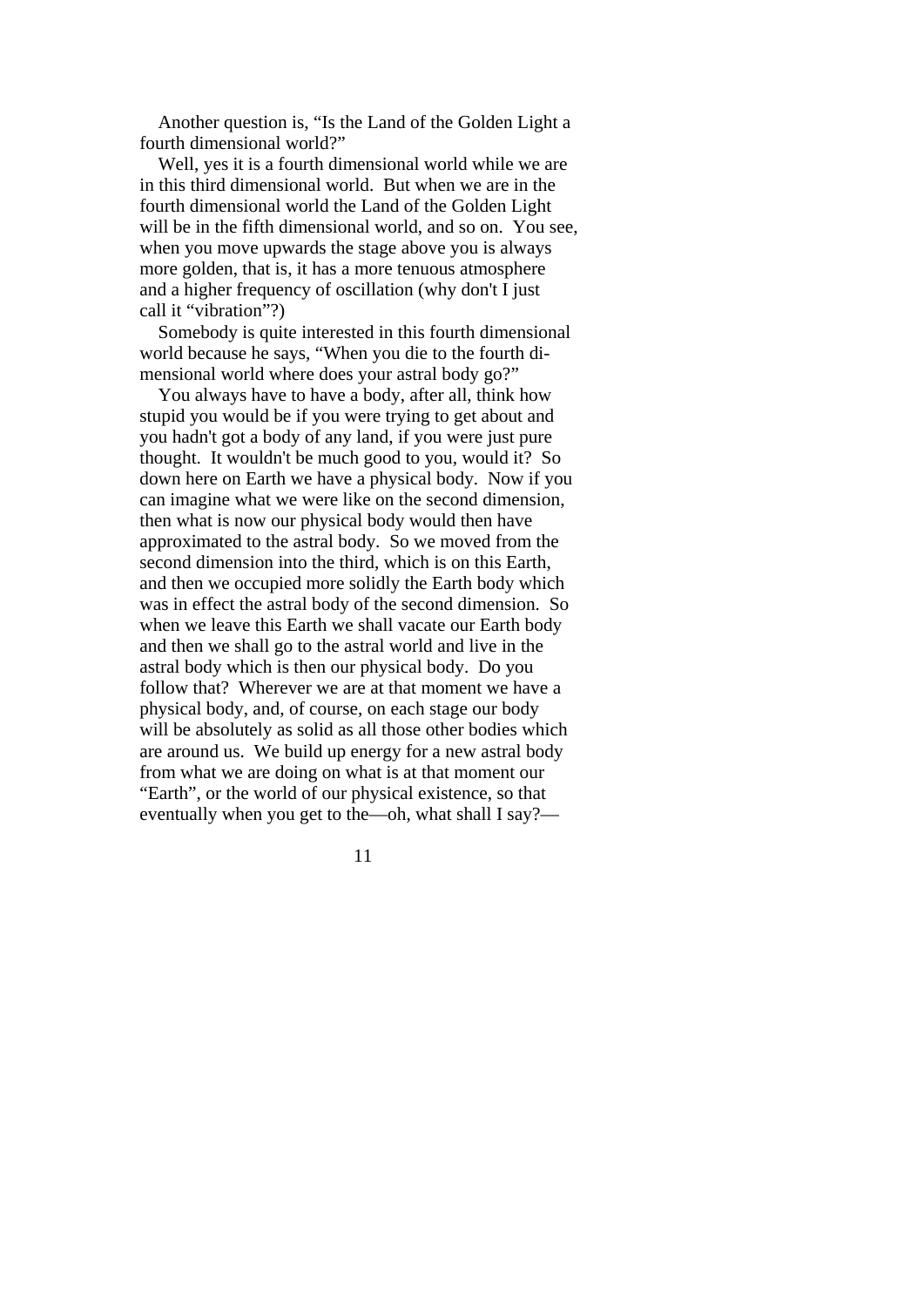Another question is, "Is the Land of the Golden Light a fourth dimensional world?"

Well, yes it is a fourth dimensional world while we are in this third dimensional world. But when we are in the fourth dimensional world the Land of the Golden Light will be in the fifth dimensional world, and so on. You see, when you move upwards the stage above you is always more golden, that is, it has a more tenuous atmosphere and a higher frequency of oscillation (why don't I just call it "vibration"?)

 Somebody is quite interested in this fourth dimensional world because he says, "When you die to the fourth dimensional world where does your astral body go?"

 You always have to have a body, after all, think how stupid you would be if you were trying to get about and you hadn't got a body of any land, if you were just pure thought. It wouldn't be much good to you, would it? So down here on Earth we have a physical body. Now if you can imagine what we were like on the second dimension, then what is now our physical body would then have approximated to the astral body. So we moved from the second dimension into the third, which is on this Earth, and then we occupied more solidly the Earth body which was in effect the astral body of the second dimension. So when we leave this Earth we shall vacate our Earth body and then we shall go to the astral world and live in the astral body which is then our physical body. Do you follow that? Wherever we are at that moment we have a physical body, and, of course, on each stage our body will be absolutely as solid as all those other bodies which are around us. We build up energy for a new astral body from what we are doing on what is at that moment our "Earth", or the world of our physical existence, so that eventually when you get to the—oh, what shall I say?—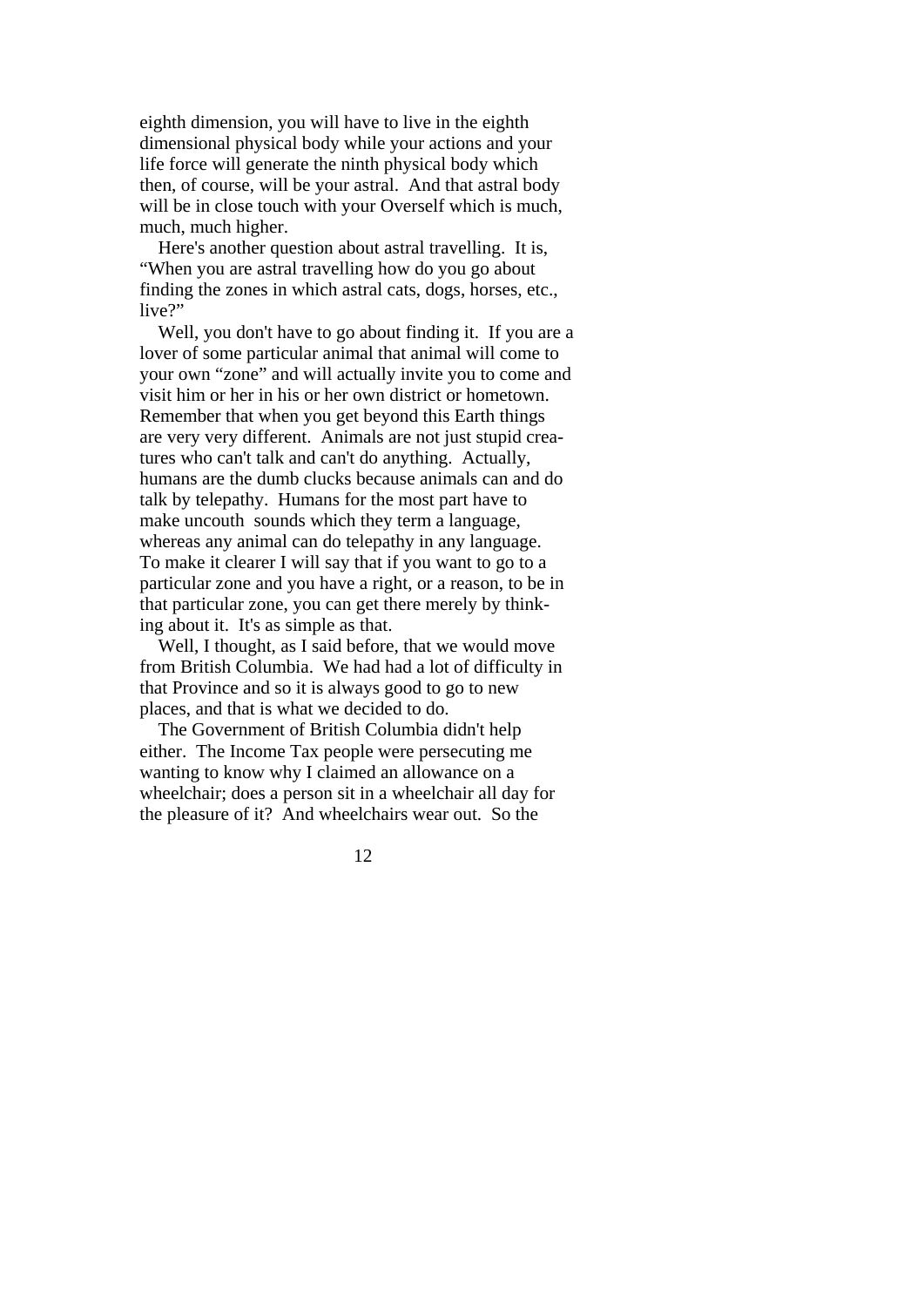eighth dimension, you will have to live in the eighth dimensional physical body while your actions and your life force will generate the ninth physical body which then, of course, will be your astral. And that astral body will be in close touch with your Overself which is much, much, much higher.

 Here's another question about astral travelling. It is, "When you are astral travelling how do you go about finding the zones in which astral cats, dogs, horses, etc., live?"

 Well, you don't have to go about finding it. If you are a lover of some particular animal that animal will come to your own "zone" and will actually invite you to come and visit him or her in his or her own district or hometown. Remember that when you get beyond this Earth things are very very different. Animals are not just stupid creatures who can't talk and can't do anything. Actually, humans are the dumb clucks because animals can and do talk by telepathy. Humans for the most part have to make uncouth sounds which they term a language, whereas any animal can do telepathy in any language. To make it clearer I will say that if you want to go to a particular zone and you have a right, or a reason, to be in that particular zone, you can get there merely by thinking about it. It's as simple as that.

 Well, I thought, as I said before, that we would move from British Columbia. We had had a lot of difficulty in that Province and so it is always good to go to new places, and that is what we decided to do.

 The Government of British Columbia didn't help either. The Income Tax people were persecuting me wanting to know why I claimed an allowance on a wheelchair; does a person sit in a wheelchair all day for the pleasure of it? And wheelchairs wear out. So the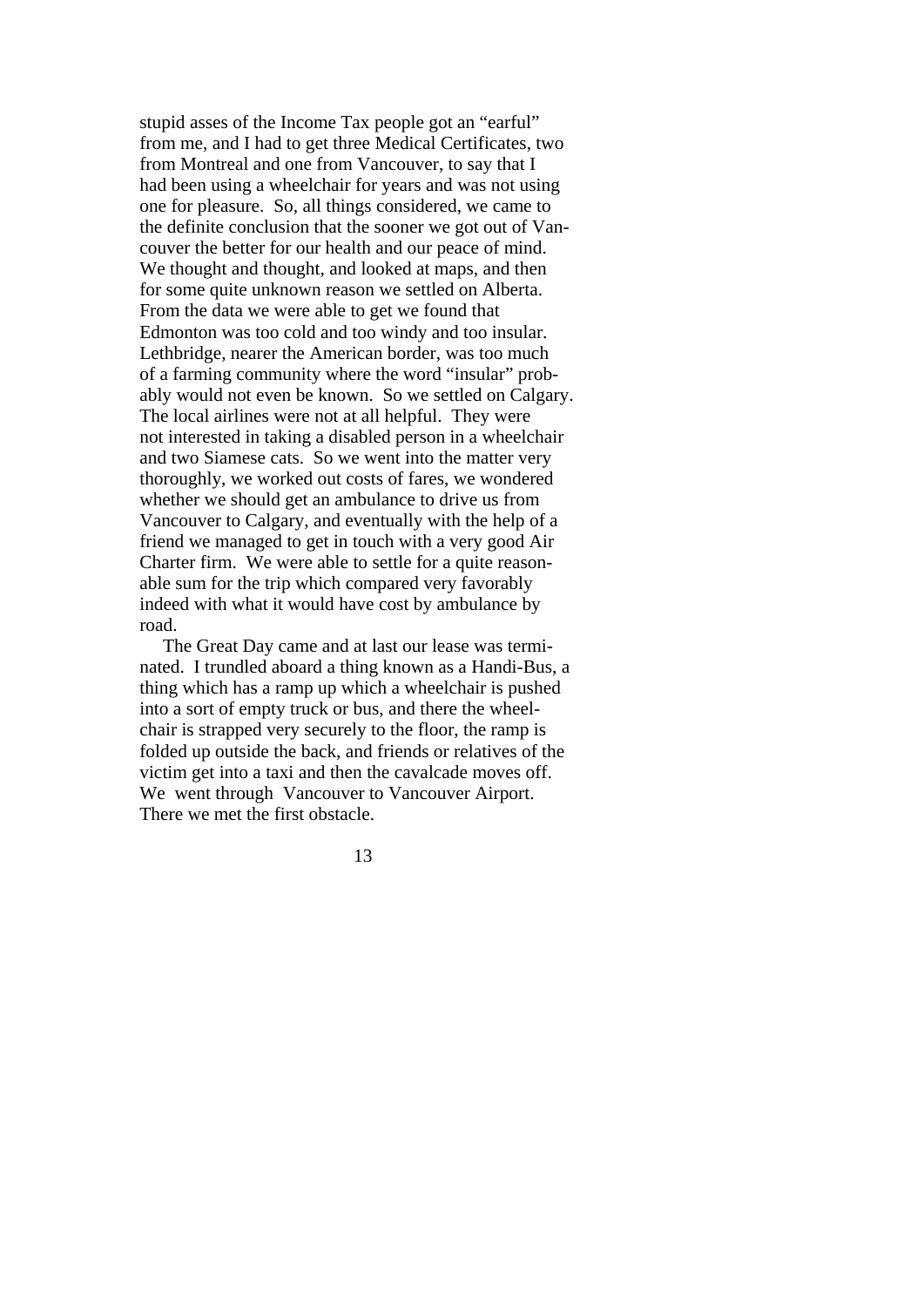stupid asses of the Income Tax people got an "earful" from me, and I had to get three Medical Certificates, two from Montreal and one from Vancouver, to say that I had been using a wheelchair for years and was not using one for pleasure. So, all things considered, we came to the definite conclusion that the sooner we got out of Vancouver the better for our health and our peace of mind. We thought and thought, and looked at maps, and then for some quite unknown reason we settled on Alberta. From the data we were able to get we found that Edmonton was too cold and too windy and too insular. Lethbridge, nearer the American border, was too much of a farming community where the word "insular" probably would not even be known. So we settled on Calgary. The local airlines were not at all helpful. They were not interested in taking a disabled person in a wheelchair and two Siamese cats. So we went into the matter very thoroughly, we worked out costs of fares, we wondered whether we should get an ambulance to drive us from Vancouver to Calgary, and eventually with the help of a friend we managed to get in touch with a very good Air Charter firm. We were able to settle for a quite reasonable sum for the trip which compared very favorably indeed with what it would have cost by ambulance by road.

 The Great Day came and at last our lease was terminated. I trundled aboard a thing known as a Handi-Bus, a thing which has a ramp up which a wheelchair is pushed into a sort of empty truck or bus, and there the wheelchair is strapped very securely to the floor, the ramp is folded up outside the back, and friends or relatives of the victim get into a taxi and then the cavalcade moves off. We went through Vancouver to Vancouver Airport. There we met the first obstacle.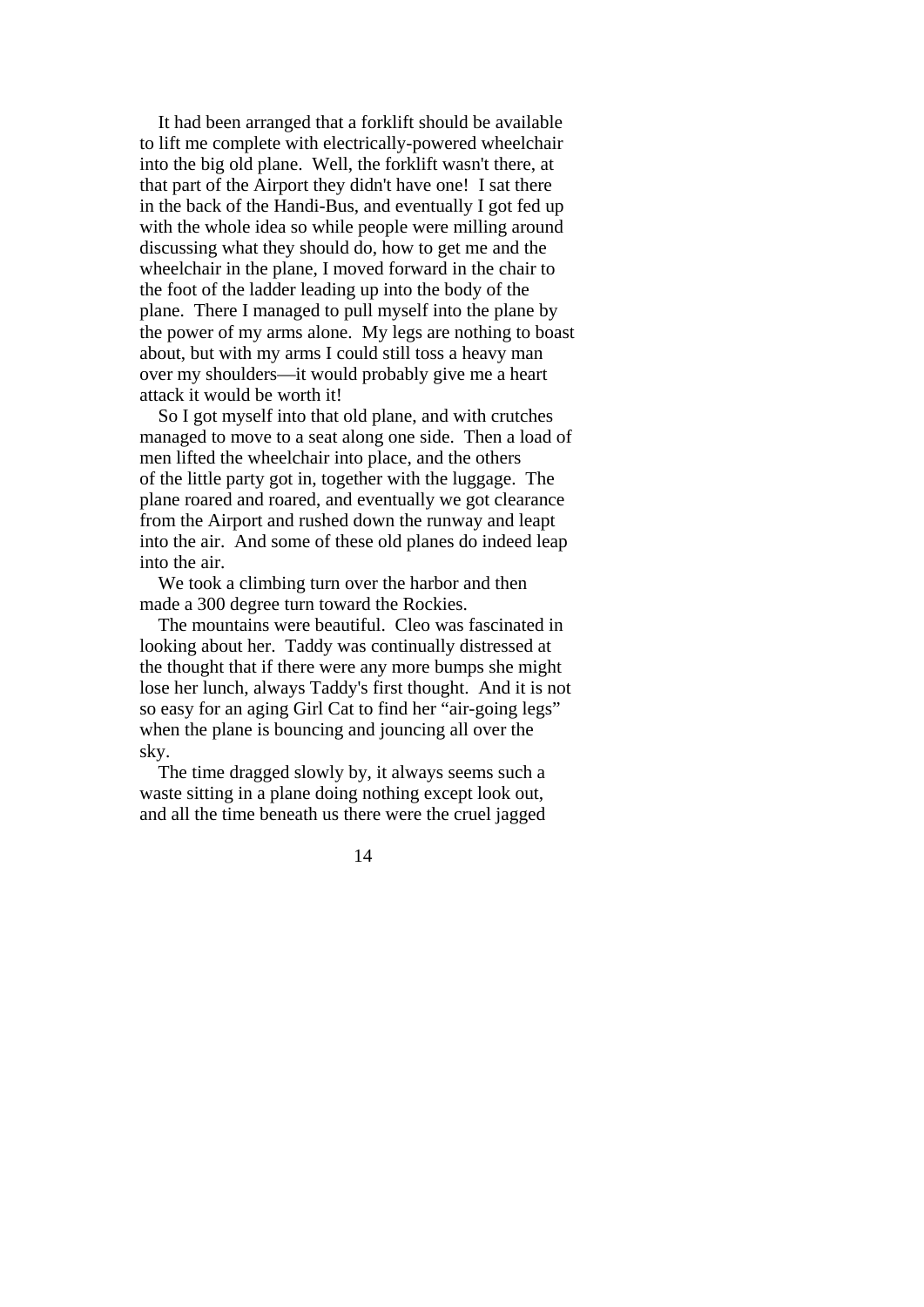It had been arranged that a forklift should be available to lift me complete with electrically-powered wheelchair into the big old plane. Well, the forklift wasn't there, at that part of the Airport they didn't have one! I sat there in the back of the Handi-Bus, and eventually I got fed up with the whole idea so while people were milling around discussing what they should do, how to get me and the wheelchair in the plane, I moved forward in the chair to the foot of the ladder leading up into the body of the plane. There I managed to pull myself into the plane by the power of my arms alone. My legs are nothing to boast about, but with my arms I could still toss a heavy man over my shoulders—it would probably give me a heart attack it would be worth it!

 So I got myself into that old plane, and with crutches managed to move to a seat along one side. Then a load of men lifted the wheelchair into place, and the others of the little party got in, together with the luggage. The plane roared and roared, and eventually we got clearance from the Airport and rushed down the runway and leapt into the air. And some of these old planes do indeed leap into the air.

 We took a climbing turn over the harbor and then made a 300 degree turn toward the Rockies.

 The mountains were beautiful. Cleo was fascinated in looking about her. Taddy was continually distressed at the thought that if there were any more bumps she might lose her lunch, always Taddy's first thought. And it is not so easy for an aging Girl Cat to find her "air-going legs" when the plane is bouncing and jouncing all over the sky.

 The time dragged slowly by, it always seems such a waste sitting in a plane doing nothing except look out, and all the time beneath us there were the cruel jagged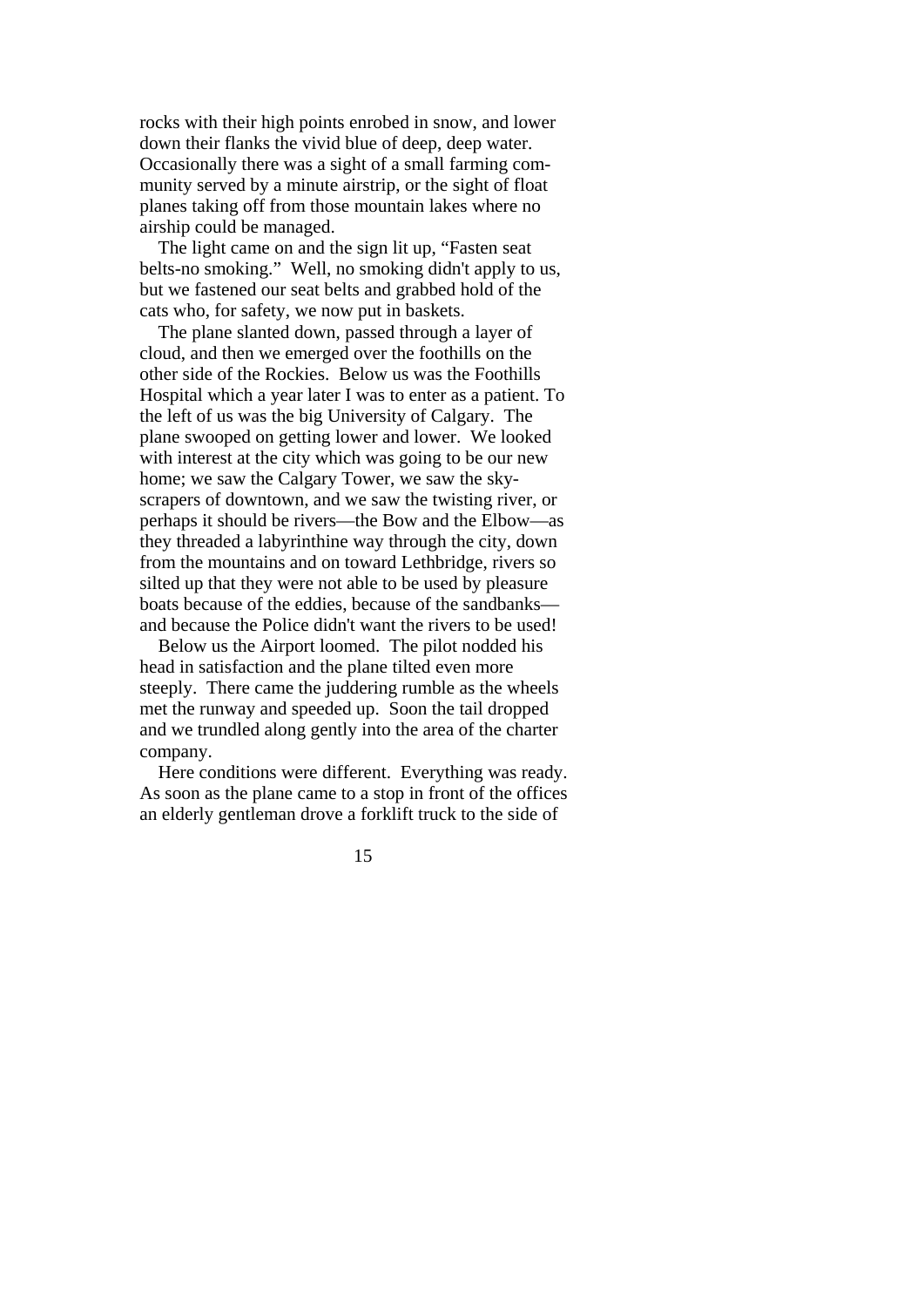rocks with their high points enrobed in snow, and lower down their flanks the vivid blue of deep, deep water. Occasionally there was a sight of a small farming community served by a minute airstrip, or the sight of float planes taking off from those mountain lakes where no airship could be managed.

 The light came on and the sign lit up, "Fasten seat belts-no smoking." Well, no smoking didn't apply to us, but we fastened our seat belts and grabbed hold of the cats who, for safety, we now put in baskets.

 The plane slanted down, passed through a layer of cloud, and then we emerged over the foothills on the other side of the Rockies. Below us was the Foothills Hospital which a year later I was to enter as a patient. To the left of us was the big University of Calgary. The plane swooped on getting lower and lower. We looked with interest at the city which was going to be our new home; we saw the Calgary Tower, we saw the skyscrapers of downtown, and we saw the twisting river, or perhaps it should be rivers—the Bow and the Elbow—as they threaded a labyrinthine way through the city, down from the mountains and on toward Lethbridge, rivers so silted up that they were not able to be used by pleasure boats because of the eddies, because of the sandbanks and because the Police didn't want the rivers to be used!

 Below us the Airport loomed. The pilot nodded his head in satisfaction and the plane tilted even more steeply. There came the juddering rumble as the wheels met the runway and speeded up. Soon the tail dropped and we trundled along gently into the area of the charter company.

 Here conditions were different. Everything was ready. As soon as the plane came to a stop in front of the offices an elderly gentleman drove a forklift truck to the side of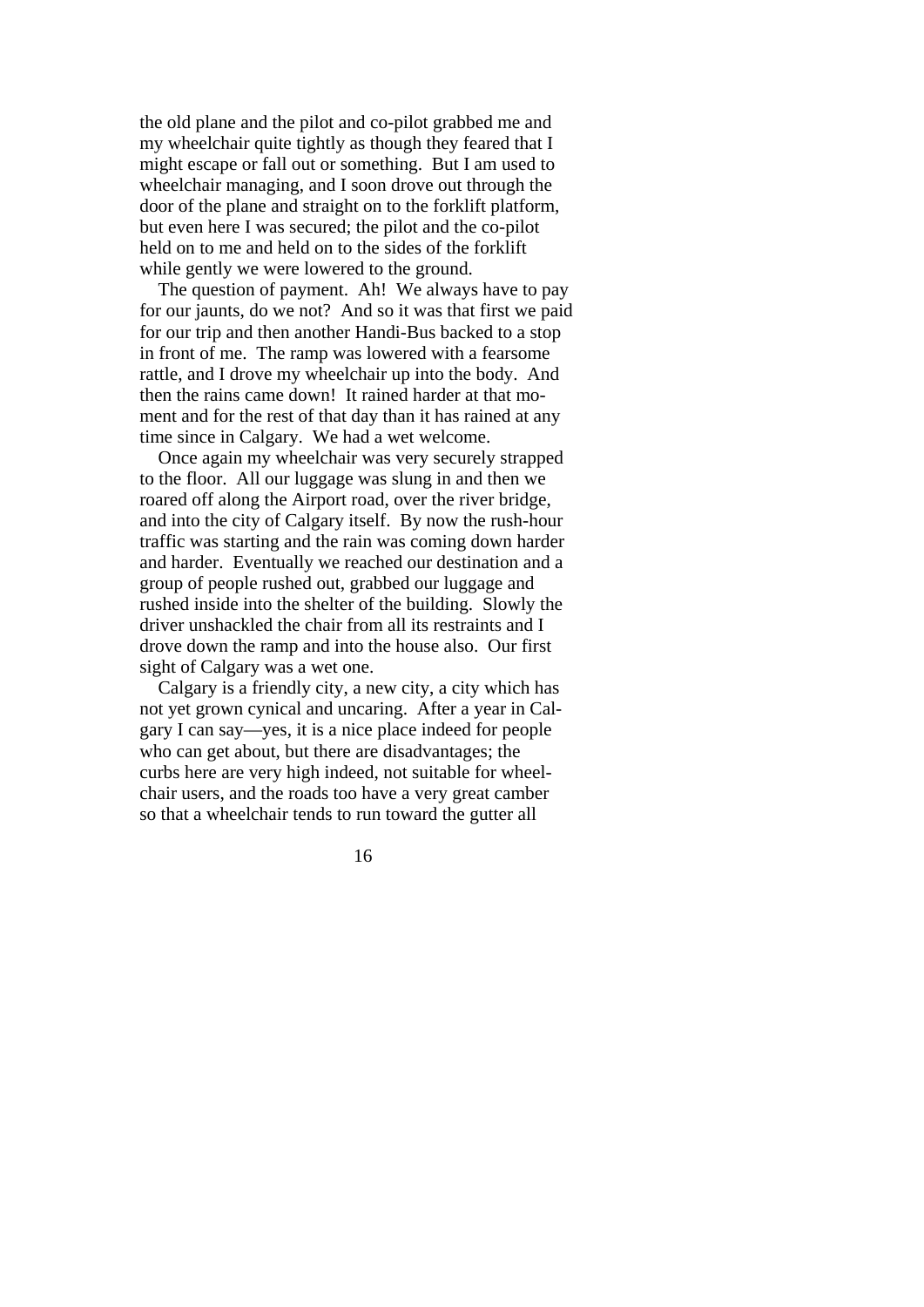the old plane and the pilot and co-pilot grabbed me and my wheelchair quite tightly as though they feared that I might escape or fall out or something. But I am used to wheelchair managing, and I soon drove out through the door of the plane and straight on to the forklift platform, but even here I was secured; the pilot and the co-pilot held on to me and held on to the sides of the forklift while gently we were lowered to the ground.

 The question of payment. Ah! We always have to pay for our jaunts, do we not? And so it was that first we paid for our trip and then another Handi-Bus backed to a stop in front of me. The ramp was lowered with a fearsome rattle, and I drove my wheelchair up into the body. And then the rains came down! It rained harder at that moment and for the rest of that day than it has rained at any time since in Calgary. We had a wet welcome.

 Once again my wheelchair was very securely strapped to the floor. All our luggage was slung in and then we roared off along the Airport road, over the river bridge, and into the city of Calgary itself. By now the rush-hour traffic was starting and the rain was coming down harder and harder. Eventually we reached our destination and a group of people rushed out, grabbed our luggage and rushed inside into the shelter of the building. Slowly the driver unshackled the chair from all its restraints and I drove down the ramp and into the house also. Our first sight of Calgary was a wet one.

 Calgary is a friendly city, a new city, a city which has not yet grown cynical and uncaring. After a year in Calgary I can say—yes, it is a nice place indeed for people who can get about, but there are disadvantages; the curbs here are very high indeed, not suitable for wheelchair users, and the roads too have a very great camber so that a wheelchair tends to run toward the gutter all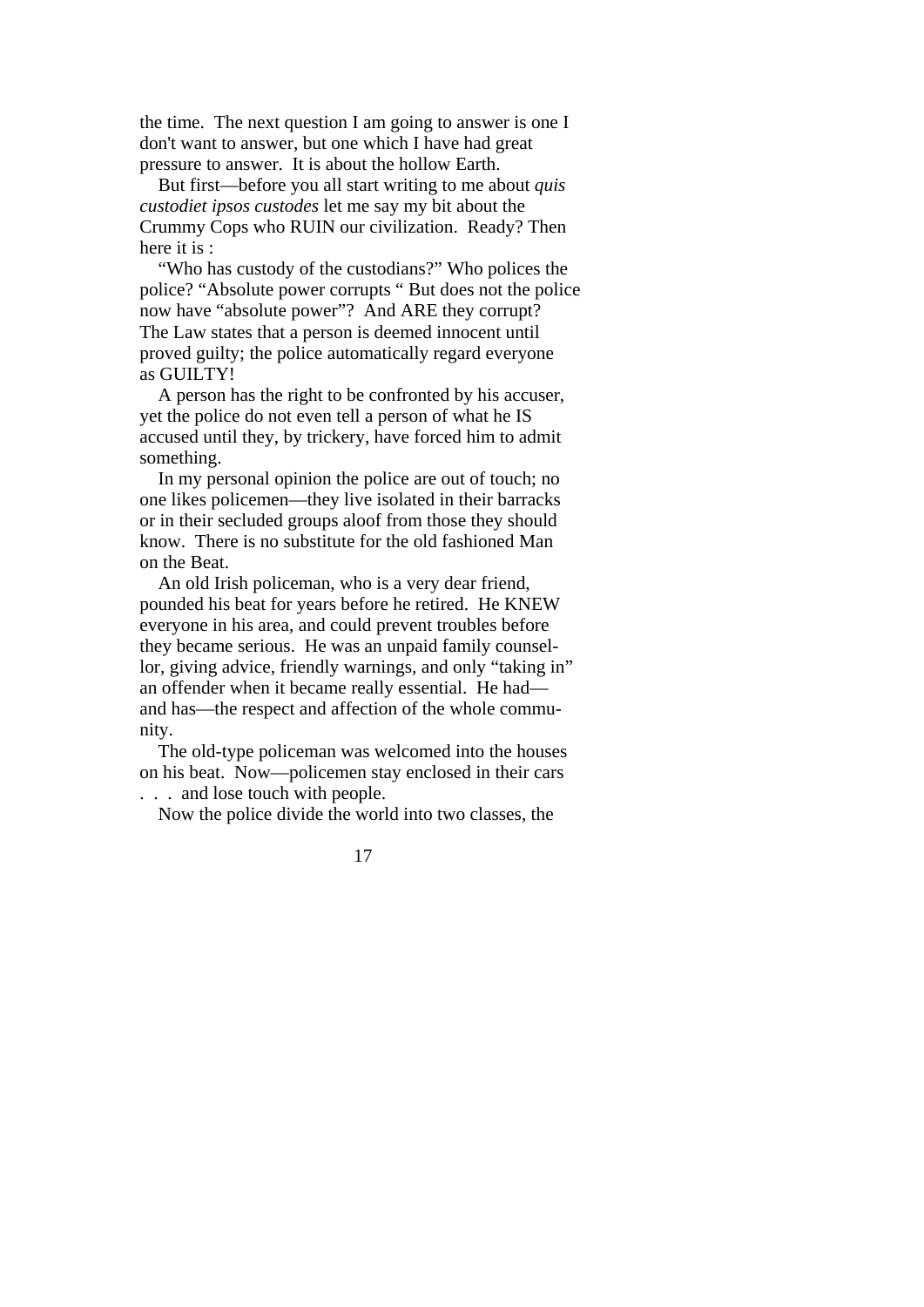the time. The next question I am going to answer is one I don't want to answer, but one which I have had great pressure to answer. It is about the hollow Earth.

 But first—before you all start writing to me about *quis custodiet ipsos custodes* let me say my bit about the Crummy Cops who RUIN our civilization. Ready? Then here it is :

 "Who has custody of the custodians?" Who polices the police? "Absolute power corrupts " But does not the police now have "absolute power"? And ARE they corrupt? The Law states that a person is deemed innocent until proved guilty; the police automatically regard everyone as GUILTY!

 A person has the right to be confronted by his accuser, yet the police do not even tell a person of what he IS accused until they, by trickery, have forced him to admit something.

 In my personal opinion the police are out of touch; no one likes policemen—they live isolated in their barracks or in their secluded groups aloof from those they should know. There is no substitute for the old fashioned Man on the Beat.

 An old Irish policeman, who is a very dear friend, pounded his beat for years before he retired. He KNEW everyone in his area, and could prevent troubles before they became serious. He was an unpaid family counsellor, giving advice, friendly warnings, and only "taking in" an offender when it became really essential. He had and has—the respect and affection of the whole community.

 The old-type policeman was welcomed into the houses on his beat. Now—policemen stay enclosed in their cars . . . and lose touch with people.

Now the police divide the world into two classes, the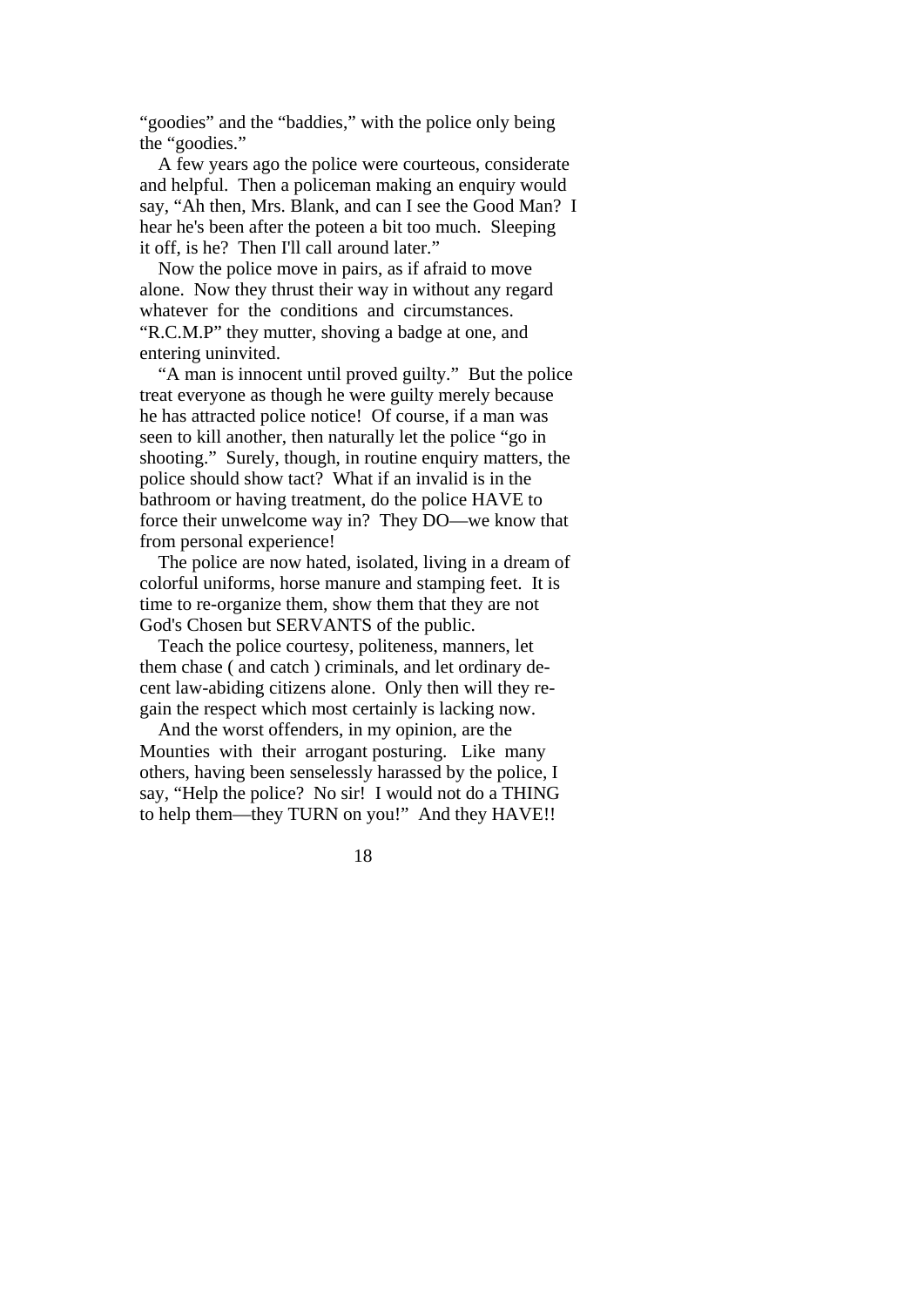"goodies" and the "baddies," with the police only being the "goodies."

 A few years ago the police were courteous, considerate and helpful. Then a policeman making an enquiry would say, "Ah then, Mrs. Blank, and can I see the Good Man? I hear he's been after the poteen a bit too much. Sleeping it off, is he? Then I'll call around later."

 Now the police move in pairs, as if afraid to move alone. Now they thrust their way in without any regard whatever for the conditions and circumstances. "R.C.M.P" they mutter, shoving a badge at one, and entering uninvited.

 "A man is innocent until proved guilty." But the police treat everyone as though he were guilty merely because he has attracted police notice! Of course, if a man was seen to kill another, then naturally let the police "go in shooting." Surely, though, in routine enquiry matters, the police should show tact? What if an invalid is in the bathroom or having treatment, do the police HAVE to force their unwelcome way in? They DO—we know that from personal experience!

 The police are now hated, isolated, living in a dream of colorful uniforms, horse manure and stamping feet. It is time to re-organize them, show them that they are not God's Chosen but SERVANTS of the public.

 Teach the police courtesy, politeness, manners, let them chase ( and catch ) criminals, and let ordinary decent law-abiding citizens alone. Only then will they regain the respect which most certainly is lacking now.

 And the worst offenders, in my opinion, are the Mounties with their arrogant posturing. Like many others, having been senselessly harassed by the police, I say, "Help the police? No sir! I would not do a THING to help them—they TURN on you!" And they HAVE!!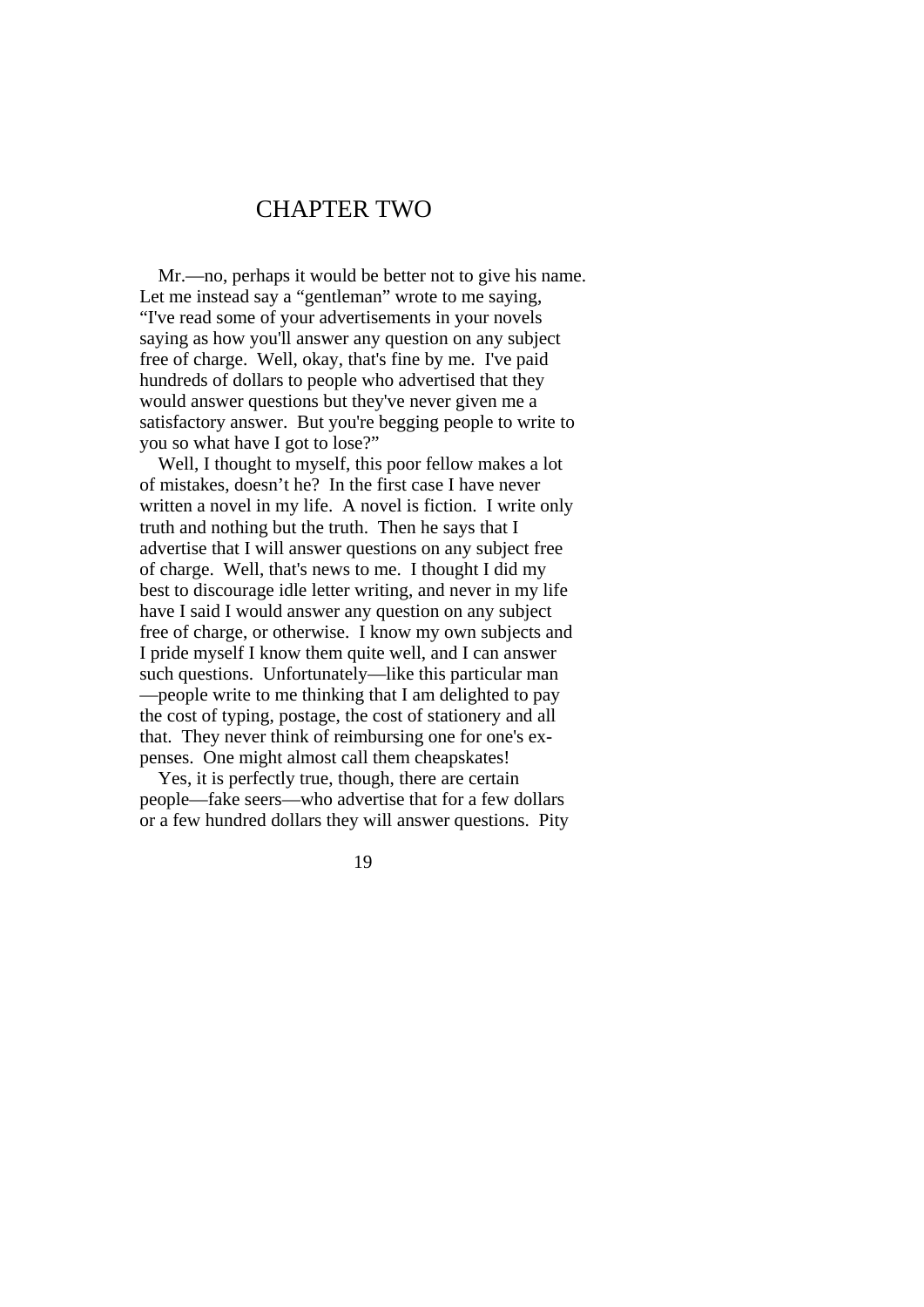## CHAPTER TWO

 Mr.—no, perhaps it would be better not to give his name. Let me instead say a "gentleman" wrote to me saying, "I've read some of your advertisements in your novels saying as how you'll answer any question on any subject free of charge. Well, okay, that's fine by me. I've paid hundreds of dollars to people who advertised that they would answer questions but they've never given me a satisfactory answer. But you're begging people to write to you so what have I got to lose?"

 Well, I thought to myself, this poor fellow makes a lot of mistakes, doesn't he? In the first case I have never written a novel in my life. A novel is fiction. I write only truth and nothing but the truth. Then he says that I advertise that I will answer questions on any subject free of charge. Well, that's news to me. I thought I did my best to discourage idle letter writing, and never in my life have I said I would answer any question on any subject free of charge, or otherwise. I know my own subjects and I pride myself I know them quite well, and I can answer such questions. Unfortunately—like this particular man —people write to me thinking that I am delighted to pay the cost of typing, postage, the cost of stationery and all that. They never think of reimbursing one for one's expenses. One might almost call them cheapskates!

 Yes, it is perfectly true, though, there are certain people—fake seers—who advertise that for a few dollars or a few hundred dollars they will answer questions. Pity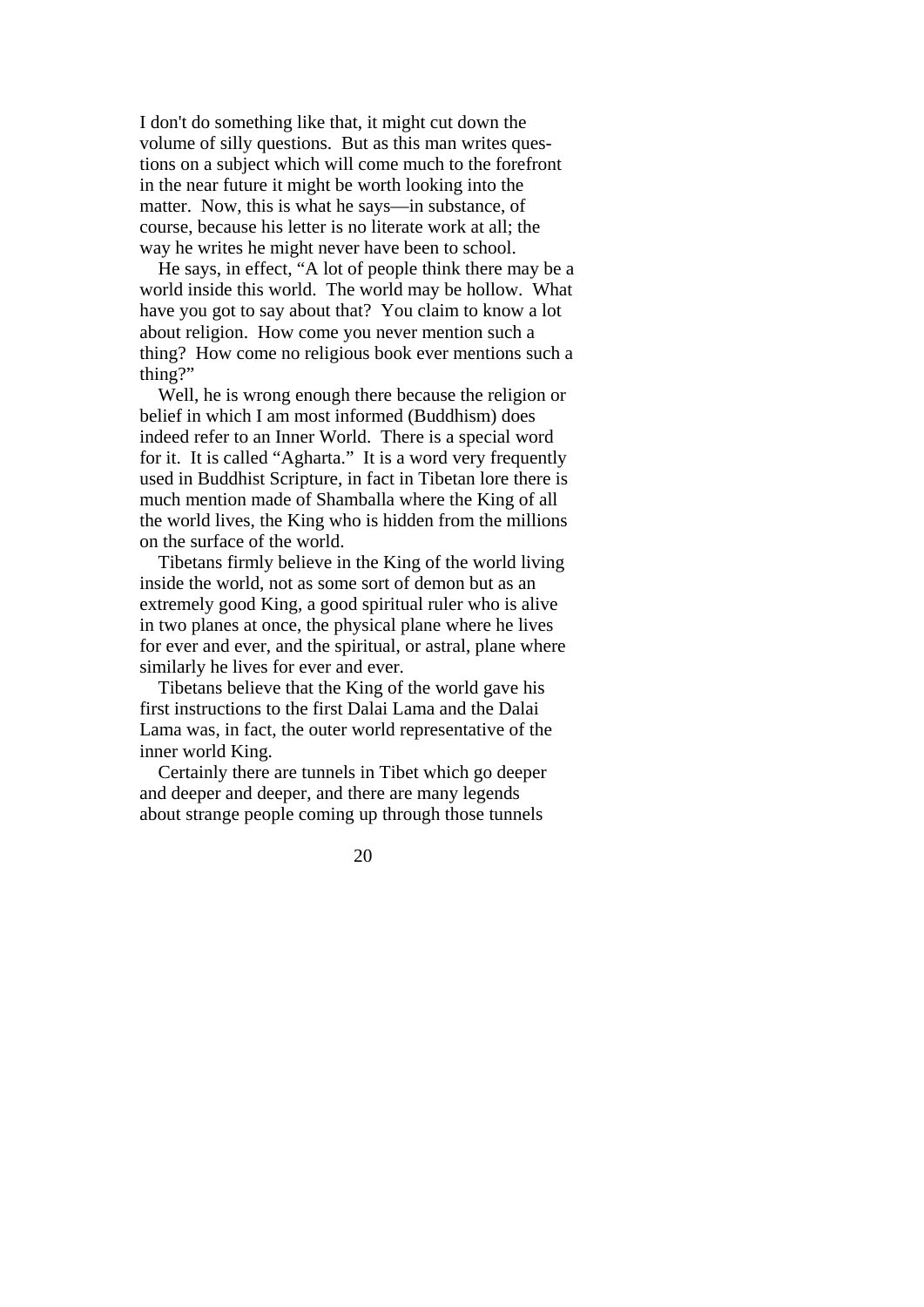I don't do something like that, it might cut down the volume of silly questions. But as this man writes questions on a subject which will come much to the forefront in the near future it might be worth looking into the matter. Now, this is what he says—in substance, of course, because his letter is no literate work at all; the way he writes he might never have been to school.

 He says, in effect, "A lot of people think there may be a world inside this world. The world may be hollow. What have you got to say about that? You claim to know a lot about religion. How come you never mention such a thing? How come no religious book ever mentions such a thing?"

 Well, he is wrong enough there because the religion or belief in which I am most informed (Buddhism) does indeed refer to an Inner World. There is a special word for it. It is called "Agharta." It is a word very frequently used in Buddhist Scripture, in fact in Tibetan lore there is much mention made of Shamballa where the King of all the world lives, the King who is hidden from the millions on the surface of the world.

 Tibetans firmly believe in the King of the world living inside the world, not as some sort of demon but as an extremely good King, a good spiritual ruler who is alive in two planes at once, the physical plane where he lives for ever and ever, and the spiritual, or astral, plane where similarly he lives for ever and ever.

 Tibetans believe that the King of the world gave his first instructions to the first Dalai Lama and the Dalai Lama was, in fact, the outer world representative of the inner world King.

 Certainly there are tunnels in Tibet which go deeper and deeper and deeper, and there are many legends about strange people coming up through those tunnels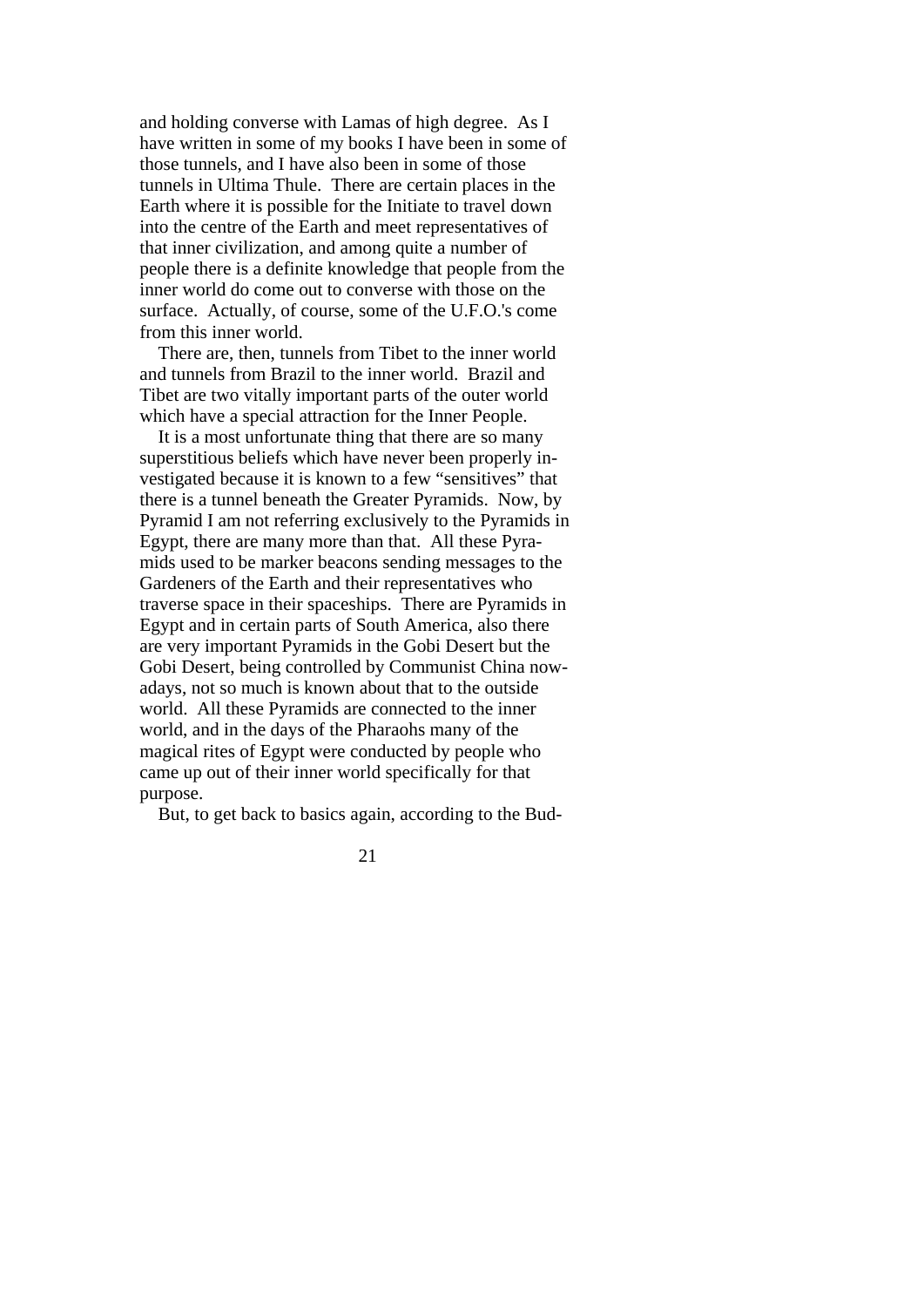and holding converse with Lamas of high degree. As I have written in some of my books I have been in some of those tunnels, and I have also been in some of those tunnels in Ultima Thule. There are certain places in the Earth where it is possible for the Initiate to travel down into the centre of the Earth and meet representatives of that inner civilization, and among quite a number of people there is a definite knowledge that people from the inner world do come out to converse with those on the surface. Actually, of course, some of the U.F.O.'s come from this inner world.

 There are, then, tunnels from Tibet to the inner world and tunnels from Brazil to the inner world. Brazil and Tibet are two vitally important parts of the outer world which have a special attraction for the Inner People.

 It is a most unfortunate thing that there are so many superstitious beliefs which have never been properly investigated because it is known to a few "sensitives" that there is a tunnel beneath the Greater Pyramids. Now, by Pyramid I am not referring exclusively to the Pyramids in Egypt, there are many more than that. All these Pyramids used to be marker beacons sending messages to the Gardeners of the Earth and their representatives who traverse space in their spaceships. There are Pyramids in Egypt and in certain parts of South America, also there are very important Pyramids in the Gobi Desert but the Gobi Desert, being controlled by Communist China nowadays, not so much is known about that to the outside world. All these Pyramids are connected to the inner world, and in the days of the Pharaohs many of the magical rites of Egypt were conducted by people who came up out of their inner world specifically for that purpose.

But, to get back to basics again, according to the Bud-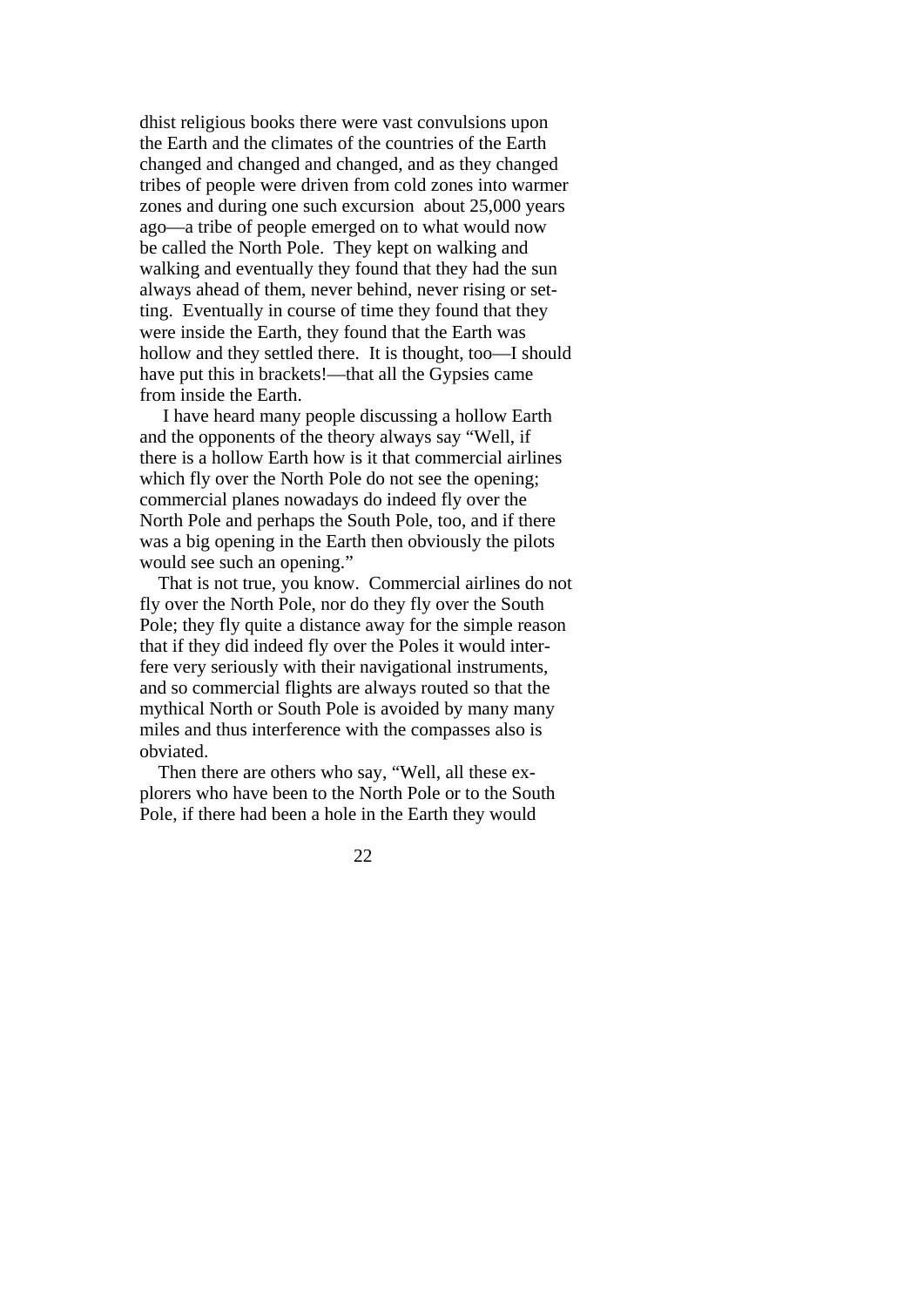dhist religious books there were vast convulsions upon the Earth and the climates of the countries of the Earth changed and changed and changed, and as they changed tribes of people were driven from cold zones into warmer zones and during one such excursion about 25,000 years ago—a tribe of people emerged on to what would now be called the North Pole. They kept on walking and walking and eventually they found that they had the sun always ahead of them, never behind, never rising or setting. Eventually in course of time they found that they were inside the Earth, they found that the Earth was hollow and they settled there. It is thought, too—I should have put this in brackets!—that all the Gypsies came from inside the Earth.

 I have heard many people discussing a hollow Earth and the opponents of the theory always say "Well, if there is a hollow Earth how is it that commercial airlines which fly over the North Pole do not see the opening; commercial planes nowadays do indeed fly over the North Pole and perhaps the South Pole, too, and if there was a big opening in the Earth then obviously the pilots would see such an opening."

 That is not true, you know. Commercial airlines do not fly over the North Pole, nor do they fly over the South Pole; they fly quite a distance away for the simple reason that if they did indeed fly over the Poles it would interfere very seriously with their navigational instruments, and so commercial flights are always routed so that the mythical North or South Pole is avoided by many many miles and thus interference with the compasses also is obviated.

 Then there are others who say, "Well, all these explorers who have been to the North Pole or to the South Pole, if there had been a hole in the Earth they would

22 and 22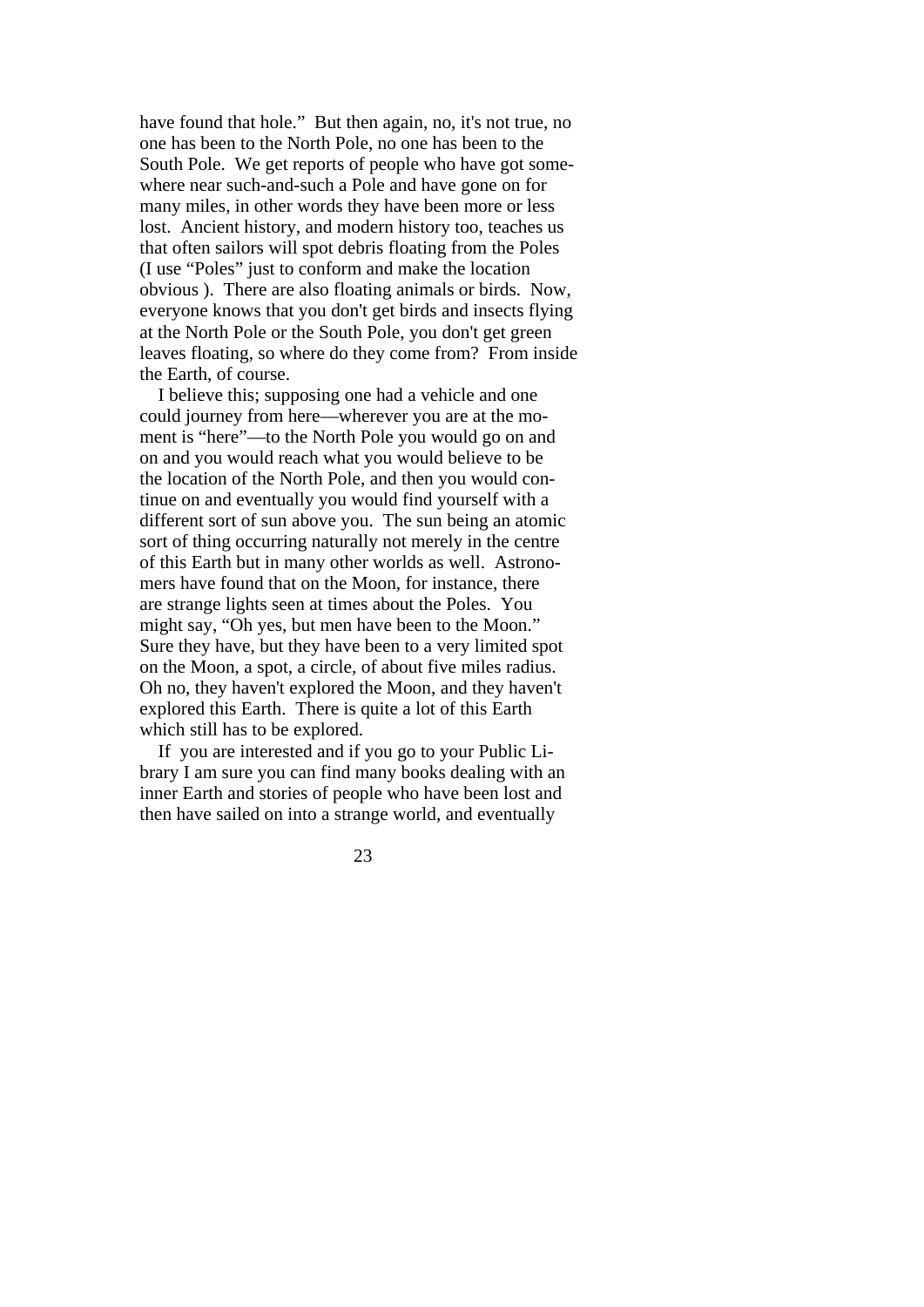have found that hole." But then again, no, it's not true, no one has been to the North Pole, no one has been to the South Pole. We get reports of people who have got somewhere near such-and-such a Pole and have gone on for many miles, in other words they have been more or less lost. Ancient history, and modern history too, teaches us that often sailors will spot debris floating from the Poles (I use "Poles" just to conform and make the location obvious ). There are also floating animals or birds. Now, everyone knows that you don't get birds and insects flying at the North Pole or the South Pole, you don't get green leaves floating, so where do they come from? From inside the Earth, of course.

 I believe this; supposing one had a vehicle and one could journey from here—wherever you are at the moment is "here"—to the North Pole you would go on and on and you would reach what you would believe to be the location of the North Pole, and then you would continue on and eventually you would find yourself with a different sort of sun above you. The sun being an atomic sort of thing occurring naturally not merely in the centre of this Earth but in many other worlds as well. Astronomers have found that on the Moon, for instance, there are strange lights seen at times about the Poles. You might say, "Oh yes, but men have been to the Moon." Sure they have, but they have been to a very limited spot on the Moon, a spot, a circle, of about five miles radius. Oh no, they haven't explored the Moon, and they haven't explored this Earth. There is quite a lot of this Earth which still has to be explored.

 If you are interested and if you go to your Public Library I am sure you can find many books dealing with an inner Earth and stories of people who have been lost and then have sailed on into a strange world, and eventually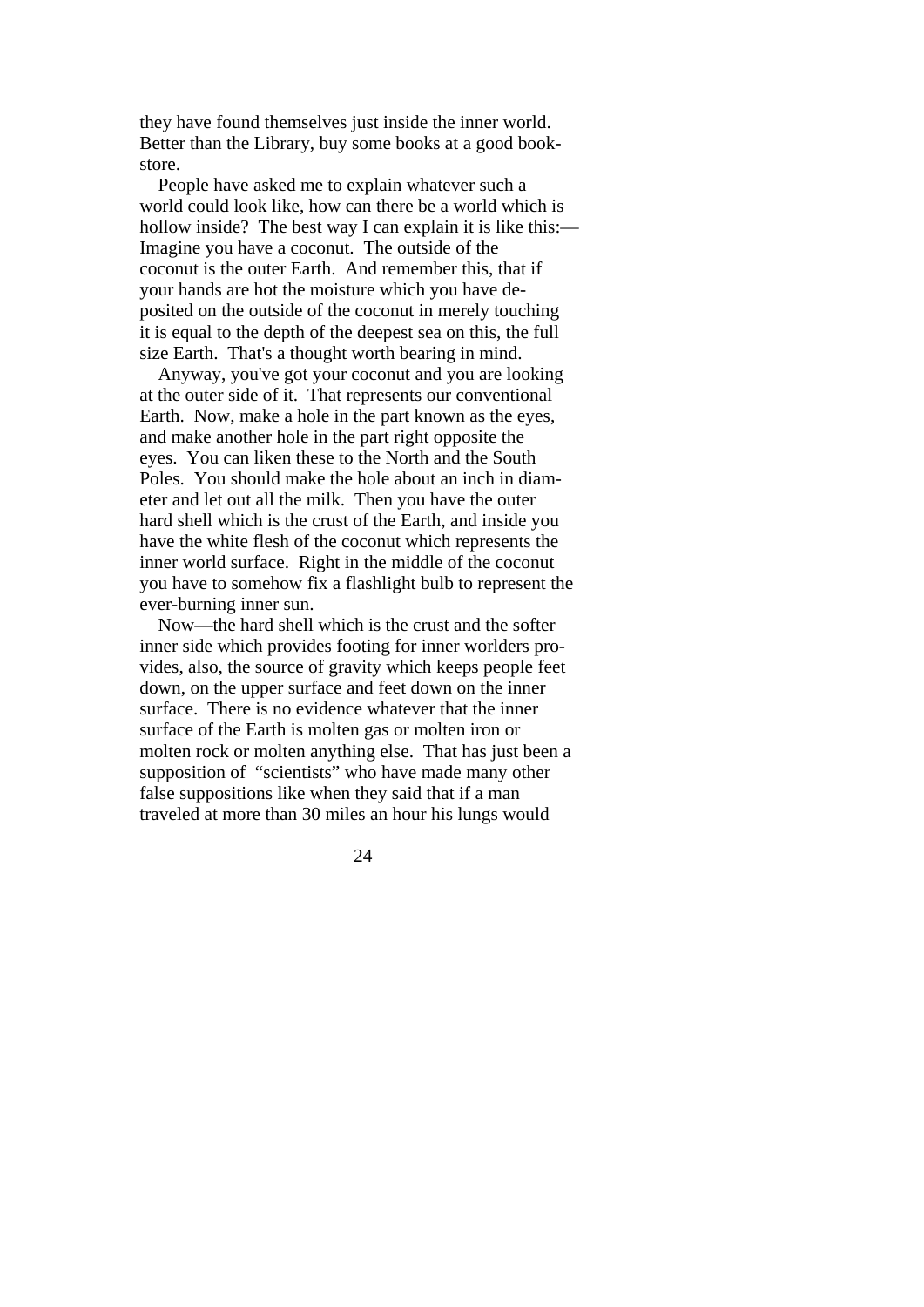they have found themselves just inside the inner world. Better than the Library, buy some books at a good bookstore.

 People have asked me to explain whatever such a world could look like, how can there be a world which is hollow inside? The best way I can explain it is like this:— Imagine you have a coconut. The outside of the coconut is the outer Earth. And remember this, that if your hands are hot the moisture which you have deposited on the outside of the coconut in merely touching it is equal to the depth of the deepest sea on this, the full size Earth. That's a thought worth bearing in mind.

 Anyway, you've got your coconut and you are looking at the outer side of it. That represents our conventional Earth. Now, make a hole in the part known as the eyes, and make another hole in the part right opposite the eyes. You can liken these to the North and the South Poles. You should make the hole about an inch in diameter and let out all the milk. Then you have the outer hard shell which is the crust of the Earth, and inside you have the white flesh of the coconut which represents the inner world surface. Right in the middle of the coconut you have to somehow fix a flashlight bulb to represent the ever-burning inner sun.

 Now—the hard shell which is the crust and the softer inner side which provides footing for inner worlders provides, also, the source of gravity which keeps people feet down, on the upper surface and feet down on the inner surface. There is no evidence whatever that the inner surface of the Earth is molten gas or molten iron or molten rock or molten anything else. That has just been a supposition of "scientists" who have made many other false suppositions like when they said that if a man traveled at more than 30 miles an hour his lungs would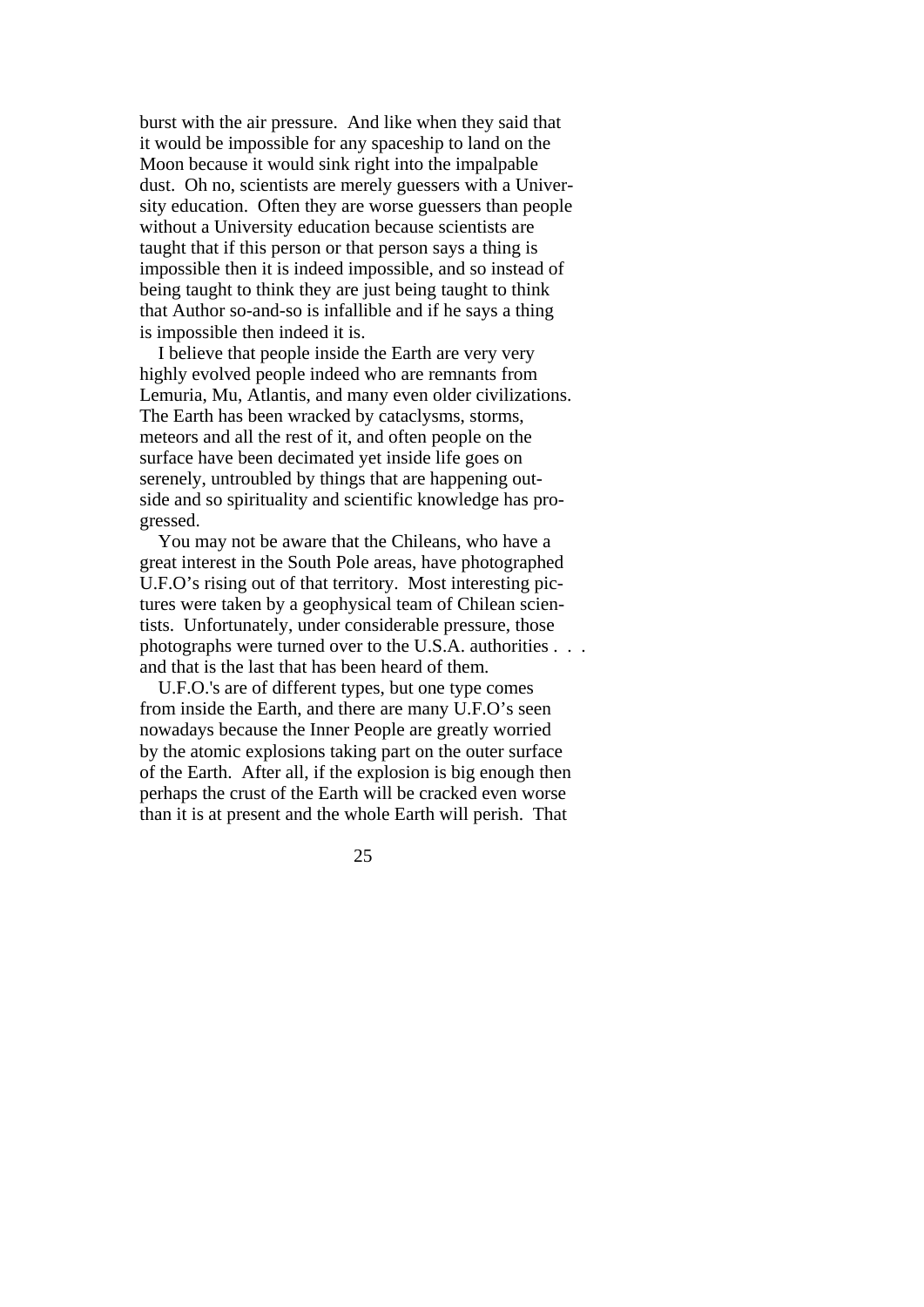burst with the air pressure. And like when they said that it would be impossible for any spaceship to land on the Moon because it would sink right into the impalpable dust. Oh no, scientists are merely guessers with a University education. Often they are worse guessers than people without a University education because scientists are taught that if this person or that person says a thing is impossible then it is indeed impossible, and so instead of being taught to think they are just being taught to think that Author so-and-so is infallible and if he says a thing is impossible then indeed it is.

 I believe that people inside the Earth are very very highly evolved people indeed who are remnants from Lemuria, Mu, Atlantis, and many even older civilizations. The Earth has been wracked by cataclysms, storms, meteors and all the rest of it, and often people on the surface have been decimated yet inside life goes on serenely, untroubled by things that are happening outside and so spirituality and scientific knowledge has progressed.

 You may not be aware that the Chileans, who have a great interest in the South Pole areas, have photographed U.F.O's rising out of that territory. Most interesting pictures were taken by a geophysical team of Chilean scientists. Unfortunately, under considerable pressure, those photographs were turned over to the U.S.A. authorities . . . and that is the last that has been heard of them.

 U.F.O.'s are of different types, but one type comes from inside the Earth, and there are many U.F.O's seen nowadays because the Inner People are greatly worried by the atomic explosions taking part on the outer surface of the Earth. After all, if the explosion is big enough then perhaps the crust of the Earth will be cracked even worse than it is at present and the whole Earth will perish. That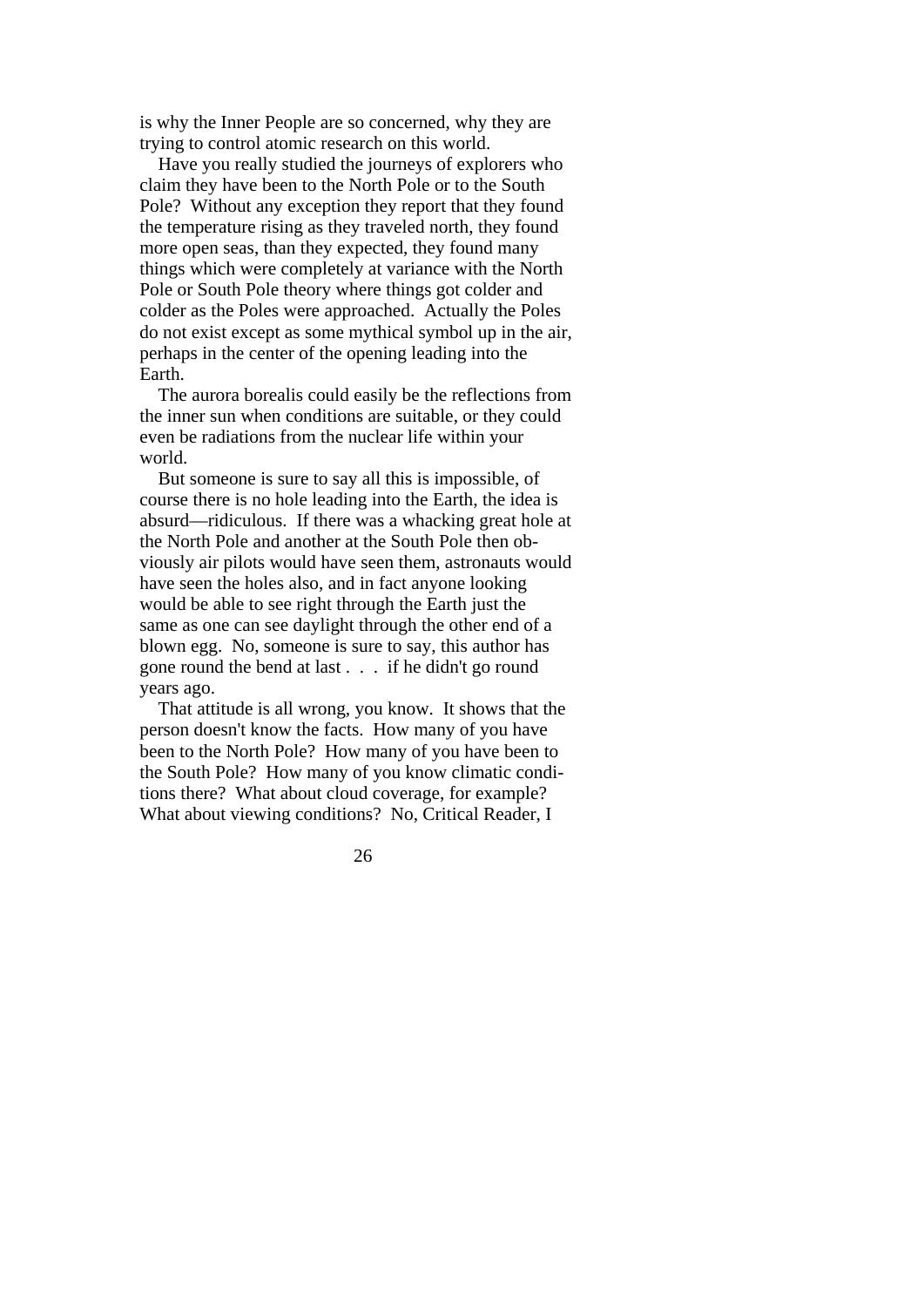is why the Inner People are so concerned, why they are trying to control atomic research on this world.

 Have you really studied the journeys of explorers who claim they have been to the North Pole or to the South Pole? Without any exception they report that they found the temperature rising as they traveled north, they found more open seas, than they expected, they found many things which were completely at variance with the North Pole or South Pole theory where things got colder and colder as the Poles were approached. Actually the Poles do not exist except as some mythical symbol up in the air, perhaps in the center of the opening leading into the Earth.

 The aurora borealis could easily be the reflections from the inner sun when conditions are suitable, or they could even be radiations from the nuclear life within your world.

 But someone is sure to say all this is impossible, of course there is no hole leading into the Earth, the idea is absurd—ridiculous. If there was a whacking great hole at the North Pole and another at the South Pole then obviously air pilots would have seen them, astronauts would have seen the holes also, and in fact anyone looking would be able to see right through the Earth just the same as one can see daylight through the other end of a blown egg. No, someone is sure to say, this author has gone round the bend at last . . . if he didn't go round years ago.

 That attitude is all wrong, you know. It shows that the person doesn't know the facts. How many of you have been to the North Pole? How many of you have been to the South Pole? How many of you know climatic conditions there? What about cloud coverage, for example? What about viewing conditions? No, Critical Reader, I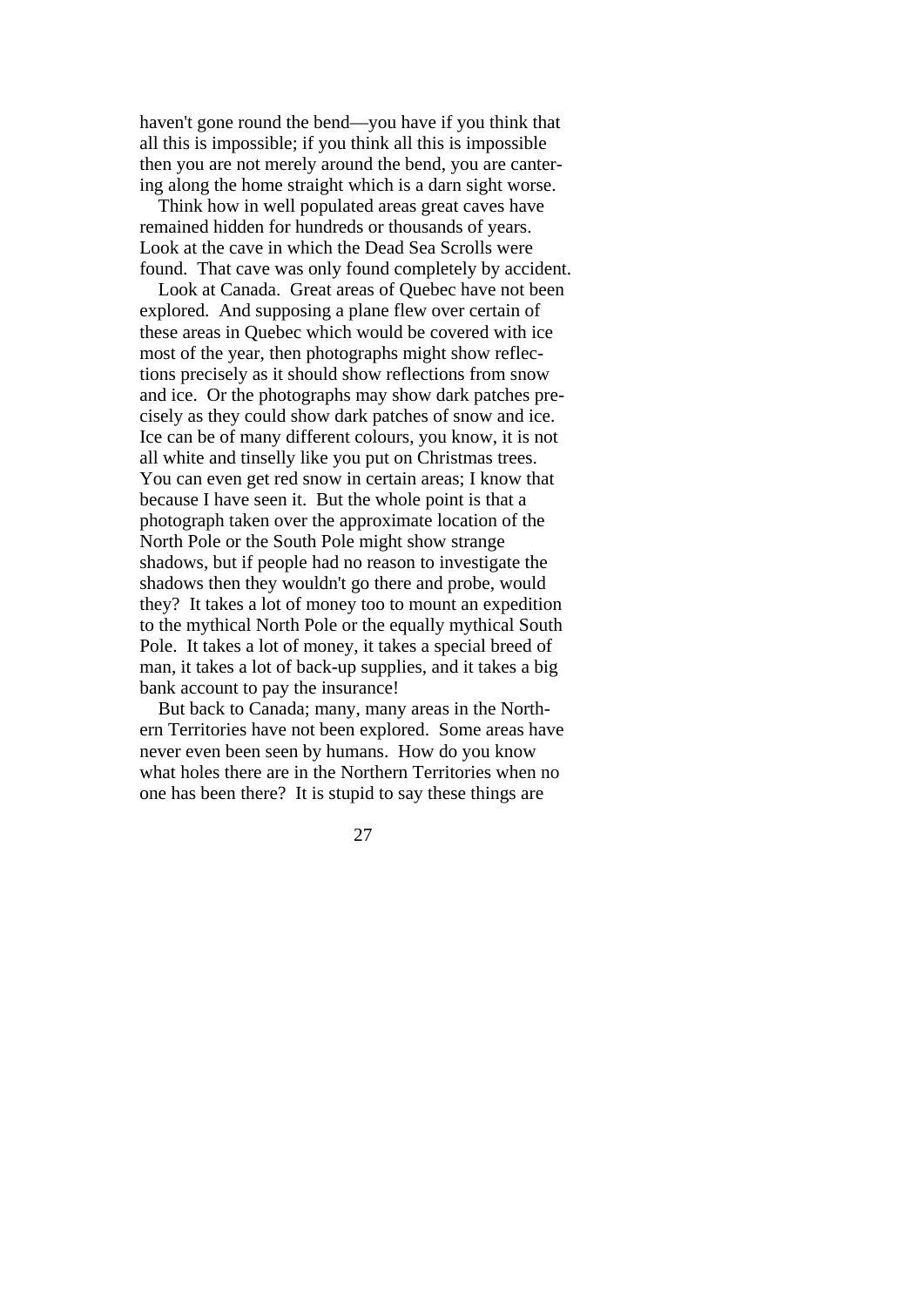haven't gone round the bend—you have if you think that all this is impossible; if you think all this is impossible then you are not merely around the bend, you are cantering along the home straight which is a darn sight worse.

 Think how in well populated areas great caves have remained hidden for hundreds or thousands of years. Look at the cave in which the Dead Sea Scrolls were found. That cave was only found completely by accident.

 Look at Canada. Great areas of Quebec have not been explored. And supposing a plane flew over certain of these areas in Quebec which would be covered with ice most of the year, then photographs might show reflections precisely as it should show reflections from snow and ice. Or the photographs may show dark patches precisely as they could show dark patches of snow and ice. Ice can be of many different colours, you know, it is not all white and tinselly like you put on Christmas trees. You can even get red snow in certain areas; I know that because I have seen it. But the whole point is that a photograph taken over the approximate location of the North Pole or the South Pole might show strange shadows, but if people had no reason to investigate the shadows then they wouldn't go there and probe, would they? It takes a lot of money too to mount an expedition to the mythical North Pole or the equally mythical South Pole. It takes a lot of money, it takes a special breed of man, it takes a lot of back-up supplies, and it takes a big bank account to pay the insurance!

 But back to Canada; many, many areas in the Northern Territories have not been explored. Some areas have never even been seen by humans. How do you know what holes there are in the Northern Territories when no one has been there? It is stupid to say these things are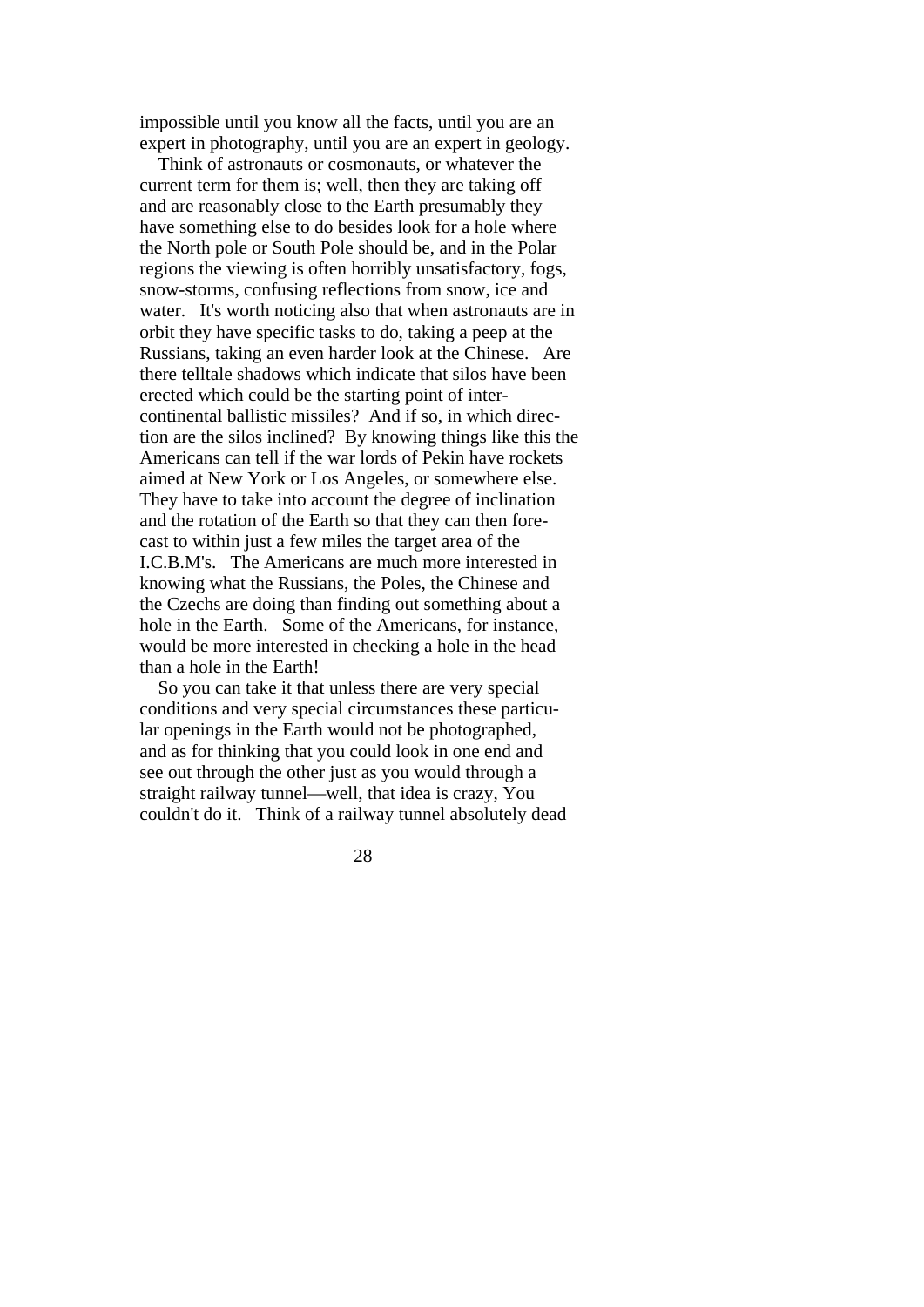impossible until you know all the facts, until you are an expert in photography, until you are an expert in geology.

 Think of astronauts or cosmonauts, or whatever the current term for them is; well, then they are taking off and are reasonably close to the Earth presumably they have something else to do besides look for a hole where the North pole or South Pole should be, and in the Polar regions the viewing is often horribly unsatisfactory, fogs, snow-storms, confusing reflections from snow, ice and water. It's worth noticing also that when astronauts are in orbit they have specific tasks to do, taking a peep at the Russians, taking an even harder look at the Chinese. Are there telltale shadows which indicate that silos have been erected which could be the starting point of intercontinental ballistic missiles? And if so, in which direction are the silos inclined? By knowing things like this the Americans can tell if the war lords of Pekin have rockets aimed at New York or Los Angeles, or somewhere else. They have to take into account the degree of inclination and the rotation of the Earth so that they can then forecast to within just a few miles the target area of the I.C.B.M's. The Americans are much more interested in knowing what the Russians, the Poles, the Chinese and the Czechs are doing than finding out something about a hole in the Earth. Some of the Americans, for instance, would be more interested in checking a hole in the head than a hole in the Earth!

 So you can take it that unless there are very special conditions and very special circumstances these particular openings in the Earth would not be photographed, and as for thinking that you could look in one end and see out through the other just as you would through a straight railway tunnel—well, that idea is crazy, You couldn't do it. Think of a railway tunnel absolutely dead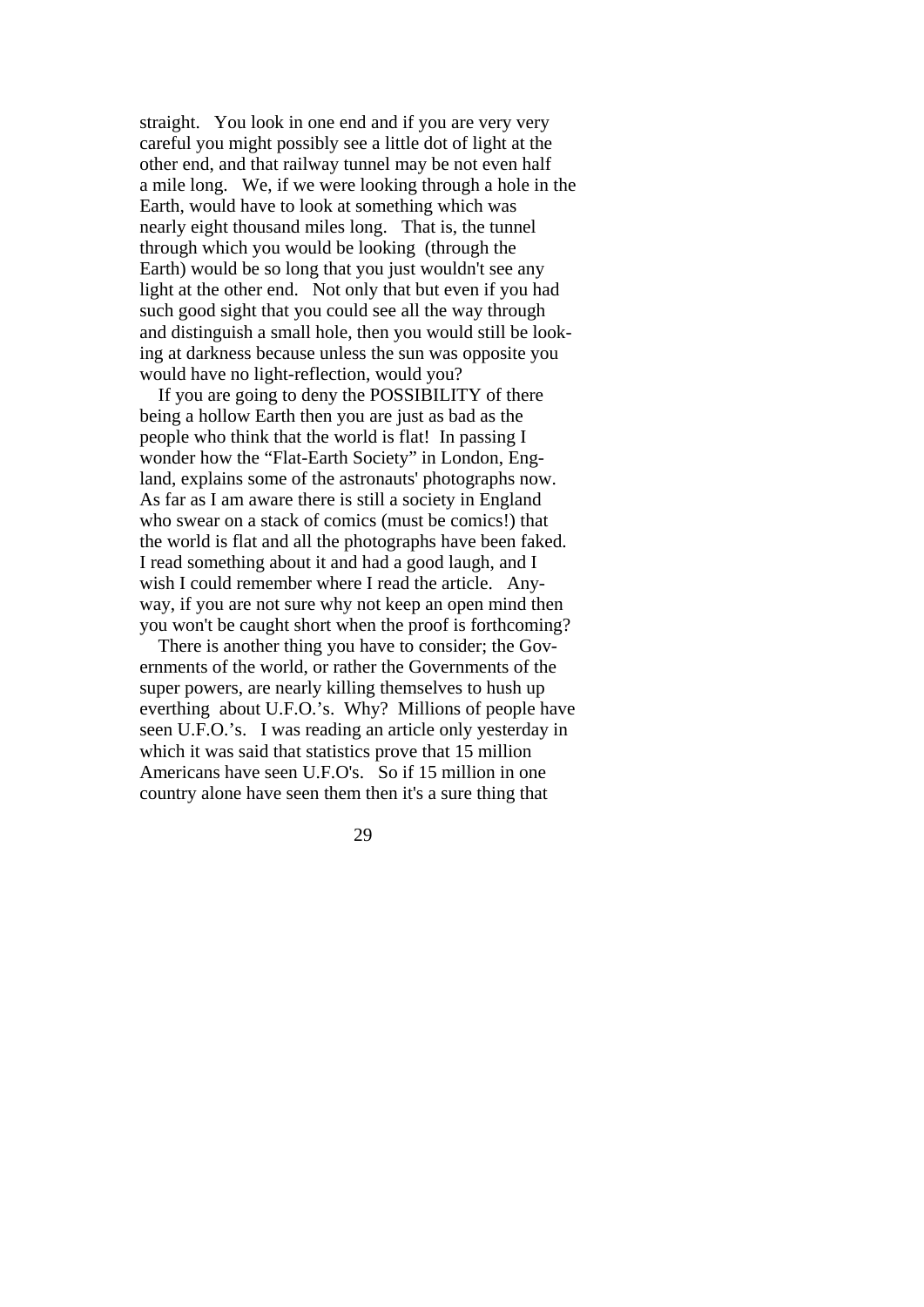straight. You look in one end and if you are very very careful you might possibly see a little dot of light at the other end, and that railway tunnel may be not even half a mile long. We, if we were looking through a hole in the Earth, would have to look at something which was nearly eight thousand miles long. That is, the tunnel through which you would be looking (through the Earth) would be so long that you just wouldn't see any light at the other end. Not only that but even if you had such good sight that you could see all the way through and distinguish a small hole, then you would still be looking at darkness because unless the sun was opposite you would have no light-reflection, would you?

 If you are going to deny the POSSIBILITY of there being a hollow Earth then you are just as bad as the people who think that the world is flat! In passing I wonder how the "Flat-Earth Society" in London, England, explains some of the astronauts' photographs now. As far as I am aware there is still a society in England who swear on a stack of comics (must be comics!) that the world is flat and all the photographs have been faked. I read something about it and had a good laugh, and I wish I could remember where I read the article. Anyway, if you are not sure why not keep an open mind then you won't be caught short when the proof is forthcoming?

 There is another thing you have to consider; the Governments of the world, or rather the Governments of the super powers, are nearly killing themselves to hush up everthing about U.F.O.'s. Why? Millions of people have seen U.F.O.'s. I was reading an article only yesterday in which it was said that statistics prove that 15 million Americans have seen U.F.O's. So if 15 million in one country alone have seen them then it's a sure thing that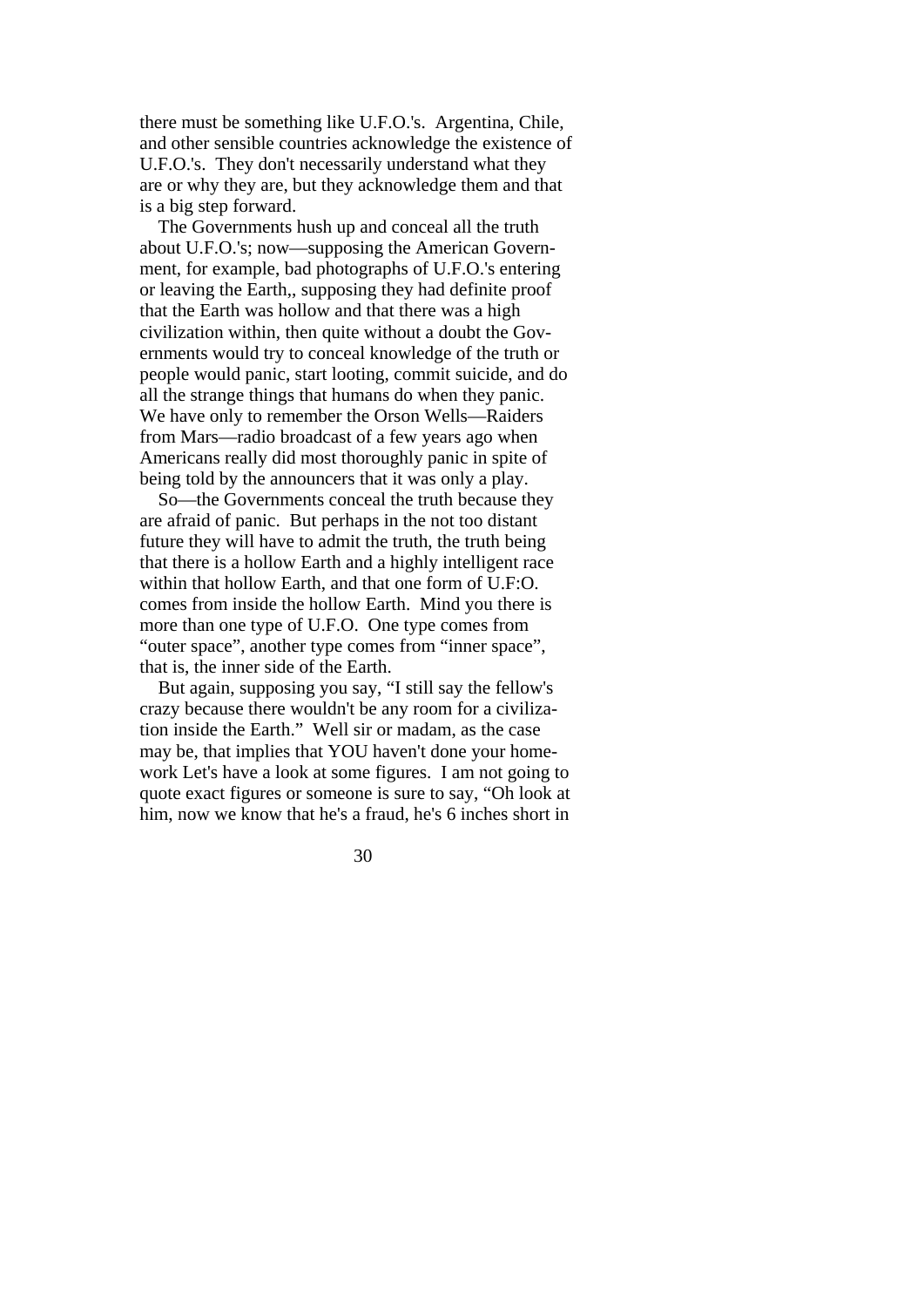there must be something like U.F.O.'s. Argentina, Chile, and other sensible countries acknowledge the existence of U.F.O.'s. They don't necessarily understand what they are or why they are, but they acknowledge them and that is a big step forward.

 The Governments hush up and conceal all the truth about U.F.O.'s; now—supposing the American Government, for example, bad photographs of U.F.O.'s entering or leaving the Earth,, supposing they had definite proof that the Earth was hollow and that there was a high civilization within, then quite without a doubt the Governments would try to conceal knowledge of the truth or people would panic, start looting, commit suicide, and do all the strange things that humans do when they panic. We have only to remember the Orson Wells—Raiders from Mars—radio broadcast of a few years ago when Americans really did most thoroughly panic in spite of being told by the announcers that it was only a play.

 So—the Governments conceal the truth because they are afraid of panic. But perhaps in the not too distant future they will have to admit the truth, the truth being that there is a hollow Earth and a highly intelligent race within that hollow Earth, and that one form of U.F:O. comes from inside the hollow Earth. Mind you there is more than one type of U.F.O. One type comes from "outer space", another type comes from "inner space", that is, the inner side of the Earth.

 But again, supposing you say, "I still say the fellow's crazy because there wouldn't be any room for a civilization inside the Earth." Well sir or madam, as the case may be, that implies that YOU haven't done your homework Let's have a look at some figures. I am not going to quote exact figures or someone is sure to say, "Oh look at him, now we know that he's a fraud, he's 6 inches short in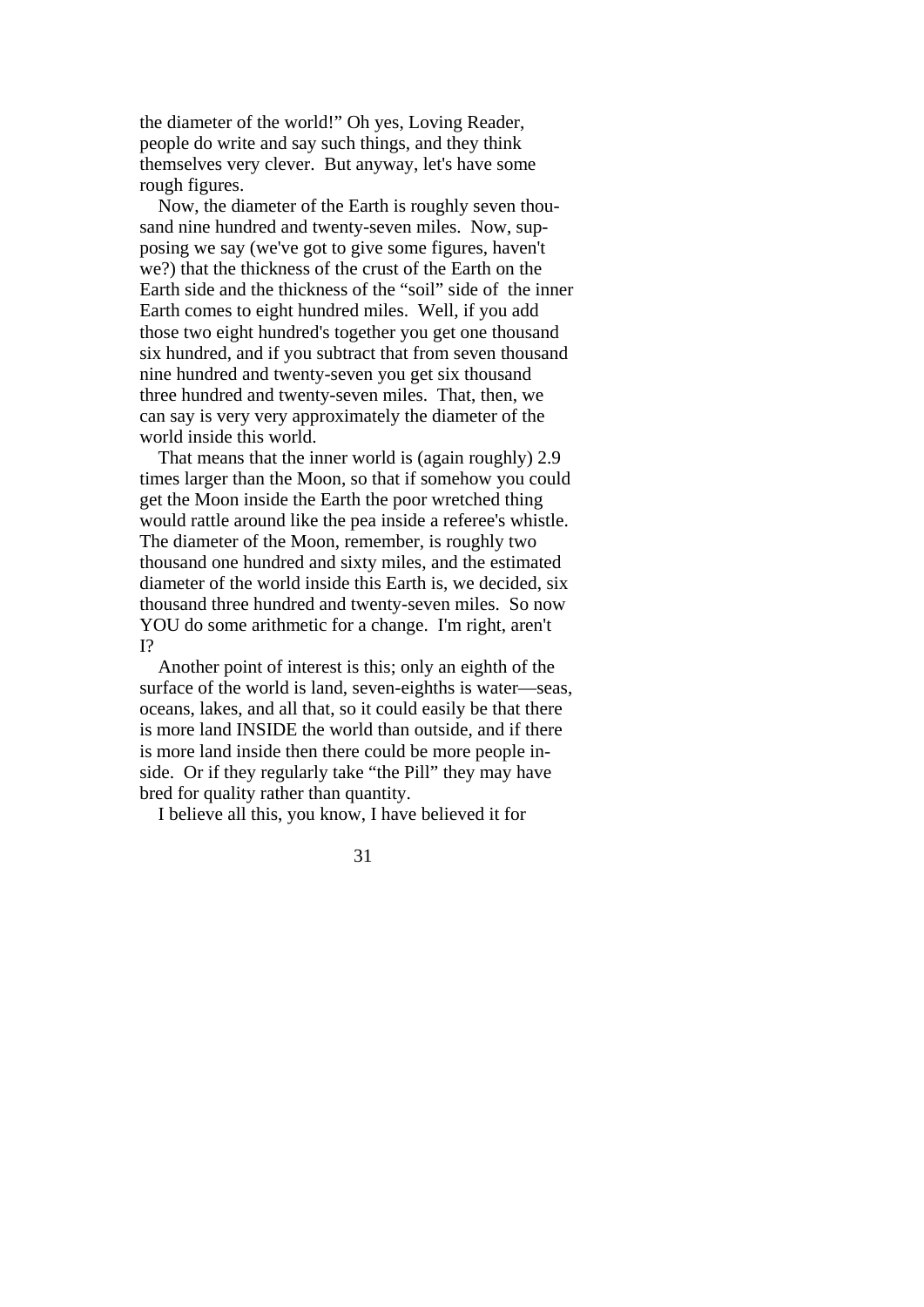the diameter of the world!" Oh yes, Loving Reader, people do write and say such things, and they think themselves very clever. But anyway, let's have some rough figures.

 Now, the diameter of the Earth is roughly seven thousand nine hundred and twenty-seven miles. Now, supposing we say (we've got to give some figures, haven't we?) that the thickness of the crust of the Earth on the Earth side and the thickness of the "soil" side of the inner Earth comes to eight hundred miles. Well, if you add those two eight hundred's together you get one thousand six hundred, and if you subtract that from seven thousand nine hundred and twenty-seven you get six thousand three hundred and twenty-seven miles. That, then, we can say is very very approximately the diameter of the world inside this world.

 That means that the inner world is (again roughly) 2.9 times larger than the Moon, so that if somehow you could get the Moon inside the Earth the poor wretched thing would rattle around like the pea inside a referee's whistle. The diameter of the Moon, remember, is roughly two thousand one hundred and sixty miles, and the estimated diameter of the world inside this Earth is, we decided, six thousand three hundred and twenty-seven miles. So now YOU do some arithmetic for a change. I'm right, aren't I?

 Another point of interest is this; only an eighth of the surface of the world is land, seven-eighths is water—seas, oceans, lakes, and all that, so it could easily be that there is more land INSIDE the world than outside, and if there is more land inside then there could be more people inside. Or if they regularly take "the Pill" they may have bred for quality rather than quantity.

I believe all this, you know, I have believed it for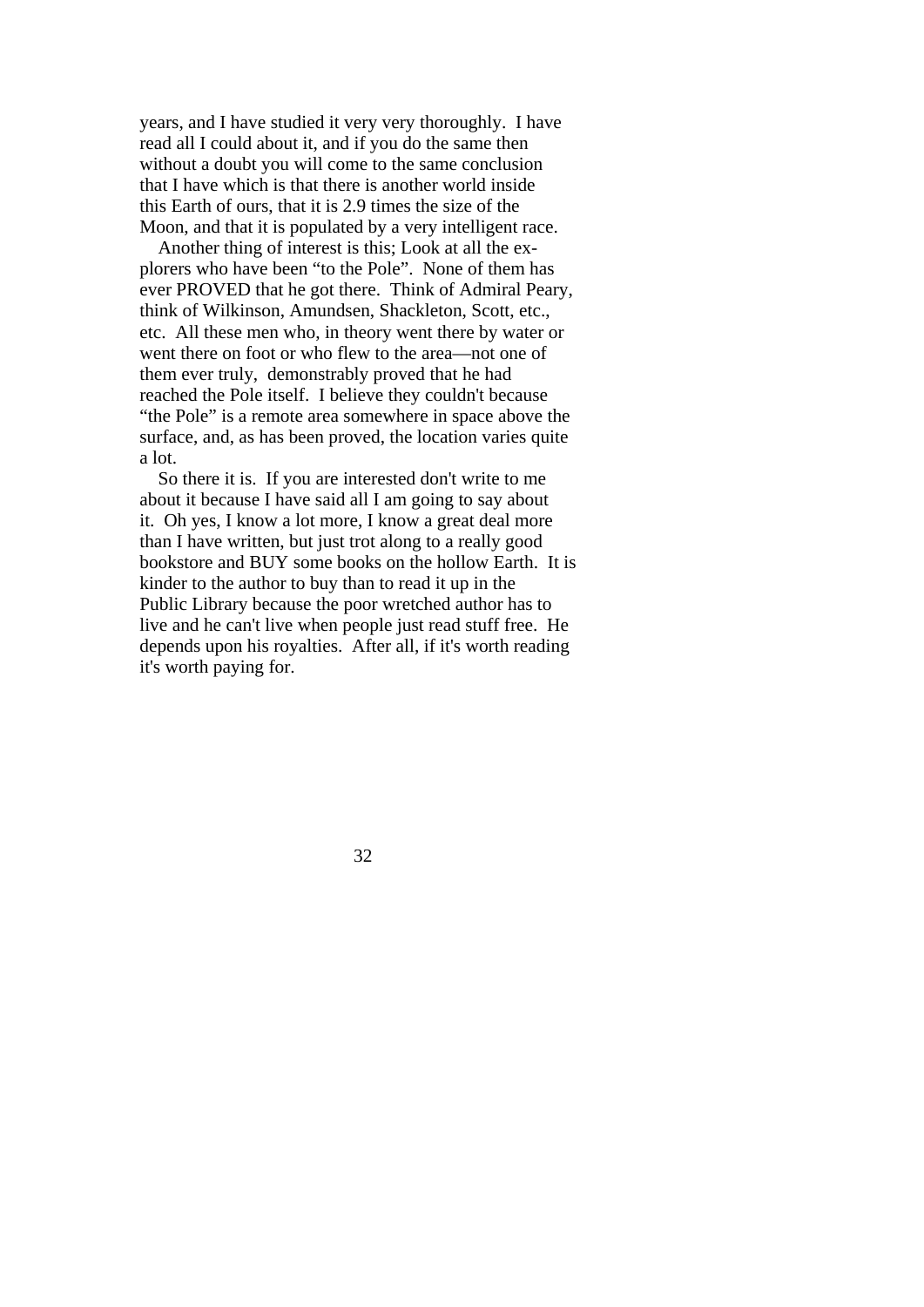years, and I have studied it very very thoroughly. I have read all I could about it, and if you do the same then without a doubt you will come to the same conclusion that I have which is that there is another world inside this Earth of ours, that it is 2.9 times the size of the Moon, and that it is populated by a very intelligent race.

 Another thing of interest is this; Look at all the explorers who have been "to the Pole". None of them has ever PROVED that he got there. Think of Admiral Peary, think of Wilkinson, Amundsen, Shackleton, Scott, etc., etc. All these men who, in theory went there by water or went there on foot or who flew to the area—not one of them ever truly, demonstrably proved that he had reached the Pole itself. I believe they couldn't because "the Pole" is a remote area somewhere in space above the surface, and, as has been proved, the location varies quite a lot.

 So there it is. If you are interested don't write to me about it because I have said all I am going to say about it. Oh yes, I know a lot more, I know a great deal more than I have written, but just trot along to a really good bookstore and BUY some books on the hollow Earth. It is kinder to the author to buy than to read it up in the Public Library because the poor wretched author has to live and he can't live when people just read stuff free. He depends upon his royalties. After all, if it's worth reading it's worth paying for.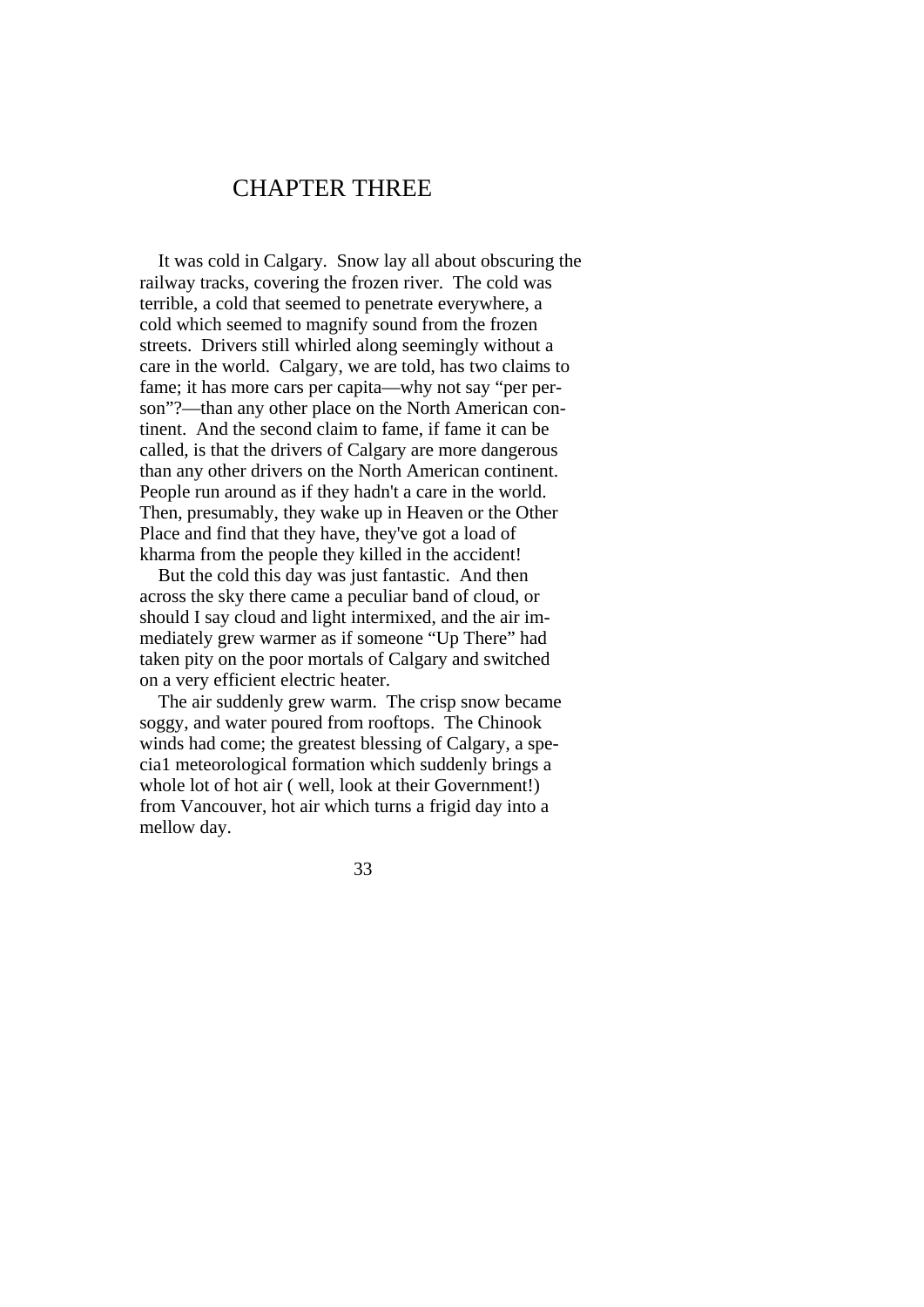## CHAPTER THREE

 It was cold in Calgary. Snow lay all about obscuring the railway tracks, covering the frozen river. The cold was terrible, a cold that seemed to penetrate everywhere, a cold which seemed to magnify sound from the frozen streets. Drivers still whirled along seemingly without a care in the world. Calgary, we are told, has two claims to fame; it has more cars per capita—why not say "per person"?—than any other place on the North American continent. And the second claim to fame, if fame it can be called, is that the drivers of Calgary are more dangerous than any other drivers on the North American continent. People run around as if they hadn't a care in the world. Then, presumably, they wake up in Heaven or the Other Place and find that they have, they've got a load of kharma from the people they killed in the accident!

 But the cold this day was just fantastic. And then across the sky there came a peculiar band of cloud, or should I say cloud and light intermixed, and the air immediately grew warmer as if someone "Up There" had taken pity on the poor mortals of Calgary and switched on a very efficient electric heater.

 The air suddenly grew warm. The crisp snow became soggy, and water poured from rooftops. The Chinook winds had come; the greatest blessing of Calgary, a specia1 meteorological formation which suddenly brings a whole lot of hot air ( well, look at their Government!) from Vancouver, hot air which turns a frigid day into a mellow day.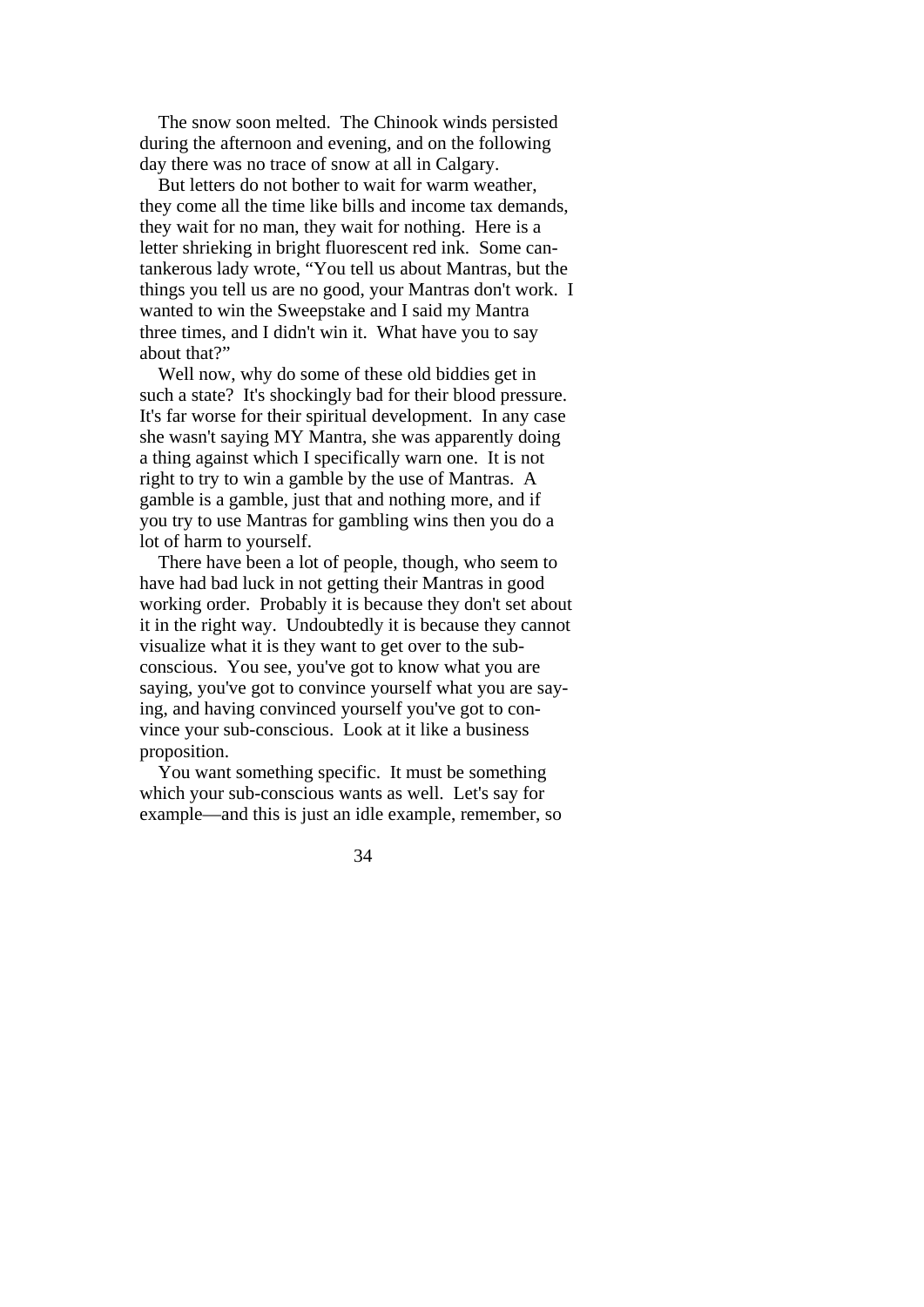The snow soon melted. The Chinook winds persisted during the afternoon and evening, and on the following day there was no trace of snow at all in Calgary.

 But letters do not bother to wait for warm weather, they come all the time like bills and income tax demands, they wait for no man, they wait for nothing. Here is a letter shrieking in bright fluorescent red ink. Some cantankerous lady wrote, "You tell us about Mantras, but the things you tell us are no good, your Mantras don't work. I wanted to win the Sweepstake and I said my Mantra three times, and I didn't win it. What have you to say about that?"

 Well now, why do some of these old biddies get in such a state? It's shockingly bad for their blood pressure. It's far worse for their spiritual development. In any case she wasn't saying MY Mantra, she was apparently doing a thing against which I specifically warn one. It is not right to try to win a gamble by the use of Mantras. A gamble is a gamble, just that and nothing more, and if you try to use Mantras for gambling wins then you do a lot of harm to yourself.

 There have been a lot of people, though, who seem to have had bad luck in not getting their Mantras in good working order. Probably it is because they don't set about it in the right way. Undoubtedly it is because they cannot visualize what it is they want to get over to the subconscious. You see, you've got to know what you are saying, you've got to convince yourself what you are saying, and having convinced yourself you've got to convince your sub-conscious. Look at it like a business proposition.

 You want something specific. It must be something which your sub-conscious wants as well. Let's say for example—and this is just an idle example, remember, so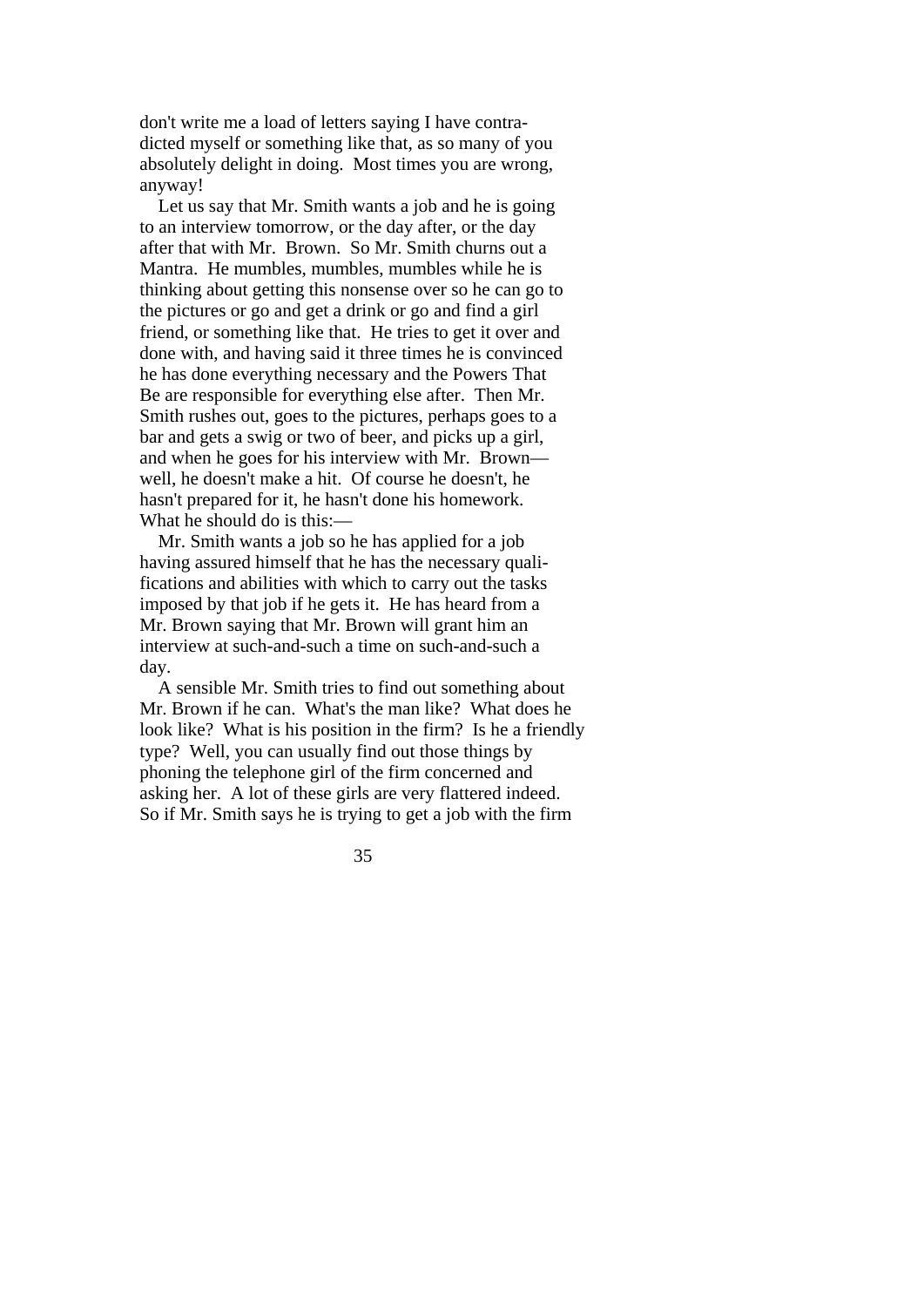don't write me a load of letters saying I have contradicted myself or something like that, as so many of you absolutely delight in doing. Most times you are wrong, anyway!

 Let us say that Mr. Smith wants a job and he is going to an interview tomorrow, or the day after, or the day after that with Mr. Brown. So Mr. Smith churns out a Mantra. He mumbles, mumbles, mumbles while he is thinking about getting this nonsense over so he can go to the pictures or go and get a drink or go and find a girl friend, or something like that. He tries to get it over and done with, and having said it three times he is convinced he has done everything necessary and the Powers That Be are responsible for everything else after. Then Mr. Smith rushes out, goes to the pictures, perhaps goes to a bar and gets a swig or two of beer, and picks up a girl, and when he goes for his interview with Mr. Brown well, he doesn't make a hit. Of course he doesn't, he hasn't prepared for it, he hasn't done his homework. What he should do is this:—

 Mr. Smith wants a job so he has applied for a job having assured himself that he has the necessary qualifications and abilities with which to carry out the tasks imposed by that job if he gets it. He has heard from a Mr. Brown saying that Mr. Brown will grant him an interview at such-and-such a time on such-and-such a day.

 A sensible Mr. Smith tries to find out something about Mr. Brown if he can. What's the man like? What does he look like? What is his position in the firm? Is he a friendly type? Well, you can usually find out those things by phoning the telephone girl of the firm concerned and asking her. A lot of these girls are very flattered indeed. So if Mr. Smith says he is trying to get a job with the firm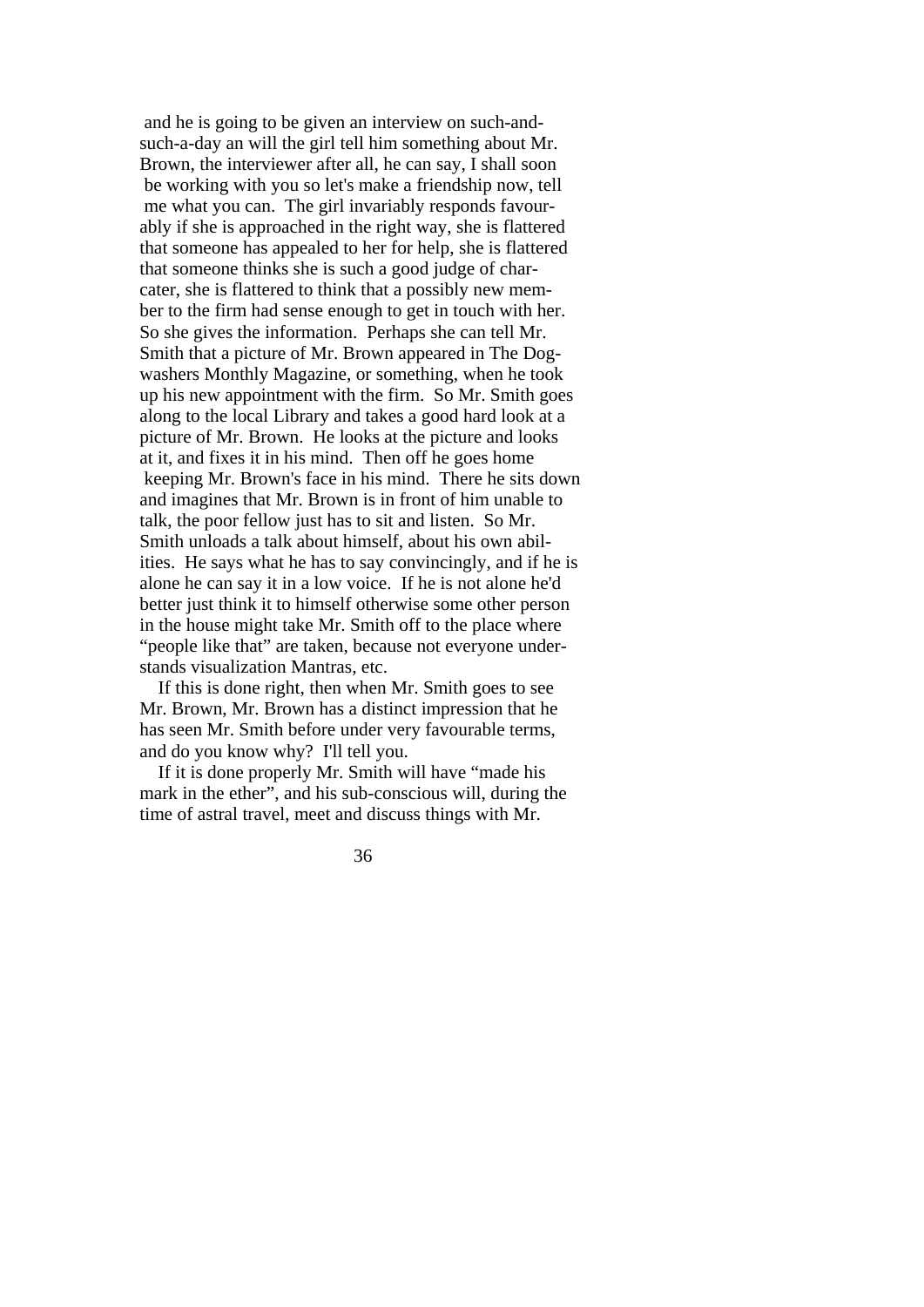and he is going to be given an interview on such-andsuch-a-day an will the girl tell him something about Mr. Brown, the interviewer after all, he can say, I shall soon be working with you so let's make a friendship now, tell me what you can. The girl invariably responds favourably if she is approached in the right way, she is flattered that someone has appealed to her for help, she is flattered that someone thinks she is such a good judge of charcater, she is flattered to think that a possibly new member to the firm had sense enough to get in touch with her. So she gives the information. Perhaps she can tell Mr. Smith that a picture of Mr. Brown appeared in The Dogwashers Monthly Magazine, or something, when he took up his new appointment with the firm. So Mr. Smith goes along to the local Library and takes a good hard look at a picture of Mr. Brown. He looks at the picture and looks at it, and fixes it in his mind. Then off he goes home keeping Mr. Brown's face in his mind. There he sits down and imagines that Mr. Brown is in front of him unable to talk, the poor fellow just has to sit and listen. So Mr. Smith unloads a talk about himself, about his own abilities. He says what he has to say convincingly, and if he is alone he can say it in a low voice. If he is not alone he'd better just think it to himself otherwise some other person in the house might take Mr. Smith off to the place where "people like that" are taken, because not everyone understands visualization Mantras, etc.

 If this is done right, then when Mr. Smith goes to see Mr. Brown, Mr. Brown has a distinct impression that he has seen Mr. Smith before under very favourable terms, and do you know why? I'll tell you.

 If it is done properly Mr. Smith will have "made his mark in the ether", and his sub-conscious will, during the time of astral travel, meet and discuss things with Mr.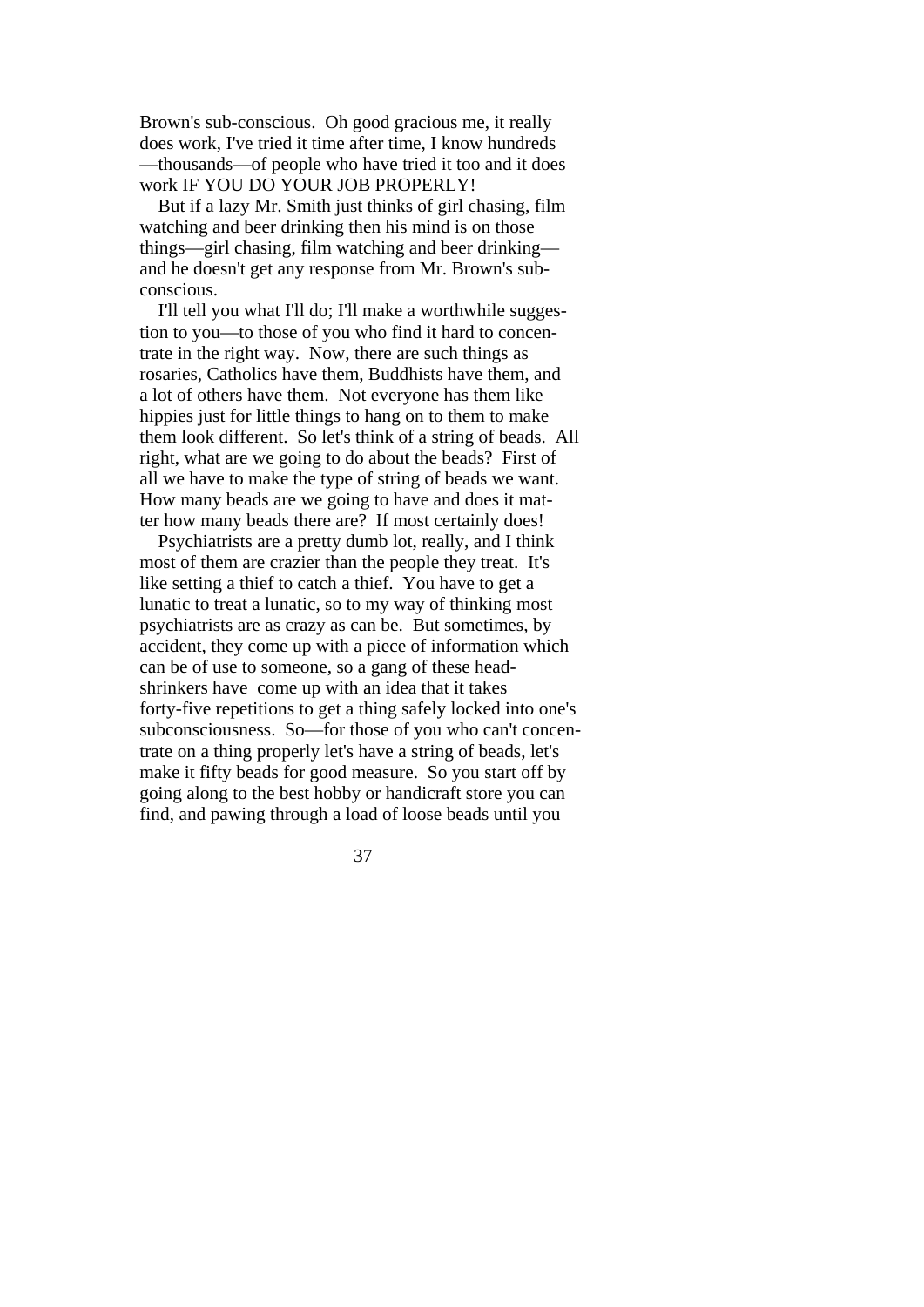Brown's sub-conscious. Oh good gracious me, it really does work, I've tried it time after time, I know hundreds —thousands—of people who have tried it too and it does work IF YOU DO YOUR JOB PROPERLY!

 But if a lazy Mr. Smith just thinks of girl chasing, film watching and beer drinking then his mind is on those things—girl chasing, film watching and beer drinking and he doesn't get any response from Mr. Brown's subconscious.

 I'll tell you what I'll do; I'll make a worthwhile suggestion to you—to those of you who find it hard to concentrate in the right way. Now, there are such things as rosaries, Catholics have them, Buddhists have them, and a lot of others have them. Not everyone has them like hippies just for little things to hang on to them to make them look different. So let's think of a string of beads. All right, what are we going to do about the beads? First of all we have to make the type of string of beads we want. How many beads are we going to have and does it matter how many beads there are? If most certainly does!

 Psychiatrists are a pretty dumb lot, really, and I think most of them are crazier than the people they treat. It's like setting a thief to catch a thief. You have to get a lunatic to treat a lunatic, so to my way of thinking most psychiatrists are as crazy as can be. But sometimes, by accident, they come up with a piece of information which can be of use to someone, so a gang of these headshrinkers have come up with an idea that it takes forty-five repetitions to get a thing safely locked into one's subconsciousness. So—for those of you who can't concentrate on a thing properly let's have a string of beads, let's make it fifty beads for good measure. So you start off by going along to the best hobby or handicraft store you can find, and pawing through a load of loose beads until you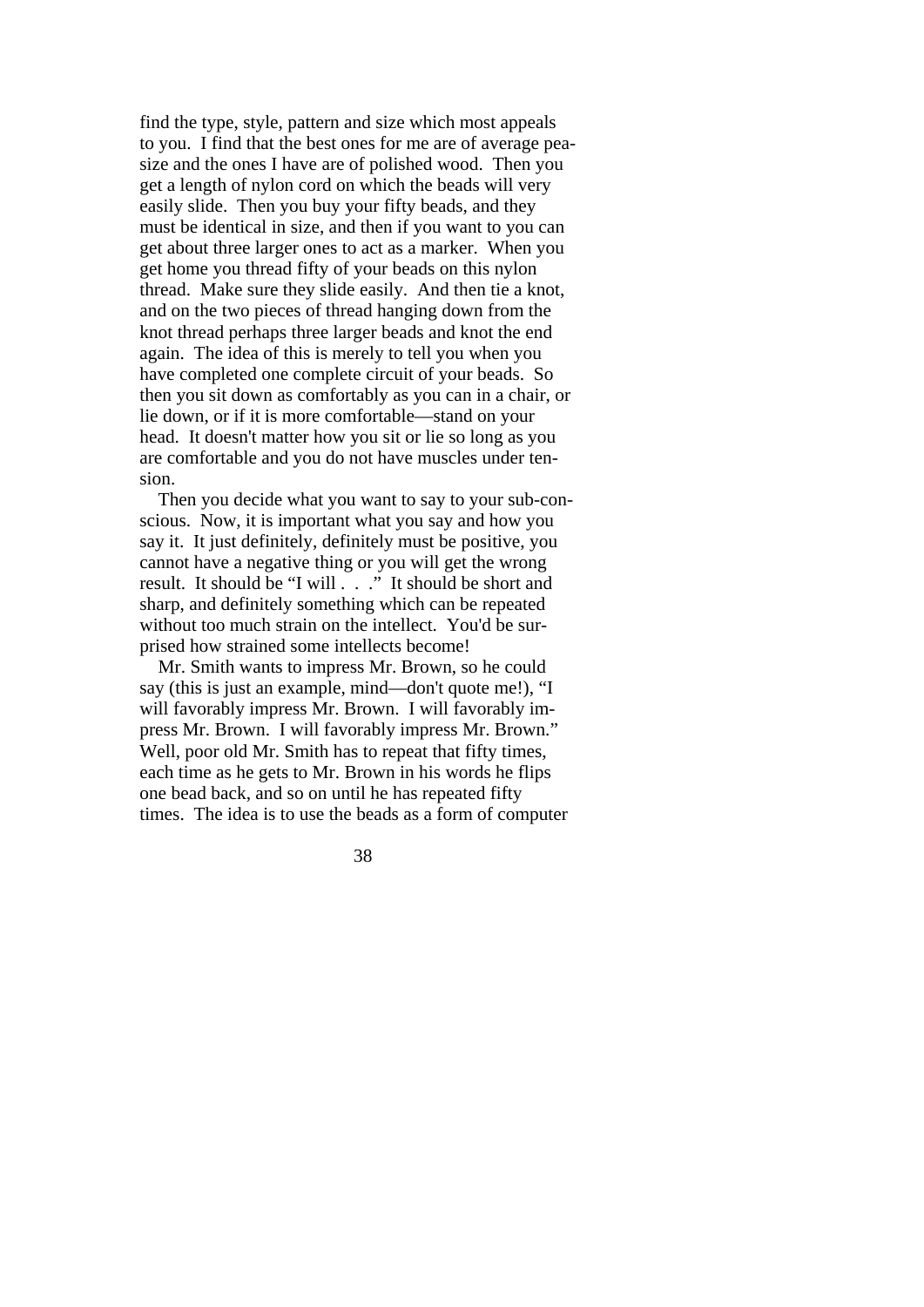find the type, style, pattern and size which most appeals to you. I find that the best ones for me are of average peasize and the ones I have are of polished wood. Then you get a length of nylon cord on which the beads will very easily slide. Then you buy your fifty beads, and they must be identical in size, and then if you want to you can get about three larger ones to act as a marker. When you get home you thread fifty of your beads on this nylon thread. Make sure they slide easily. And then tie a knot, and on the two pieces of thread hanging down from the knot thread perhaps three larger beads and knot the end again. The idea of this is merely to tell you when you have completed one complete circuit of your beads. So then you sit down as comfortably as you can in a chair, or lie down, or if it is more comfortable—stand on your head. It doesn't matter how you sit or lie so long as you are comfortable and you do not have muscles under tension.

 Then you decide what you want to say to your sub-conscious. Now, it is important what you say and how you say it. It just definitely, definitely must be positive, you cannot have a negative thing or you will get the wrong result. It should be "I will . . ." It should be short and sharp, and definitely something which can be repeated without too much strain on the intellect. You'd be surprised how strained some intellects become!

 Mr. Smith wants to impress Mr. Brown, so he could say (this is just an example, mind—don't quote me!), "I will favorably impress Mr. Brown. I will favorably impress Mr. Brown. I will favorably impress Mr. Brown." Well, poor old Mr. Smith has to repeat that fifty times, each time as he gets to Mr. Brown in his words he flips one bead back, and so on until he has repeated fifty times. The idea is to use the beads as a form of computer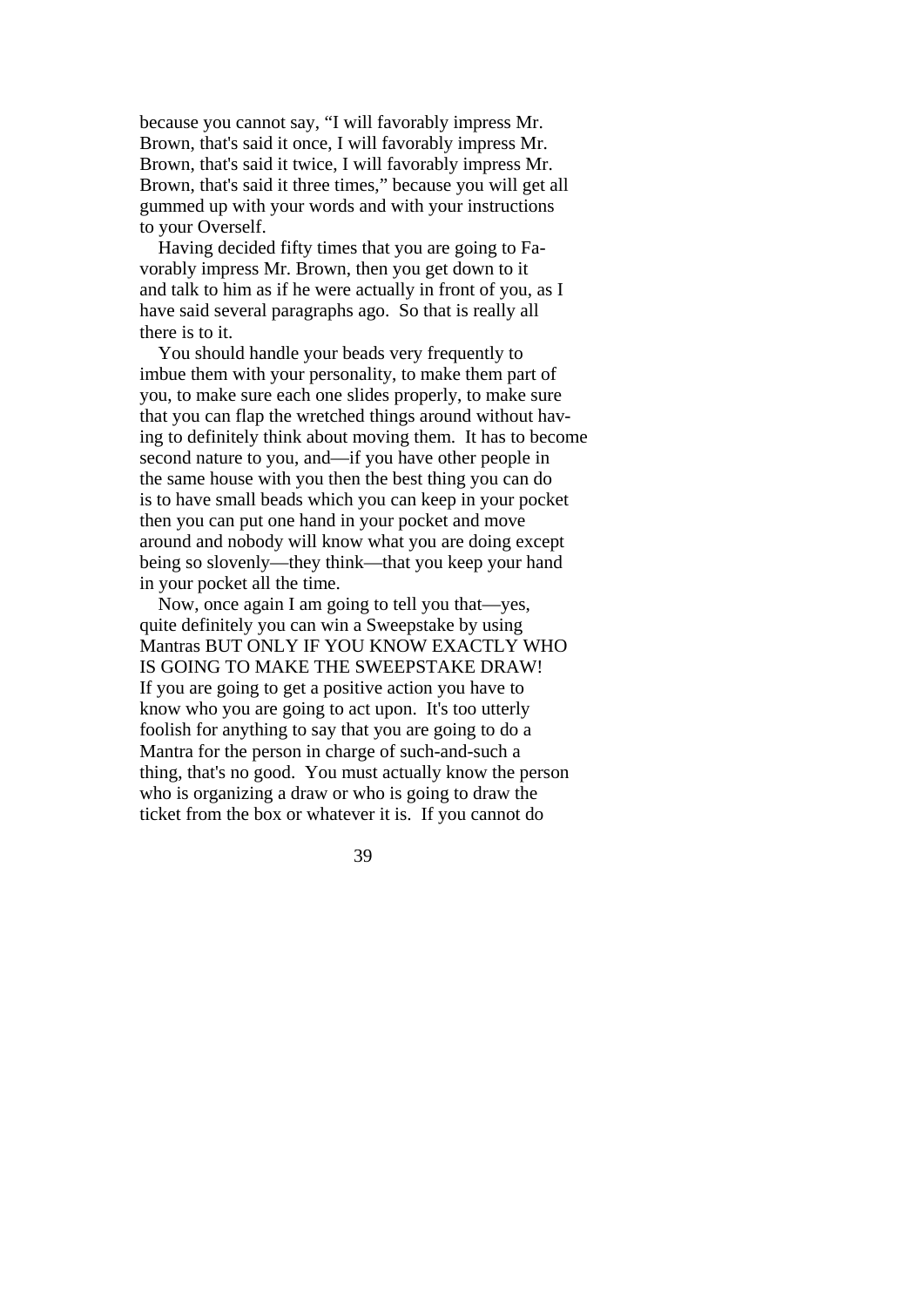because you cannot say, "I will favorably impress Mr. Brown, that's said it once, I will favorably impress Mr. Brown, that's said it twice, I will favorably impress Mr. Brown, that's said it three times," because you will get all gummed up with your words and with your instructions to your Overself.

 Having decided fifty times that you are going to Favorably impress Mr. Brown, then you get down to it and talk to him as if he were actually in front of you, as I have said several paragraphs ago. So that is really all there is to it.

 You should handle your beads very frequently to imbue them with your personality, to make them part of you, to make sure each one slides properly, to make sure that you can flap the wretched things around without having to definitely think about moving them. It has to become second nature to you, and—if you have other people in the same house with you then the best thing you can do is to have small beads which you can keep in your pocket then you can put one hand in your pocket and move around and nobody will know what you are doing except being so slovenly—they think—that you keep your hand in your pocket all the time.

 Now, once again I am going to tell you that—yes, quite definitely you can win a Sweepstake by using Mantras BUT ONLY IF YOU KNOW EXACTLY WHO IS GOING TO MAKE THE SWEEPSTAKE DRAW! If you are going to get a positive action you have to know who you are going to act upon. It's too utterly foolish for anything to say that you are going to do a Mantra for the person in charge of such-and-such a thing, that's no good. You must actually know the person who is organizing a draw or who is going to draw the ticket from the box or whatever it is. If you cannot do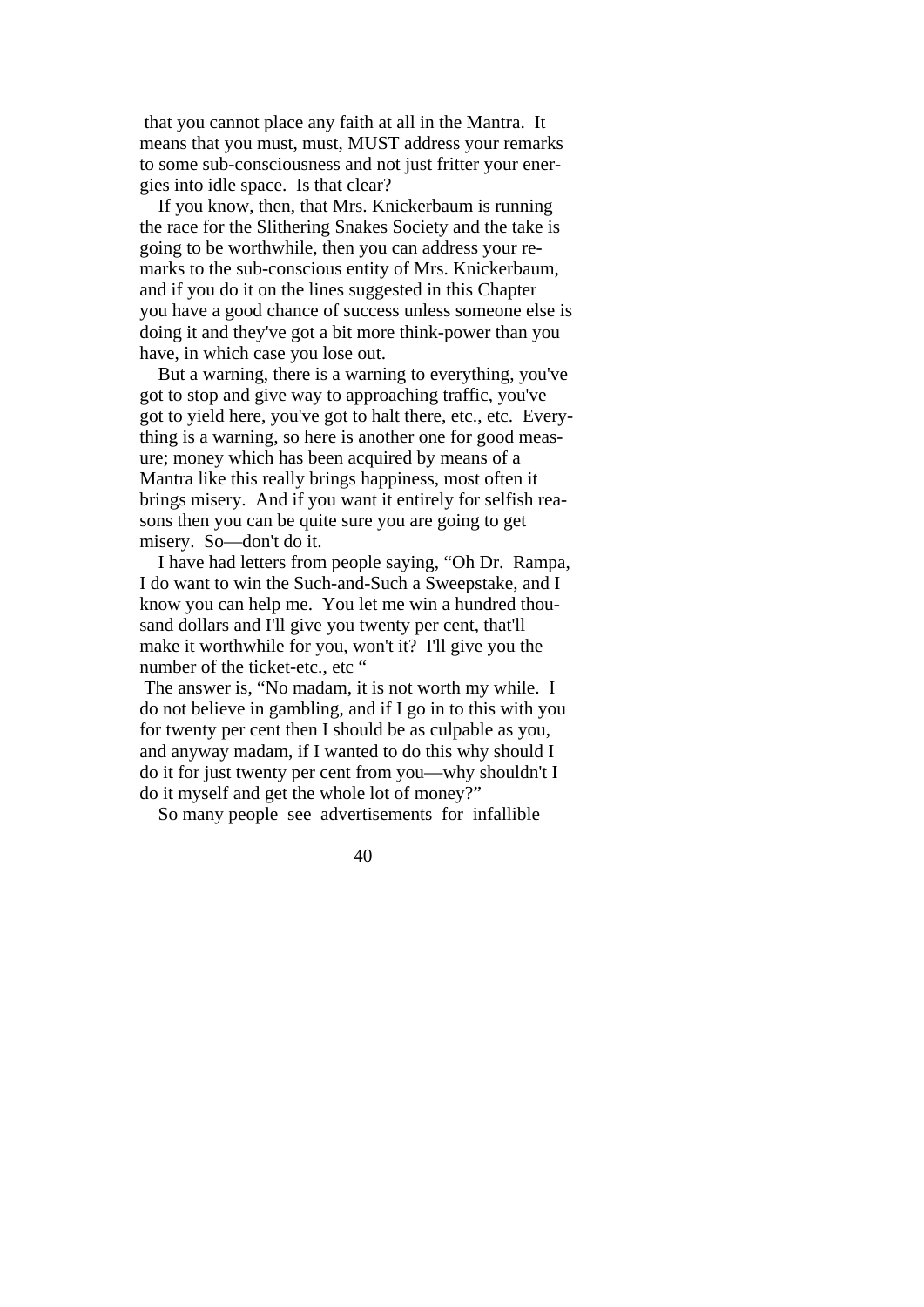that you cannot place any faith at all in the Mantra. It means that you must, must, MUST address your remarks to some sub-consciousness and not just fritter your energies into idle space. Is that clear?

 If you know, then, that Mrs. Knickerbaum is running the race for the Slithering Snakes Society and the take is going to be worthwhile, then you can address your remarks to the sub-conscious entity of Mrs. Knickerbaum, and if you do it on the lines suggested in this Chapter you have a good chance of success unless someone else is doing it and they've got a bit more think-power than you have, in which case you lose out.

 But a warning, there is a warning to everything, you've got to stop and give way to approaching traffic, you've got to yield here, you've got to halt there, etc., etc. Everything is a warning, so here is another one for good measure; money which has been acquired by means of a Mantra like this really brings happiness, most often it brings misery. And if you want it entirely for selfish reasons then you can be quite sure you are going to get misery. So—don't do it.

 I have had letters from people saying, "Oh Dr. Rampa, I do want to win the Such-and-Such a Sweepstake, and I know you can help me. You let me win a hundred thousand dollars and I'll give you twenty per cent, that'll make it worthwhile for you, won't it? I'll give you the number of the ticket-etc., etc "

 The answer is, "No madam, it is not worth my while. I do not believe in gambling, and if I go in to this with you for twenty per cent then I should be as culpable as you, and anyway madam, if I wanted to do this why should I do it for just twenty per cent from you—why shouldn't I do it myself and get the whole lot of money?"

So many people see advertisements for infallible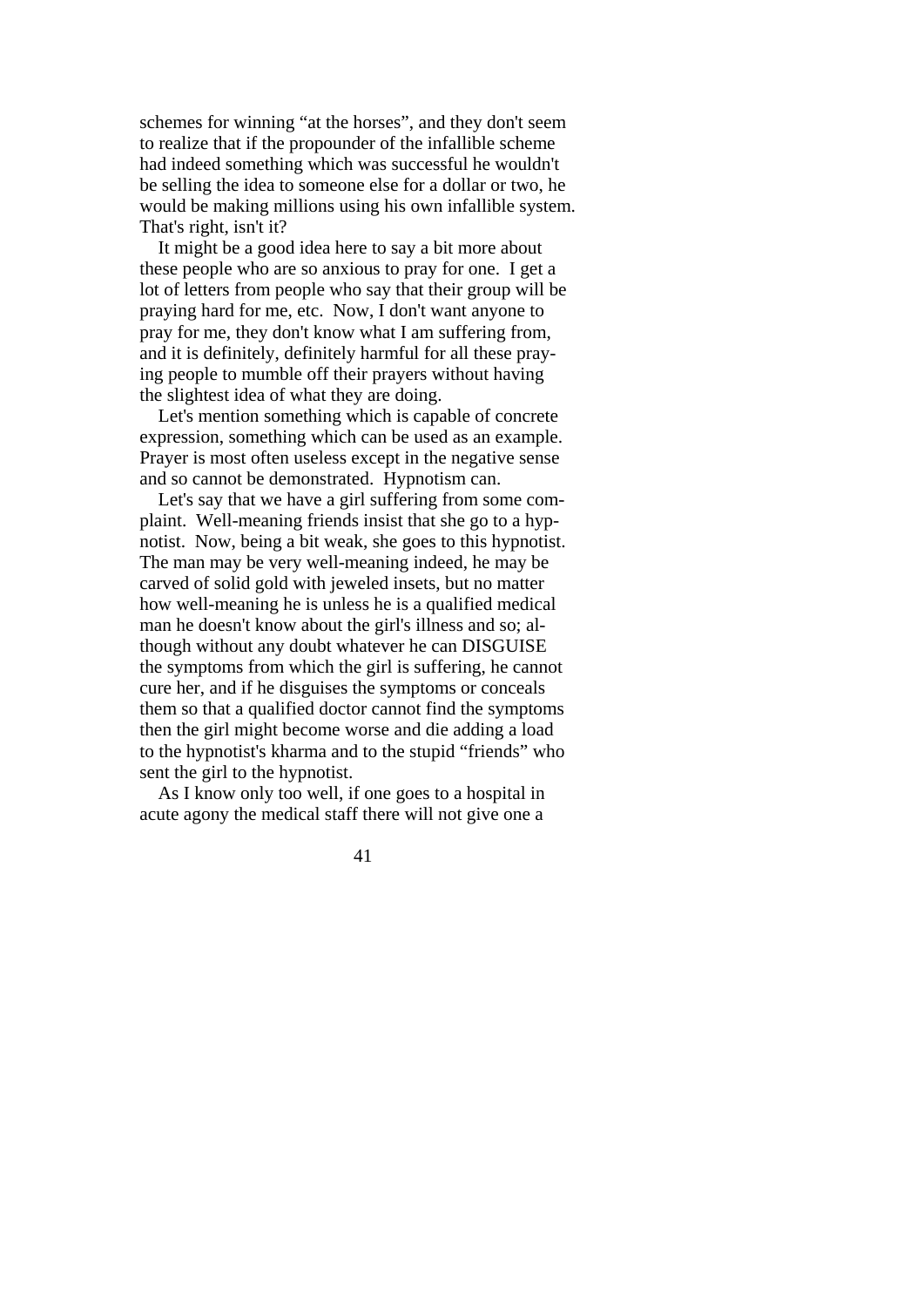schemes for winning "at the horses", and they don't seem to realize that if the propounder of the infallible scheme had indeed something which was successful he wouldn't be selling the idea to someone else for a dollar or two, he would be making millions using his own infallible system. That's right, isn't it?

 It might be a good idea here to say a bit more about these people who are so anxious to pray for one. I get a lot of letters from people who say that their group will be praying hard for me, etc. Now, I don't want anyone to pray for me, they don't know what I am suffering from, and it is definitely, definitely harmful for all these praying people to mumble off their prayers without having the slightest idea of what they are doing.

 Let's mention something which is capable of concrete expression, something which can be used as an example. Prayer is most often useless except in the negative sense and so cannot be demonstrated. Hypnotism can.

 Let's say that we have a girl suffering from some complaint. Well-meaning friends insist that she go to a hypnotist. Now, being a bit weak, she goes to this hypnotist. The man may be very well-meaning indeed, he may be carved of solid gold with jeweled insets, but no matter how well-meaning he is unless he is a qualified medical man he doesn't know about the girl's illness and so; although without any doubt whatever he can DISGUISE the symptoms from which the girl is suffering, he cannot cure her, and if he disguises the symptoms or conceals them so that a qualified doctor cannot find the symptoms then the girl might become worse and die adding a load to the hypnotist's kharma and to the stupid "friends" who sent the girl to the hypnotist.

 As I know only too well, if one goes to a hospital in acute agony the medical staff there will not give one a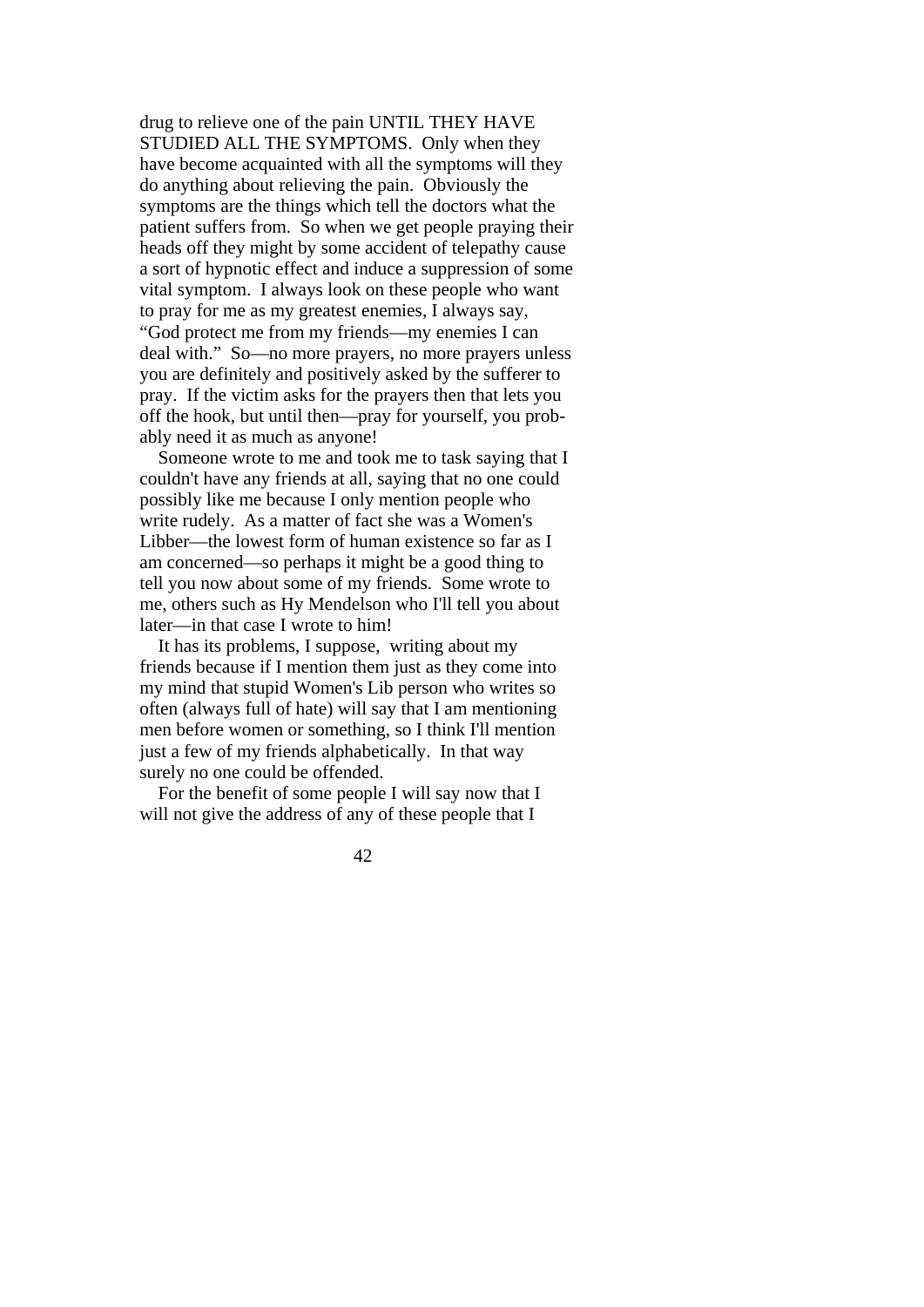drug to relieve one of the pain UNTIL THEY HAVE STUDIED ALL THE SYMPTOMS. Only when they have become acquainted with all the symptoms will they do anything about relieving the pain. Obviously the symptoms are the things which tell the doctors what the patient suffers from. So when we get people praying their heads off they might by some accident of telepathy cause a sort of hypnotic effect and induce a suppression of some vital symptom. I always look on these people who want to pray for me as my greatest enemies, I always say, "God protect me from my friends—my enemies I can deal with." So—no more prayers, no more prayers unless you are definitely and positively asked by the sufferer to pray. If the victim asks for the prayers then that lets you off the hook, but until then—pray for yourself, you probably need it as much as anyone!

 Someone wrote to me and took me to task saying that I couldn't have any friends at all, saying that no one could possibly like me because I only mention people who write rudely. As a matter of fact she was a Women's Libber—the lowest form of human existence so far as I am concerned—so perhaps it might be a good thing to tell you now about some of my friends. Some wrote to me, others such as Hy Mendelson who I'll tell you about later—in that case I wrote to him!

 It has its problems, I suppose, writing about my friends because if I mention them just as they come into my mind that stupid Women's Lib person who writes so often (always full of hate) will say that I am mentioning men before women or something, so I think I'll mention just a few of my friends alphabetically. In that way surely no one could be offended.

 For the benefit of some people I will say now that I will not give the address of any of these people that I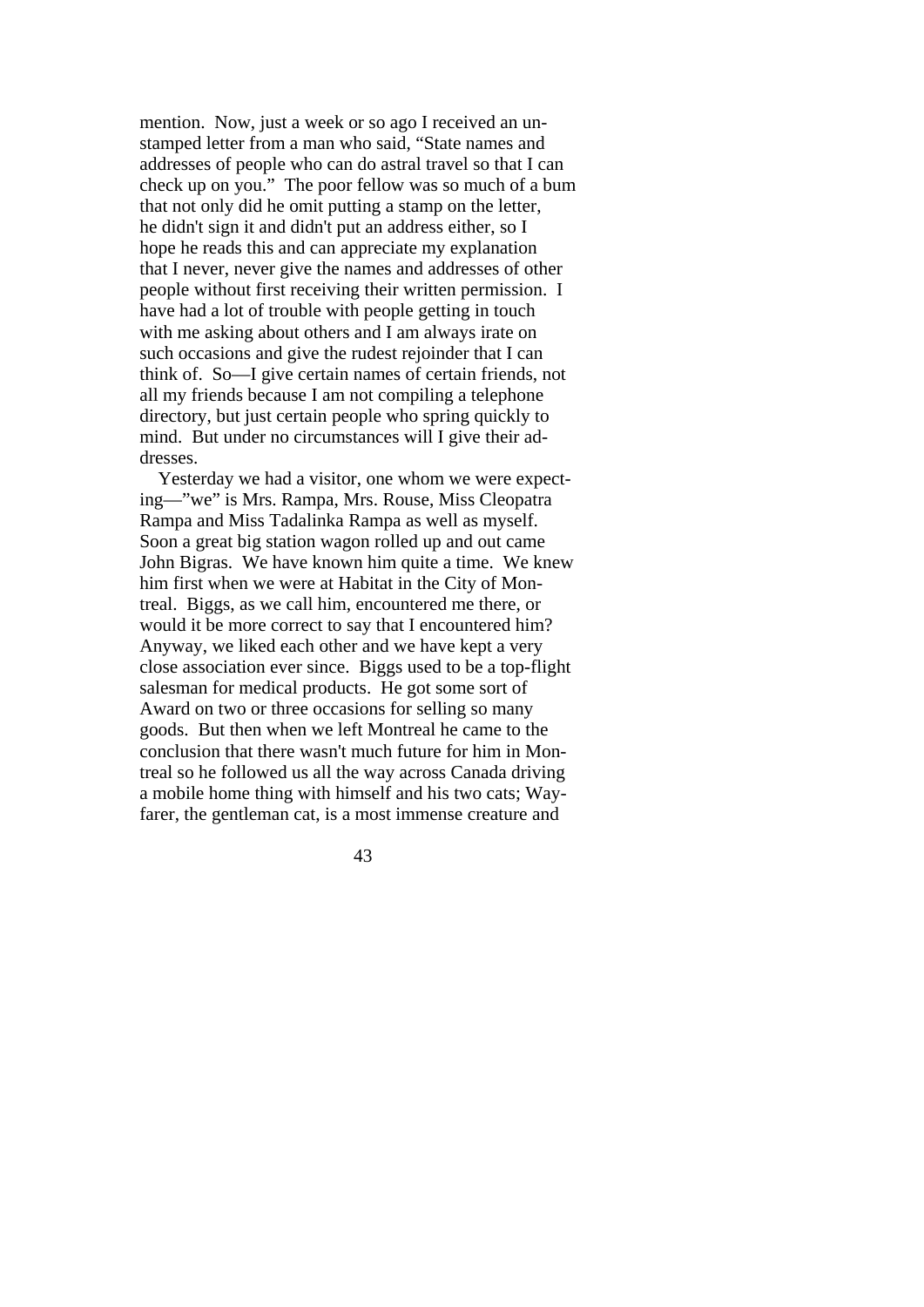mention. Now, just a week or so ago I received an unstamped letter from a man who said, "State names and addresses of people who can do astral travel so that I can check up on you." The poor fellow was so much of a bum that not only did he omit putting a stamp on the letter, he didn't sign it and didn't put an address either, so I hope he reads this and can appreciate my explanation that I never, never give the names and addresses of other people without first receiving their written permission. I have had a lot of trouble with people getting in touch with me asking about others and I am always irate on such occasions and give the rudest rejoinder that I can think of. So—I give certain names of certain friends, not all my friends because I am not compiling a telephone directory, but just certain people who spring quickly to mind. But under no circumstances will I give their addresses.

 Yesterday we had a visitor, one whom we were expecting—"we" is Mrs. Rampa, Mrs. Rouse, Miss Cleopatra Rampa and Miss Tadalinka Rampa as well as myself. Soon a great big station wagon rolled up and out came John Bigras. We have known him quite a time. We knew him first when we were at Habitat in the City of Montreal. Biggs, as we call him, encountered me there, or would it be more correct to say that I encountered him? Anyway, we liked each other and we have kept a very close association ever since. Biggs used to be a top-flight salesman for medical products. He got some sort of Award on two or three occasions for selling so many goods. But then when we left Montreal he came to the conclusion that there wasn't much future for him in Montreal so he followed us all the way across Canada driving a mobile home thing with himself and his two cats; Wayfarer, the gentleman cat, is a most immense creature and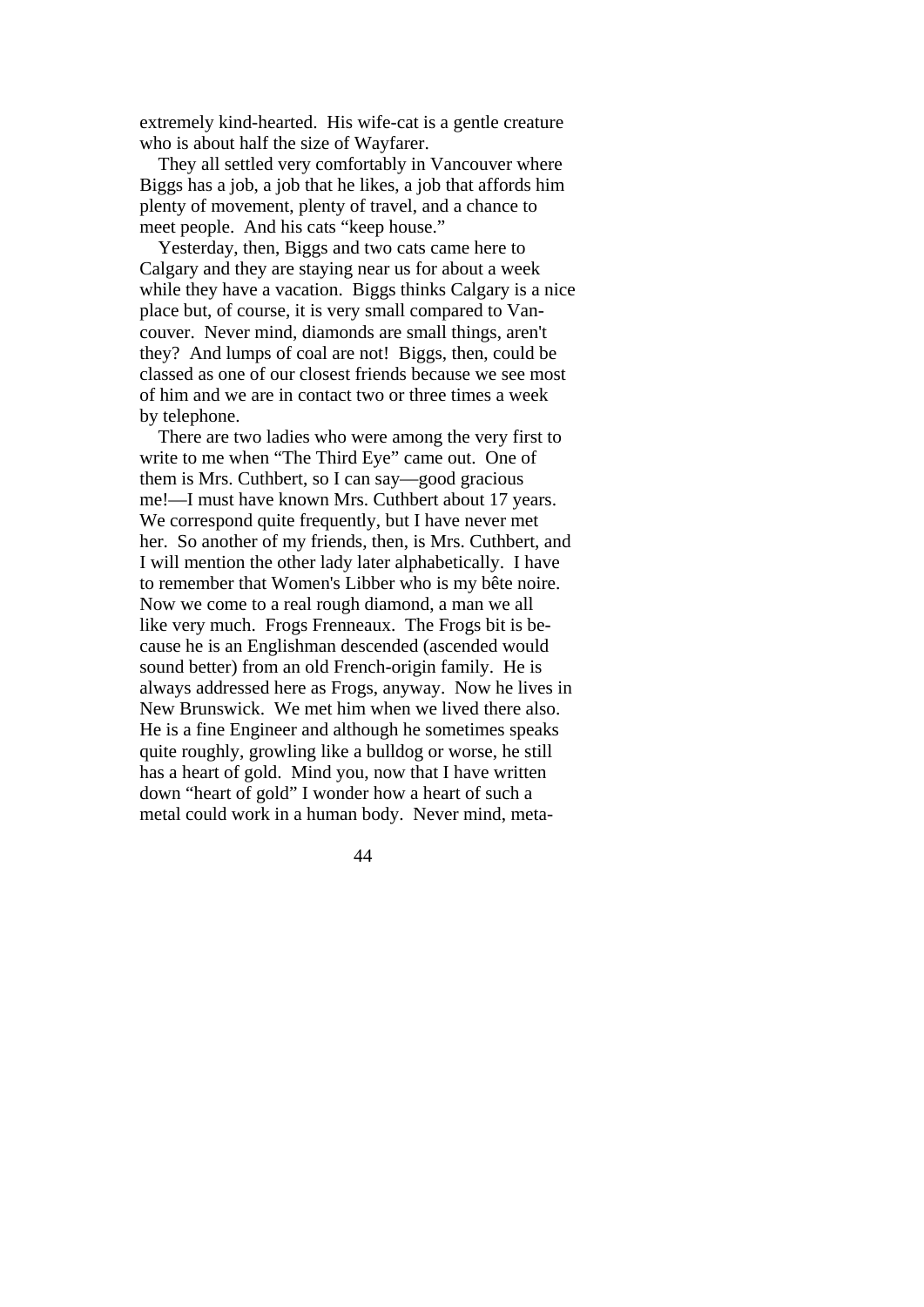extremely kind-hearted. His wife-cat is a gentle creature who is about half the size of Wayfarer.

 They all settled very comfortably in Vancouver where Biggs has a job, a job that he likes, a job that affords him plenty of movement, plenty of travel, and a chance to meet people. And his cats "keep house."

 Yesterday, then, Biggs and two cats came here to Calgary and they are staying near us for about a week while they have a vacation. Biggs thinks Calgary is a nice place but, of course, it is very small compared to Vancouver. Never mind, diamonds are small things, aren't they? And lumps of coal are not! Biggs, then, could be classed as one of our closest friends because we see most of him and we are in contact two or three times a week by telephone.

 There are two ladies who were among the very first to write to me when "The Third Eye" came out. One of them is Mrs. Cuthbert, so I can say—good gracious me!—I must have known Mrs. Cuthbert about 17 years. We correspond quite frequently, but I have never met her. So another of my friends, then, is Mrs. Cuthbert, and I will mention the other lady later alphabetically. I have to remember that Women's Libber who is my bête noire. Now we come to a real rough diamond, a man we all like very much. Frogs Frenneaux. The Frogs bit is because he is an Englishman descended (ascended would sound better) from an old French-origin family. He is always addressed here as Frogs, anyway. Now he lives in New Brunswick. We met him when we lived there also. He is a fine Engineer and although he sometimes speaks quite roughly, growling like a bulldog or worse, he still has a heart of gold. Mind you, now that I have written down "heart of gold" I wonder how a heart of such a metal could work in a human body. Never mind, meta-

44 and 2012 and 2014 and 2014 and 2014 and 2014 and 2014 and 2014 and 2014 and 2014 and 2014 and 2014 and 2014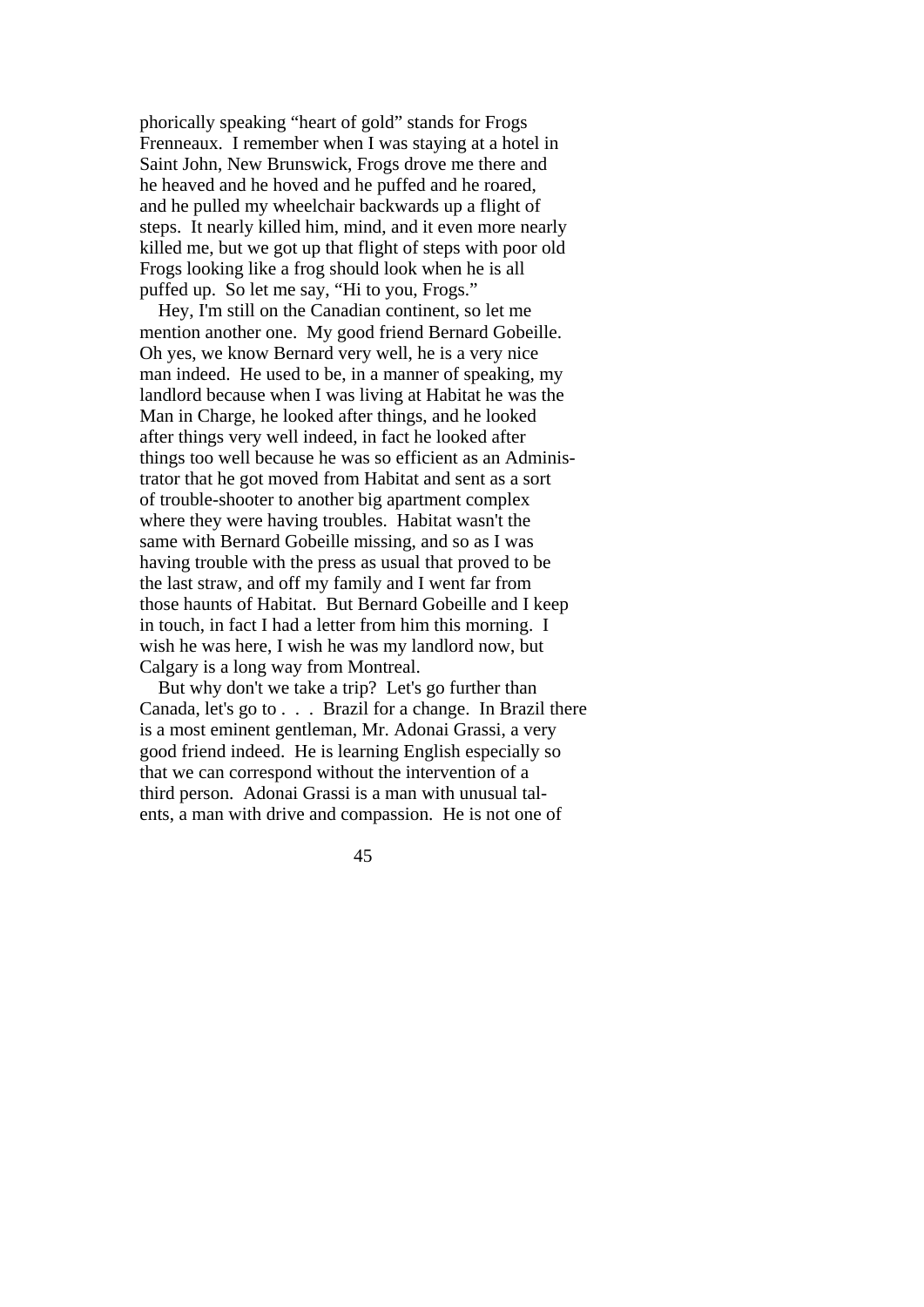phorically speaking "heart of gold" stands for Frogs Frenneaux. I remember when I was staying at a hotel in Saint John, New Brunswick, Frogs drove me there and he heaved and he hoved and he puffed and he roared, and he pulled my wheelchair backwards up a flight of steps. It nearly killed him, mind, and it even more nearly killed me, but we got up that flight of steps with poor old Frogs looking like a frog should look when he is all puffed up. So let me say, "Hi to you, Frogs."

 Hey, I'm still on the Canadian continent, so let me mention another one. My good friend Bernard Gobeille. Oh yes, we know Bernard very well, he is a very nice man indeed. He used to be, in a manner of speaking, my landlord because when I was living at Habitat he was the Man in Charge, he looked after things, and he looked after things very well indeed, in fact he looked after things too well because he was so efficient as an Administrator that he got moved from Habitat and sent as a sort of trouble-shooter to another big apartment complex where they were having troubles. Habitat wasn't the same with Bernard Gobeille missing, and so as I was having trouble with the press as usual that proved to be the last straw, and off my family and I went far from those haunts of Habitat. But Bernard Gobeille and I keep in touch, in fact I had a letter from him this morning. I wish he was here, I wish he was my landlord now, but Calgary is a long way from Montreal.

 But why don't we take a trip? Let's go further than Canada, let's go to . . . Brazil for a change. In Brazil there is a most eminent gentleman, Mr. Adonai Grassi, a very good friend indeed. He is learning English especially so that we can correspond without the intervention of a third person. Adonai Grassi is a man with unusual talents, a man with drive and compassion. He is not one of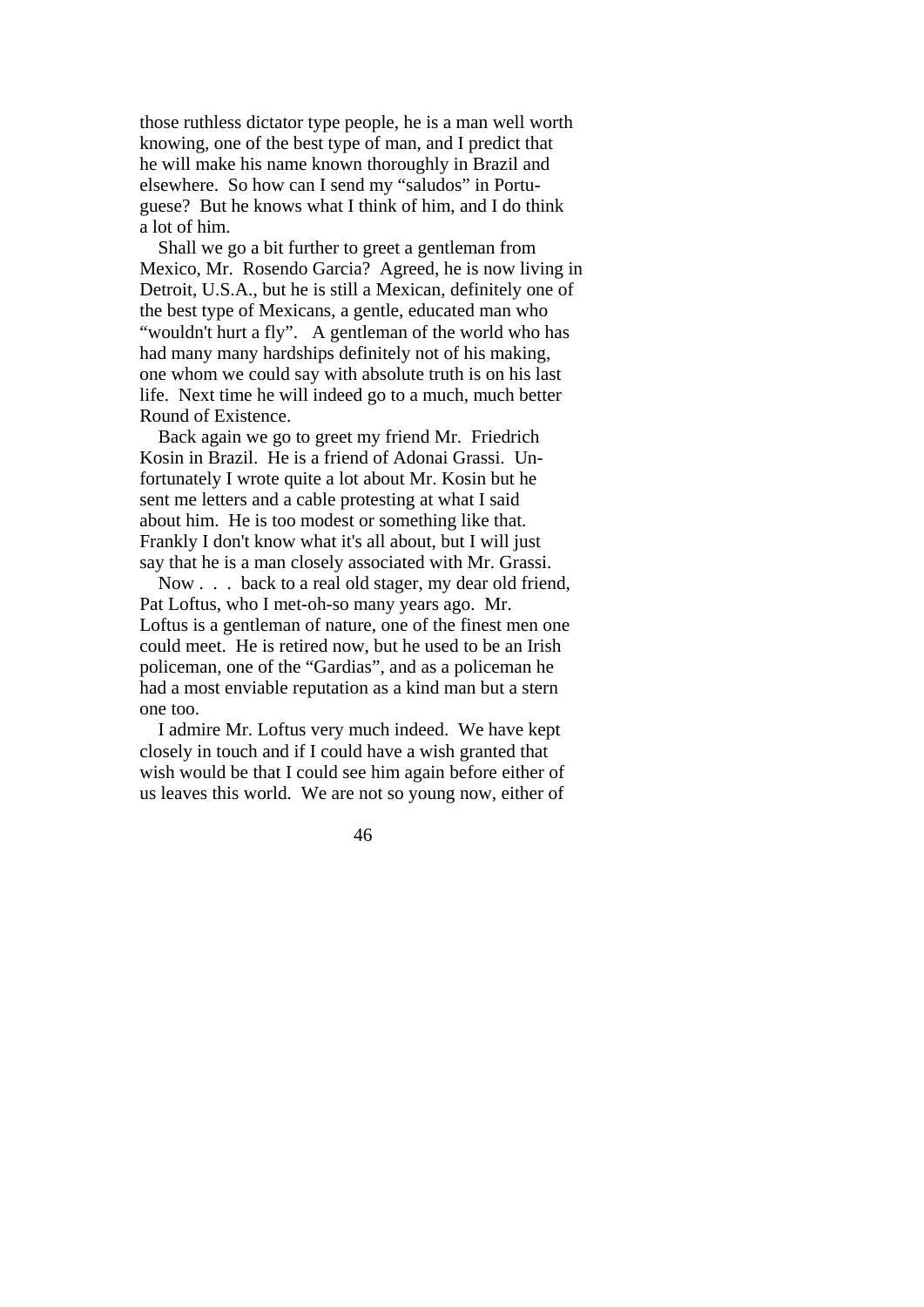those ruthless dictator type people, he is a man well worth knowing, one of the best type of man, and I predict that he will make his name known thoroughly in Brazil and elsewhere. So how can I send my "saludos" in Portuguese? But he knows what I think of him, and I do think a lot of him.

 Shall we go a bit further to greet a gentleman from Mexico, Mr. Rosendo Garcia? Agreed, he is now living in Detroit, U.S.A., but he is still a Mexican, definitely one of the best type of Mexicans, a gentle, educated man who "wouldn't hurt a fly". A gentleman of the world who has had many many hardships definitely not of his making, one whom we could say with absolute truth is on his last life. Next time he will indeed go to a much, much better Round of Existence.

 Back again we go to greet my friend Mr. Friedrich Kosin in Brazil. He is a friend of Adonai Grassi. Unfortunately I wrote quite a lot about Mr. Kosin but he sent me letters and a cable protesting at what I said about him. He is too modest or something like that. Frankly I don't know what it's all about, but I will just say that he is a man closely associated with Mr. Grassi.

 Now . . . back to a real old stager, my dear old friend, Pat Loftus, who I met-oh-so many years ago. Mr. Loftus is a gentleman of nature, one of the finest men one could meet. He is retired now, but he used to be an Irish policeman, one of the "Gardias", and as a policeman he had a most enviable reputation as a kind man but a stern one too.

 I admire Mr. Loftus very much indeed. We have kept closely in touch and if I could have a wish granted that wish would be that I could see him again before either of us leaves this world. We are not so young now, either of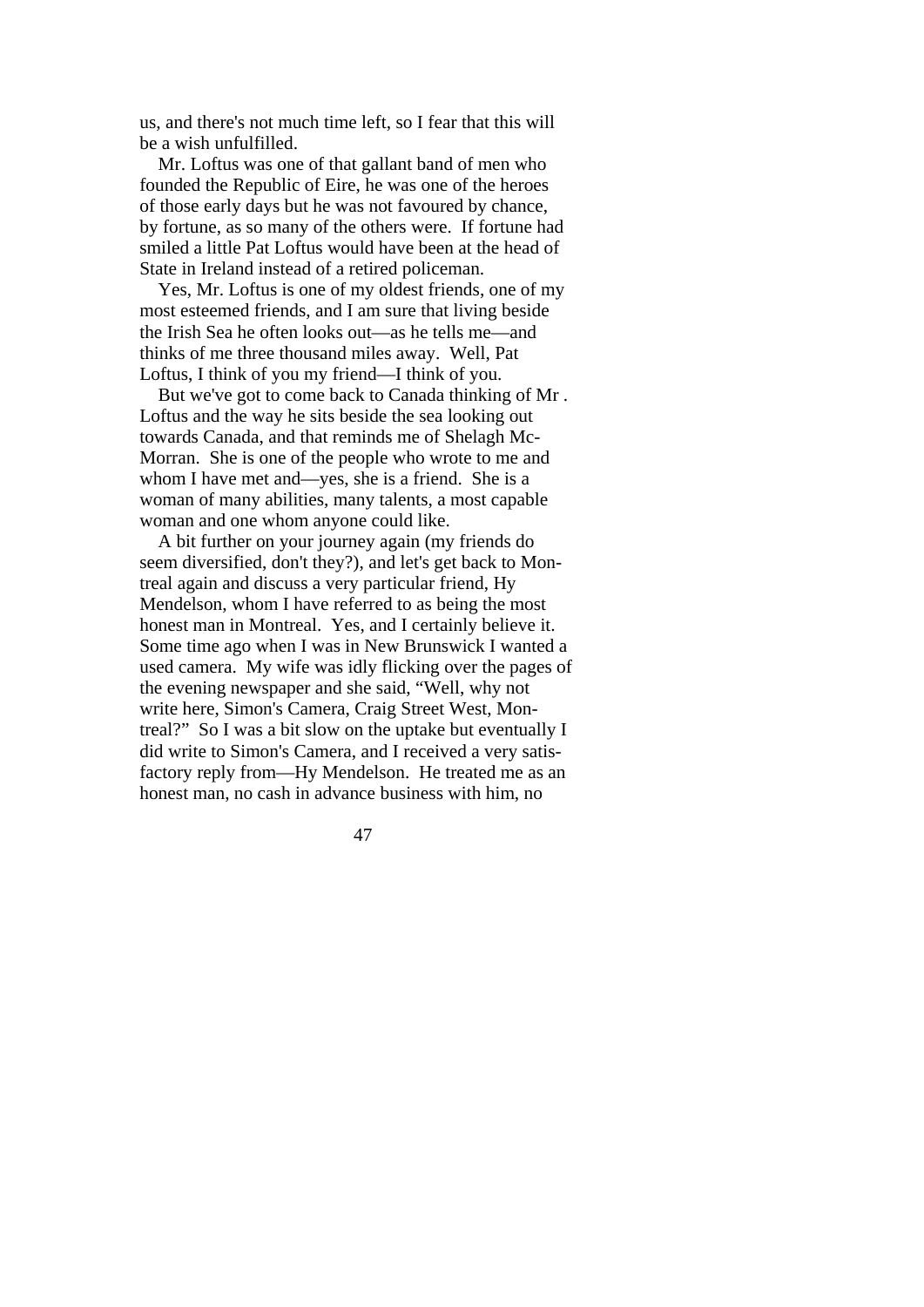us, and there's not much time left, so I fear that this will be a wish unfulfilled.

 Mr. Loftus was one of that gallant band of men who founded the Republic of Eire, he was one of the heroes of those early days but he was not favoured by chance, by fortune, as so many of the others were. If fortune had smiled a little Pat Loftus would have been at the head of State in Ireland instead of a retired policeman.

 Yes, Mr. Loftus is one of my oldest friends, one of my most esteemed friends, and I am sure that living beside the Irish Sea he often looks out—as he tells me—and thinks of me three thousand miles away. Well, Pat Loftus, I think of you my friend—I think of you.

 But we've got to come back to Canada thinking of Mr . Loftus and the way he sits beside the sea looking out towards Canada, and that reminds me of Shelagh Mc-Morran. She is one of the people who wrote to me and whom I have met and—yes, she is a friend. She is a woman of many abilities, many talents, a most capable woman and one whom anyone could like.

 A bit further on your journey again (my friends do seem diversified, don't they?), and let's get back to Montreal again and discuss a very particular friend, Hy Mendelson, whom I have referred to as being the most honest man in Montreal. Yes, and I certainly believe it. Some time ago when I was in New Brunswick I wanted a used camera. My wife was idly flicking over the pages of the evening newspaper and she said, "Well, why not write here, Simon's Camera, Craig Street West, Montreal?" So I was a bit slow on the uptake but eventually I did write to Simon's Camera, and I received a very satisfactory reply from—Hy Mendelson. He treated me as an honest man, no cash in advance business with him, no

47 and 2012 and 2014 and 2016 and 2017 and 2018 and 2018 and 2018 and 2018 and 2018 and 2018 and 201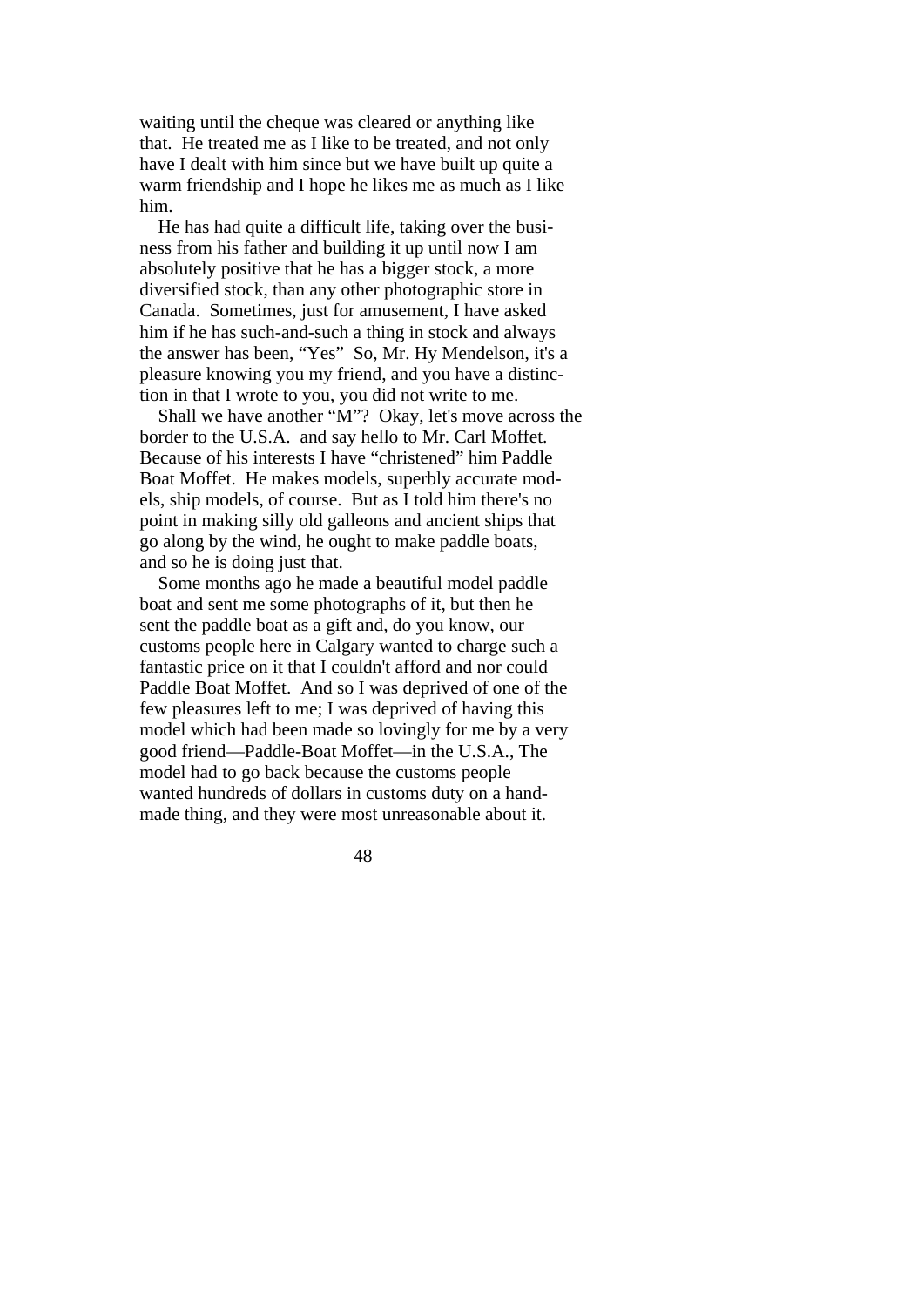waiting until the cheque was cleared or anything like that. He treated me as I like to be treated, and not only have I dealt with him since but we have built up quite a warm friendship and I hope he likes me as much as I like him.

 He has had quite a difficult life, taking over the business from his father and building it up until now I am absolutely positive that he has a bigger stock, a more diversified stock, than any other photographic store in Canada. Sometimes, just for amusement, I have asked him if he has such-and-such a thing in stock and always the answer has been, "Yes" So, Mr. Hy Mendelson, it's a pleasure knowing you my friend, and you have a distinction in that I wrote to you, you did not write to me.

 Shall we have another "M"? Okay, let's move across the border to the U.S.A. and say hello to Mr. Carl Moffet. Because of his interests I have "christened" him Paddle Boat Moffet. He makes models, superbly accurate models, ship models, of course. But as I told him there's no point in making silly old galleons and ancient ships that go along by the wind, he ought to make paddle boats, and so he is doing just that.

 Some months ago he made a beautiful model paddle boat and sent me some photographs of it, but then he sent the paddle boat as a gift and, do you know, our customs people here in Calgary wanted to charge such a fantastic price on it that I couldn't afford and nor could Paddle Boat Moffet. And so I was deprived of one of the few pleasures left to me; I was deprived of having this model which had been made so lovingly for me by a very good friend—Paddle-Boat Moffet—in the U.S.A., The model had to go back because the customs people wanted hundreds of dollars in customs duty on a handmade thing, and they were most unreasonable about it.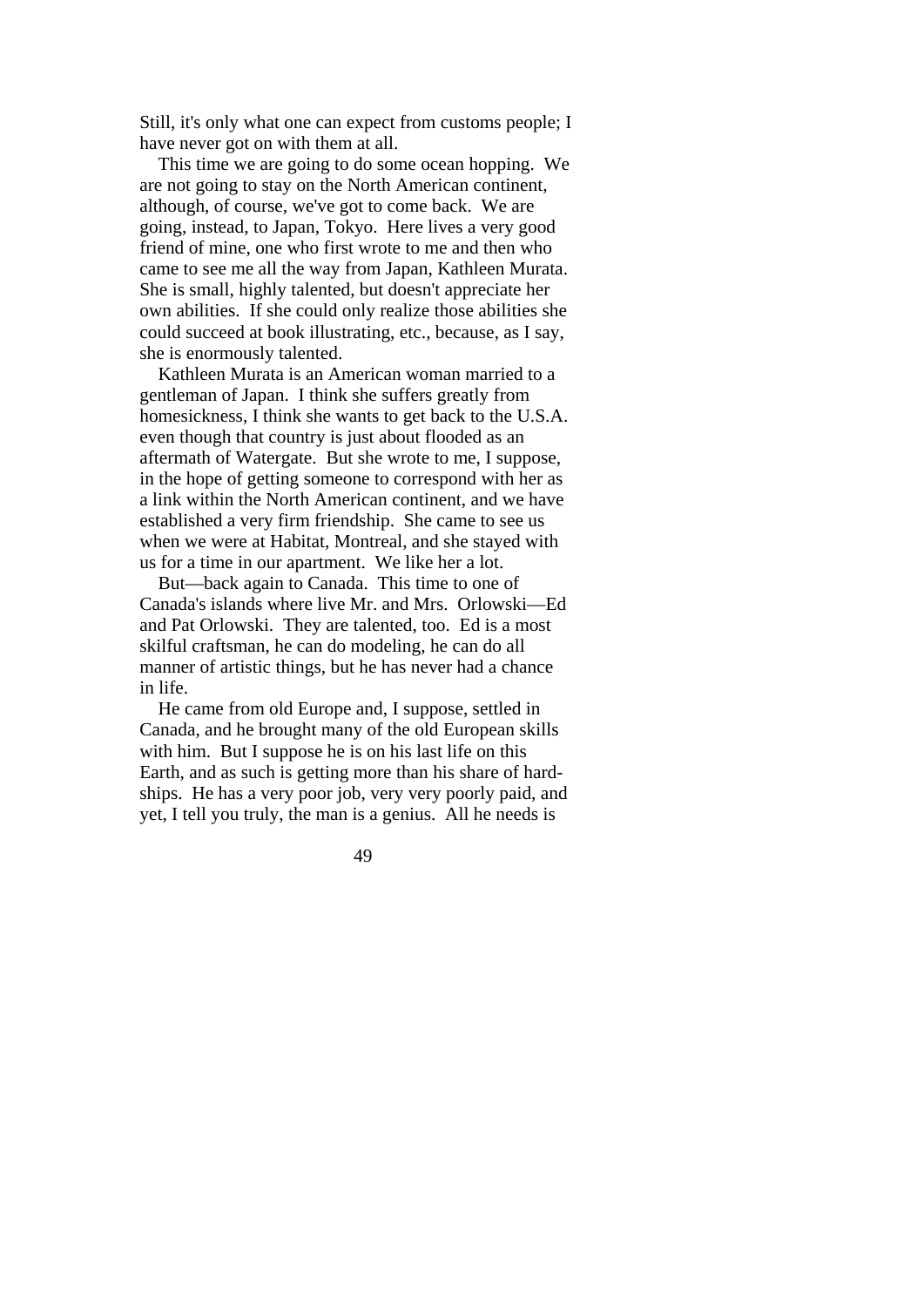Still, it's only what one can expect from customs people; I have never got on with them at all.

 This time we are going to do some ocean hopping. We are not going to stay on the North American continent, although, of course, we've got to come back. We are going, instead, to Japan, Tokyo. Here lives a very good friend of mine, one who first wrote to me and then who came to see me all the way from Japan, Kathleen Murata. She is small, highly talented, but doesn't appreciate her own abilities. If she could only realize those abilities she could succeed at book illustrating, etc., because, as I say, she is enormously talented.

 Kathleen Murata is an American woman married to a gentleman of Japan. I think she suffers greatly from homesickness, I think she wants to get back to the U.S.A. even though that country is just about flooded as an aftermath of Watergate. But she wrote to me, I suppose, in the hope of getting someone to correspond with her as a link within the North American continent, and we have established a very firm friendship. She came to see us when we were at Habitat, Montreal, and she stayed with us for a time in our apartment. We like her a lot.

 But—back again to Canada. This time to one of Canada's islands where live Mr. and Mrs. Orlowski—Ed and Pat Orlowski. They are talented, too. Ed is a most skilful craftsman, he can do modeling, he can do all manner of artistic things, but he has never had a chance in life.

 He came from old Europe and, I suppose, settled in Canada, and he brought many of the old European skills with him. But I suppose he is on his last life on this Earth, and as such is getting more than his share of hardships. He has a very poor job, very very poorly paid, and yet, I tell you truly, the man is a genius. All he needs is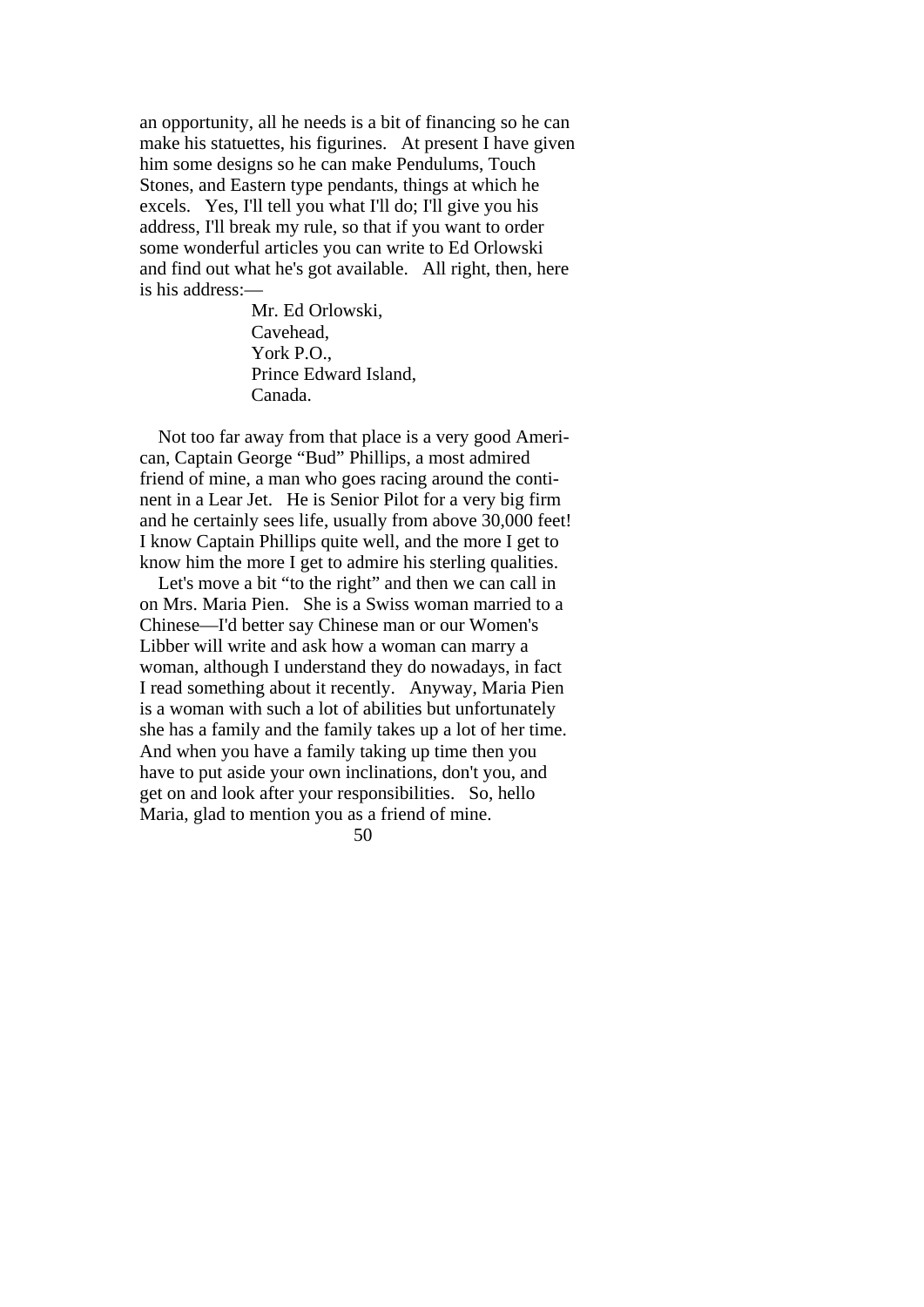an opportunity, all he needs is a bit of financing so he can make his statuettes, his figurines. At present I have given him some designs so he can make Pendulums, Touch Stones, and Eastern type pendants, things at which he excels. Yes, I'll tell you what I'll do; I'll give you his address, I'll break my rule, so that if you want to order some wonderful articles you can write to Ed Orlowski and find out what he's got available. All right, then, here is his address:—

> Mr. Ed Orlowski, Cavehead, York P.O., Prince Edward Island, Canada.

 Not too far away from that place is a very good American, Captain George "Bud" Phillips, a most admired friend of mine, a man who goes racing around the continent in a Lear Jet. He is Senior Pilot for a very big firm and he certainly sees life, usually from above 30,000 feet! I know Captain Phillips quite well, and the more I get to know him the more I get to admire his sterling qualities.

 Let's move a bit "to the right" and then we can call in on Mrs. Maria Pien. She is a Swiss woman married to a Chinese—I'd better say Chinese man or our Women's Libber will write and ask how a woman can marry a woman, although I understand they do nowadays, in fact I read something about it recently. Anyway, Maria Pien is a woman with such a lot of abilities but unfortunately she has a family and the family takes up a lot of her time. And when you have a family taking up time then you have to put aside your own inclinations, don't you, and get on and look after your responsibilities. So, hello Maria, glad to mention you as a friend of mine.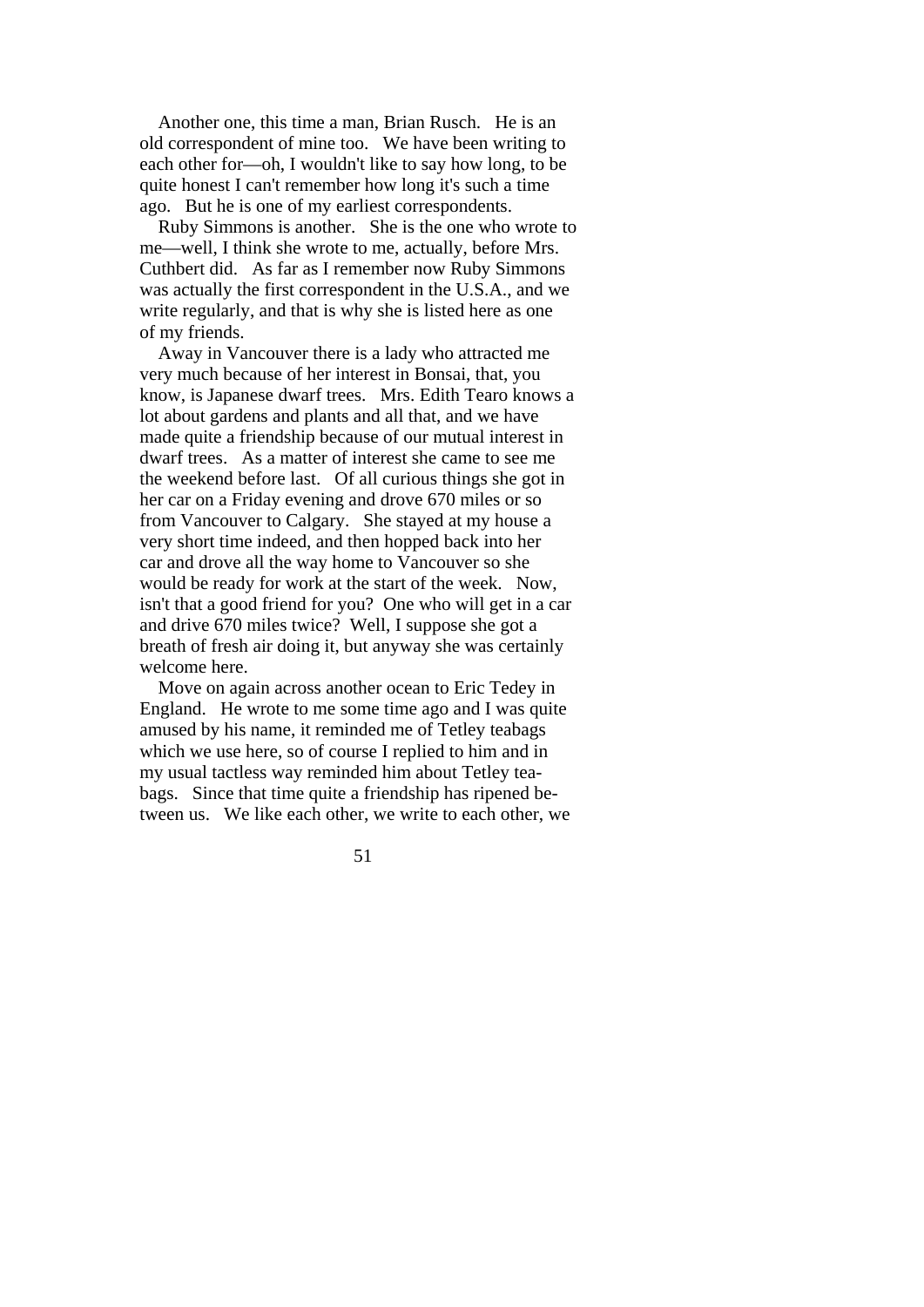Another one, this time a man, Brian Rusch. He is an old correspondent of mine too. We have been writing to each other for—oh, I wouldn't like to say how long, to be quite honest I can't remember how long it's such a time ago. But he is one of my earliest correspondents.

 Ruby Simmons is another. She is the one who wrote to me—well, I think she wrote to me, actually, before Mrs. Cuthbert did. As far as I remember now Ruby Simmons was actually the first correspondent in the U.S.A., and we write regularly, and that is why she is listed here as one of my friends.

 Away in Vancouver there is a lady who attracted me very much because of her interest in Bonsai, that, you know, is Japanese dwarf trees. Mrs. Edith Tearo knows a lot about gardens and plants and all that, and we have made quite a friendship because of our mutual interest in dwarf trees. As a matter of interest she came to see me the weekend before last. Of all curious things she got in her car on a Friday evening and drove 670 miles or so from Vancouver to Calgary. She stayed at my house a very short time indeed, and then hopped back into her car and drove all the way home to Vancouver so she would be ready for work at the start of the week. Now, isn't that a good friend for you? One who will get in a car and drive 670 miles twice? Well, I suppose she got a breath of fresh air doing it, but anyway she was certainly welcome here.

 Move on again across another ocean to Eric Tedey in England. He wrote to me some time ago and I was quite amused by his name, it reminded me of Tetley teabags which we use here, so of course I replied to him and in my usual tactless way reminded him about Tetley teabags. Since that time quite a friendship has ripened between us. We like each other, we write to each other, we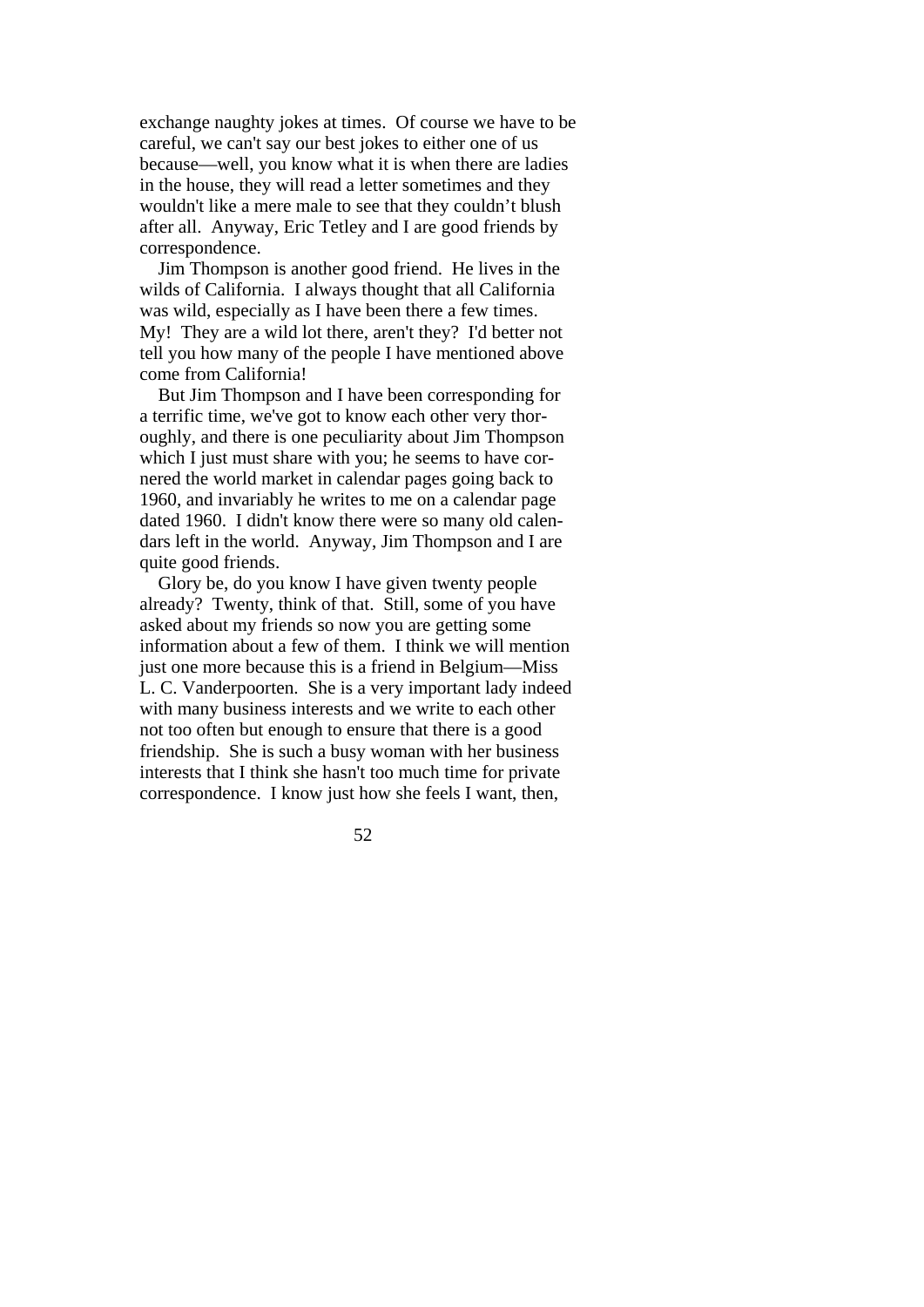exchange naughty jokes at times. Of course we have to be careful, we can't say our best jokes to either one of us because—well, you know what it is when there are ladies in the house, they will read a letter sometimes and they wouldn't like a mere male to see that they couldn't blush after all. Anyway, Eric Tetley and I are good friends by correspondence.

 Jim Thompson is another good friend. He lives in the wilds of California. I always thought that all California was wild, especially as I have been there a few times. My! They are a wild lot there, aren't they? I'd better not tell you how many of the people I have mentioned above come from California!

 But Jim Thompson and I have been corresponding for a terrific time, we've got to know each other very thoroughly, and there is one peculiarity about Jim Thompson which I just must share with you; he seems to have cornered the world market in calendar pages going back to 1960, and invariably he writes to me on a calendar page dated 1960. I didn't know there were so many old calendars left in the world. Anyway, Jim Thompson and I are quite good friends.

 Glory be, do you know I have given twenty people already? Twenty, think of that. Still, some of you have asked about my friends so now you are getting some information about a few of them. I think we will mention just one more because this is a friend in Belgium—Miss L. C. Vanderpoorten. She is a very important lady indeed with many business interests and we write to each other not too often but enough to ensure that there is a good friendship. She is such a busy woman with her business interests that I think she hasn't too much time for private correspondence. I know just how she feels I want, then,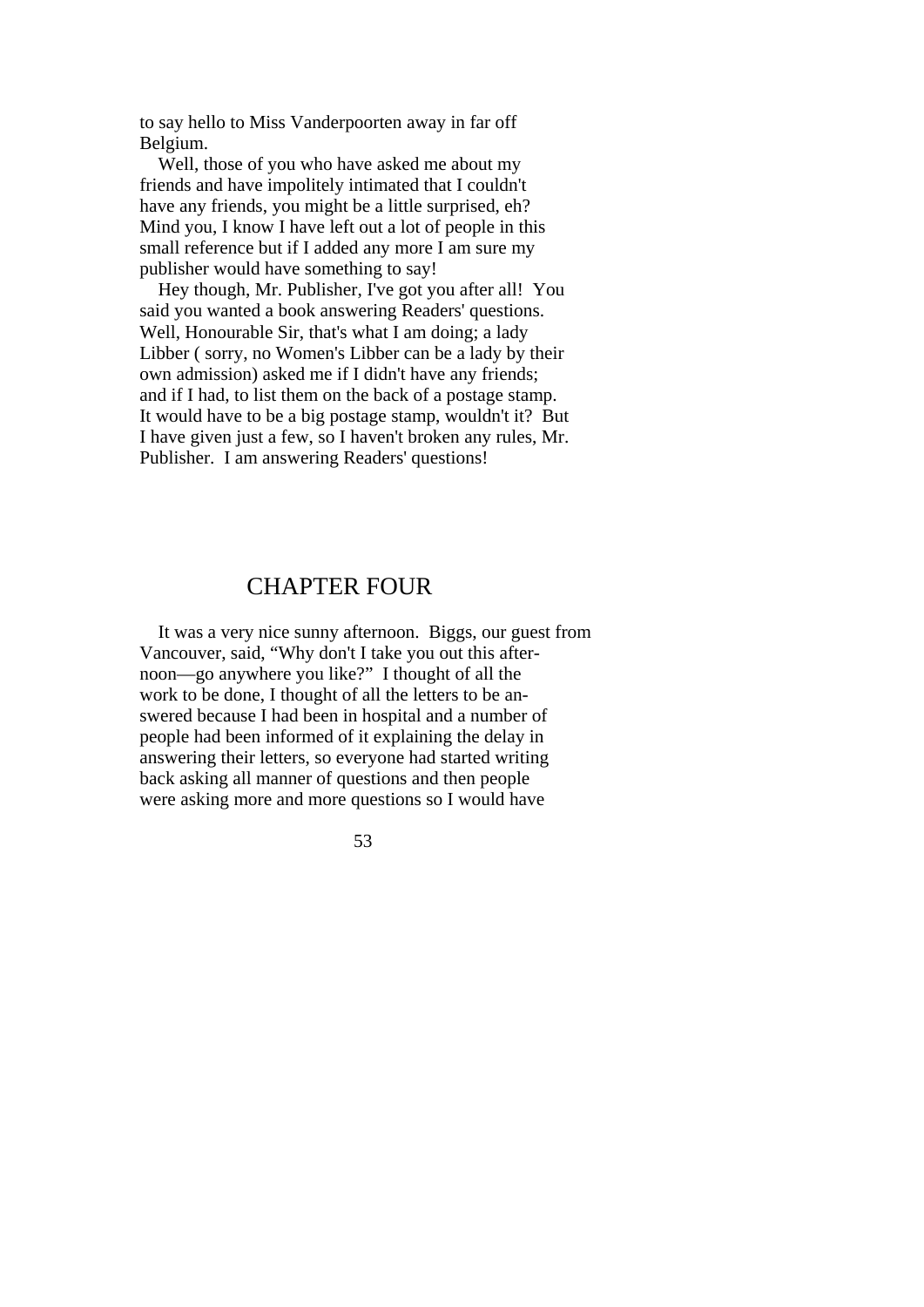to say hello to Miss Vanderpoorten away in far off Belgium.

 Well, those of you who have asked me about my friends and have impolitely intimated that I couldn't have any friends, you might be a little surprised, eh? Mind you, I know I have left out a lot of people in this small reference but if I added any more I am sure my publisher would have something to say!

 Hey though, Mr. Publisher, I've got you after all! You said you wanted a book answering Readers' questions. Well, Honourable Sir, that's what I am doing; a lady Libber ( sorry, no Women's Libber can be a lady by their own admission) asked me if I didn't have any friends; and if I had, to list them on the back of a postage stamp. It would have to be a big postage stamp, wouldn't it? But I have given just a few, so I haven't broken any rules, Mr. Publisher. I am answering Readers' questions!

## CHAPTER FOUR

 It was a very nice sunny afternoon. Biggs, our guest from Vancouver, said, "Why don't I take you out this afternoon—go anywhere you like?" I thought of all the work to be done, I thought of all the letters to be answered because I had been in hospital and a number of people had been informed of it explaining the delay in answering their letters, so everyone had started writing back asking all manner of questions and then people were asking more and more questions so I would have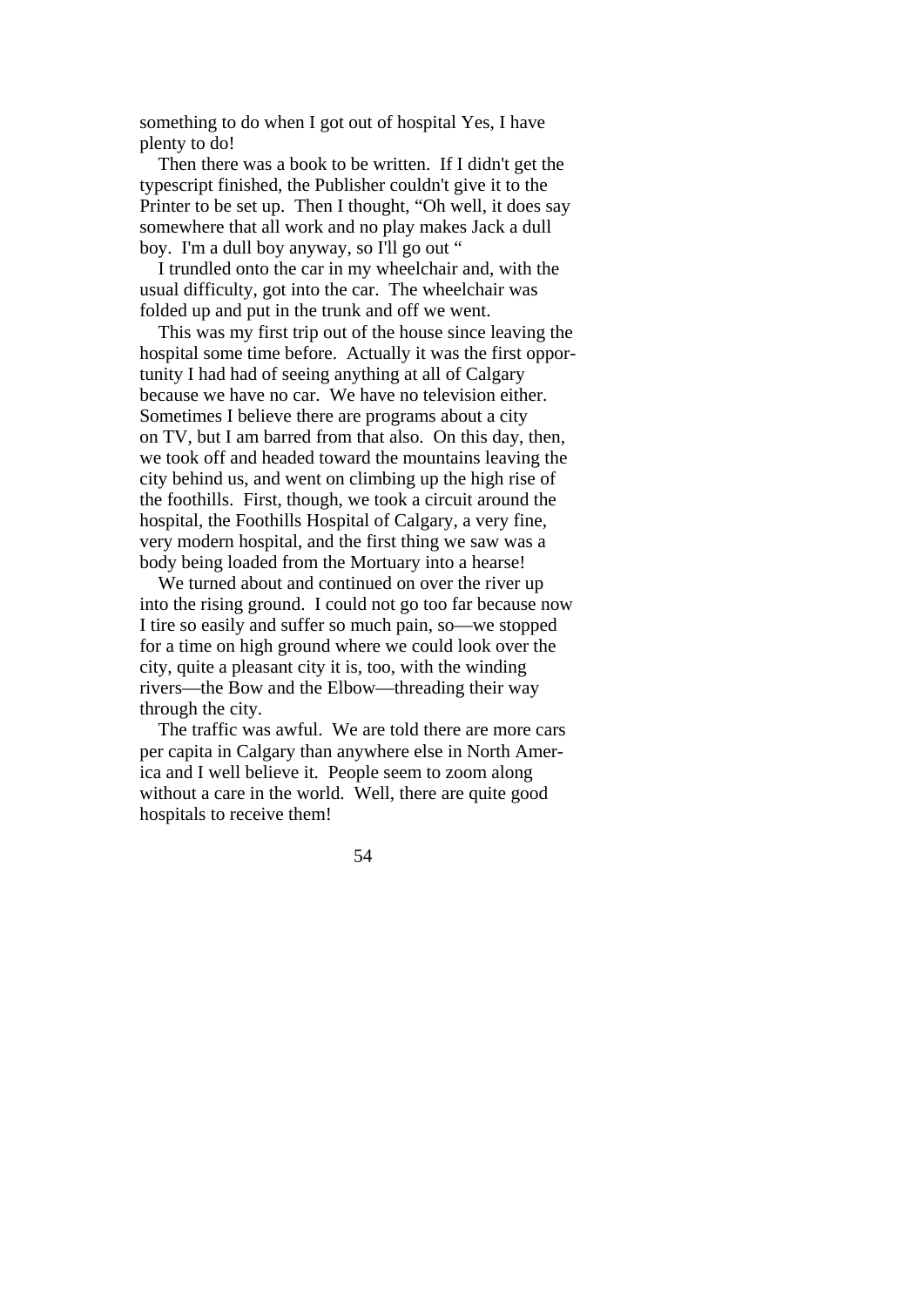something to do when I got out of hospital Yes, I have plenty to do!

 Then there was a book to be written. If I didn't get the typescript finished, the Publisher couldn't give it to the Printer to be set up. Then I thought, "Oh well, it does say somewhere that all work and no play makes Jack a dull boy. I'm a dull boy anyway, so I'll go out "

 I trundled onto the car in my wheelchair and, with the usual difficulty, got into the car. The wheelchair was folded up and put in the trunk and off we went.

 This was my first trip out of the house since leaving the hospital some time before. Actually it was the first opportunity I had had of seeing anything at all of Calgary because we have no car. We have no television either. Sometimes I believe there are programs about a city on TV, but I am barred from that also. On this day, then, we took off and headed toward the mountains leaving the city behind us, and went on climbing up the high rise of the foothills. First, though, we took a circuit around the hospital, the Foothills Hospital of Calgary, a very fine, very modern hospital, and the first thing we saw was a body being loaded from the Mortuary into a hearse!

 We turned about and continued on over the river up into the rising ground. I could not go too far because now I tire so easily and suffer so much pain, so—we stopped for a time on high ground where we could look over the city, quite a pleasant city it is, too, with the winding rivers—the Bow and the Elbow—threading their way through the city.

 The traffic was awful. We are told there are more cars per capita in Calgary than anywhere else in North America and I well believe it. People seem to zoom along without a care in the world. Well, there are quite good hospitals to receive them!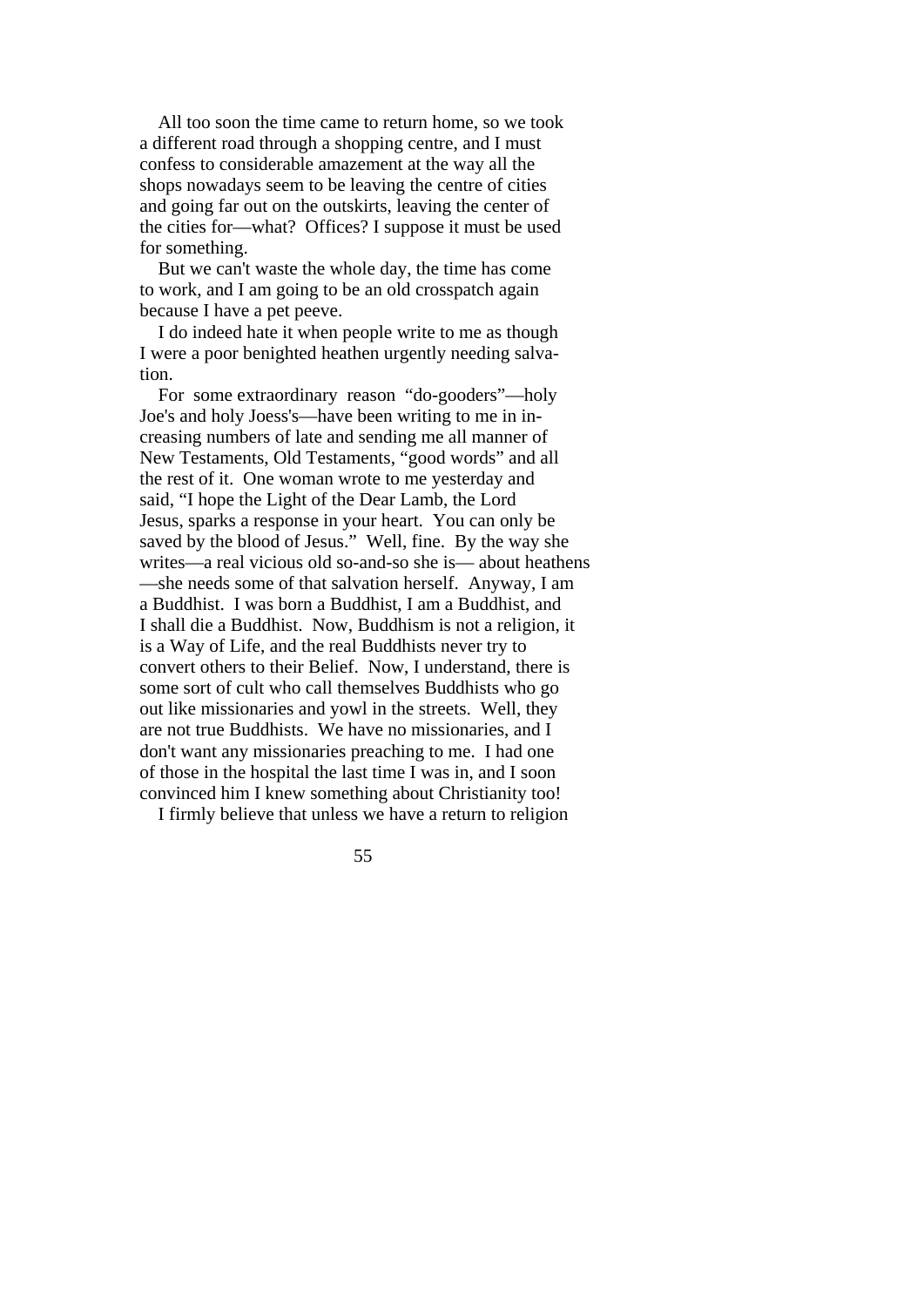All too soon the time came to return home, so we took a different road through a shopping centre, and I must confess to considerable amazement at the way all the shops nowadays seem to be leaving the centre of cities and going far out on the outskirts, leaving the center of the cities for—what? Offices? I suppose it must be used for something.

 But we can't waste the whole day, the time has come to work, and I am going to be an old crosspatch again because I have a pet peeve.

 I do indeed hate it when people write to me as though I were a poor benighted heathen urgently needing salvation.

 For some extraordinary reason "do-gooders"—holy Joe's and holy Joess's—have been writing to me in increasing numbers of late and sending me all manner of New Testaments, Old Testaments, "good words" and all the rest of it. One woman wrote to me yesterday and said, "I hope the Light of the Dear Lamb, the Lord Jesus, sparks a response in your heart. You can only be saved by the blood of Jesus." Well, fine. By the way she writes—a real vicious old so-and-so she is— about heathens —she needs some of that salvation herself. Anyway, I am a Buddhist. I was born a Buddhist, I am a Buddhist, and I shall die a Buddhist. Now, Buddhism is not a religion, it is a Way of Life, and the real Buddhists never try to convert others to their Belief. Now, I understand, there is some sort of cult who call themselves Buddhists who go out like missionaries and yowl in the streets. Well, they are not true Buddhists. We have no missionaries, and I don't want any missionaries preaching to me. I had one of those in the hospital the last time I was in, and I soon convinced him I knew something about Christianity too!

I firmly believe that unless we have a return to religion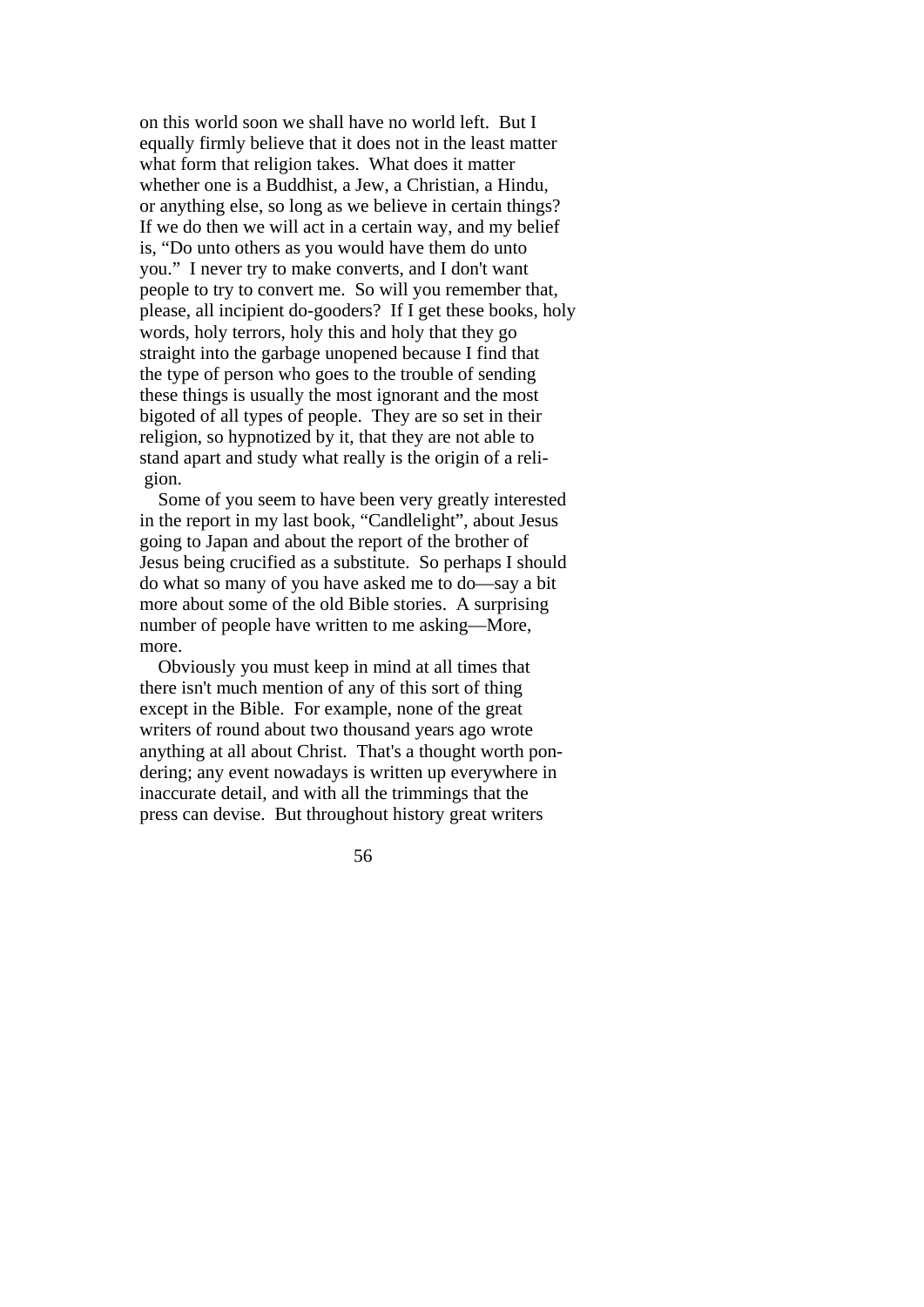on this world soon we shall have no world left. But I equally firmly believe that it does not in the least matter what form that religion takes. What does it matter whether one is a Buddhist, a Jew, a Christian, a Hindu, or anything else, so long as we believe in certain things? If we do then we will act in a certain way, and my belief is, "Do unto others as you would have them do unto you." I never try to make converts, and I don't want people to try to convert me. So will you remember that, please, all incipient do-gooders? If I get these books, holy words, holy terrors, holy this and holy that they go straight into the garbage unopened because I find that the type of person who goes to the trouble of sending these things is usually the most ignorant and the most bigoted of all types of people. They are so set in their religion, so hypnotized by it, that they are not able to stand apart and study what really is the origin of a reli gion.

 Some of you seem to have been very greatly interested in the report in my last book, "Candlelight", about Jesus going to Japan and about the report of the brother of Jesus being crucified as a substitute. So perhaps I should do what so many of you have asked me to do—say a bit more about some of the old Bible stories. A surprising number of people have written to me asking—More, more.

 Obviously you must keep in mind at all times that there isn't much mention of any of this sort of thing except in the Bible. For example, none of the great writers of round about two thousand years ago wrote anything at all about Christ. That's a thought worth pondering; any event nowadays is written up everywhere in inaccurate detail, and with all the trimmings that the press can devise. But throughout history great writers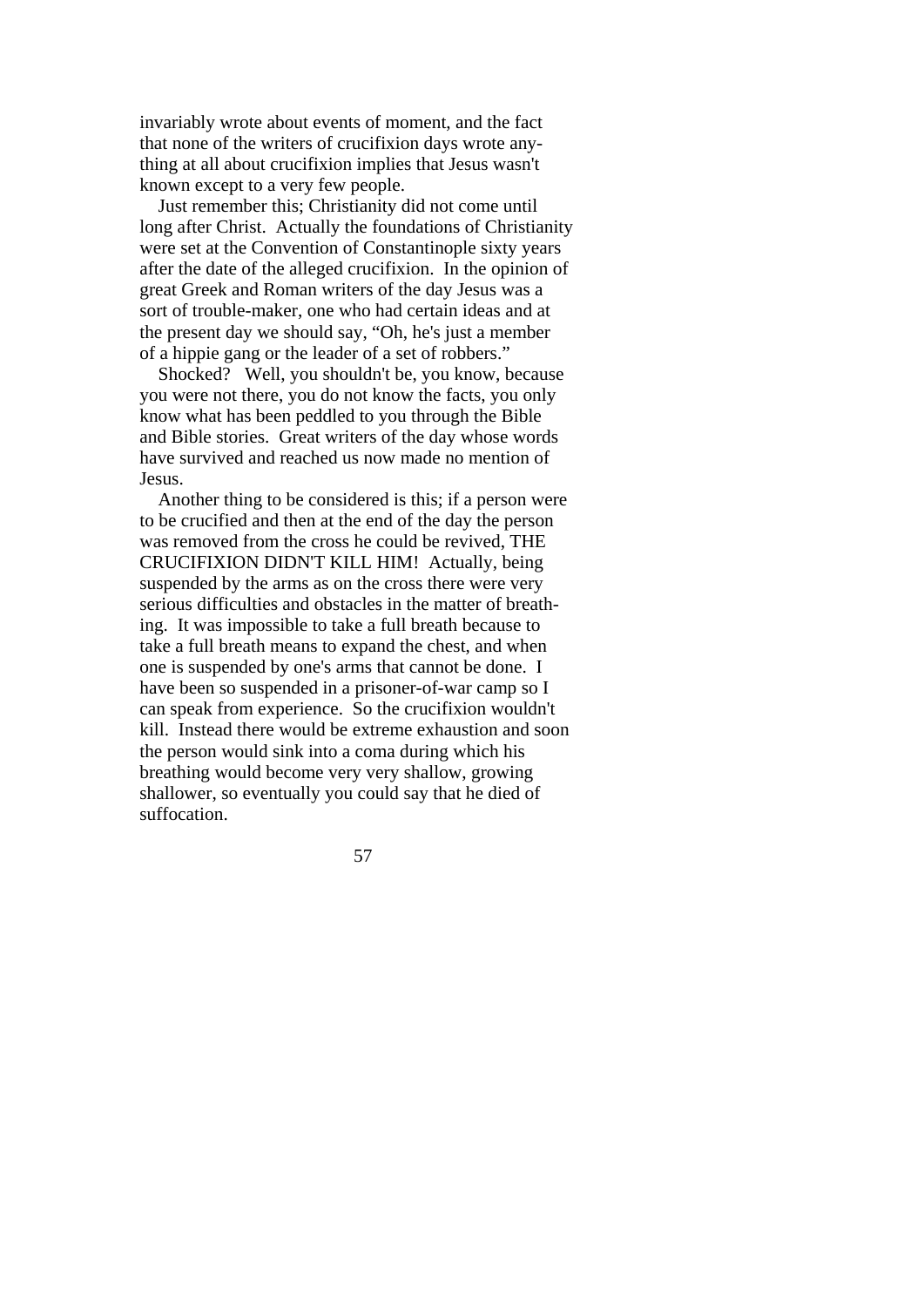invariably wrote about events of moment, and the fact that none of the writers of crucifixion days wrote anything at all about crucifixion implies that Jesus wasn't known except to a very few people.

 Just remember this; Christianity did not come until long after Christ. Actually the foundations of Christianity were set at the Convention of Constantinople sixty years after the date of the alleged crucifixion. In the opinion of great Greek and Roman writers of the day Jesus was a sort of trouble-maker, one who had certain ideas and at the present day we should say, "Oh, he's just a member of a hippie gang or the leader of a set of robbers."

 Shocked? Well, you shouldn't be, you know, because you were not there, you do not know the facts, you only know what has been peddled to you through the Bible and Bible stories. Great writers of the day whose words have survived and reached us now made no mention of Jesus.

 Another thing to be considered is this; if a person were to be crucified and then at the end of the day the person was removed from the cross he could be revived, THE CRUCIFIXION DIDN'T KILL HIM! Actually, being suspended by the arms as on the cross there were very serious difficulties and obstacles in the matter of breathing. It was impossible to take a full breath because to take a full breath means to expand the chest, and when one is suspended by one's arms that cannot be done. I have been so suspended in a prisoner-of-war camp so I can speak from experience. So the crucifixion wouldn't kill. Instead there would be extreme exhaustion and soon the person would sink into a coma during which his breathing would become very very shallow, growing shallower, so eventually you could say that he died of suffocation.

57 (1992) 1994 (1994) 1995 (1996) 1996 (1996) 1997 (1998) 1997 (1998) 1997 (1998) 1997 (1998) 1997 (1998) 199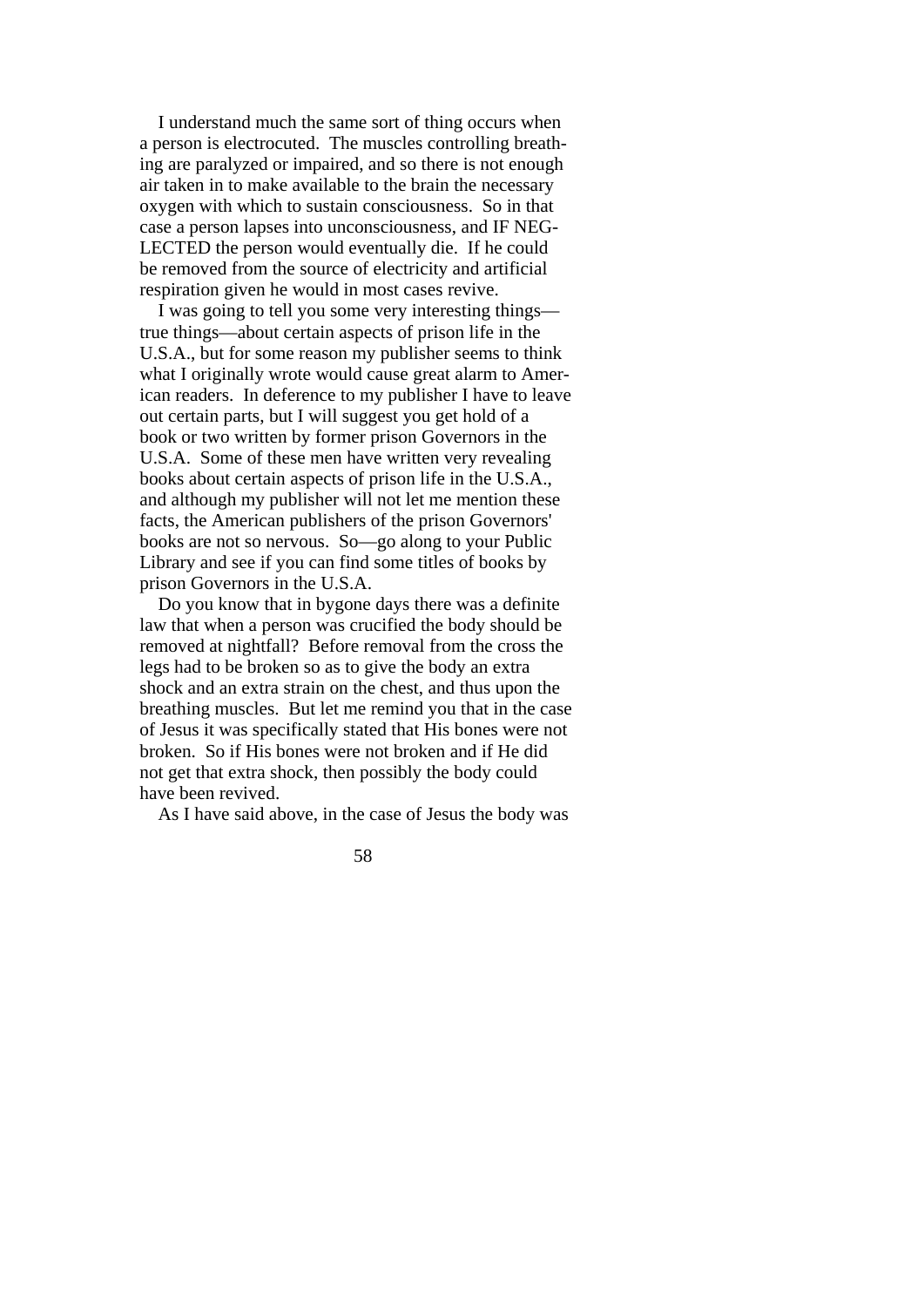I understand much the same sort of thing occurs when a person is electrocuted. The muscles controlling breathing are paralyzed or impaired, and so there is not enough air taken in to make available to the brain the necessary oxygen with which to sustain consciousness. So in that case a person lapses into unconsciousness, and IF NEG-LECTED the person would eventually die. If he could be removed from the source of electricity and artificial respiration given he would in most cases revive.

 I was going to tell you some very interesting things true things—about certain aspects of prison life in the U.S.A., but for some reason my publisher seems to think what I originally wrote would cause great alarm to American readers. In deference to my publisher I have to leave out certain parts, but I will suggest you get hold of a book or two written by former prison Governors in the U.S.A. Some of these men have written very revealing books about certain aspects of prison life in the U.S.A., and although my publisher will not let me mention these facts, the American publishers of the prison Governors' books are not so nervous. So—go along to your Public Library and see if you can find some titles of books by prison Governors in the U.S.A.

 Do you know that in bygone days there was a definite law that when a person was crucified the body should be removed at nightfall? Before removal from the cross the legs had to be broken so as to give the body an extra shock and an extra strain on the chest, and thus upon the breathing muscles. But let me remind you that in the case of Jesus it was specifically stated that His bones were not broken. So if His bones were not broken and if He did not get that extra shock, then possibly the body could have been revived.

As I have said above, in the case of Jesus the body was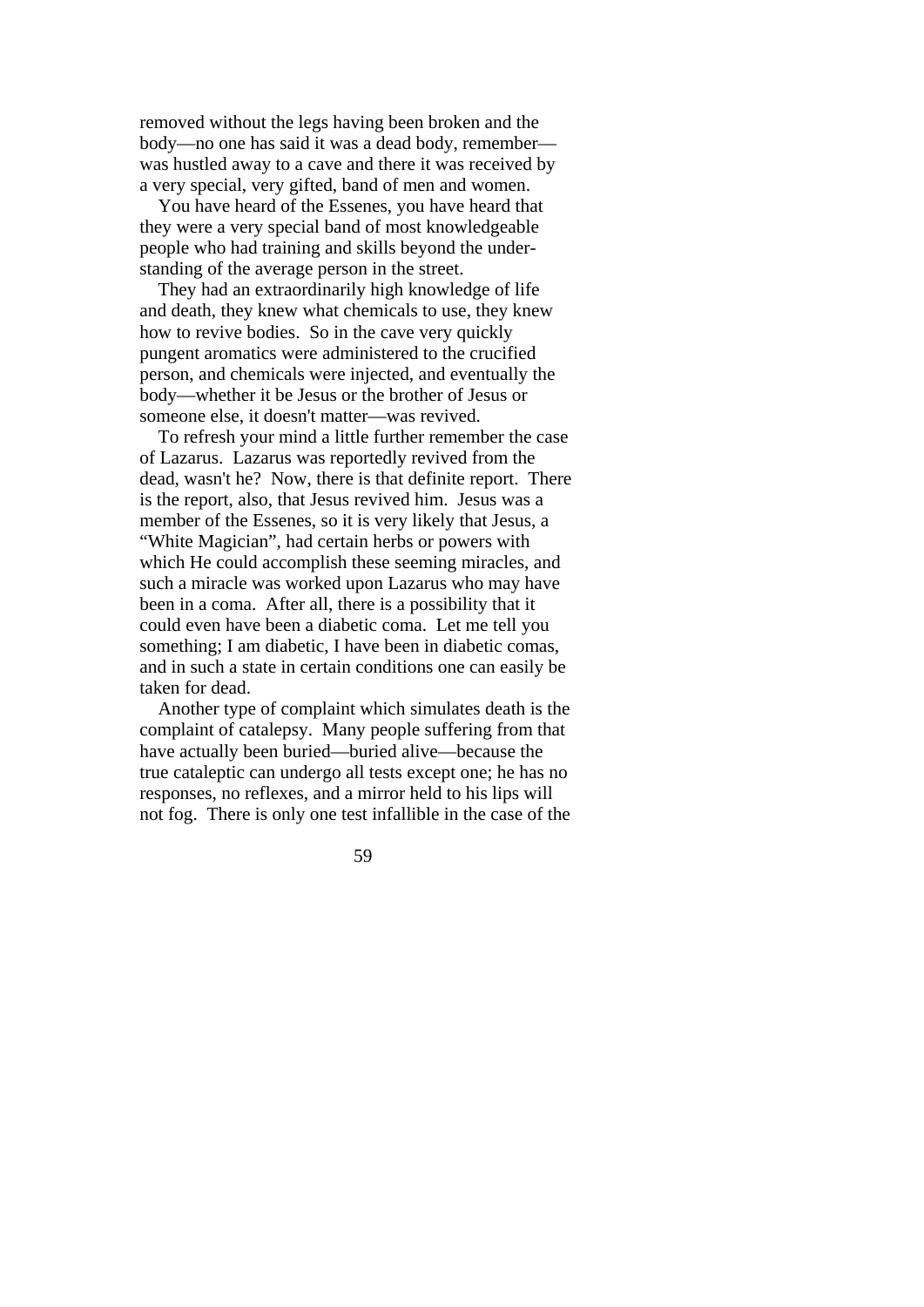removed without the legs having been broken and the body—no one has said it was a dead body, remember was hustled away to a cave and there it was received by a very special, very gifted, band of men and women.

 You have heard of the Essenes, you have heard that they were a very special band of most knowledgeable people who had training and skills beyond the understanding of the average person in the street.

 They had an extraordinarily high knowledge of life and death, they knew what chemicals to use, they knew how to revive bodies. So in the cave very quickly pungent aromatics were administered to the crucified person, and chemicals were injected, and eventually the body—whether it be Jesus or the brother of Jesus or someone else, it doesn't matter—was revived.

 To refresh your mind a little further remember the case of Lazarus. Lazarus was reportedly revived from the dead, wasn't he? Now, there is that definite report. There is the report, also, that Jesus revived him. Jesus was a member of the Essenes, so it is very likely that Jesus, a "White Magician", had certain herbs or powers with which He could accomplish these seeming miracles, and such a miracle was worked upon Lazarus who may have been in a coma. After all, there is a possibility that it could even have been a diabetic coma. Let me tell you something; I am diabetic, I have been in diabetic comas, and in such a state in certain conditions one can easily be taken for dead.

 Another type of complaint which simulates death is the complaint of catalepsy. Many people suffering from that have actually been buried—buried alive—because the true cataleptic can undergo all tests except one; he has no responses, no reflexes, and a mirror held to his lips will not fog. There is only one test infallible in the case of the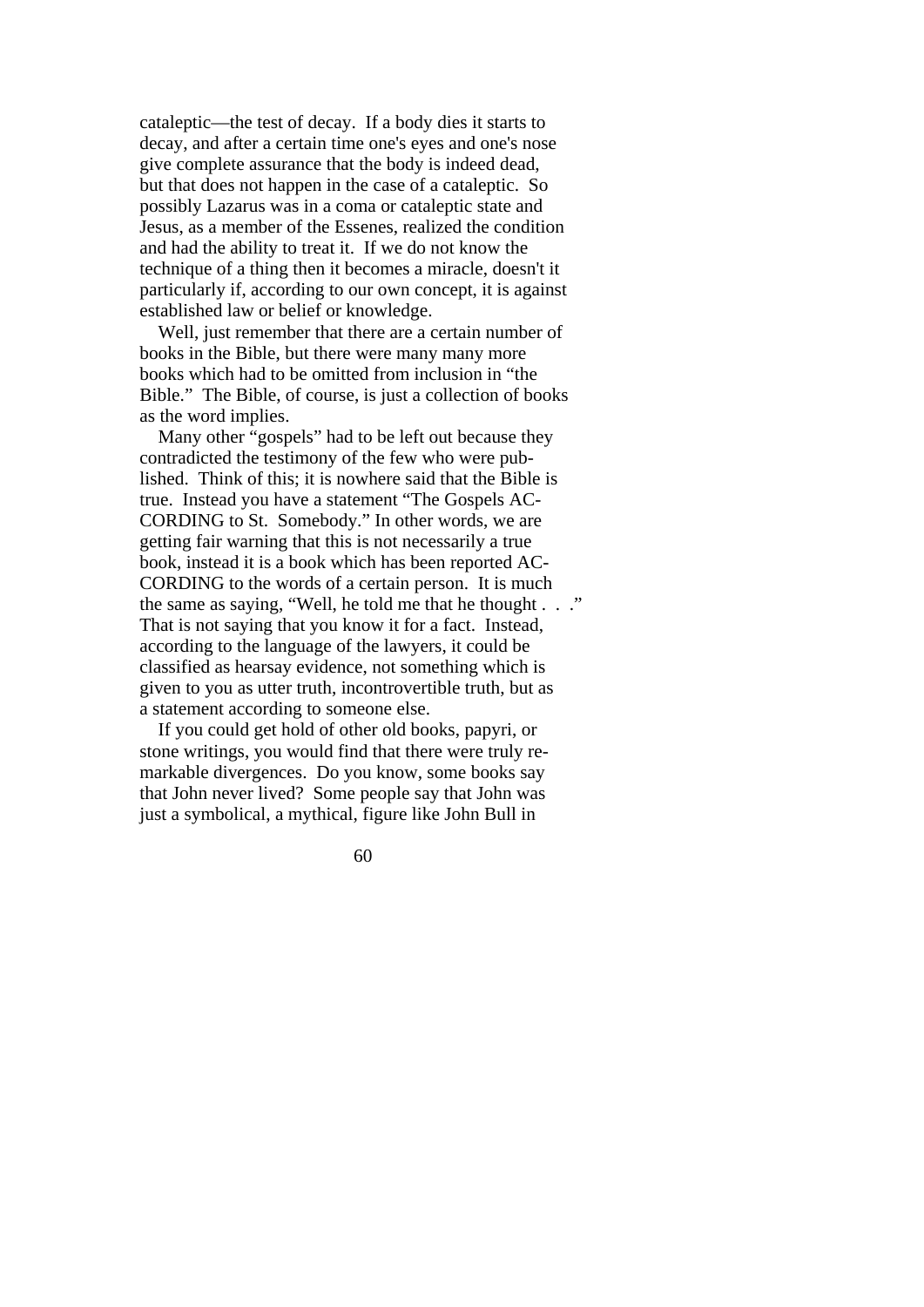cataleptic—the test of decay. If a body dies it starts to decay, and after a certain time one's eyes and one's nose give complete assurance that the body is indeed dead, but that does not happen in the case of a cataleptic. So possibly Lazarus was in a coma or cataleptic state and Jesus, as a member of the Essenes, realized the condition and had the ability to treat it. If we do not know the technique of a thing then it becomes a miracle, doesn't it particularly if, according to our own concept, it is against established law or belief or knowledge.

Well, just remember that there are a certain number of books in the Bible, but there were many many more books which had to be omitted from inclusion in "the Bible." The Bible, of course, is just a collection of books as the word implies.

 Many other "gospels" had to be left out because they contradicted the testimony of the few who were published. Think of this; it is nowhere said that the Bible is true. Instead you have a statement "The Gospels AC-CORDING to St. Somebody." In other words, we are getting fair warning that this is not necessarily a true book, instead it is a book which has been reported AC-CORDING to the words of a certain person. It is much the same as saying, "Well, he told me that he thought . . ." That is not saying that you know it for a fact. Instead, according to the language of the lawyers, it could be classified as hearsay evidence, not something which is given to you as utter truth, incontrovertible truth, but as a statement according to someone else.

 If you could get hold of other old books, papyri, or stone writings, you would find that there were truly remarkable divergences. Do you know, some books say that John never lived? Some people say that John was just a symbolical, a mythical, figure like John Bull in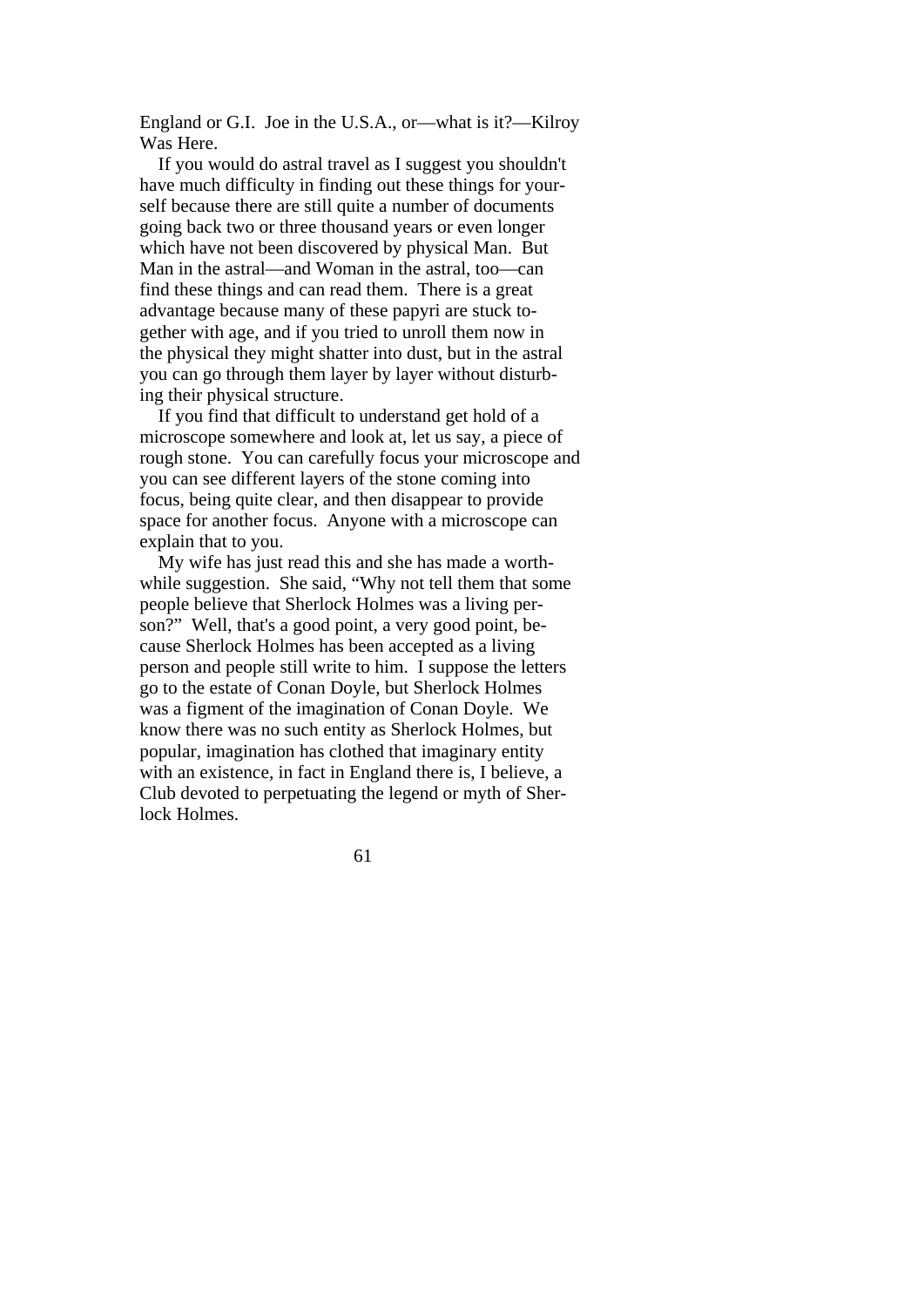England or G.I. Joe in the U.S.A., or—what is it?—Kilroy Was Here.

 If you would do astral travel as I suggest you shouldn't have much difficulty in finding out these things for yourself because there are still quite a number of documents going back two or three thousand years or even longer which have not been discovered by physical Man. But Man in the astral—and Woman in the astral, too—can find these things and can read them. There is a great advantage because many of these papyri are stuck together with age, and if you tried to unroll them now in the physical they might shatter into dust, but in the astral you can go through them layer by layer without disturbing their physical structure.

 If you find that difficult to understand get hold of a microscope somewhere and look at, let us say, a piece of rough stone. You can carefully focus your microscope and you can see different layers of the stone coming into focus, being quite clear, and then disappear to provide space for another focus. Anyone with a microscope can explain that to you.

 My wife has just read this and she has made a worthwhile suggestion. She said, "Why not tell them that some people believe that Sherlock Holmes was a living person?" Well, that's a good point, a very good point, because Sherlock Holmes has been accepted as a living person and people still write to him. I suppose the letters go to the estate of Conan Doyle, but Sherlock Holmes was a figment of the imagination of Conan Doyle. We know there was no such entity as Sherlock Holmes, but popular, imagination has clothed that imaginary entity with an existence, in fact in England there is, I believe, a Club devoted to perpetuating the legend or myth of Sherlock Holmes.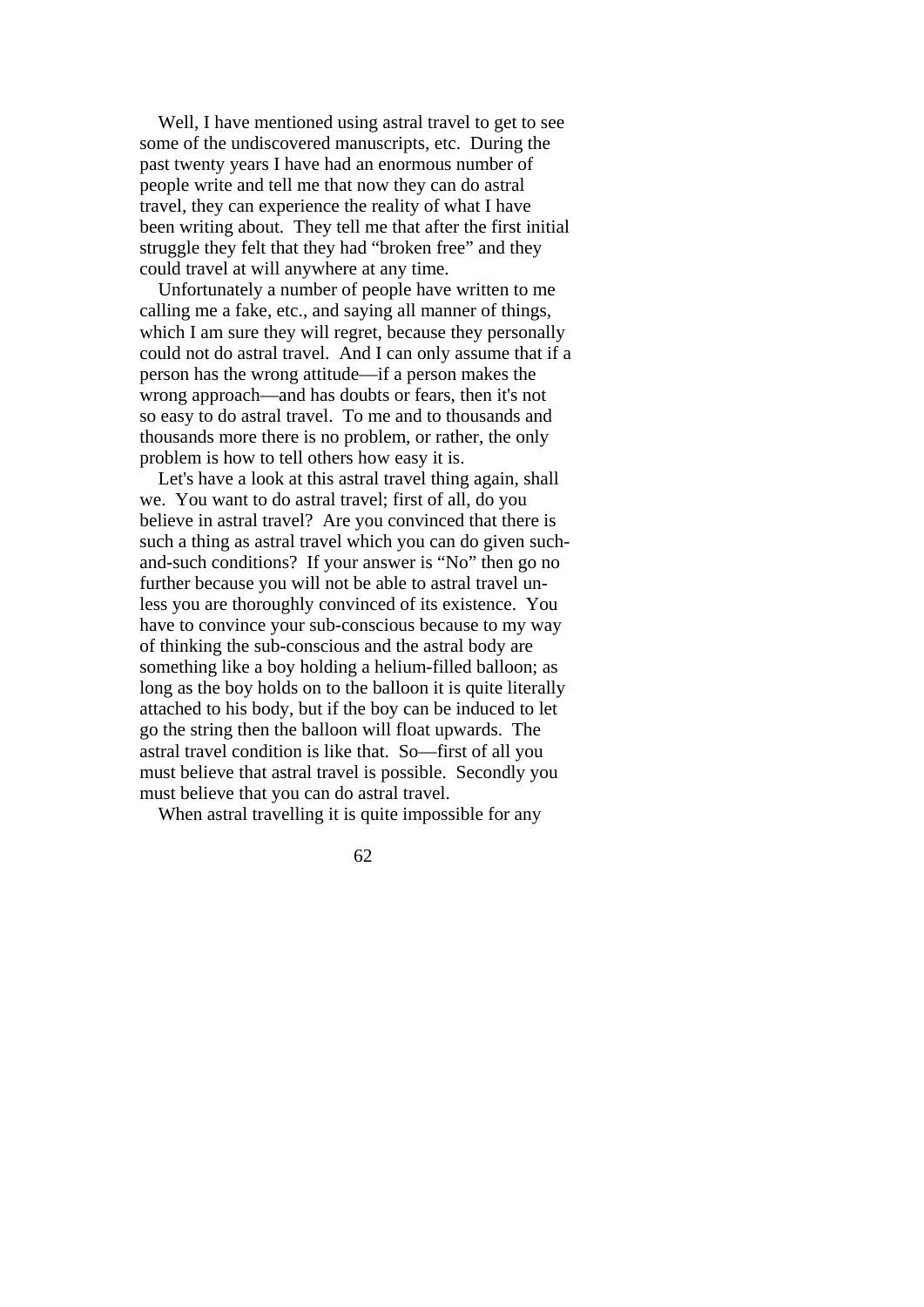Well, I have mentioned using astral travel to get to see some of the undiscovered manuscripts, etc. During the past twenty years I have had an enormous number of people write and tell me that now they can do astral travel, they can experience the reality of what I have been writing about. They tell me that after the first initial struggle they felt that they had "broken free" and they could travel at will anywhere at any time.

 Unfortunately a number of people have written to me calling me a fake, etc., and saying all manner of things, which I am sure they will regret, because they personally could not do astral travel. And I can only assume that if a person has the wrong attitude—if a person makes the wrong approach—and has doubts or fears, then it's not so easy to do astral travel. To me and to thousands and thousands more there is no problem, or rather, the only problem is how to tell others how easy it is.

 Let's have a look at this astral travel thing again, shall we. You want to do astral travel; first of all, do you believe in astral travel? Are you convinced that there is such a thing as astral travel which you can do given suchand-such conditions? If your answer is "No" then go no further because you will not be able to astral travel unless you are thoroughly convinced of its existence. You have to convince your sub-conscious because to my way of thinking the sub-conscious and the astral body are something like a boy holding a helium-filled balloon; as long as the boy holds on to the balloon it is quite literally attached to his body, but if the boy can be induced to let go the string then the balloon will float upwards. The astral travel condition is like that. So—first of all you must believe that astral travel is possible. Secondly you must believe that you can do astral travel.

When astral travelling it is quite impossible for any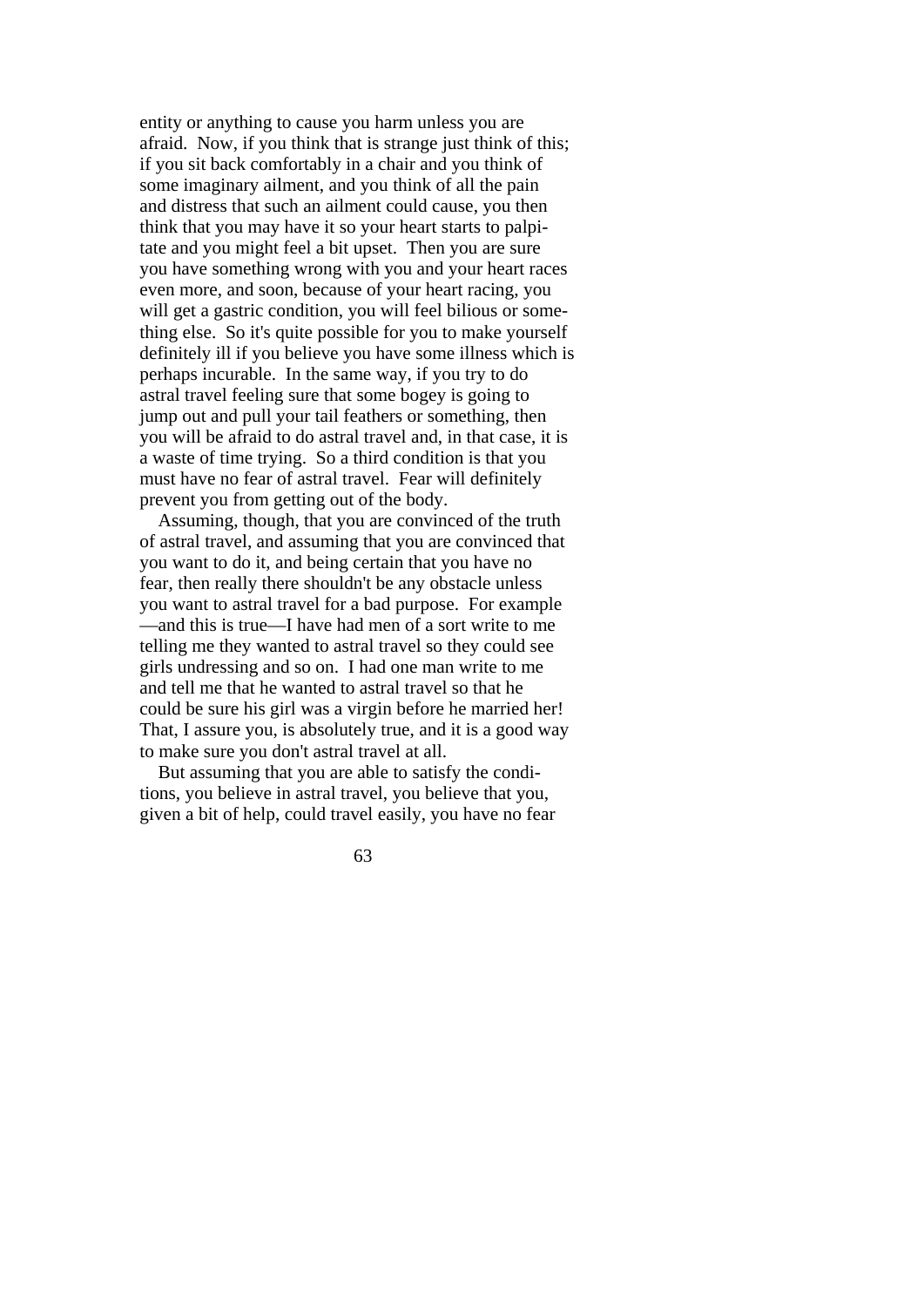entity or anything to cause you harm unless you are afraid. Now, if you think that is strange just think of this; if you sit back comfortably in a chair and you think of some imaginary ailment, and you think of all the pain and distress that such an ailment could cause, you then think that you may have it so your heart starts to palpitate and you might feel a bit upset. Then you are sure you have something wrong with you and your heart races even more, and soon, because of your heart racing, you will get a gastric condition, you will feel bilious or something else. So it's quite possible for you to make yourself definitely ill if you believe you have some illness which is perhaps incurable. In the same way, if you try to do astral travel feeling sure that some bogey is going to jump out and pull your tail feathers or something, then you will be afraid to do astral travel and, in that case, it is a waste of time trying. So a third condition is that you must have no fear of astral travel. Fear will definitely prevent you from getting out of the body.

 Assuming, though, that you are convinced of the truth of astral travel, and assuming that you are convinced that you want to do it, and being certain that you have no fear, then really there shouldn't be any obstacle unless you want to astral travel for a bad purpose. For example —and this is true—I have had men of a sort write to me telling me they wanted to astral travel so they could see girls undressing and so on. I had one man write to me and tell me that he wanted to astral travel so that he could be sure his girl was a virgin before he married her! That, I assure you, is absolutely true, and it is a good way to make sure you don't astral travel at all.

 But assuming that you are able to satisfy the conditions, you believe in astral travel, you believe that you, given a bit of help, could travel easily, you have no fear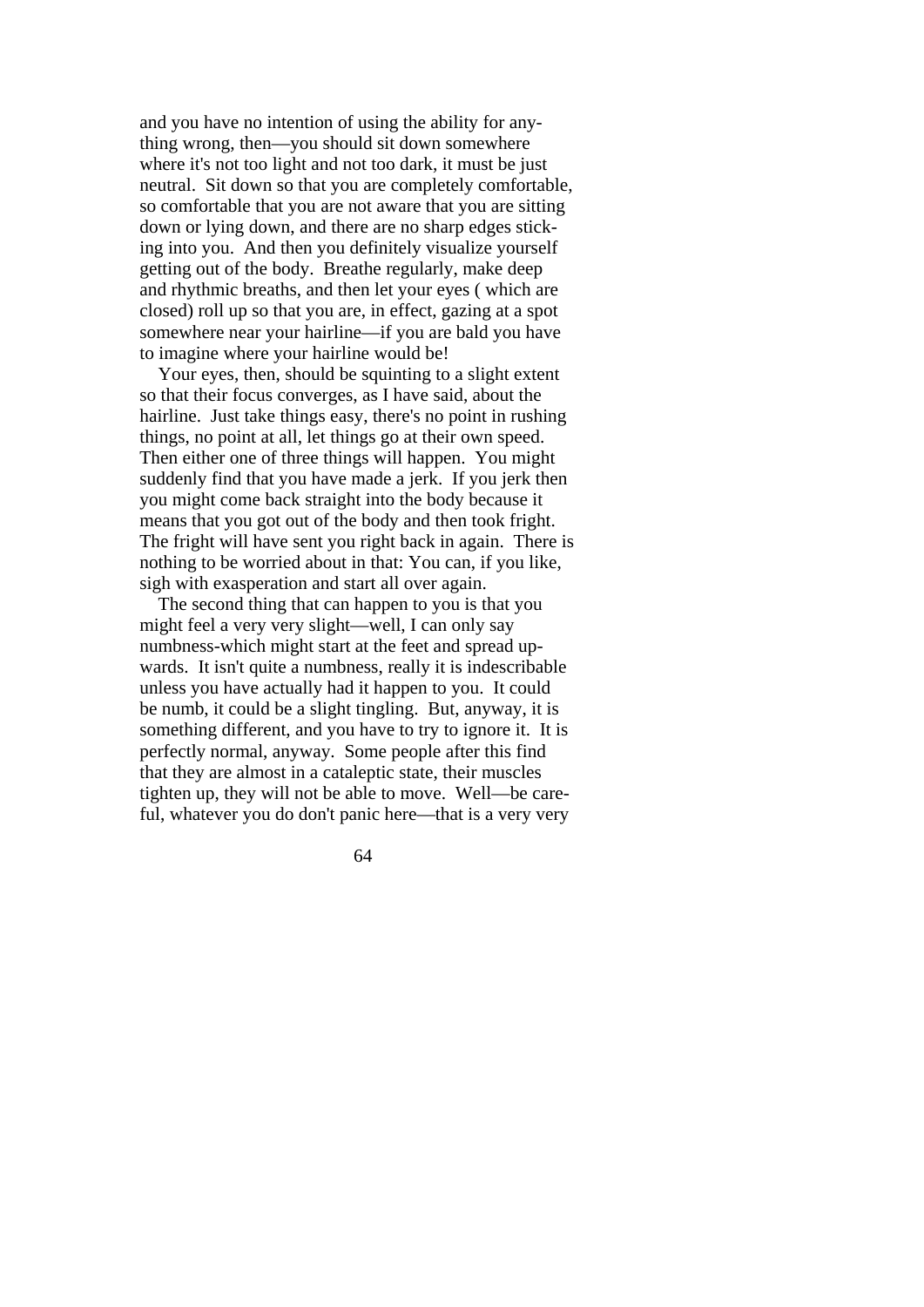and you have no intention of using the ability for anything wrong, then—you should sit down somewhere where it's not too light and not too dark, it must be just neutral. Sit down so that you are completely comfortable, so comfortable that you are not aware that you are sitting down or lying down, and there are no sharp edges sticking into you. And then you definitely visualize yourself getting out of the body. Breathe regularly, make deep and rhythmic breaths, and then let your eyes ( which are closed) roll up so that you are, in effect, gazing at a spot somewhere near your hairline—if you are bald you have to imagine where your hairline would be!

Your eyes, then, should be squinting to a slight extent so that their focus converges, as I have said, about the hairline. Just take things easy, there's no point in rushing things, no point at all, let things go at their own speed. Then either one of three things will happen. You might suddenly find that you have made a jerk. If you jerk then you might come back straight into the body because it means that you got out of the body and then took fright. The fright will have sent you right back in again. There is nothing to be worried about in that: You can, if you like, sigh with exasperation and start all over again.

 The second thing that can happen to you is that you might feel a very very slight—well, I can only say numbness-which might start at the feet and spread upwards. It isn't quite a numbness, really it is indescribable unless you have actually had it happen to you. It could be numb, it could be a slight tingling. But, anyway, it is something different, and you have to try to ignore it. It is perfectly normal, anyway. Some people after this find that they are almost in a cataleptic state, their muscles tighten up, they will not be able to move. Well—be careful, whatever you do don't panic here—that is a very very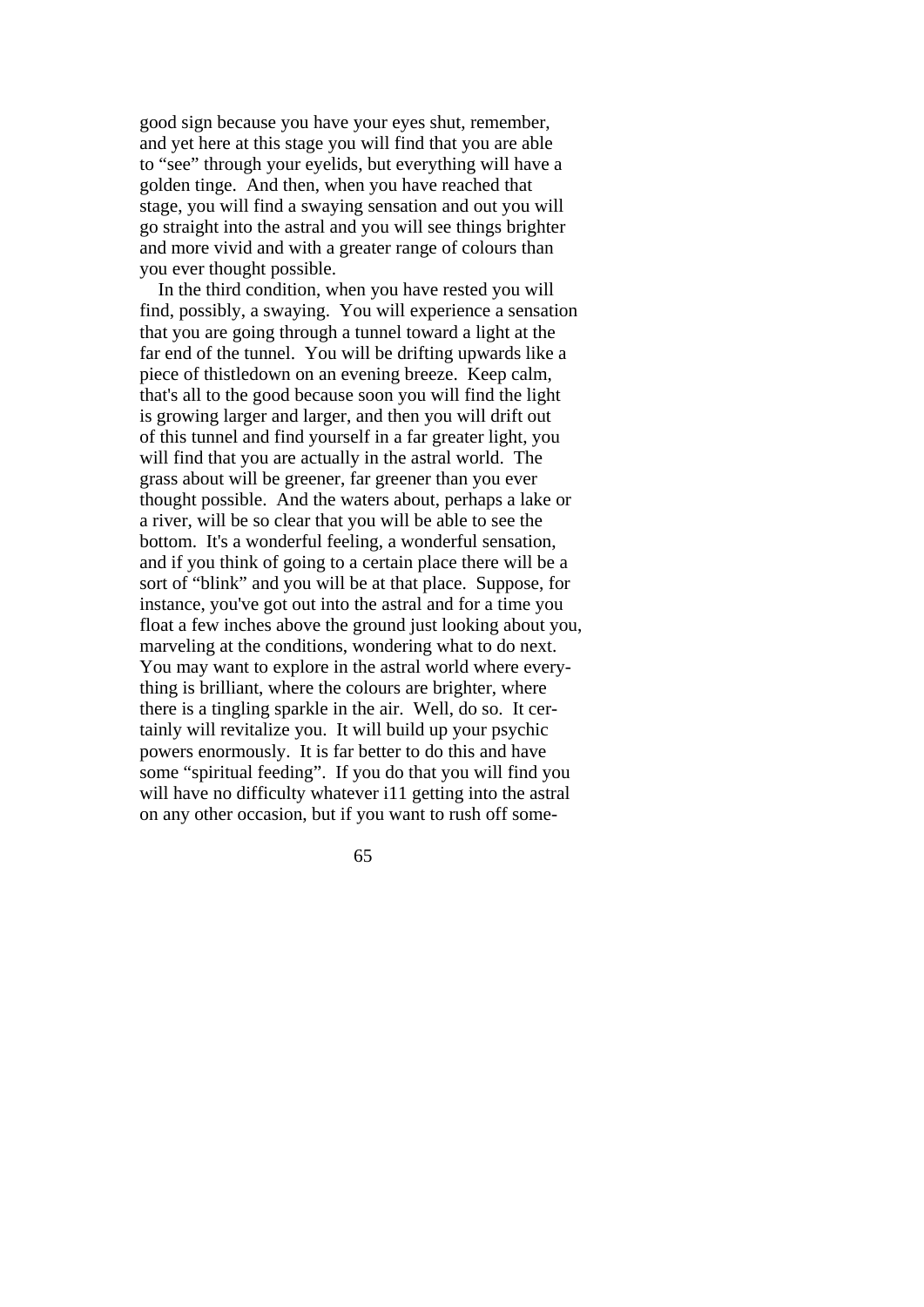good sign because you have your eyes shut, remember, and yet here at this stage you will find that you are able to "see" through your eyelids, but everything will have a golden tinge. And then, when you have reached that stage, you will find a swaying sensation and out you will go straight into the astral and you will see things brighter and more vivid and with a greater range of colours than you ever thought possible.

 In the third condition, when you have rested you will find, possibly, a swaying. You will experience a sensation that you are going through a tunnel toward a light at the far end of the tunnel. You will be drifting upwards like a piece of thistledown on an evening breeze. Keep calm, that's all to the good because soon you will find the light is growing larger and larger, and then you will drift out of this tunnel and find yourself in a far greater light, you will find that you are actually in the astral world. The grass about will be greener, far greener than you ever thought possible. And the waters about, perhaps a lake or a river, will be so clear that you will be able to see the bottom. It's a wonderful feeling, a wonderful sensation, and if you think of going to a certain place there will be a sort of "blink" and you will be at that place. Suppose, for instance, you've got out into the astral and for a time you float a few inches above the ground just looking about you, marveling at the conditions, wondering what to do next. You may want to explore in the astral world where everything is brilliant, where the colours are brighter, where there is a tingling sparkle in the air. Well, do so. It certainly will revitalize you. It will build up your psychic powers enormously. It is far better to do this and have some "spiritual feeding". If you do that you will find you will have no difficulty whatever i11 getting into the astral on any other occasion, but if you want to rush off some-

 $\sim$  65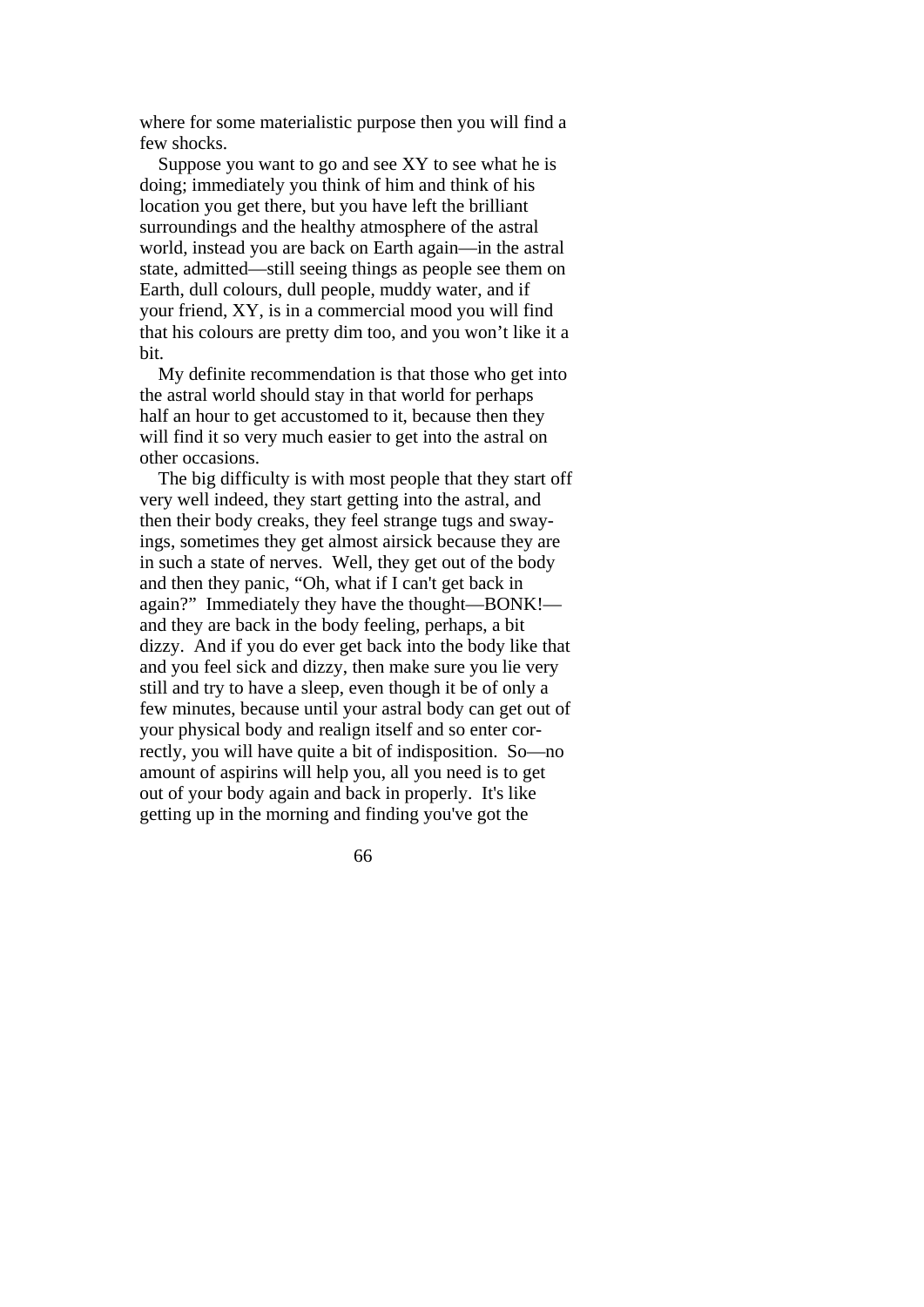where for some materialistic purpose then you will find a few shocks.

 Suppose you want to go and see XY to see what he is doing; immediately you think of him and think of his location you get there, but you have left the brilliant surroundings and the healthy atmosphere of the astral world, instead you are back on Earth again—in the astral state, admitted—still seeing things as people see them on Earth, dull colours, dull people, muddy water, and if your friend, XY, is in a commercial mood you will find that his colours are pretty dim too, and you won't like it a bit.

 My definite recommendation is that those who get into the astral world should stay in that world for perhaps half an hour to get accustomed to it, because then they will find it so very much easier to get into the astral on other occasions.

 The big difficulty is with most people that they start off very well indeed, they start getting into the astral, and then their body creaks, they feel strange tugs and swayings, sometimes they get almost airsick because they are in such a state of nerves. Well, they get out of the body and then they panic, "Oh, what if I can't get back in again?" Immediately they have the thought—BONK! and they are back in the body feeling, perhaps, a bit dizzy. And if you do ever get back into the body like that and you feel sick and dizzy, then make sure you lie very still and try to have a sleep, even though it be of only a few minutes, because until your astral body can get out of your physical body and realign itself and so enter correctly, you will have quite a bit of indisposition. So—no amount of aspirins will help you, all you need is to get out of your body again and back in properly. It's like getting up in the morning and finding you've got the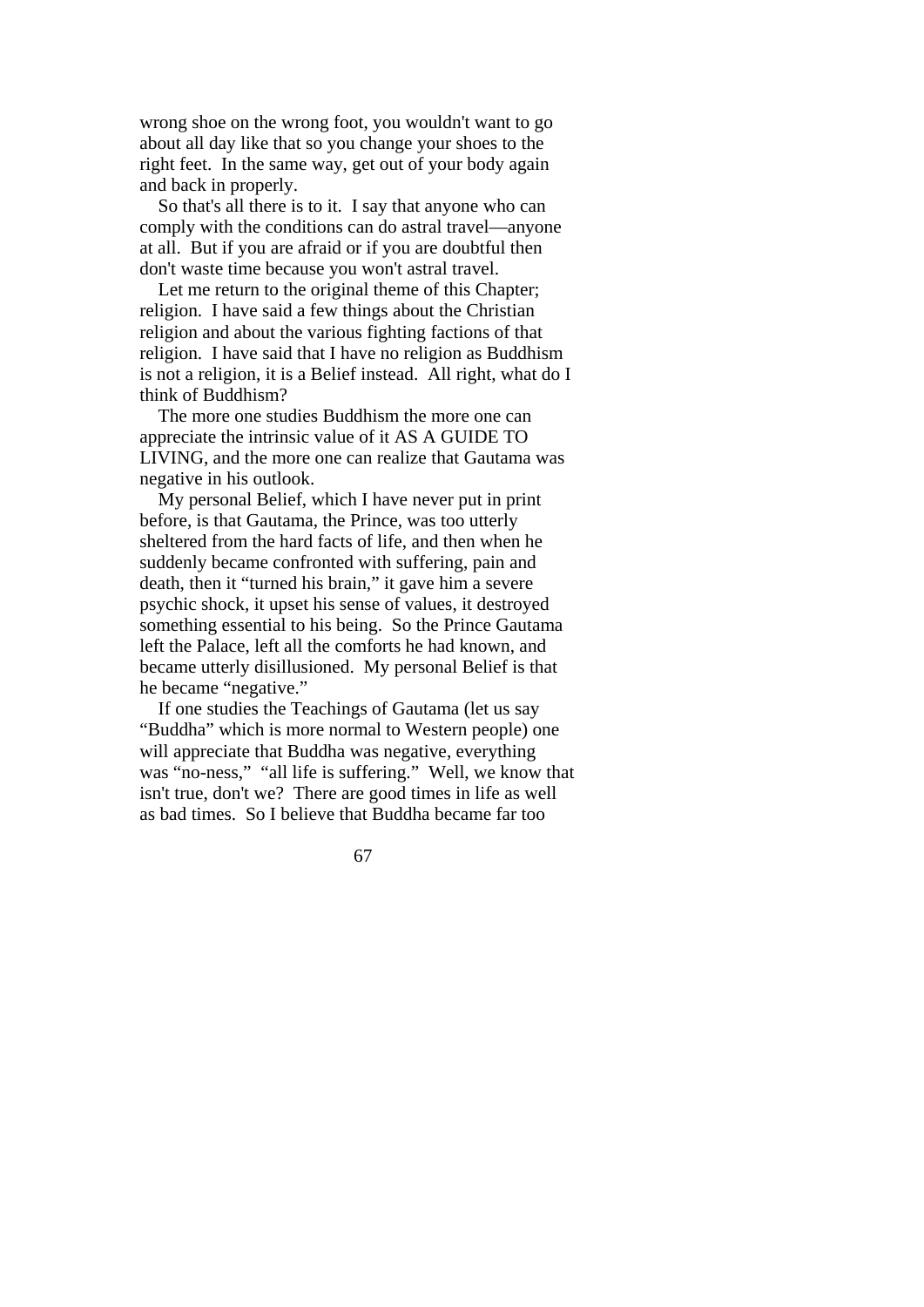wrong shoe on the wrong foot, you wouldn't want to go about all day like that so you change your shoes to the right feet. In the same way, get out of your body again and back in properly.

 So that's all there is to it. I say that anyone who can comply with the conditions can do astral travel—anyone at all. But if you are afraid or if you are doubtful then don't waste time because you won't astral travel.

 Let me return to the original theme of this Chapter; religion. I have said a few things about the Christian religion and about the various fighting factions of that religion. I have said that I have no religion as Buddhism is not a religion, it is a Belief instead. All right, what do I think of Buddhism?

 The more one studies Buddhism the more one can appreciate the intrinsic value of it AS A GUIDE TO LIVING, and the more one can realize that Gautama was negative in his outlook.

 My personal Belief, which I have never put in print before, is that Gautama, the Prince, was too utterly sheltered from the hard facts of life, and then when he suddenly became confronted with suffering, pain and death, then it "turned his brain," it gave him a severe psychic shock, it upset his sense of values, it destroyed something essential to his being. So the Prince Gautama left the Palace, left all the comforts he had known, and became utterly disillusioned. My personal Belief is that he became "negative."

 If one studies the Teachings of Gautama (let us say "Buddha" which is more normal to Western people) one will appreciate that Buddha was negative, everything was "no-ness," "all life is suffering." Well, we know that isn't true, don't we? There are good times in life as well as bad times. So I believe that Buddha became far too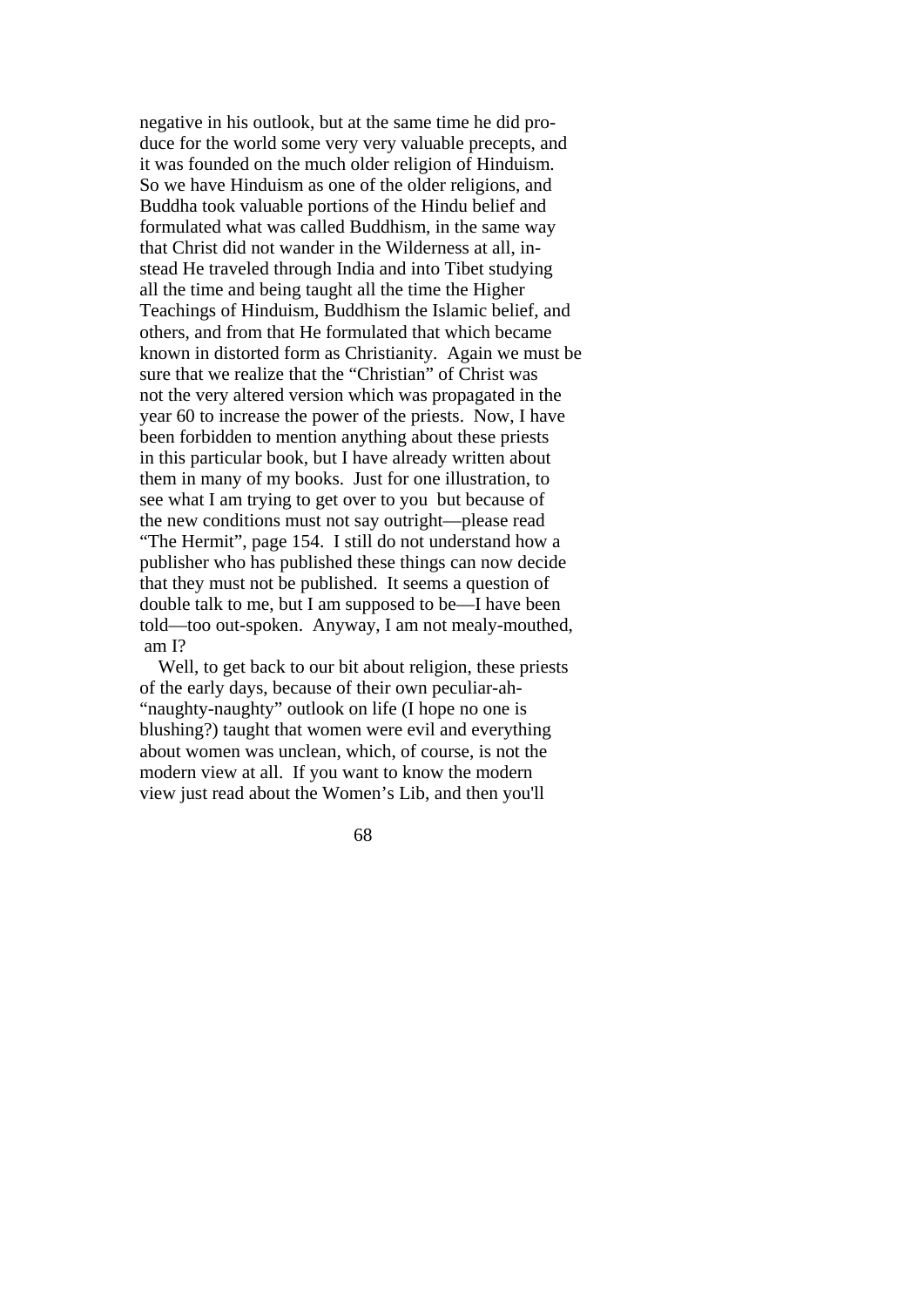negative in his outlook, but at the same time he did produce for the world some very very valuable precepts, and it was founded on the much older religion of Hinduism. So we have Hinduism as one of the older religions, and Buddha took valuable portions of the Hindu belief and formulated what was called Buddhism, in the same way that Christ did not wander in the Wilderness at all, instead He traveled through India and into Tibet studying all the time and being taught all the time the Higher Teachings of Hinduism, Buddhism the Islamic belief, and others, and from that He formulated that which became known in distorted form as Christianity. Again we must be sure that we realize that the "Christian" of Christ was not the very altered version which was propagated in the year 60 to increase the power of the priests. Now, I have been forbidden to mention anything about these priests in this particular book, but I have already written about them in many of my books. Just for one illustration, to see what I am trying to get over to you but because of the new conditions must not say outright—please read "The Hermit", page 154. I still do not understand how a publisher who has published these things can now decide that they must not be published. It seems a question of double talk to me, but I am supposed to be—I have been told—too out-spoken. Anyway, I am not mealy-mouthed, am I?

 Well, to get back to our bit about religion, these priests of the early days, because of their own peculiar-ah- "naughty-naughty" outlook on life (I hope no one is blushing?) taught that women were evil and everything about women was unclean, which, of course, is not the modern view at all. If you want to know the modern view just read about the Women's Lib, and then you'll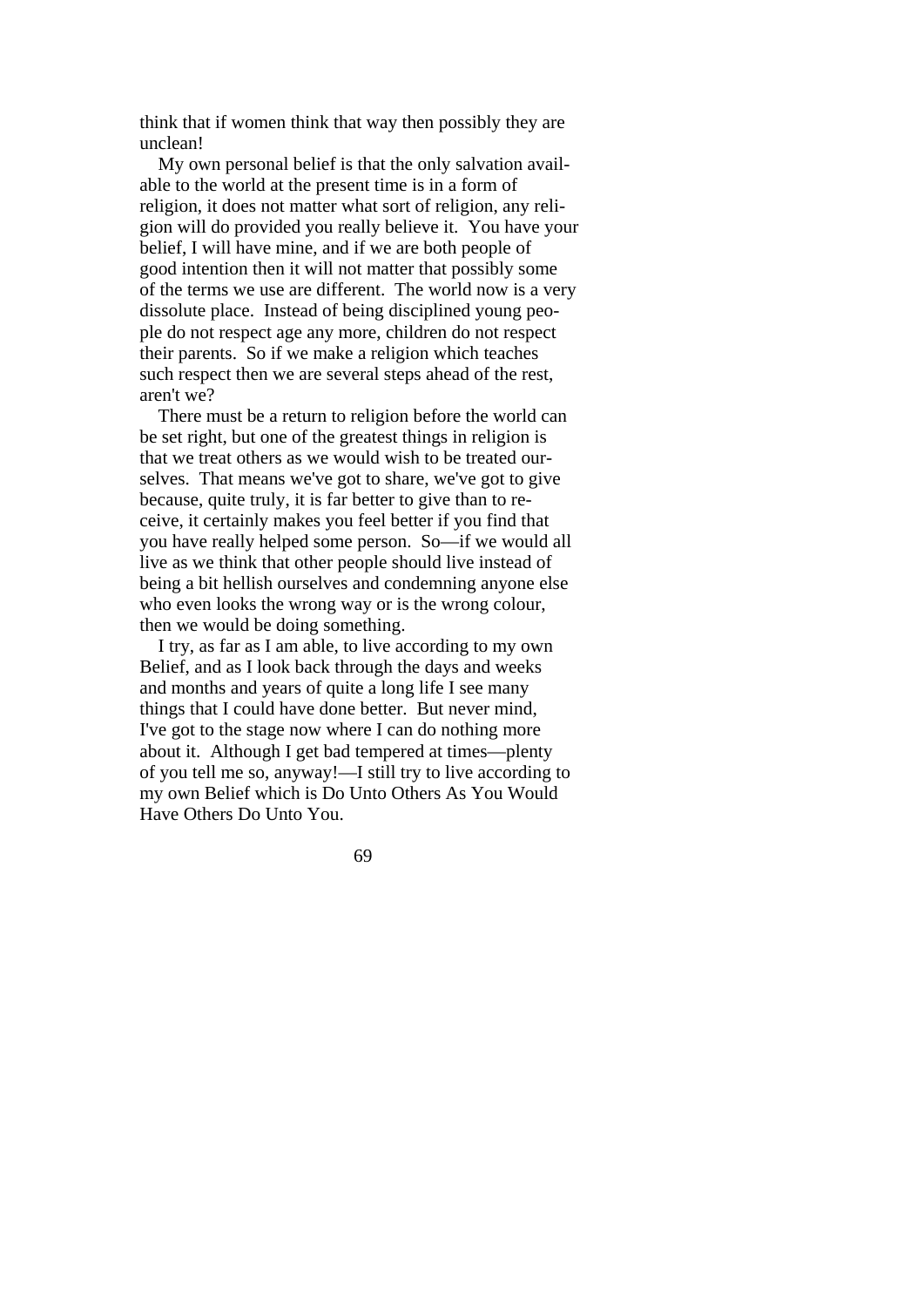think that if women think that way then possibly they are unclean!

 My own personal belief is that the only salvation available to the world at the present time is in a form of religion, it does not matter what sort of religion, any religion will do provided you really believe it. You have your belief, I will have mine, and if we are both people of good intention then it will not matter that possibly some of the terms we use are different. The world now is a very dissolute place. Instead of being disciplined young people do not respect age any more, children do not respect their parents. So if we make a religion which teaches such respect then we are several steps ahead of the rest, aren't we?

 There must be a return to religion before the world can be set right, but one of the greatest things in religion is that we treat others as we would wish to be treated ourselves. That means we've got to share, we've got to give because, quite truly, it is far better to give than to receive, it certainly makes you feel better if you find that you have really helped some person. So—if we would all live as we think that other people should live instead of being a bit hellish ourselves and condemning anyone else who even looks the wrong way or is the wrong colour, then we would be doing something.

 I try, as far as I am able, to live according to my own Belief, and as I look back through the days and weeks and months and years of quite a long life I see many things that I could have done better. But never mind, I've got to the stage now where I can do nothing more about it. Although I get bad tempered at times—plenty of you tell me so, anyway!—I still try to live according to my own Belief which is Do Unto Others As You Would Have Others Do Unto You.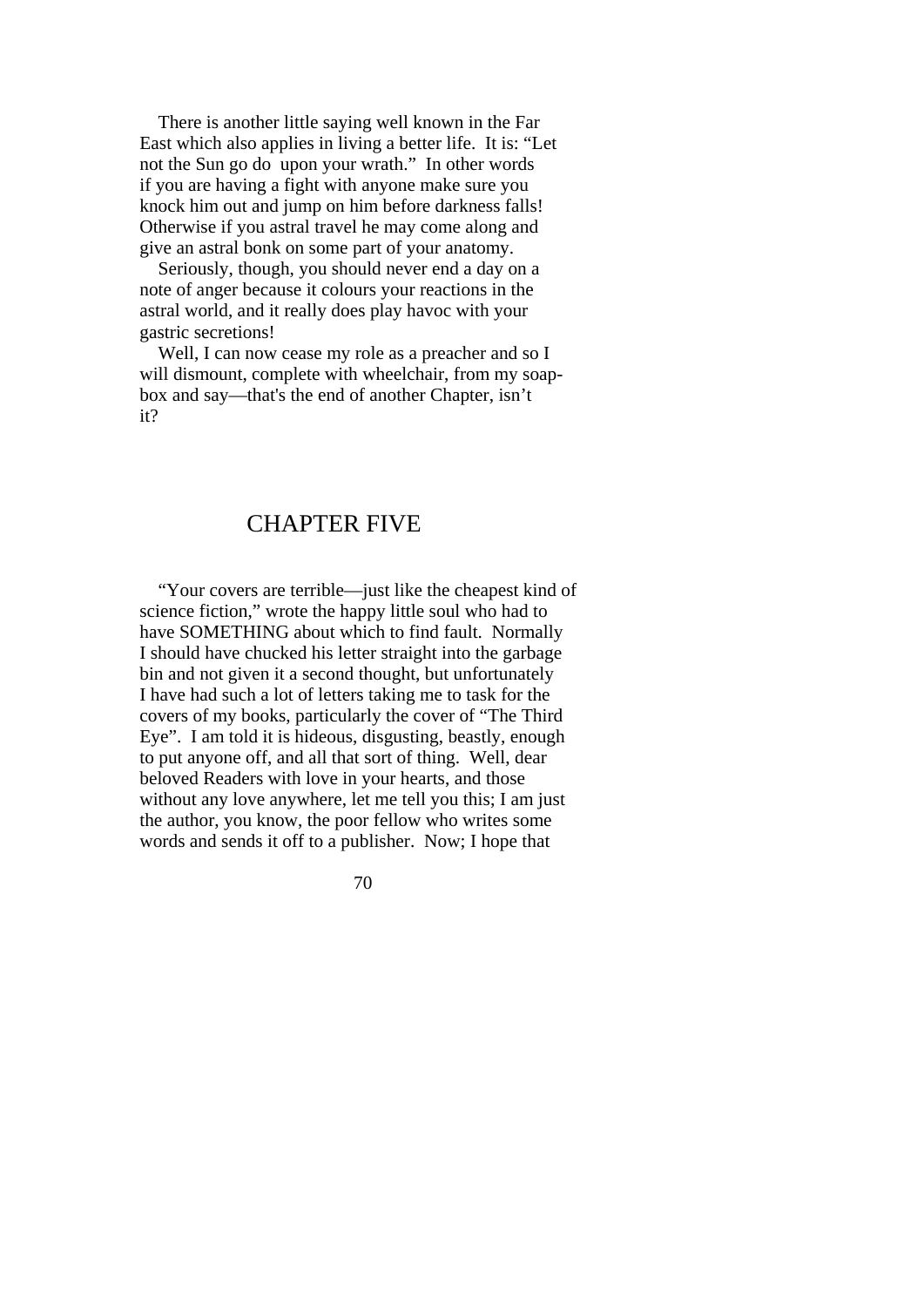There is another little saying well known in the Far East which also applies in living a better life. It is: "Let not the Sun go do upon your wrath." In other words if you are having a fight with anyone make sure you knock him out and jump on him before darkness falls! Otherwise if you astral travel he may come along and give an astral bonk on some part of your anatomy.

 Seriously, though, you should never end a day on a note of anger because it colours your reactions in the astral world, and it really does play havoc with your gastric secretions!

 Well, I can now cease my role as a preacher and so I will dismount, complete with wheelchair, from my soapbox and say—that's the end of another Chapter, isn't it?

## CHAPTER FIVE

 "Your covers are terrible—just like the cheapest kind of science fiction," wrote the happy little soul who had to have SOMETHING about which to find fault. Normally I should have chucked his letter straight into the garbage bin and not given it a second thought, but unfortunately I have had such a lot of letters taking me to task for the covers of my books, particularly the cover of "The Third Eye". I am told it is hideous, disgusting, beastly, enough to put anyone off, and all that sort of thing. Well, dear beloved Readers with love in your hearts, and those without any love anywhere, let me tell you this; I am just the author, you know, the poor fellow who writes some words and sends it off to a publisher. Now; I hope that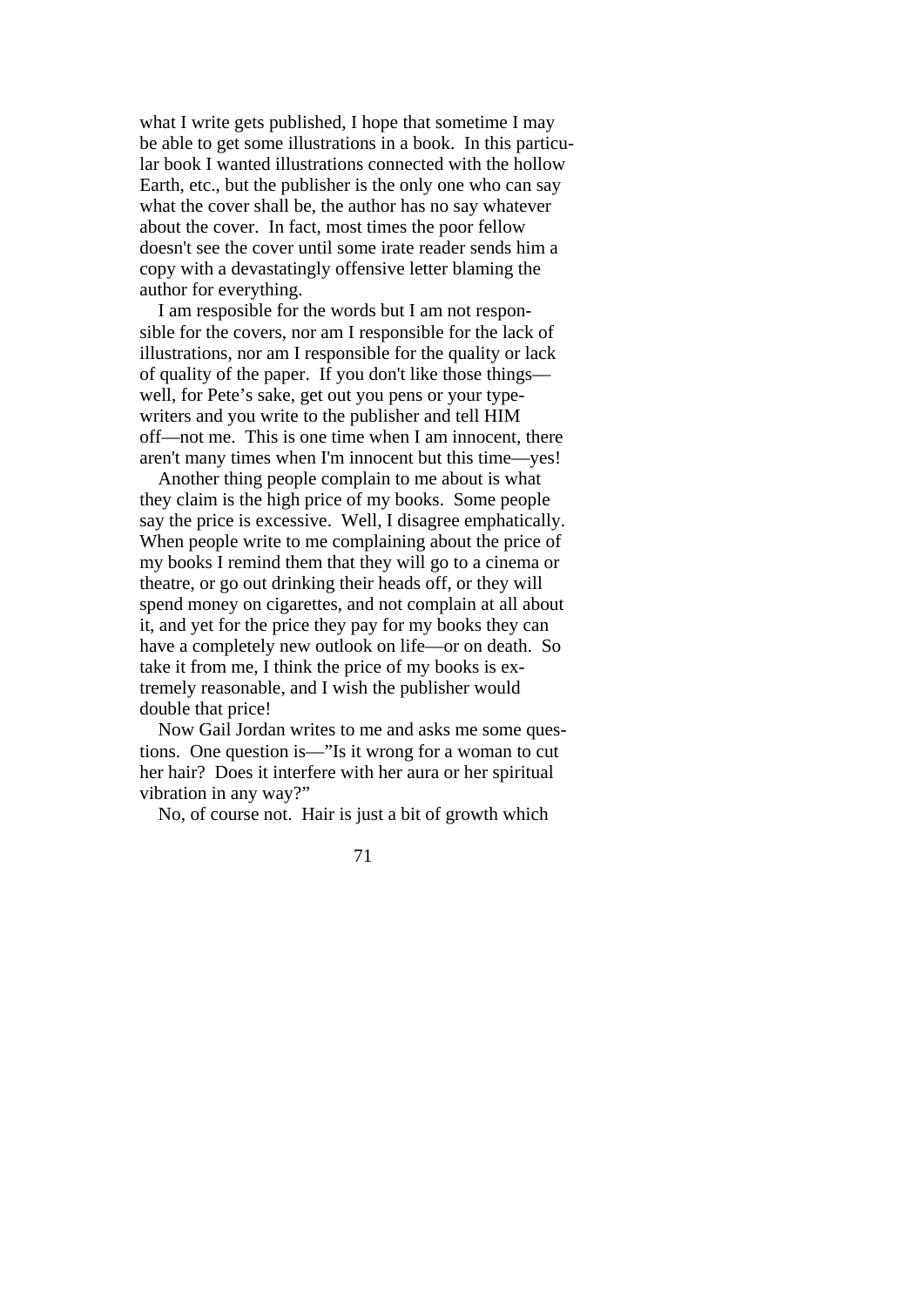what I write gets published, I hope that sometime I may be able to get some illustrations in a book. In this particular book I wanted illustrations connected with the hollow Earth, etc., but the publisher is the only one who can say what the cover shall be, the author has no say whatever about the cover. In fact, most times the poor fellow doesn't see the cover until some irate reader sends him a copy with a devastatingly offensive letter blaming the author for everything.

 I am resposible for the words but I am not responsible for the covers, nor am I responsible for the lack of illustrations, nor am I responsible for the quality or lack of quality of the paper. If you don't like those things well, for Pete's sake, get out you pens or your typewriters and you write to the publisher and tell HIM off—not me. This is one time when I am innocent, there aren't many times when I'm innocent but this time—yes!

 Another thing people complain to me about is what they claim is the high price of my books. Some people say the price is excessive. Well, I disagree emphatically. When people write to me complaining about the price of my books I remind them that they will go to a cinema or theatre, or go out drinking their heads off, or they will spend money on cigarettes, and not complain at all about it, and yet for the price they pay for my books they can have a completely new outlook on life—or on death. So take it from me, I think the price of my books is extremely reasonable, and I wish the publisher would double that price!

 Now Gail Jordan writes to me and asks me some questions. One question is—"Is it wrong for a woman to cut her hair? Does it interfere with her aura or her spiritual vibration in any way?"

No, of course not. Hair is just a bit of growth which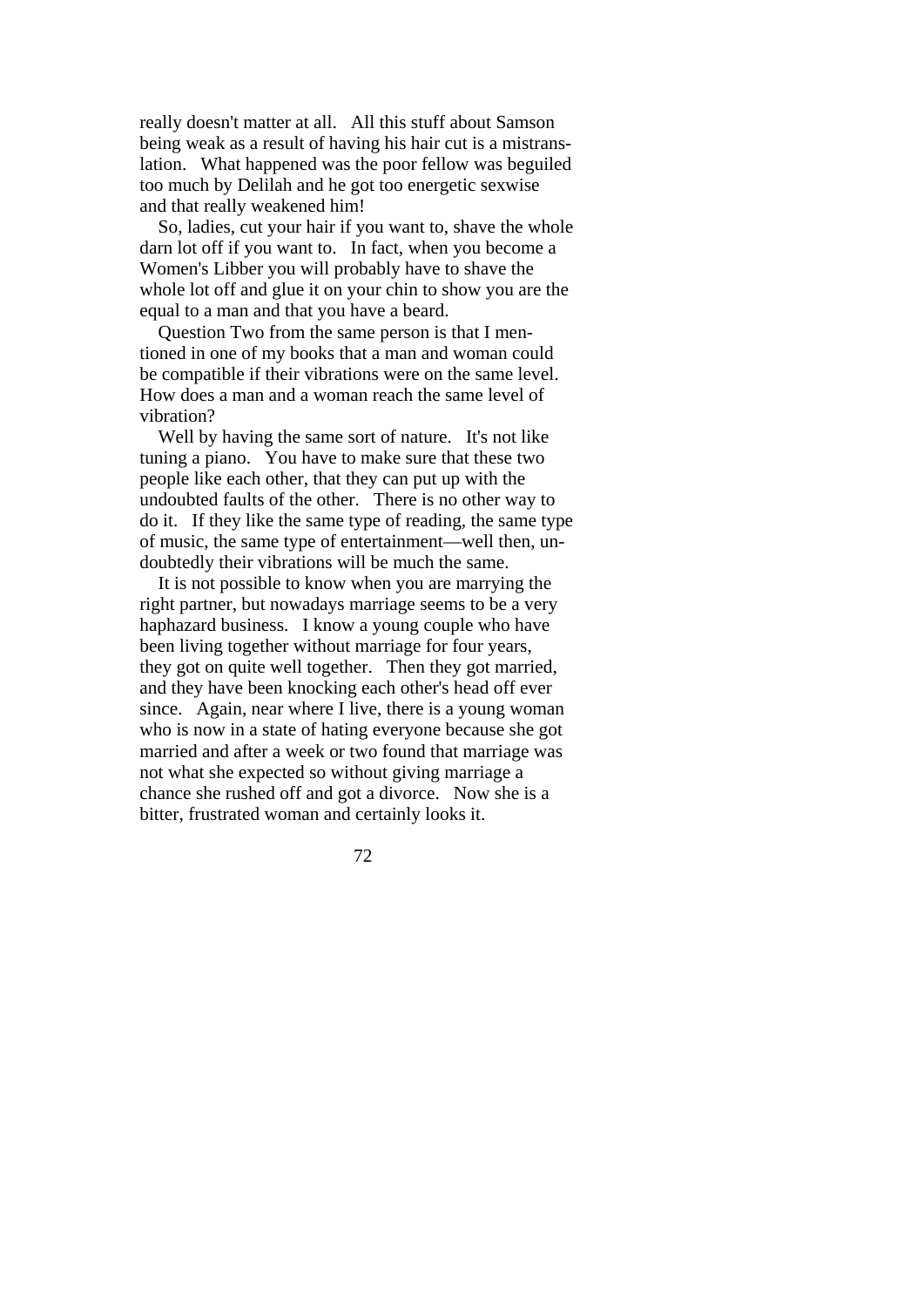really doesn't matter at all. All this stuff about Samson being weak as a result of having his hair cut is a mistranslation. What happened was the poor fellow was beguiled too much by Delilah and he got too energetic sexwise and that really weakened him!

 So, ladies, cut your hair if you want to, shave the whole darn lot off if you want to. In fact, when you become a Women's Libber you will probably have to shave the whole lot off and glue it on your chin to show you are the equal to a man and that you have a beard.

 Question Two from the same person is that I mentioned in one of my books that a man and woman could be compatible if their vibrations were on the same level. How does a man and a woman reach the same level of vibration?

 Well by having the same sort of nature. It's not like tuning a piano. You have to make sure that these two people like each other, that they can put up with the undoubted faults of the other. There is no other way to do it. If they like the same type of reading, the same type of music, the same type of entertainment—well then, undoubtedly their vibrations will be much the same.

 It is not possible to know when you are marrying the right partner, but nowadays marriage seems to be a very haphazard business. I know a young couple who have been living together without marriage for four years, they got on quite well together. Then they got married, and they have been knocking each other's head off ever since. Again, near where I live, there is a young woman who is now in a state of hating everyone because she got married and after a week or two found that marriage was not what she expected so without giving marriage a chance she rushed off and got a divorce. Now she is a bitter, frustrated woman and certainly looks it.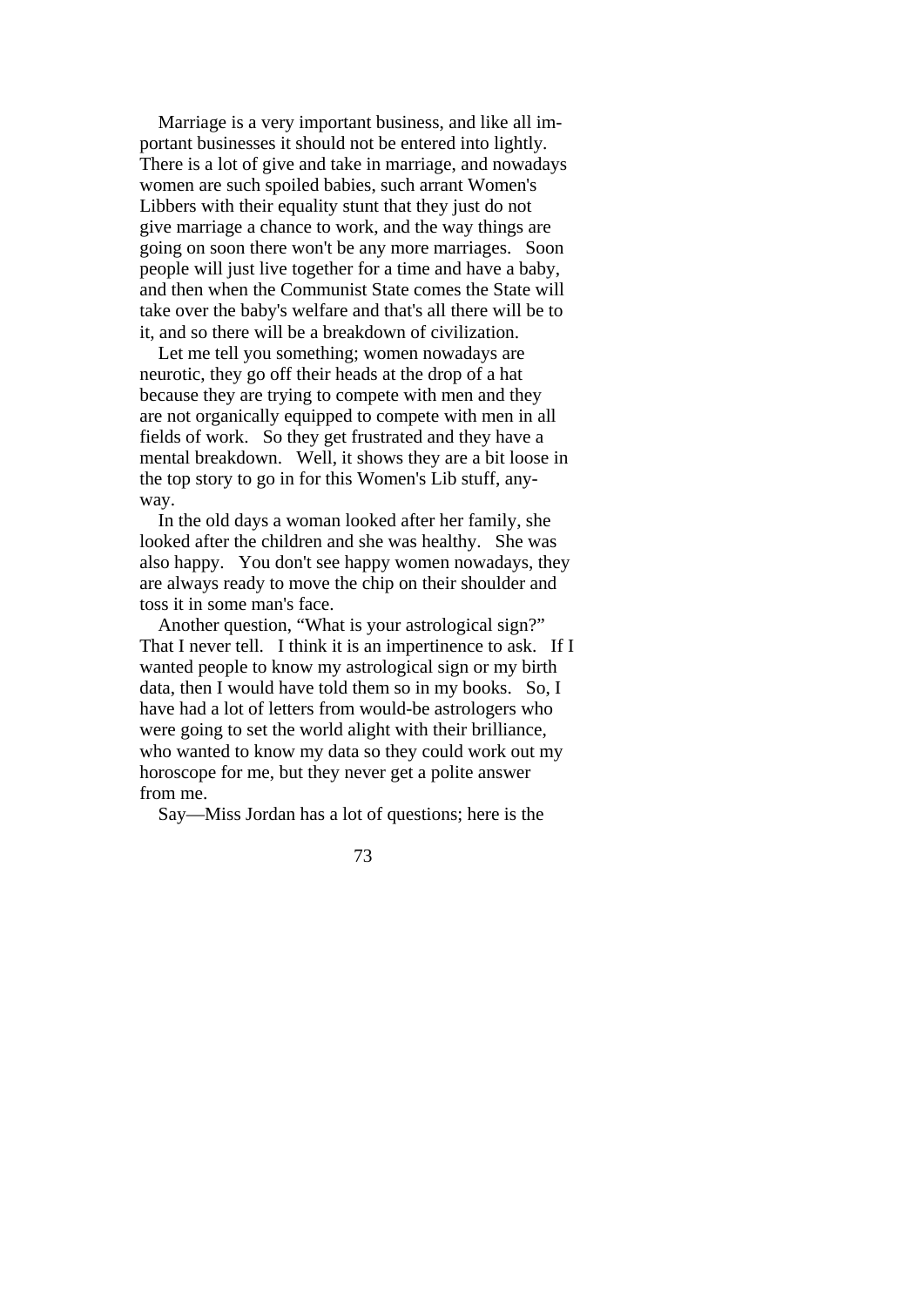Marriage is a very important business, and like all important businesses it should not be entered into lightly. There is a lot of give and take in marriage, and nowadays women are such spoiled babies, such arrant Women's Libbers with their equality stunt that they just do not give marriage a chance to work, and the way things are going on soon there won't be any more marriages. Soon people will just live together for a time and have a baby, and then when the Communist State comes the State will take over the baby's welfare and that's all there will be to it, and so there will be a breakdown of civilization.

 Let me tell you something; women nowadays are neurotic, they go off their heads at the drop of a hat because they are trying to compete with men and they are not organically equipped to compete with men in all fields of work. So they get frustrated and they have a mental breakdown. Well, it shows they are a bit loose in the top story to go in for this Women's Lib stuff, anyway.

 In the old days a woman looked after her family, she looked after the children and she was healthy. She was also happy. You don't see happy women nowadays, they are always ready to move the chip on their shoulder and toss it in some man's face.

 Another question, "What is your astrological sign?" That I never tell. I think it is an impertinence to ask. If I wanted people to know my astrological sign or my birth data, then I would have told them so in my books. So, I have had a lot of letters from would-be astrologers who were going to set the world alight with their brilliance, who wanted to know my data so they could work out my horoscope for me, but they never get a polite answer from me.

Say—Miss Jordan has a lot of questions; here is the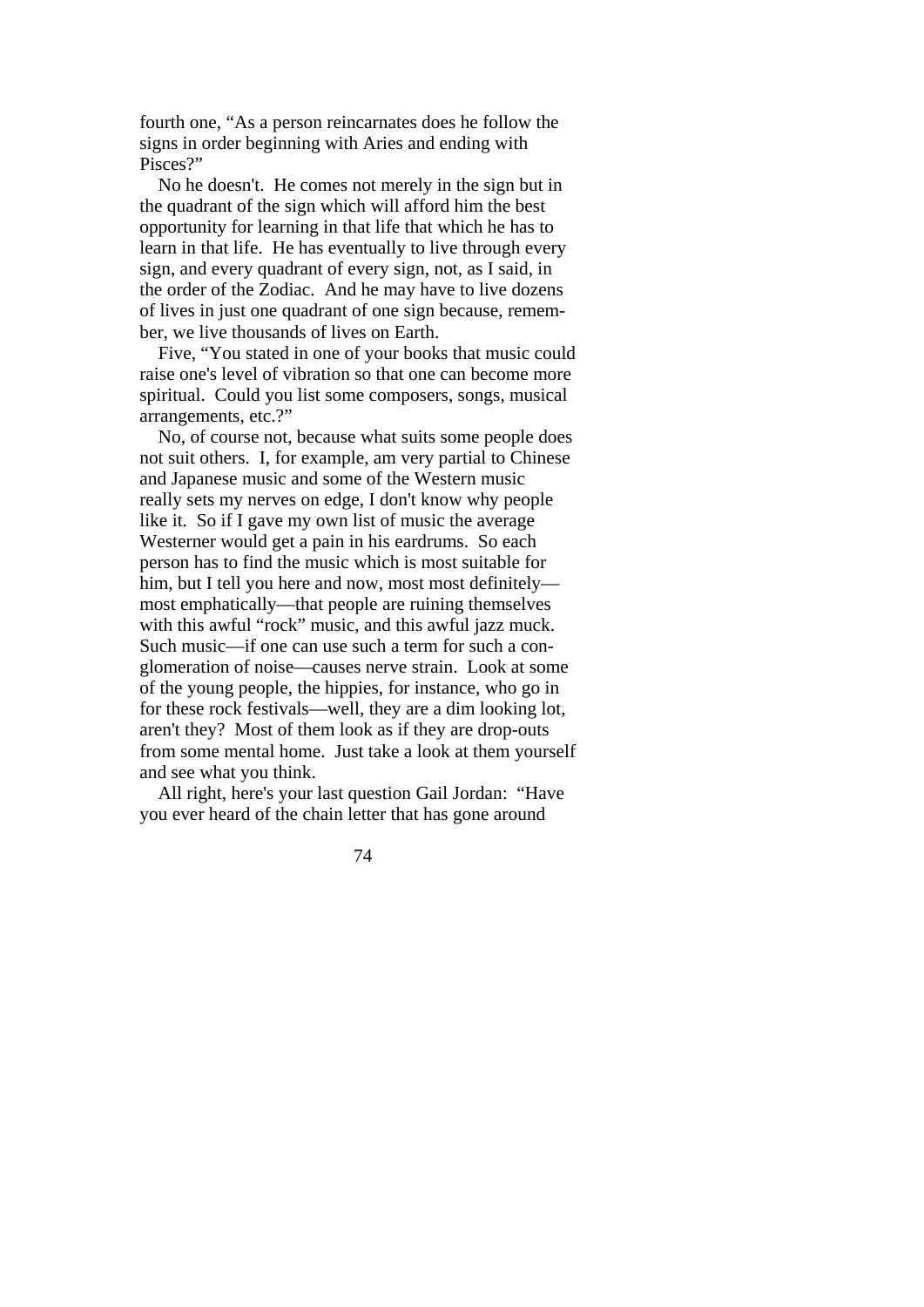fourth one, "As a person reincarnates does he follow the signs in order beginning with Aries and ending with Pisces?"

 No he doesn't. He comes not merely in the sign but in the quadrant of the sign which will afford him the best opportunity for learning in that life that which he has to learn in that life. He has eventually to live through every sign, and every quadrant of every sign, not, as I said, in the order of the Zodiac. And he may have to live dozens of lives in just one quadrant of one sign because, remember, we live thousands of lives on Earth.

 Five, "You stated in one of your books that music could raise one's level of vibration so that one can become more spiritual. Could you list some composers, songs, musical arrangements, etc.?"

 No, of course not, because what suits some people does not suit others. I, for example, am very partial to Chinese and Japanese music and some of the Western music really sets my nerves on edge, I don't know why people like it. So if I gave my own list of music the average Westerner would get a pain in his eardrums. So each person has to find the music which is most suitable for him, but I tell you here and now, most most definitely most emphatically—that people are ruining themselves with this awful "rock" music, and this awful jazz muck. Such music—if one can use such a term for such a conglomeration of noise—causes nerve strain. Look at some of the young people, the hippies, for instance, who go in for these rock festivals—well, they are a dim looking lot, aren't they? Most of them look as if they are drop-outs from some mental home. Just take a look at them yourself and see what you think.

 All right, here's your last question Gail Jordan: "Have you ever heard of the chain letter that has gone around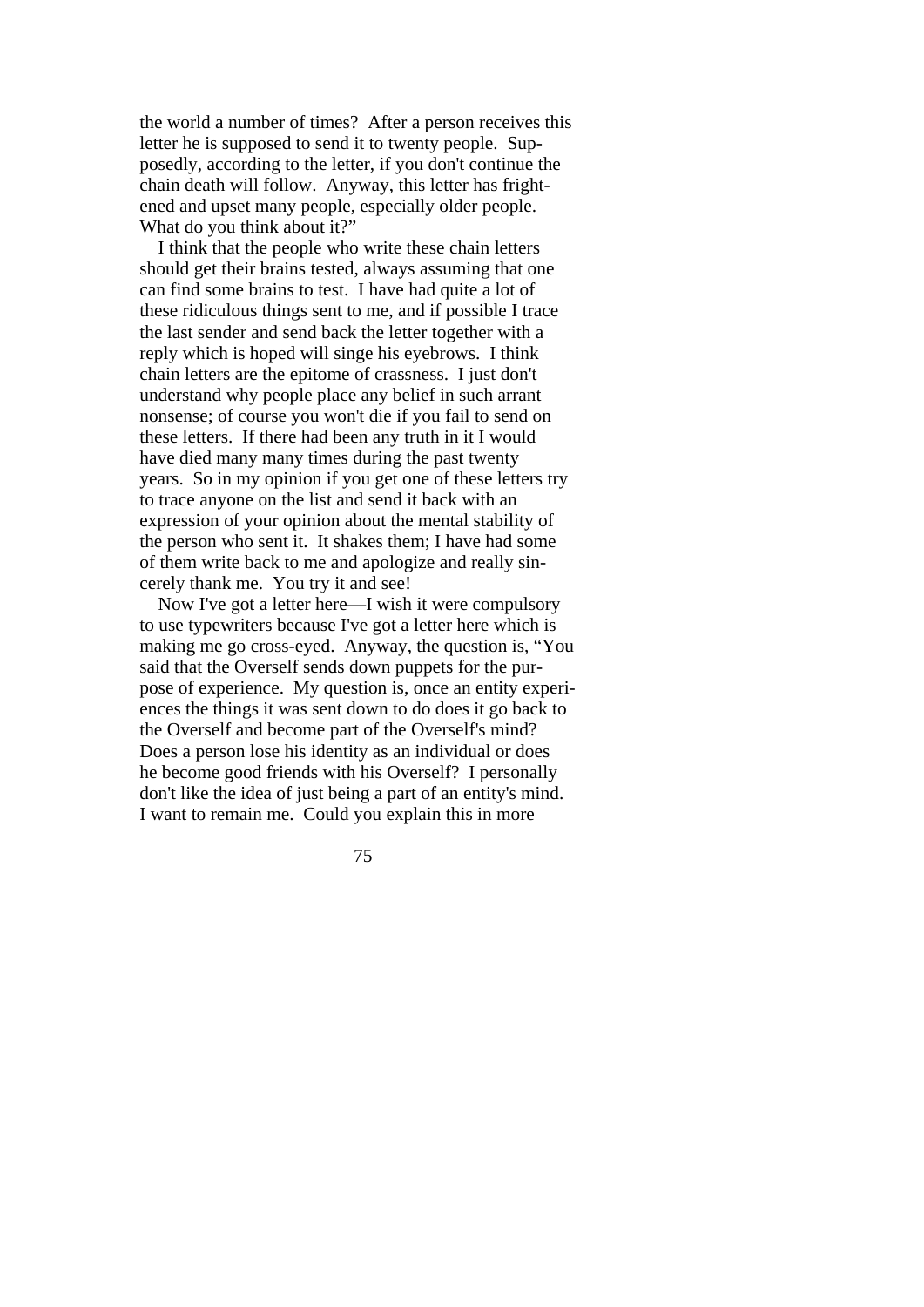the world a number of times? After a person receives this letter he is supposed to send it to twenty people. Supposedly, according to the letter, if you don't continue the chain death will follow. Anyway, this letter has frightened and upset many people, especially older people. What do you think about it?"

 I think that the people who write these chain letters should get their brains tested, always assuming that one can find some brains to test. I have had quite a lot of these ridiculous things sent to me, and if possible I trace the last sender and send back the letter together with a reply which is hoped will singe his eyebrows. I think chain letters are the epitome of crassness. I just don't understand why people place any belief in such arrant nonsense; of course you won't die if you fail to send on these letters. If there had been any truth in it I would have died many many times during the past twenty years. So in my opinion if you get one of these letters try to trace anyone on the list and send it back with an expression of your opinion about the mental stability of the person who sent it. It shakes them; I have had some of them write back to me and apologize and really sincerely thank me. You try it and see!

 Now I've got a letter here—I wish it were compulsory to use typewriters because I've got a letter here which is making me go cross-eyed. Anyway, the question is, "You said that the Overself sends down puppets for the purpose of experience. My question is, once an entity experiences the things it was sent down to do does it go back to the Overself and become part of the Overself's mind? Does a person lose his identity as an individual or does he become good friends with his Overself? I personally don't like the idea of just being a part of an entity's mind. I want to remain me. Could you explain this in more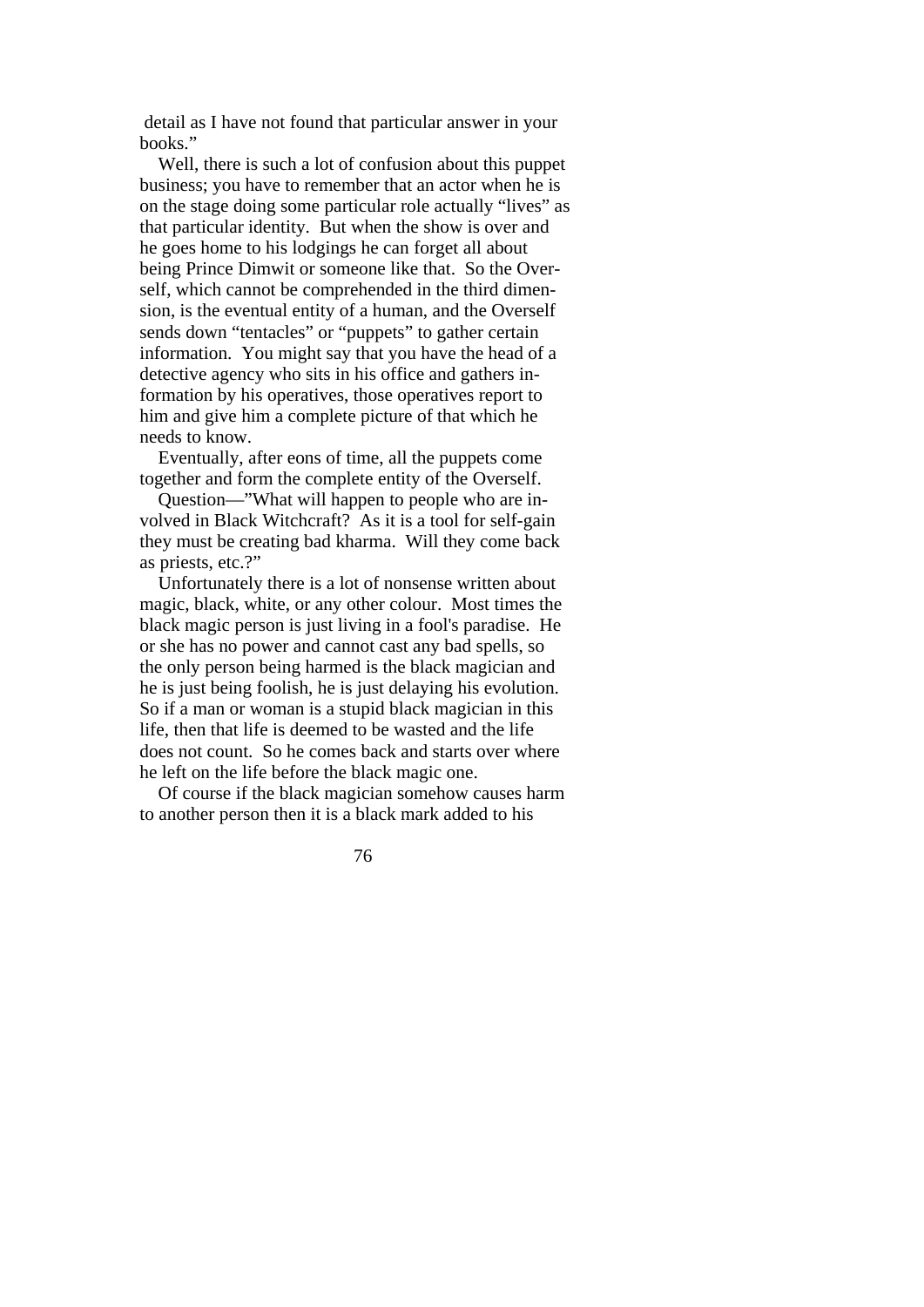detail as I have not found that particular answer in your books."

 Well, there is such a lot of confusion about this puppet business; you have to remember that an actor when he is on the stage doing some particular role actually "lives" as that particular identity. But when the show is over and he goes home to his lodgings he can forget all about being Prince Dimwit or someone like that. So the Overself, which cannot be comprehended in the third dimension, is the eventual entity of a human, and the Overself sends down "tentacles" or "puppets" to gather certain information. You might say that you have the head of a detective agency who sits in his office and gathers information by his operatives, those operatives report to him and give him a complete picture of that which he needs to know.

 Eventually, after eons of time, all the puppets come together and form the complete entity of the Overself.

 Question—"What will happen to people who are involved in Black Witchcraft? As it is a tool for self-gain they must be creating bad kharma. Will they come back as priests, etc.?"

 Unfortunately there is a lot of nonsense written about magic, black, white, or any other colour. Most times the black magic person is just living in a fool's paradise. He or she has no power and cannot cast any bad spells, so the only person being harmed is the black magician and he is just being foolish, he is just delaying his evolution. So if a man or woman is a stupid black magician in this life, then that life is deemed to be wasted and the life does not count. So he comes back and starts over where he left on the life before the black magic one.

 Of course if the black magician somehow causes harm to another person then it is a black mark added to his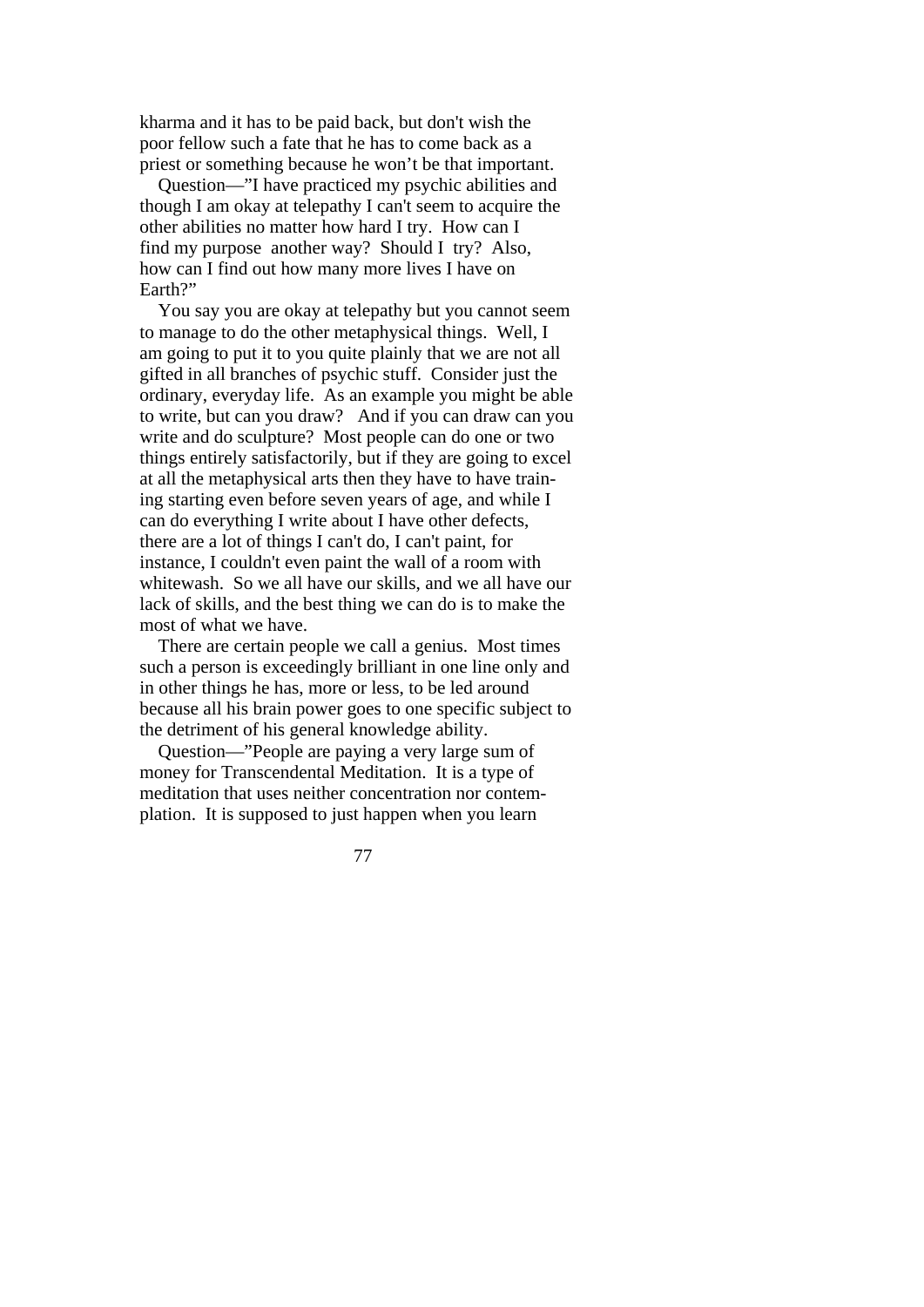kharma and it has to be paid back, but don't wish the poor fellow such a fate that he has to come back as a priest or something because he won't be that important.

 Question—"I have practiced my psychic abilities and though I am okay at telepathy I can't seem to acquire the other abilities no matter how hard I try. How can I find my purpose another way? Should I try? Also, how can I find out how many more lives I have on Earth?"

 You say you are okay at telepathy but you cannot seem to manage to do the other metaphysical things. Well, I am going to put it to you quite plainly that we are not all gifted in all branches of psychic stuff. Consider just the ordinary, everyday life. As an example you might be able to write, but can you draw? And if you can draw can you write and do sculpture? Most people can do one or two things entirely satisfactorily, but if they are going to excel at all the metaphysical arts then they have to have training starting even before seven years of age, and while I can do everything I write about I have other defects, there are a lot of things I can't do, I can't paint, for instance, I couldn't even paint the wall of a room with whitewash. So we all have our skills, and we all have our lack of skills, and the best thing we can do is to make the most of what we have.

 There are certain people we call a genius. Most times such a person is exceedingly brilliant in one line only and in other things he has, more or less, to be led around because all his brain power goes to one specific subject to the detriment of his general knowledge ability.

 Question—"People are paying a very large sum of money for Transcendental Meditation. It is a type of meditation that uses neither concentration nor contemplation. It is supposed to just happen when you learn

77 (1992) 1994 (1994) 1995 (1996) 1997 (1998) 1998 (1998) 1998 (1998) 1998 (1998) 1998 (1998) 1998 (1998) 199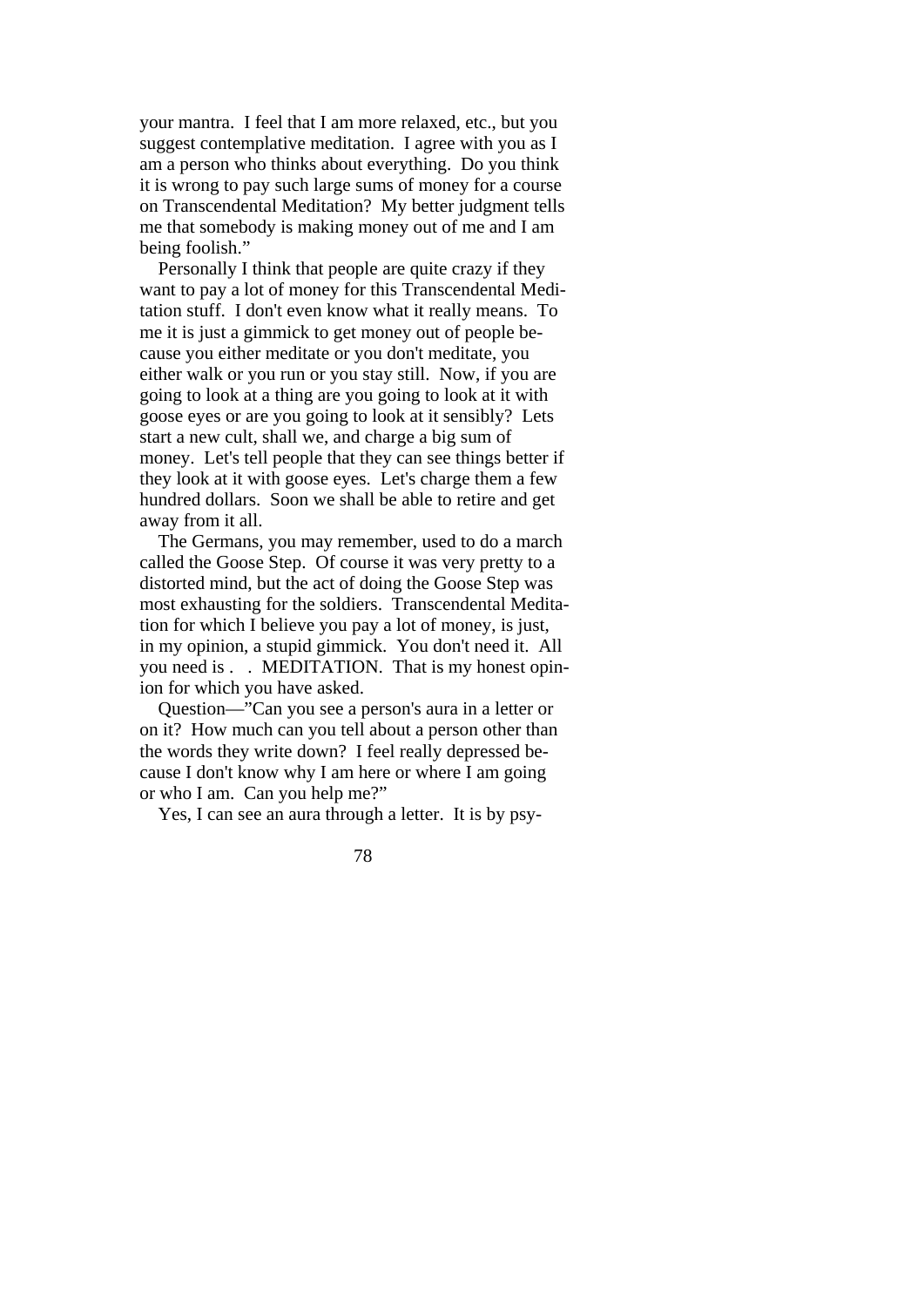your mantra. I feel that I am more relaxed, etc., but you suggest contemplative meditation. I agree with you as I am a person who thinks about everything. Do you think it is wrong to pay such large sums of money for a course on Transcendental Meditation? My better judgment tells me that somebody is making money out of me and I am being foolish."

 Personally I think that people are quite crazy if they want to pay a lot of money for this Transcendental Meditation stuff. I don't even know what it really means. To me it is just a gimmick to get money out of people because you either meditate or you don't meditate, you either walk or you run or you stay still. Now, if you are going to look at a thing are you going to look at it with goose eyes or are you going to look at it sensibly? Lets start a new cult, shall we, and charge a big sum of money. Let's tell people that they can see things better if they look at it with goose eyes. Let's charge them a few hundred dollars. Soon we shall be able to retire and get away from it all.

 The Germans, you may remember, used to do a march called the Goose Step. Of course it was very pretty to a distorted mind, but the act of doing the Goose Step was most exhausting for the soldiers. Transcendental Meditation for which I believe you pay a lot of money, is just, in my opinion, a stupid gimmick. You don't need it. All you need is . . MEDITATION. That is my honest opinion for which you have asked.

 Question—"Can you see a person's aura in a letter or on it? How much can you tell about a person other than the words they write down? I feel really depressed because I don't know why I am here or where I am going or who I am. Can you help me?"

Yes, I can see an aura through a letter. It is by psy-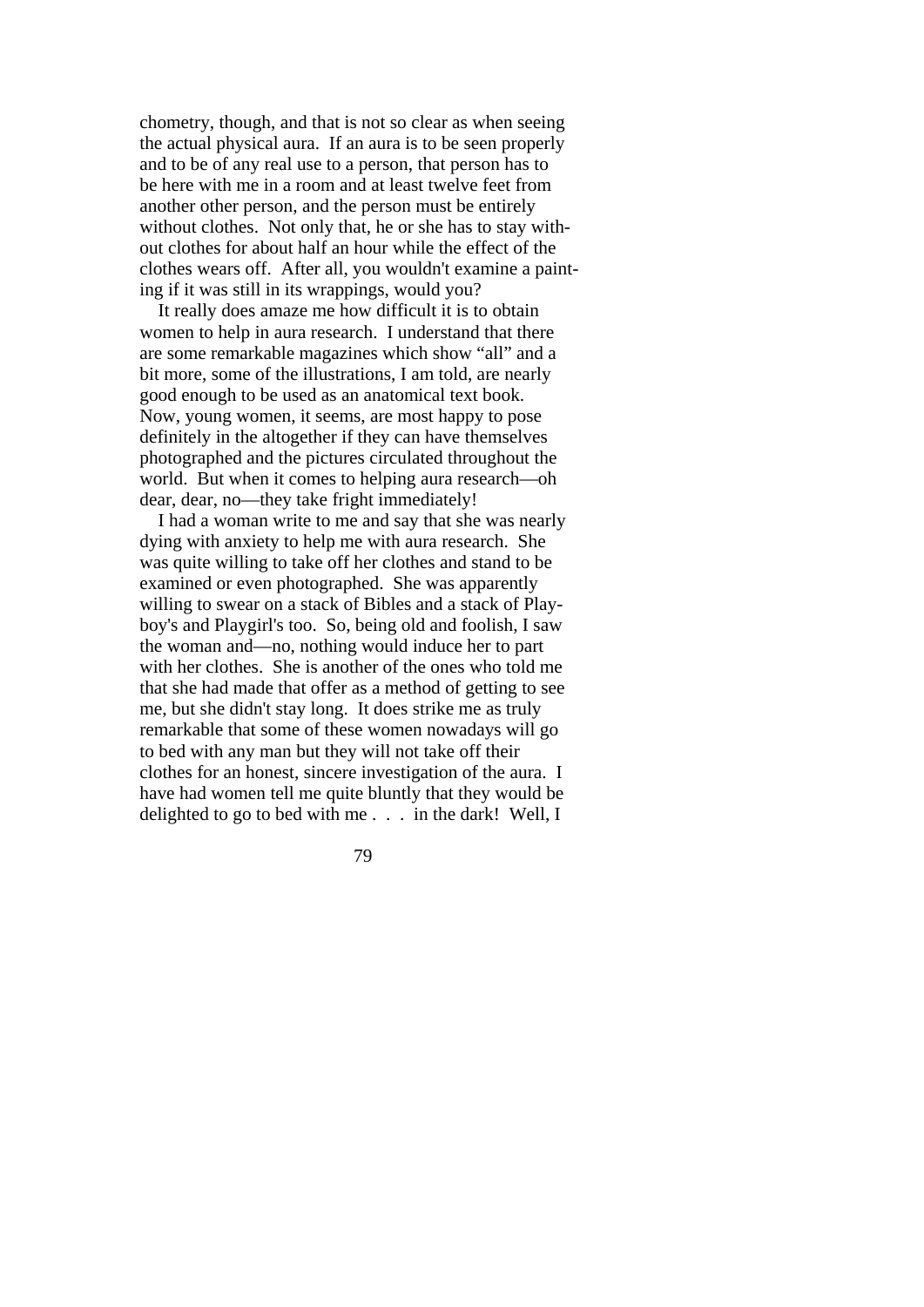chometry, though, and that is not so clear as when seeing the actual physical aura. If an aura is to be seen properly and to be of any real use to a person, that person has to be here with me in a room and at least twelve feet from another other person, and the person must be entirely without clothes. Not only that, he or she has to stay without clothes for about half an hour while the effect of the clothes wears off. After all, you wouldn't examine a painting if it was still in its wrappings, would you?

 It really does amaze me how difficult it is to obtain women to help in aura research. I understand that there are some remarkable magazines which show "all" and a bit more, some of the illustrations, I am told, are nearly good enough to be used as an anatomical text book. Now, young women, it seems, are most happy to pose definitely in the altogether if they can have themselves photographed and the pictures circulated throughout the world. But when it comes to helping aura research—oh dear, dear, no—they take fright immediately!

 I had a woman write to me and say that she was nearly dying with anxiety to help me with aura research. She was quite willing to take off her clothes and stand to be examined or even photographed. She was apparently willing to swear on a stack of Bibles and a stack of Playboy's and Playgirl's too. So, being old and foolish, I saw the woman and—no, nothing would induce her to part with her clothes. She is another of the ones who told me that she had made that offer as a method of getting to see me, but she didn't stay long. It does strike me as truly remarkable that some of these women nowadays will go to bed with any man but they will not take off their clothes for an honest, sincere investigation of the aura. I have had women tell me quite bluntly that they would be delighted to go to bed with me . . . in the dark! Well, I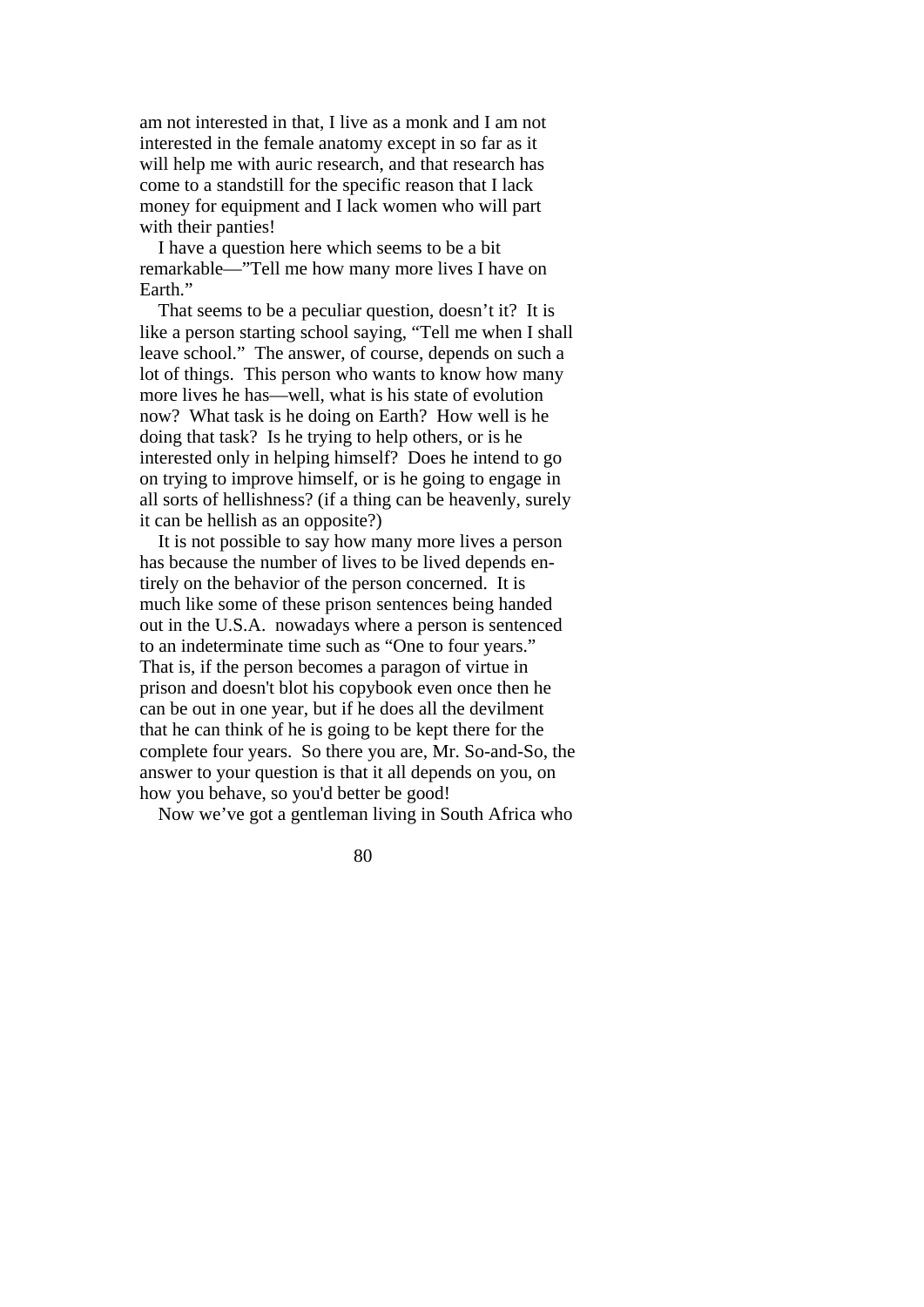am not interested in that, I live as a monk and I am not interested in the female anatomy except in so far as it will help me with auric research, and that research has come to a standstill for the specific reason that I lack money for equipment and I lack women who will part with their panties!

 I have a question here which seems to be a bit remarkable—"Tell me how many more lives I have on Earth<sup>"</sup>

 That seems to be a peculiar question, doesn't it? It is like a person starting school saying, "Tell me when I shall leave school." The answer, of course, depends on such a lot of things. This person who wants to know how many more lives he has—well, what is his state of evolution now? What task is he doing on Earth? How well is he doing that task? Is he trying to help others, or is he interested only in helping himself? Does he intend to go on trying to improve himself, or is he going to engage in all sorts of hellishness? (if a thing can be heavenly, surely it can be hellish as an opposite?)

 It is not possible to say how many more lives a person has because the number of lives to be lived depends entirely on the behavior of the person concerned. It is much like some of these prison sentences being handed out in the U.S.A. nowadays where a person is sentenced to an indeterminate time such as "One to four years." That is, if the person becomes a paragon of virtue in prison and doesn't blot his copybook even once then he can be out in one year, but if he does all the devilment that he can think of he is going to be kept there for the complete four years. So there you are, Mr. So-and-So, the answer to your question is that it all depends on you, on how you behave, so you'd better be good!

Now we've got a gentleman living in South Africa who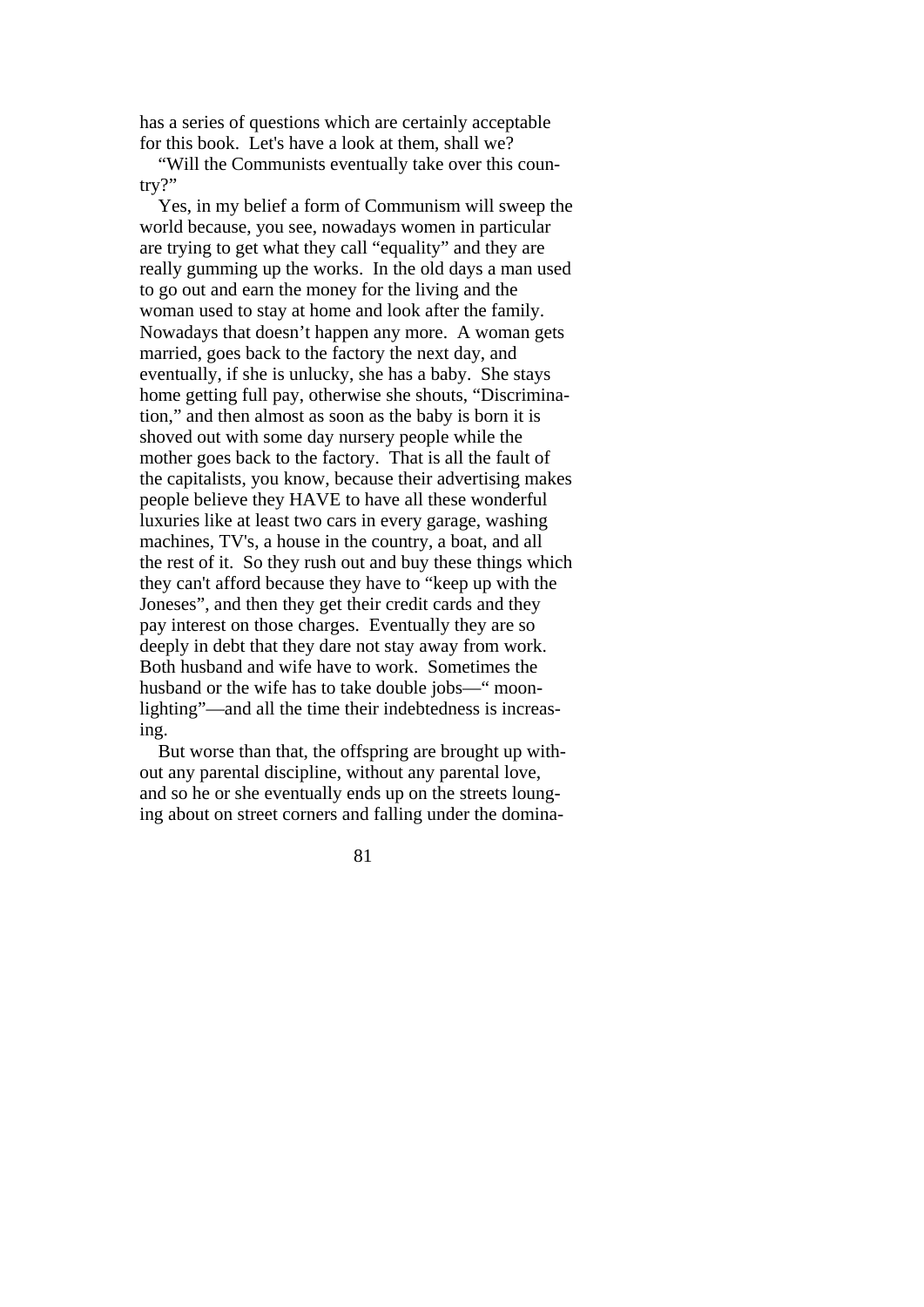has a series of questions which are certainly acceptable for this book. Let's have a look at them, shall we?

 "Will the Communists eventually take over this country?"

 Yes, in my belief a form of Communism will sweep the world because, you see, nowadays women in particular are trying to get what they call "equality" and they are really gumming up the works. In the old days a man used to go out and earn the money for the living and the woman used to stay at home and look after the family. Nowadays that doesn't happen any more. A woman gets married, goes back to the factory the next day, and eventually, if she is unlucky, she has a baby. She stays home getting full pay, otherwise she shouts, "Discrimination," and then almost as soon as the baby is born it is shoved out with some day nursery people while the mother goes back to the factory. That is all the fault of the capitalists, you know, because their advertising makes people believe they HAVE to have all these wonderful luxuries like at least two cars in every garage, washing machines, TV's, a house in the country, a boat, and all the rest of it. So they rush out and buy these things which they can't afford because they have to "keep up with the Joneses", and then they get their credit cards and they pay interest on those charges. Eventually they are so deeply in debt that they dare not stay away from work. Both husband and wife have to work. Sometimes the husband or the wife has to take double jobs—" moonlighting"—and all the time their indebtedness is increasing.

 But worse than that, the offspring are brought up without any parental discipline, without any parental love, and so he or she eventually ends up on the streets lounging about on street corners and falling under the domina-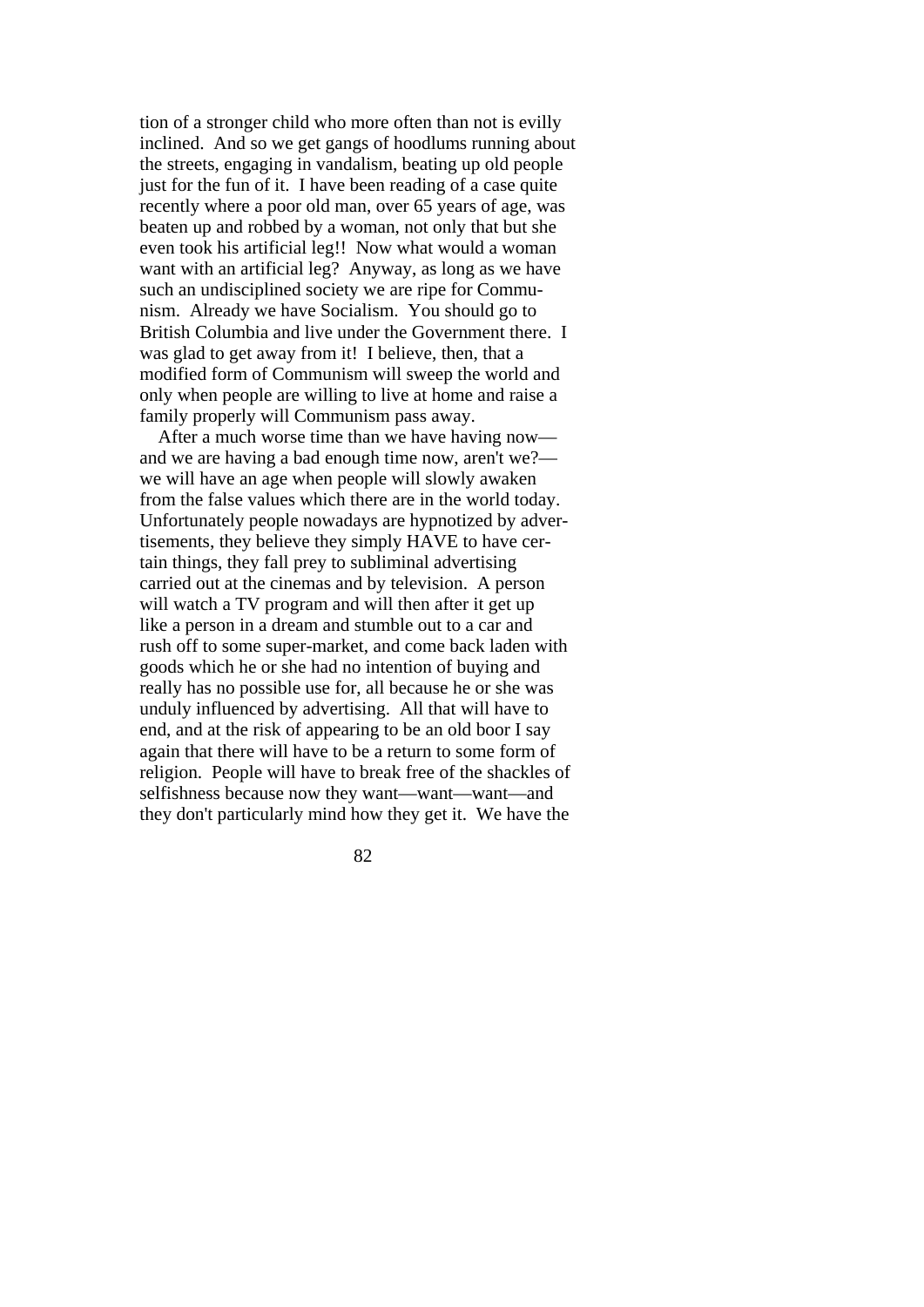tion of a stronger child who more often than not is evilly inclined. And so we get gangs of hoodlums running about the streets, engaging in vandalism, beating up old people just for the fun of it. I have been reading of a case quite recently where a poor old man, over 65 years of age, was beaten up and robbed by a woman, not only that but she even took his artificial leg!! Now what would a woman want with an artificial leg? Anyway, as long as we have such an undisciplined society we are ripe for Communism. Already we have Socialism. You should go to British Columbia and live under the Government there. I was glad to get away from it! I believe, then, that a modified form of Communism will sweep the world and only when people are willing to live at home and raise a family properly will Communism pass away.

 After a much worse time than we have having now and we are having a bad enough time now, aren't we? we will have an age when people will slowly awaken from the false values which there are in the world today. Unfortunately people nowadays are hypnotized by advertisements, they believe they simply HAVE to have certain things, they fall prey to subliminal advertising carried out at the cinemas and by television. A person will watch a TV program and will then after it get up like a person in a dream and stumble out to a car and rush off to some super-market, and come back laden with goods which he or she had no intention of buying and really has no possible use for, all because he or she was unduly influenced by advertising. All that will have to end, and at the risk of appearing to be an old boor I say again that there will have to be a return to some form of religion. People will have to break free of the shackles of selfishness because now they want—want—want—and they don't particularly mind how they get it. We have the

82 and 2012 and 32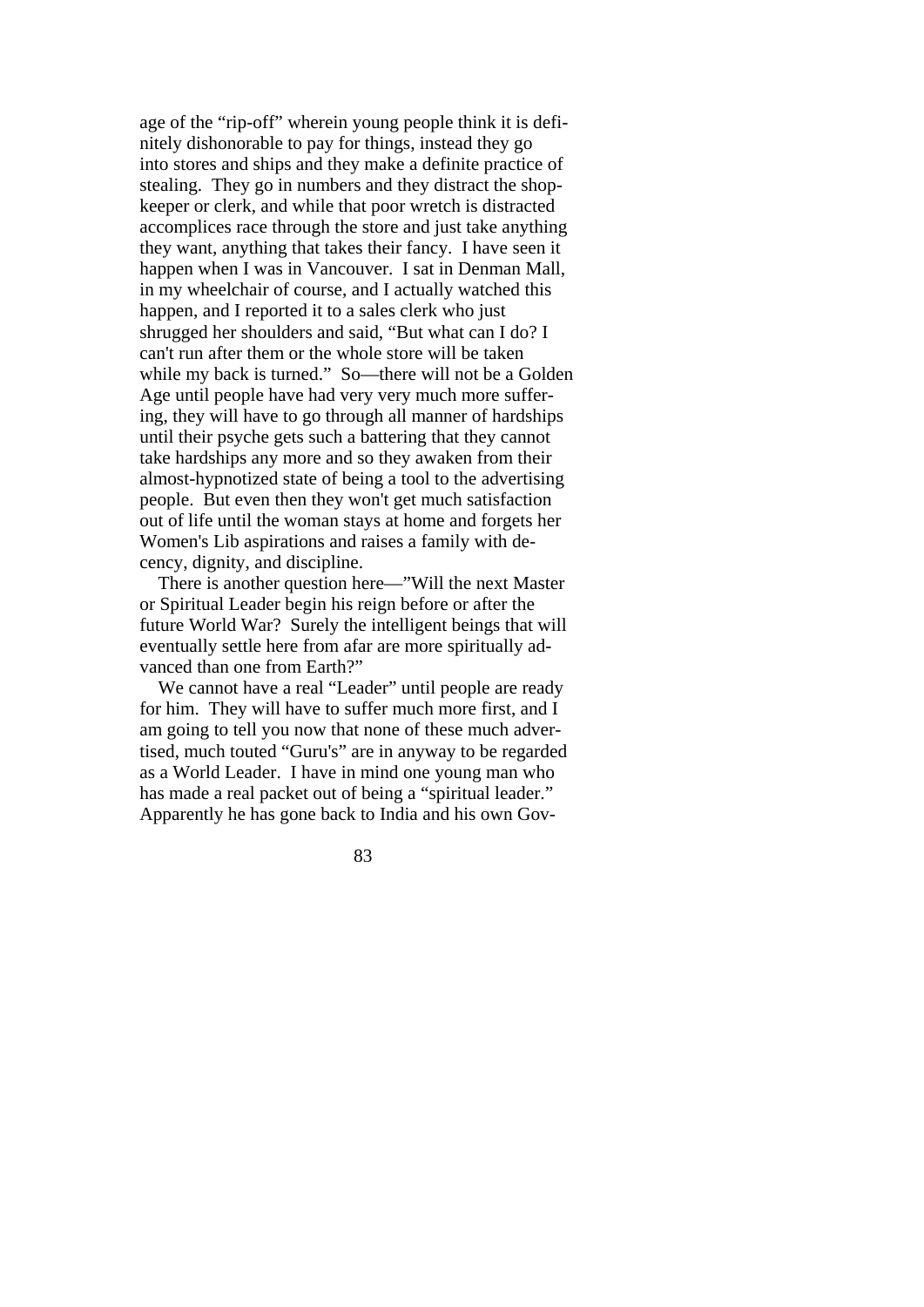age of the "rip-off" wherein young people think it is definitely dishonorable to pay for things, instead they go into stores and ships and they make a definite practice of stealing. They go in numbers and they distract the shopkeeper or clerk, and while that poor wretch is distracted accomplices race through the store and just take anything they want, anything that takes their fancy. I have seen it happen when I was in Vancouver. I sat in Denman Mall, in my wheelchair of course, and I actually watched this happen, and I reported it to a sales clerk who just shrugged her shoulders and said, "But what can I do? I can't run after them or the whole store will be taken while my back is turned." So—there will not be a Golden Age until people have had very very much more suffering, they will have to go through all manner of hardships until their psyche gets such a battering that they cannot take hardships any more and so they awaken from their almost-hypnotized state of being a tool to the advertising people. But even then they won't get much satisfaction out of life until the woman stays at home and forgets her Women's Lib aspirations and raises a family with decency, dignity, and discipline.

 There is another question here—"Will the next Master or Spiritual Leader begin his reign before or after the future World War? Surely the intelligent beings that will eventually settle here from afar are more spiritually advanced than one from Earth?"

 We cannot have a real "Leader" until people are ready for him. They will have to suffer much more first, and I am going to tell you now that none of these much advertised, much touted "Guru's" are in anyway to be regarded as a World Leader. I have in mind one young man who has made a real packet out of being a "spiritual leader." Apparently he has gone back to India and his own Gov-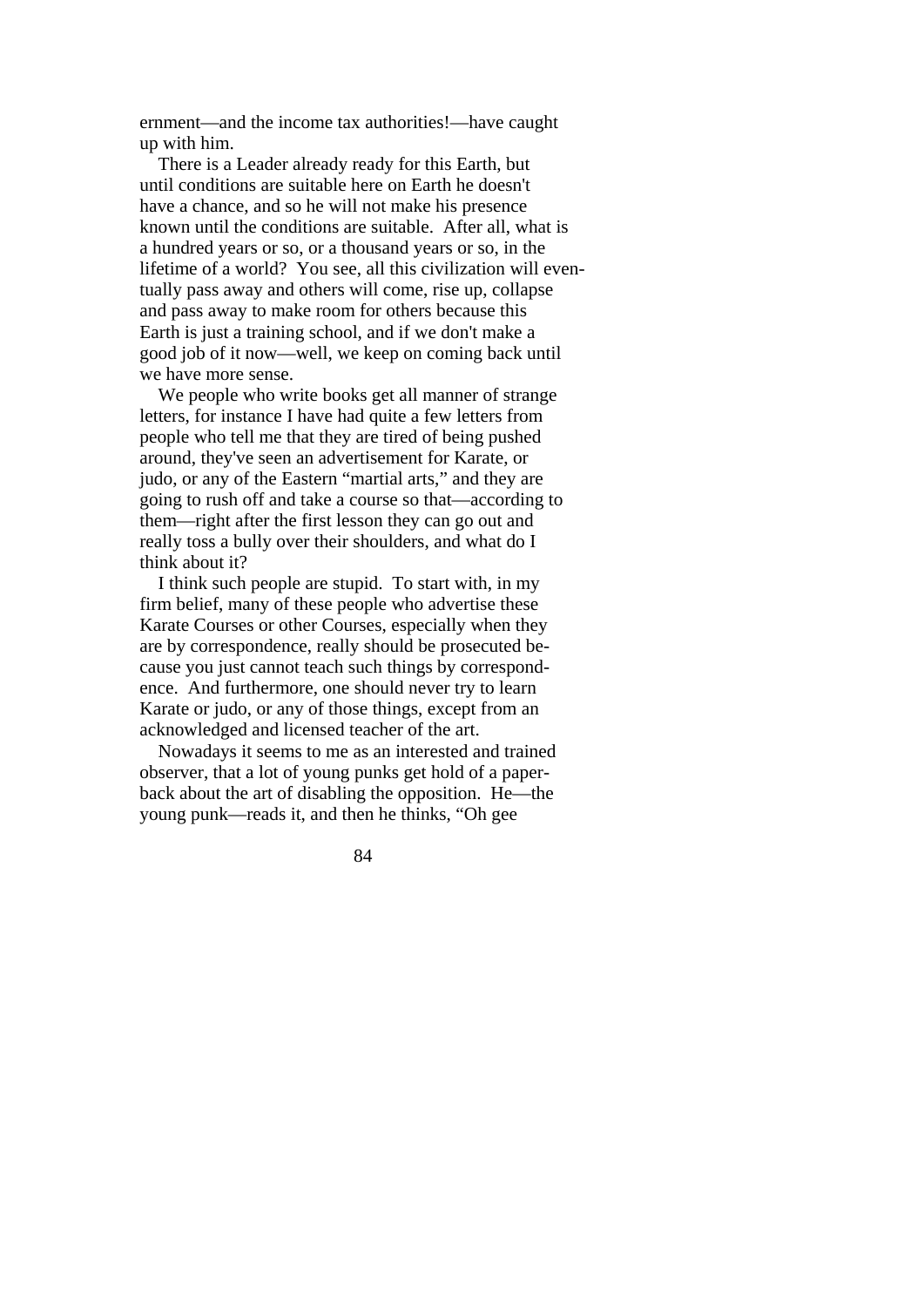ernment—and the income tax authorities!—have caught up with him.

 There is a Leader already ready for this Earth, but until conditions are suitable here on Earth he doesn't have a chance, and so he will not make his presence known until the conditions are suitable. After all, what is a hundred years or so, or a thousand years or so, in the lifetime of a world? You see, all this civilization will eventually pass away and others will come, rise up, collapse and pass away to make room for others because this Earth is just a training school, and if we don't make a good job of it now—well, we keep on coming back until we have more sense.

 We people who write books get all manner of strange letters, for instance I have had quite a few letters from people who tell me that they are tired of being pushed around, they've seen an advertisement for Karate, or judo, or any of the Eastern "martial arts," and they are going to rush off and take a course so that—according to them—right after the first lesson they can go out and really toss a bully over their shoulders, and what do I think about it?

 I think such people are stupid. To start with, in my firm belief, many of these people who advertise these Karate Courses or other Courses, especially when they are by correspondence, really should be prosecuted because you just cannot teach such things by correspondence. And furthermore, one should never try to learn Karate or judo, or any of those things, except from an acknowledged and licensed teacher of the art.

 Nowadays it seems to me as an interested and trained observer, that a lot of young punks get hold of a paperback about the art of disabling the opposition. He—the young punk—reads it, and then he thinks, "Oh gee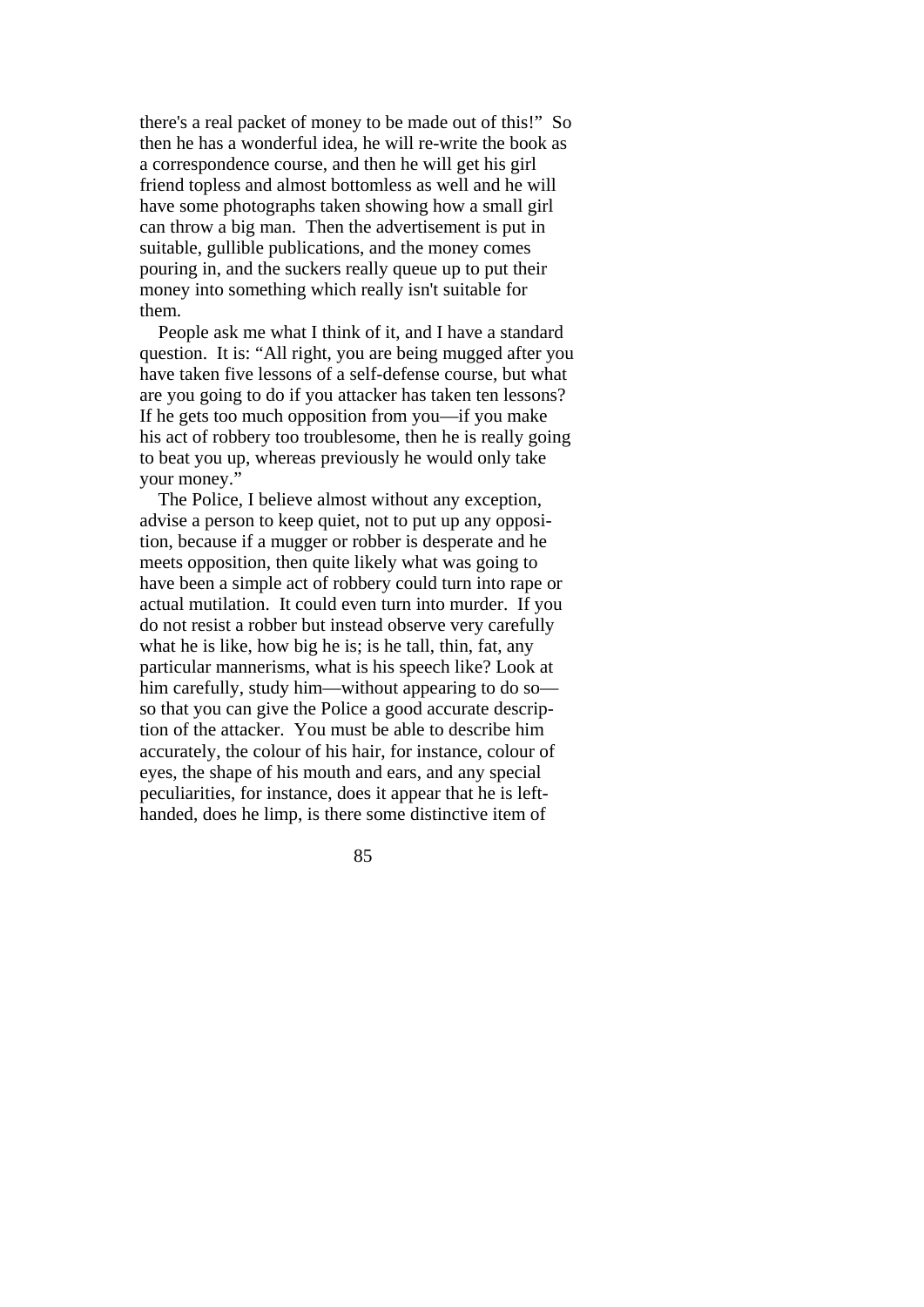there's a real packet of money to be made out of this!" So then he has a wonderful idea, he will re-write the book as a correspondence course, and then he will get his girl friend topless and almost bottomless as well and he will have some photographs taken showing how a small girl can throw a big man. Then the advertisement is put in suitable, gullible publications, and the money comes pouring in, and the suckers really queue up to put their money into something which really isn't suitable for them.

 People ask me what I think of it, and I have a standard question. It is: "All right, you are being mugged after you have taken five lessons of a self-defense course, but what are you going to do if you attacker has taken ten lessons? If he gets too much opposition from you—if you make his act of robbery too troublesome, then he is really going to beat you up, whereas previously he would only take your money."

 The Police, I believe almost without any exception, advise a person to keep quiet, not to put up any opposition, because if a mugger or robber is desperate and he meets opposition, then quite likely what was going to have been a simple act of robbery could turn into rape or actual mutilation. It could even turn into murder. If you do not resist a robber but instead observe very carefully what he is like, how big he is; is he tall, thin, fat, any particular mannerisms, what is his speech like? Look at him carefully, study him—without appearing to do so so that you can give the Police a good accurate description of the attacker. You must be able to describe him accurately, the colour of his hair, for instance, colour of eyes, the shape of his mouth and ears, and any special peculiarities, for instance, does it appear that he is lefthanded, does he limp, is there some distinctive item of

85 and 2012 and 2013 and 2014 and 2014 and 2014 and 2014 and 2014 and 2014 and 2014 and 2014 and 2014 and 2014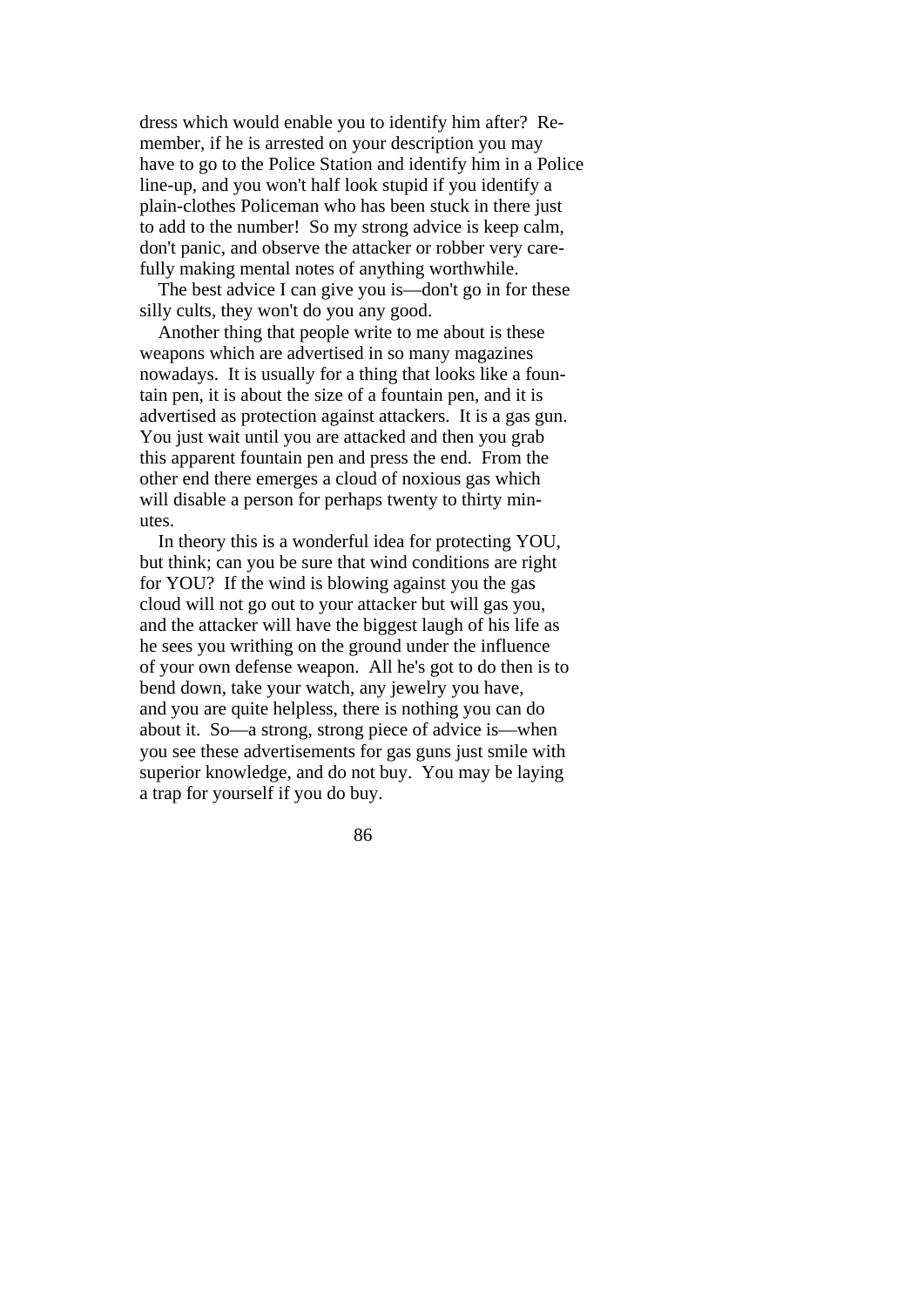dress which would enable you to identify him after? Remember, if he is arrested on your description you may have to go to the Police Station and identify him in a Police line-up, and you won't half look stupid if you identify a plain-clothes Policeman who has been stuck in there just to add to the number! So my strong advice is keep calm, don't panic, and observe the attacker or robber very carefully making mental notes of anything worthwhile.

 The best advice I can give you is—don't go in for these silly cults, they won't do you any good.

 Another thing that people write to me about is these weapons which are advertised in so many magazines nowadays. It is usually for a thing that looks like a fountain pen, it is about the size of a fountain pen, and it is advertised as protection against attackers. It is a gas gun. You just wait until you are attacked and then you grab this apparent fountain pen and press the end. From the other end there emerges a cloud of noxious gas which will disable a person for perhaps twenty to thirty minutes.

 In theory this is a wonderful idea for protecting YOU, but think; can you be sure that wind conditions are right for YOU? If the wind is blowing against you the gas cloud will not go out to your attacker but will gas you, and the attacker will have the biggest laugh of his life as he sees you writhing on the ground under the influence of your own defense weapon. All he's got to do then is to bend down, take your watch, any jewelry you have, and you are quite helpless, there is nothing you can do about it. So—a strong, strong piece of advice is—when you see these advertisements for gas guns just smile with superior knowledge, and do not buy. You may be laying a trap for yourself if you do buy.

86 and the state of the State of the State of the State of the State of the State of the State of the State of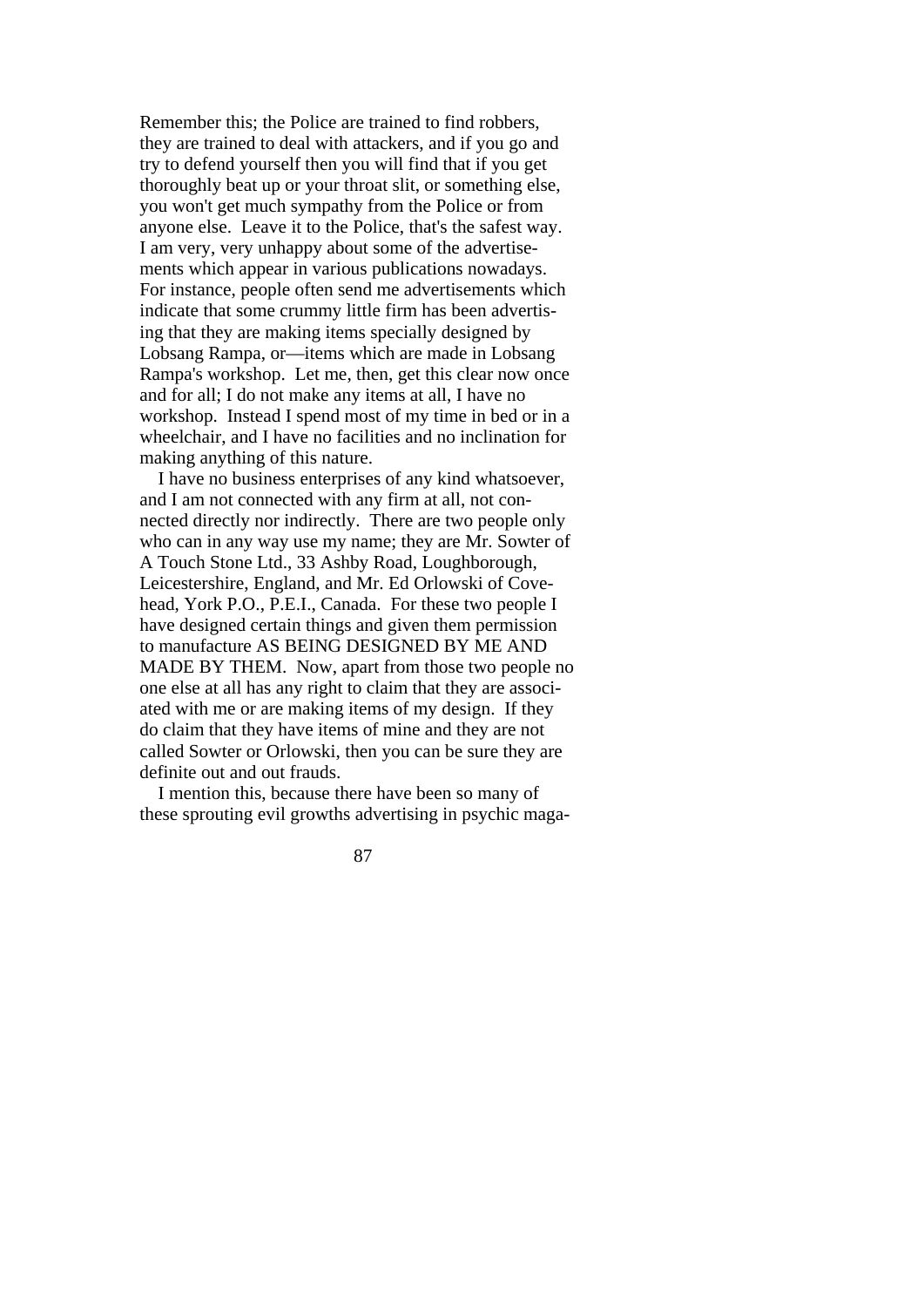Remember this; the Police are trained to find robbers, they are trained to deal with attackers, and if you go and try to defend yourself then you will find that if you get thoroughly beat up or your throat slit, or something else, you won't get much sympathy from the Police or from anyone else. Leave it to the Police, that's the safest way. I am very, very unhappy about some of the advertisements which appear in various publications nowadays. For instance, people often send me advertisements which indicate that some crummy little firm has been advertising that they are making items specially designed by Lobsang Rampa, or—items which are made in Lobsang Rampa's workshop. Let me, then, get this clear now once and for all; I do not make any items at all, I have no workshop. Instead I spend most of my time in bed or in a wheelchair, and I have no facilities and no inclination for making anything of this nature.

 I have no business enterprises of any kind whatsoever, and I am not connected with any firm at all, not connected directly nor indirectly. There are two people only who can in any way use my name; they are Mr. Sowter of A Touch Stone Ltd., 33 Ashby Road, Loughborough, Leicestershire, England, and Mr. Ed Orlowski of Covehead, York P.O., P.E.I., Canada. For these two people I have designed certain things and given them permission to manufacture AS BEING DESIGNED BY ME AND MADE BY THEM. Now, apart from those two people no one else at all has any right to claim that they are associated with me or are making items of my design. If they do claim that they have items of mine and they are not called Sowter or Orlowski, then you can be sure they are definite out and out frauds.

 I mention this, because there have been so many of these sprouting evil growths advertising in psychic maga-

87 (b) and the state of the state of the state of the state of the state of the state of the state of the state of the state of the state of the state of the state of the state of the state of the state of the state of the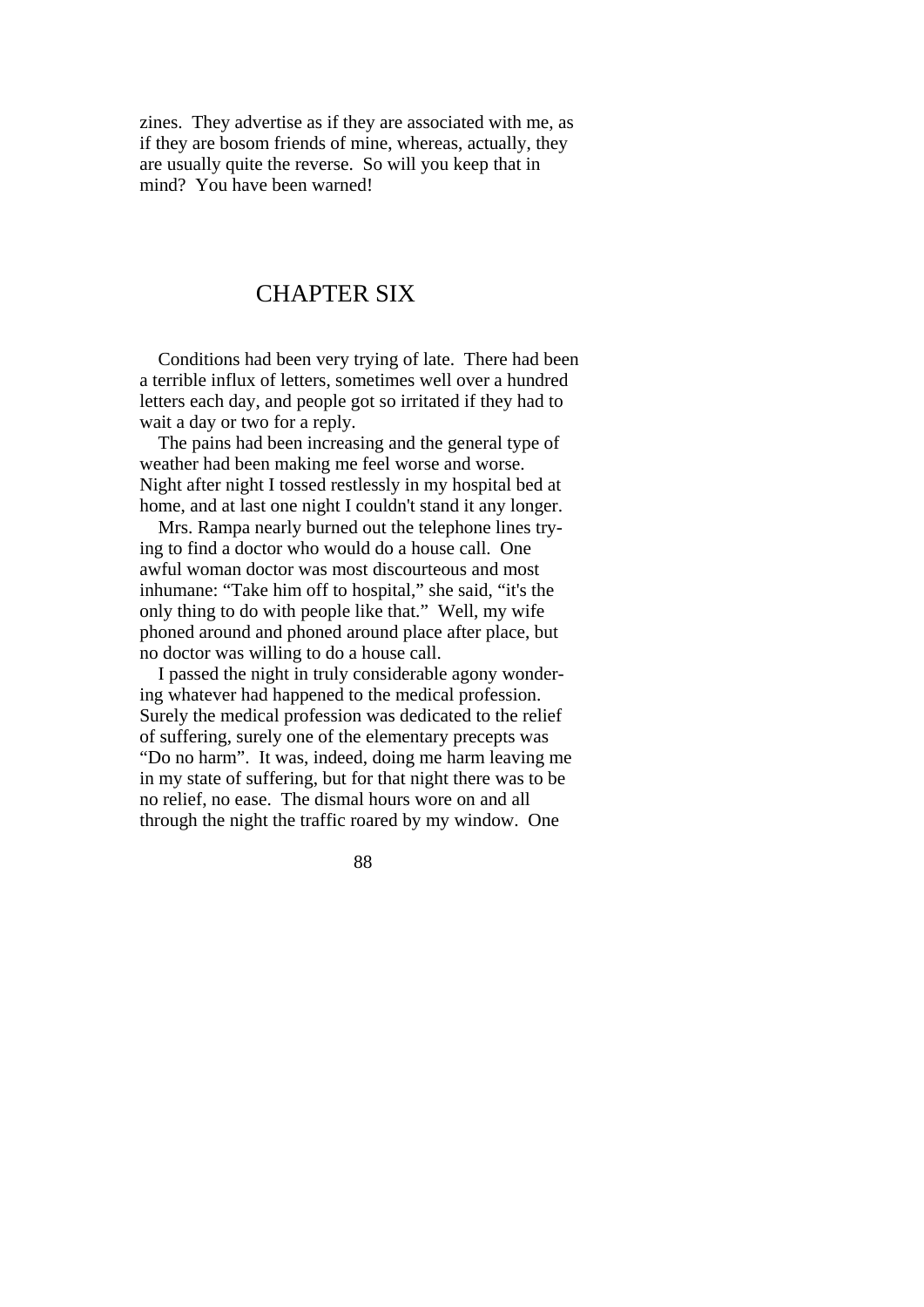zines. They advertise as if they are associated with me, as if they are bosom friends of mine, whereas, actually, they are usually quite the reverse. So will you keep that in mind? You have been warned!

## CHAPTER SIX

 Conditions had been very trying of late. There had been a terrible influx of letters, sometimes well over a hundred letters each day, and people got so irritated if they had to wait a day or two for a reply.

 The pains had been increasing and the general type of weather had been making me feel worse and worse. Night after night I tossed restlessly in my hospital bed at home, and at last one night I couldn't stand it any longer.

 Mrs. Rampa nearly burned out the telephone lines trying to find a doctor who would do a house call. One awful woman doctor was most discourteous and most inhumane: "Take him off to hospital," she said, "it's the only thing to do with people like that." Well, my wife phoned around and phoned around place after place, but no doctor was willing to do a house call.

 I passed the night in truly considerable agony wondering whatever had happened to the medical profession. Surely the medical profession was dedicated to the relief of suffering, surely one of the elementary precepts was "Do no harm". It was, indeed, doing me harm leaving me in my state of suffering, but for that night there was to be no relief, no ease. The dismal hours wore on and all through the night the traffic roared by my window. One

and the state of the state of the state of the state of the state of the state of the state of the state of th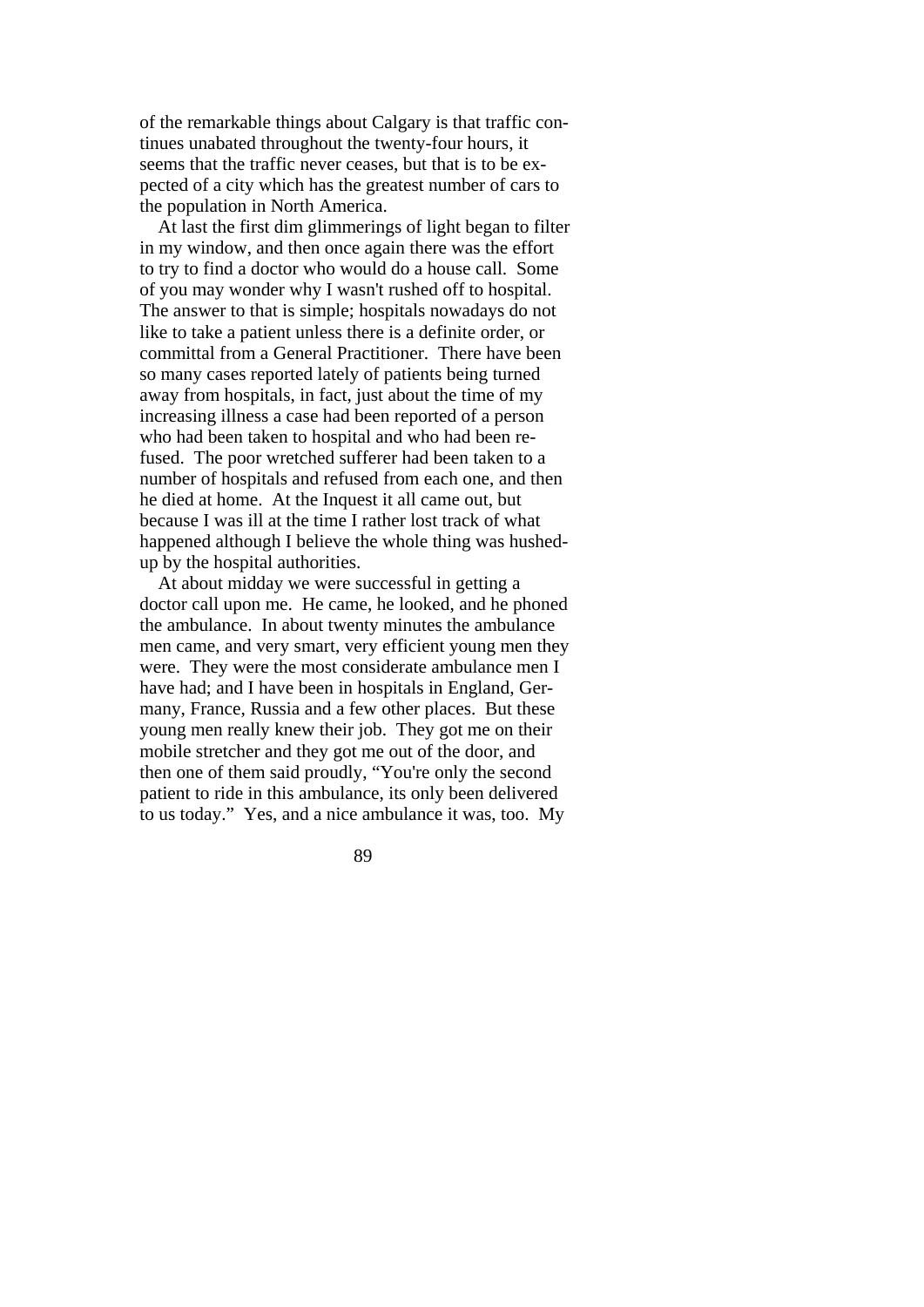of the remarkable things about Calgary is that traffic continues unabated throughout the twenty-four hours, it seems that the traffic never ceases, but that is to be expected of a city which has the greatest number of cars to the population in North America.

 At last the first dim glimmerings of light began to filter in my window, and then once again there was the effort to try to find a doctor who would do a house call. Some of you may wonder why I wasn't rushed off to hospital. The answer to that is simple; hospitals nowadays do not like to take a patient unless there is a definite order, or committal from a General Practitioner. There have been so many cases reported lately of patients being turned away from hospitals, in fact, just about the time of my increasing illness a case had been reported of a person who had been taken to hospital and who had been refused. The poor wretched sufferer had been taken to a number of hospitals and refused from each one, and then he died at home. At the Inquest it all came out, but because I was ill at the time I rather lost track of what happened although I believe the whole thing was hushedup by the hospital authorities.

 At about midday we were successful in getting a doctor call upon me. He came, he looked, and he phoned the ambulance. In about twenty minutes the ambulance men came, and very smart, very efficient young men they were. They were the most considerate ambulance men I have had; and I have been in hospitals in England, Germany, France, Russia and a few other places. But these young men really knew their job. They got me on their mobile stretcher and they got me out of the door, and then one of them said proudly, "You're only the second patient to ride in this ambulance, its only been delivered to us today." Yes, and a nice ambulance it was, too. My

89 and the contract of the SSP and the SSP and the SSP and the SSP and the SSP and the SSP and the SSP and the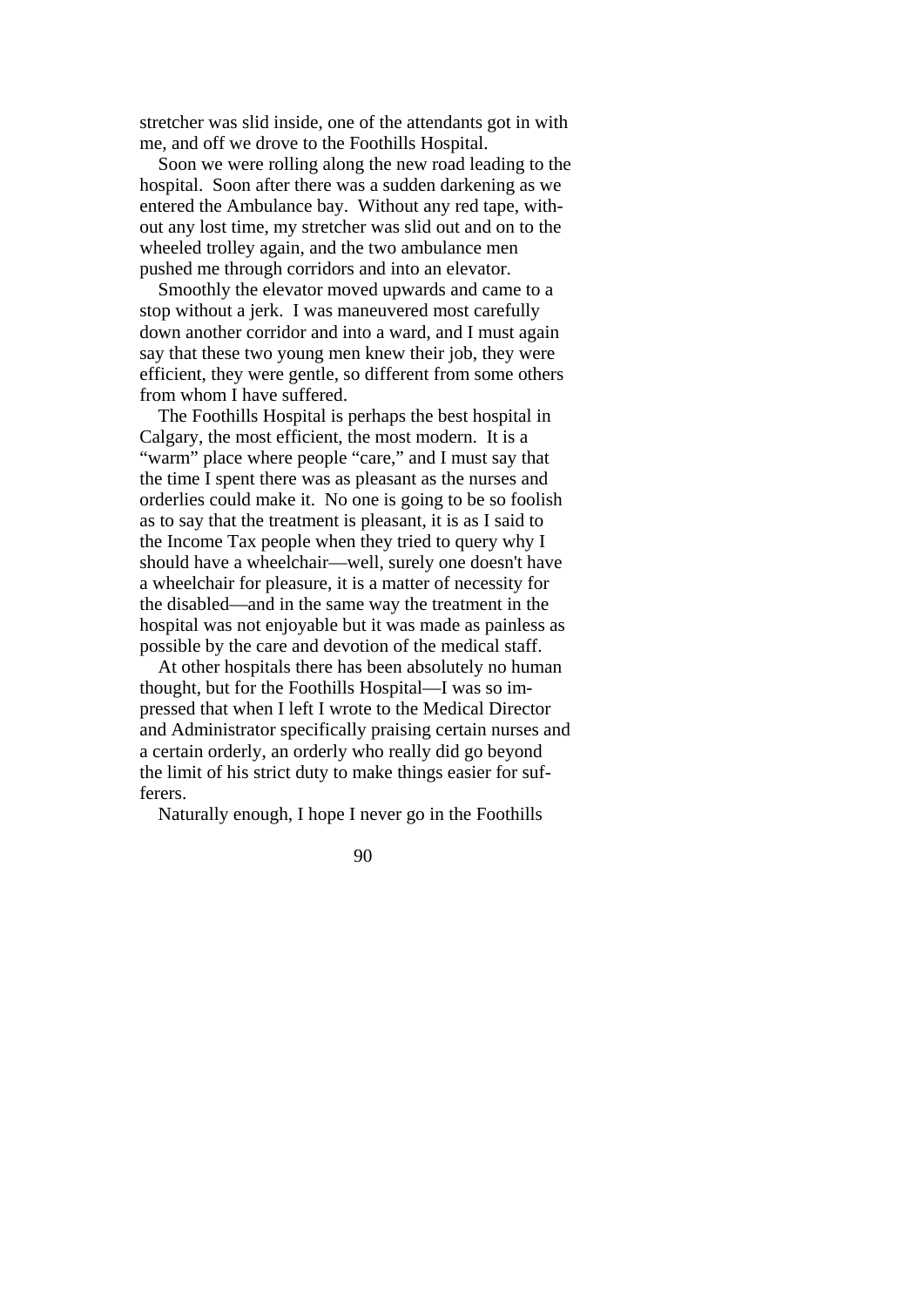stretcher was slid inside, one of the attendants got in with me, and off we drove to the Foothills Hospital.

 Soon we were rolling along the new road leading to the hospital. Soon after there was a sudden darkening as we entered the Ambulance bay. Without any red tape, without any lost time, my stretcher was slid out and on to the wheeled trolley again, and the two ambulance men pushed me through corridors and into an elevator.

 Smoothly the elevator moved upwards and came to a stop without a jerk. I was maneuvered most carefully down another corridor and into a ward, and I must again say that these two young men knew their job, they were efficient, they were gentle, so different from some others from whom I have suffered.

 The Foothills Hospital is perhaps the best hospital in Calgary, the most efficient, the most modern. It is a "warm" place where people "care," and I must say that the time I spent there was as pleasant as the nurses and orderlies could make it. No one is going to be so foolish as to say that the treatment is pleasant, it is as I said to the Income Tax people when they tried to query why I should have a wheelchair—well, surely one doesn't have a wheelchair for pleasure, it is a matter of necessity for the disabled—and in the same way the treatment in the hospital was not enjoyable but it was made as painless as possible by the care and devotion of the medical staff.

 At other hospitals there has been absolutely no human thought, but for the Foothills Hospital—I was so impressed that when I left I wrote to the Medical Director and Administrator specifically praising certain nurses and a certain orderly, an orderly who really did go beyond the limit of his strict duty to make things easier for sufferers.

Naturally enough, I hope I never go in the Foothills

90 and the state of the state of the state of the state of the state of the state of the state of the state of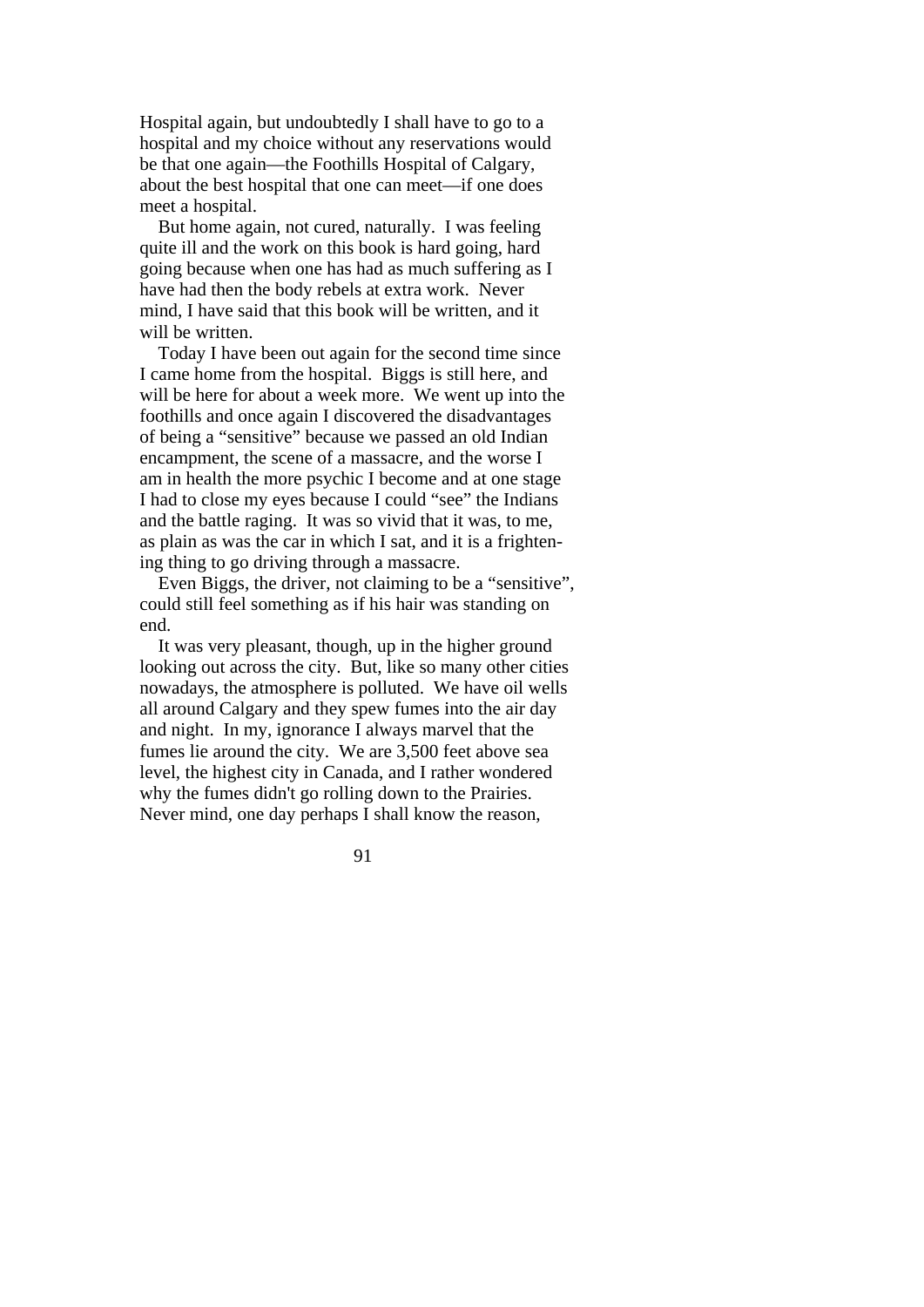Hospital again, but undoubtedly I shall have to go to a hospital and my choice without any reservations would be that one again—the Foothills Hospital of Calgary, about the best hospital that one can meet—if one does meet a hospital.

 But home again, not cured, naturally. I was feeling quite ill and the work on this book is hard going, hard going because when one has had as much suffering as I have had then the body rebels at extra work. Never mind, I have said that this book will be written, and it will be written.

 Today I have been out again for the second time since I came home from the hospital. Biggs is still here, and will be here for about a week more. We went up into the foothills and once again I discovered the disadvantages of being a "sensitive" because we passed an old Indian encampment, the scene of a massacre, and the worse I am in health the more psychic I become and at one stage I had to close my eyes because I could "see" the Indians and the battle raging. It was so vivid that it was, to me, as plain as was the car in which I sat, and it is a frightening thing to go driving through a massacre.

 Even Biggs, the driver, not claiming to be a "sensitive", could still feel something as if his hair was standing on end.

 It was very pleasant, though, up in the higher ground looking out across the city. But, like so many other cities nowadays, the atmosphere is polluted. We have oil wells all around Calgary and they spew fumes into the air day and night. In my, ignorance I always marvel that the fumes lie around the city. We are 3,500 feet above sea level, the highest city in Canada, and I rather wondered why the fumes didn't go rolling down to the Prairies. Never mind, one day perhaps I shall know the reason,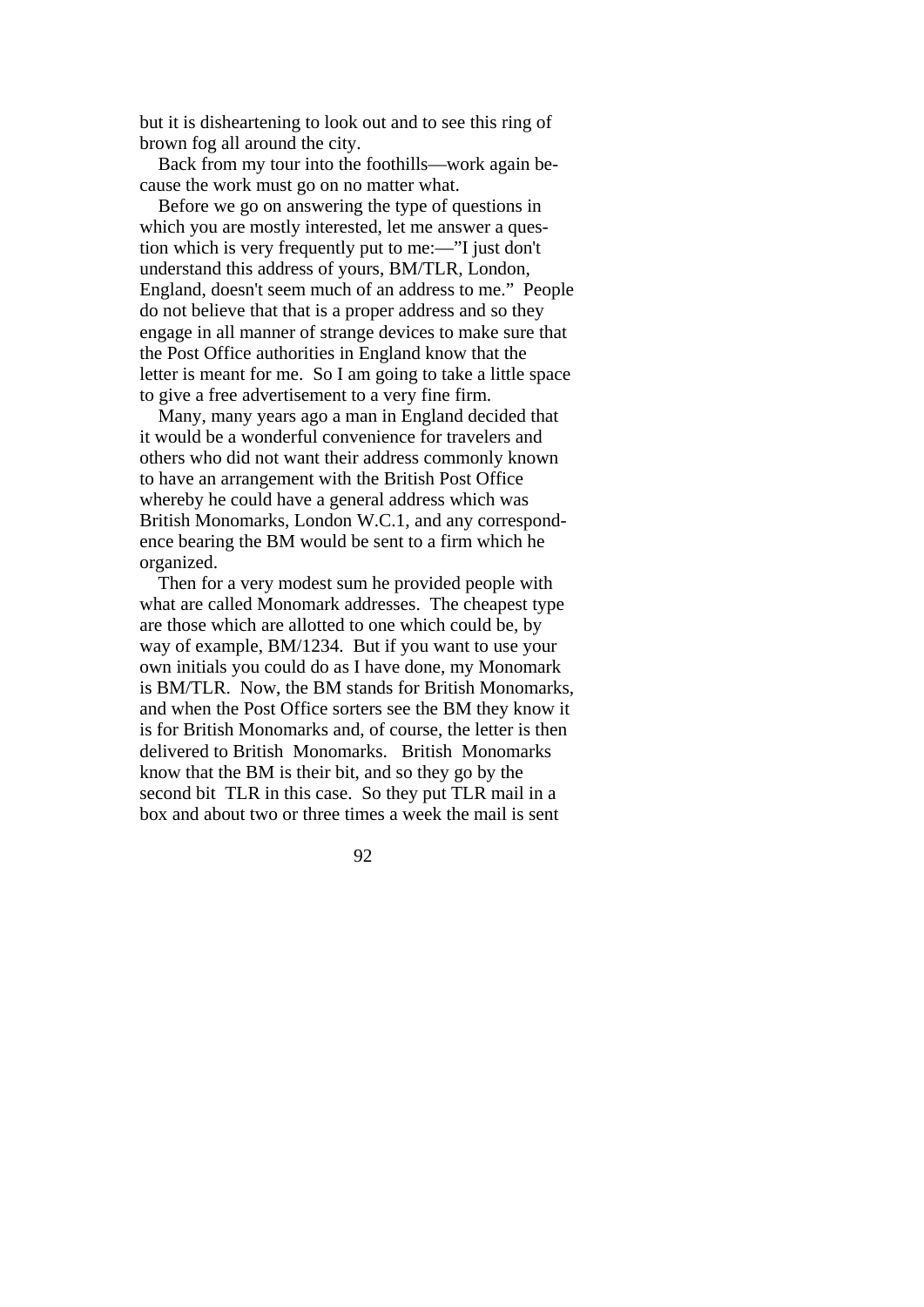but it is disheartening to look out and to see this ring of brown fog all around the city.

 Back from my tour into the foothills—work again because the work must go on no matter what.

 Before we go on answering the type of questions in which you are mostly interested, let me answer a question which is very frequently put to me:—"I just don't understand this address of yours, BM/TLR, London, England, doesn't seem much of an address to me." People do not believe that that is a proper address and so they engage in all manner of strange devices to make sure that the Post Office authorities in England know that the letter is meant for me. So I am going to take a little space to give a free advertisement to a very fine firm.

 Many, many years ago a man in England decided that it would be a wonderful convenience for travelers and others who did not want their address commonly known to have an arrangement with the British Post Office whereby he could have a general address which was British Monomarks, London W.C.1, and any correspondence bearing the BM would be sent to a firm which he organized.

 Then for a very modest sum he provided people with what are called Monomark addresses. The cheapest type are those which are allotted to one which could be, by way of example, BM/1234. But if you want to use your own initials you could do as I have done, my Monomark is BM/TLR. Now, the BM stands for British Monomarks, and when the Post Office sorters see the BM they know it is for British Monomarks and, of course, the letter is then delivered to British Monomarks. British Monomarks know that the BM is their bit, and so they go by the second bit TLR in this case. So they put TLR mail in a box and about two or three times a week the mail is sent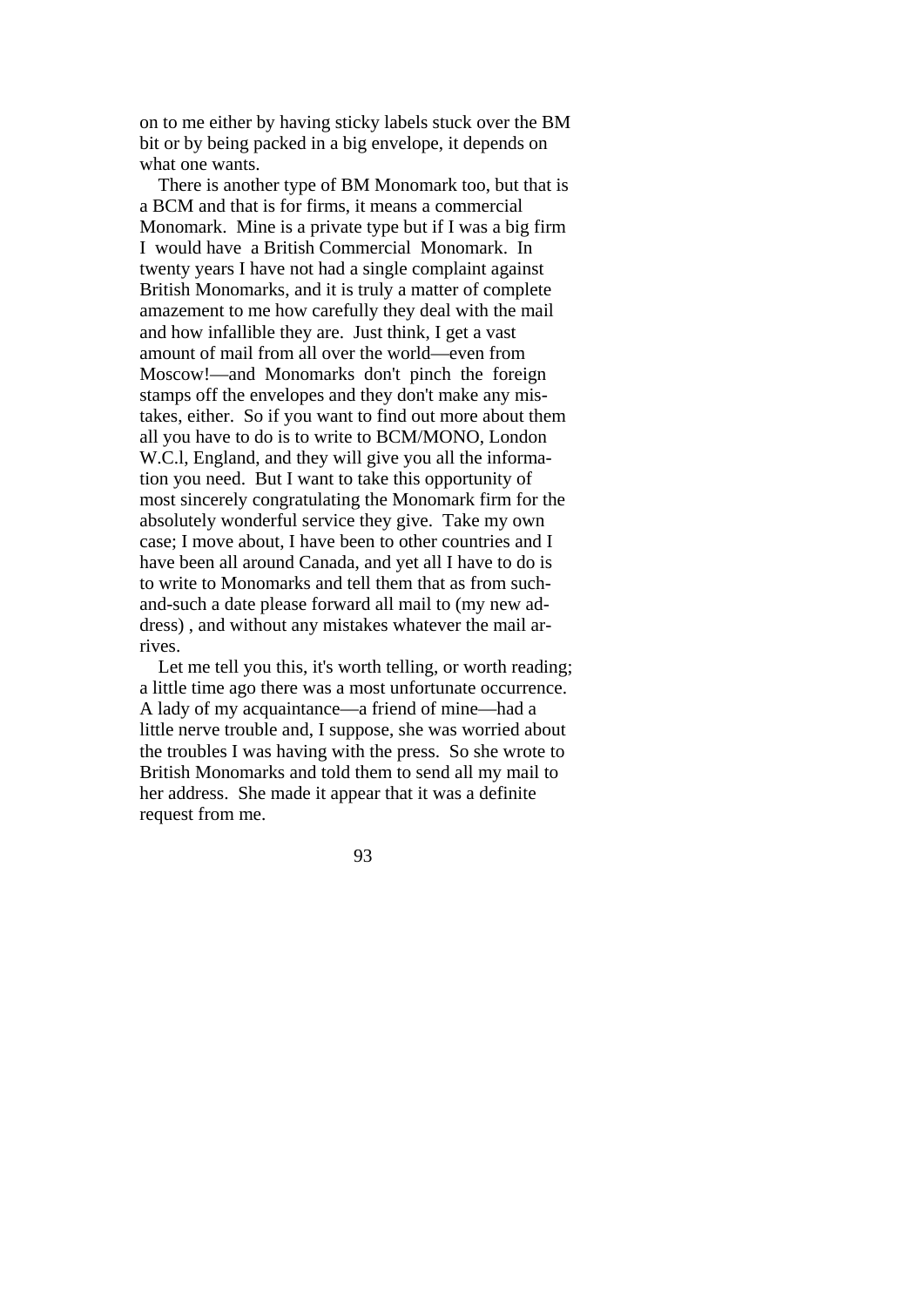on to me either by having sticky labels stuck over the BM bit or by being packed in a big envelope, it depends on what one wants.

 There is another type of BM Monomark too, but that is a BCM and that is for firms, it means a commercial Monomark. Mine is a private type but if I was a big firm I would have a British Commercial Monomark. In twenty years I have not had a single complaint against British Monomarks, and it is truly a matter of complete amazement to me how carefully they deal with the mail and how infallible they are. Just think, I get a vast amount of mail from all over the world—even from Moscow!—and Monomarks don't pinch the foreign stamps off the envelopes and they don't make any mistakes, either. So if you want to find out more about them all you have to do is to write to BCM/MONO, London W.C.l, England, and they will give you all the information you need. But I want to take this opportunity of most sincerely congratulating the Monomark firm for the absolutely wonderful service they give. Take my own case; I move about, I have been to other countries and I have been all around Canada, and yet all I have to do is to write to Monomarks and tell them that as from suchand-such a date please forward all mail to (my new address) , and without any mistakes whatever the mail arrives.

 Let me tell you this, it's worth telling, or worth reading; a little time ago there was a most unfortunate occurrence. A lady of my acquaintance—a friend of mine—had a little nerve trouble and, I suppose, she was worried about the troubles I was having with the press. So she wrote to British Monomarks and told them to send all my mail to her address. She made it appear that it was a definite request from me.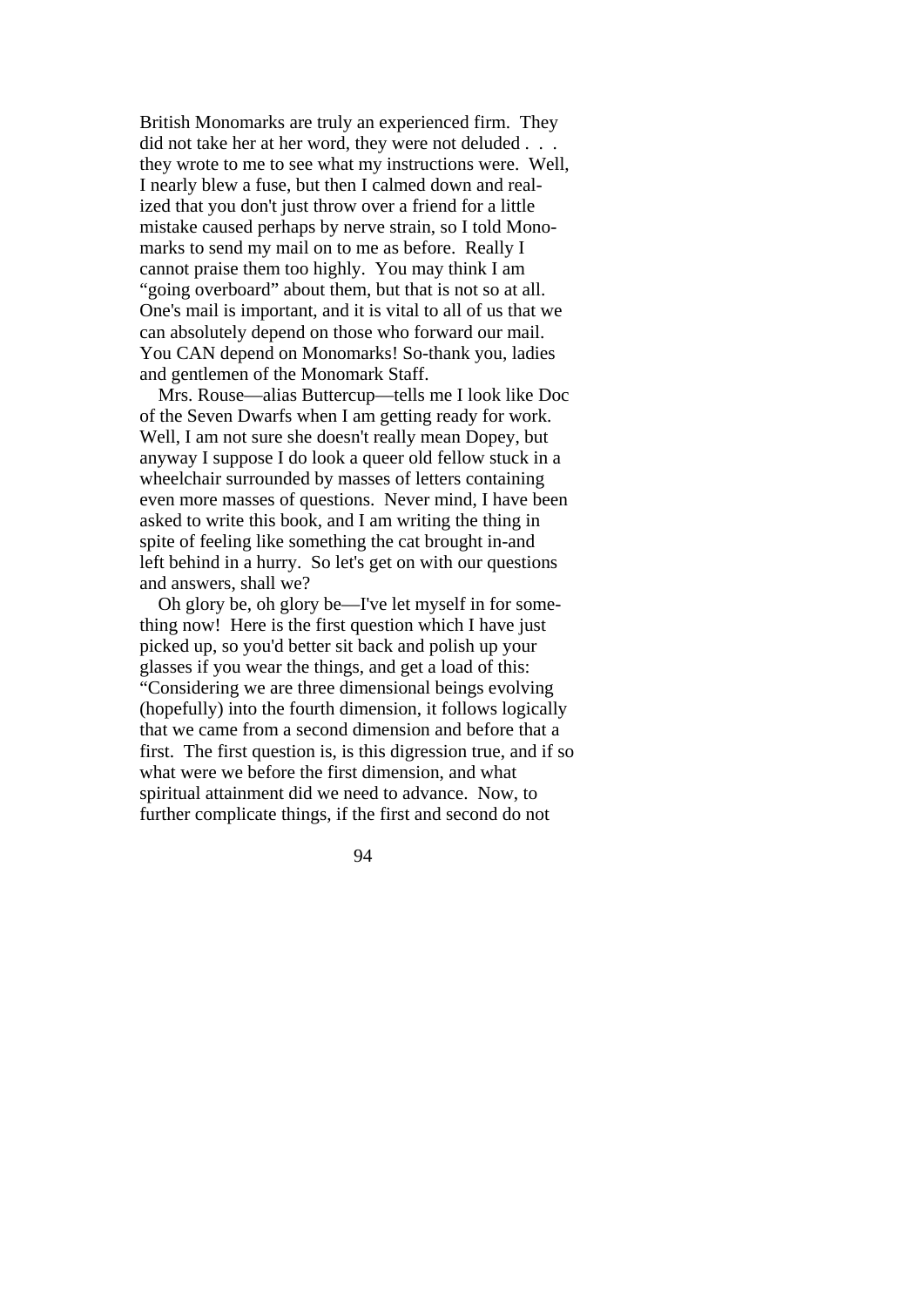British Monomarks are truly an experienced firm. They did not take her at her word, they were not deluded . . . they wrote to me to see what my instructions were. Well, I nearly blew a fuse, but then I calmed down and realized that you don't just throw over a friend for a little mistake caused perhaps by nerve strain, so I told Monomarks to send my mail on to me as before. Really I cannot praise them too highly. You may think I am "going overboard" about them, but that is not so at all. One's mail is important, and it is vital to all of us that we can absolutely depend on those who forward our mail. You CAN depend on Monomarks! So-thank you, ladies and gentlemen of the Monomark Staff.

 Mrs. Rouse—alias Buttercup—tells me I look like Doc of the Seven Dwarfs when I am getting ready for work. Well, I am not sure she doesn't really mean Dopey, but anyway I suppose I do look a queer old fellow stuck in a wheelchair surrounded by masses of letters containing even more masses of questions. Never mind, I have been asked to write this book, and I am writing the thing in spite of feeling like something the cat brought in-and left behind in a hurry. So let's get on with our questions and answers, shall we?

 Oh glory be, oh glory be—I've let myself in for something now! Here is the first question which I have just picked up, so you'd better sit back and polish up your glasses if you wear the things, and get a load of this: "Considering we are three dimensional beings evolving (hopefully) into the fourth dimension, it follows logically that we came from a second dimension and before that a first. The first question is, is this digression true, and if so what were we before the first dimension, and what spiritual attainment did we need to advance. Now, to further complicate things, if the first and second do not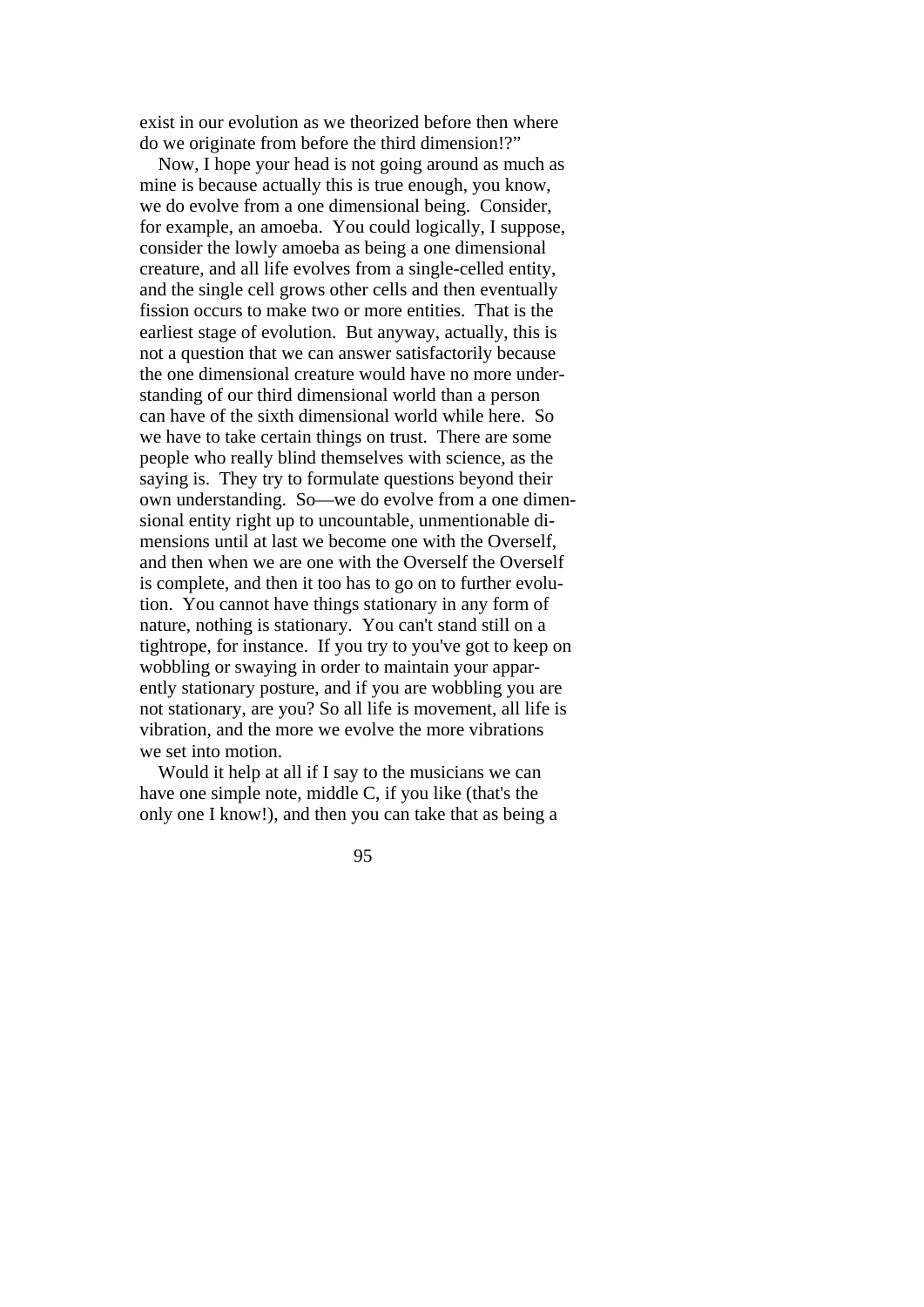exist in our evolution as we theorized before then where do we originate from before the third dimension!?"

 Now, I hope your head is not going around as much as mine is because actually this is true enough, you know, we do evolve from a one dimensional being. Consider, for example, an amoeba. You could logically, I suppose, consider the lowly amoeba as being a one dimensional creature, and all life evolves from a single-celled entity, and the single cell grows other cells and then eventually fission occurs to make two or more entities. That is the earliest stage of evolution. But anyway, actually, this is not a question that we can answer satisfactorily because the one dimensional creature would have no more understanding of our third dimensional world than a person can have of the sixth dimensional world while here. So we have to take certain things on trust. There are some people who really blind themselves with science, as the saying is. They try to formulate questions beyond their own understanding. So—we do evolve from a one dimensional entity right up to uncountable, unmentionable dimensions until at last we become one with the Overself, and then when we are one with the Overself the Overself is complete, and then it too has to go on to further evolution. You cannot have things stationary in any form of nature, nothing is stationary. You can't stand still on a tightrope, for instance. If you try to you've got to keep on wobbling or swaying in order to maintain your apparently stationary posture, and if you are wobbling you are not stationary, are you? So all life is movement, all life is vibration, and the more we evolve the more vibrations we set into motion.

 Would it help at all if I say to the musicians we can have one simple note, middle C, if you like (that's the only one I know!), and then you can take that as being a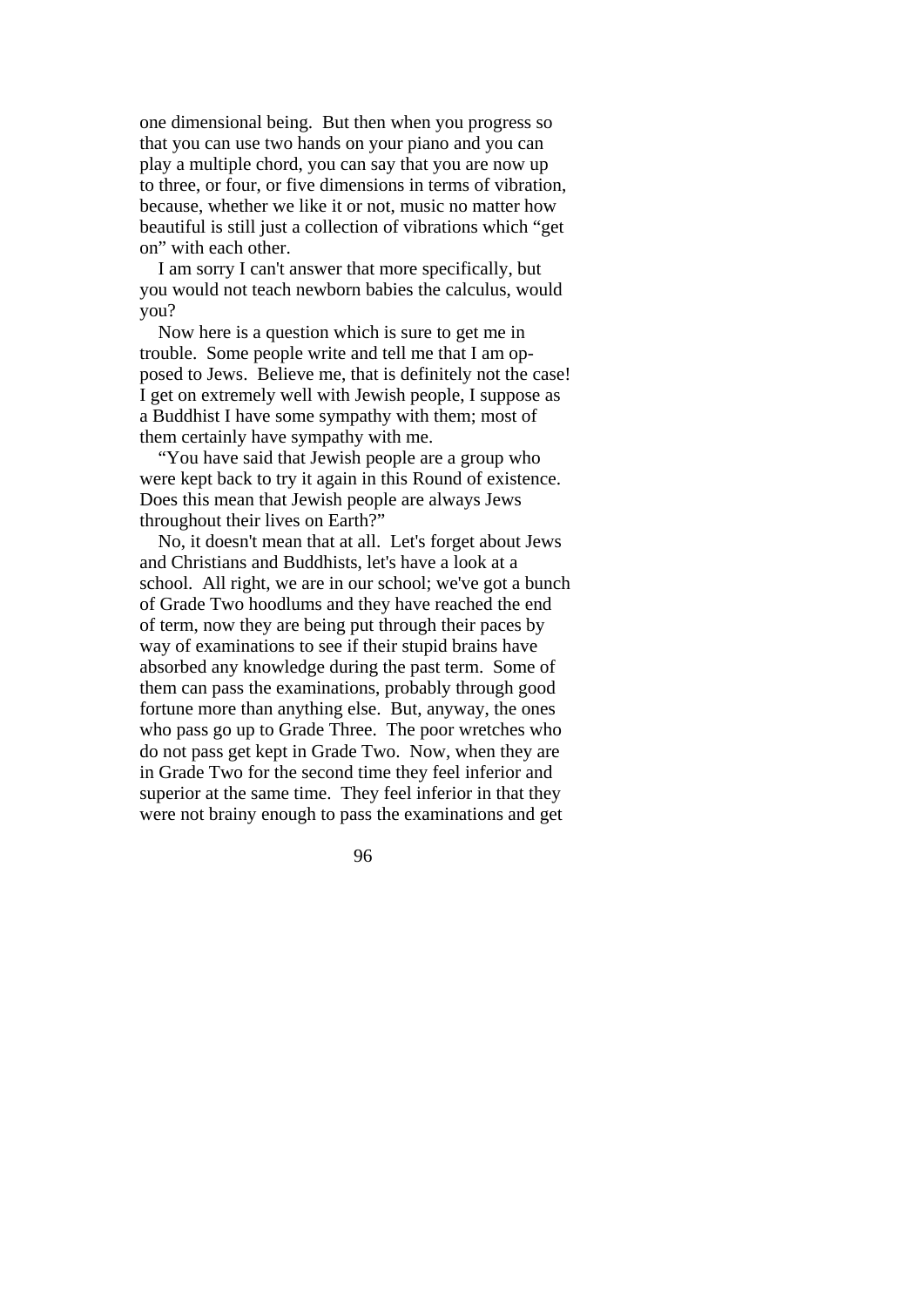one dimensional being. But then when you progress so that you can use two hands on your piano and you can play a multiple chord, you can say that you are now up to three, or four, or five dimensions in terms of vibration, because, whether we like it or not, music no matter how beautiful is still just a collection of vibrations which "get on" with each other.

 I am sorry I can't answer that more specifically, but you would not teach newborn babies the calculus, would you?

 Now here is a question which is sure to get me in trouble. Some people write and tell me that I am opposed to Jews. Believe me, that is definitely not the case! I get on extremely well with Jewish people, I suppose as a Buddhist I have some sympathy with them; most of them certainly have sympathy with me.

 "You have said that Jewish people are a group who were kept back to try it again in this Round of existence. Does this mean that Jewish people are always Jews throughout their lives on Earth?"

 No, it doesn't mean that at all. Let's forget about Jews and Christians and Buddhists, let's have a look at a school. All right, we are in our school; we've got a bunch of Grade Two hoodlums and they have reached the end of term, now they are being put through their paces by way of examinations to see if their stupid brains have absorbed any knowledge during the past term. Some of them can pass the examinations, probably through good fortune more than anything else. But, anyway, the ones who pass go up to Grade Three. The poor wretches who do not pass get kept in Grade Two. Now, when they are in Grade Two for the second time they feel inferior and superior at the same time. They feel inferior in that they were not brainy enough to pass the examinations and get

<u>96 and 2012 and 2013</u>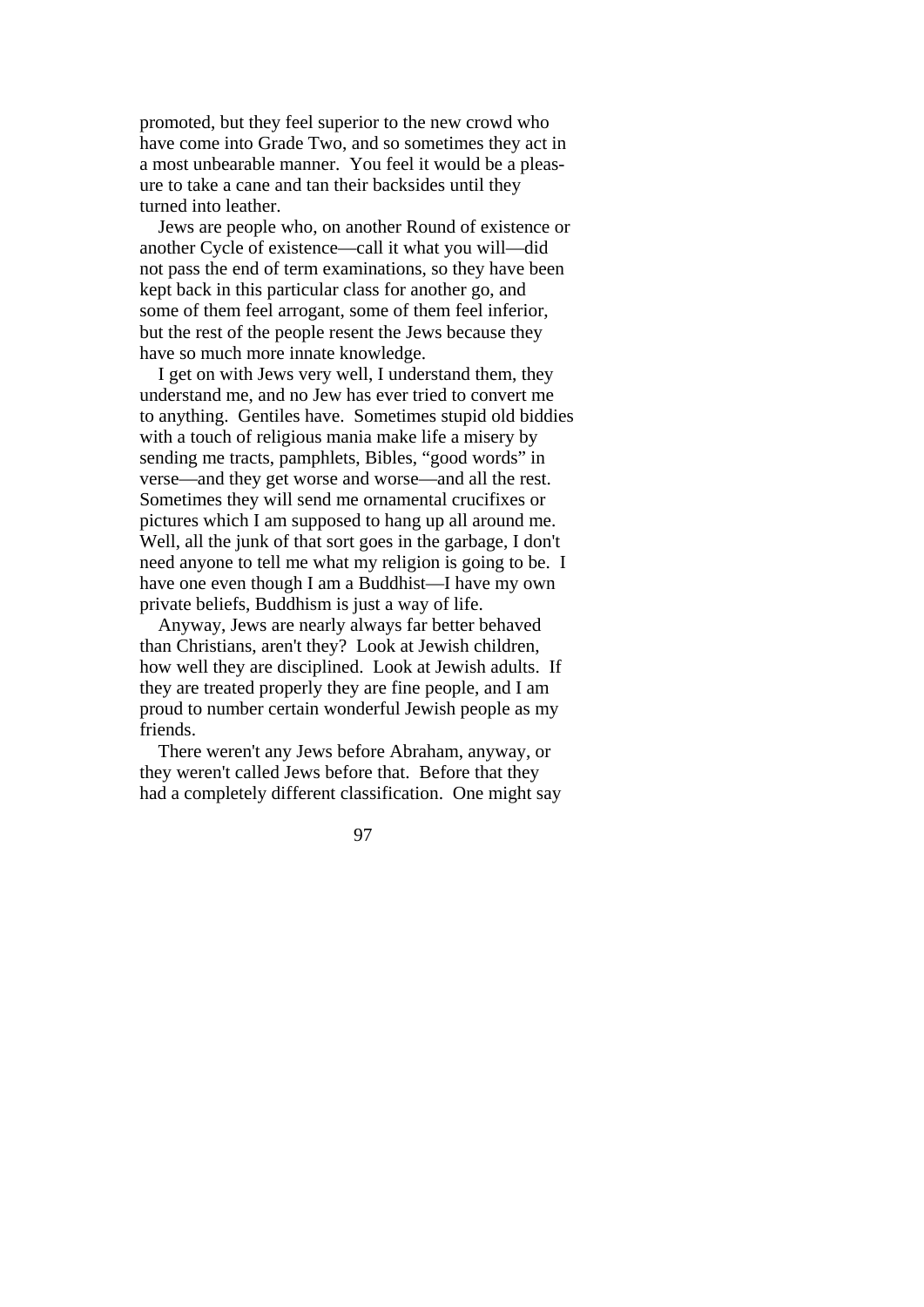promoted, but they feel superior to the new crowd who have come into Grade Two, and so sometimes they act in a most unbearable manner. You feel it would be a pleasure to take a cane and tan their backsides until they turned into leather.

 Jews are people who, on another Round of existence or another Cycle of existence—call it what you will—did not pass the end of term examinations, so they have been kept back in this particular class for another go, and some of them feel arrogant, some of them feel inferior, but the rest of the people resent the Jews because they have so much more innate knowledge.

 I get on with Jews very well, I understand them, they understand me, and no Jew has ever tried to convert me to anything. Gentiles have. Sometimes stupid old biddies with a touch of religious mania make life a misery by sending me tracts, pamphlets, Bibles, "good words" in verse—and they get worse and worse—and all the rest. Sometimes they will send me ornamental crucifixes or pictures which I am supposed to hang up all around me. Well, all the junk of that sort goes in the garbage, I don't need anyone to tell me what my religion is going to be. I have one even though I am a Buddhist—I have my own private beliefs, Buddhism is just a way of life.

 Anyway, Jews are nearly always far better behaved than Christians, aren't they? Look at Jewish children, how well they are disciplined. Look at Jewish adults. If they are treated properly they are fine people, and I am proud to number certain wonderful Jewish people as my friends.

 There weren't any Jews before Abraham, anyway, or they weren't called Jews before that. Before that they had a completely different classification. One might say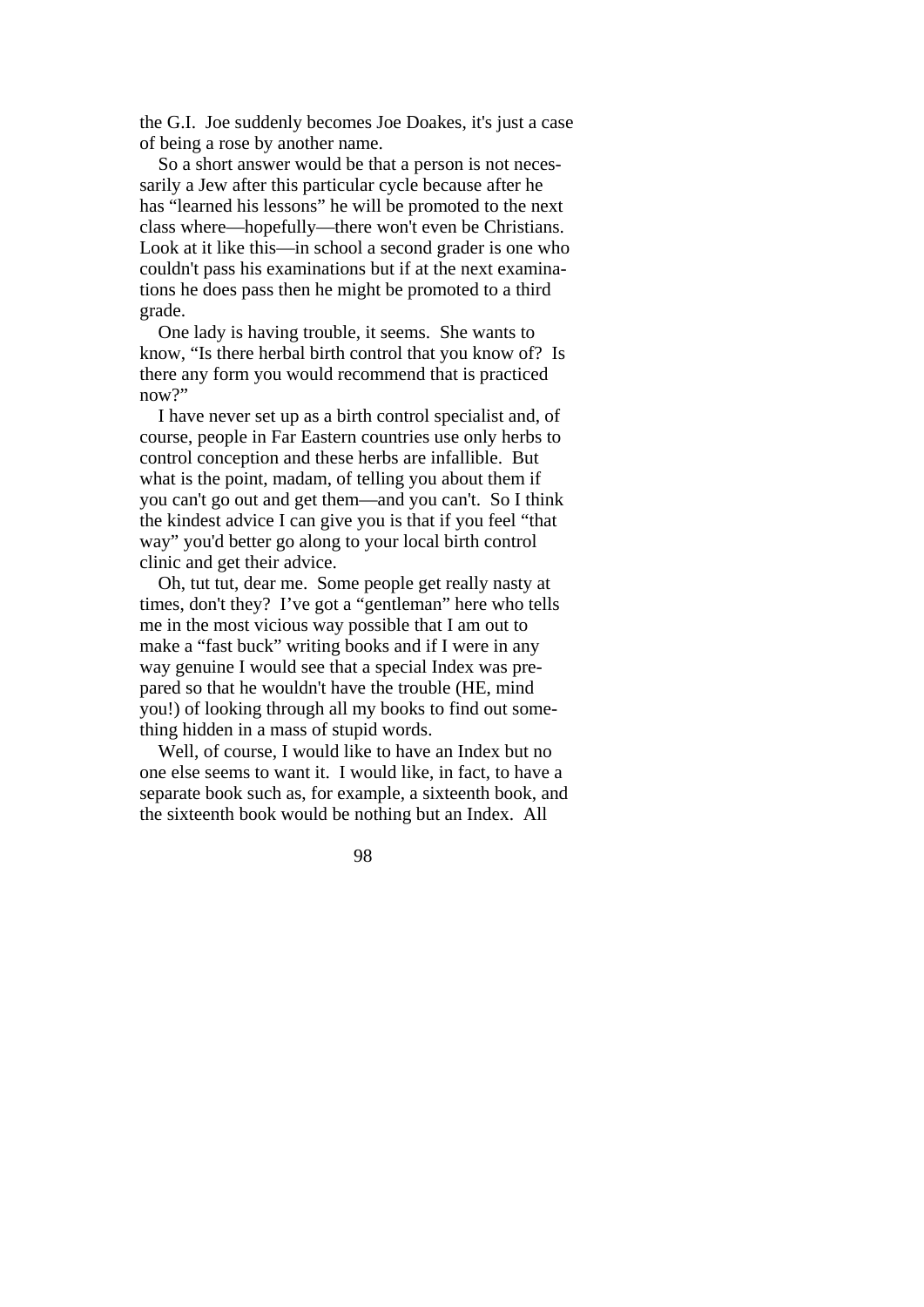the G.I. Joe suddenly becomes Joe Doakes, it's just a case of being a rose by another name.

 So a short answer would be that a person is not necessarily a Jew after this particular cycle because after he has "learned his lessons" he will be promoted to the next class where—hopefully—there won't even be Christians. Look at it like this—in school a second grader is one who couldn't pass his examinations but if at the next examinations he does pass then he might be promoted to a third grade.

 One lady is having trouble, it seems. She wants to know, "Is there herbal birth control that you know of? Is there any form you would recommend that is practiced now?"

 I have never set up as a birth control specialist and, of course, people in Far Eastern countries use only herbs to control conception and these herbs are infallible. But what is the point, madam, of telling you about them if you can't go out and get them—and you can't. So I think the kindest advice I can give you is that if you feel "that way" you'd better go along to your local birth control clinic and get their advice.

 Oh, tut tut, dear me. Some people get really nasty at times, don't they? I've got a "gentleman" here who tells me in the most vicious way possible that I am out to make a "fast buck" writing books and if I were in any way genuine I would see that a special Index was prepared so that he wouldn't have the trouble (HE, mind you!) of looking through all my books to find out something hidden in a mass of stupid words.

 Well, of course, I would like to have an Index but no one else seems to want it. I would like, in fact, to have a separate book such as, for example, a sixteenth book, and the sixteenth book would be nothing but an Index. All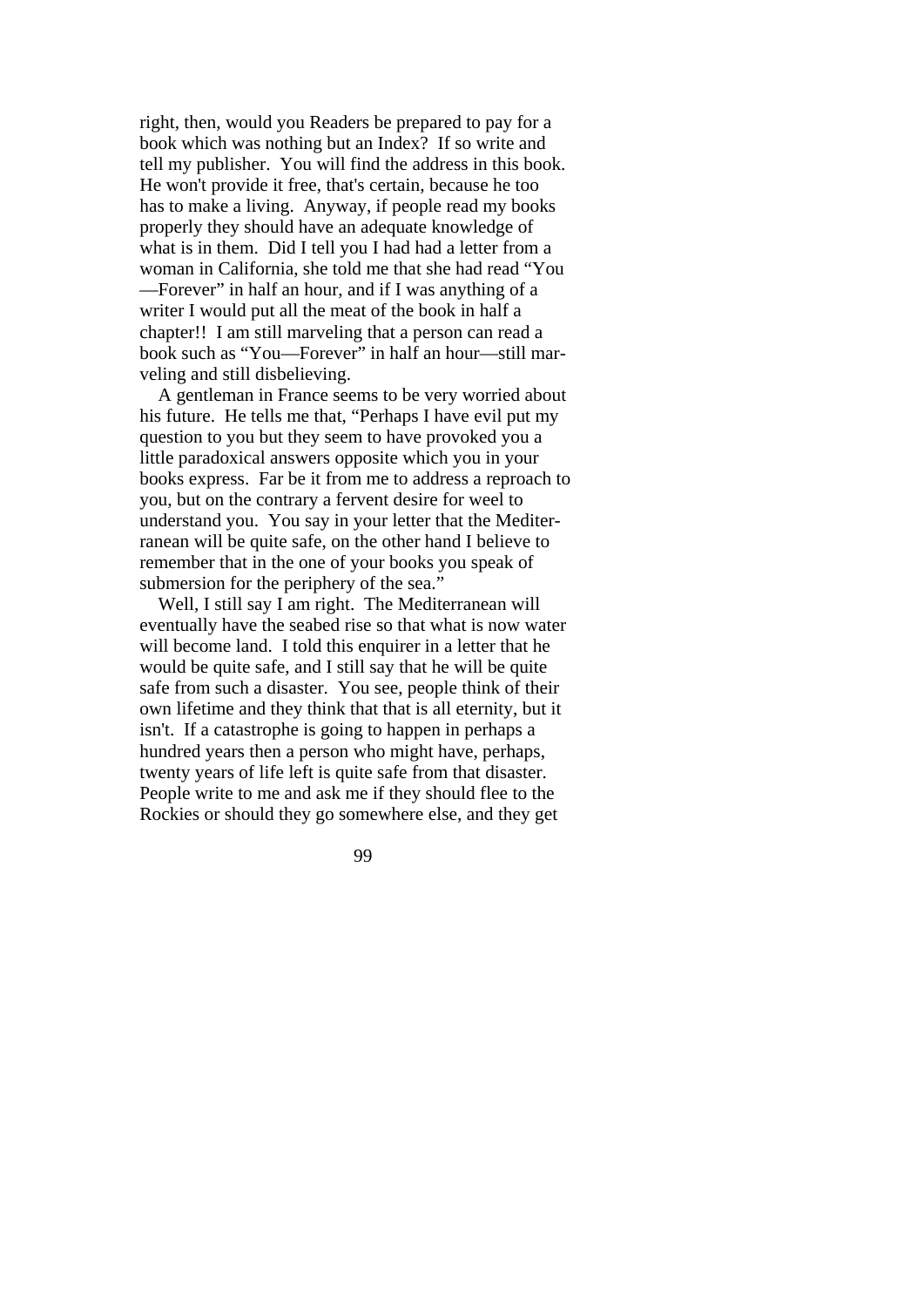right, then, would you Readers be prepared to pay for a book which was nothing but an Index? If so write and tell my publisher. You will find the address in this book. He won't provide it free, that's certain, because he too has to make a living. Anyway, if people read my books properly they should have an adequate knowledge of what is in them. Did I tell you I had had a letter from a woman in California, she told me that she had read "You —Forever" in half an hour, and if I was anything of a writer I would put all the meat of the book in half a chapter!! I am still marveling that a person can read a book such as "You—Forever" in half an hour—still marveling and still disbelieving.

 A gentleman in France seems to be very worried about his future. He tells me that, "Perhaps I have evil put my question to you but they seem to have provoked you a little paradoxical answers opposite which you in your books express. Far be it from me to address a reproach to you, but on the contrary a fervent desire for weel to understand you. You say in your letter that the Mediterranean will be quite safe, on the other hand I believe to remember that in the one of your books you speak of submersion for the periphery of the sea."

 Well, I still say I am right. The Mediterranean will eventually have the seabed rise so that what is now water will become land. I told this enquirer in a letter that he would be quite safe, and I still say that he will be quite safe from such a disaster. You see, people think of their own lifetime and they think that that is all eternity, but it isn't. If a catastrophe is going to happen in perhaps a hundred years then a person who might have, perhaps, twenty years of life left is quite safe from that disaster. People write to me and ask me if they should flee to the Rockies or should they go somewhere else, and they get

99 and the state of the state of the state of the state of the state of the state of the state of the state of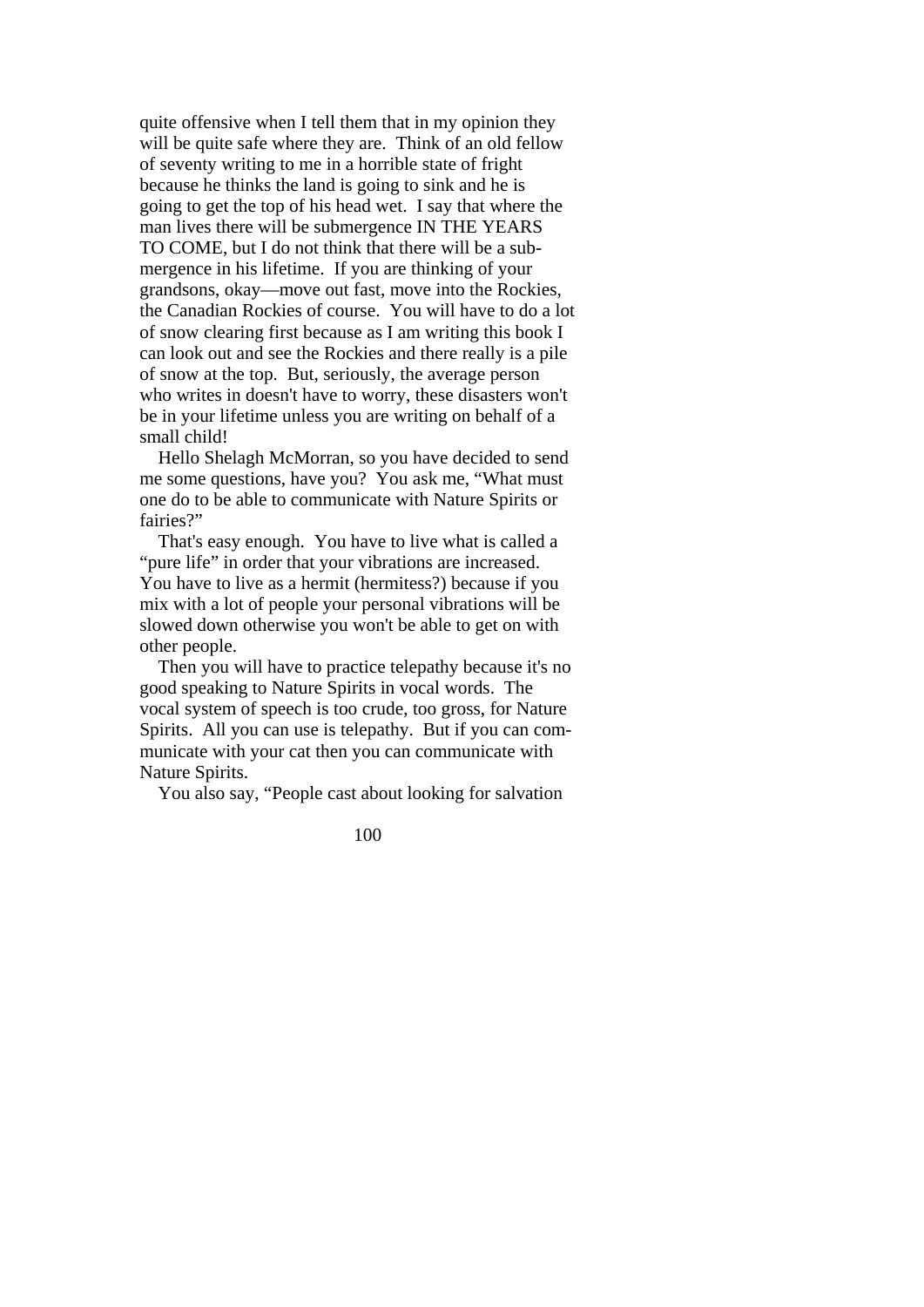quite offensive when I tell them that in my opinion they will be quite safe where they are. Think of an old fellow of seventy writing to me in a horrible state of fright because he thinks the land is going to sink and he is going to get the top of his head wet. I say that where the man lives there will be submergence IN THE YEARS TO COME, but I do not think that there will be a submergence in his lifetime. If you are thinking of your grandsons, okay—move out fast, move into the Rockies, the Canadian Rockies of course. You will have to do a lot of snow clearing first because as I am writing this book I can look out and see the Rockies and there really is a pile of snow at the top. But, seriously, the average person who writes in doesn't have to worry, these disasters won't be in your lifetime unless you are writing on behalf of a small child!

 Hello Shelagh McMorran, so you have decided to send me some questions, have you? You ask me, "What must one do to be able to communicate with Nature Spirits or fairies?"

 That's easy enough. You have to live what is called a "pure life" in order that your vibrations are increased. You have to live as a hermit (hermitess?) because if you mix with a lot of people your personal vibrations will be slowed down otherwise you won't be able to get on with other people.

 Then you will have to practice telepathy because it's no good speaking to Nature Spirits in vocal words. The vocal system of speech is too crude, too gross, for Nature Spirits. All you can use is telepathy. But if you can communicate with your cat then you can communicate with Nature Spirits.

You also say, "People cast about looking for salvation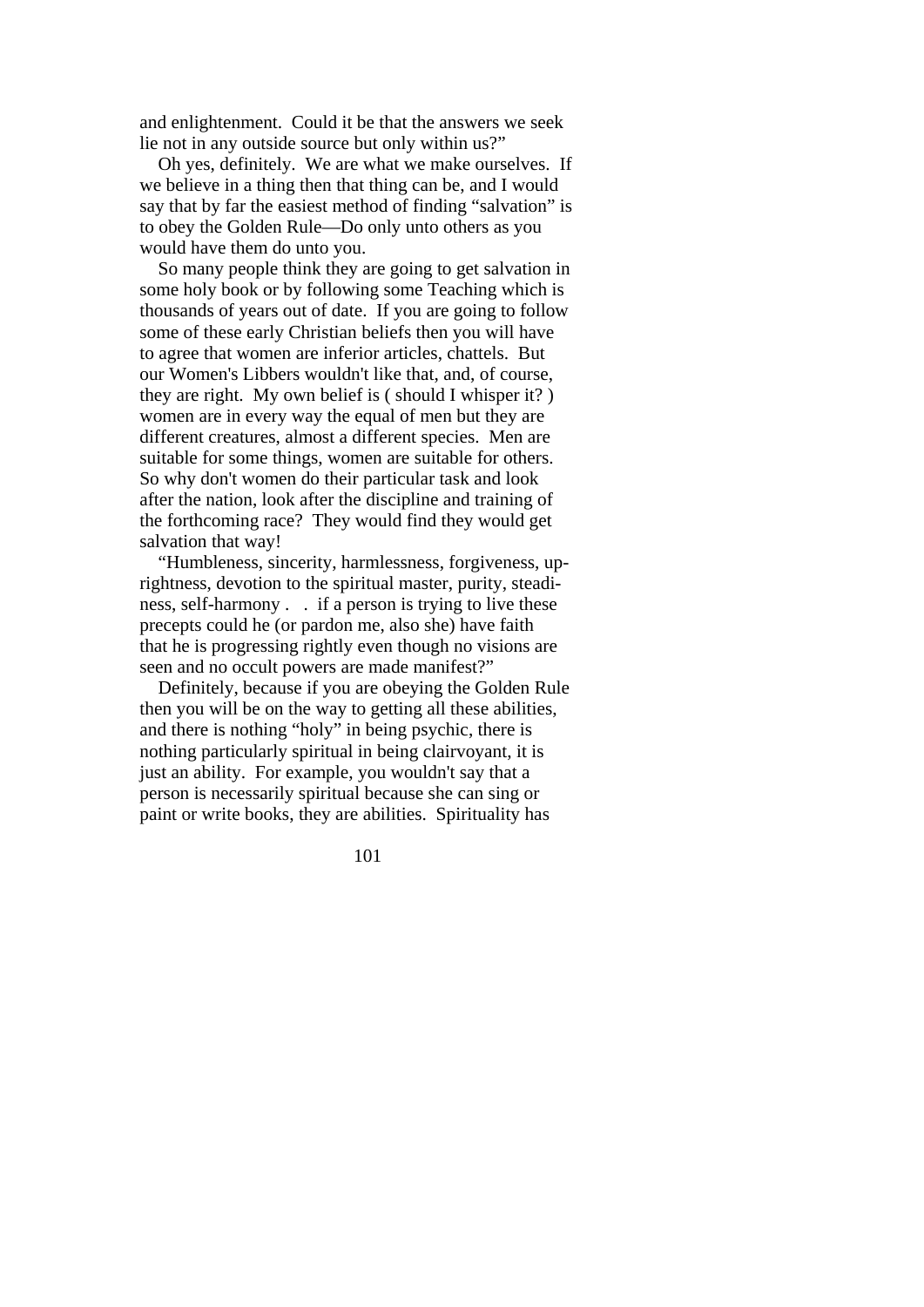and enlightenment. Could it be that the answers we seek lie not in any outside source but only within us?"

 Oh yes, definitely. We are what we make ourselves. If we believe in a thing then that thing can be, and I would say that by far the easiest method of finding "salvation" is to obey the Golden Rule—Do only unto others as you would have them do unto you.

 So many people think they are going to get salvation in some holy book or by following some Teaching which is thousands of years out of date. If you are going to follow some of these early Christian beliefs then you will have to agree that women are inferior articles, chattels. But our Women's Libbers wouldn't like that, and, of course, they are right. My own belief is ( should I whisper it? ) women are in every way the equal of men but they are different creatures, almost a different species. Men are suitable for some things, women are suitable for others. So why don't women do their particular task and look after the nation, look after the discipline and training of the forthcoming race? They would find they would get salvation that way!

 "Humbleness, sincerity, harmlessness, forgiveness, uprightness, devotion to the spiritual master, purity, steadiness, self-harmony . . if a person is trying to live these precepts could he (or pardon me, also she) have faith that he is progressing rightly even though no visions are seen and no occult powers are made manifest?"

 Definitely, because if you are obeying the Golden Rule then you will be on the way to getting all these abilities, and there is nothing "holy" in being psychic, there is nothing particularly spiritual in being clairvoyant, it is just an ability. For example, you wouldn't say that a person is necessarily spiritual because she can sing or paint or write books, they are abilities. Spirituality has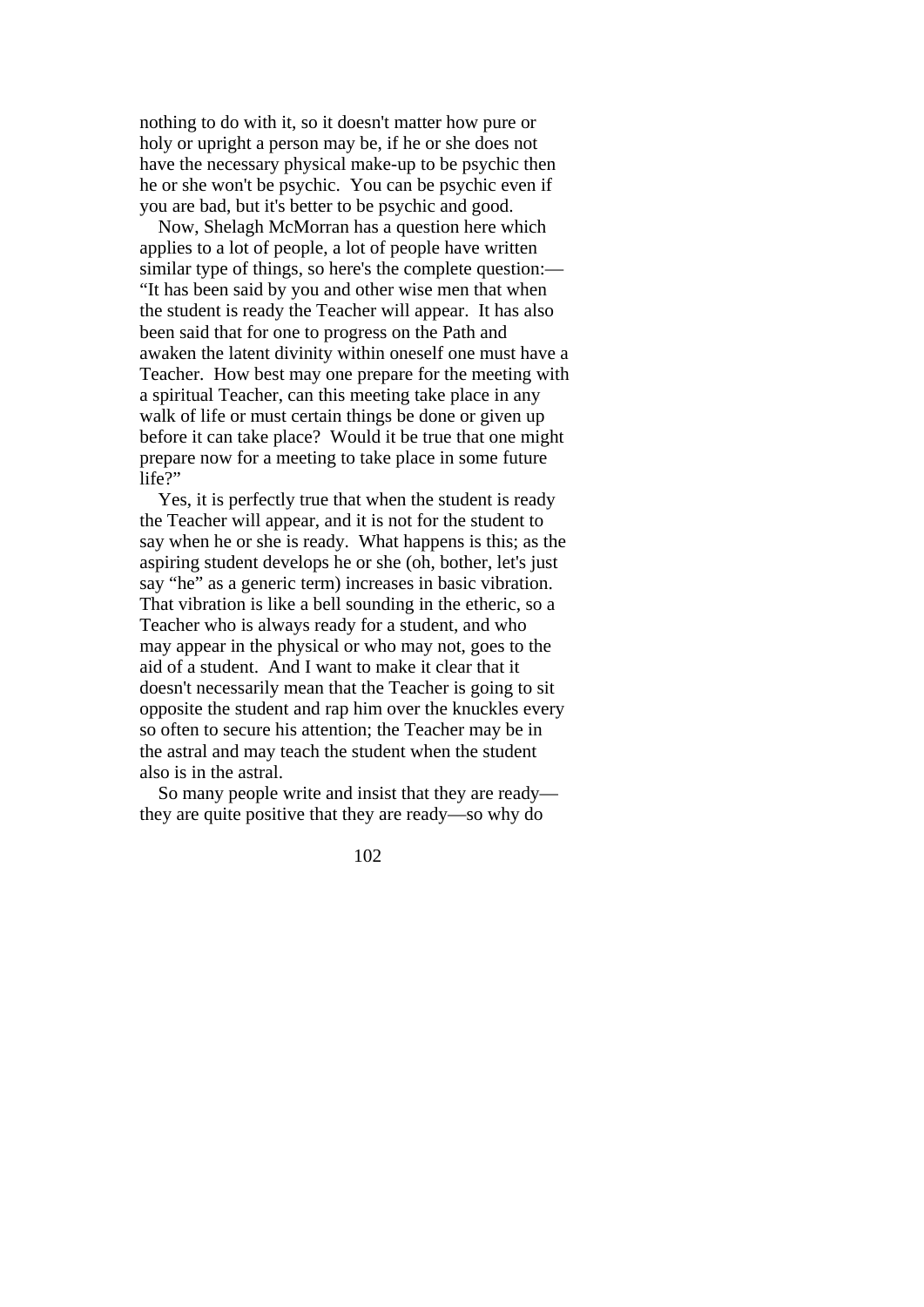nothing to do with it, so it doesn't matter how pure or holy or upright a person may be, if he or she does not have the necessary physical make-up to be psychic then he or she won't be psychic. You can be psychic even if you are bad, but it's better to be psychic and good.

 Now, Shelagh McMorran has a question here which applies to a lot of people, a lot of people have written similar type of things, so here's the complete question:— "It has been said by you and other wise men that when the student is ready the Teacher will appear. It has also been said that for one to progress on the Path and awaken the latent divinity within oneself one must have a Teacher. How best may one prepare for the meeting with a spiritual Teacher, can this meeting take place in any walk of life or must certain things be done or given up before it can take place? Would it be true that one might prepare now for a meeting to take place in some future life?"

 Yes, it is perfectly true that when the student is ready the Teacher will appear, and it is not for the student to say when he or she is ready. What happens is this; as the aspiring student develops he or she (oh, bother, let's just say "he" as a generic term) increases in basic vibration. That vibration is like a bell sounding in the etheric, so a Teacher who is always ready for a student, and who may appear in the physical or who may not, goes to the aid of a student. And I want to make it clear that it doesn't necessarily mean that the Teacher is going to sit opposite the student and rap him over the knuckles every so often to secure his attention; the Teacher may be in the astral and may teach the student when the student also is in the astral.

 So many people write and insist that they are ready they are quite positive that they are ready—so why do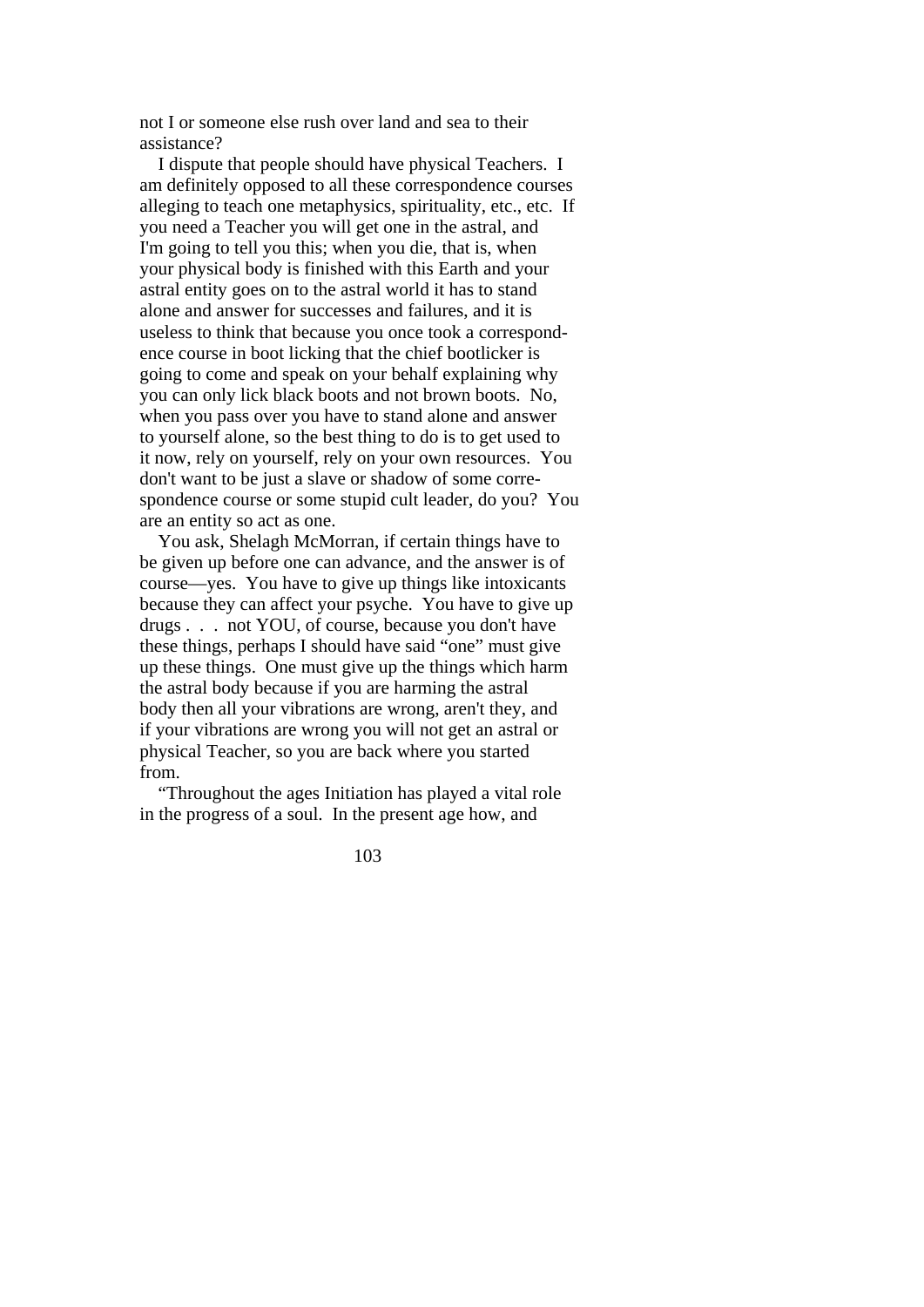not I or someone else rush over land and sea to their assistance?

 I dispute that people should have physical Teachers. I am definitely opposed to all these correspondence courses alleging to teach one metaphysics, spirituality, etc., etc. If you need a Teacher you will get one in the astral, and I'm going to tell you this; when you die, that is, when your physical body is finished with this Earth and your astral entity goes on to the astral world it has to stand alone and answer for successes and failures, and it is useless to think that because you once took a correspondence course in boot licking that the chief bootlicker is going to come and speak on your behalf explaining why you can only lick black boots and not brown boots. No, when you pass over you have to stand alone and answer to yourself alone, so the best thing to do is to get used to it now, rely on yourself, rely on your own resources. You don't want to be just a slave or shadow of some correspondence course or some stupid cult leader, do you? You are an entity so act as one.

 You ask, Shelagh McMorran, if certain things have to be given up before one can advance, and the answer is of course—yes. You have to give up things like intoxicants because they can affect your psyche. You have to give up drugs . . . not YOU, of course, because you don't have these things, perhaps I should have said "one" must give up these things. One must give up the things which harm the astral body because if you are harming the astral body then all your vibrations are wrong, aren't they, and if your vibrations are wrong you will not get an astral or physical Teacher, so you are back where you started from.

 "Throughout the ages Initiation has played a vital role in the progress of a soul. In the present age how, and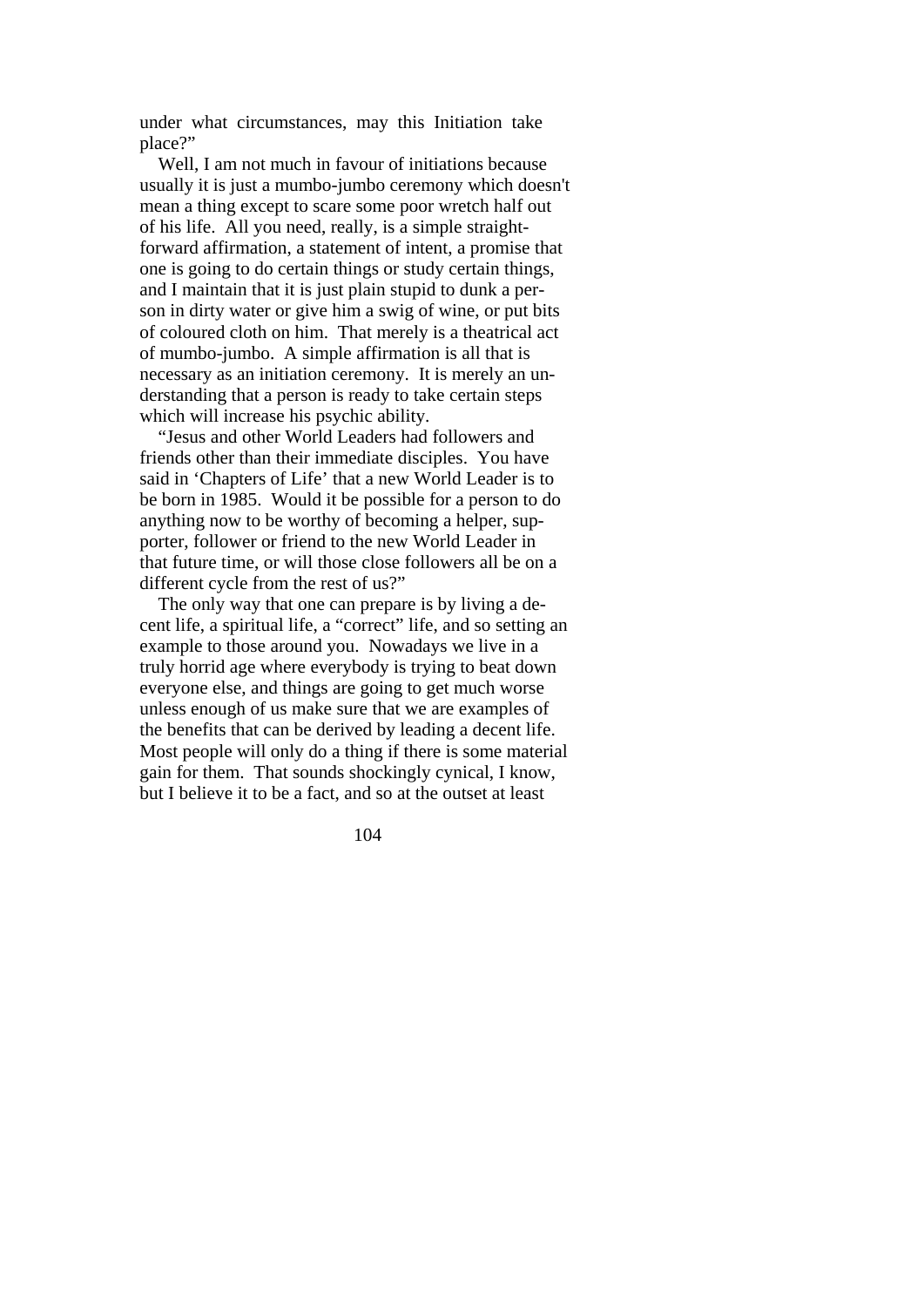under what circumstances, may this Initiation take place?"

 Well, I am not much in favour of initiations because usually it is just a mumbo-jumbo ceremony which doesn't mean a thing except to scare some poor wretch half out of his life. All you need, really, is a simple straightforward affirmation, a statement of intent, a promise that one is going to do certain things or study certain things, and I maintain that it is just plain stupid to dunk a person in dirty water or give him a swig of wine, or put bits of coloured cloth on him. That merely is a theatrical act of mumbo-jumbo. A simple affirmation is all that is necessary as an initiation ceremony. It is merely an understanding that a person is ready to take certain steps which will increase his psychic ability.

 "Jesus and other World Leaders had followers and friends other than their immediate disciples. You have said in 'Chapters of Life' that a new World Leader is to be born in 1985. Would it be possible for a person to do anything now to be worthy of becoming a helper, supporter, follower or friend to the new World Leader in that future time, or will those close followers all be on a different cycle from the rest of us?"

 The only way that one can prepare is by living a decent life, a spiritual life, a "correct" life, and so setting an example to those around you. Nowadays we live in a truly horrid age where everybody is trying to beat down everyone else, and things are going to get much worse unless enough of us make sure that we are examples of the benefits that can be derived by leading a decent life. Most people will only do a thing if there is some material gain for them. That sounds shockingly cynical, I know, but I believe it to be a fact, and so at the outset at least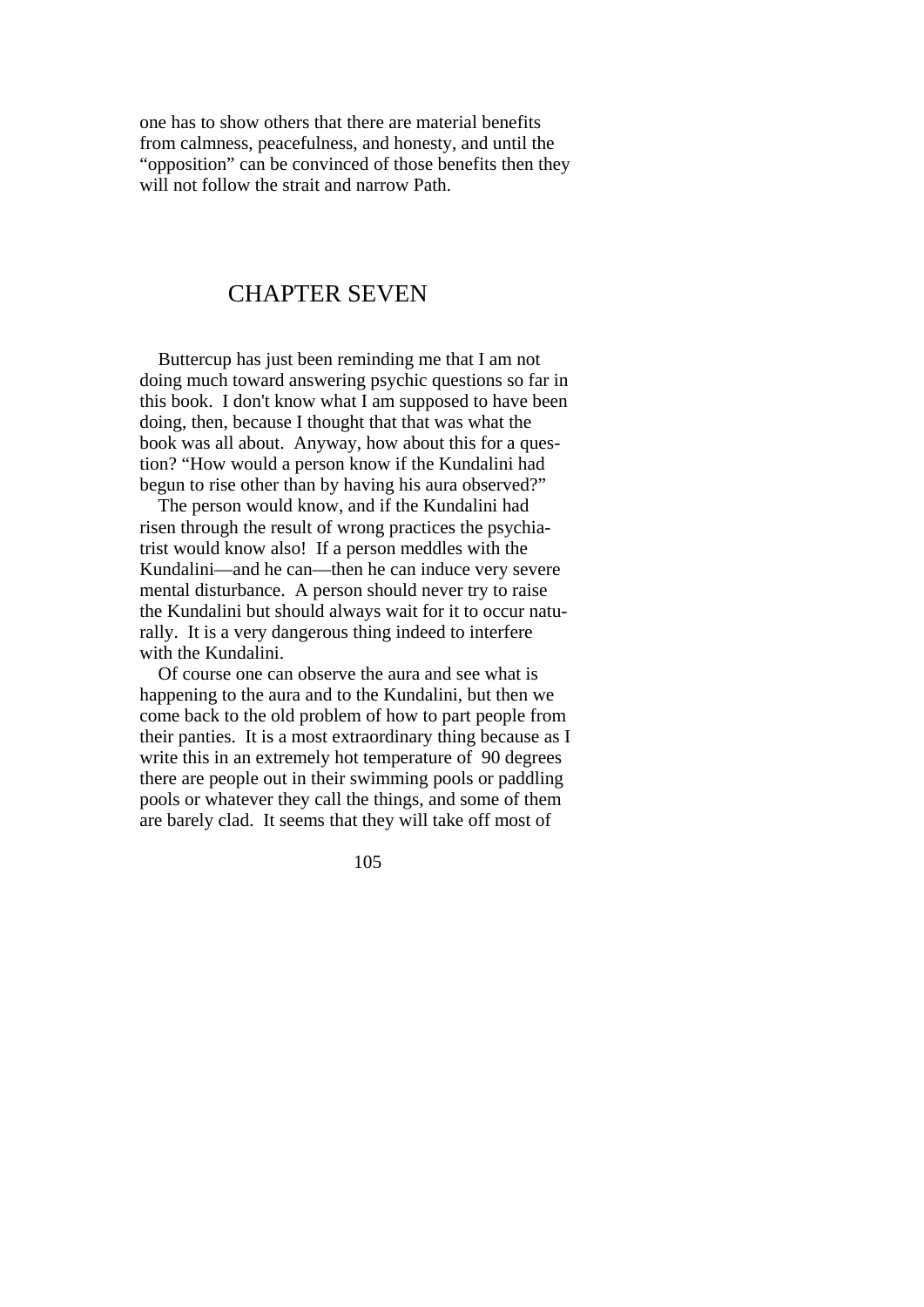one has to show others that there are material benefits from calmness, peacefulness, and honesty, and until the "opposition" can be convinced of those benefits then they will not follow the strait and narrow Path.

## CHAPTER SEVEN

 Buttercup has just been reminding me that I am not doing much toward answering psychic questions so far in this book. I don't know what I am supposed to have been doing, then, because I thought that that was what the book was all about. Anyway, how about this for a question? "How would a person know if the Kundalini had begun to rise other than by having his aura observed?"

 The person would know, and if the Kundalini had risen through the result of wrong practices the psychiatrist would know also! If a person meddles with the Kundalini—and he can—then he can induce very severe mental disturbance. A person should never try to raise the Kundalini but should always wait for it to occur naturally. It is a very dangerous thing indeed to interfere with the Kundalini.

 Of course one can observe the aura and see what is happening to the aura and to the Kundalini, but then we come back to the old problem of how to part people from their panties. It is a most extraordinary thing because as I write this in an extremely hot temperature of 90 degrees there are people out in their swimming pools or paddling pools or whatever they call the things, and some of them are barely clad. It seems that they will take off most of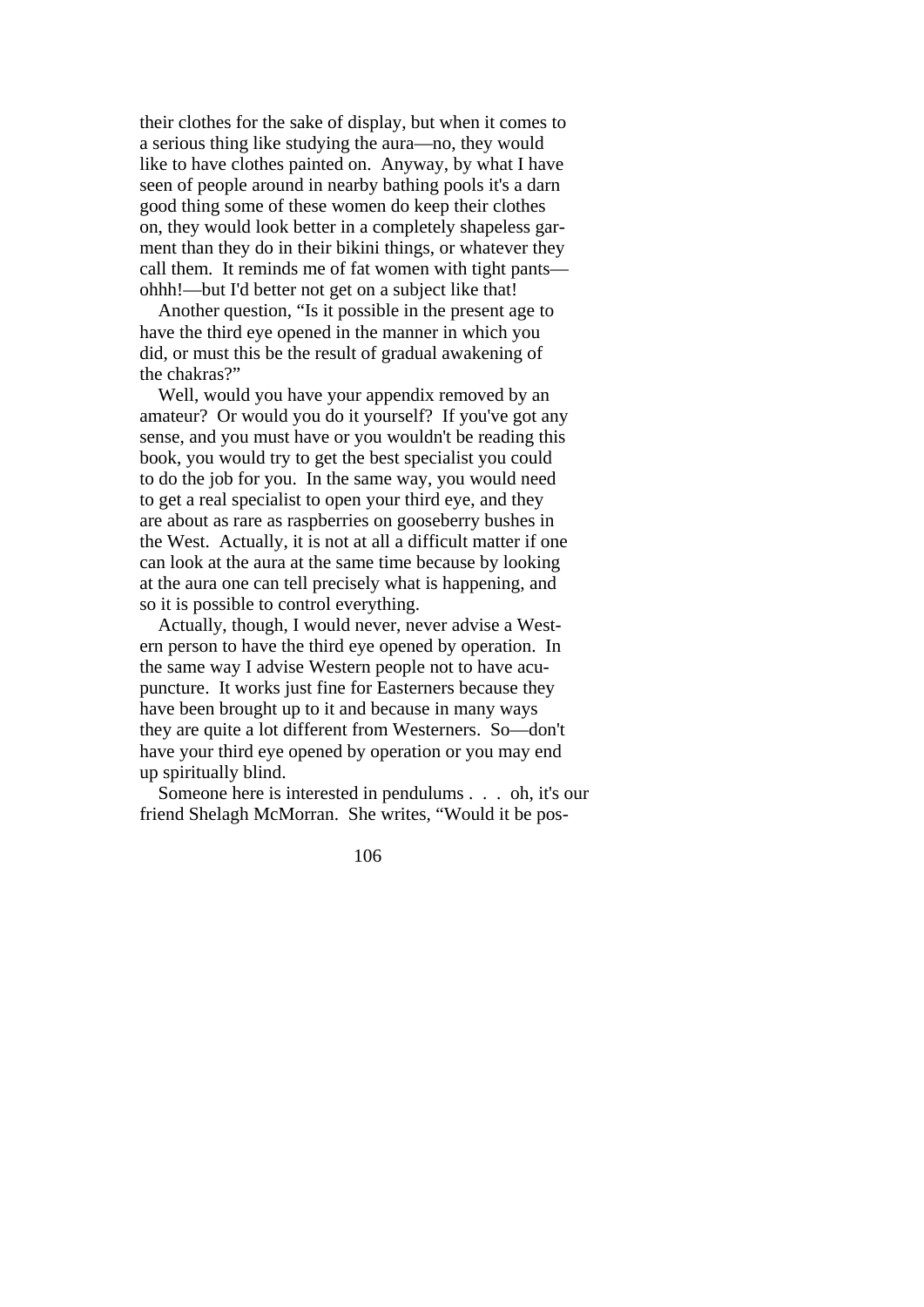their clothes for the sake of display, but when it comes to a serious thing like studying the aura—no, they would like to have clothes painted on. Anyway, by what I have seen of people around in nearby bathing pools it's a darn good thing some of these women do keep their clothes on, they would look better in a completely shapeless garment than they do in their bikini things, or whatever they call them. It reminds me of fat women with tight pants ohhh!—but I'd better not get on a subject like that!

 Another question, "Is it possible in the present age to have the third eye opened in the manner in which you did, or must this be the result of gradual awakening of the chakras?"

 Well, would you have your appendix removed by an amateur? Or would you do it yourself? If you've got any sense, and you must have or you wouldn't be reading this book, you would try to get the best specialist you could to do the job for you. In the same way, you would need to get a real specialist to open your third eye, and they are about as rare as raspberries on gooseberry bushes in the West. Actually, it is not at all a difficult matter if one can look at the aura at the same time because by looking at the aura one can tell precisely what is happening, and so it is possible to control everything.

 Actually, though, I would never, never advise a Western person to have the third eye opened by operation. In the same way I advise Western people not to have acupuncture. It works just fine for Easterners because they have been brought up to it and because in many ways they are quite a lot different from Westerners. So—don't have your third eye opened by operation or you may end up spiritually blind.

 Someone here is interested in pendulums . . . oh, it's our friend Shelagh McMorran. She writes, "Would it be pos-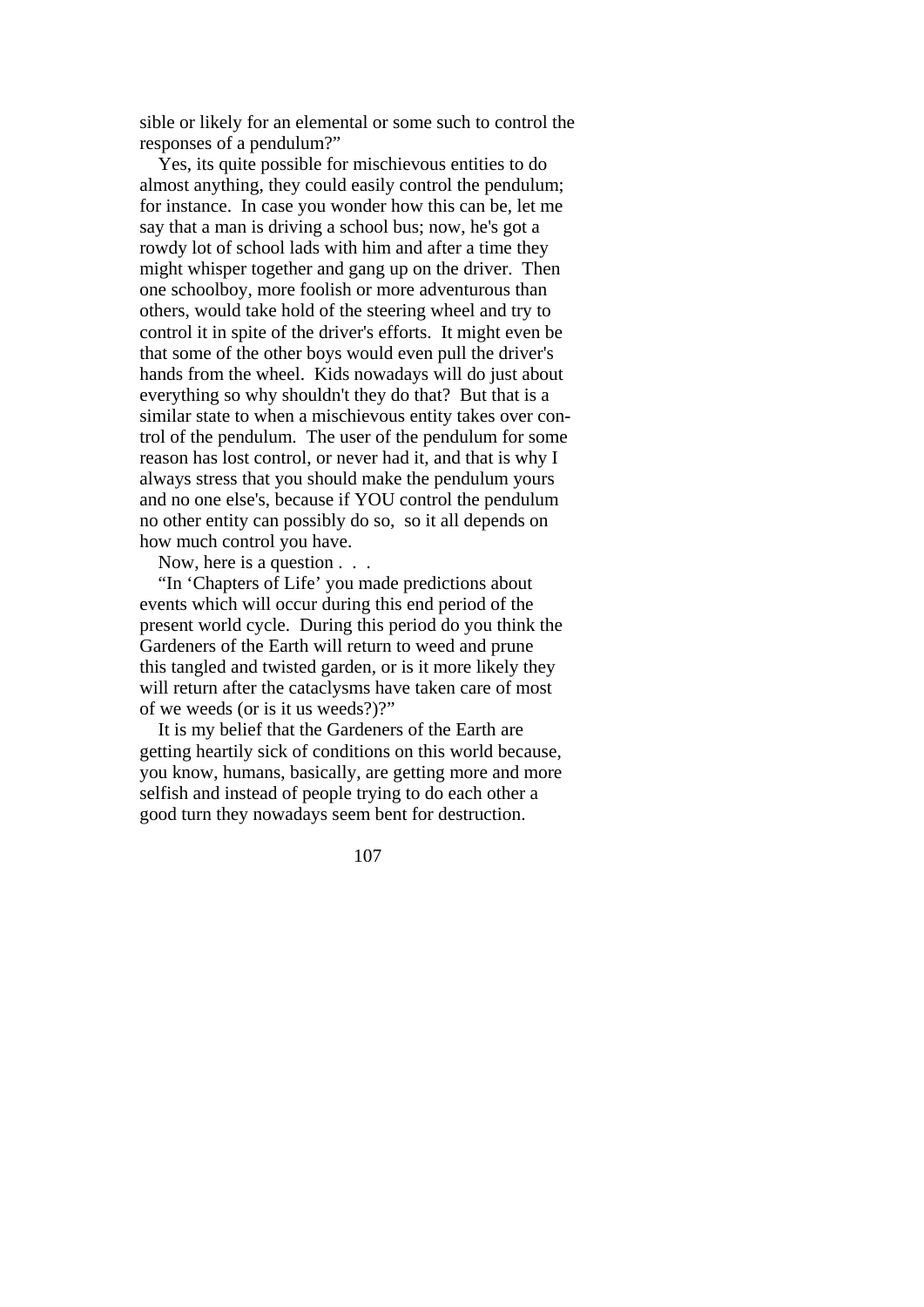sible or likely for an elemental or some such to control the responses of a pendulum?"

 Yes, its quite possible for mischievous entities to do almost anything, they could easily control the pendulum; for instance. In case you wonder how this can be, let me say that a man is driving a school bus; now, he's got a rowdy lot of school lads with him and after a time they might whisper together and gang up on the driver. Then one schoolboy, more foolish or more adventurous than others, would take hold of the steering wheel and try to control it in spite of the driver's efforts. It might even be that some of the other boys would even pull the driver's hands from the wheel. Kids nowadays will do just about everything so why shouldn't they do that? But that is a similar state to when a mischievous entity takes over control of the pendulum. The user of the pendulum for some reason has lost control, or never had it, and that is why I always stress that you should make the pendulum yours and no one else's, because if YOU control the pendulum no other entity can possibly do so, so it all depends on how much control you have.

Now, here is a question . . .

 "In 'Chapters of Life' you made predictions about events which will occur during this end period of the present world cycle. During this period do you think the Gardeners of the Earth will return to weed and prune this tangled and twisted garden, or is it more likely they will return after the cataclysms have taken care of most of we weeds (or is it us weeds?)?"

 It is my belief that the Gardeners of the Earth are getting heartily sick of conditions on this world because, you know, humans, basically, are getting more and more selfish and instead of people trying to do each other a good turn they nowadays seem bent for destruction.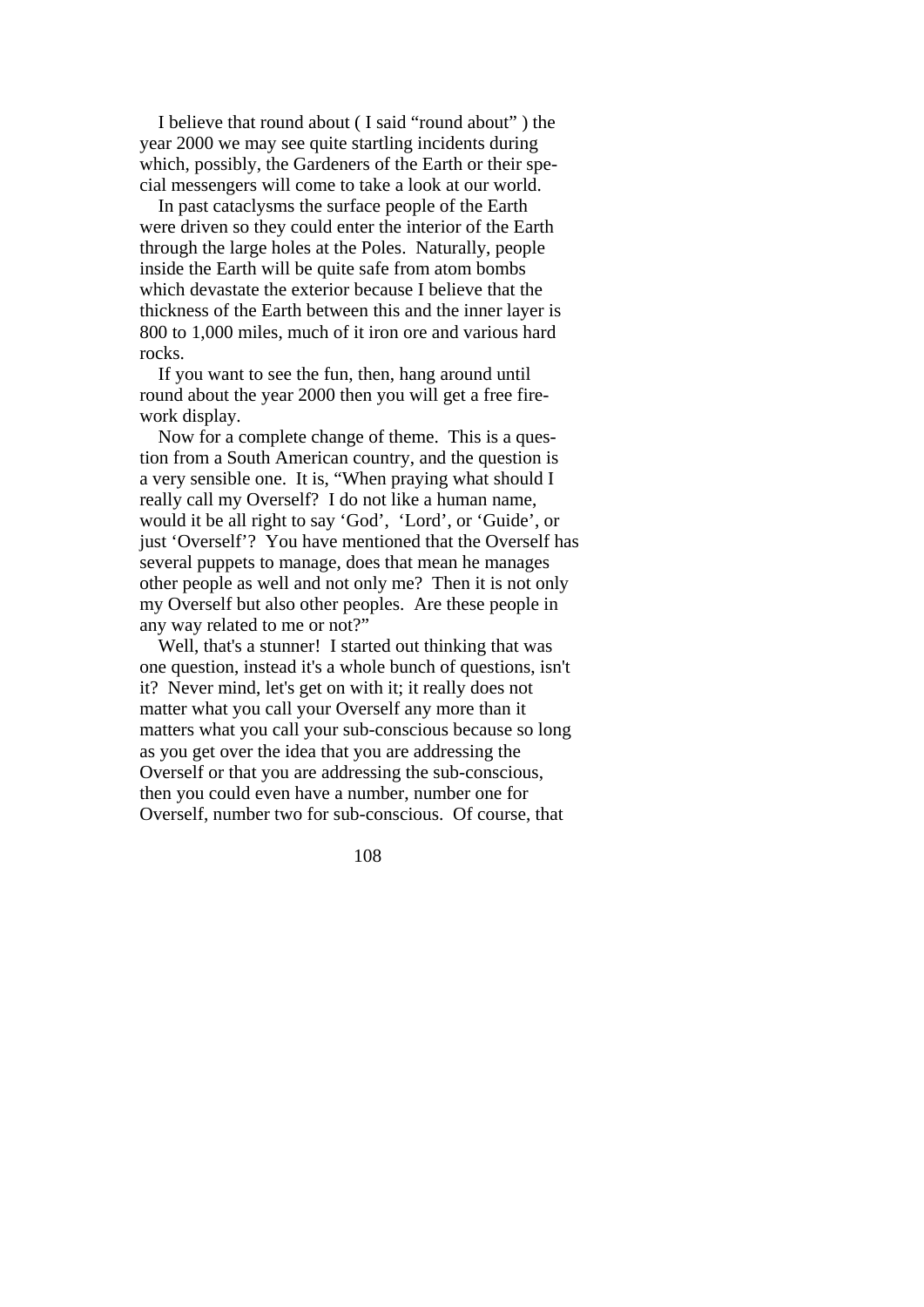I believe that round about ( I said "round about" ) the year 2000 we may see quite startling incidents during which, possibly, the Gardeners of the Earth or their special messengers will come to take a look at our world.

 In past cataclysms the surface people of the Earth were driven so they could enter the interior of the Earth through the large holes at the Poles. Naturally, people inside the Earth will be quite safe from atom bombs which devastate the exterior because I believe that the thickness of the Earth between this and the inner layer is 800 to 1,000 miles, much of it iron ore and various hard rocks.

 If you want to see the fun, then, hang around until round about the year 2000 then you will get a free firework display.

 Now for a complete change of theme. This is a question from a South American country, and the question is a very sensible one. It is, "When praying what should I really call my Overself? I do not like a human name, would it be all right to say 'God', 'Lord', or 'Guide', or just 'Overself'? You have mentioned that the Overself has several puppets to manage, does that mean he manages other people as well and not only me? Then it is not only my Overself but also other peoples. Are these people in any way related to me or not?"

 Well, that's a stunner! I started out thinking that was one question, instead it's a whole bunch of questions, isn't it? Never mind, let's get on with it; it really does not matter what you call your Overself any more than it matters what you call your sub-conscious because so long as you get over the idea that you are addressing the Overself or that you are addressing the sub-conscious, then you could even have a number, number one for Overself, number two for sub-conscious. Of course, that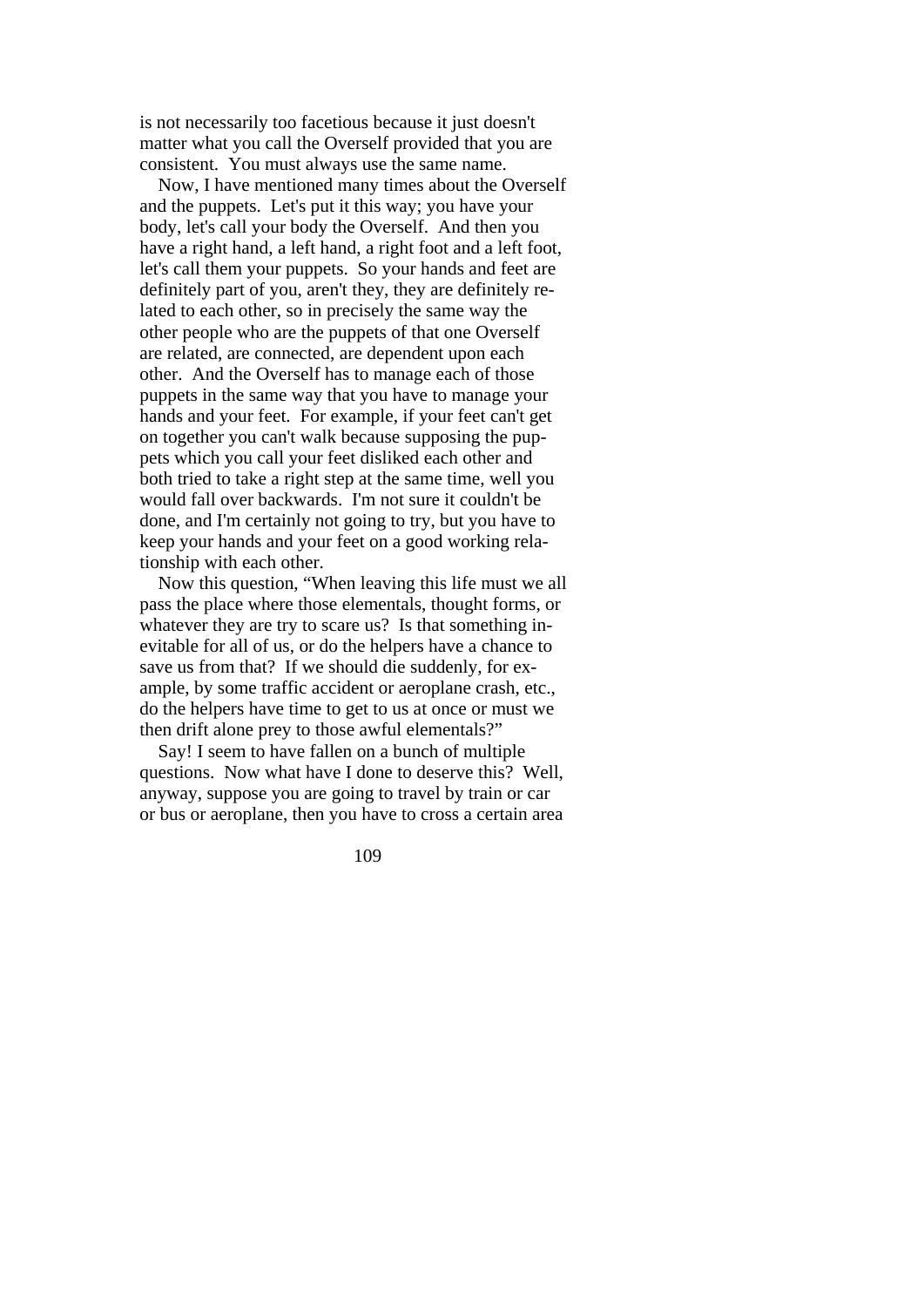is not necessarily too facetious because it just doesn't matter what you call the Overself provided that you are consistent. You must always use the same name.

 Now, I have mentioned many times about the Overself and the puppets. Let's put it this way; you have your body, let's call your body the Overself. And then you have a right hand, a left hand, a right foot and a left foot, let's call them your puppets. So your hands and feet are definitely part of you, aren't they, they are definitely related to each other, so in precisely the same way the other people who are the puppets of that one Overself are related, are connected, are dependent upon each other. And the Overself has to manage each of those puppets in the same way that you have to manage your hands and your feet. For example, if your feet can't get on together you can't walk because supposing the puppets which you call your feet disliked each other and both tried to take a right step at the same time, well you would fall over backwards. I'm not sure it couldn't be done, and I'm certainly not going to try, but you have to keep your hands and your feet on a good working relationship with each other.

 Now this question, "When leaving this life must we all pass the place where those elementals, thought forms, or whatever they are try to scare us? Is that something inevitable for all of us, or do the helpers have a chance to save us from that? If we should die suddenly, for example, by some traffic accident or aeroplane crash, etc., do the helpers have time to get to us at once or must we then drift alone prey to those awful elementals?"

 Say! I seem to have fallen on a bunch of multiple questions. Now what have I done to deserve this? Well, anyway, suppose you are going to travel by train or car or bus or aeroplane, then you have to cross a certain area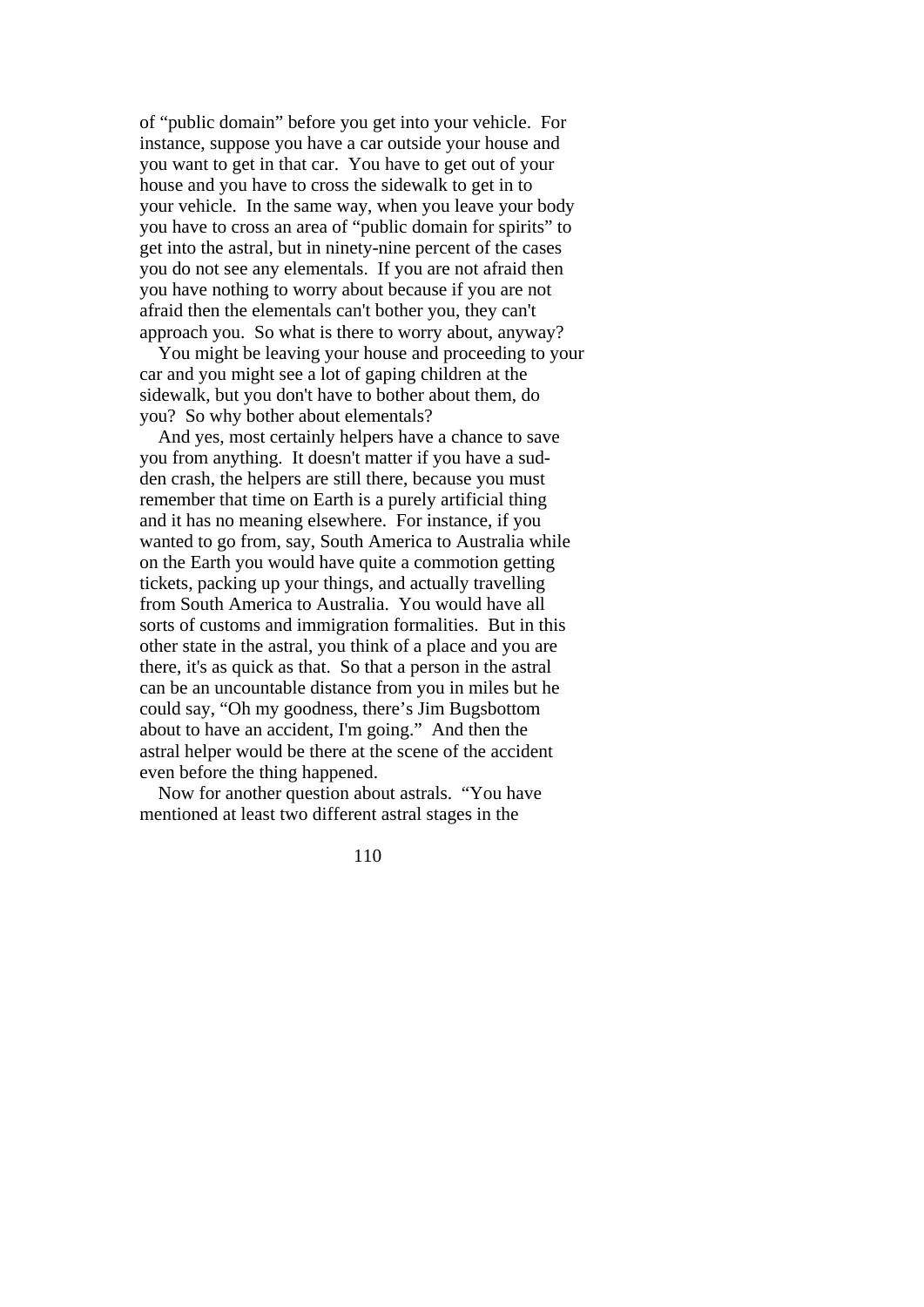of "public domain" before you get into your vehicle. For instance, suppose you have a car outside your house and you want to get in that car. You have to get out of your house and you have to cross the sidewalk to get in to your vehicle. In the same way, when you leave your body you have to cross an area of "public domain for spirits" to get into the astral, but in ninety-nine percent of the cases you do not see any elementals. If you are not afraid then you have nothing to worry about because if you are not afraid then the elementals can't bother you, they can't approach you. So what is there to worry about, anyway?

 You might be leaving your house and proceeding to your car and you might see a lot of gaping children at the sidewalk, but you don't have to bother about them, do you? So why bother about elementals?

 And yes, most certainly helpers have a chance to save you from anything. It doesn't matter if you have a sudden crash, the helpers are still there, because you must remember that time on Earth is a purely artificial thing and it has no meaning elsewhere. For instance, if you wanted to go from, say, South America to Australia while on the Earth you would have quite a commotion getting tickets, packing up your things, and actually travelling from South America to Australia. You would have all sorts of customs and immigration formalities. But in this other state in the astral, you think of a place and you are there, it's as quick as that. So that a person in the astral can be an uncountable distance from you in miles but he could say, "Oh my goodness, there's Jim Bugsbottom about to have an accident, I'm going." And then the astral helper would be there at the scene of the accident even before the thing happened.

 Now for another question about astrals. "You have mentioned at least two different astral stages in the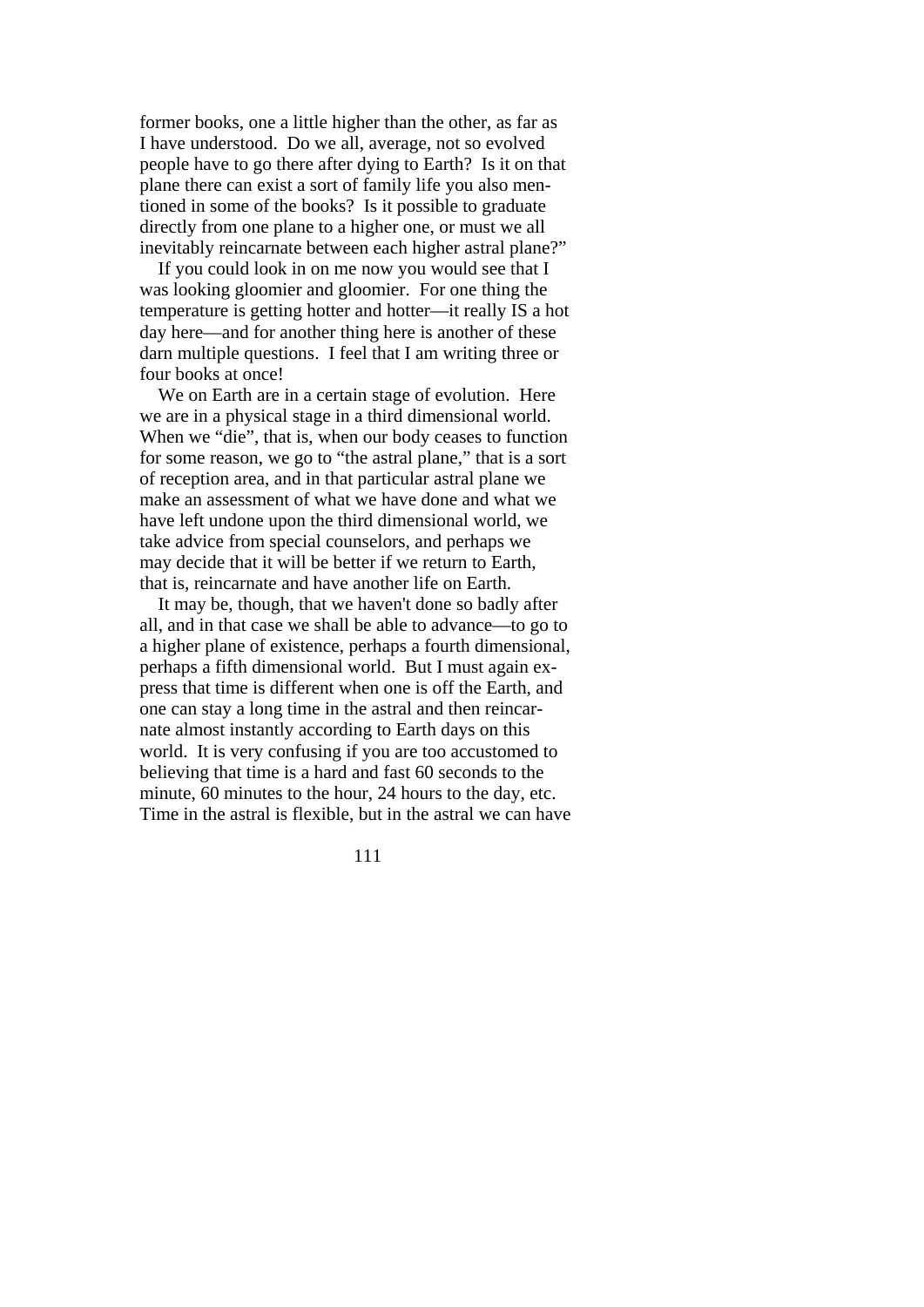former books, one a little higher than the other, as far as I have understood. Do we all, average, not so evolved people have to go there after dying to Earth? Is it on that plane there can exist a sort of family life you also mentioned in some of the books? Is it possible to graduate directly from one plane to a higher one, or must we all inevitably reincarnate between each higher astral plane?"

 If you could look in on me now you would see that I was looking gloomier and gloomier. For one thing the temperature is getting hotter and hotter—it really IS a hot day here—and for another thing here is another of these darn multiple questions. I feel that I am writing three or four books at once!

 We on Earth are in a certain stage of evolution. Here we are in a physical stage in a third dimensional world. When we "die", that is, when our body ceases to function for some reason, we go to "the astral plane," that is a sort of reception area, and in that particular astral plane we make an assessment of what we have done and what we have left undone upon the third dimensional world, we take advice from special counselors, and perhaps we may decide that it will be better if we return to Earth, that is, reincarnate and have another life on Earth.

 It may be, though, that we haven't done so badly after all, and in that case we shall be able to advance—to go to a higher plane of existence, perhaps a fourth dimensional, perhaps a fifth dimensional world. But I must again express that time is different when one is off the Earth, and one can stay a long time in the astral and then reincarnate almost instantly according to Earth days on this world. It is very confusing if you are too accustomed to believing that time is a hard and fast 60 seconds to the minute, 60 minutes to the hour, 24 hours to the day, etc. Time in the astral is flexible, but in the astral we can have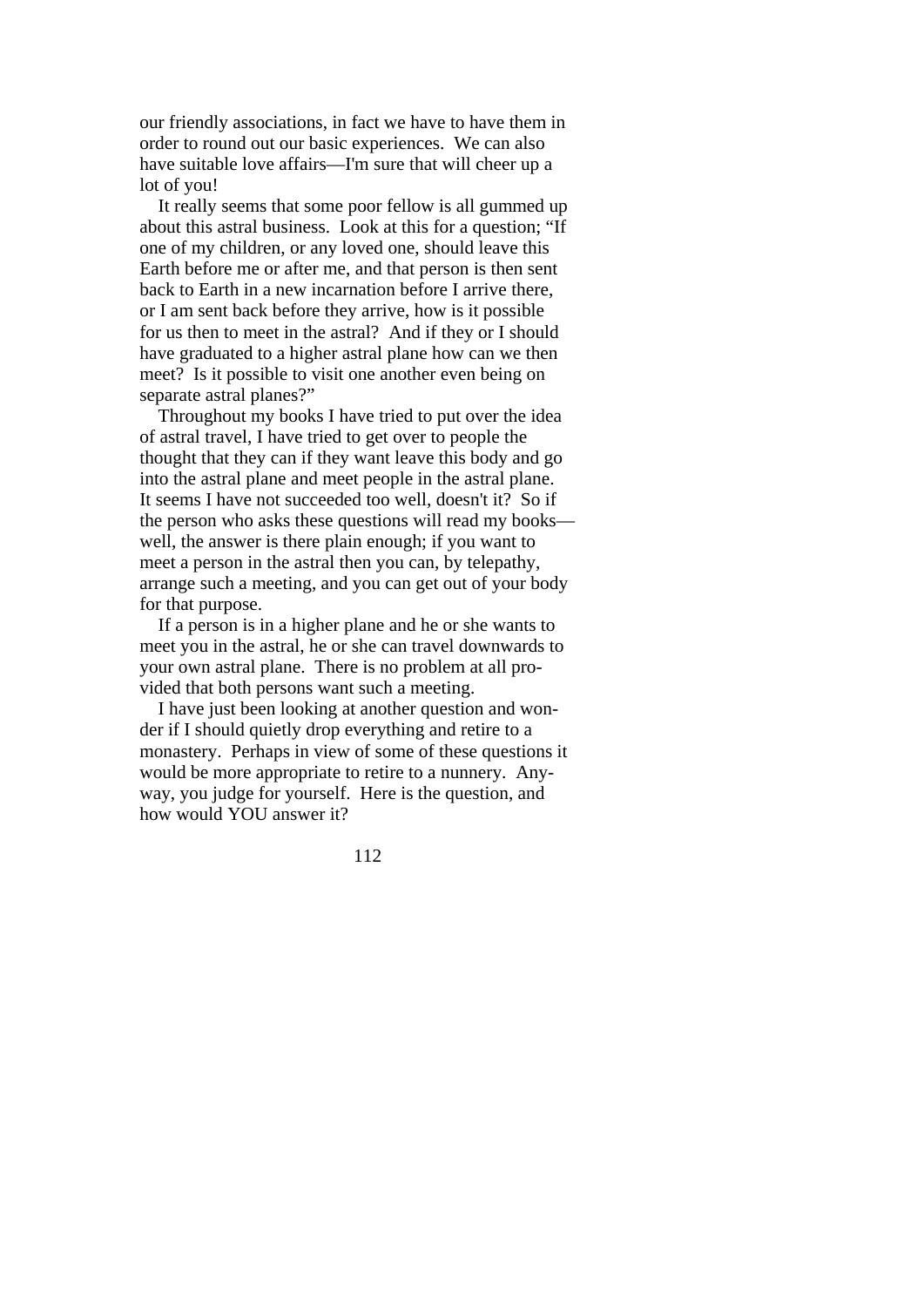our friendly associations, in fact we have to have them in order to round out our basic experiences. We can also have suitable love affairs—I'm sure that will cheer up a lot of you!

 It really seems that some poor fellow is all gummed up about this astral business. Look at this for a question; "If one of my children, or any loved one, should leave this Earth before me or after me, and that person is then sent back to Earth in a new incarnation before I arrive there, or I am sent back before they arrive, how is it possible for us then to meet in the astral? And if they or I should have graduated to a higher astral plane how can we then meet? Is it possible to visit one another even being on separate astral planes?"

 Throughout my books I have tried to put over the idea of astral travel, I have tried to get over to people the thought that they can if they want leave this body and go into the astral plane and meet people in the astral plane. It seems I have not succeeded too well, doesn't it? So if the person who asks these questions will read my books well, the answer is there plain enough; if you want to meet a person in the astral then you can, by telepathy, arrange such a meeting, and you can get out of your body for that purpose.

 If a person is in a higher plane and he or she wants to meet you in the astral, he or she can travel downwards to your own astral plane. There is no problem at all provided that both persons want such a meeting.

 I have just been looking at another question and wonder if I should quietly drop everything and retire to a monastery. Perhaps in view of some of these questions it would be more appropriate to retire to a nunnery. Anyway, you judge for yourself. Here is the question, and how would YOU answer it?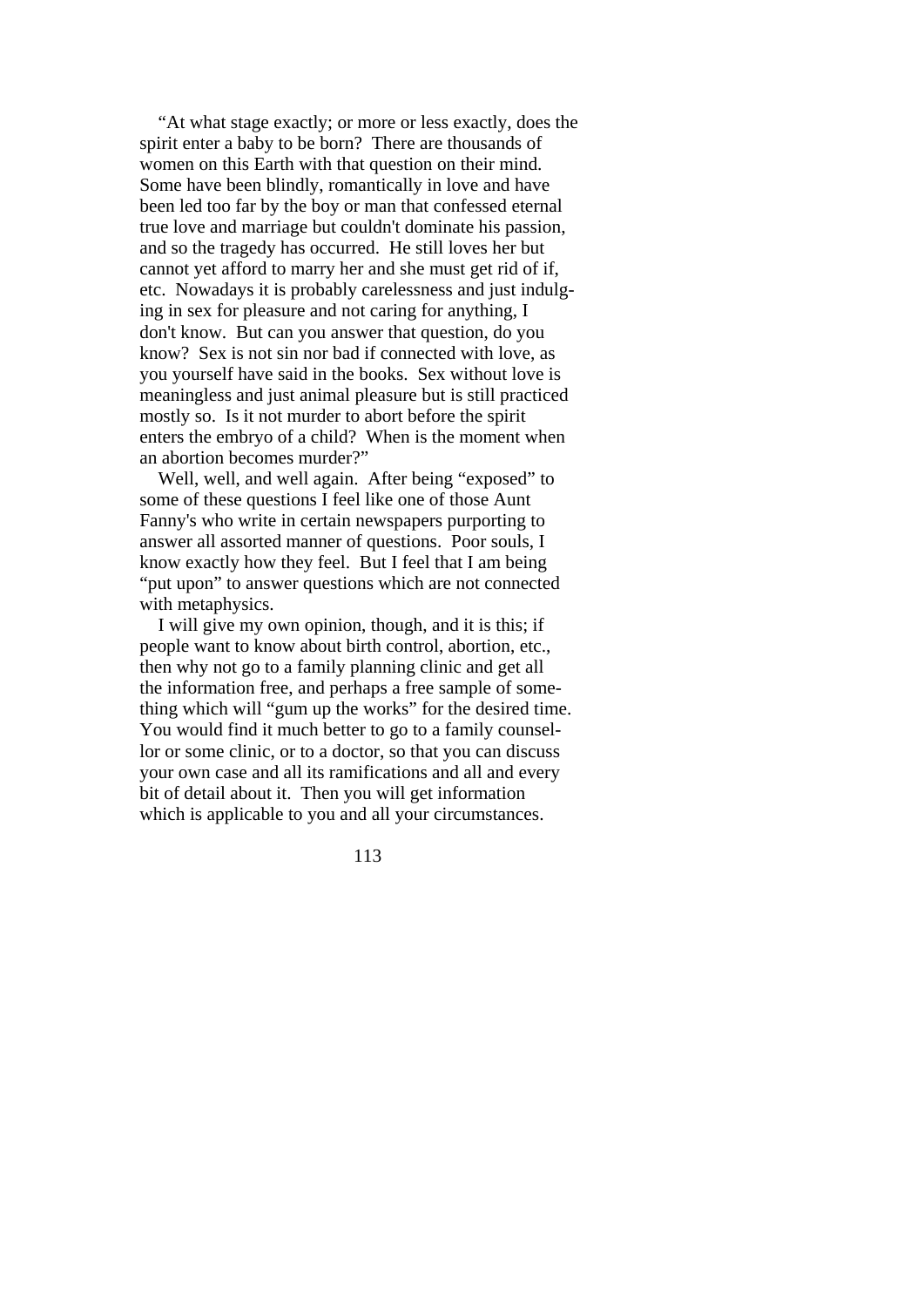"At what stage exactly; or more or less exactly, does the spirit enter a baby to be born? There are thousands of women on this Earth with that question on their mind. Some have been blindly, romantically in love and have been led too far by the boy or man that confessed eternal true love and marriage but couldn't dominate his passion, and so the tragedy has occurred. He still loves her but cannot yet afford to marry her and she must get rid of if, etc. Nowadays it is probably carelessness and just indulging in sex for pleasure and not caring for anything, I don't know. But can you answer that question, do you know? Sex is not sin nor bad if connected with love, as you yourself have said in the books. Sex without love is meaningless and just animal pleasure but is still practiced mostly so. Is it not murder to abort before the spirit enters the embryo of a child? When is the moment when an abortion becomes murder?"

 Well, well, and well again. After being "exposed" to some of these questions I feel like one of those Aunt Fanny's who write in certain newspapers purporting to answer all assorted manner of questions. Poor souls, I know exactly how they feel. But I feel that I am being "put upon" to answer questions which are not connected with metaphysics.

 I will give my own opinion, though, and it is this; if people want to know about birth control, abortion, etc., then why not go to a family planning clinic and get all the information free, and perhaps a free sample of something which will "gum up the works" for the desired time. You would find it much better to go to a family counsellor or some clinic, or to a doctor, so that you can discuss your own case and all its ramifications and all and every bit of detail about it. Then you will get information which is applicable to you and all your circumstances.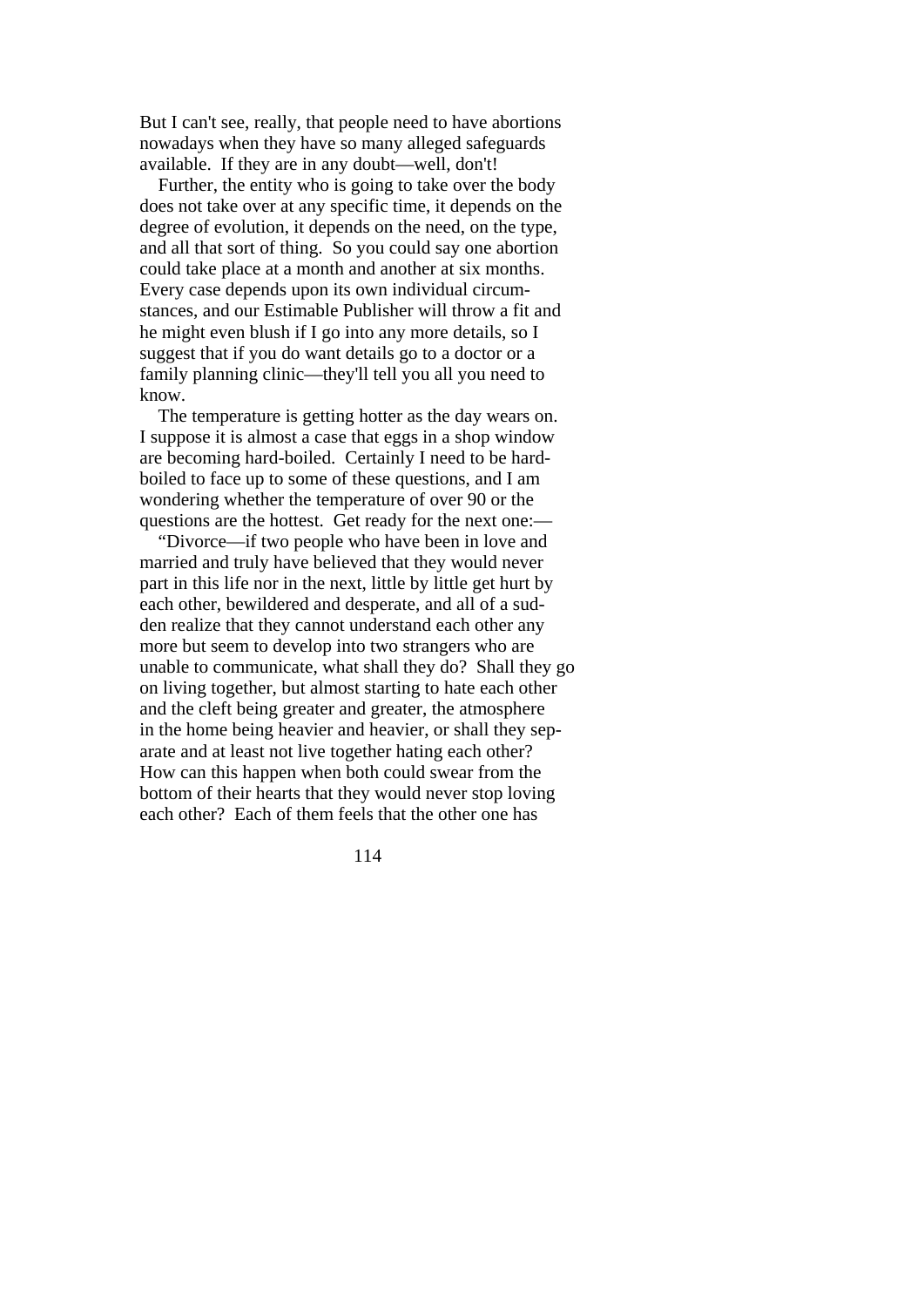But I can't see, really, that people need to have abortions nowadays when they have so many alleged safeguards available. If they are in any doubt—well, don't!

 Further, the entity who is going to take over the body does not take over at any specific time, it depends on the degree of evolution, it depends on the need, on the type, and all that sort of thing. So you could say one abortion could take place at a month and another at six months. Every case depends upon its own individual circumstances, and our Estimable Publisher will throw a fit and he might even blush if I go into any more details, so I suggest that if you do want details go to a doctor or a family planning clinic—they'll tell you all you need to know.

 The temperature is getting hotter as the day wears on. I suppose it is almost a case that eggs in a shop window are becoming hard-boiled. Certainly I need to be hardboiled to face up to some of these questions, and I am wondering whether the temperature of over 90 or the questions are the hottest. Get ready for the next one:—

 "Divorce—if two people who have been in love and married and truly have believed that they would never part in this life nor in the next, little by little get hurt by each other, bewildered and desperate, and all of a sudden realize that they cannot understand each other any more but seem to develop into two strangers who are unable to communicate, what shall they do? Shall they go on living together, but almost starting to hate each other and the cleft being greater and greater, the atmosphere in the home being heavier and heavier, or shall they separate and at least not live together hating each other? How can this happen when both could swear from the bottom of their hearts that they would never stop loving each other? Each of them feels that the other one has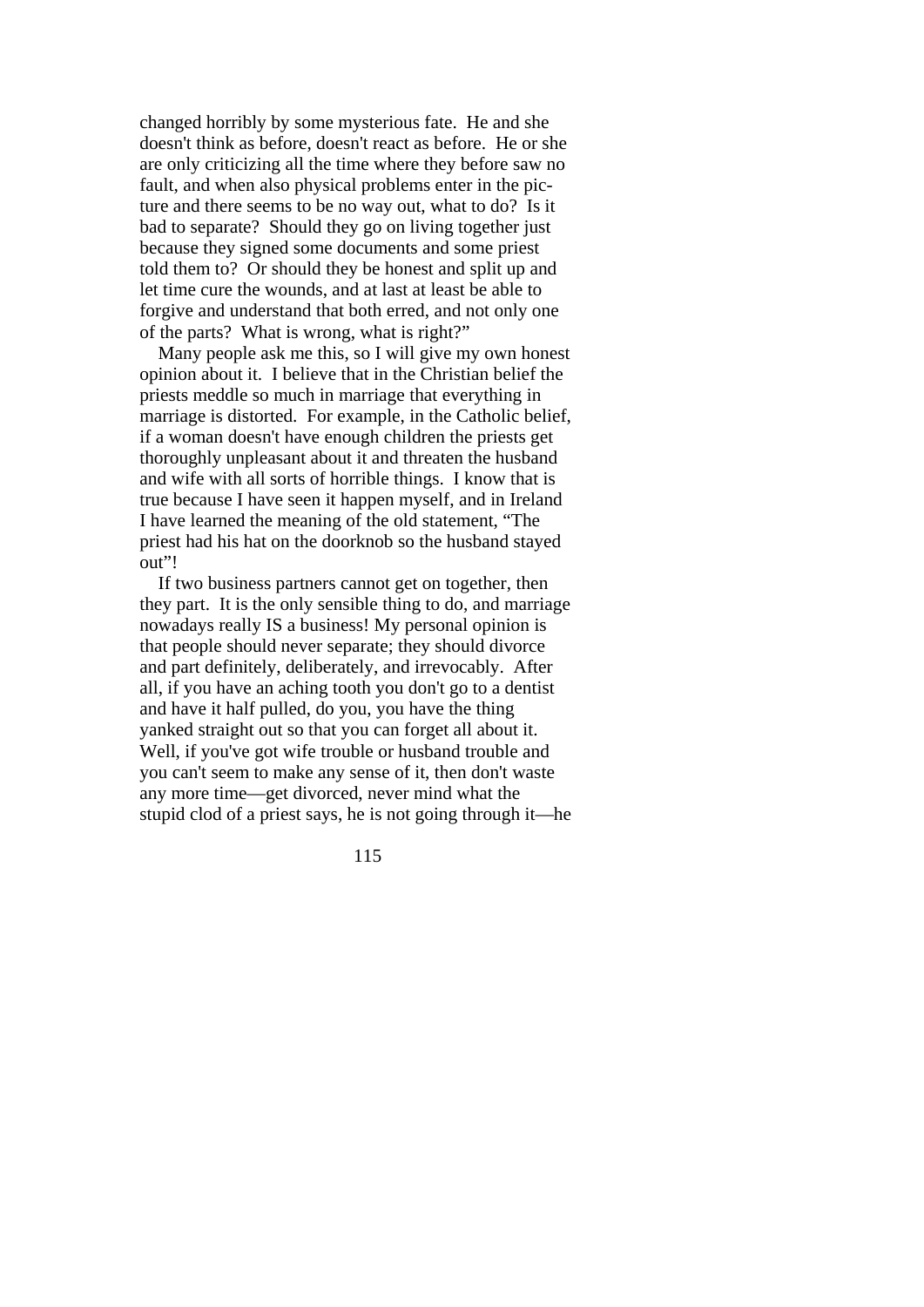changed horribly by some mysterious fate. He and she doesn't think as before, doesn't react as before. He or she are only criticizing all the time where they before saw no fault, and when also physical problems enter in the picture and there seems to be no way out, what to do? Is it bad to separate? Should they go on living together just because they signed some documents and some priest told them to? Or should they be honest and split up and let time cure the wounds, and at last at least be able to forgive and understand that both erred, and not only one of the parts? What is wrong, what is right?"

 Many people ask me this, so I will give my own honest opinion about it. I believe that in the Christian belief the priests meddle so much in marriage that everything in marriage is distorted. For example, in the Catholic belief, if a woman doesn't have enough children the priests get thoroughly unpleasant about it and threaten the husband and wife with all sorts of horrible things. I know that is true because I have seen it happen myself, and in Ireland I have learned the meaning of the old statement, "The priest had his hat on the doorknob so the husband stayed out"!

 If two business partners cannot get on together, then they part. It is the only sensible thing to do, and marriage nowadays really IS a business! My personal opinion is that people should never separate; they should divorce and part definitely, deliberately, and irrevocably. After all, if you have an aching tooth you don't go to a dentist and have it half pulled, do you, you have the thing yanked straight out so that you can forget all about it. Well, if you've got wife trouble or husband trouble and you can't seem to make any sense of it, then don't waste any more time—get divorced, never mind what the stupid clod of a priest says, he is not going through it—he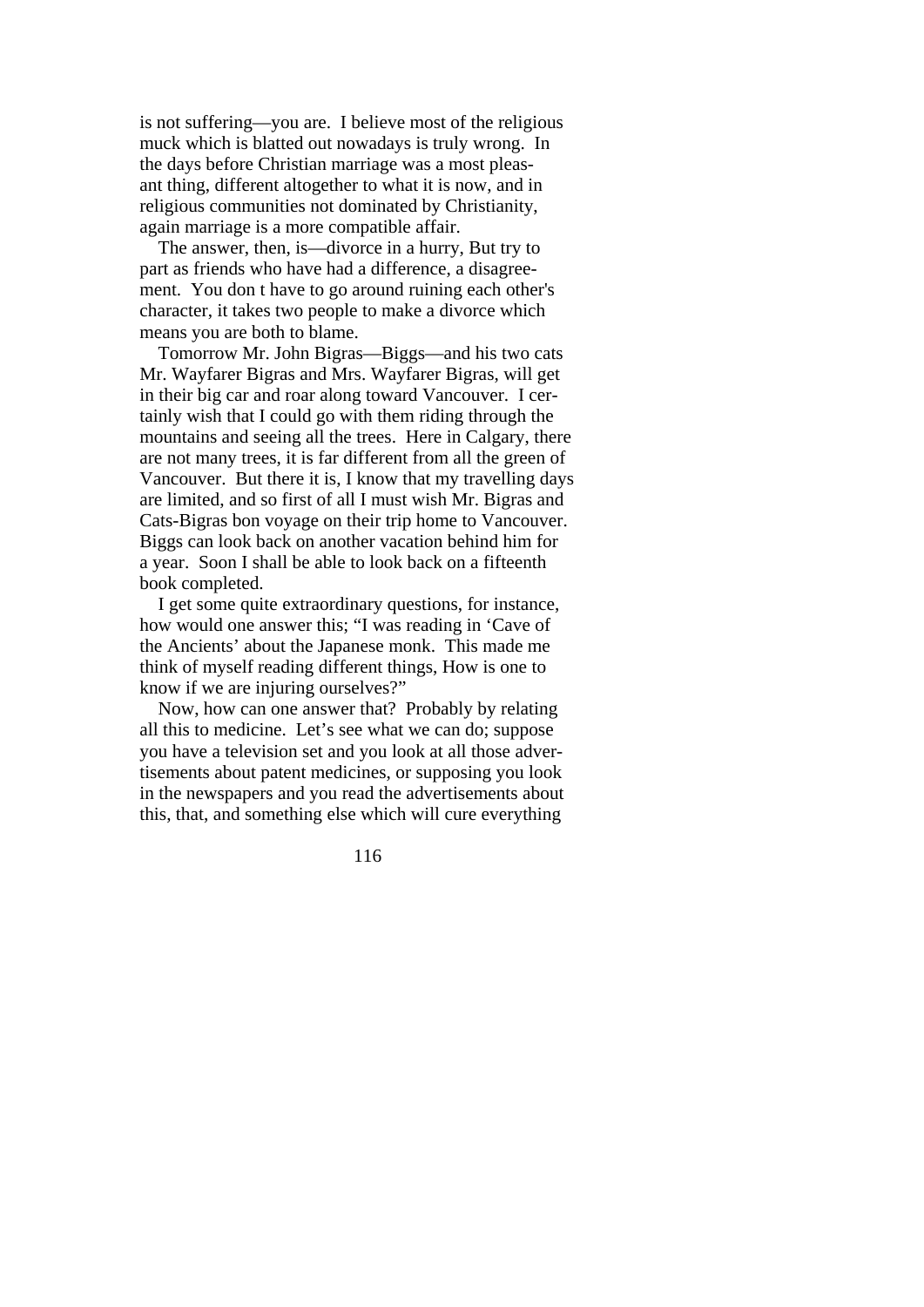is not suffering—you are. I believe most of the religious muck which is blatted out nowadays is truly wrong. In the days before Christian marriage was a most pleasant thing, different altogether to what it is now, and in religious communities not dominated by Christianity, again marriage is a more compatible affair.

 The answer, then, is—divorce in a hurry, But try to part as friends who have had a difference, a disagreement. You don t have to go around ruining each other's character, it takes two people to make a divorce which means you are both to blame.

 Tomorrow Mr. John Bigras—Biggs—and his two cats Mr. Wayfarer Bigras and Mrs. Wayfarer Bigras, will get in their big car and roar along toward Vancouver. I certainly wish that I could go with them riding through the mountains and seeing all the trees. Here in Calgary, there are not many trees, it is far different from all the green of Vancouver. But there it is, I know that my travelling days are limited, and so first of all I must wish Mr. Bigras and Cats-Bigras bon voyage on their trip home to Vancouver. Biggs can look back on another vacation behind him for a year. Soon I shall be able to look back on a fifteenth book completed.

 I get some quite extraordinary questions, for instance, how would one answer this; "I was reading in 'Cave of the Ancients' about the Japanese monk. This made me think of myself reading different things, How is one to know if we are injuring ourselves?"

 Now, how can one answer that? Probably by relating all this to medicine. Let's see what we can do; suppose you have a television set and you look at all those advertisements about patent medicines, or supposing you look in the newspapers and you read the advertisements about this, that, and something else which will cure everything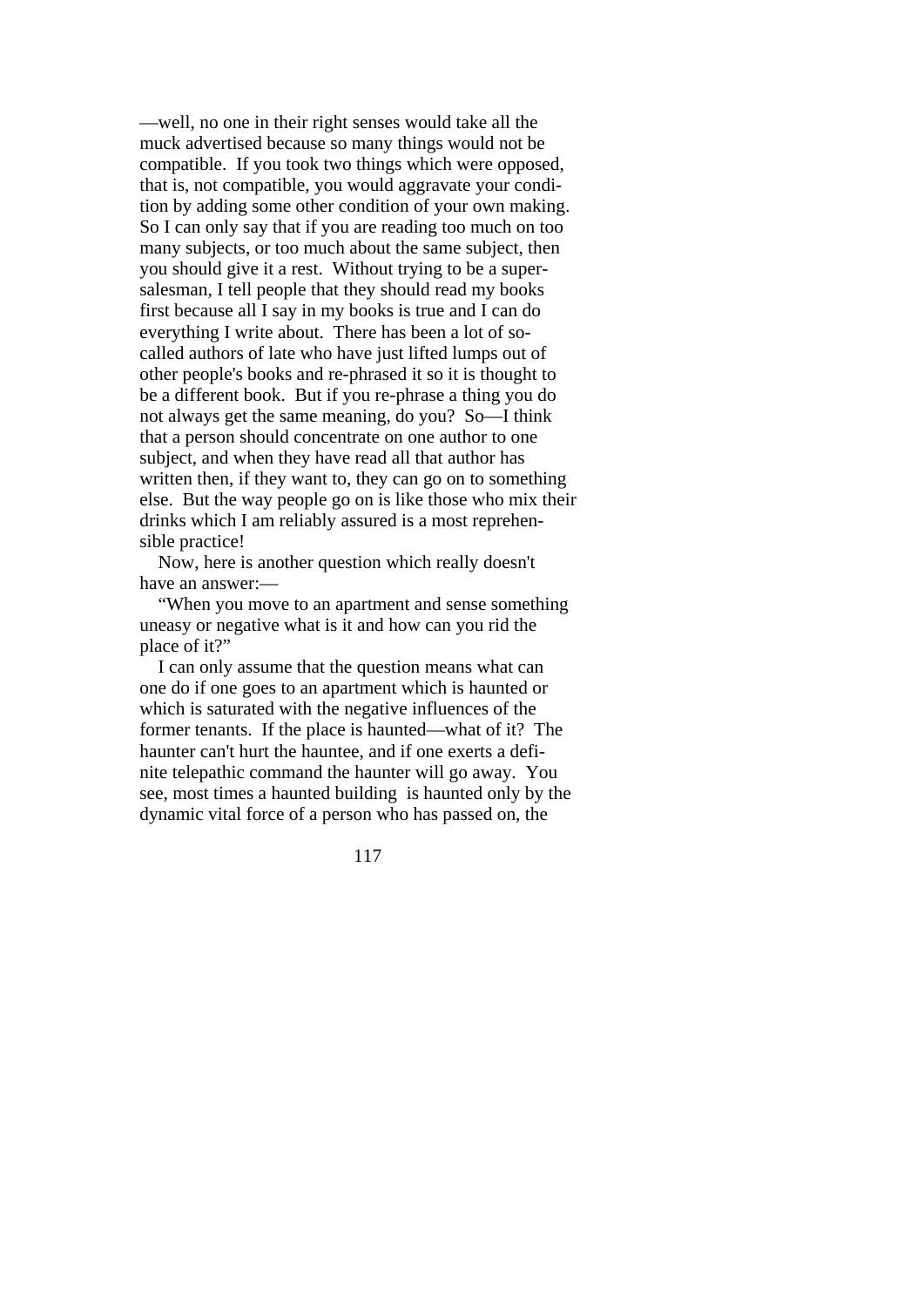—well, no one in their right senses would take all the muck advertised because so many things would not be compatible. If you took two things which were opposed, that is, not compatible, you would aggravate your condition by adding some other condition of your own making. So I can only say that if you are reading too much on too many subjects, or too much about the same subject, then you should give it a rest. Without trying to be a supersalesman, I tell people that they should read my books first because all I say in my books is true and I can do everything I write about. There has been a lot of socalled authors of late who have just lifted lumps out of other people's books and re-phrased it so it is thought to be a different book. But if you re-phrase a thing you do not always get the same meaning, do you? So—I think that a person should concentrate on one author to one subject, and when they have read all that author has written then, if they want to, they can go on to something else. But the way people go on is like those who mix their drinks which I am reliably assured is a most reprehensible practice!

 Now, here is another question which really doesn't have an answer:—

 "When you move to an apartment and sense something uneasy or negative what is it and how can you rid the place of it?"

 I can only assume that the question means what can one do if one goes to an apartment which is haunted or which is saturated with the negative influences of the former tenants. If the place is haunted—what of it? The haunter can't hurt the hauntee, and if one exerts a definite telepathic command the haunter will go away. You see, most times a haunted building is haunted only by the dynamic vital force of a person who has passed on, the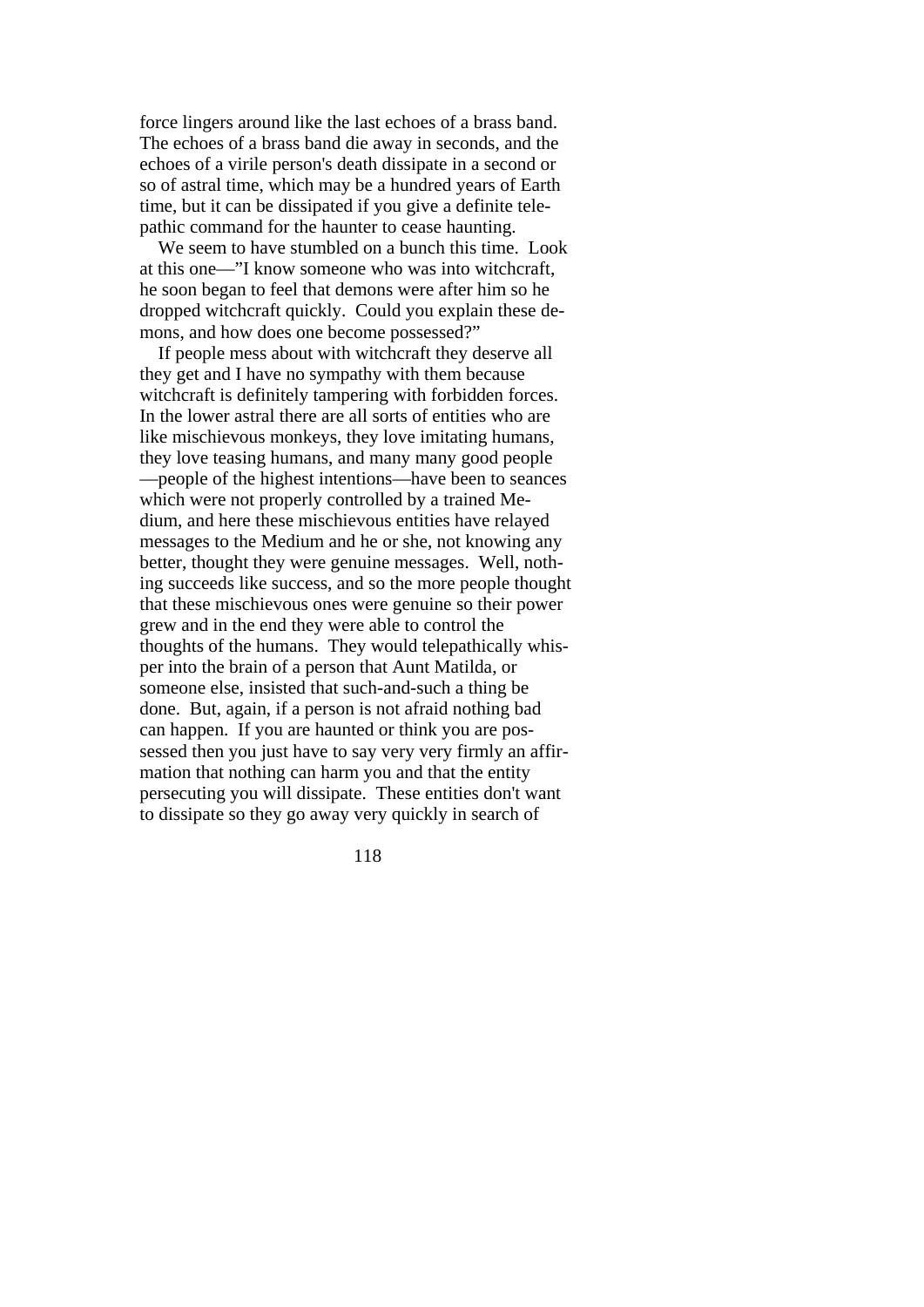force lingers around like the last echoes of a brass band. The echoes of a brass band die away in seconds, and the echoes of a virile person's death dissipate in a second or so of astral time, which may be a hundred years of Earth time, but it can be dissipated if you give a definite telepathic command for the haunter to cease haunting.

We seem to have stumbled on a bunch this time. Look at this one—"I know someone who was into witchcraft, he soon began to feel that demons were after him so he dropped witchcraft quickly. Could you explain these demons, and how does one become possessed?"

 If people mess about with witchcraft they deserve all they get and I have no sympathy with them because witchcraft is definitely tampering with forbidden forces. In the lower astral there are all sorts of entities who are like mischievous monkeys, they love imitating humans, they love teasing humans, and many many good people —people of the highest intentions—have been to seances which were not properly controlled by a trained Medium, and here these mischievous entities have relayed messages to the Medium and he or she, not knowing any better, thought they were genuine messages. Well, nothing succeeds like success, and so the more people thought that these mischievous ones were genuine so their power grew and in the end they were able to control the thoughts of the humans. They would telepathically whisper into the brain of a person that Aunt Matilda, or someone else, insisted that such-and-such a thing be done. But, again, if a person is not afraid nothing bad can happen. If you are haunted or think you are possessed then you just have to say very very firmly an affirmation that nothing can harm you and that the entity persecuting you will dissipate. These entities don't want to dissipate so they go away very quickly in search of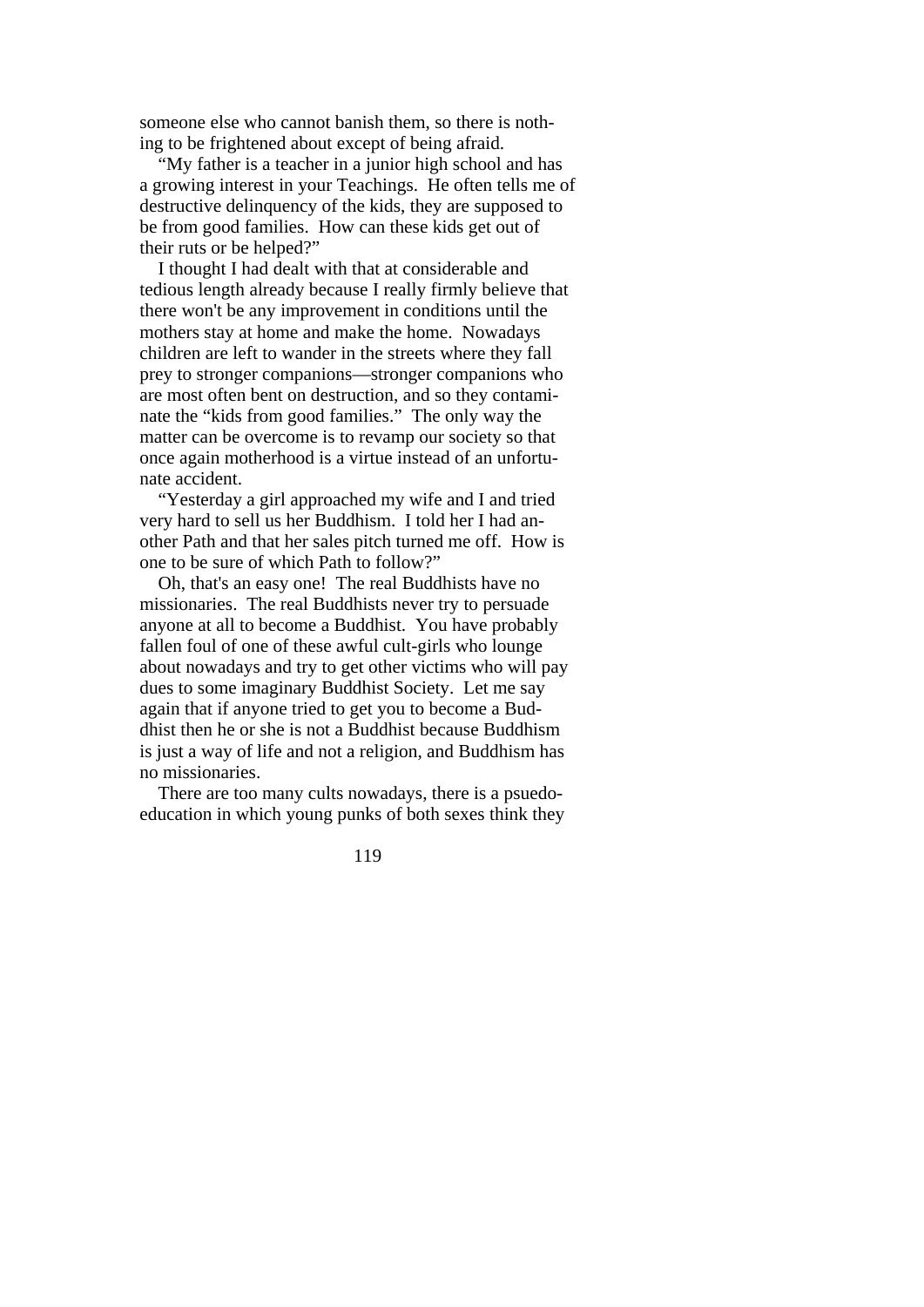someone else who cannot banish them, so there is nothing to be frightened about except of being afraid.

 "My father is a teacher in a junior high school and has a growing interest in your Teachings. He often tells me of destructive delinquency of the kids, they are supposed to be from good families. How can these kids get out of their ruts or be helped?"

 I thought I had dealt with that at considerable and tedious length already because I really firmly believe that there won't be any improvement in conditions until the mothers stay at home and make the home. Nowadays children are left to wander in the streets where they fall prey to stronger companions—stronger companions who are most often bent on destruction, and so they contaminate the "kids from good families." The only way the matter can be overcome is to revamp our society so that once again motherhood is a virtue instead of an unfortunate accident.

 "Yesterday a girl approached my wife and I and tried very hard to sell us her Buddhism. I told her I had another Path and that her sales pitch turned me off. How is one to be sure of which Path to follow?"

 Oh, that's an easy one! The real Buddhists have no missionaries. The real Buddhists never try to persuade anyone at all to become a Buddhist. You have probably fallen foul of one of these awful cult-girls who lounge about nowadays and try to get other victims who will pay dues to some imaginary Buddhist Society. Let me say again that if anyone tried to get you to become a Buddhist then he or she is not a Buddhist because Buddhism is just a way of life and not a religion, and Buddhism has no missionaries.

 There are too many cults nowadays, there is a psuedoeducation in which young punks of both sexes think they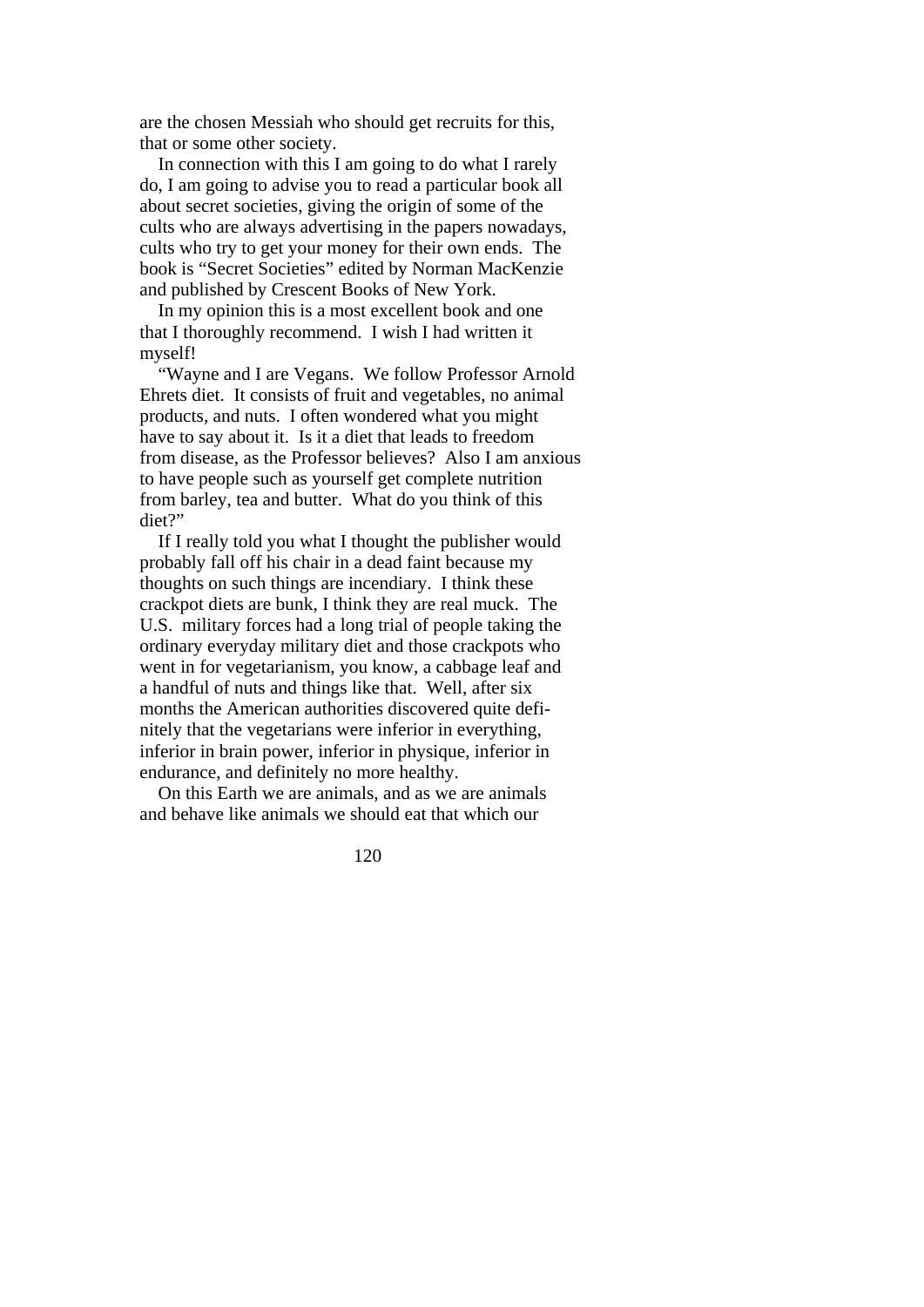are the chosen Messiah who should get recruits for this, that or some other society.

 In connection with this I am going to do what I rarely do, I am going to advise you to read a particular book all about secret societies, giving the origin of some of the cults who are always advertising in the papers nowadays, cults who try to get your money for their own ends. The book is "Secret Societies" edited by Norman MacKenzie and published by Crescent Books of New York.

 In my opinion this is a most excellent book and one that I thoroughly recommend. I wish I had written it myself!

 "Wayne and I are Vegans. We follow Professor Arnold Ehrets diet. It consists of fruit and vegetables, no animal products, and nuts. I often wondered what you might have to say about it. Is it a diet that leads to freedom from disease, as the Professor believes? Also I am anxious to have people such as yourself get complete nutrition from barley, tea and butter. What do you think of this diet?"

 If I really told you what I thought the publisher would probably fall off his chair in a dead faint because my thoughts on such things are incendiary. I think these crackpot diets are bunk, I think they are real muck. The U.S. military forces had a long trial of people taking the ordinary everyday military diet and those crackpots who went in for vegetarianism, you know, a cabbage leaf and a handful of nuts and things like that. Well, after six months the American authorities discovered quite definitely that the vegetarians were inferior in everything, inferior in brain power, inferior in physique, inferior in endurance, and definitely no more healthy.

 On this Earth we are animals, and as we are animals and behave like animals we should eat that which our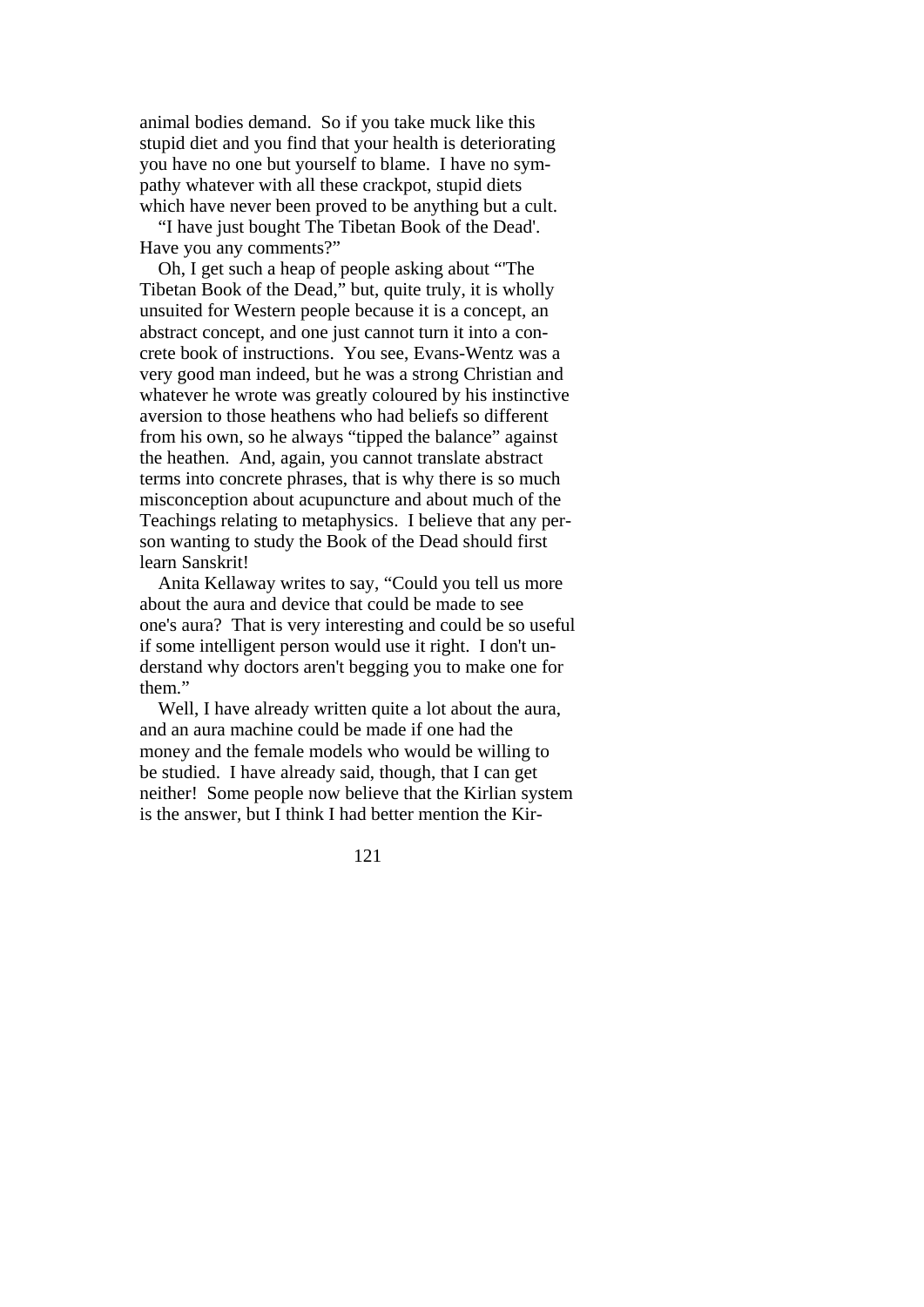animal bodies demand. So if you take muck like this stupid diet and you find that your health is deteriorating you have no one but yourself to blame. I have no sympathy whatever with all these crackpot, stupid diets which have never been proved to be anything but a cult.

 "I have just bought The Tibetan Book of the Dead'. Have you any comments?"

 Oh, I get such a heap of people asking about "'The Tibetan Book of the Dead," but, quite truly, it is wholly unsuited for Western people because it is a concept, an abstract concept, and one just cannot turn it into a concrete book of instructions. You see, Evans-Wentz was a very good man indeed, but he was a strong Christian and whatever he wrote was greatly coloured by his instinctive aversion to those heathens who had beliefs so different from his own, so he always "tipped the balance" against the heathen. And, again, you cannot translate abstract terms into concrete phrases, that is why there is so much misconception about acupuncture and about much of the Teachings relating to metaphysics. I believe that any person wanting to study the Book of the Dead should first learn Sanskrit!

 Anita Kellaway writes to say, "Could you tell us more about the aura and device that could be made to see one's aura? That is very interesting and could be so useful if some intelligent person would use it right. I don't understand why doctors aren't begging you to make one for them."

 Well, I have already written quite a lot about the aura, and an aura machine could be made if one had the money and the female models who would be willing to be studied. I have already said, though, that I can get neither! Some people now believe that the Kirlian system is the answer, but I think I had better mention the Kir-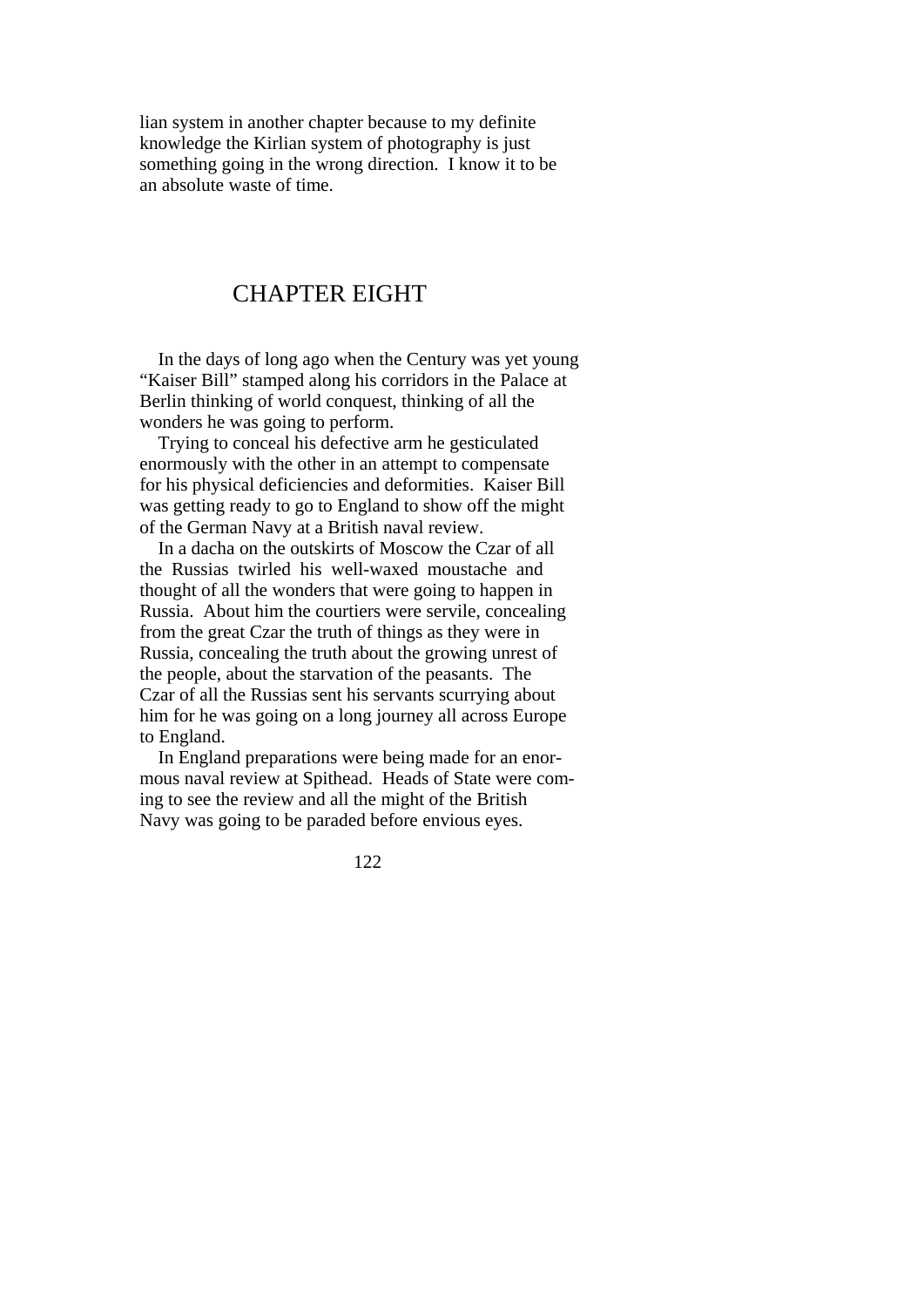lian system in another chapter because to my definite knowledge the Kirlian system of photography is just something going in the wrong direction. I know it to be an absolute waste of time.

## CHAPTER EIGHT

 In the days of long ago when the Century was yet young "Kaiser Bill" stamped along his corridors in the Palace at Berlin thinking of world conquest, thinking of all the wonders he was going to perform.

 Trying to conceal his defective arm he gesticulated enormously with the other in an attempt to compensate for his physical deficiencies and deformities. Kaiser Bill was getting ready to go to England to show off the might of the German Navy at a British naval review.

 In a dacha on the outskirts of Moscow the Czar of all the Russias twirled his well-waxed moustache and thought of all the wonders that were going to happen in Russia. About him the courtiers were servile, concealing from the great Czar the truth of things as they were in Russia, concealing the truth about the growing unrest of the people, about the starvation of the peasants. The Czar of all the Russias sent his servants scurrying about him for he was going on a long journey all across Europe to England.

 In England preparations were being made for an enormous naval review at Spithead. Heads of State were coming to see the review and all the might of the British Navy was going to be paraded before envious eyes.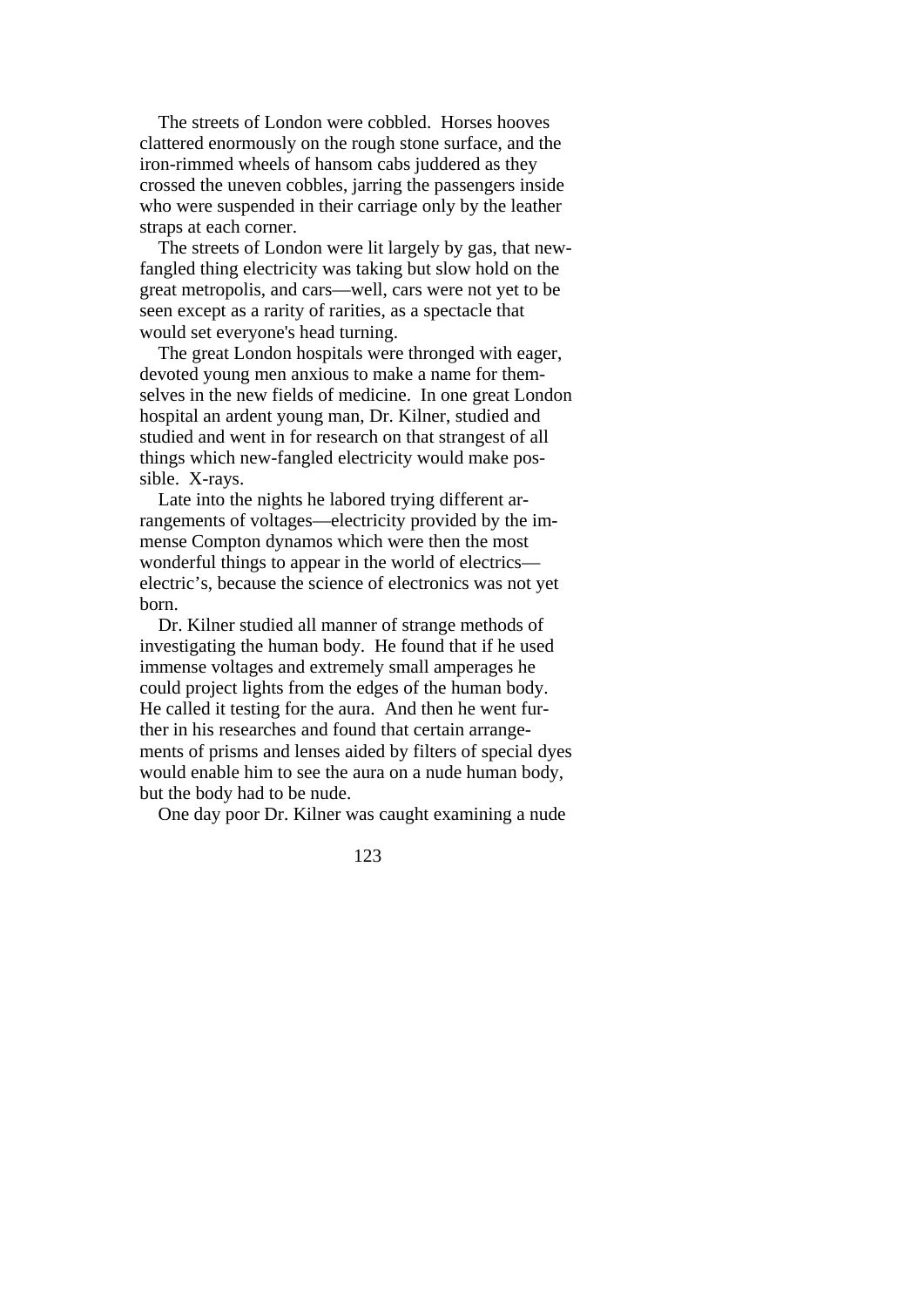The streets of London were cobbled. Horses hooves clattered enormously on the rough stone surface, and the iron-rimmed wheels of hansom cabs juddered as they crossed the uneven cobbles, jarring the passengers inside who were suspended in their carriage only by the leather straps at each corner.

 The streets of London were lit largely by gas, that newfangled thing electricity was taking but slow hold on the great metropolis, and cars—well, cars were not yet to be seen except as a rarity of rarities, as a spectacle that would set everyone's head turning.

 The great London hospitals were thronged with eager, devoted young men anxious to make a name for themselves in the new fields of medicine. In one great London hospital an ardent young man, Dr. Kilner, studied and studied and went in for research on that strangest of all things which new-fangled electricity would make possible. X-rays.

 Late into the nights he labored trying different arrangements of voltages—electricity provided by the immense Compton dynamos which were then the most wonderful things to appear in the world of electrics electric's, because the science of electronics was not yet born.

 Dr. Kilner studied all manner of strange methods of investigating the human body. He found that if he used immense voltages and extremely small amperages he could project lights from the edges of the human body. He called it testing for the aura. And then he went further in his researches and found that certain arrangements of prisms and lenses aided by filters of special dyes would enable him to see the aura on a nude human body, but the body had to be nude.

One day poor Dr. Kilner was caught examining a nude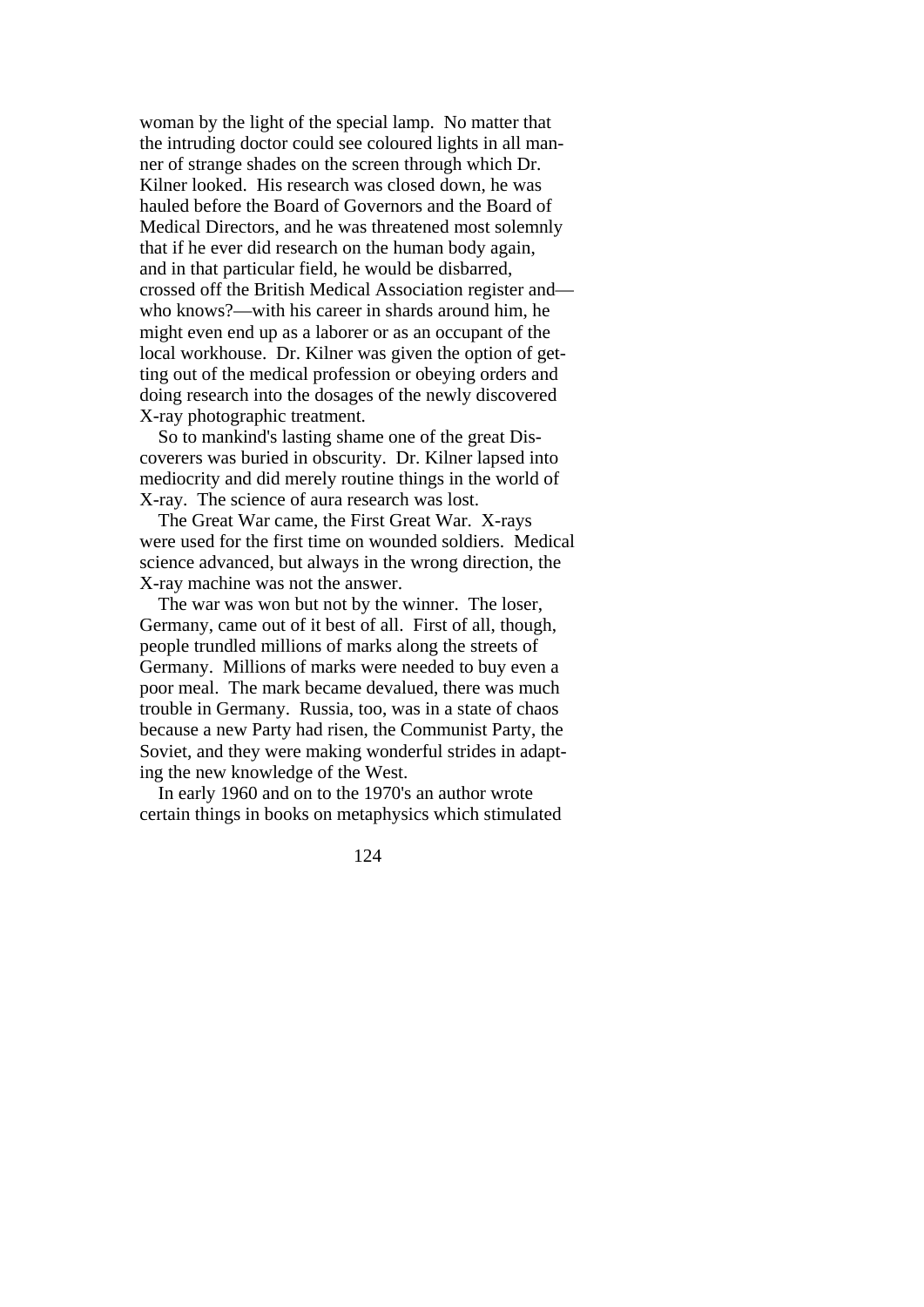woman by the light of the special lamp. No matter that the intruding doctor could see coloured lights in all manner of strange shades on the screen through which Dr. Kilner looked. His research was closed down, he was hauled before the Board of Governors and the Board of Medical Directors, and he was threatened most solemnly that if he ever did research on the human body again, and in that particular field, he would be disbarred, crossed off the British Medical Association register and who knows?—with his career in shards around him, he might even end up as a laborer or as an occupant of the local workhouse. Dr. Kilner was given the option of getting out of the medical profession or obeying orders and doing research into the dosages of the newly discovered X-ray photographic treatment.

 So to mankind's lasting shame one of the great Discoverers was buried in obscurity. Dr. Kilner lapsed into mediocrity and did merely routine things in the world of X-ray. The science of aura research was lost.

 The Great War came, the First Great War. X-rays were used for the first time on wounded soldiers. Medical science advanced, but always in the wrong direction, the X-ray machine was not the answer.

 The war was won but not by the winner. The loser, Germany, came out of it best of all. First of all, though, people trundled millions of marks along the streets of Germany. Millions of marks were needed to buy even a poor meal. The mark became devalued, there was much trouble in Germany. Russia, too, was in a state of chaos because a new Party had risen, the Communist Party, the Soviet, and they were making wonderful strides in adapting the new knowledge of the West.

 In early 1960 and on to the 1970's an author wrote certain things in books on metaphysics which stimulated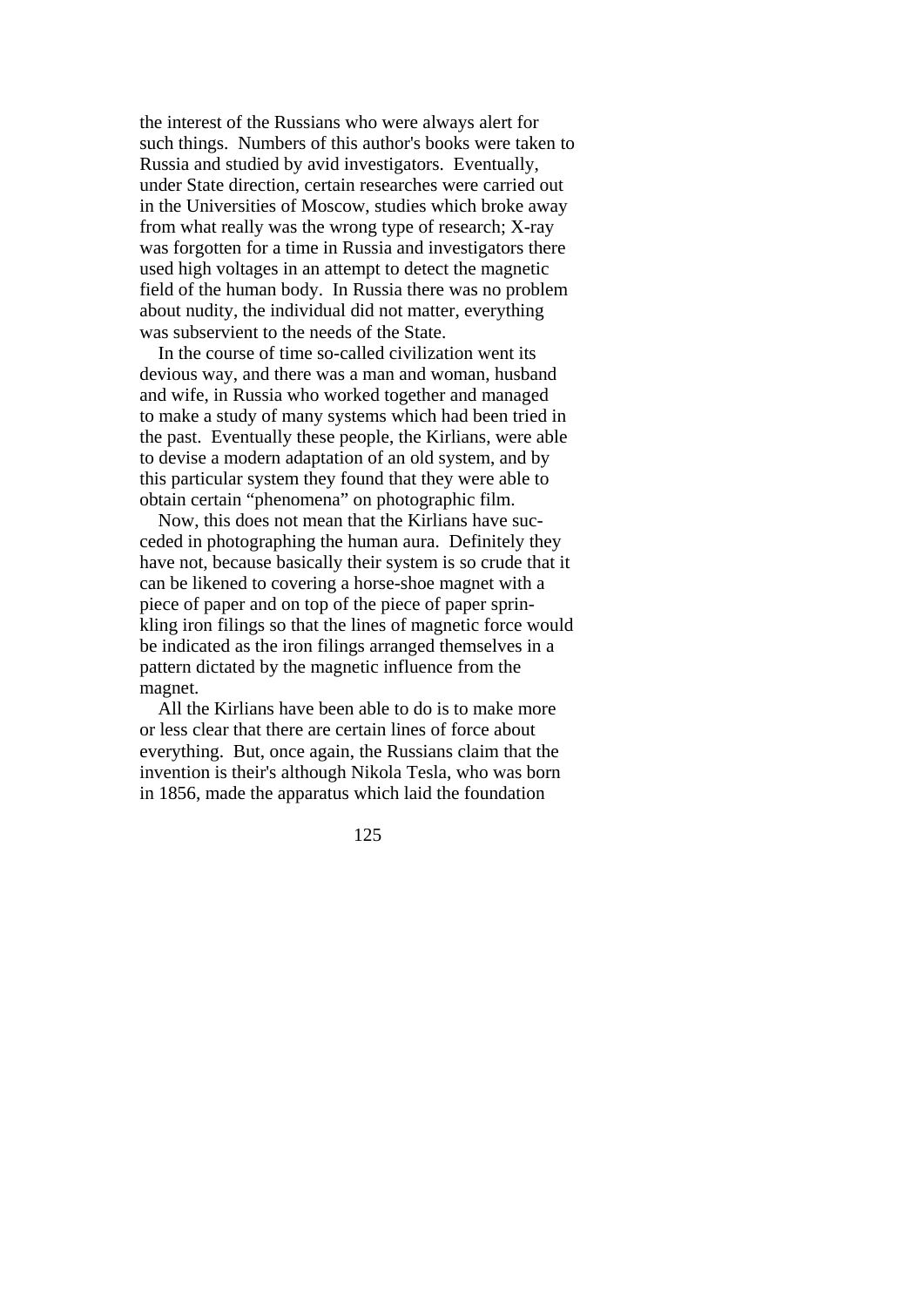the interest of the Russians who were always alert for such things. Numbers of this author's books were taken to Russia and studied by avid investigators. Eventually, under State direction, certain researches were carried out in the Universities of Moscow, studies which broke away from what really was the wrong type of research; X-ray was forgotten for a time in Russia and investigators there used high voltages in an attempt to detect the magnetic field of the human body. In Russia there was no problem about nudity, the individual did not matter, everything was subservient to the needs of the State.

 In the course of time so-called civilization went its devious way, and there was a man and woman, husband and wife, in Russia who worked together and managed to make a study of many systems which had been tried in the past. Eventually these people, the Kirlians, were able to devise a modern adaptation of an old system, and by this particular system they found that they were able to obtain certain "phenomena" on photographic film.

 Now, this does not mean that the Kirlians have succeded in photographing the human aura. Definitely they have not, because basically their system is so crude that it can be likened to covering a horse-shoe magnet with a piece of paper and on top of the piece of paper sprinkling iron filings so that the lines of magnetic force would be indicated as the iron filings arranged themselves in a pattern dictated by the magnetic influence from the magnet.

 All the Kirlians have been able to do is to make more or less clear that there are certain lines of force about everything. But, once again, the Russians claim that the invention is their's although Nikola Tesla, who was born in 1856, made the apparatus which laid the foundation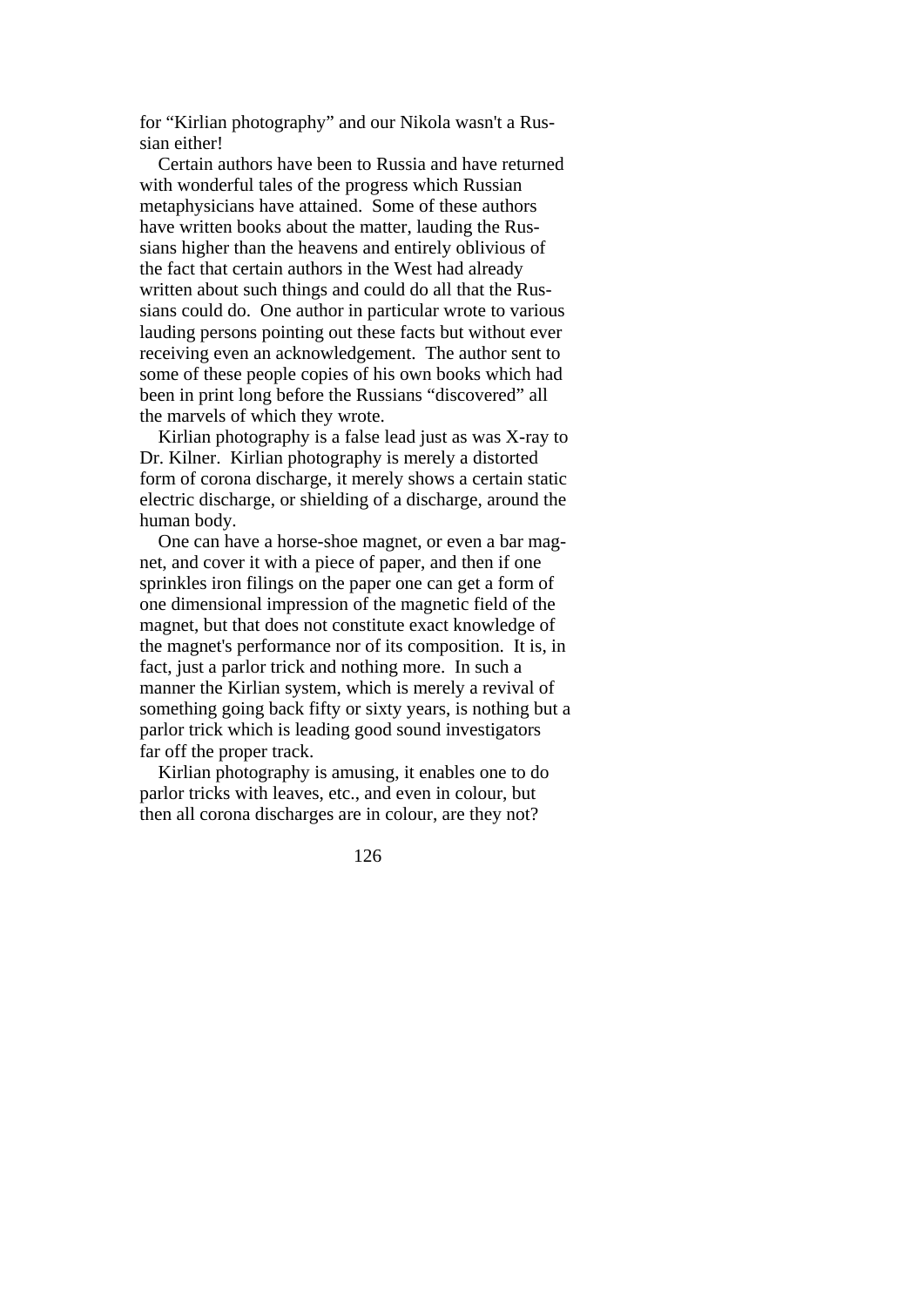for "Kirlian photography" and our Nikola wasn't a Russian either!

 Certain authors have been to Russia and have returned with wonderful tales of the progress which Russian metaphysicians have attained. Some of these authors have written books about the matter, lauding the Russians higher than the heavens and entirely oblivious of the fact that certain authors in the West had already written about such things and could do all that the Russians could do. One author in particular wrote to various lauding persons pointing out these facts but without ever receiving even an acknowledgement. The author sent to some of these people copies of his own books which had been in print long before the Russians "discovered" all the marvels of which they wrote.

 Kirlian photography is a false lead just as was X-ray to Dr. Kilner. Kirlian photography is merely a distorted form of corona discharge, it merely shows a certain static electric discharge, or shielding of a discharge, around the human body.

 One can have a horse-shoe magnet, or even a bar magnet, and cover it with a piece of paper, and then if one sprinkles iron filings on the paper one can get a form of one dimensional impression of the magnetic field of the magnet, but that does not constitute exact knowledge of the magnet's performance nor of its composition. It is, in fact, just a parlor trick and nothing more. In such a manner the Kirlian system, which is merely a revival of something going back fifty or sixty years, is nothing but a parlor trick which is leading good sound investigators far off the proper track.

 Kirlian photography is amusing, it enables one to do parlor tricks with leaves, etc., and even in colour, but then all corona discharges are in colour, are they not?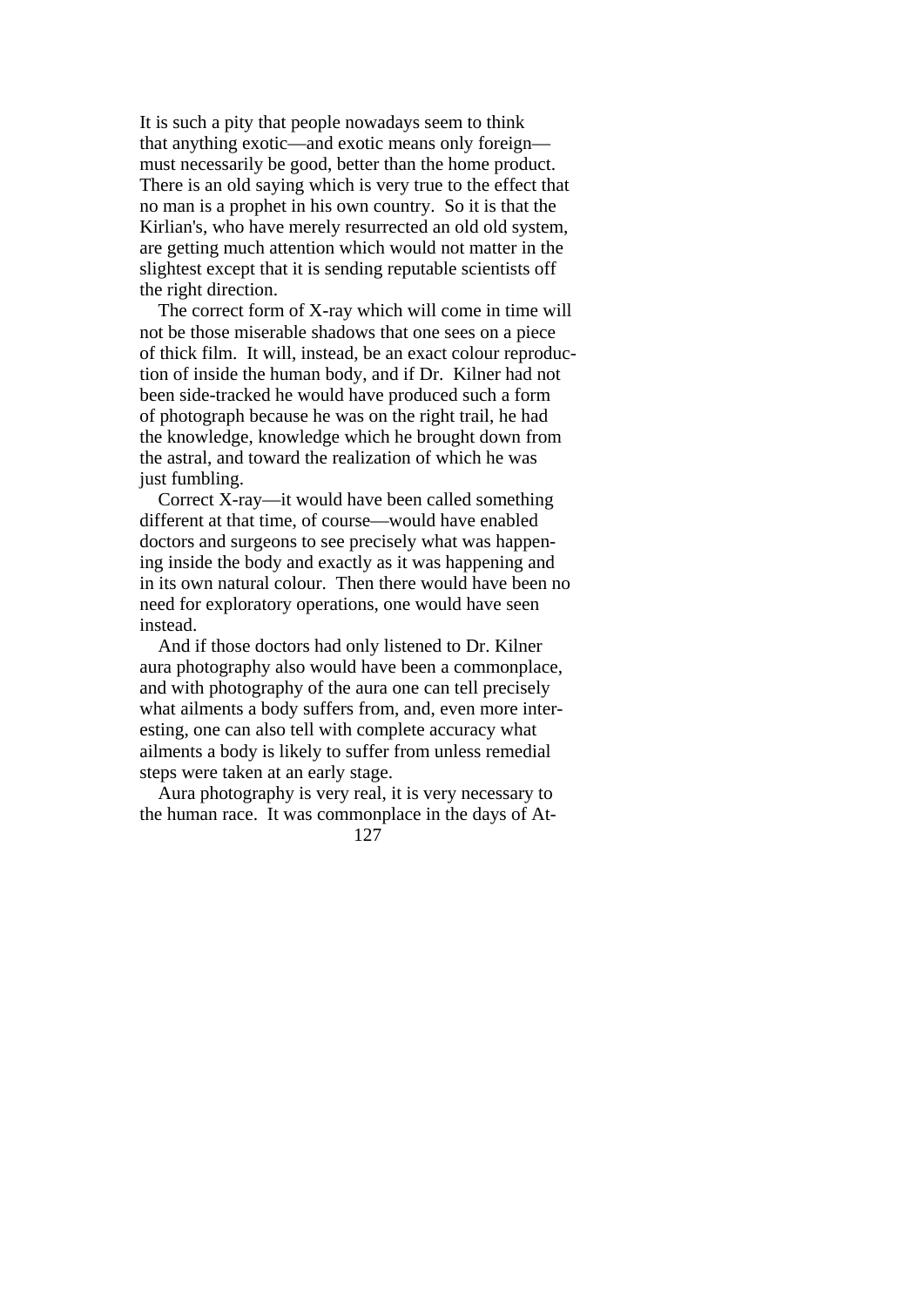It is such a pity that people nowadays seem to think that anything exotic—and exotic means only foreign must necessarily be good, better than the home product. There is an old saying which is very true to the effect that no man is a prophet in his own country. So it is that the Kirlian's, who have merely resurrected an old old system, are getting much attention which would not matter in the slightest except that it is sending reputable scientists off the right direction.

 The correct form of X-ray which will come in time will not be those miserable shadows that one sees on a piece of thick film. It will, instead, be an exact colour reproduction of inside the human body, and if Dr. Kilner had not been side-tracked he would have produced such a form of photograph because he was on the right trail, he had the knowledge, knowledge which he brought down from the astral, and toward the realization of which he was just fumbling.

 Correct X-ray—it would have been called something different at that time, of course—would have enabled doctors and surgeons to see precisely what was happening inside the body and exactly as it was happening and in its own natural colour. Then there would have been no need for exploratory operations, one would have seen instead.

 And if those doctors had only listened to Dr. Kilner aura photography also would have been a commonplace, and with photography of the aura one can tell precisely what ailments a body suffers from, and, even more interesting, one can also tell with complete accuracy what ailments a body is likely to suffer from unless remedial steps were taken at an early stage.

 Aura photography is very real, it is very necessary to the human race. It was commonplace in the days of At- 127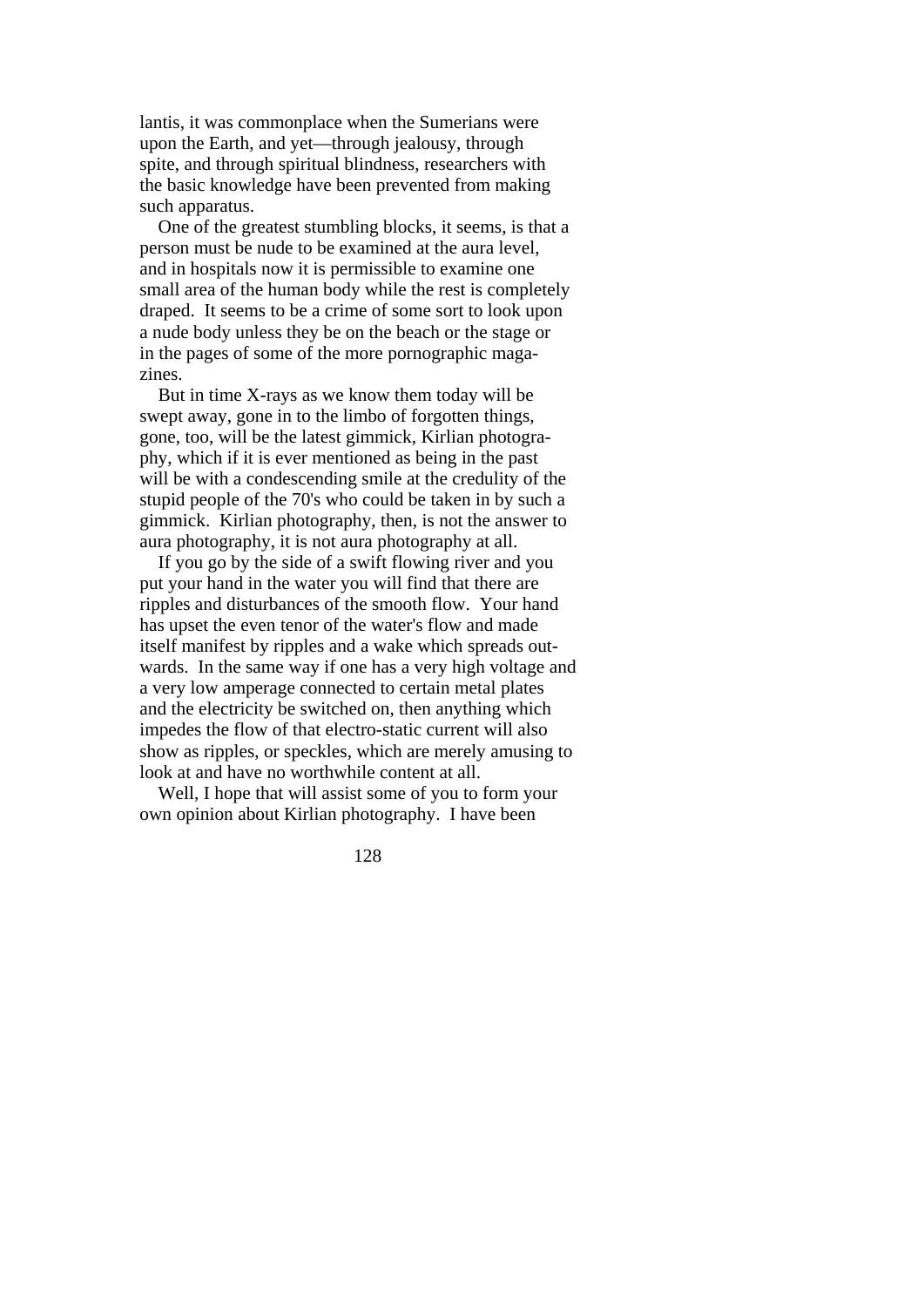lantis, it was commonplace when the Sumerians were upon the Earth, and yet—through jealousy, through spite, and through spiritual blindness, researchers with the basic knowledge have been prevented from making such apparatus.

 One of the greatest stumbling blocks, it seems, is that a person must be nude to be examined at the aura level, and in hospitals now it is permissible to examine one small area of the human body while the rest is completely draped. It seems to be a crime of some sort to look upon a nude body unless they be on the beach or the stage or in the pages of some of the more pornographic magazines.

 But in time X-rays as we know them today will be swept away, gone in to the limbo of forgotten things, gone, too, will be the latest gimmick, Kirlian photography, which if it is ever mentioned as being in the past will be with a condescending smile at the credulity of the stupid people of the 70's who could be taken in by such a gimmick. Kirlian photography, then, is not the answer to aura photography, it is not aura photography at all.

 If you go by the side of a swift flowing river and you put your hand in the water you will find that there are ripples and disturbances of the smooth flow. Your hand has upset the even tenor of the water's flow and made itself manifest by ripples and a wake which spreads outwards. In the same way if one has a very high voltage and a very low amperage connected to certain metal plates and the electricity be switched on, then anything which impedes the flow of that electro-static current will also show as ripples, or speckles, which are merely amusing to look at and have no worthwhile content at all.

 Well, I hope that will assist some of you to form your own opinion about Kirlian photography. I have been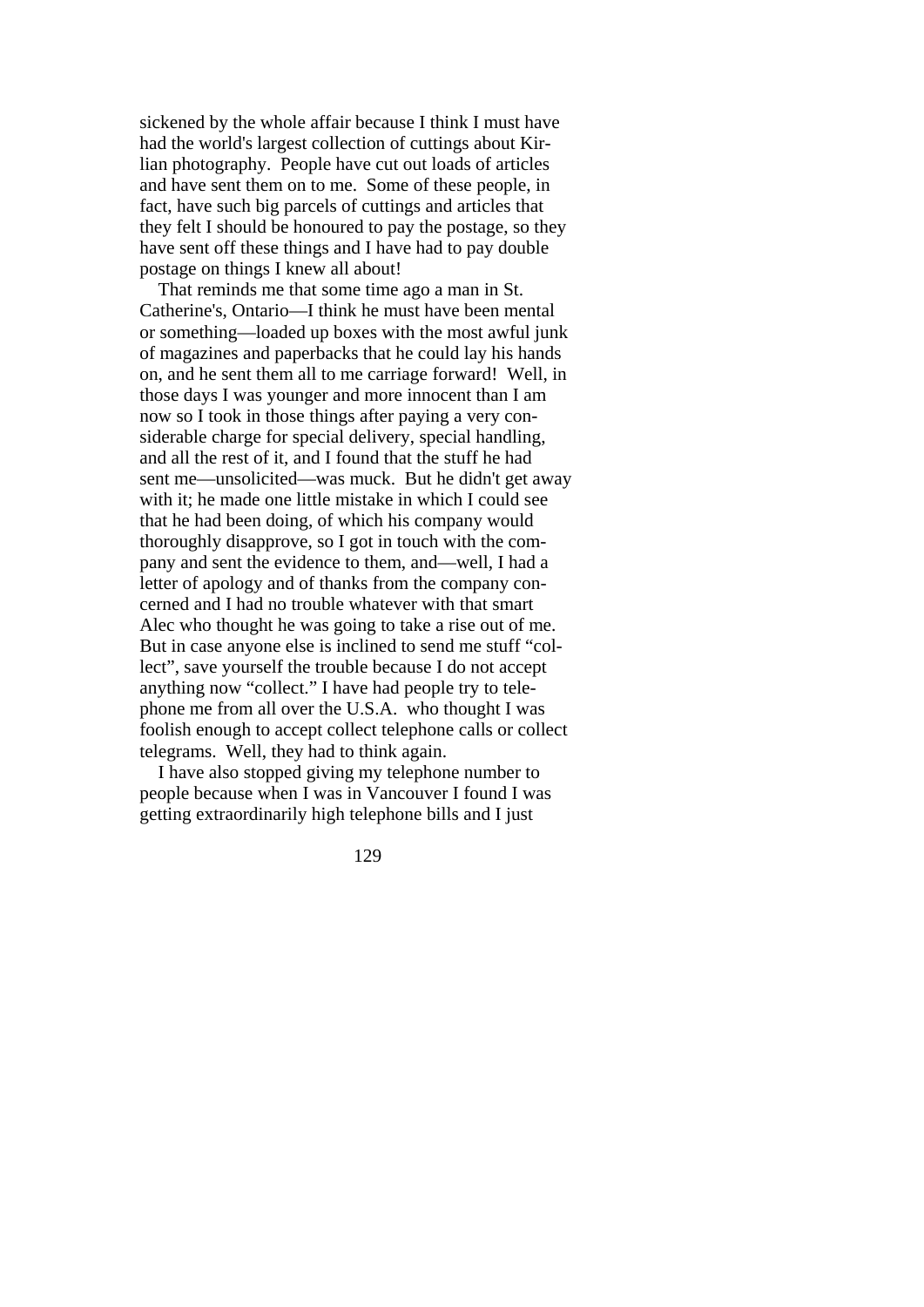sickened by the whole affair because I think I must have had the world's largest collection of cuttings about Kirlian photography. People have cut out loads of articles and have sent them on to me. Some of these people, in fact, have such big parcels of cuttings and articles that they felt I should be honoured to pay the postage, so they have sent off these things and I have had to pay double postage on things I knew all about!

 That reminds me that some time ago a man in St. Catherine's, Ontario—I think he must have been mental or something—loaded up boxes with the most awful junk of magazines and paperbacks that he could lay his hands on, and he sent them all to me carriage forward! Well, in those days I was younger and more innocent than I am now so I took in those things after paying a very considerable charge for special delivery, special handling, and all the rest of it, and I found that the stuff he had sent me—unsolicited—was muck. But he didn't get away with it; he made one little mistake in which I could see that he had been doing, of which his company would thoroughly disapprove, so I got in touch with the company and sent the evidence to them, and—well, I had a letter of apology and of thanks from the company concerned and I had no trouble whatever with that smart Alec who thought he was going to take a rise out of me. But in case anyone else is inclined to send me stuff "collect", save yourself the trouble because I do not accept anything now "collect." I have had people try to telephone me from all over the U.S.A. who thought I was foolish enough to accept collect telephone calls or collect telegrams. Well, they had to think again.

 I have also stopped giving my telephone number to people because when I was in Vancouver I found I was getting extraordinarily high telephone bills and I just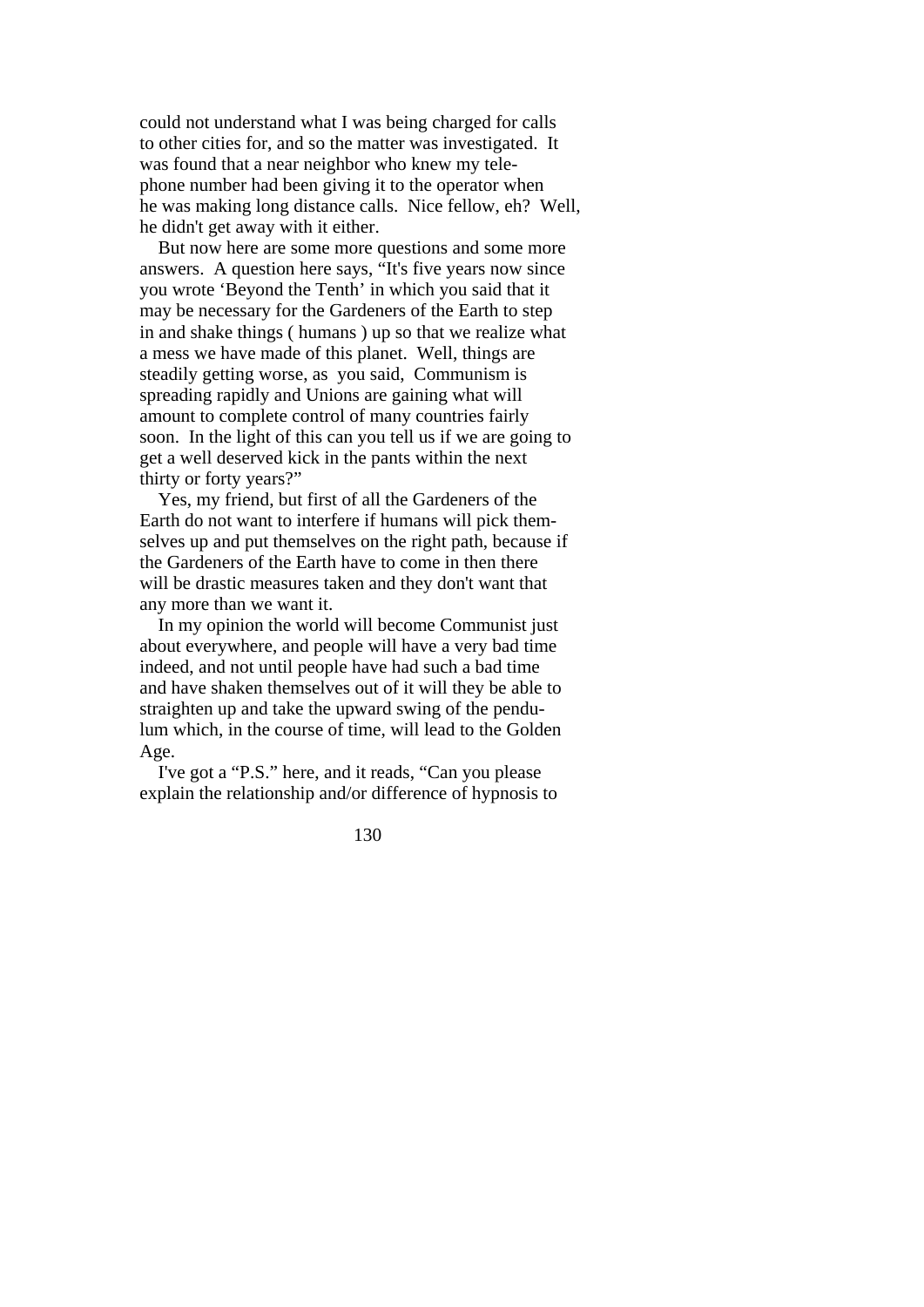could not understand what I was being charged for calls to other cities for, and so the matter was investigated. It was found that a near neighbor who knew my telephone number had been giving it to the operator when he was making long distance calls. Nice fellow, eh? Well, he didn't get away with it either.

 But now here are some more questions and some more answers. A question here says, "It's five years now since you wrote 'Beyond the Tenth' in which you said that it may be necessary for the Gardeners of the Earth to step in and shake things ( humans ) up so that we realize what a mess we have made of this planet. Well, things are steadily getting worse, as you said, Communism is spreading rapidly and Unions are gaining what will amount to complete control of many countries fairly soon. In the light of this can you tell us if we are going to get a well deserved kick in the pants within the next thirty or forty years?"

 Yes, my friend, but first of all the Gardeners of the Earth do not want to interfere if humans will pick themselves up and put themselves on the right path, because if the Gardeners of the Earth have to come in then there will be drastic measures taken and they don't want that any more than we want it.

 In my opinion the world will become Communist just about everywhere, and people will have a very bad time indeed, and not until people have had such a bad time and have shaken themselves out of it will they be able to straighten up and take the upward swing of the pendulum which, in the course of time, will lead to the Golden Age.

 I've got a "P.S." here, and it reads, "Can you please explain the relationship and/or difference of hypnosis to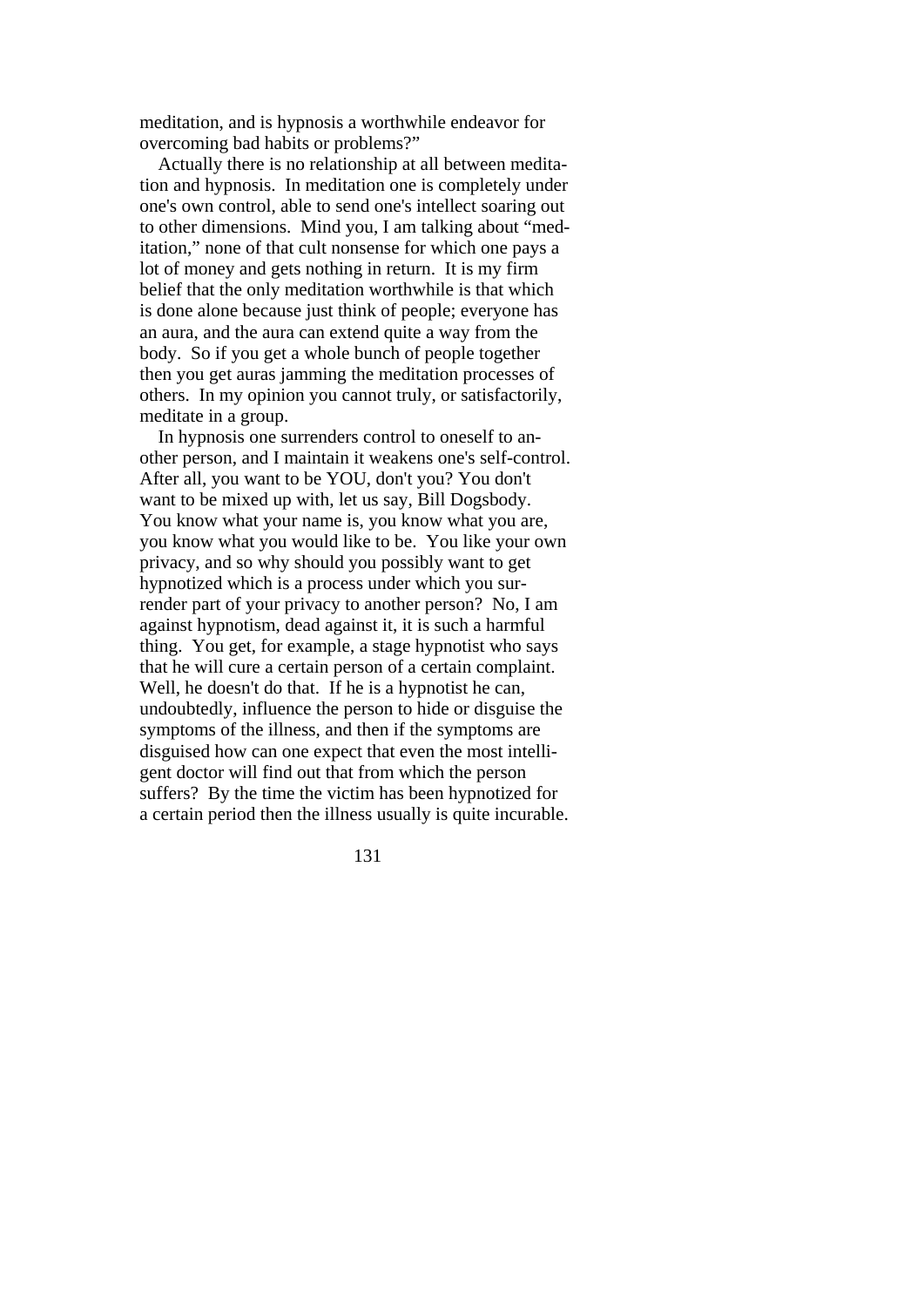meditation, and is hypnosis a worthwhile endeavor for overcoming bad habits or problems?"

 Actually there is no relationship at all between meditation and hypnosis. In meditation one is completely under one's own control, able to send one's intellect soaring out to other dimensions. Mind you, I am talking about "meditation," none of that cult nonsense for which one pays a lot of money and gets nothing in return. It is my firm belief that the only meditation worthwhile is that which is done alone because just think of people; everyone has an aura, and the aura can extend quite a way from the body. So if you get a whole bunch of people together then you get auras jamming the meditation processes of others. In my opinion you cannot truly, or satisfactorily, meditate in a group.

 In hypnosis one surrenders control to oneself to another person, and I maintain it weakens one's self-control. After all, you want to be YOU, don't you? You don't want to be mixed up with, let us say, Bill Dogsbody. You know what your name is, you know what you are, you know what you would like to be. You like your own privacy, and so why should you possibly want to get hypnotized which is a process under which you surrender part of your privacy to another person? No, I am against hypnotism, dead against it, it is such a harmful thing. You get, for example, a stage hypnotist who says that he will cure a certain person of a certain complaint. Well, he doesn't do that. If he is a hypnotist he can, undoubtedly, influence the person to hide or disguise the symptoms of the illness, and then if the symptoms are disguised how can one expect that even the most intelligent doctor will find out that from which the person suffers? By the time the victim has been hypnotized for a certain period then the illness usually is quite incurable.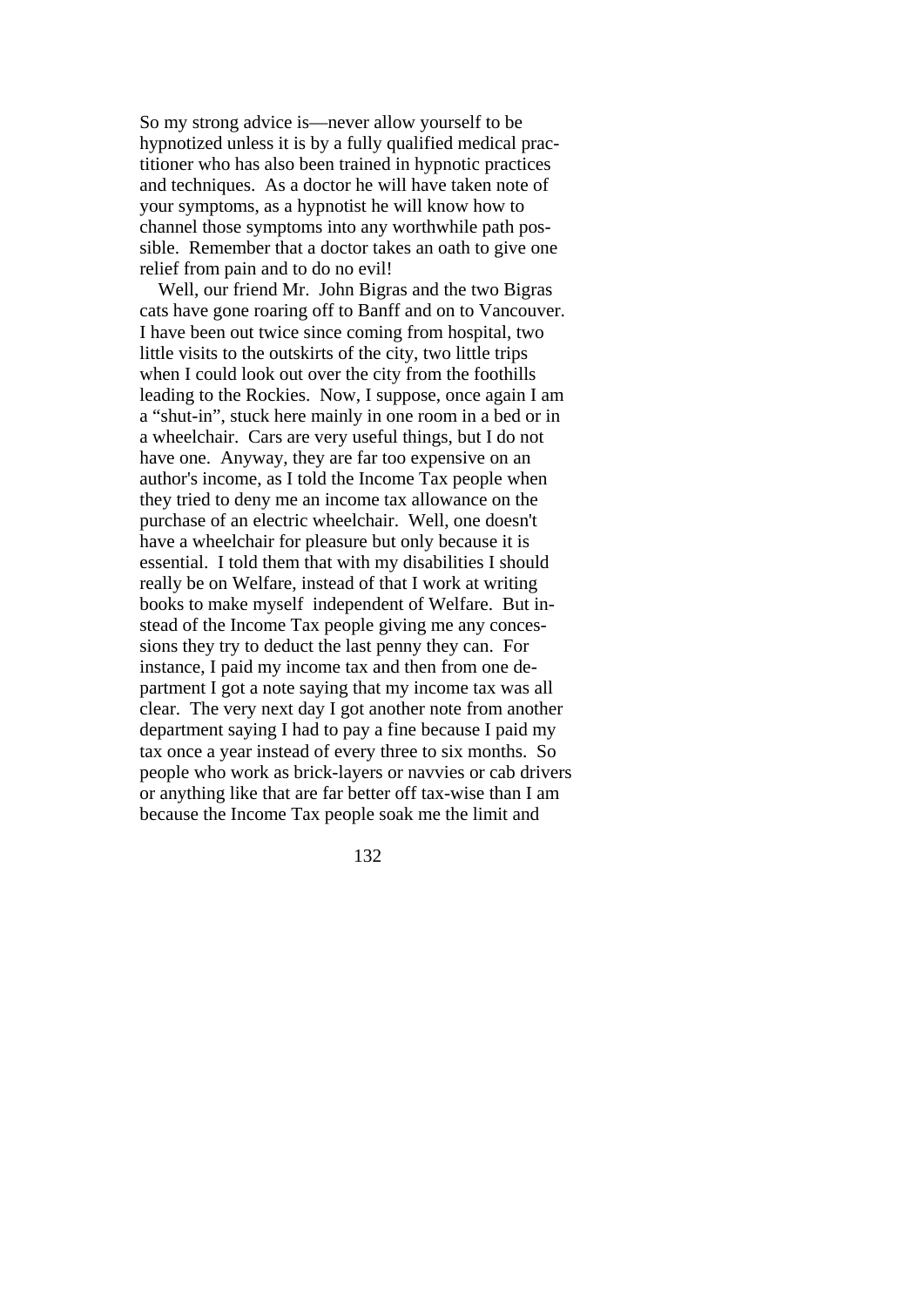So my strong advice is—never allow yourself to be hypnotized unless it is by a fully qualified medical practitioner who has also been trained in hypnotic practices and techniques. As a doctor he will have taken note of your symptoms, as a hypnotist he will know how to channel those symptoms into any worthwhile path possible. Remember that a doctor takes an oath to give one relief from pain and to do no evil!

 Well, our friend Mr. John Bigras and the two Bigras cats have gone roaring off to Banff and on to Vancouver. I have been out twice since coming from hospital, two little visits to the outskirts of the city, two little trips when I could look out over the city from the foothills leading to the Rockies. Now, I suppose, once again I am a "shut-in", stuck here mainly in one room in a bed or in a wheelchair. Cars are very useful things, but I do not have one. Anyway, they are far too expensive on an author's income, as I told the Income Tax people when they tried to deny me an income tax allowance on the purchase of an electric wheelchair. Well, one doesn't have a wheelchair for pleasure but only because it is essential. I told them that with my disabilities I should really be on Welfare, instead of that I work at writing books to make myself independent of Welfare. But instead of the Income Tax people giving me any concessions they try to deduct the last penny they can. For instance, I paid my income tax and then from one department I got a note saying that my income tax was all clear. The very next day I got another note from another department saying I had to pay a fine because I paid my tax once a year instead of every three to six months. So people who work as brick-layers or navvies or cab drivers or anything like that are far better off tax-wise than I am because the Income Tax people soak me the limit and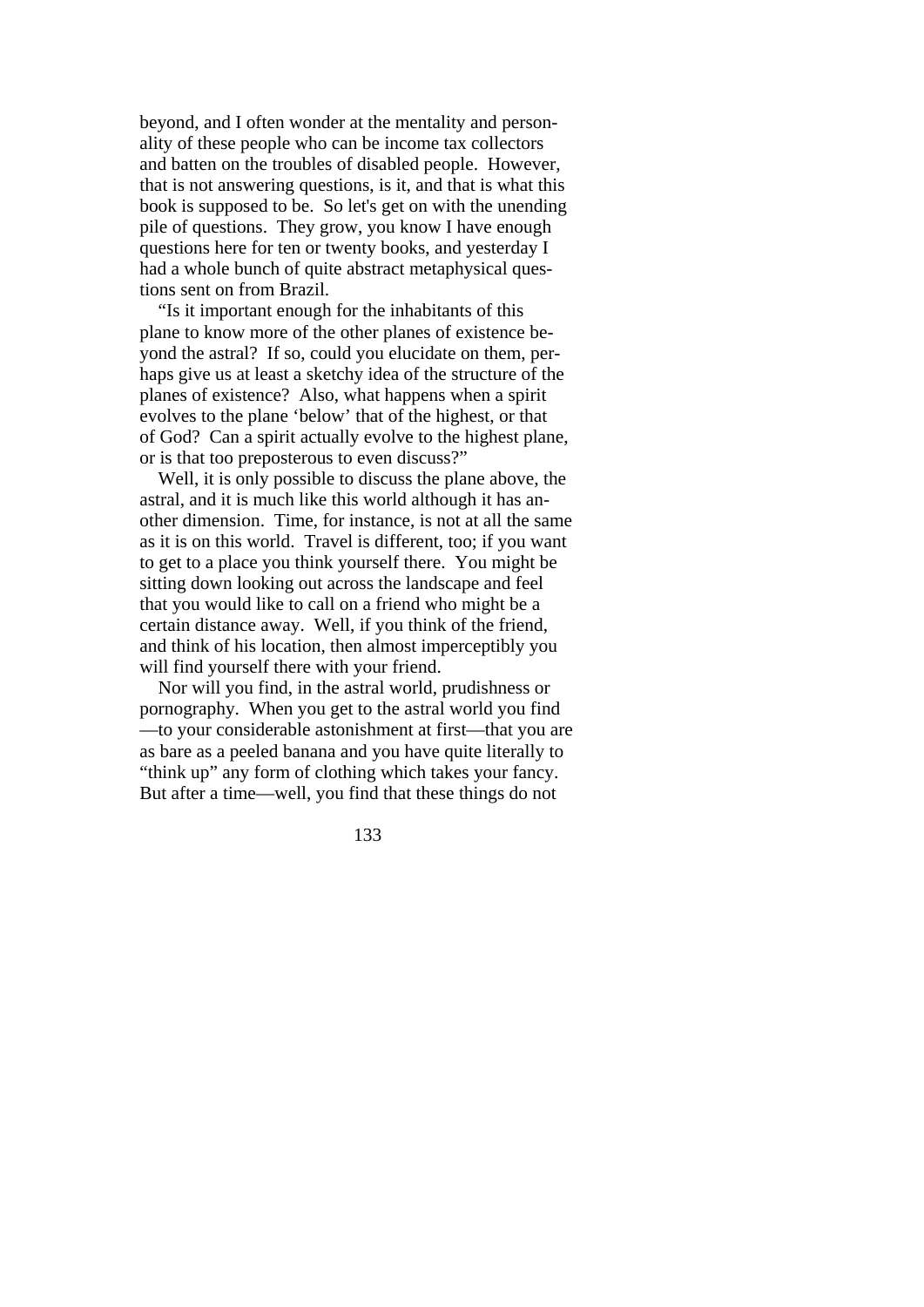beyond, and I often wonder at the mentality and personality of these people who can be income tax collectors and batten on the troubles of disabled people. However, that is not answering questions, is it, and that is what this book is supposed to be. So let's get on with the unending pile of questions. They grow, you know I have enough questions here for ten or twenty books, and yesterday I had a whole bunch of quite abstract metaphysical questions sent on from Brazil.

 "Is it important enough for the inhabitants of this plane to know more of the other planes of existence beyond the astral? If so, could you elucidate on them, perhaps give us at least a sketchy idea of the structure of the planes of existence? Also, what happens when a spirit evolves to the plane 'below' that of the highest, or that of God? Can a spirit actually evolve to the highest plane, or is that too preposterous to even discuss?"

 Well, it is only possible to discuss the plane above, the astral, and it is much like this world although it has another dimension. Time, for instance, is not at all the same as it is on this world. Travel is different, too; if you want to get to a place you think yourself there. You might be sitting down looking out across the landscape and feel that you would like to call on a friend who might be a certain distance away. Well, if you think of the friend, and think of his location, then almost imperceptibly you will find yourself there with your friend.

 Nor will you find, in the astral world, prudishness or pornography. When you get to the astral world you find —to your considerable astonishment at first—that you are as bare as a peeled banana and you have quite literally to "think up" any form of clothing which takes your fancy. But after a time—well, you find that these things do not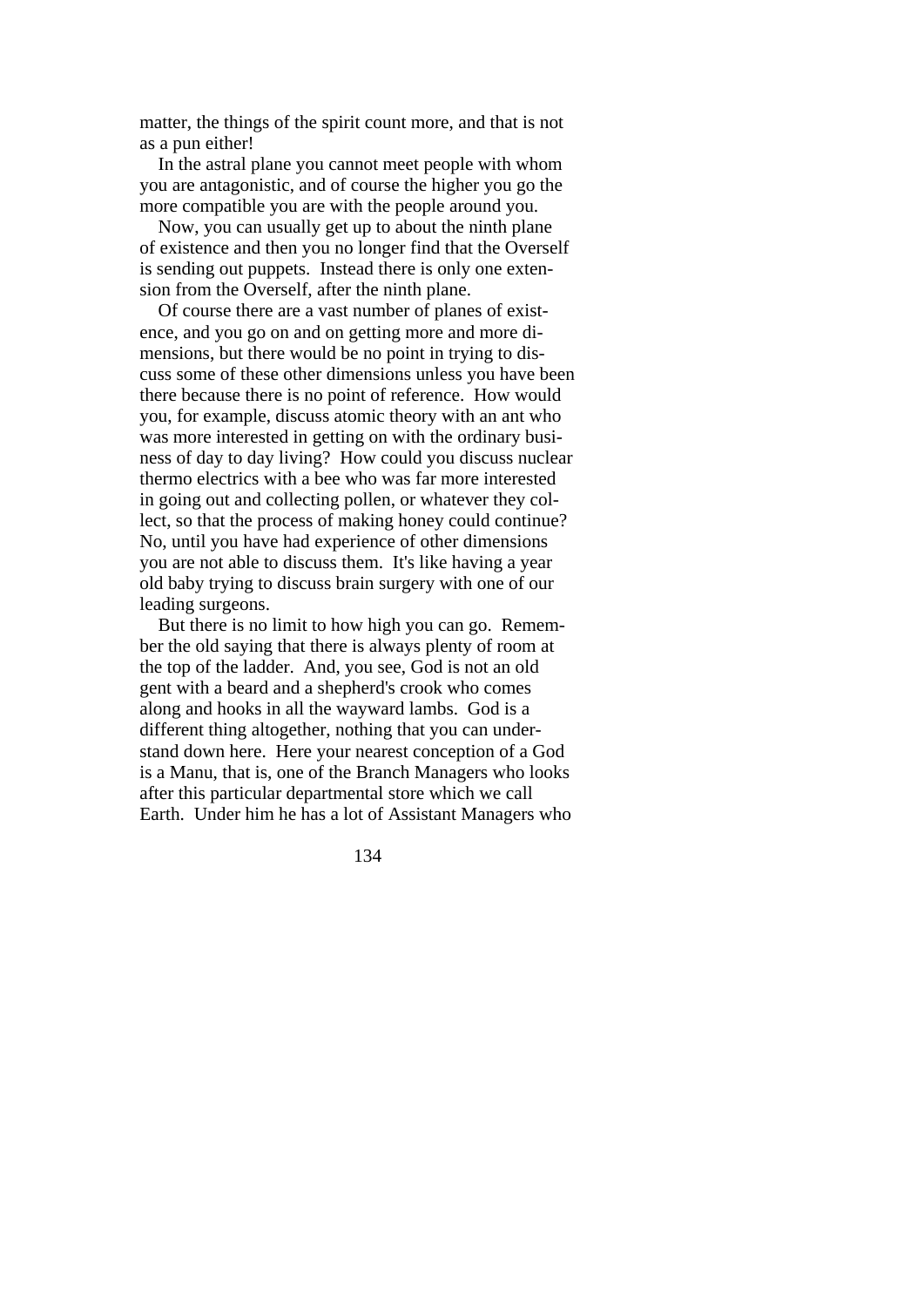matter, the things of the spirit count more, and that is not as a pun either!

 In the astral plane you cannot meet people with whom you are antagonistic, and of course the higher you go the more compatible you are with the people around you.

 Now, you can usually get up to about the ninth plane of existence and then you no longer find that the Overself is sending out puppets. Instead there is only one extension from the Overself, after the ninth plane.

 Of course there are a vast number of planes of existence, and you go on and on getting more and more dimensions, but there would be no point in trying to discuss some of these other dimensions unless you have been there because there is no point of reference. How would you, for example, discuss atomic theory with an ant who was more interested in getting on with the ordinary business of day to day living? How could you discuss nuclear thermo electrics with a bee who was far more interested in going out and collecting pollen, or whatever they collect, so that the process of making honey could continue? No, until you have had experience of other dimensions you are not able to discuss them. It's like having a year old baby trying to discuss brain surgery with one of our leading surgeons.

 But there is no limit to how high you can go. Remember the old saying that there is always plenty of room at the top of the ladder. And, you see, God is not an old gent with a beard and a shepherd's crook who comes along and hooks in all the wayward lambs. God is a different thing altogether, nothing that you can understand down here. Here your nearest conception of a God is a Manu, that is, one of the Branch Managers who looks after this particular departmental store which we call Earth. Under him he has a lot of Assistant Managers who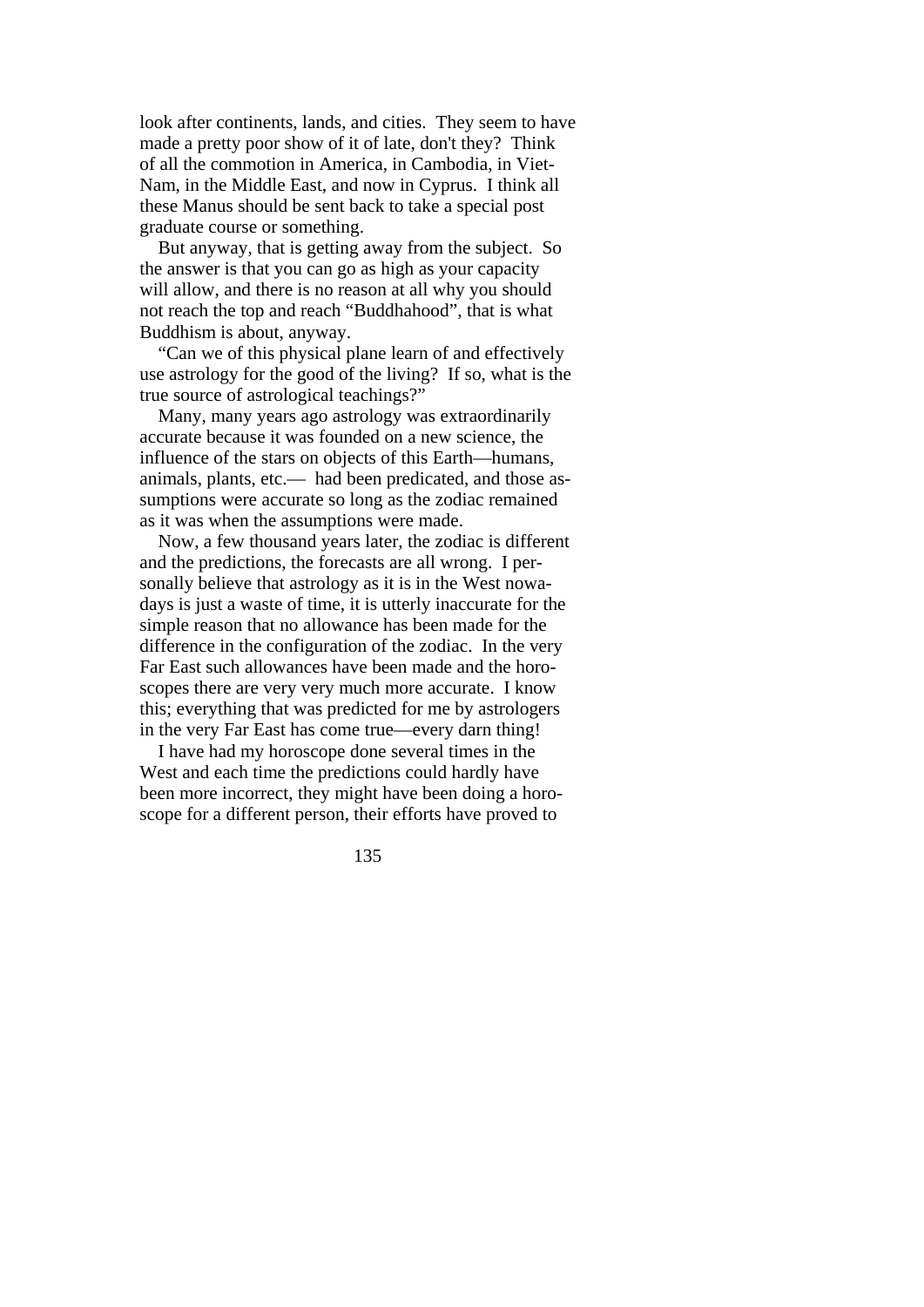look after continents, lands, and cities. They seem to have made a pretty poor show of it of late, don't they? Think of all the commotion in America, in Cambodia, in Viet-Nam, in the Middle East, and now in Cyprus. I think all these Manus should be sent back to take a special post graduate course or something.

 But anyway, that is getting away from the subject. So the answer is that you can go as high as your capacity will allow, and there is no reason at all why you should not reach the top and reach "Buddhahood", that is what Buddhism is about, anyway.

 "Can we of this physical plane learn of and effectively use astrology for the good of the living? If so, what is the true source of astrological teachings?"

 Many, many years ago astrology was extraordinarily accurate because it was founded on a new science, the influence of the stars on objects of this Earth—humans, animals, plants, etc.— had been predicated, and those assumptions were accurate so long as the zodiac remained as it was when the assumptions were made.

 Now, a few thousand years later, the zodiac is different and the predictions, the forecasts are all wrong. I personally believe that astrology as it is in the West nowadays is just a waste of time, it is utterly inaccurate for the simple reason that no allowance has been made for the difference in the configuration of the zodiac. In the very Far East such allowances have been made and the horoscopes there are very very much more accurate. I know this; everything that was predicted for me by astrologers in the very Far East has come true—every darn thing!

 I have had my horoscope done several times in the West and each time the predictions could hardly have been more incorrect, they might have been doing a horoscope for a different person, their efforts have proved to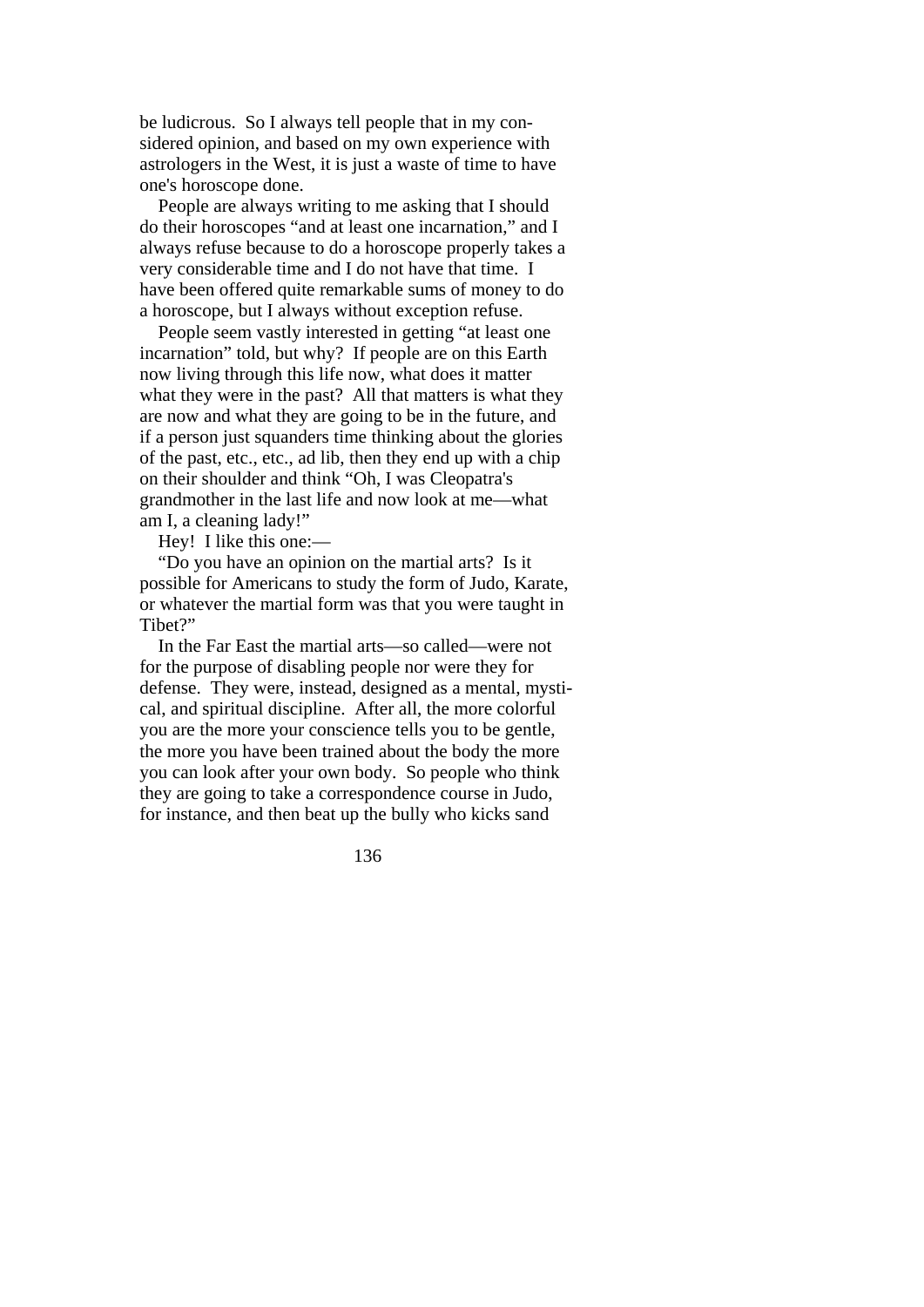be ludicrous. So I always tell people that in my considered opinion, and based on my own experience with astrologers in the West, it is just a waste of time to have one's horoscope done.

 People are always writing to me asking that I should do their horoscopes "and at least one incarnation," and I always refuse because to do a horoscope properly takes a very considerable time and I do not have that time. I have been offered quite remarkable sums of money to do a horoscope, but I always without exception refuse.

 People seem vastly interested in getting "at least one incarnation" told, but why? If people are on this Earth now living through this life now, what does it matter what they were in the past? All that matters is what they are now and what they are going to be in the future, and if a person just squanders time thinking about the glories of the past, etc., etc., ad lib, then they end up with a chip on their shoulder and think "Oh, I was Cleopatra's grandmother in the last life and now look at me—what am I, a cleaning lady!"

Hey! I like this one:—

 "Do you have an opinion on the martial arts? Is it possible for Americans to study the form of Judo, Karate, or whatever the martial form was that you were taught in Tibet?"

 In the Far East the martial arts—so called—were not for the purpose of disabling people nor were they for defense. They were, instead, designed as a mental, mystical, and spiritual discipline. After all, the more colorful you are the more your conscience tells you to be gentle, the more you have been trained about the body the more you can look after your own body. So people who think they are going to take a correspondence course in Judo, for instance, and then beat up the bully who kicks sand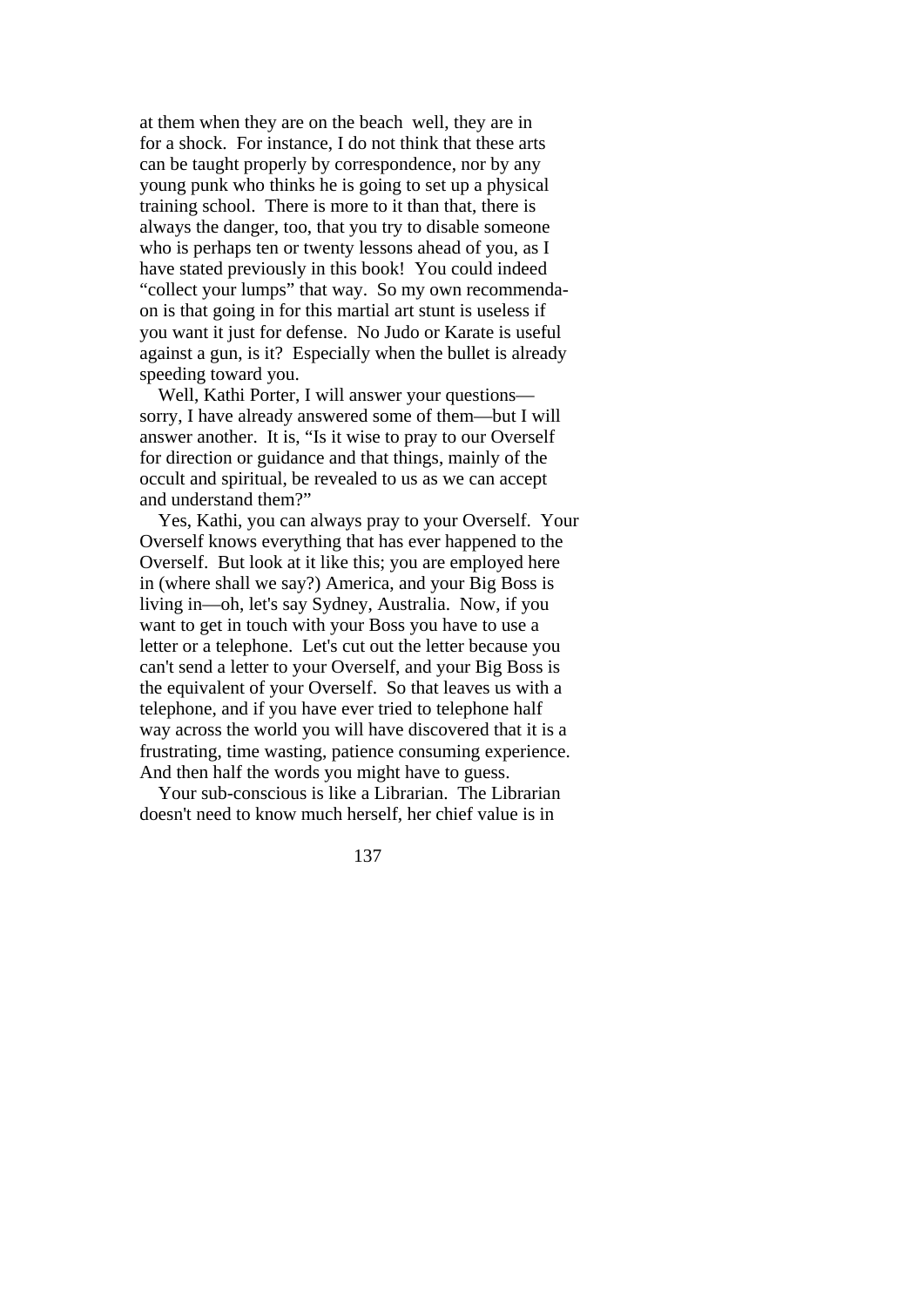at them when they are on the beach well, they are in for a shock. For instance, I do not think that these arts can be taught properly by correspondence, nor by any young punk who thinks he is going to set up a physical training school. There is more to it than that, there is always the danger, too, that you try to disable someone who is perhaps ten or twenty lessons ahead of you, as I have stated previously in this book! You could indeed "collect your lumps" that way. So my own recommendaon is that going in for this martial art stunt is useless if you want it just for defense. No Judo or Karate is useful against a gun, is it? Especially when the bullet is already speeding toward you.

 Well, Kathi Porter, I will answer your questions sorry, I have already answered some of them—but I will answer another. It is, "Is it wise to pray to our Overself for direction or guidance and that things, mainly of the occult and spiritual, be revealed to us as we can accept and understand them?"

 Yes, Kathi, you can always pray to your Overself. Your Overself knows everything that has ever happened to the Overself. But look at it like this; you are employed here in (where shall we say?) America, and your Big Boss is living in—oh, let's say Sydney, Australia. Now, if you want to get in touch with your Boss you have to use a letter or a telephone. Let's cut out the letter because you can't send a letter to your Overself, and your Big Boss is the equivalent of your Overself. So that leaves us with a telephone, and if you have ever tried to telephone half way across the world you will have discovered that it is a frustrating, time wasting, patience consuming experience. And then half the words you might have to guess.

 Your sub-conscious is like a Librarian. The Librarian doesn't need to know much herself, her chief value is in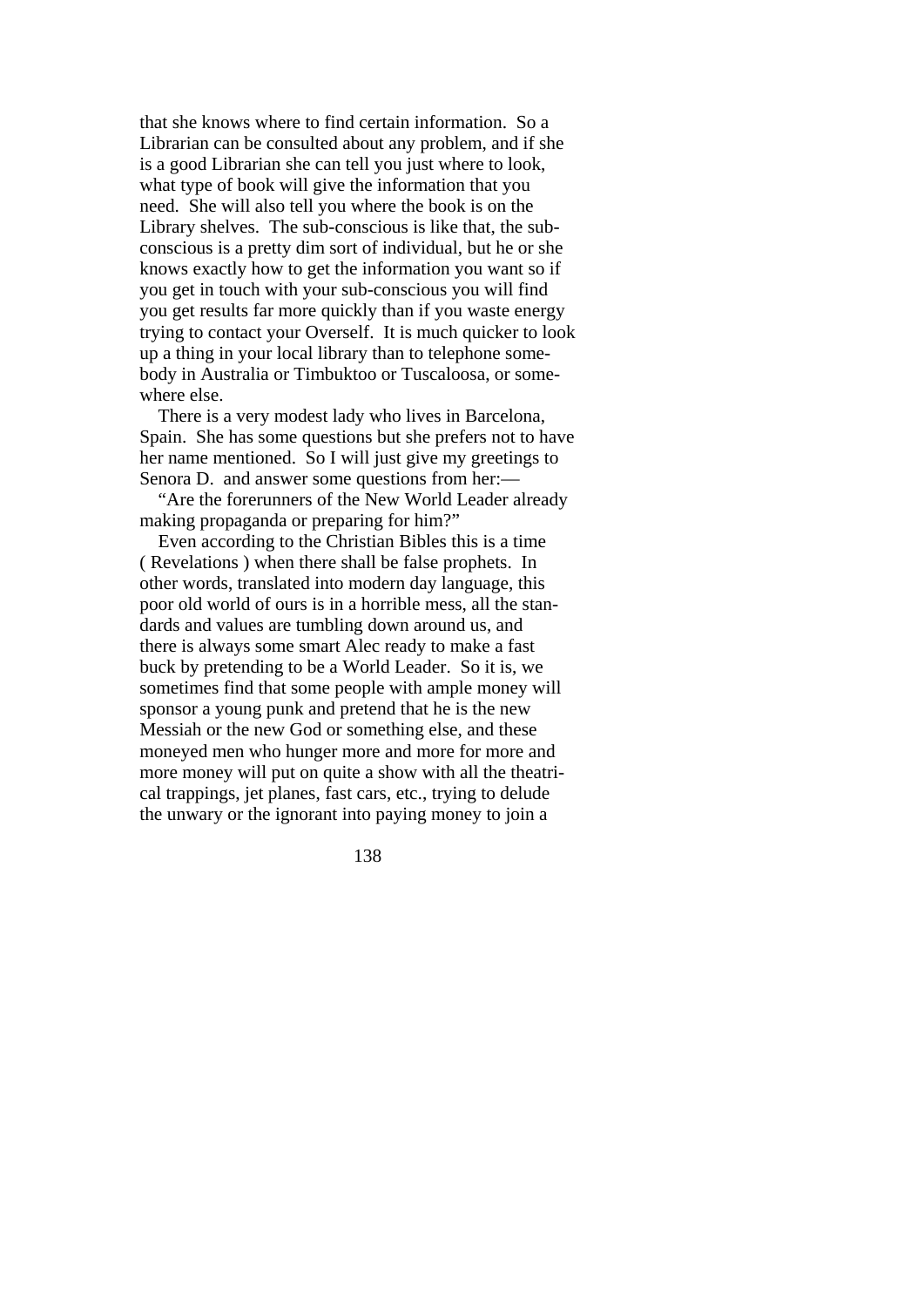that she knows where to find certain information. So a Librarian can be consulted about any problem, and if she is a good Librarian she can tell you just where to look, what type of book will give the information that you need. She will also tell you where the book is on the Library shelves. The sub-conscious is like that, the subconscious is a pretty dim sort of individual, but he or she knows exactly how to get the information you want so if you get in touch with your sub-conscious you will find you get results far more quickly than if you waste energy trying to contact your Overself. It is much quicker to look up a thing in your local library than to telephone somebody in Australia or Timbuktoo or Tuscaloosa, or somewhere else.

 There is a very modest lady who lives in Barcelona, Spain. She has some questions but she prefers not to have her name mentioned. So I will just give my greetings to Senora D. and answer some questions from her:—

 "Are the forerunners of the New World Leader already making propaganda or preparing for him?"

 Even according to the Christian Bibles this is a time ( Revelations ) when there shall be false prophets. In other words, translated into modern day language, this poor old world of ours is in a horrible mess, all the standards and values are tumbling down around us, and there is always some smart Alec ready to make a fast buck by pretending to be a World Leader. So it is, we sometimes find that some people with ample money will sponsor a young punk and pretend that he is the new Messiah or the new God or something else, and these moneyed men who hunger more and more for more and more money will put on quite a show with all the theatrical trappings, jet planes, fast cars, etc., trying to delude the unwary or the ignorant into paying money to join a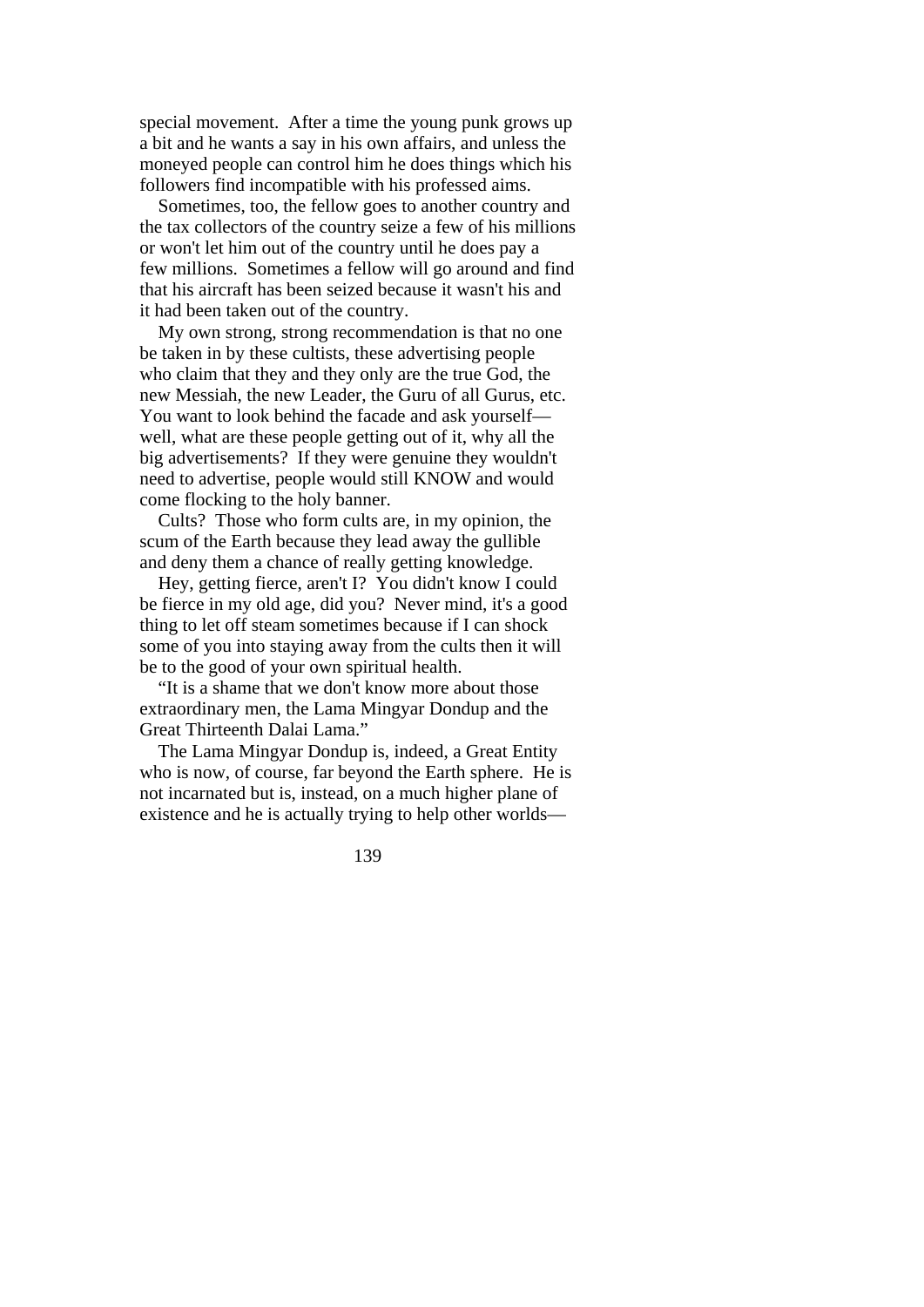special movement. After a time the young punk grows up a bit and he wants a say in his own affairs, and unless the moneyed people can control him he does things which his followers find incompatible with his professed aims.

 Sometimes, too, the fellow goes to another country and the tax collectors of the country seize a few of his millions or won't let him out of the country until he does pay a few millions. Sometimes a fellow will go around and find that his aircraft has been seized because it wasn't his and it had been taken out of the country.

 My own strong, strong recommendation is that no one be taken in by these cultists, these advertising people who claim that they and they only are the true God, the new Messiah, the new Leader, the Guru of all Gurus, etc. You want to look behind the facade and ask yourself well, what are these people getting out of it, why all the big advertisements? If they were genuine they wouldn't need to advertise, people would still KNOW and would come flocking to the holy banner.

 Cults? Those who form cults are, in my opinion, the scum of the Earth because they lead away the gullible and deny them a chance of really getting knowledge.

 Hey, getting fierce, aren't I? You didn't know I could be fierce in my old age, did you? Never mind, it's a good thing to let off steam sometimes because if I can shock some of you into staying away from the cults then it will be to the good of your own spiritual health.

 "It is a shame that we don't know more about those extraordinary men, the Lama Mingyar Dondup and the Great Thirteenth Dalai Lama."

 The Lama Mingyar Dondup is, indeed, a Great Entity who is now, of course, far beyond the Earth sphere. He is not incarnated but is, instead, on a much higher plane of existence and he is actually trying to help other worlds—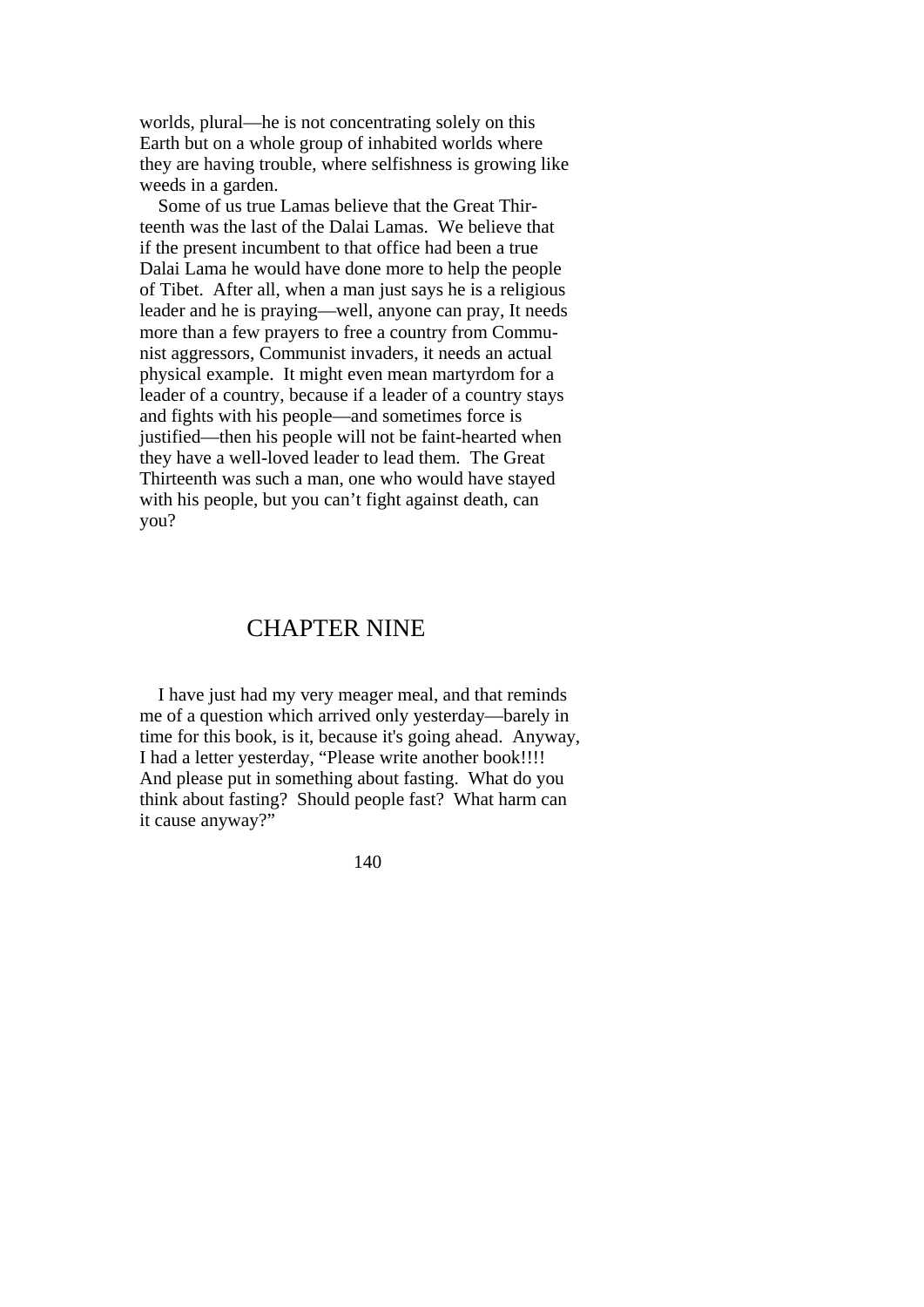worlds, plural—he is not concentrating solely on this Earth but on a whole group of inhabited worlds where they are having trouble, where selfishness is growing like weeds in a garden.

 Some of us true Lamas believe that the Great Thirteenth was the last of the Dalai Lamas. We believe that if the present incumbent to that office had been a true Dalai Lama he would have done more to help the people of Tibet. After all, when a man just says he is a religious leader and he is praying—well, anyone can pray, It needs more than a few prayers to free a country from Communist aggressors, Communist invaders, it needs an actual physical example. It might even mean martyrdom for a leader of a country, because if a leader of a country stays and fights with his people—and sometimes force is justified—then his people will not be faint-hearted when they have a well-loved leader to lead them. The Great Thirteenth was such a man, one who would have stayed with his people, but you can't fight against death, can you?

## CHAPTER NINE

 I have just had my very meager meal, and that reminds me of a question which arrived only yesterday—barely in time for this book, is it, because it's going ahead. Anyway, I had a letter yesterday, "Please write another book!!!! And please put in something about fasting. What do you think about fasting? Should people fast? What harm can it cause anyway?"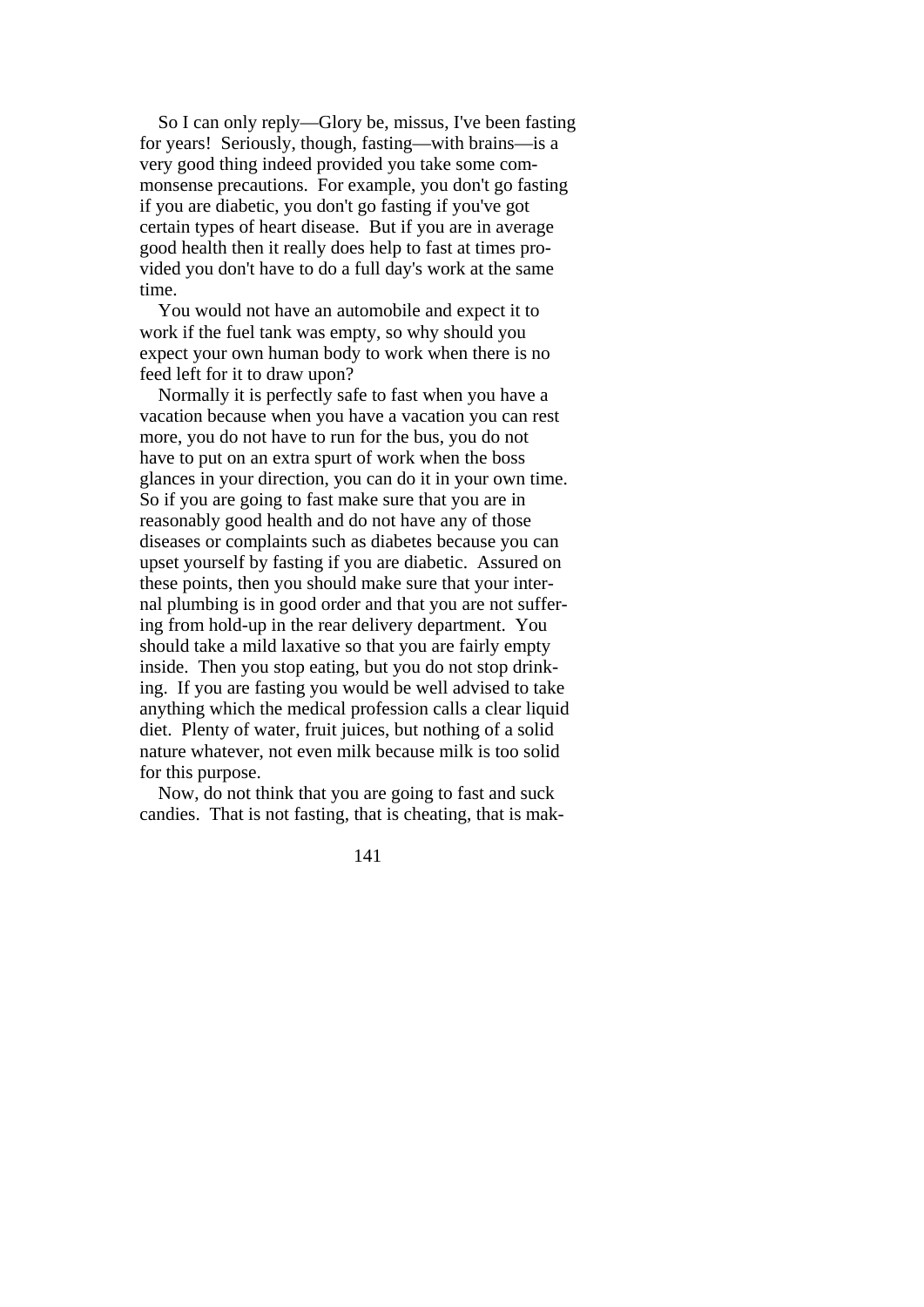So I can only reply—Glory be, missus, I've been fasting for years! Seriously, though, fasting—with brains—is a very good thing indeed provided you take some commonsense precautions. For example, you don't go fasting if you are diabetic, you don't go fasting if you've got certain types of heart disease. But if you are in average good health then it really does help to fast at times provided you don't have to do a full day's work at the same time.

 You would not have an automobile and expect it to work if the fuel tank was empty, so why should you expect your own human body to work when there is no feed left for it to draw upon?

 Normally it is perfectly safe to fast when you have a vacation because when you have a vacation you can rest more, you do not have to run for the bus, you do not have to put on an extra spurt of work when the boss glances in your direction, you can do it in your own time. So if you are going to fast make sure that you are in reasonably good health and do not have any of those diseases or complaints such as diabetes because you can upset yourself by fasting if you are diabetic. Assured on these points, then you should make sure that your internal plumbing is in good order and that you are not suffering from hold-up in the rear delivery department. You should take a mild laxative so that you are fairly empty inside. Then you stop eating, but you do not stop drinking. If you are fasting you would be well advised to take anything which the medical profession calls a clear liquid diet. Plenty of water, fruit juices, but nothing of a solid nature whatever, not even milk because milk is too solid for this purpose.

 Now, do not think that you are going to fast and suck candies. That is not fasting, that is cheating, that is mak-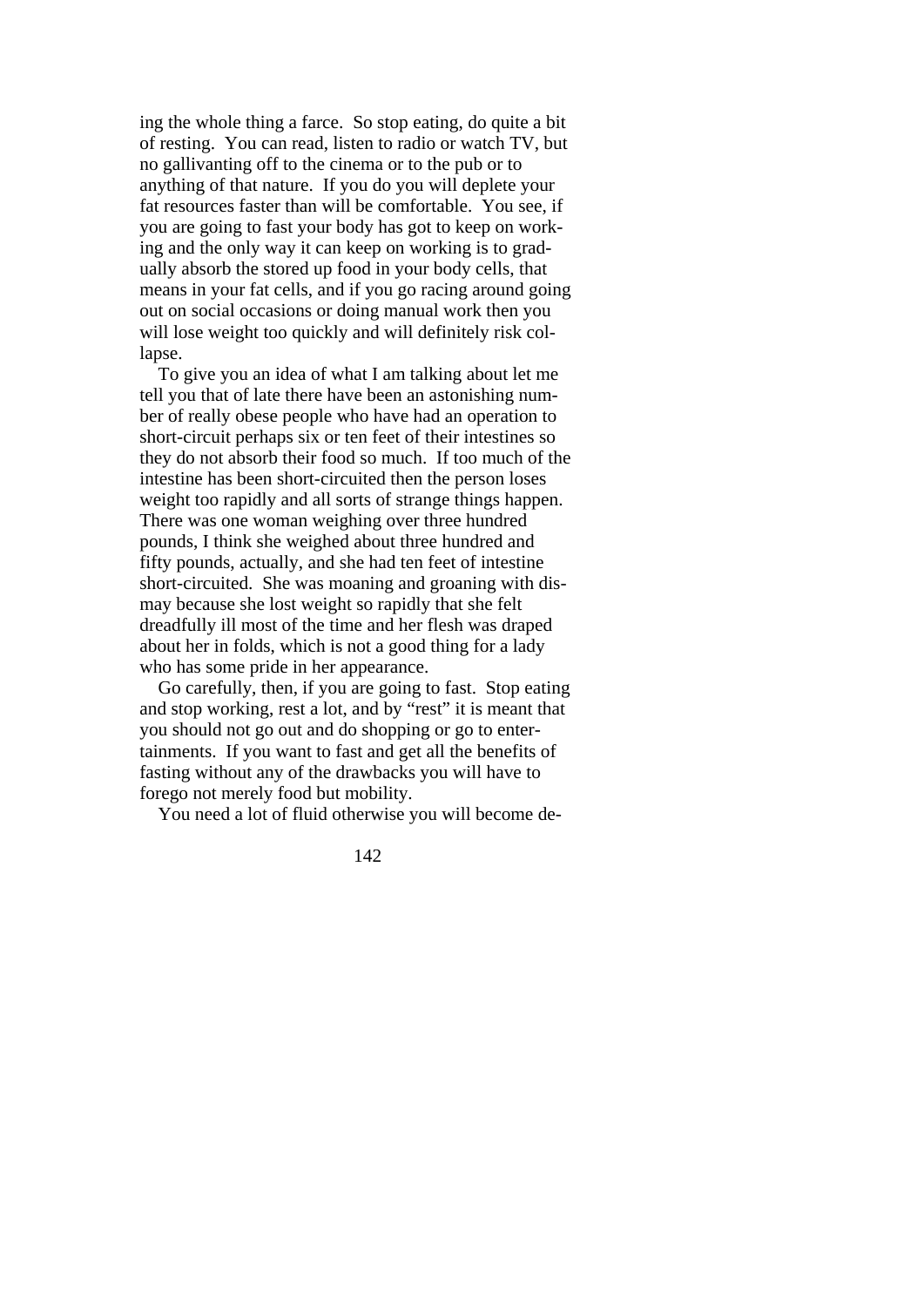ing the whole thing a farce. So stop eating, do quite a bit of resting. You can read, listen to radio or watch TV, but no gallivanting off to the cinema or to the pub or to anything of that nature. If you do you will deplete your fat resources faster than will be comfortable. You see, if you are going to fast your body has got to keep on working and the only way it can keep on working is to gradually absorb the stored up food in your body cells, that means in your fat cells, and if you go racing around going out on social occasions or doing manual work then you will lose weight too quickly and will definitely risk collapse.

 To give you an idea of what I am talking about let me tell you that of late there have been an astonishing number of really obese people who have had an operation to short-circuit perhaps six or ten feet of their intestines so they do not absorb their food so much. If too much of the intestine has been short-circuited then the person loses weight too rapidly and all sorts of strange things happen. There was one woman weighing over three hundred pounds, I think she weighed about three hundred and fifty pounds, actually, and she had ten feet of intestine short-circuited. She was moaning and groaning with dismay because she lost weight so rapidly that she felt dreadfully ill most of the time and her flesh was draped about her in folds, which is not a good thing for a lady who has some pride in her appearance.

 Go carefully, then, if you are going to fast. Stop eating and stop working, rest a lot, and by "rest" it is meant that you should not go out and do shopping or go to entertainments. If you want to fast and get all the benefits of fasting without any of the drawbacks you will have to forego not merely food but mobility.

You need a lot of fluid otherwise you will become de-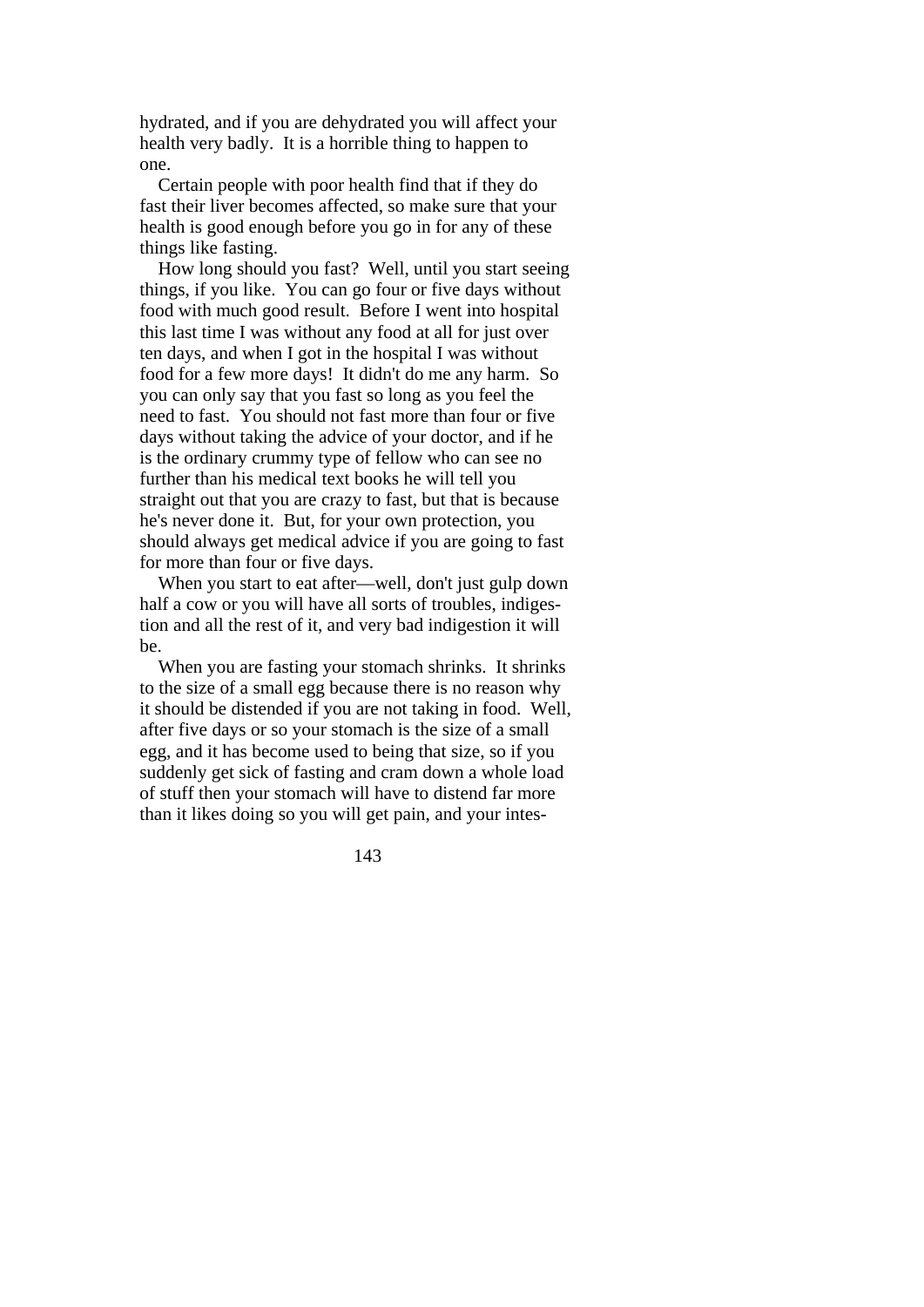hydrated, and if you are dehydrated you will affect your health very badly. It is a horrible thing to happen to one.

 Certain people with poor health find that if they do fast their liver becomes affected, so make sure that your health is good enough before you go in for any of these things like fasting.

 How long should you fast? Well, until you start seeing things, if you like. You can go four or five days without food with much good result. Before I went into hospital this last time I was without any food at all for just over ten days, and when I got in the hospital I was without food for a few more days! It didn't do me any harm. So you can only say that you fast so long as you feel the need to fast. You should not fast more than four or five days without taking the advice of your doctor, and if he is the ordinary crummy type of fellow who can see no further than his medical text books he will tell you straight out that you are crazy to fast, but that is because he's never done it. But, for your own protection, you should always get medical advice if you are going to fast for more than four or five days.

 When you start to eat after—well, don't just gulp down half a cow or you will have all sorts of troubles, indigestion and all the rest of it, and very bad indigestion it will be.

 When you are fasting your stomach shrinks. It shrinks to the size of a small egg because there is no reason why it should be distended if you are not taking in food. Well, after five days or so your stomach is the size of a small egg, and it has become used to being that size, so if you suddenly get sick of fasting and cram down a whole load of stuff then your stomach will have to distend far more than it likes doing so you will get pain, and your intes-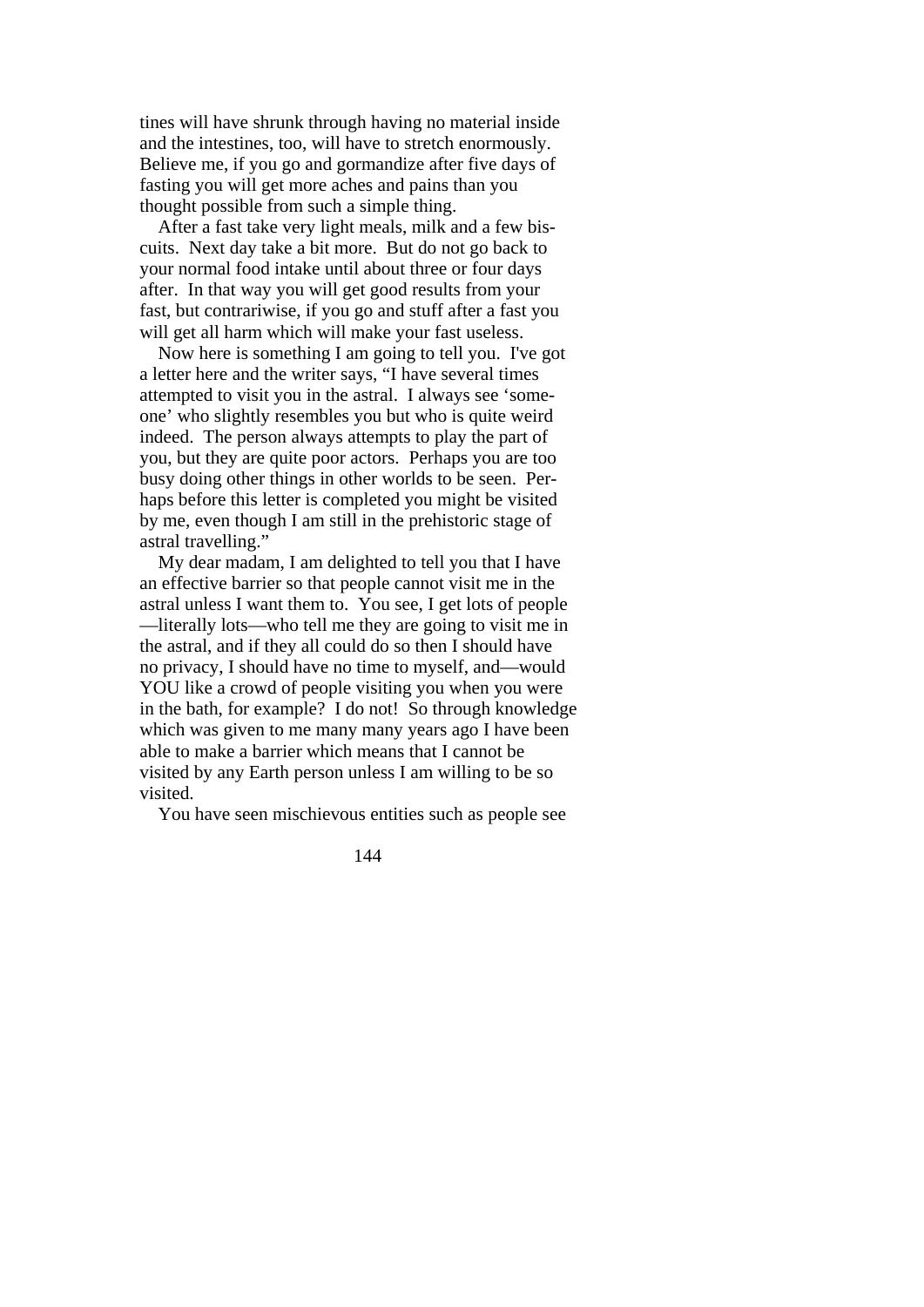tines will have shrunk through having no material inside and the intestines, too, will have to stretch enormously. Believe me, if you go and gormandize after five days of fasting you will get more aches and pains than you thought possible from such a simple thing.

 After a fast take very light meals, milk and a few biscuits. Next day take a bit more. But do not go back to your normal food intake until about three or four days after. In that way you will get good results from your fast, but contrariwise, if you go and stuff after a fast you will get all harm which will make your fast useless.

 Now here is something I am going to tell you. I've got a letter here and the writer says, "I have several times attempted to visit you in the astral. I always see 'someone' who slightly resembles you but who is quite weird indeed. The person always attempts to play the part of you, but they are quite poor actors. Perhaps you are too busy doing other things in other worlds to be seen. Perhaps before this letter is completed you might be visited by me, even though I am still in the prehistoric stage of astral travelling."

 My dear madam, I am delighted to tell you that I have an effective barrier so that people cannot visit me in the astral unless I want them to. You see, I get lots of people —literally lots—who tell me they are going to visit me in the astral, and if they all could do so then I should have no privacy, I should have no time to myself, and—would YOU like a crowd of people visiting you when you were in the bath, for example? I do not! So through knowledge which was given to me many many years ago I have been able to make a barrier which means that I cannot be visited by any Earth person unless I am willing to be so visited.

You have seen mischievous entities such as people see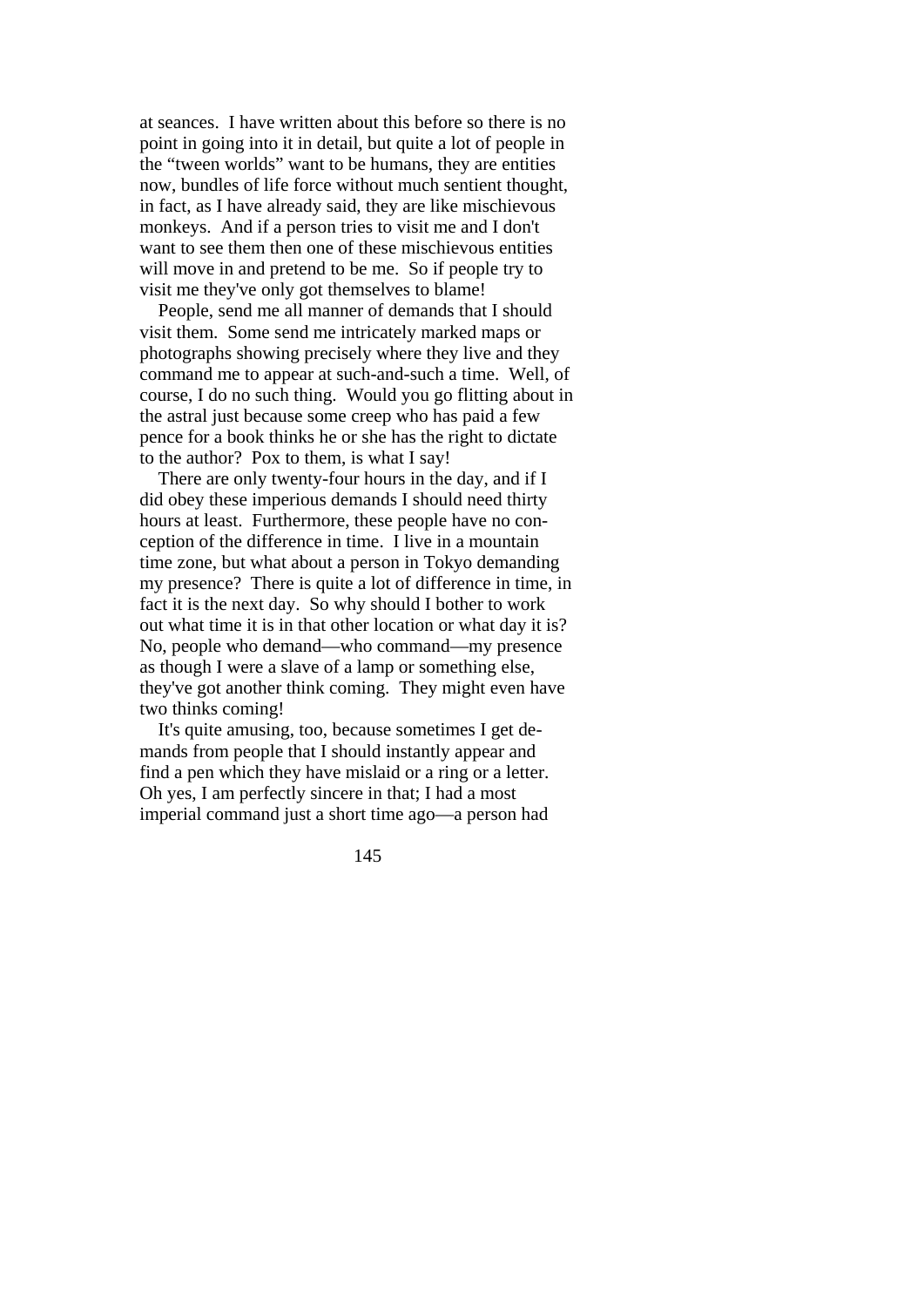at seances. I have written about this before so there is no point in going into it in detail, but quite a lot of people in the "tween worlds" want to be humans, they are entities now, bundles of life force without much sentient thought, in fact, as I have already said, they are like mischievous monkeys. And if a person tries to visit me and I don't want to see them then one of these mischievous entities will move in and pretend to be me. So if people try to visit me they've only got themselves to blame!

 People, send me all manner of demands that I should visit them. Some send me intricately marked maps or photographs showing precisely where they live and they command me to appear at such-and-such a time. Well, of course, I do no such thing. Would you go flitting about in the astral just because some creep who has paid a few pence for a book thinks he or she has the right to dictate to the author? Pox to them, is what I say!

 There are only twenty-four hours in the day, and if I did obey these imperious demands I should need thirty hours at least. Furthermore, these people have no conception of the difference in time. I live in a mountain time zone, but what about a person in Tokyo demanding my presence? There is quite a lot of difference in time, in fact it is the next day. So why should I bother to work out what time it is in that other location or what day it is? No, people who demand—who command—my presence as though I were a slave of a lamp or something else, they've got another think coming. They might even have two thinks coming!

 It's quite amusing, too, because sometimes I get demands from people that I should instantly appear and find a pen which they have mislaid or a ring or a letter. Oh yes, I am perfectly sincere in that; I had a most imperial command just a short time ago—a person had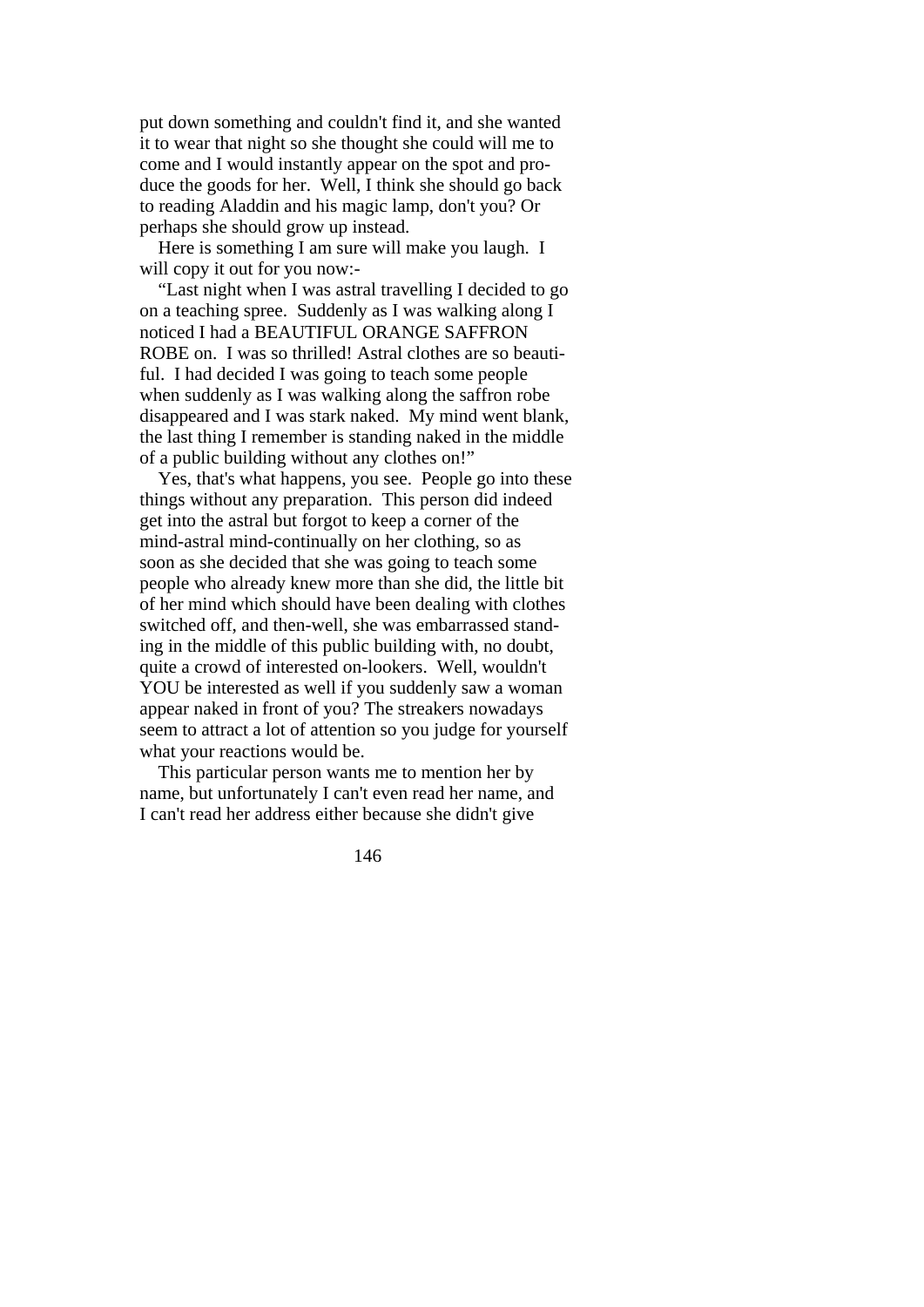put down something and couldn't find it, and she wanted it to wear that night so she thought she could will me to come and I would instantly appear on the spot and produce the goods for her. Well, I think she should go back to reading Aladdin and his magic lamp, don't you? Or perhaps she should grow up instead.

 Here is something I am sure will make you laugh. I will copy it out for you now:-

 "Last night when I was astral travelling I decided to go on a teaching spree. Suddenly as I was walking along I noticed I had a BEAUTIFUL ORANGE SAFFRON ROBE on. I was so thrilled! Astral clothes are so beautiful. I had decided I was going to teach some people when suddenly as I was walking along the saffron robe disappeared and I was stark naked. My mind went blank, the last thing I remember is standing naked in the middle of a public building without any clothes on!"

 Yes, that's what happens, you see. People go into these things without any preparation. This person did indeed get into the astral but forgot to keep a corner of the mind-astral mind-continually on her clothing, so as soon as she decided that she was going to teach some people who already knew more than she did, the little bit of her mind which should have been dealing with clothes switched off, and then-well, she was embarrassed standing in the middle of this public building with, no doubt, quite a crowd of interested on-lookers. Well, wouldn't YOU be interested as well if you suddenly saw a woman appear naked in front of you? The streakers nowadays seem to attract a lot of attention so you judge for yourself what your reactions would be.

 This particular person wants me to mention her by name, but unfortunately I can't even read her name, and I can't read her address either because she didn't give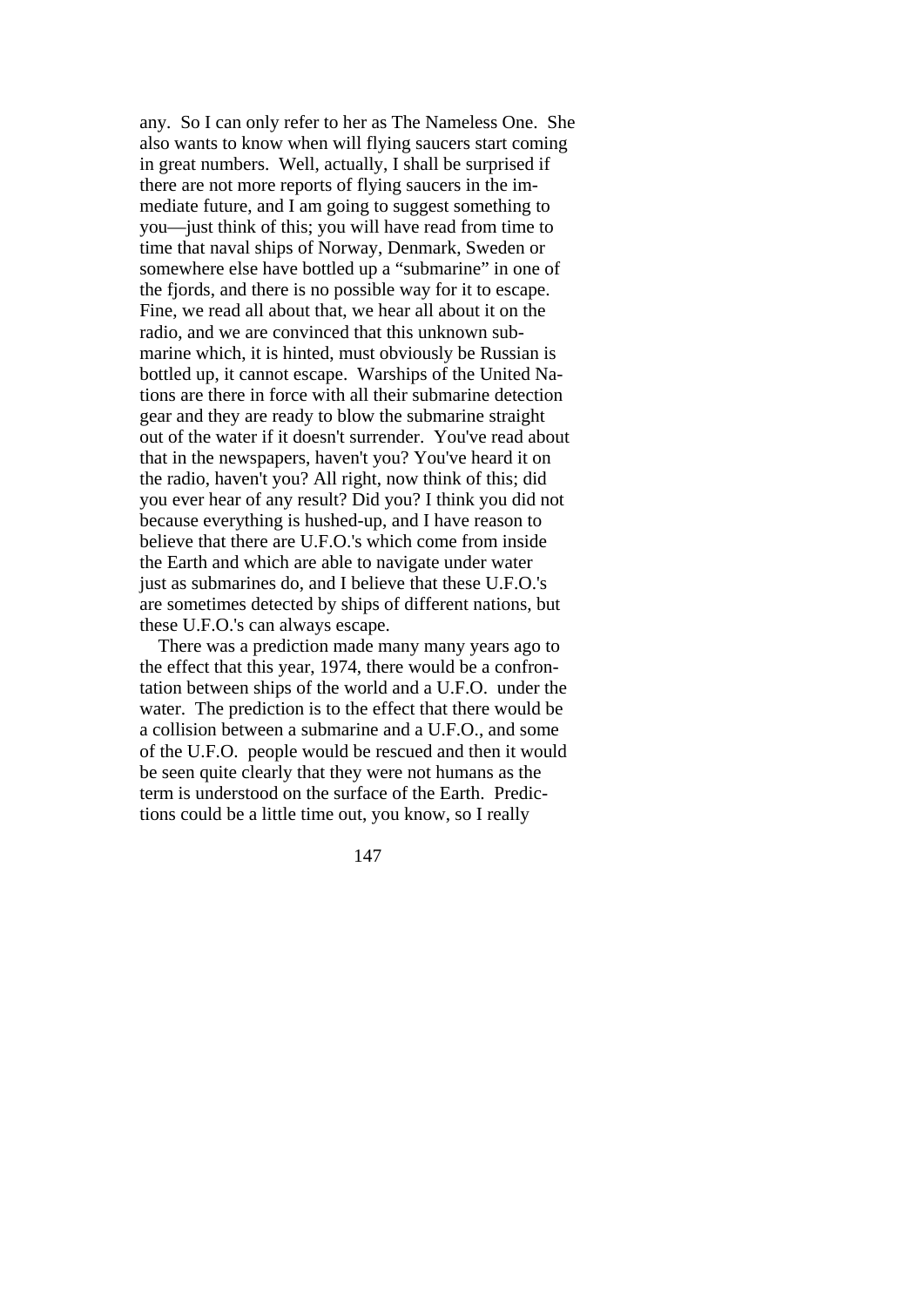any. So I can only refer to her as The Nameless One. She also wants to know when will flying saucers start coming in great numbers. Well, actually, I shall be surprised if there are not more reports of flying saucers in the immediate future, and I am going to suggest something to you—just think of this; you will have read from time to time that naval ships of Norway, Denmark, Sweden or somewhere else have bottled up a "submarine" in one of the fjords, and there is no possible way for it to escape. Fine, we read all about that, we hear all about it on the radio, and we are convinced that this unknown submarine which, it is hinted, must obviously be Russian is bottled up, it cannot escape. Warships of the United Nations are there in force with all their submarine detection gear and they are ready to blow the submarine straight out of the water if it doesn't surrender. You've read about that in the newspapers, haven't you? You've heard it on the radio, haven't you? All right, now think of this; did you ever hear of any result? Did you? I think you did not because everything is hushed-up, and I have reason to believe that there are U.F.O.'s which come from inside the Earth and which are able to navigate under water just as submarines do, and I believe that these U.F.O.'s are sometimes detected by ships of different nations, but these U.F.O.'s can always escape.

 There was a prediction made many many years ago to the effect that this year, 1974, there would be a confrontation between ships of the world and a U.F.O. under the water. The prediction is to the effect that there would be a collision between a submarine and a U.F.O., and some of the U.F.O. people would be rescued and then it would be seen quite clearly that they were not humans as the term is understood on the surface of the Earth. Predictions could be a little time out, you know, so I really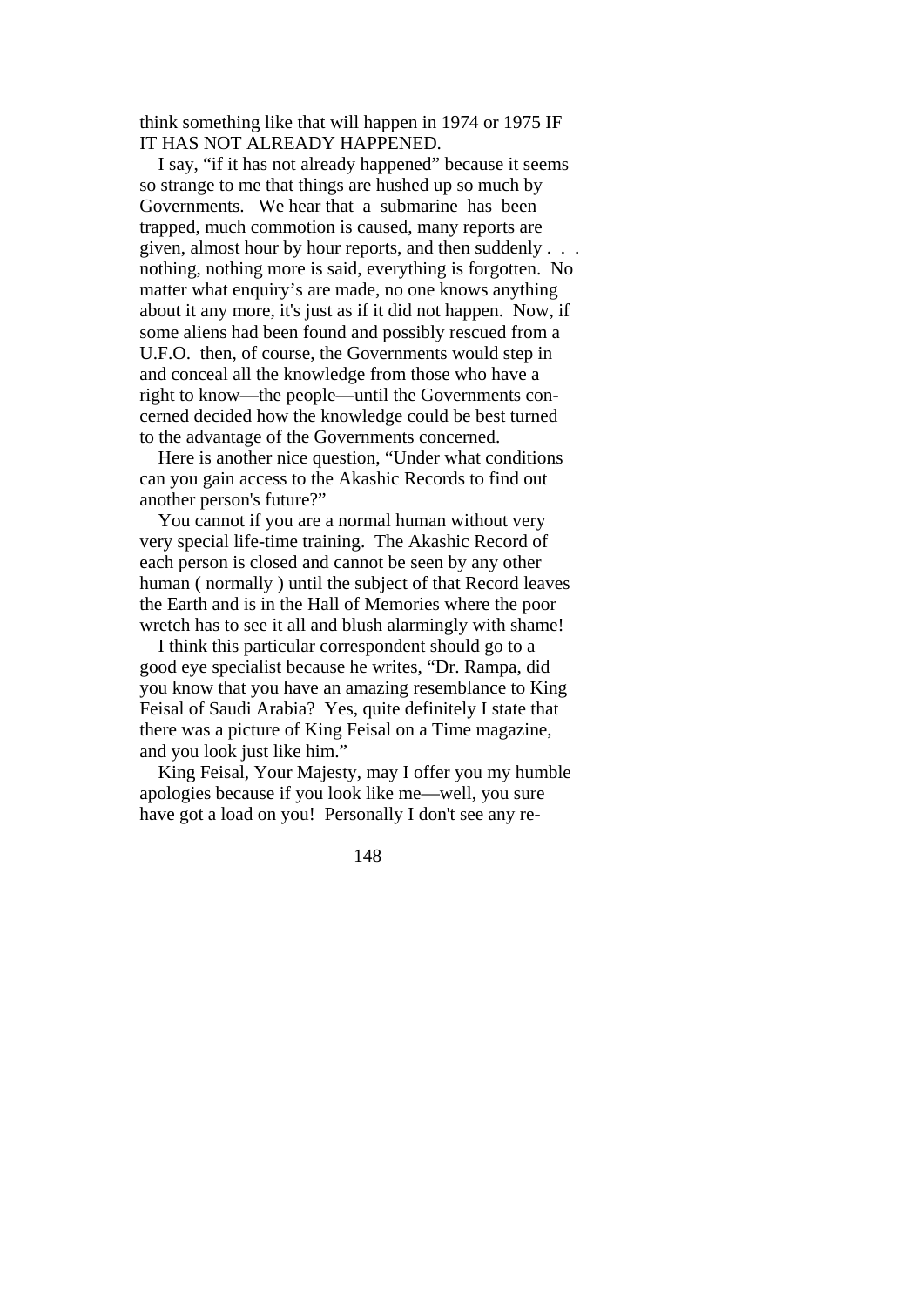think something like that will happen in 1974 or 1975 IF IT HAS NOT ALREADY HAPPENED.

 I say, "if it has not already happened" because it seems so strange to me that things are hushed up so much by Governments. We hear that a submarine has been trapped, much commotion is caused, many reports are given, almost hour by hour reports, and then suddenly . . . nothing, nothing more is said, everything is forgotten. No matter what enquiry's are made, no one knows anything about it any more, it's just as if it did not happen. Now, if some aliens had been found and possibly rescued from a U.F.O. then, of course, the Governments would step in and conceal all the knowledge from those who have a right to know—the people—until the Governments concerned decided how the knowledge could be best turned to the advantage of the Governments concerned.

 Here is another nice question, "Under what conditions can you gain access to the Akashic Records to find out another person's future?"

 You cannot if you are a normal human without very very special life-time training. The Akashic Record of each person is closed and cannot be seen by any other human ( normally ) until the subject of that Record leaves the Earth and is in the Hall of Memories where the poor wretch has to see it all and blush alarmingly with shame!

 I think this particular correspondent should go to a good eye specialist because he writes, "Dr. Rampa, did you know that you have an amazing resemblance to King Feisal of Saudi Arabia? Yes, quite definitely I state that there was a picture of King Feisal on a Time magazine, and you look just like him."

 King Feisal, Your Majesty, may I offer you my humble apologies because if you look like me—well, you sure have got a load on you! Personally I don't see any re-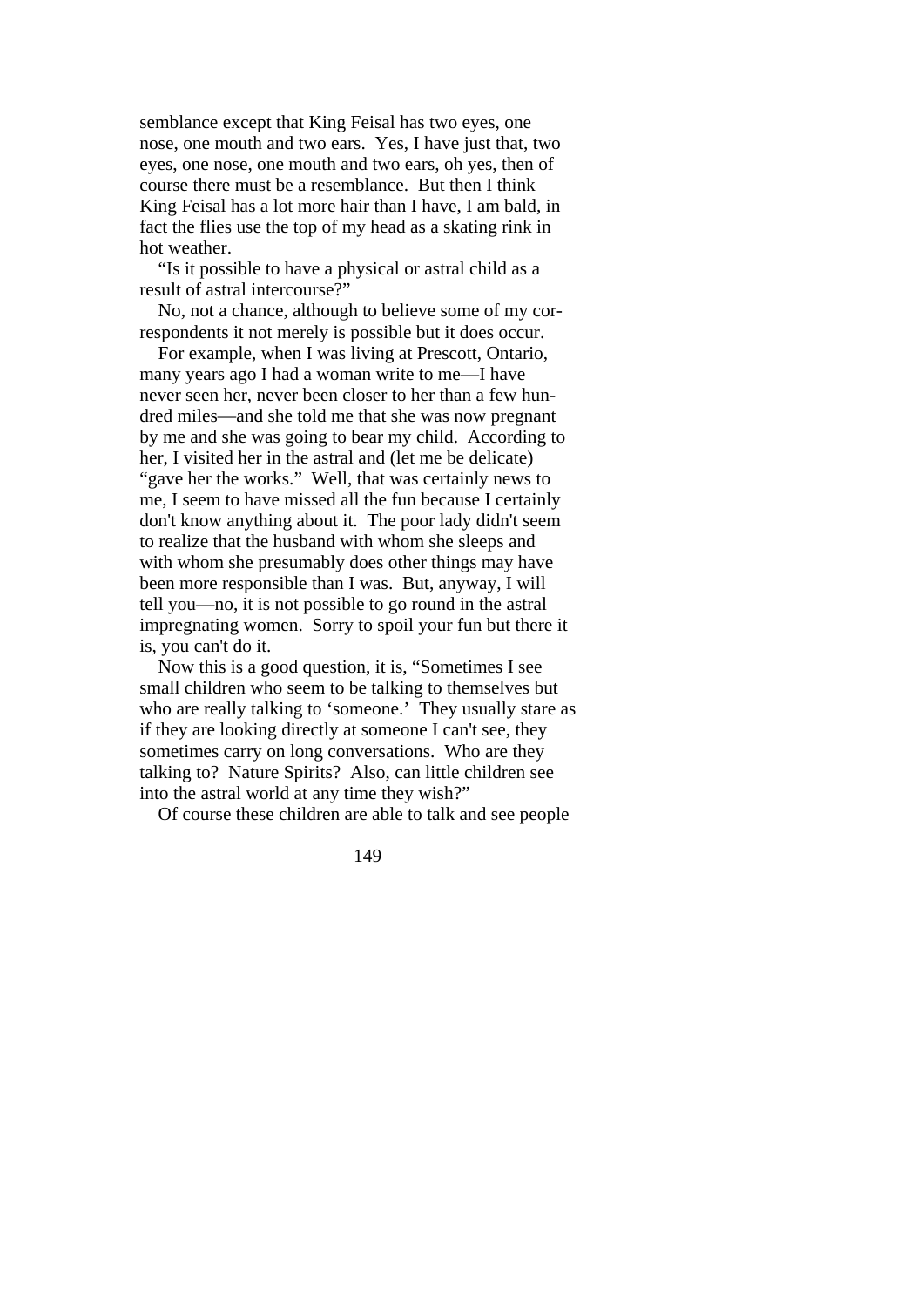semblance except that King Feisal has two eyes, one nose, one mouth and two ears. Yes, I have just that, two eyes, one nose, one mouth and two ears, oh yes, then of course there must be a resemblance. But then I think King Feisal has a lot more hair than I have, I am bald, in fact the flies use the top of my head as a skating rink in hot weather.

 "Is it possible to have a physical or astral child as a result of astral intercourse?"

 No, not a chance, although to believe some of my correspondents it not merely is possible but it does occur.

 For example, when I was living at Prescott, Ontario, many years ago I had a woman write to me—I have never seen her, never been closer to her than a few hundred miles—and she told me that she was now pregnant by me and she was going to bear my child. According to her, I visited her in the astral and (let me be delicate) "gave her the works." Well, that was certainly news to me, I seem to have missed all the fun because I certainly don't know anything about it. The poor lady didn't seem to realize that the husband with whom she sleeps and with whom she presumably does other things may have been more responsible than I was. But, anyway, I will tell you—no, it is not possible to go round in the astral impregnating women. Sorry to spoil your fun but there it is, you can't do it.

 Now this is a good question, it is, "Sometimes I see small children who seem to be talking to themselves but who are really talking to 'someone.' They usually stare as if they are looking directly at someone I can't see, they sometimes carry on long conversations. Who are they talking to? Nature Spirits? Also, can little children see into the astral world at any time they wish?"

Of course these children are able to talk and see people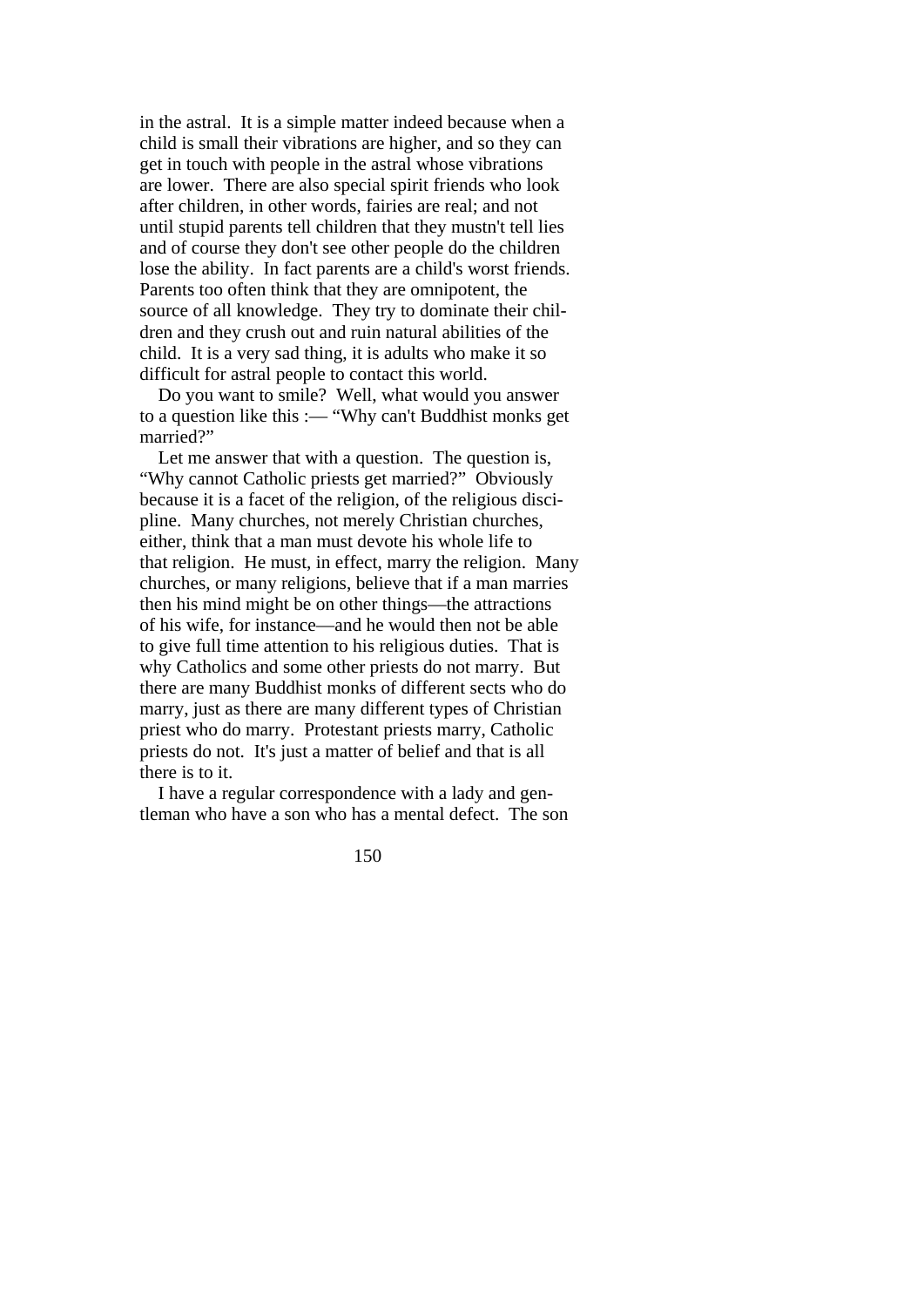in the astral. It is a simple matter indeed because when a child is small their vibrations are higher, and so they can get in touch with people in the astral whose vibrations are lower. There are also special spirit friends who look after children, in other words, fairies are real; and not until stupid parents tell children that they mustn't tell lies and of course they don't see other people do the children lose the ability. In fact parents are a child's worst friends. Parents too often think that they are omnipotent, the source of all knowledge. They try to dominate their children and they crush out and ruin natural abilities of the child. It is a very sad thing, it is adults who make it so difficult for astral people to contact this world.

 Do you want to smile? Well, what would you answer to a question like this :— "Why can't Buddhist monks get married?"

 Let me answer that with a question. The question is, "Why cannot Catholic priests get married?" Obviously because it is a facet of the religion, of the religious discipline. Many churches, not merely Christian churches, either, think that a man must devote his whole life to that religion. He must, in effect, marry the religion. Many churches, or many religions, believe that if a man marries then his mind might be on other things—the attractions of his wife, for instance—and he would then not be able to give full time attention to his religious duties. That is why Catholics and some other priests do not marry. But there are many Buddhist monks of different sects who do marry, just as there are many different types of Christian priest who do marry. Protestant priests marry, Catholic priests do not. It's just a matter of belief and that is all there is to it.

 I have a regular correspondence with a lady and gentleman who have a son who has a mental defect. The son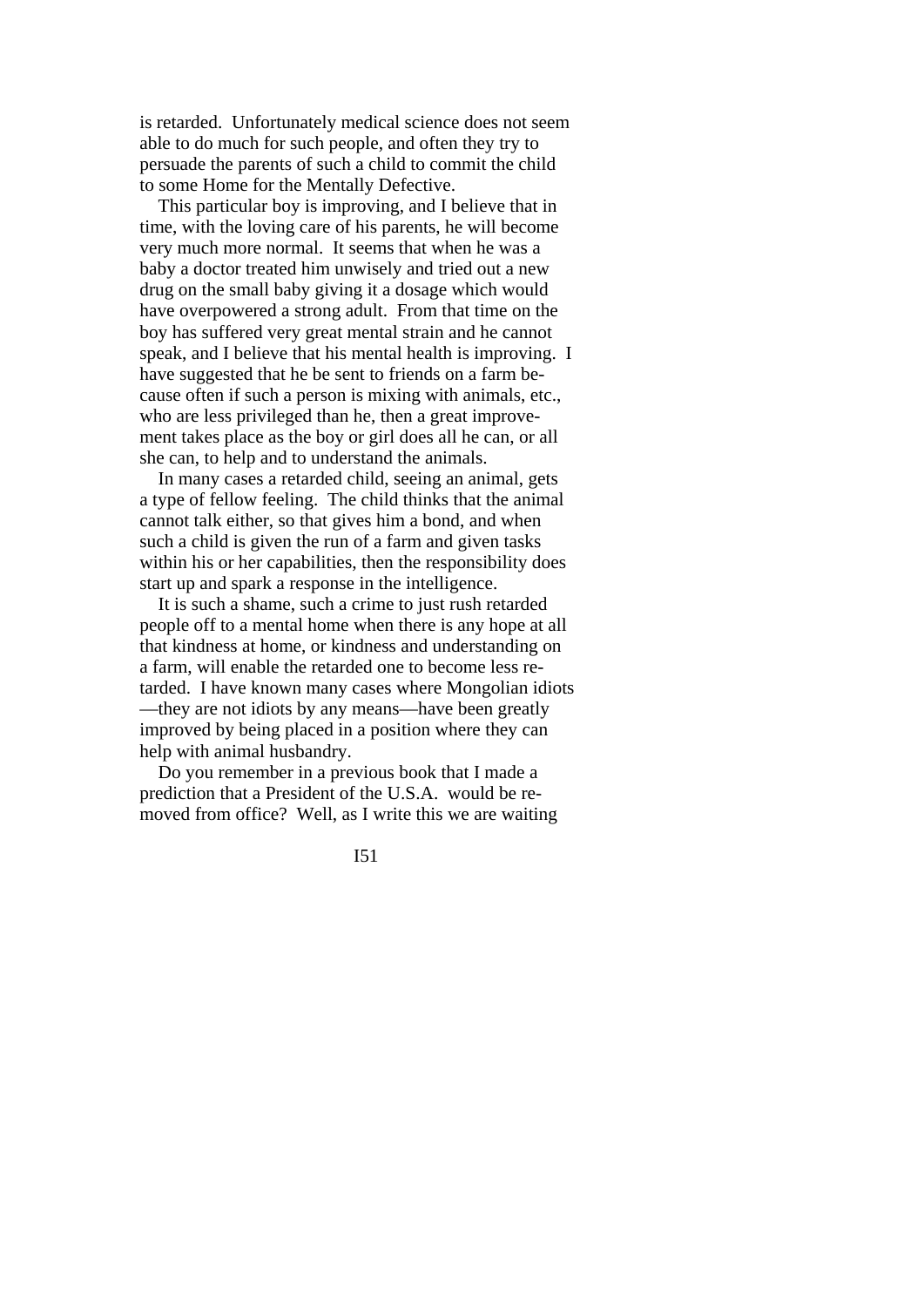is retarded. Unfortunately medical science does not seem able to do much for such people, and often they try to persuade the parents of such a child to commit the child to some Home for the Mentally Defective.

 This particular boy is improving, and I believe that in time, with the loving care of his parents, he will become very much more normal. It seems that when he was a baby a doctor treated him unwisely and tried out a new drug on the small baby giving it a dosage which would have overpowered a strong adult. From that time on the boy has suffered very great mental strain and he cannot speak, and I believe that his mental health is improving. I have suggested that he be sent to friends on a farm because often if such a person is mixing with animals, etc., who are less privileged than he, then a great improvement takes place as the boy or girl does all he can, or all she can, to help and to understand the animals.

 In many cases a retarded child, seeing an animal, gets a type of fellow feeling. The child thinks that the animal cannot talk either, so that gives him a bond, and when such a child is given the run of a farm and given tasks within his or her capabilities, then the responsibility does start up and spark a response in the intelligence.

 It is such a shame, such a crime to just rush retarded people off to a mental home when there is any hope at all that kindness at home, or kindness and understanding on a farm, will enable the retarded one to become less retarded. I have known many cases where Mongolian idiots —they are not idiots by any means—have been greatly improved by being placed in a position where they can help with animal husbandry.

 Do you remember in a previous book that I made a prediction that a President of the U.S.A. would be removed from office? Well, as I write this we are waiting

I51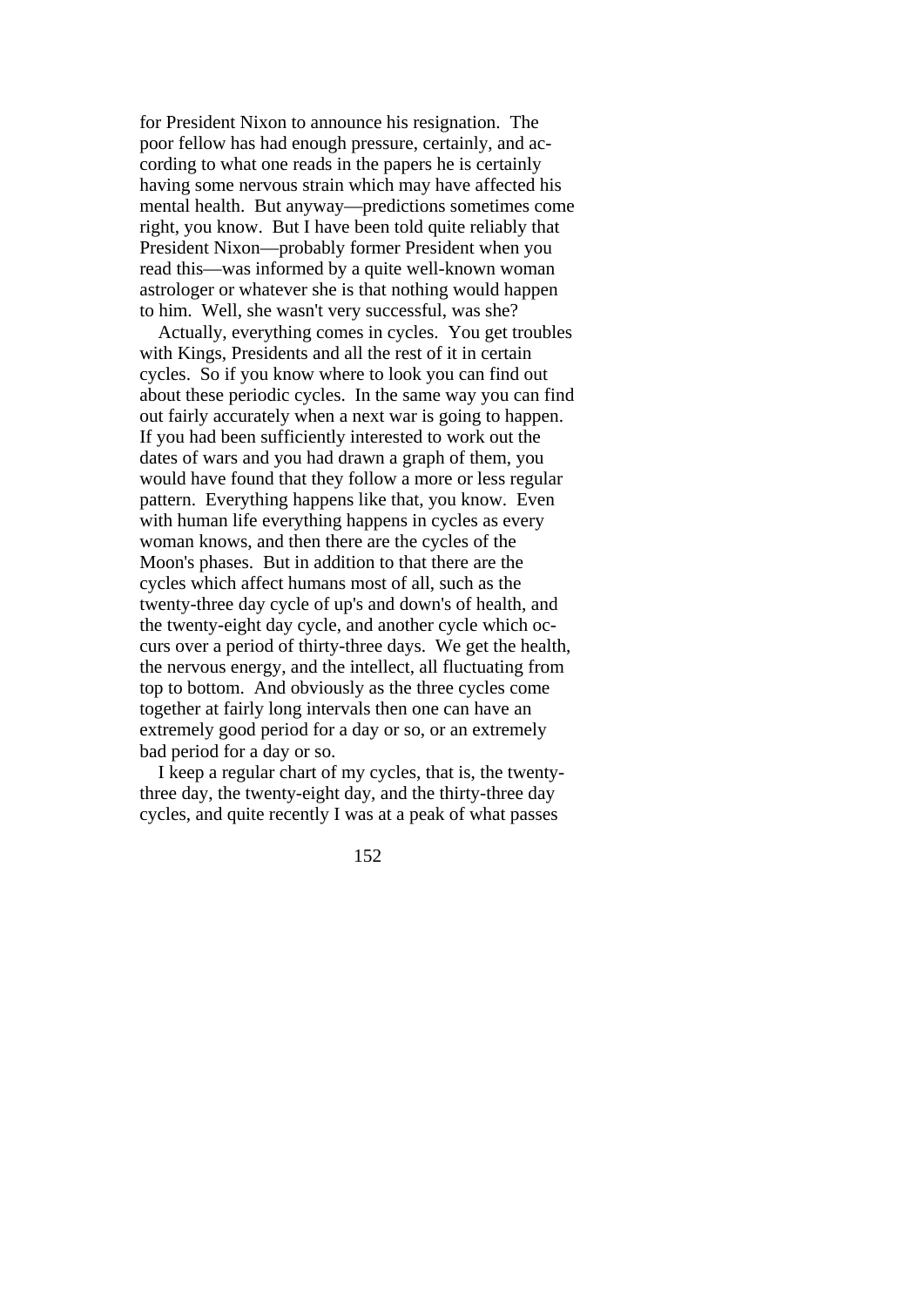for President Nixon to announce his resignation. The poor fellow has had enough pressure, certainly, and according to what one reads in the papers he is certainly having some nervous strain which may have affected his mental health. But anyway—predictions sometimes come right, you know. But I have been told quite reliably that President Nixon—probably former President when you read this—was informed by a quite well-known woman astrologer or whatever she is that nothing would happen to him. Well, she wasn't very successful, was she?

 Actually, everything comes in cycles. You get troubles with Kings, Presidents and all the rest of it in certain cycles. So if you know where to look you can find out about these periodic cycles. In the same way you can find out fairly accurately when a next war is going to happen. If you had been sufficiently interested to work out the dates of wars and you had drawn a graph of them, you would have found that they follow a more or less regular pattern. Everything happens like that, you know. Even with human life everything happens in cycles as every woman knows, and then there are the cycles of the Moon's phases. But in addition to that there are the cycles which affect humans most of all, such as the twenty-three day cycle of up's and down's of health, and the twenty-eight day cycle, and another cycle which occurs over a period of thirty-three days. We get the health, the nervous energy, and the intellect, all fluctuating from top to bottom. And obviously as the three cycles come together at fairly long intervals then one can have an extremely good period for a day or so, or an extremely bad period for a day or so.

 I keep a regular chart of my cycles, that is, the twentythree day, the twenty-eight day, and the thirty-three day cycles, and quite recently I was at a peak of what passes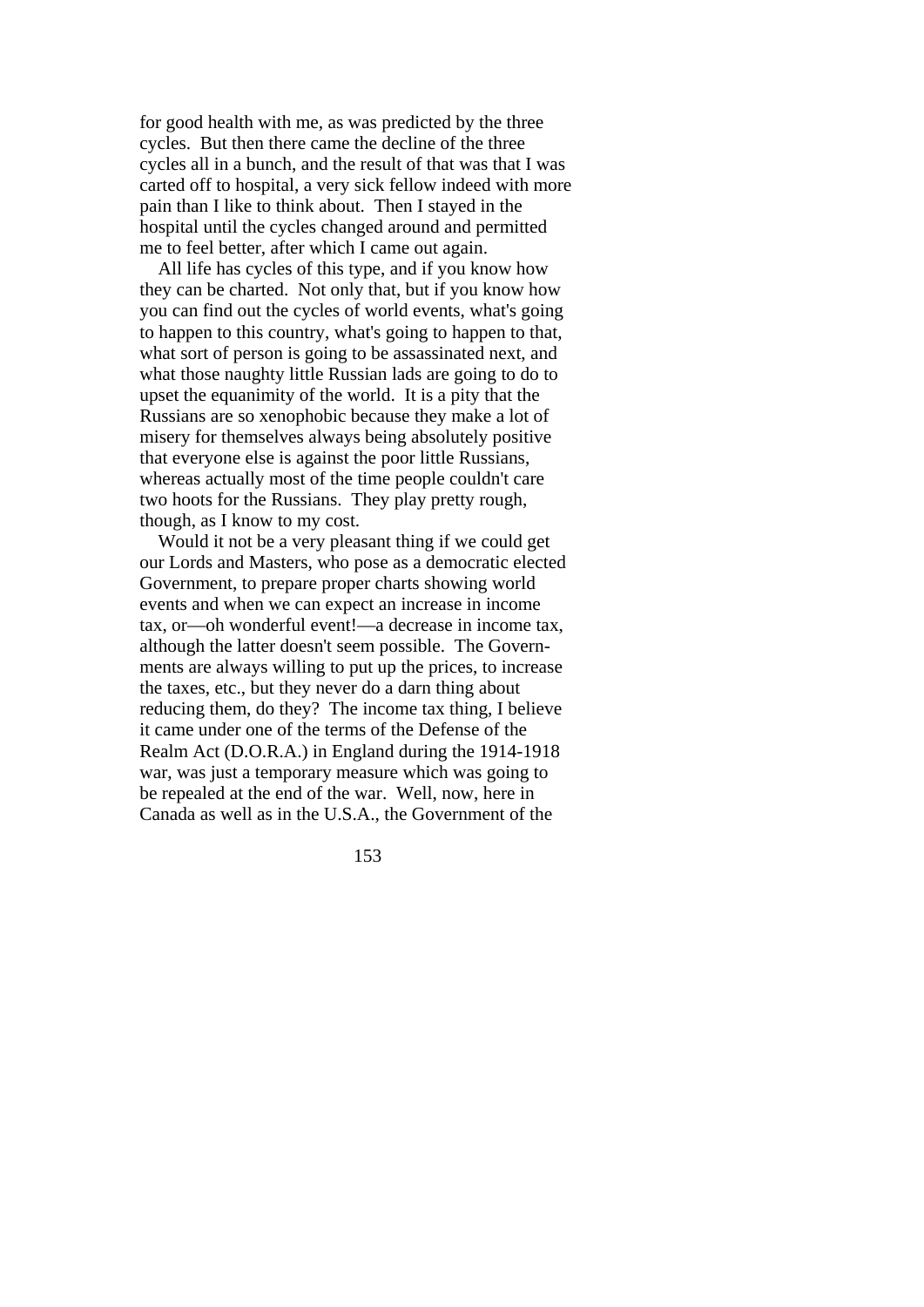for good health with me, as was predicted by the three cycles. But then there came the decline of the three cycles all in a bunch, and the result of that was that I was carted off to hospital, a very sick fellow indeed with more pain than I like to think about. Then I stayed in the hospital until the cycles changed around and permitted me to feel better, after which I came out again.

 All life has cycles of this type, and if you know how they can be charted. Not only that, but if you know how you can find out the cycles of world events, what's going to happen to this country, what's going to happen to that, what sort of person is going to be assassinated next, and what those naughty little Russian lads are going to do to upset the equanimity of the world. It is a pity that the Russians are so xenophobic because they make a lot of misery for themselves always being absolutely positive that everyone else is against the poor little Russians, whereas actually most of the time people couldn't care two hoots for the Russians. They play pretty rough, though, as I know to my cost.

 Would it not be a very pleasant thing if we could get our Lords and Masters, who pose as a democratic elected Government, to prepare proper charts showing world events and when we can expect an increase in income tax, or—oh wonderful event!—a decrease in income tax, although the latter doesn't seem possible. The Governments are always willing to put up the prices, to increase the taxes, etc., but they never do a darn thing about reducing them, do they? The income tax thing, I believe it came under one of the terms of the Defense of the Realm Act (D.O.R.A.) in England during the 1914-1918 war, was just a temporary measure which was going to be repealed at the end of the war. Well, now, here in Canada as well as in the U.S.A., the Government of the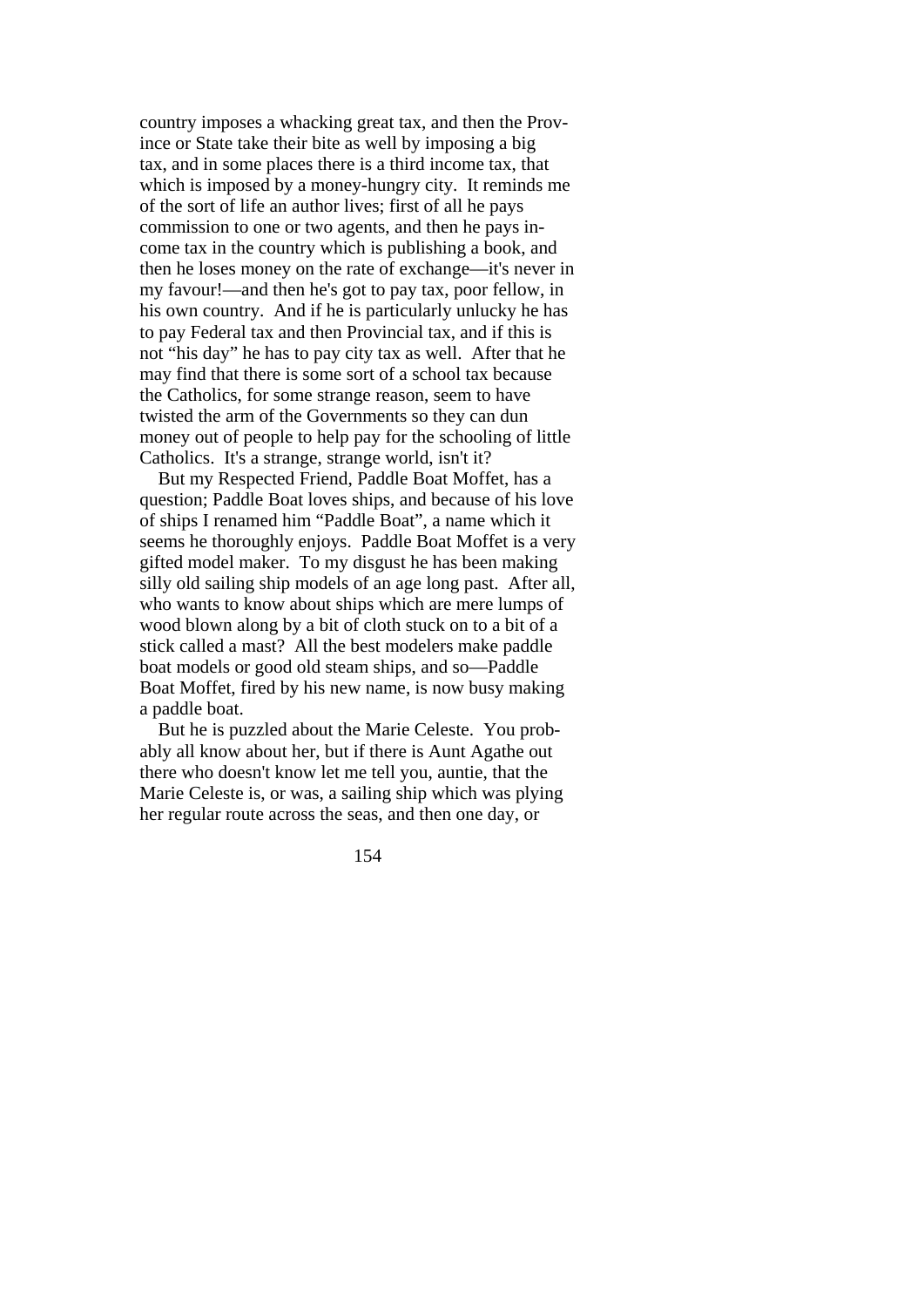country imposes a whacking great tax, and then the Province or State take their bite as well by imposing a big tax, and in some places there is a third income tax, that which is imposed by a money-hungry city. It reminds me of the sort of life an author lives; first of all he pays commission to one or two agents, and then he pays income tax in the country which is publishing a book, and then he loses money on the rate of exchange—it's never in my favour!—and then he's got to pay tax, poor fellow, in his own country. And if he is particularly unlucky he has to pay Federal tax and then Provincial tax, and if this is not "his day" he has to pay city tax as well. After that he may find that there is some sort of a school tax because the Catholics, for some strange reason, seem to have twisted the arm of the Governments so they can dun money out of people to help pay for the schooling of little Catholics. It's a strange, strange world, isn't it?

 But my Respected Friend, Paddle Boat Moffet, has a question; Paddle Boat loves ships, and because of his love of ships I renamed him "Paddle Boat", a name which it seems he thoroughly enjoys. Paddle Boat Moffet is a very gifted model maker. To my disgust he has been making silly old sailing ship models of an age long past. After all, who wants to know about ships which are mere lumps of wood blown along by a bit of cloth stuck on to a bit of a stick called a mast? All the best modelers make paddle boat models or good old steam ships, and so—Paddle Boat Moffet, fired by his new name, is now busy making a paddle boat.

 But he is puzzled about the Marie Celeste. You probably all know about her, but if there is Aunt Agathe out there who doesn't know let me tell you, auntie, that the Marie Celeste is, or was, a sailing ship which was plying her regular route across the seas, and then one day, or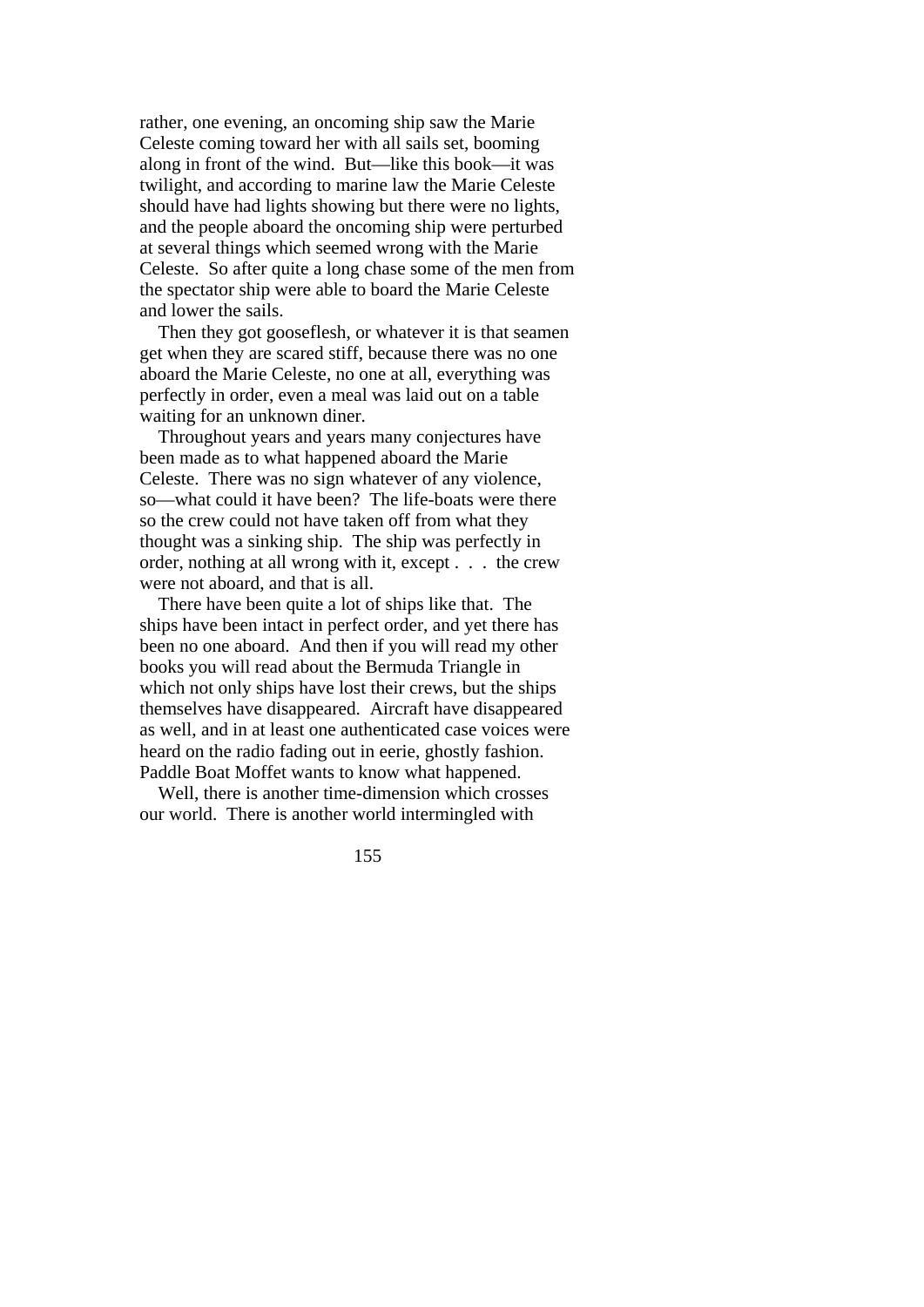rather, one evening, an oncoming ship saw the Marie Celeste coming toward her with all sails set, booming along in front of the wind. But—like this book—it was twilight, and according to marine law the Marie Celeste should have had lights showing but there were no lights, and the people aboard the oncoming ship were perturbed at several things which seemed wrong with the Marie Celeste. So after quite a long chase some of the men from the spectator ship were able to board the Marie Celeste and lower the sails.

 Then they got gooseflesh, or whatever it is that seamen get when they are scared stiff, because there was no one aboard the Marie Celeste, no one at all, everything was perfectly in order, even a meal was laid out on a table waiting for an unknown diner.

 Throughout years and years many conjectures have been made as to what happened aboard the Marie Celeste. There was no sign whatever of any violence, so—what could it have been? The life-boats were there so the crew could not have taken off from what they thought was a sinking ship. The ship was perfectly in order, nothing at all wrong with it, except . . . the crew were not aboard, and that is all.

 There have been quite a lot of ships like that. The ships have been intact in perfect order, and yet there has been no one aboard. And then if you will read my other books you will read about the Bermuda Triangle in which not only ships have lost their crews, but the ships themselves have disappeared. Aircraft have disappeared as well, and in at least one authenticated case voices were heard on the radio fading out in eerie, ghostly fashion. Paddle Boat Moffet wants to know what happened.

 Well, there is another time-dimension which crosses our world. There is another world intermingled with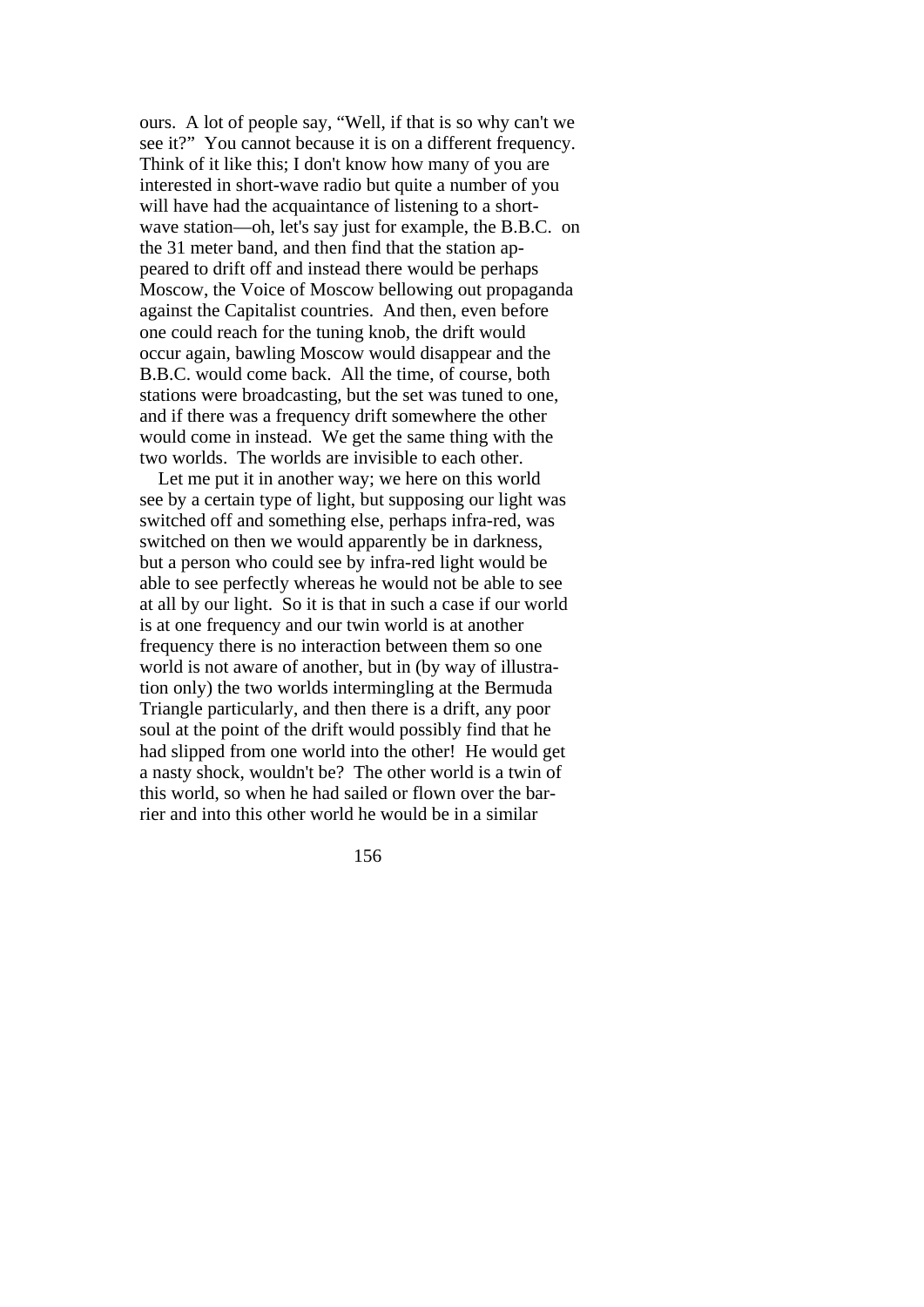ours. A lot of people say, "Well, if that is so why can't we see it?" You cannot because it is on a different frequency. Think of it like this; I don't know how many of you are interested in short-wave radio but quite a number of you will have had the acquaintance of listening to a shortwave station—oh, let's say just for example, the B.B.C. on the 31 meter band, and then find that the station appeared to drift off and instead there would be perhaps Moscow, the Voice of Moscow bellowing out propaganda against the Capitalist countries. And then, even before one could reach for the tuning knob, the drift would occur again, bawling Moscow would disappear and the B.B.C. would come back. All the time, of course, both stations were broadcasting, but the set was tuned to one, and if there was a frequency drift somewhere the other would come in instead. We get the same thing with the two worlds. The worlds are invisible to each other.

 Let me put it in another way; we here on this world see by a certain type of light, but supposing our light was switched off and something else, perhaps infra-red, was switched on then we would apparently be in darkness, but a person who could see by infra-red light would be able to see perfectly whereas he would not be able to see at all by our light. So it is that in such a case if our world is at one frequency and our twin world is at another frequency there is no interaction between them so one world is not aware of another, but in (by way of illustration only) the two worlds intermingling at the Bermuda Triangle particularly, and then there is a drift, any poor soul at the point of the drift would possibly find that he had slipped from one world into the other! He would get a nasty shock, wouldn't be? The other world is a twin of this world, so when he had sailed or flown over the barrier and into this other world he would be in a similar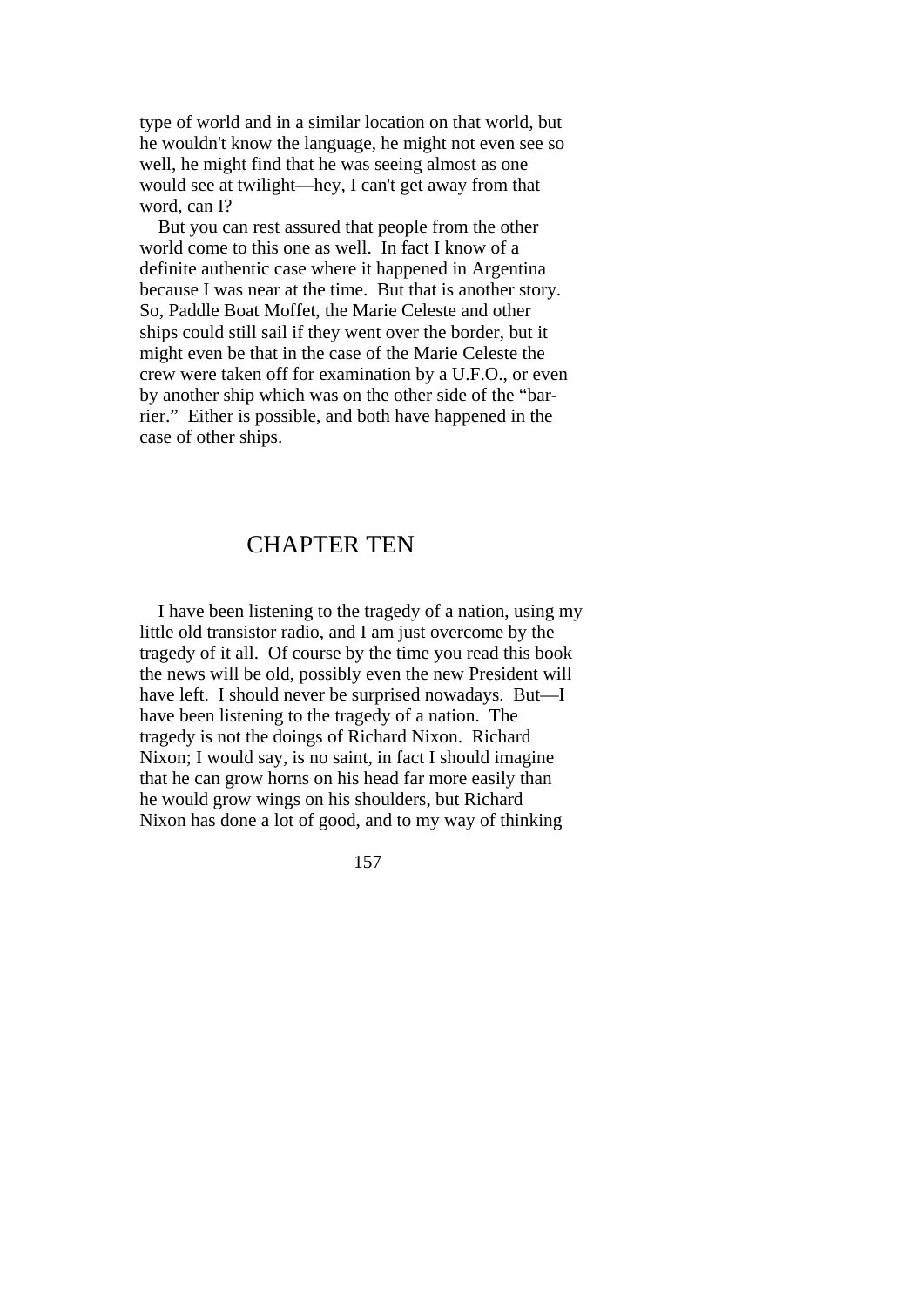type of world and in a similar location on that world, but he wouldn't know the language, he might not even see so well, he might find that he was seeing almost as one would see at twilight—hey, I can't get away from that word, can I?

 But you can rest assured that people from the other world come to this one as well. In fact I know of a definite authentic case where it happened in Argentina because I was near at the time. But that is another story. So, Paddle Boat Moffet, the Marie Celeste and other ships could still sail if they went over the border, but it might even be that in the case of the Marie Celeste the crew were taken off for examination by a U.F.O., or even by another ship which was on the other side of the "barrier." Either is possible, and both have happened in the case of other ships.

## CHAPTER TEN

 I have been listening to the tragedy of a nation, using my little old transistor radio, and I am just overcome by the tragedy of it all. Of course by the time you read this book the news will be old, possibly even the new President will have left. I should never be surprised nowadays. But—I have been listening to the tragedy of a nation. The tragedy is not the doings of Richard Nixon. Richard Nixon; I would say, is no saint, in fact I should imagine that he can grow horns on his head far more easily than he would grow wings on his shoulders, but Richard Nixon has done a lot of good, and to my way of thinking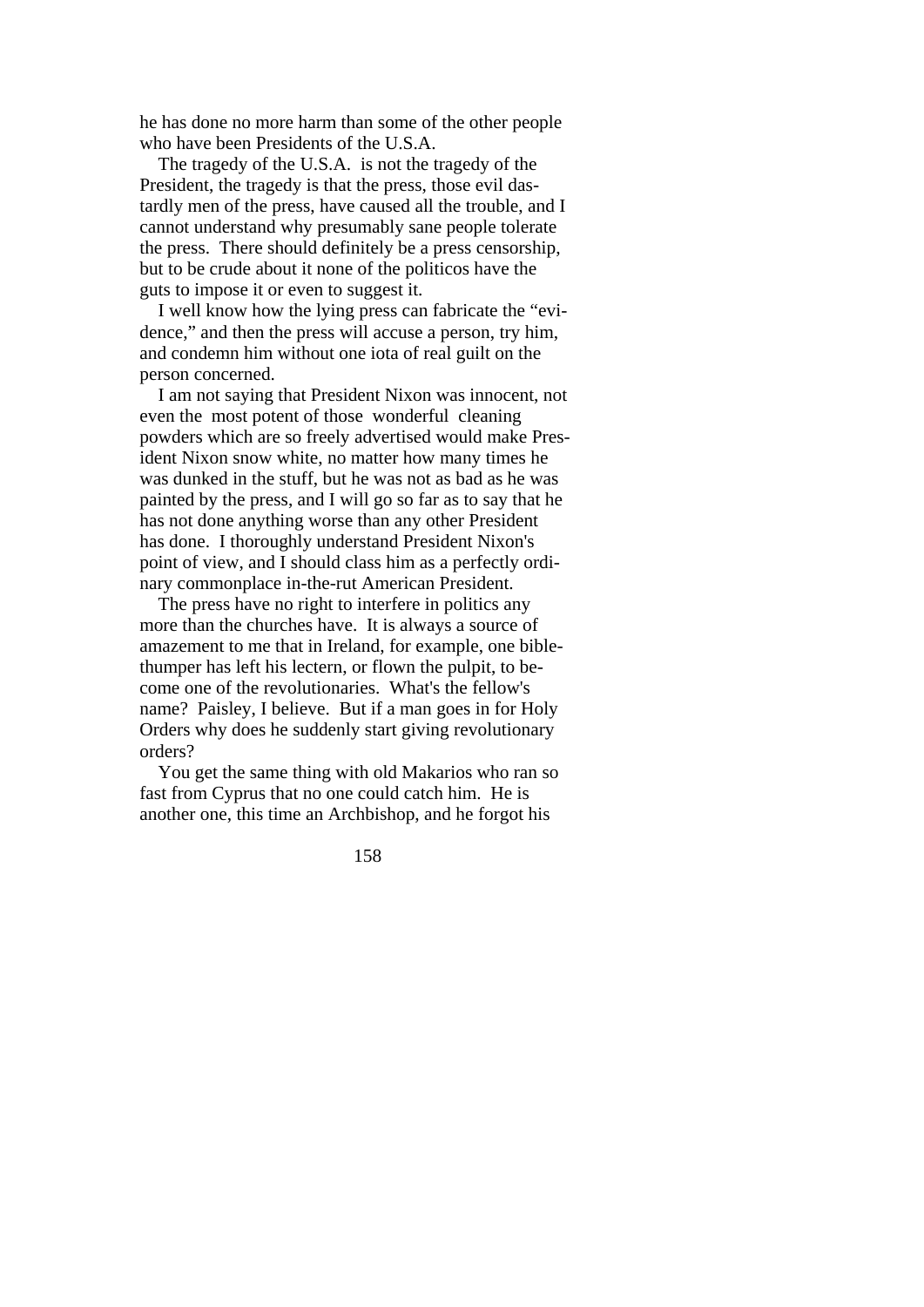he has done no more harm than some of the other people who have been Presidents of the U.S.A.

 The tragedy of the U.S.A. is not the tragedy of the President, the tragedy is that the press, those evil dastardly men of the press, have caused all the trouble, and I cannot understand why presumably sane people tolerate the press. There should definitely be a press censorship, but to be crude about it none of the politicos have the guts to impose it or even to suggest it.

 I well know how the lying press can fabricate the "evidence," and then the press will accuse a person, try him, and condemn him without one iota of real guilt on the person concerned.

 I am not saying that President Nixon was innocent, not even the most potent of those wonderful cleaning powders which are so freely advertised would make President Nixon snow white, no matter how many times he was dunked in the stuff, but he was not as bad as he was painted by the press, and I will go so far as to say that he has not done anything worse than any other President has done. I thoroughly understand President Nixon's point of view, and I should class him as a perfectly ordinary commonplace in-the-rut American President.

 The press have no right to interfere in politics any more than the churches have. It is always a source of amazement to me that in Ireland, for example, one biblethumper has left his lectern, or flown the pulpit, to become one of the revolutionaries. What's the fellow's name? Paisley, I believe. But if a man goes in for Holy Orders why does he suddenly start giving revolutionary orders?

 You get the same thing with old Makarios who ran so fast from Cyprus that no one could catch him. He is another one, this time an Archbishop, and he forgot his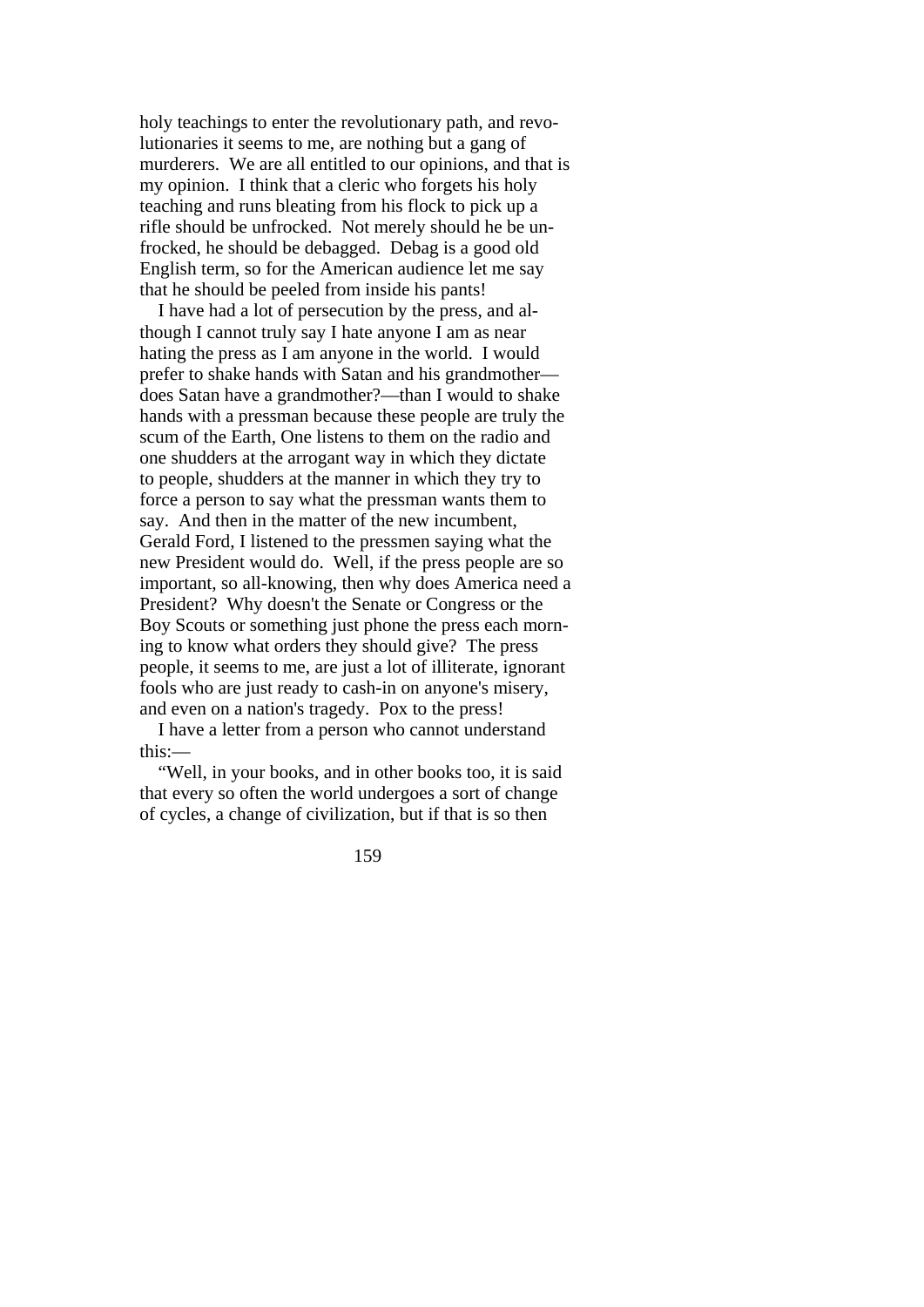holy teachings to enter the revolutionary path, and revolutionaries it seems to me, are nothing but a gang of murderers. We are all entitled to our opinions, and that is my opinion. I think that a cleric who forgets his holy teaching and runs bleating from his flock to pick up a rifle should be unfrocked. Not merely should he be unfrocked, he should be debagged. Debag is a good old English term, so for the American audience let me say that he should be peeled from inside his pants!

 I have had a lot of persecution by the press, and although I cannot truly say I hate anyone I am as near hating the press as I am anyone in the world. I would prefer to shake hands with Satan and his grandmother does Satan have a grandmother?—than I would to shake hands with a pressman because these people are truly the scum of the Earth, One listens to them on the radio and one shudders at the arrogant way in which they dictate to people, shudders at the manner in which they try to force a person to say what the pressman wants them to say. And then in the matter of the new incumbent, Gerald Ford, I listened to the pressmen saying what the new President would do. Well, if the press people are so important, so all-knowing, then why does America need a President? Why doesn't the Senate or Congress or the Boy Scouts or something just phone the press each morning to know what orders they should give? The press people, it seems to me, are just a lot of illiterate, ignorant fools who are just ready to cash-in on anyone's misery, and even on a nation's tragedy. Pox to the press!

 I have a letter from a person who cannot understand this:—

 "Well, in your books, and in other books too, it is said that every so often the world undergoes a sort of change of cycles, a change of civilization, but if that is so then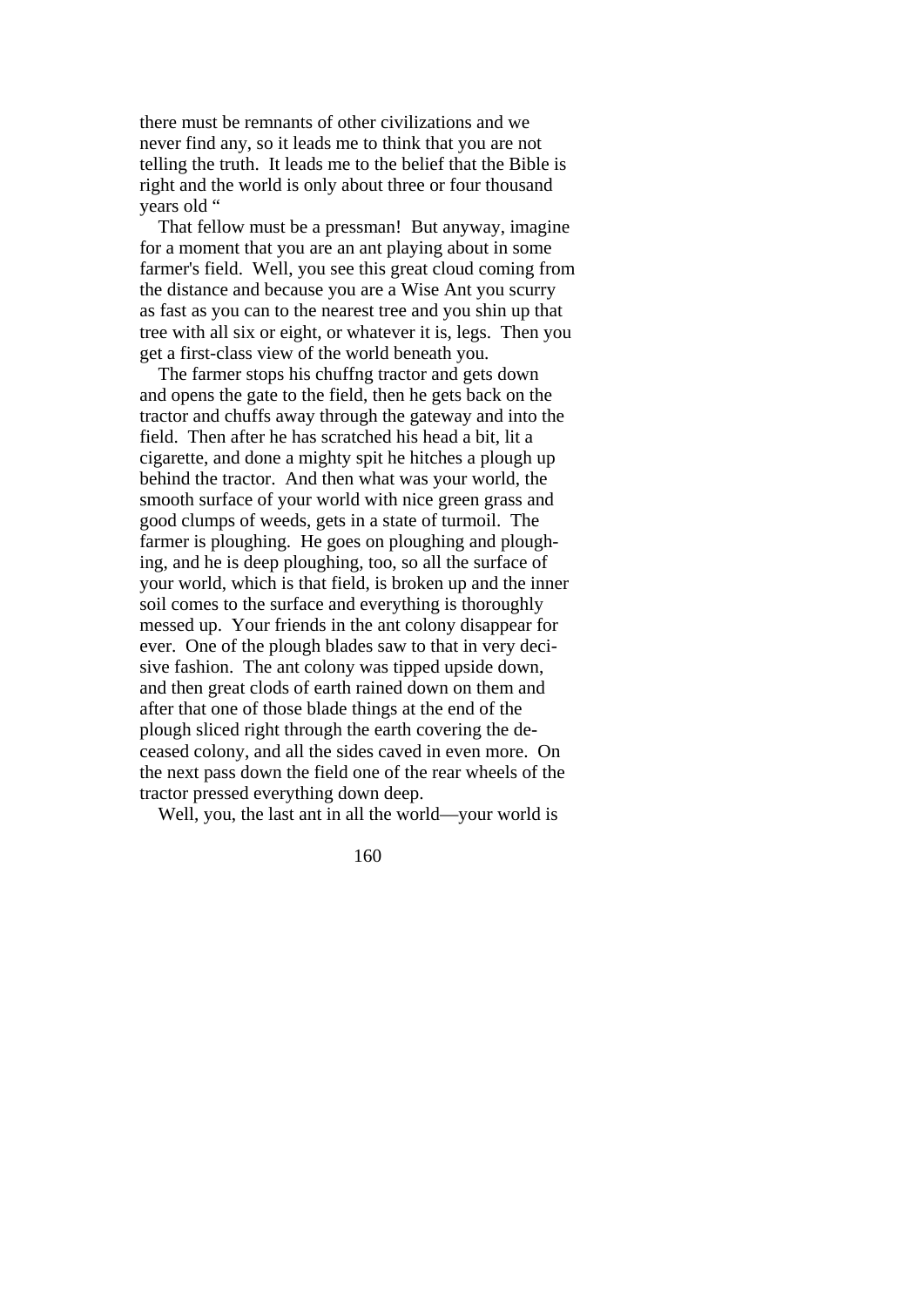there must be remnants of other civilizations and we never find any, so it leads me to think that you are not telling the truth. It leads me to the belief that the Bible is right and the world is only about three or four thousand years old "

 That fellow must be a pressman! But anyway, imagine for a moment that you are an ant playing about in some farmer's field. Well, you see this great cloud coming from the distance and because you are a Wise Ant you scurry as fast as you can to the nearest tree and you shin up that tree with all six or eight, or whatever it is, legs. Then you get a first-class view of the world beneath you.

 The farmer stops his chuffng tractor and gets down and opens the gate to the field, then he gets back on the tractor and chuffs away through the gateway and into the field. Then after he has scratched his head a bit, lit a cigarette, and done a mighty spit he hitches a plough up behind the tractor. And then what was your world, the smooth surface of your world with nice green grass and good clumps of weeds, gets in a state of turmoil. The farmer is ploughing. He goes on ploughing and ploughing, and he is deep ploughing, too, so all the surface of your world, which is that field, is broken up and the inner soil comes to the surface and everything is thoroughly messed up. Your friends in the ant colony disappear for ever. One of the plough blades saw to that in very decisive fashion. The ant colony was tipped upside down, and then great clods of earth rained down on them and after that one of those blade things at the end of the plough sliced right through the earth covering the deceased colony, and all the sides caved in even more. On the next pass down the field one of the rear wheels of the tractor pressed everything down deep.

Well, you, the last ant in all the world—your world is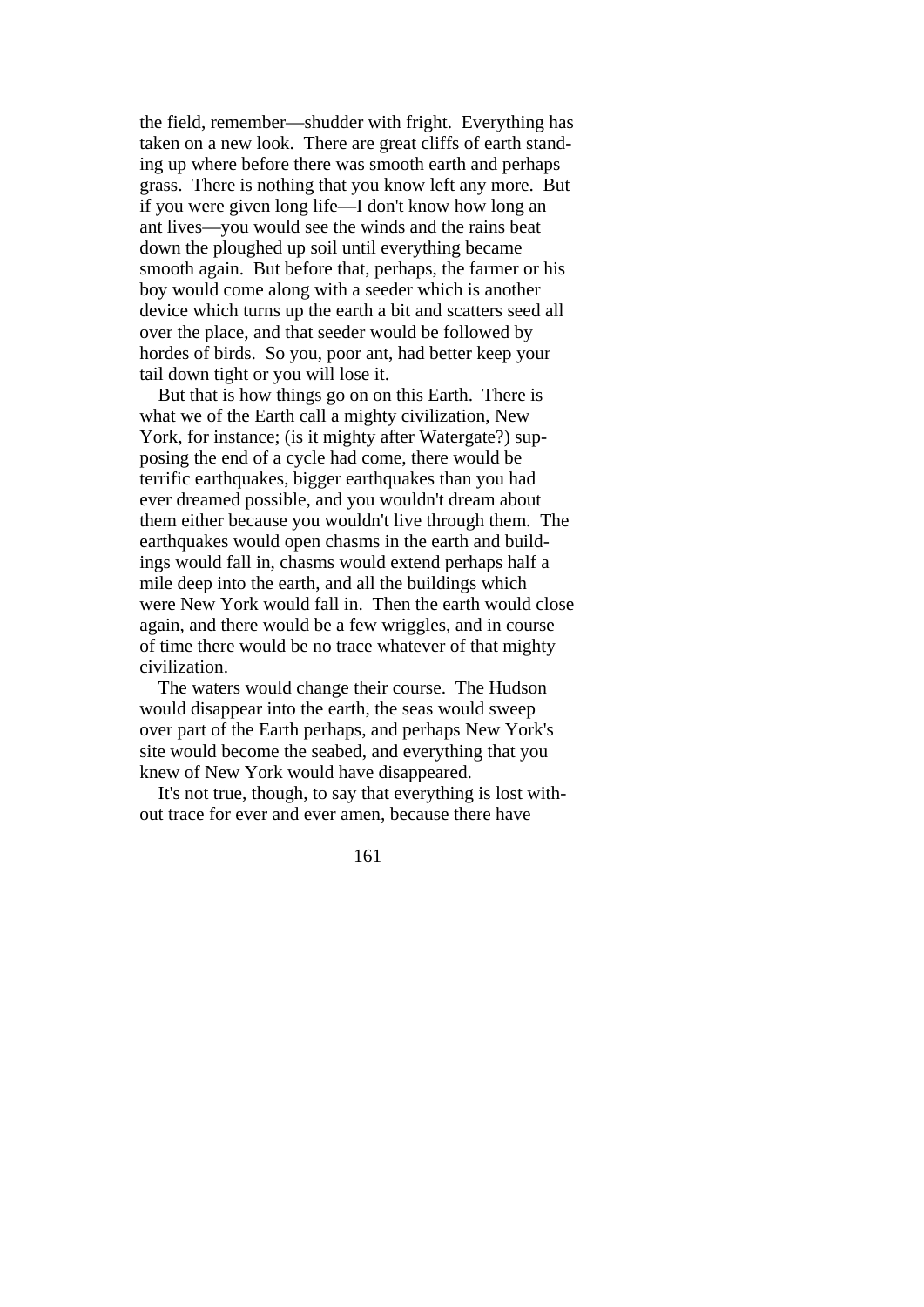the field, remember—shudder with fright. Everything has taken on a new look. There are great cliffs of earth standing up where before there was smooth earth and perhaps grass. There is nothing that you know left any more. But if you were given long life—I don't know how long an ant lives—you would see the winds and the rains beat down the ploughed up soil until everything became smooth again. But before that, perhaps, the farmer or his boy would come along with a seeder which is another device which turns up the earth a bit and scatters seed all over the place, and that seeder would be followed by hordes of birds. So you, poor ant, had better keep your tail down tight or you will lose it.

 But that is how things go on on this Earth. There is what we of the Earth call a mighty civilization, New York, for instance; (is it mighty after Watergate?) supposing the end of a cycle had come, there would be terrific earthquakes, bigger earthquakes than you had ever dreamed possible, and you wouldn't dream about them either because you wouldn't live through them. The earthquakes would open chasms in the earth and buildings would fall in, chasms would extend perhaps half a mile deep into the earth, and all the buildings which were New York would fall in. Then the earth would close again, and there would be a few wriggles, and in course of time there would be no trace whatever of that mighty civilization.

 The waters would change their course. The Hudson would disappear into the earth, the seas would sweep over part of the Earth perhaps, and perhaps New York's site would become the seabed, and everything that you knew of New York would have disappeared.

 It's not true, though, to say that everything is lost without trace for ever and ever amen, because there have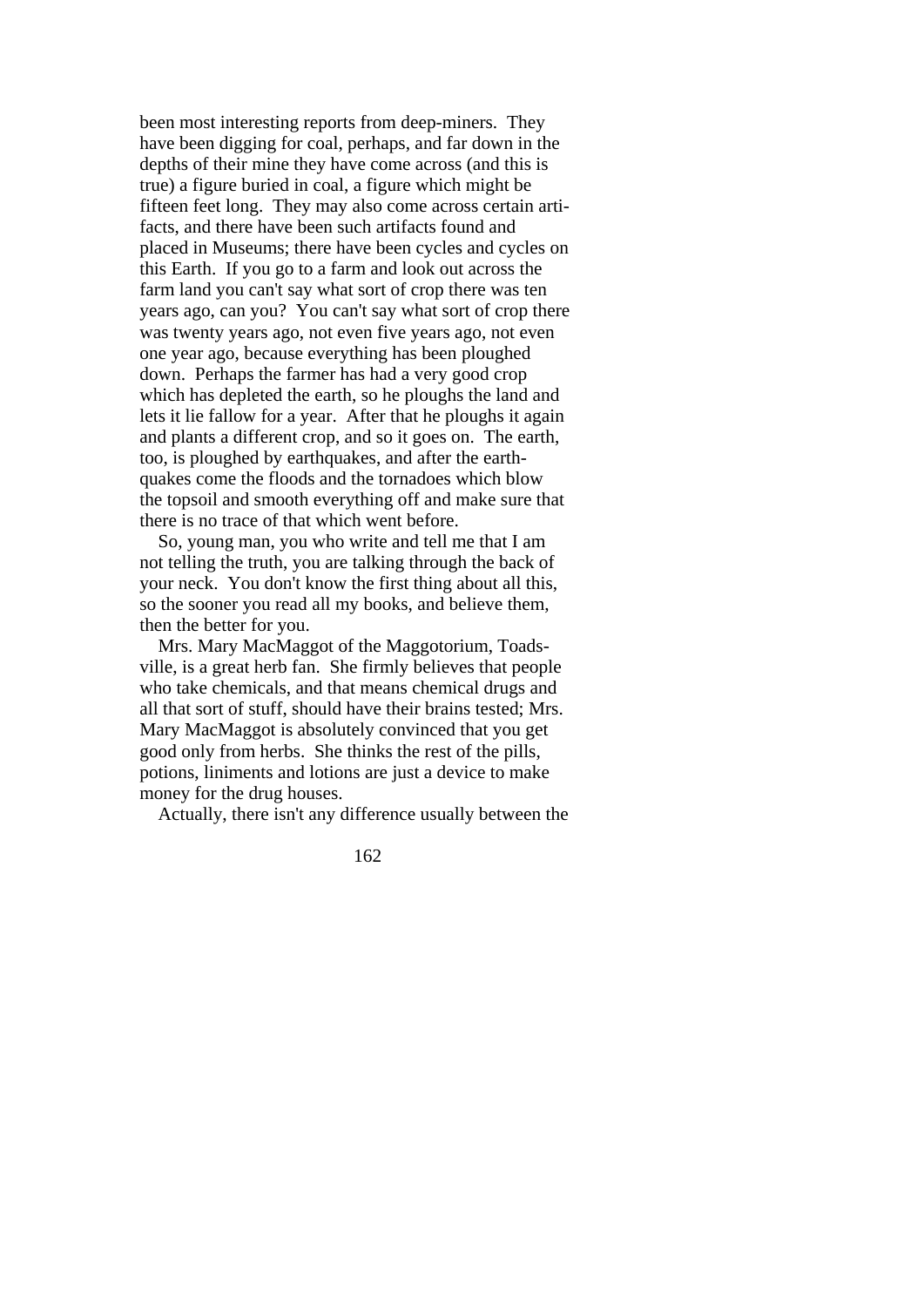been most interesting reports from deep-miners. They have been digging for coal, perhaps, and far down in the depths of their mine they have come across (and this is true) a figure buried in coal, a figure which might be fifteen feet long. They may also come across certain artifacts, and there have been such artifacts found and placed in Museums; there have been cycles and cycles on this Earth. If you go to a farm and look out across the farm land you can't say what sort of crop there was ten years ago, can you? You can't say what sort of crop there was twenty years ago, not even five years ago, not even one year ago, because everything has been ploughed down. Perhaps the farmer has had a very good crop which has depleted the earth, so he ploughs the land and lets it lie fallow for a year. After that he ploughs it again and plants a different crop, and so it goes on. The earth, too, is ploughed by earthquakes, and after the earthquakes come the floods and the tornadoes which blow the topsoil and smooth everything off and make sure that there is no trace of that which went before.

 So, young man, you who write and tell me that I am not telling the truth, you are talking through the back of your neck. You don't know the first thing about all this, so the sooner you read all my books, and believe them, then the better for you.

 Mrs. Mary MacMaggot of the Maggotorium, Toadsville, is a great herb fan. She firmly believes that people who take chemicals, and that means chemical drugs and all that sort of stuff, should have their brains tested; Mrs. Mary MacMaggot is absolutely convinced that you get good only from herbs. She thinks the rest of the pills, potions, liniments and lotions are just a device to make money for the drug houses.

Actually, there isn't any difference usually between the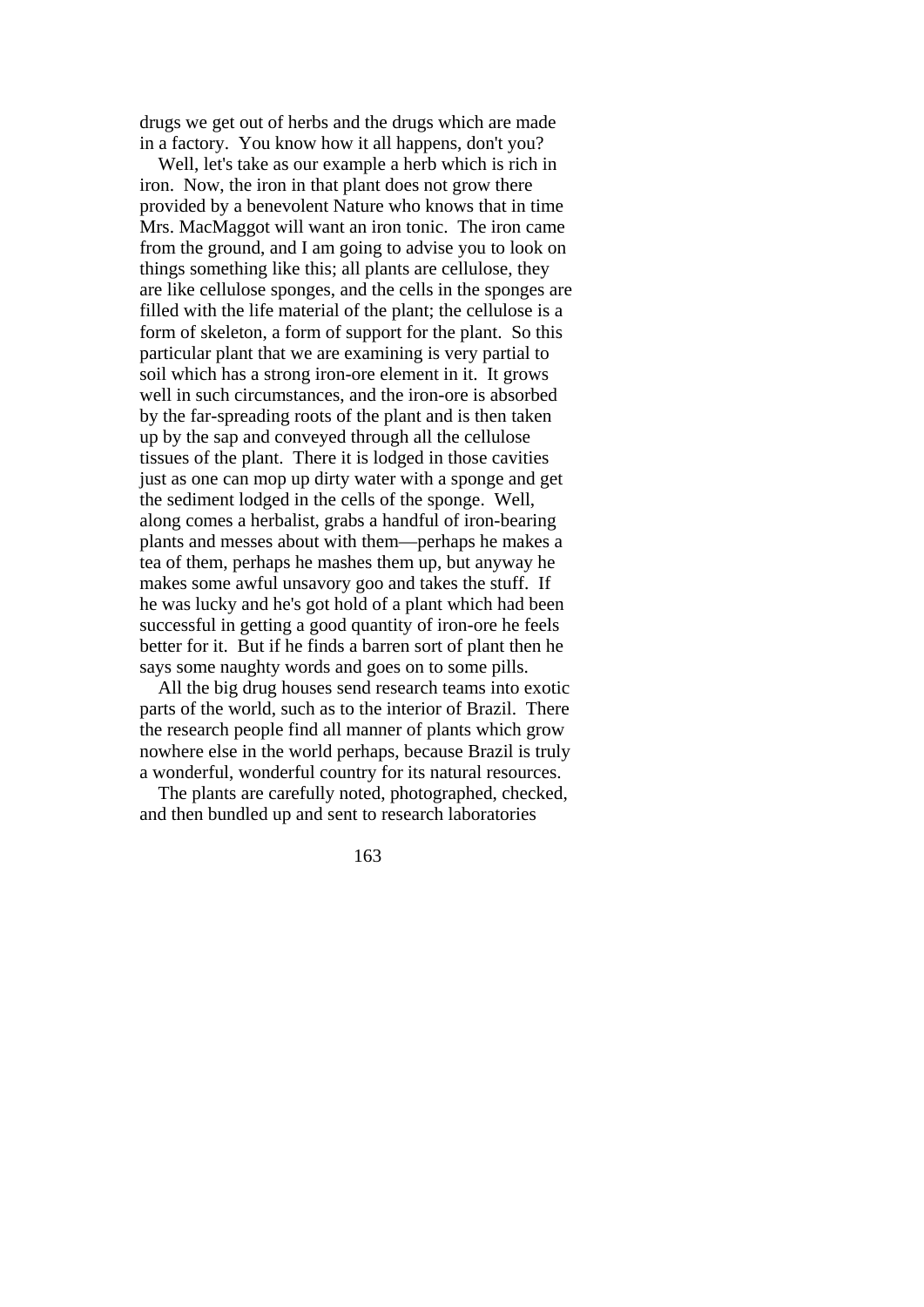drugs we get out of herbs and the drugs which are made in a factory. You know how it all happens, don't you?

 Well, let's take as our example a herb which is rich in iron. Now, the iron in that plant does not grow there provided by a benevolent Nature who knows that in time Mrs. MacMaggot will want an iron tonic. The iron came from the ground, and I am going to advise you to look on things something like this; all plants are cellulose, they are like cellulose sponges, and the cells in the sponges are filled with the life material of the plant; the cellulose is a form of skeleton, a form of support for the plant. So this particular plant that we are examining is very partial to soil which has a strong iron-ore element in it. It grows well in such circumstances, and the iron-ore is absorbed by the far-spreading roots of the plant and is then taken up by the sap and conveyed through all the cellulose tissues of the plant. There it is lodged in those cavities just as one can mop up dirty water with a sponge and get the sediment lodged in the cells of the sponge. Well, along comes a herbalist, grabs a handful of iron-bearing plants and messes about with them—perhaps he makes a tea of them, perhaps he mashes them up, but anyway he makes some awful unsavory goo and takes the stuff. If he was lucky and he's got hold of a plant which had been successful in getting a good quantity of iron-ore he feels better for it. But if he finds a barren sort of plant then he says some naughty words and goes on to some pills.

 All the big drug houses send research teams into exotic parts of the world, such as to the interior of Brazil. There the research people find all manner of plants which grow nowhere else in the world perhaps, because Brazil is truly a wonderful, wonderful country for its natural resources.

 The plants are carefully noted, photographed, checked, and then bundled up and sent to research laboratories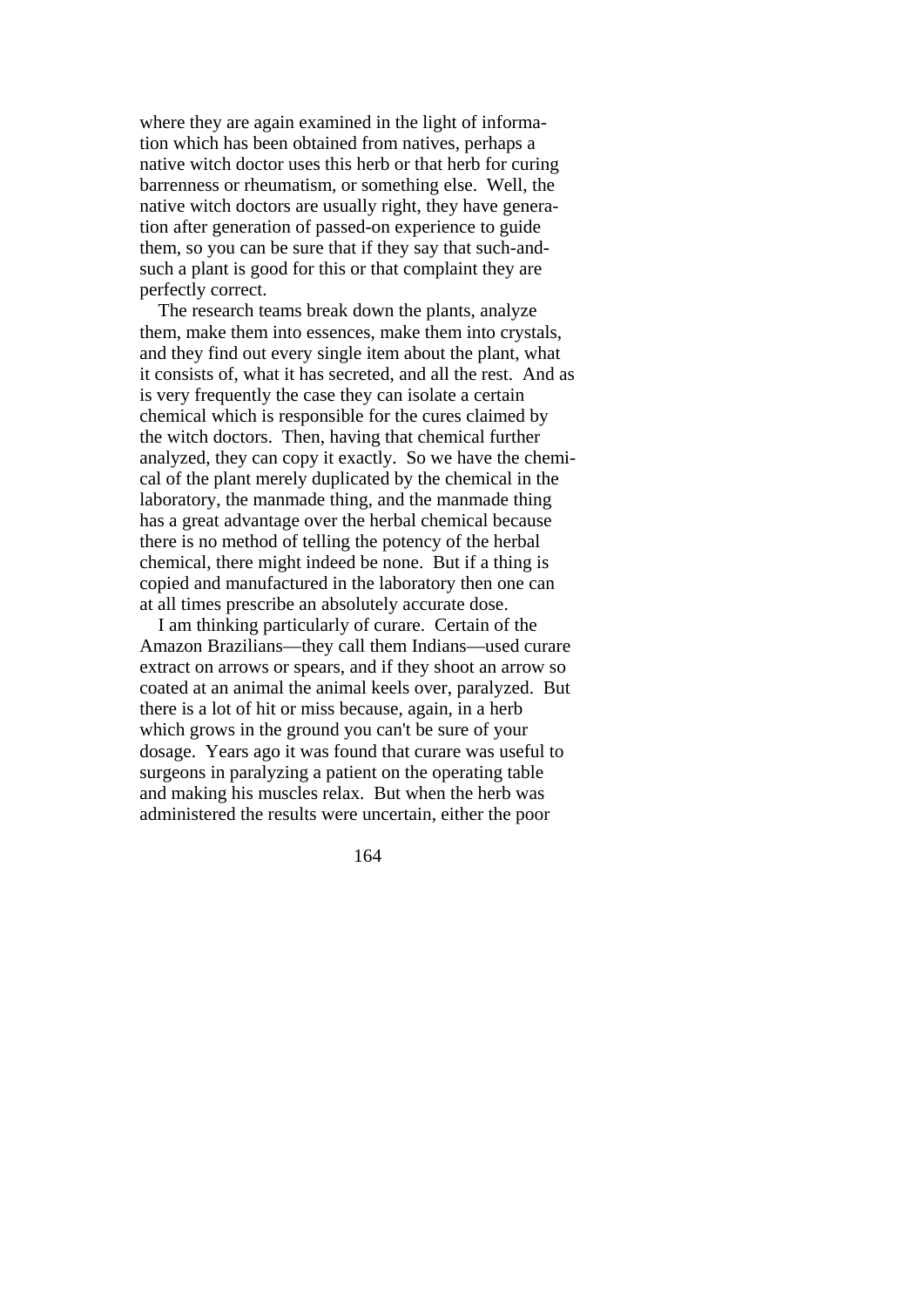where they are again examined in the light of information which has been obtained from natives, perhaps a native witch doctor uses this herb or that herb for curing barrenness or rheumatism, or something else. Well, the native witch doctors are usually right, they have generation after generation of passed-on experience to guide them, so you can be sure that if they say that such-andsuch a plant is good for this or that complaint they are perfectly correct.

 The research teams break down the plants, analyze them, make them into essences, make them into crystals, and they find out every single item about the plant, what it consists of, what it has secreted, and all the rest. And as is very frequently the case they can isolate a certain chemical which is responsible for the cures claimed by the witch doctors. Then, having that chemical further analyzed, they can copy it exactly. So we have the chemical of the plant merely duplicated by the chemical in the laboratory, the manmade thing, and the manmade thing has a great advantage over the herbal chemical because there is no method of telling the potency of the herbal chemical, there might indeed be none. But if a thing is copied and manufactured in the laboratory then one can at all times prescribe an absolutely accurate dose.

 I am thinking particularly of curare. Certain of the Amazon Brazilians—they call them Indians—used curare extract on arrows or spears, and if they shoot an arrow so coated at an animal the animal keels over, paralyzed. But there is a lot of hit or miss because, again, in a herb which grows in the ground you can't be sure of your dosage. Years ago it was found that curare was useful to surgeons in paralyzing a patient on the operating table and making his muscles relax. But when the herb was administered the results were uncertain, either the poor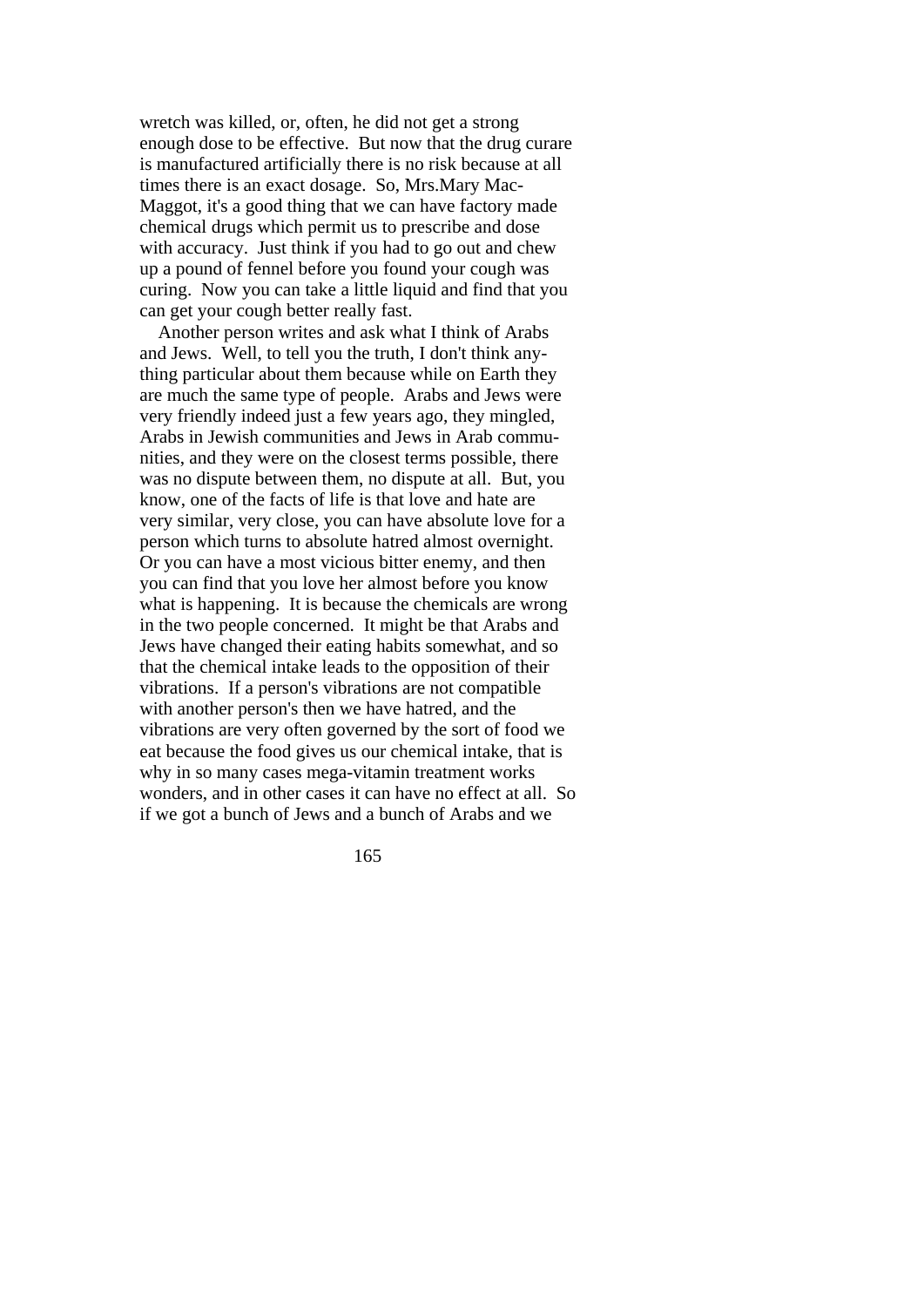wretch was killed, or, often, he did not get a strong enough dose to be effective. But now that the drug curare is manufactured artificially there is no risk because at all times there is an exact dosage. So, Mrs.Mary Mac-Maggot, it's a good thing that we can have factory made chemical drugs which permit us to prescribe and dose with accuracy. Just think if you had to go out and chew up a pound of fennel before you found your cough was curing. Now you can take a little liquid and find that you can get your cough better really fast.

 Another person writes and ask what I think of Arabs and Jews. Well, to tell you the truth, I don't think anything particular about them because while on Earth they are much the same type of people. Arabs and Jews were very friendly indeed just a few years ago, they mingled, Arabs in Jewish communities and Jews in Arab communities, and they were on the closest terms possible, there was no dispute between them, no dispute at all. But, you know, one of the facts of life is that love and hate are very similar, very close, you can have absolute love for a person which turns to absolute hatred almost overnight. Or you can have a most vicious bitter enemy, and then you can find that you love her almost before you know what is happening. It is because the chemicals are wrong in the two people concerned. It might be that Arabs and Jews have changed their eating habits somewhat, and so that the chemical intake leads to the opposition of their vibrations. If a person's vibrations are not compatible with another person's then we have hatred, and the vibrations are very often governed by the sort of food we eat because the food gives us our chemical intake, that is why in so many cases mega-vitamin treatment works wonders, and in other cases it can have no effect at all. So if we got a bunch of Jews and a bunch of Arabs and we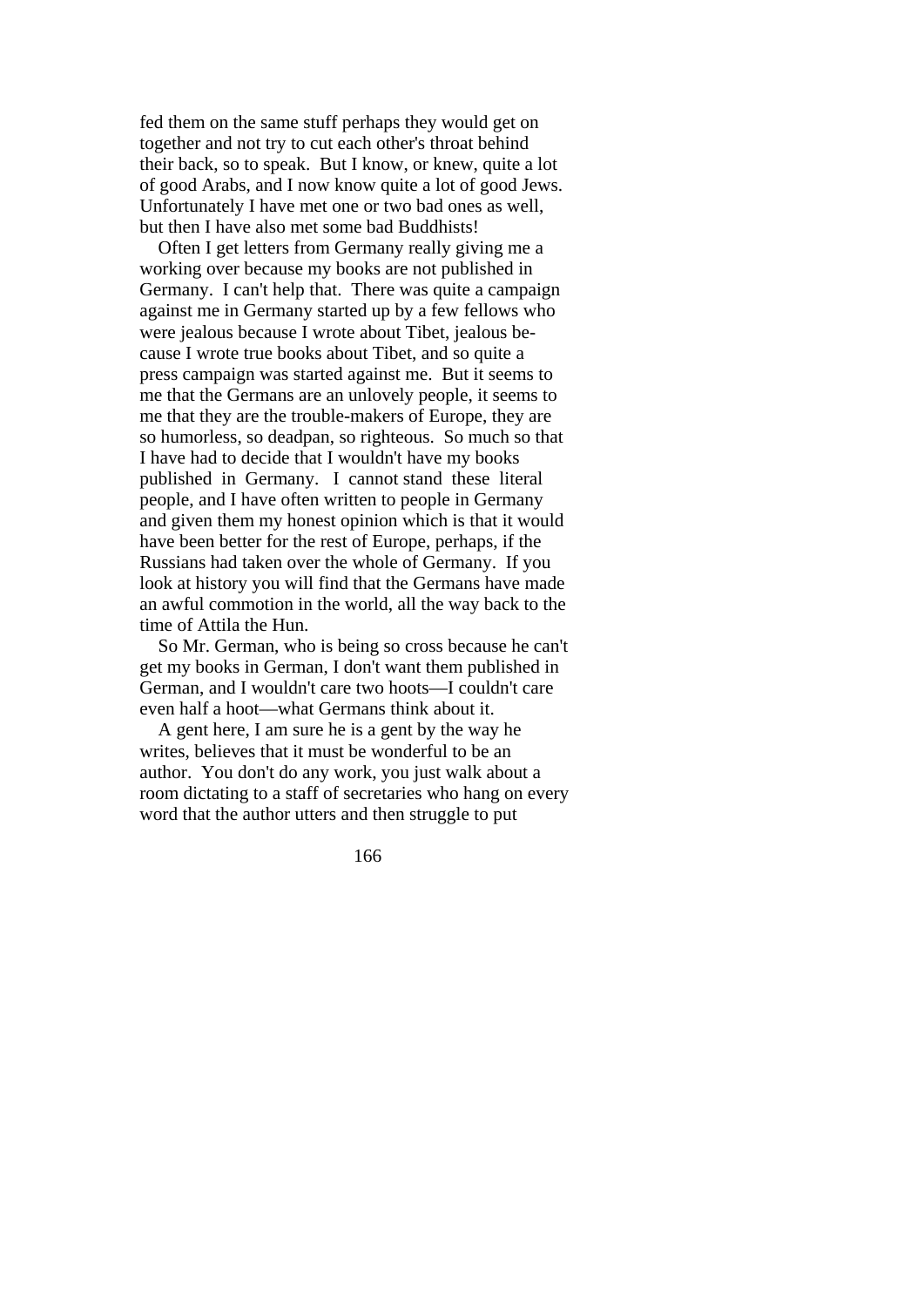fed them on the same stuff perhaps they would get on together and not try to cut each other's throat behind their back, so to speak. But I know, or knew, quite a lot of good Arabs, and I now know quite a lot of good Jews. Unfortunately I have met one or two bad ones as well, but then I have also met some bad Buddhists!

 Often I get letters from Germany really giving me a working over because my books are not published in Germany. I can't help that. There was quite a campaign against me in Germany started up by a few fellows who were jealous because I wrote about Tibet, jealous because I wrote true books about Tibet, and so quite a press campaign was started against me. But it seems to me that the Germans are an unlovely people, it seems to me that they are the trouble-makers of Europe, they are so humorless, so deadpan, so righteous. So much so that I have had to decide that I wouldn't have my books published in Germany. I cannot stand these literal people, and I have often written to people in Germany and given them my honest opinion which is that it would have been better for the rest of Europe, perhaps, if the Russians had taken over the whole of Germany. If you look at history you will find that the Germans have made an awful commotion in the world, all the way back to the time of Attila the Hun.

 So Mr. German, who is being so cross because he can't get my books in German, I don't want them published in German, and I wouldn't care two hoots—I couldn't care even half a hoot—what Germans think about it.

 A gent here, I am sure he is a gent by the way he writes, believes that it must be wonderful to be an author. You don't do any work, you just walk about a room dictating to a staff of secretaries who hang on every word that the author utters and then struggle to put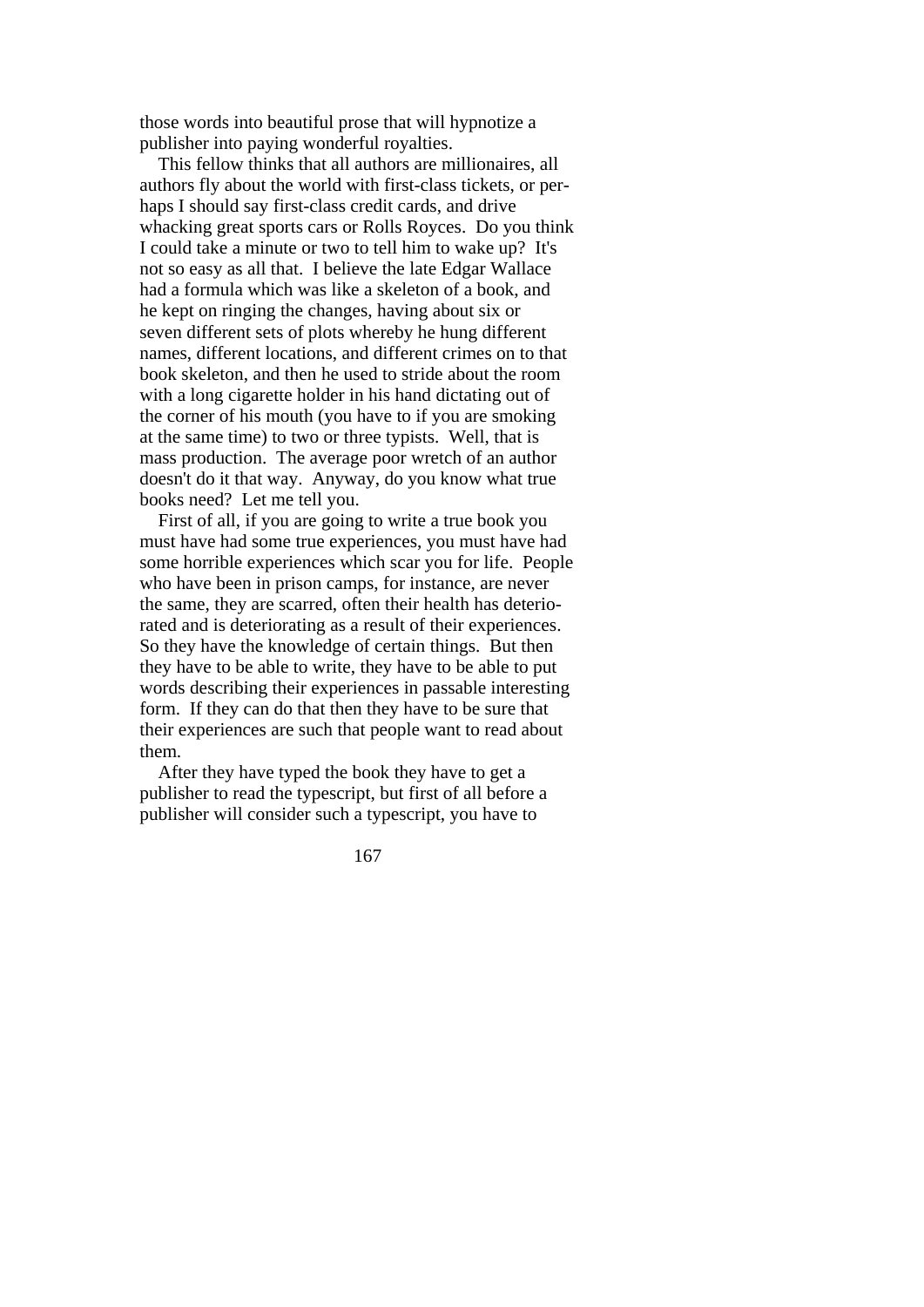those words into beautiful prose that will hypnotize a publisher into paying wonderful royalties.

 This fellow thinks that all authors are millionaires, all authors fly about the world with first-class tickets, or perhaps I should say first-class credit cards, and drive whacking great sports cars or Rolls Royces. Do you think I could take a minute or two to tell him to wake up? It's not so easy as all that. I believe the late Edgar Wallace had a formula which was like a skeleton of a book, and he kept on ringing the changes, having about six or seven different sets of plots whereby he hung different names, different locations, and different crimes on to that book skeleton, and then he used to stride about the room with a long cigarette holder in his hand dictating out of the corner of his mouth (you have to if you are smoking at the same time) to two or three typists. Well, that is mass production. The average poor wretch of an author doesn't do it that way. Anyway, do you know what true books need? Let me tell you.

 First of all, if you are going to write a true book you must have had some true experiences, you must have had some horrible experiences which scar you for life. People who have been in prison camps, for instance, are never the same, they are scarred, often their health has deteriorated and is deteriorating as a result of their experiences. So they have the knowledge of certain things. But then they have to be able to write, they have to be able to put words describing their experiences in passable interesting form. If they can do that then they have to be sure that their experiences are such that people want to read about them.

 After they have typed the book they have to get a publisher to read the typescript, but first of all before a publisher will consider such a typescript, you have to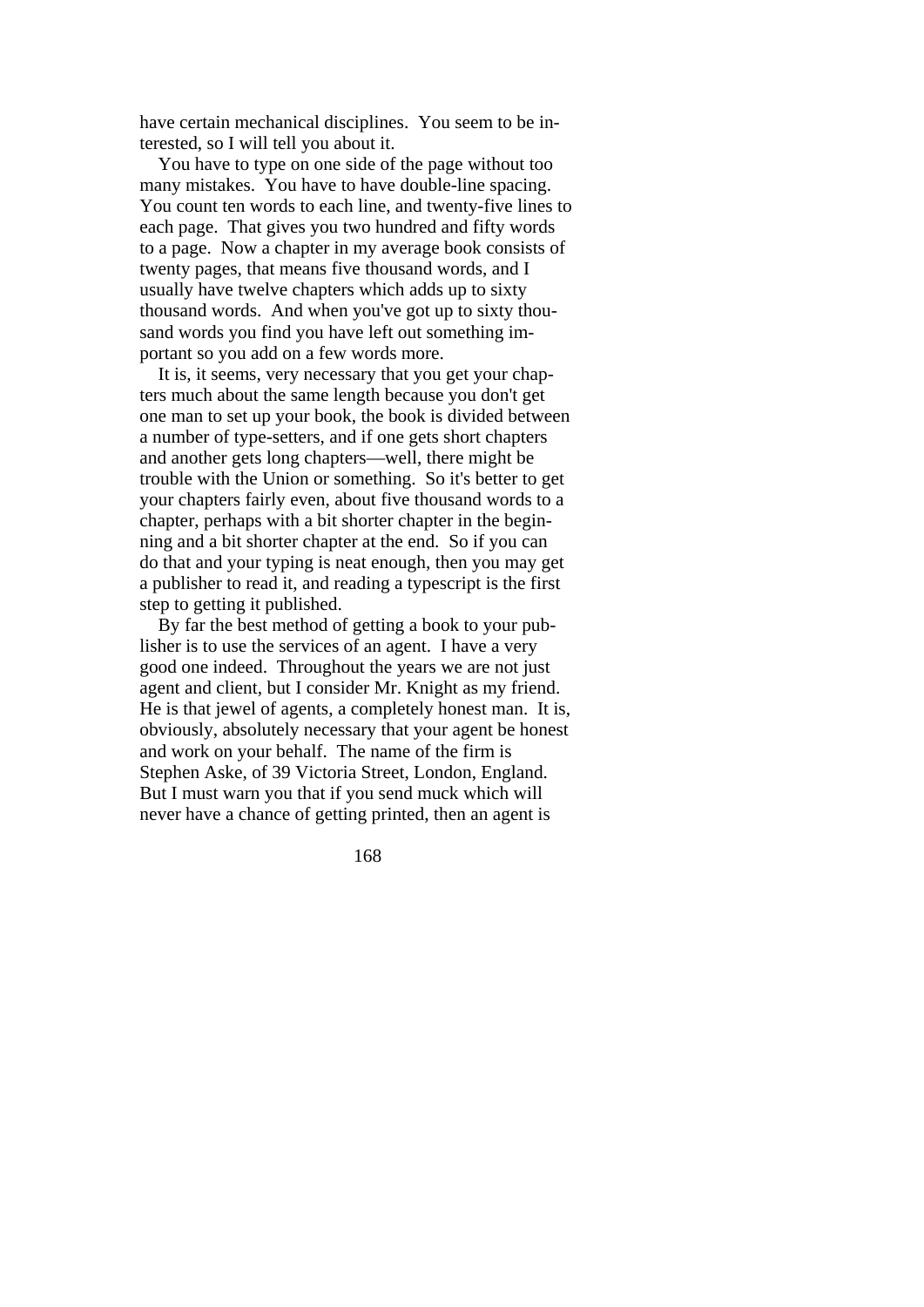have certain mechanical disciplines. You seem to be interested, so I will tell you about it.

 You have to type on one side of the page without too many mistakes. You have to have double-line spacing. You count ten words to each line, and twenty-five lines to each page. That gives you two hundred and fifty words to a page. Now a chapter in my average book consists of twenty pages, that means five thousand words, and I usually have twelve chapters which adds up to sixty thousand words. And when you've got up to sixty thousand words you find you have left out something important so you add on a few words more.

 It is, it seems, very necessary that you get your chapters much about the same length because you don't get one man to set up your book, the book is divided between a number of type-setters, and if one gets short chapters and another gets long chapters—well, there might be trouble with the Union or something. So it's better to get your chapters fairly even, about five thousand words to a chapter, perhaps with a bit shorter chapter in the beginning and a bit shorter chapter at the end. So if you can do that and your typing is neat enough, then you may get a publisher to read it, and reading a typescript is the first step to getting it published.

 By far the best method of getting a book to your publisher is to use the services of an agent. I have a very good one indeed. Throughout the years we are not just agent and client, but I consider Mr. Knight as my friend. He is that jewel of agents, a completely honest man. It is, obviously, absolutely necessary that your agent be honest and work on your behalf. The name of the firm is Stephen Aske, of 39 Victoria Street, London, England. But I must warn you that if you send muck which will never have a chance of getting printed, then an agent is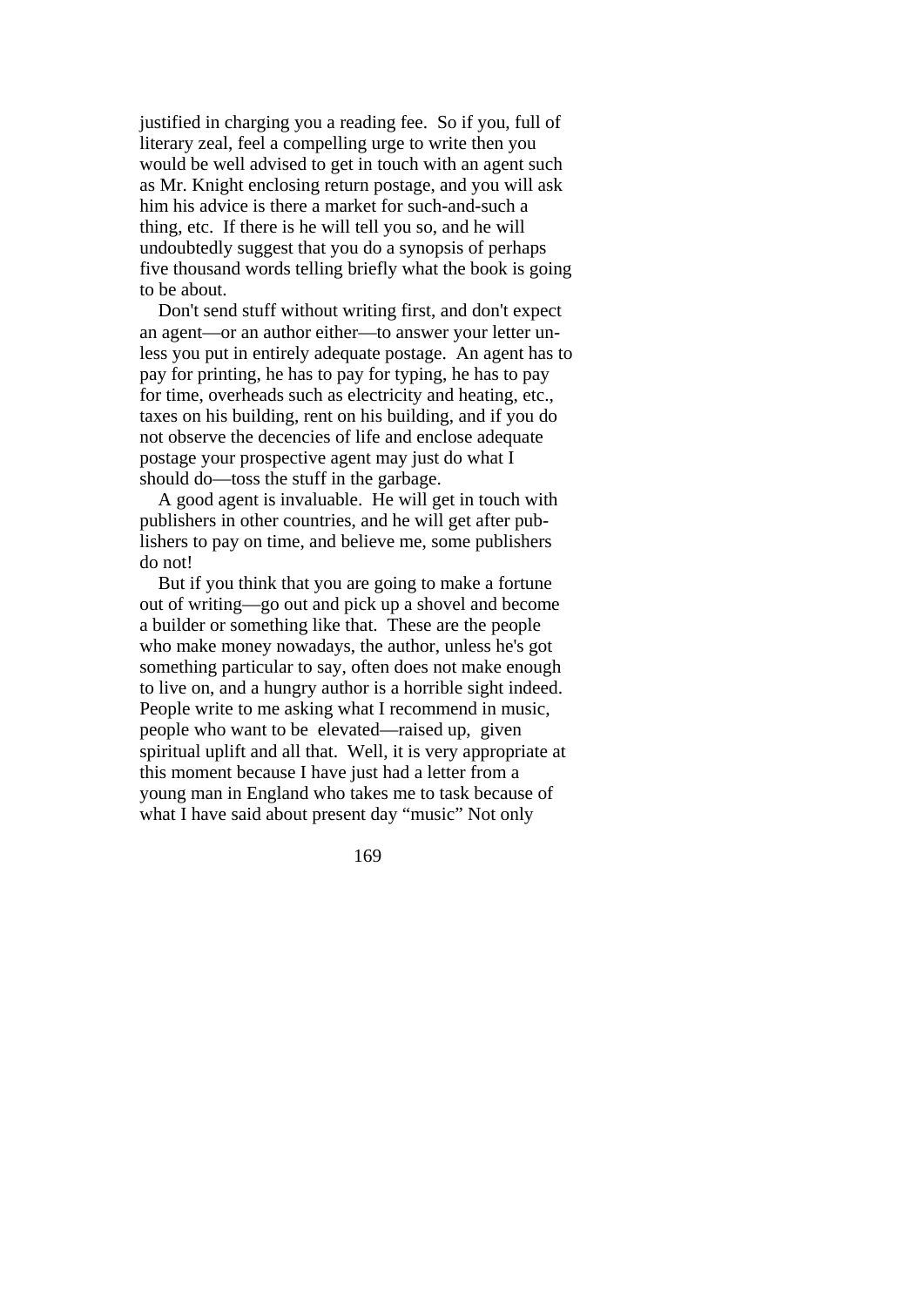justified in charging you a reading fee. So if you, full of literary zeal, feel a compelling urge to write then you would be well advised to get in touch with an agent such as Mr. Knight enclosing return postage, and you will ask him his advice is there a market for such-and-such a thing, etc. If there is he will tell you so, and he will undoubtedly suggest that you do a synopsis of perhaps five thousand words telling briefly what the book is going to be about.

 Don't send stuff without writing first, and don't expect an agent—or an author either—to answer your letter unless you put in entirely adequate postage. An agent has to pay for printing, he has to pay for typing, he has to pay for time, overheads such as electricity and heating, etc., taxes on his building, rent on his building, and if you do not observe the decencies of life and enclose adequate postage your prospective agent may just do what I should do—toss the stuff in the garbage.

 A good agent is invaluable. He will get in touch with publishers in other countries, and he will get after publishers to pay on time, and believe me, some publishers do not!

 But if you think that you are going to make a fortune out of writing—go out and pick up a shovel and become a builder or something like that. These are the people who make money nowadays, the author, unless he's got something particular to say, often does not make enough to live on, and a hungry author is a horrible sight indeed. People write to me asking what I recommend in music, people who want to be elevated—raised up, given spiritual uplift and all that. Well, it is very appropriate at this moment because I have just had a letter from a young man in England who takes me to task because of what I have said about present day "music" Not only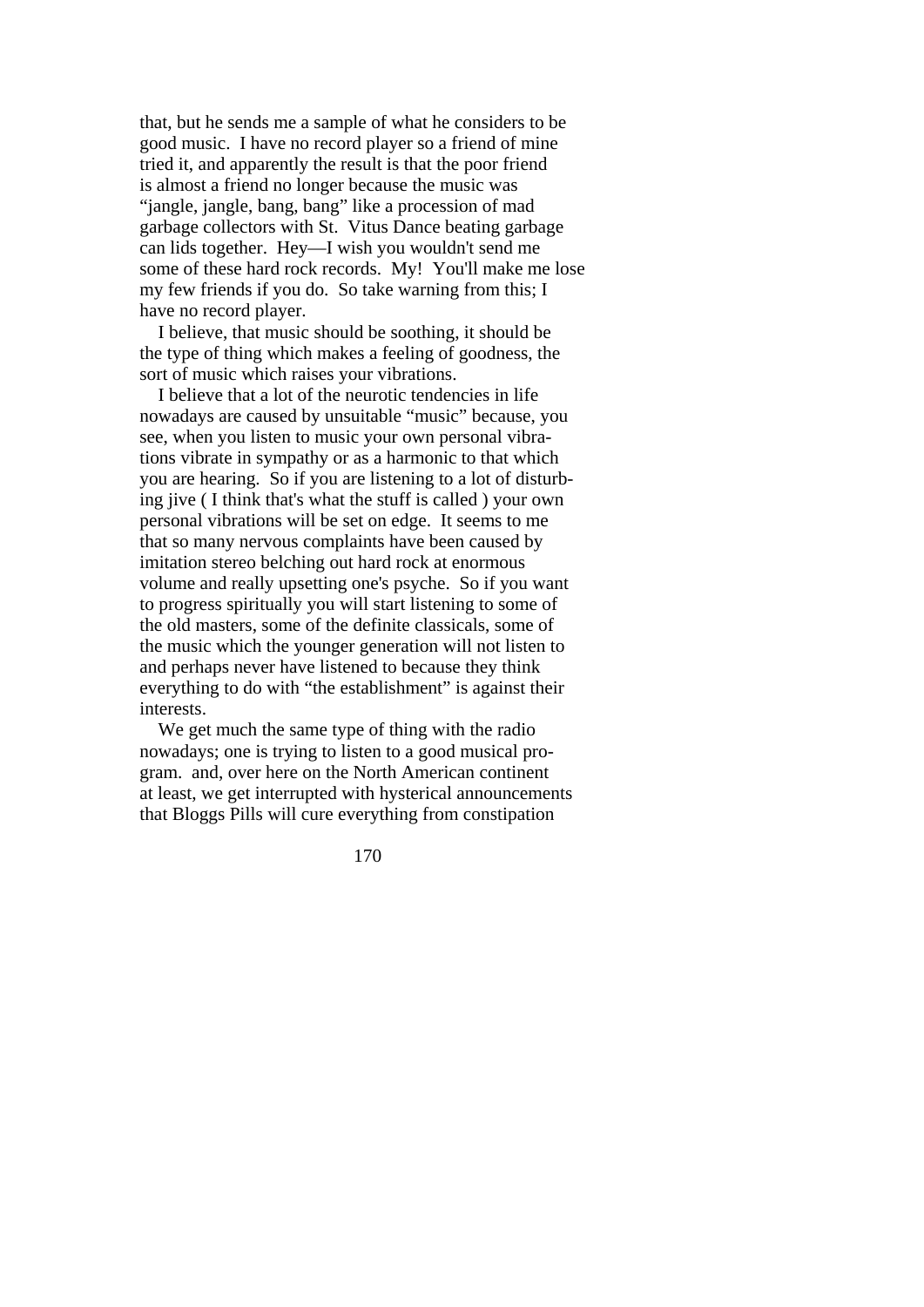that, but he sends me a sample of what he considers to be good music. I have no record player so a friend of mine tried it, and apparently the result is that the poor friend is almost a friend no longer because the music was "jangle, jangle, bang, bang" like a procession of mad garbage collectors with St. Vitus Dance beating garbage can lids together. Hey—I wish you wouldn't send me some of these hard rock records. My! You'll make me lose my few friends if you do. So take warning from this; I have no record player.

 I believe, that music should be soothing, it should be the type of thing which makes a feeling of goodness, the sort of music which raises your vibrations.

 I believe that a lot of the neurotic tendencies in life nowadays are caused by unsuitable "music" because, you see, when you listen to music your own personal vibrations vibrate in sympathy or as a harmonic to that which you are hearing. So if you are listening to a lot of disturbing jive ( I think that's what the stuff is called ) your own personal vibrations will be set on edge. It seems to me that so many nervous complaints have been caused by imitation stereo belching out hard rock at enormous volume and really upsetting one's psyche. So if you want to progress spiritually you will start listening to some of the old masters, some of the definite classicals, some of the music which the younger generation will not listen to and perhaps never have listened to because they think everything to do with "the establishment" is against their interests.

 We get much the same type of thing with the radio nowadays; one is trying to listen to a good musical program. and, over here on the North American continent at least, we get interrupted with hysterical announcements that Bloggs Pills will cure everything from constipation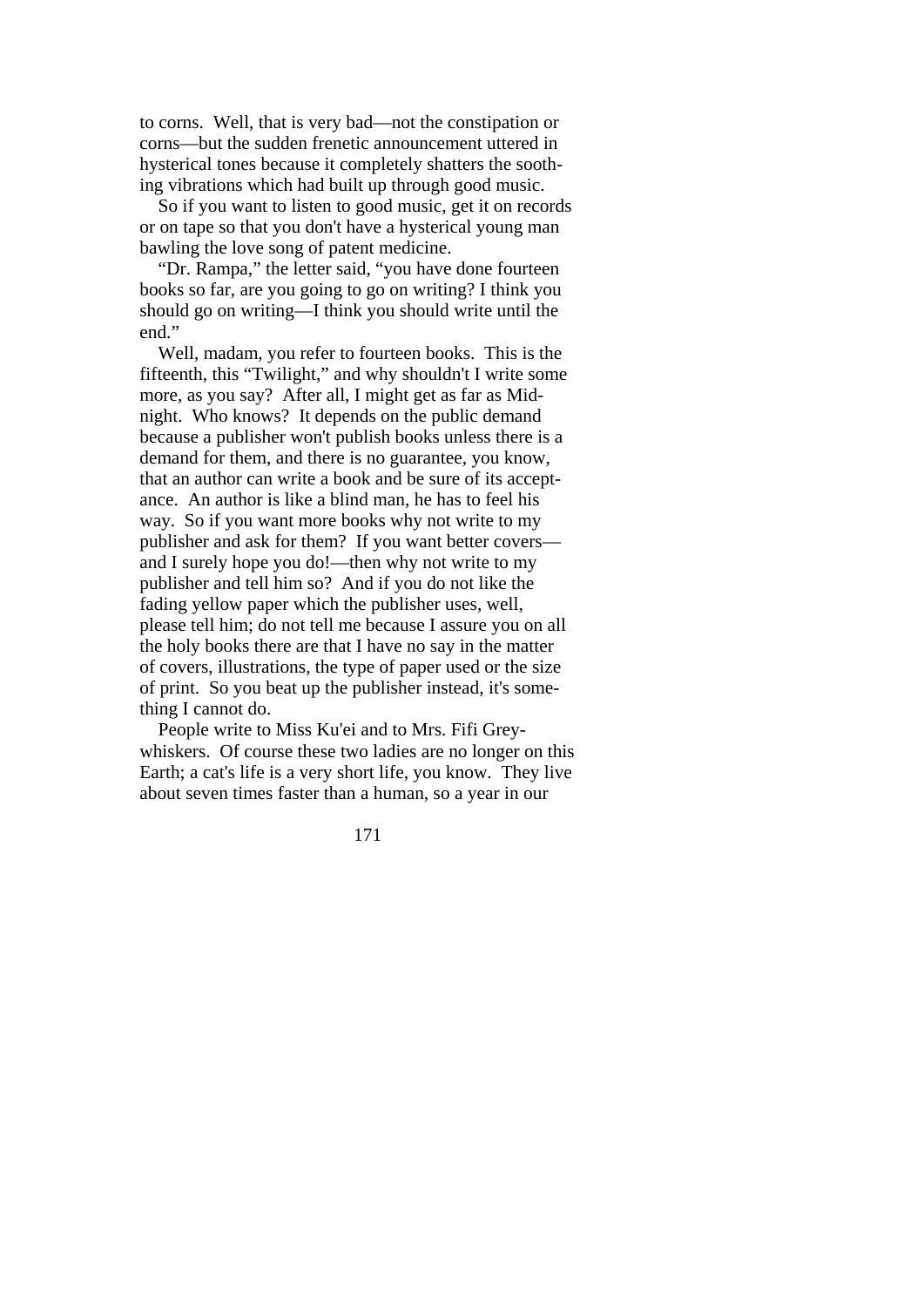to corns. Well, that is very bad—not the constipation or corns—but the sudden frenetic announcement uttered in hysterical tones because it completely shatters the soothing vibrations which had built up through good music.

 So if you want to listen to good music, get it on records or on tape so that you don't have a hysterical young man bawling the love song of patent medicine.

 "Dr. Rampa," the letter said, "you have done fourteen books so far, are you going to go on writing? I think you should go on writing—I think you should write until the end."

 Well, madam, you refer to fourteen books. This is the fifteenth, this "Twilight," and why shouldn't I write some more, as you say? After all, I might get as far as Midnight. Who knows? It depends on the public demand because a publisher won't publish books unless there is a demand for them, and there is no guarantee, you know, that an author can write a book and be sure of its acceptance. An author is like a blind man, he has to feel his way. So if you want more books why not write to my publisher and ask for them? If you want better covers and I surely hope you do!—then why not write to my publisher and tell him so? And if you do not like the fading yellow paper which the publisher uses, well, please tell him; do not tell me because I assure you on all the holy books there are that I have no say in the matter of covers, illustrations, the type of paper used or the size of print. So you beat up the publisher instead, it's something I cannot do.

 People write to Miss Ku'ei and to Mrs. Fifi Greywhiskers. Of course these two ladies are no longer on this Earth; a cat's life is a very short life, you know. They live about seven times faster than a human, so a year in our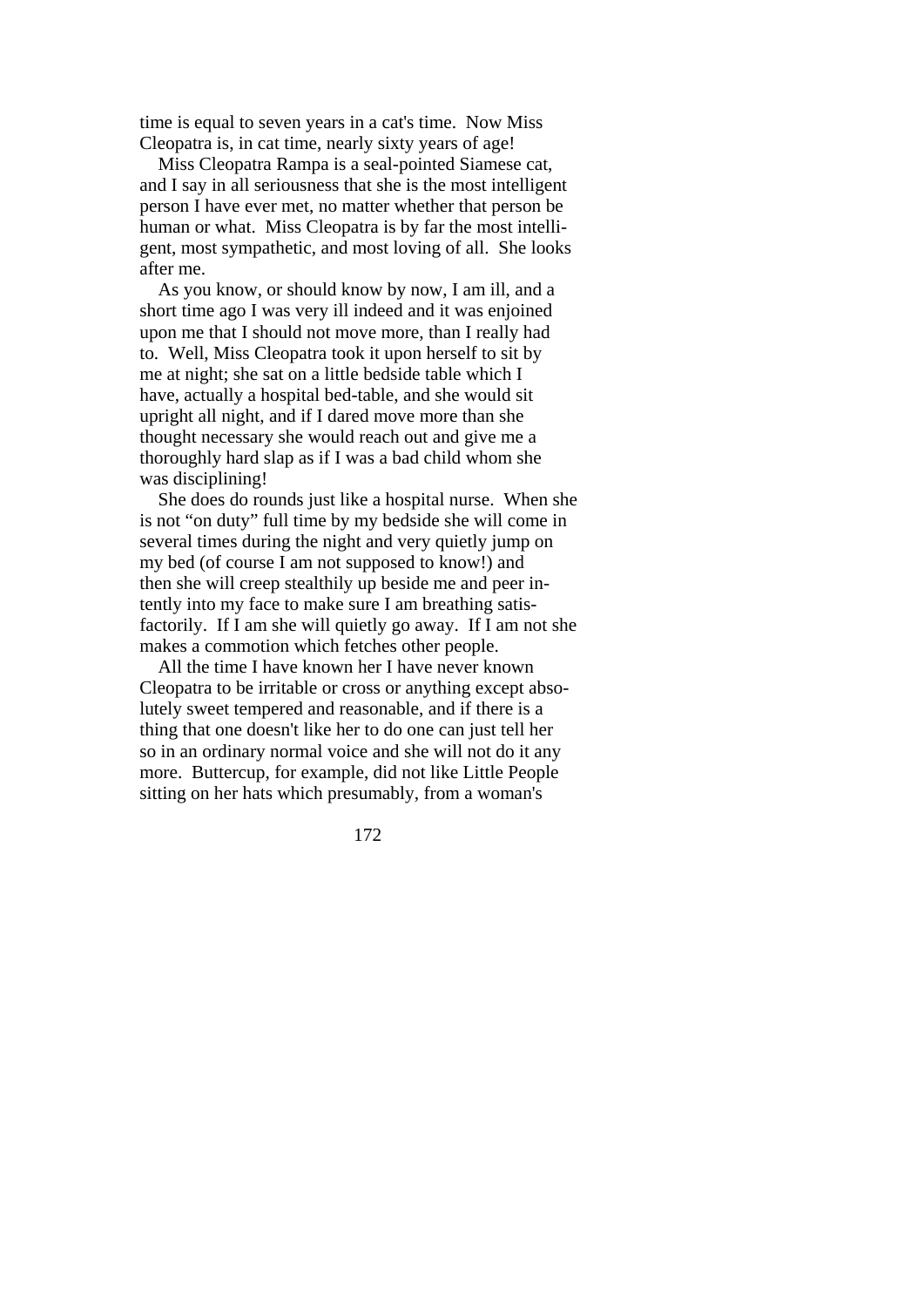time is equal to seven years in a cat's time. Now Miss Cleopatra is, in cat time, nearly sixty years of age!

 Miss Cleopatra Rampa is a seal-pointed Siamese cat, and I say in all seriousness that she is the most intelligent person I have ever met, no matter whether that person be human or what. Miss Cleopatra is by far the most intelligent, most sympathetic, and most loving of all. She looks after me.

 As you know, or should know by now, I am ill, and a short time ago I was very ill indeed and it was enjoined upon me that I should not move more, than I really had to. Well, Miss Cleopatra took it upon herself to sit by me at night; she sat on a little bedside table which I have, actually a hospital bed-table, and she would sit upright all night, and if I dared move more than she thought necessary she would reach out and give me a thoroughly hard slap as if I was a bad child whom she was disciplining!

 She does do rounds just like a hospital nurse. When she is not "on duty" full time by my bedside she will come in several times during the night and very quietly jump on my bed (of course I am not supposed to know!) and then she will creep stealthily up beside me and peer intently into my face to make sure I am breathing satisfactorily. If I am she will quietly go away. If I am not she makes a commotion which fetches other people.

 All the time I have known her I have never known Cleopatra to be irritable or cross or anything except absolutely sweet tempered and reasonable, and if there is a thing that one doesn't like her to do one can just tell her so in an ordinary normal voice and she will not do it any more. Buttercup, for example, did not like Little People sitting on her hats which presumably, from a woman's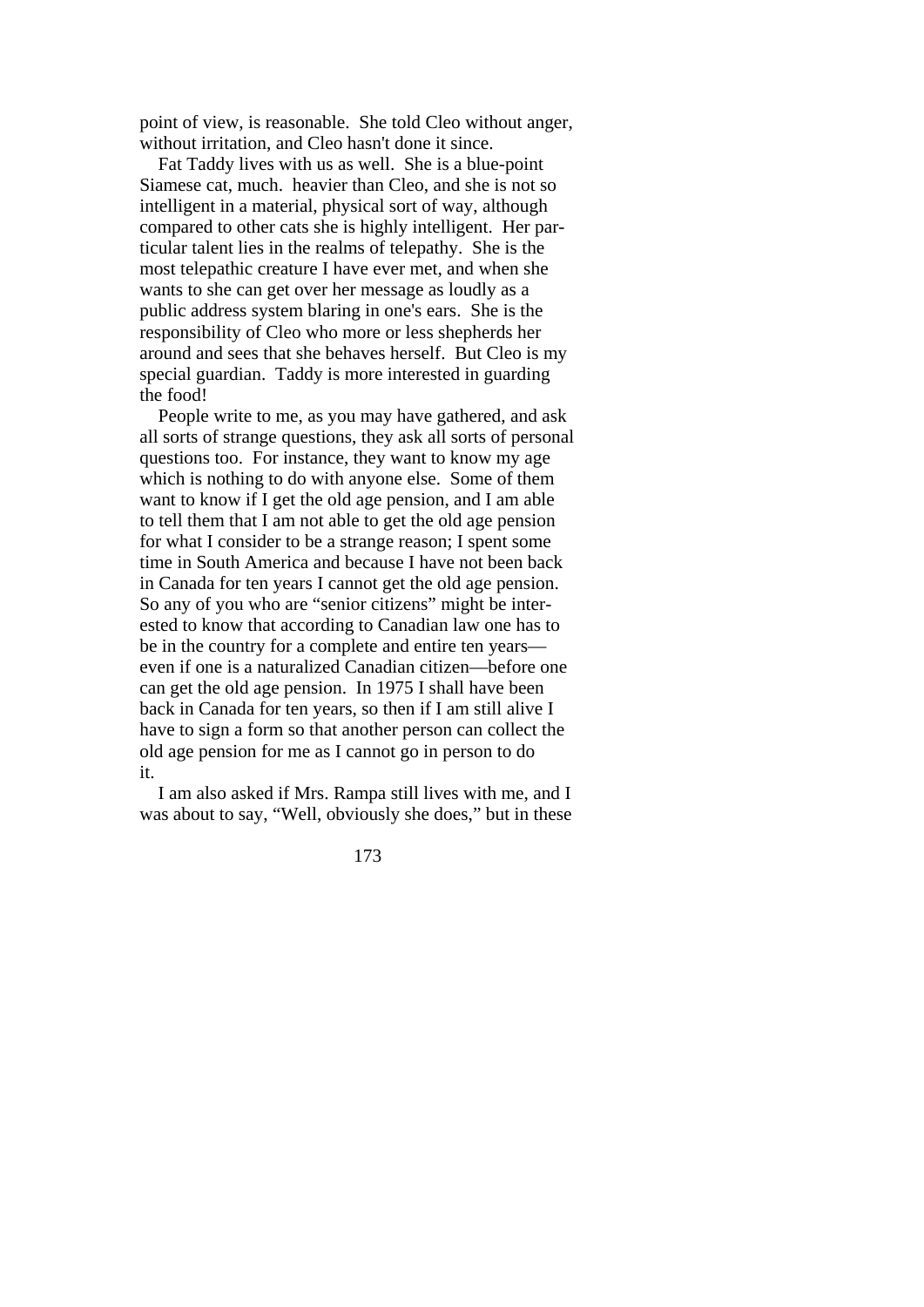point of view, is reasonable. She told Cleo without anger, without irritation, and Cleo hasn't done it since.

 Fat Taddy lives with us as well. She is a blue-point Siamese cat, much. heavier than Cleo, and she is not so intelligent in a material, physical sort of way, although compared to other cats she is highly intelligent. Her particular talent lies in the realms of telepathy. She is the most telepathic creature I have ever met, and when she wants to she can get over her message as loudly as a public address system blaring in one's ears. She is the responsibility of Cleo who more or less shepherds her around and sees that she behaves herself. But Cleo is my special guardian. Taddy is more interested in guarding the food!

 People write to me, as you may have gathered, and ask all sorts of strange questions, they ask all sorts of personal questions too. For instance, they want to know my age which is nothing to do with anyone else. Some of them want to know if I get the old age pension, and I am able to tell them that I am not able to get the old age pension for what I consider to be a strange reason; I spent some time in South America and because I have not been back in Canada for ten years I cannot get the old age pension. So any of you who are "senior citizens" might be interested to know that according to Canadian law one has to be in the country for a complete and entire ten years even if one is a naturalized Canadian citizen—before one can get the old age pension. In 1975 I shall have been back in Canada for ten years, so then if I am still alive I have to sign a form so that another person can collect the old age pension for me as I cannot go in person to do it.

 I am also asked if Mrs. Rampa still lives with me, and I was about to say, "Well, obviously she does," but in these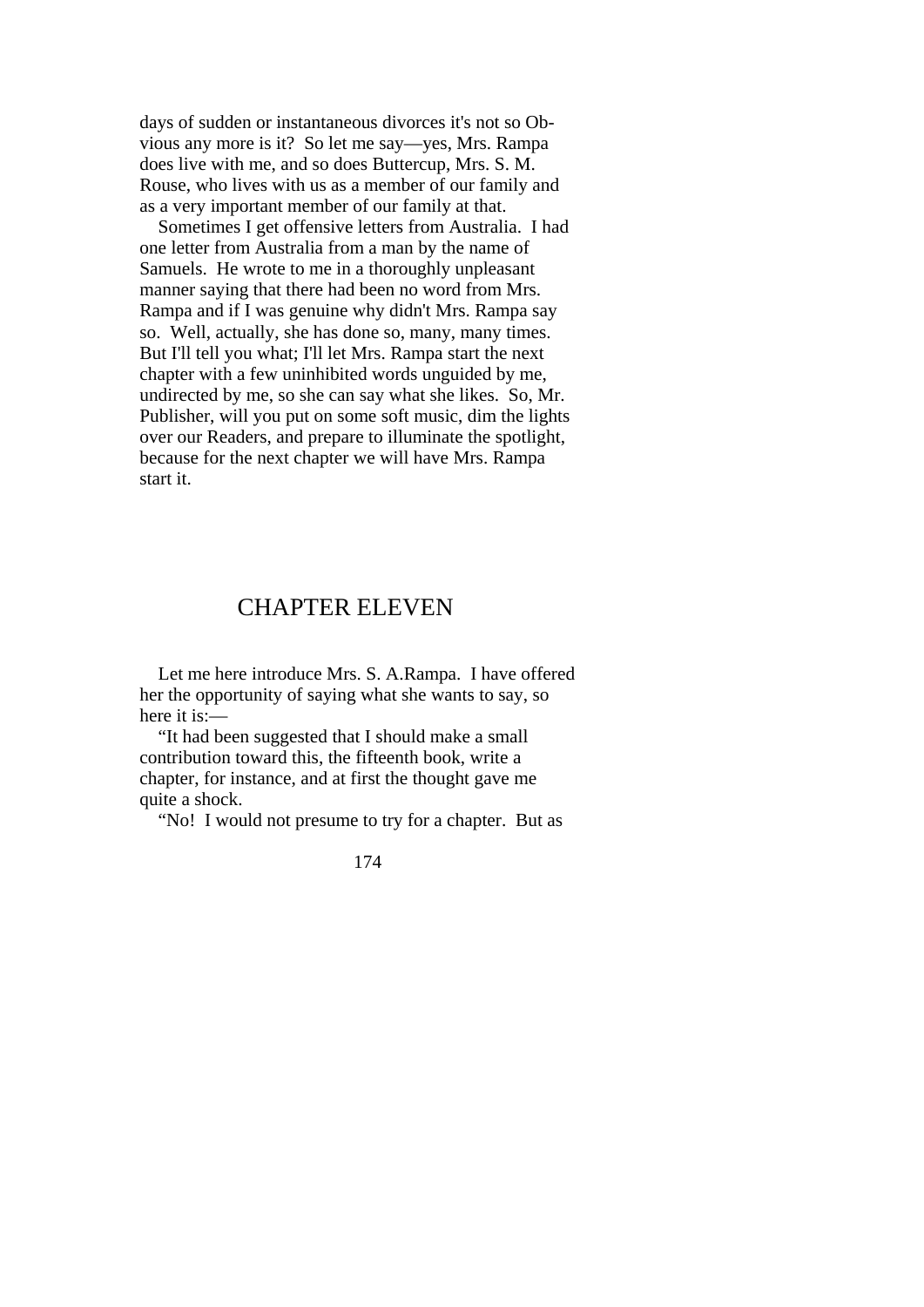days of sudden or instantaneous divorces it's not so Obvious any more is it? So let me say—yes, Mrs. Rampa does live with me, and so does Buttercup, Mrs. S. M. Rouse, who lives with us as a member of our family and as a very important member of our family at that.

 Sometimes I get offensive letters from Australia. I had one letter from Australia from a man by the name of Samuels. He wrote to me in a thoroughly unpleasant manner saying that there had been no word from Mrs. Rampa and if I was genuine why didn't Mrs. Rampa say so. Well, actually, she has done so, many, many times. But I'll tell you what; I'll let Mrs. Rampa start the next chapter with a few uninhibited words unguided by me, undirected by me, so she can say what she likes. So, Mr. Publisher, will you put on some soft music, dim the lights over our Readers, and prepare to illuminate the spotlight, because for the next chapter we will have Mrs. Rampa start it.

## CHAPTER ELEVEN

 Let me here introduce Mrs. S. A.Rampa. I have offered her the opportunity of saying what she wants to say, so here it is: $-$ 

 "It had been suggested that I should make a small contribution toward this, the fifteenth book, write a chapter, for instance, and at first the thought gave me quite a shock.

"No! I would not presume to try for a chapter. But as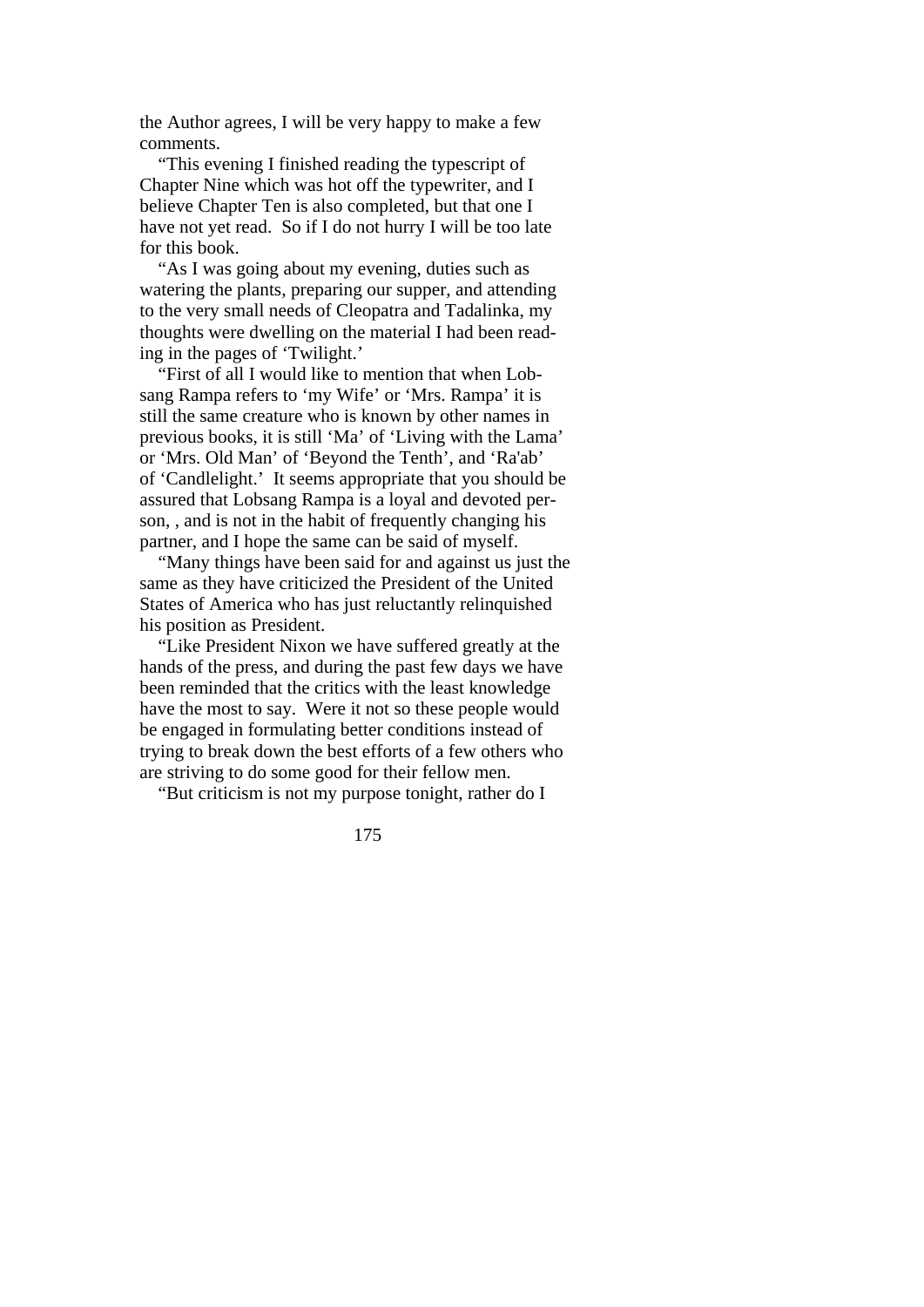the Author agrees, I will be very happy to make a few comments.

 "This evening I finished reading the typescript of Chapter Nine which was hot off the typewriter, and I believe Chapter Ten is also completed, but that one I have not yet read. So if I do not hurry I will be too late for this book.

 "As I was going about my evening, duties such as watering the plants, preparing our supper, and attending to the very small needs of Cleopatra and Tadalinka, my thoughts were dwelling on the material I had been reading in the pages of 'Twilight.'

 "First of all I would like to mention that when Lobsang Rampa refers to 'my Wife' or 'Mrs. Rampa' it is still the same creature who is known by other names in previous books, it is still 'Ma' of 'Living with the Lama' or 'Mrs. Old Man' of 'Beyond the Tenth', and 'Ra'ab' of 'Candlelight.' It seems appropriate that you should be assured that Lobsang Rampa is a loyal and devoted person, , and is not in the habit of frequently changing his partner, and I hope the same can be said of myself.

 "Many things have been said for and against us just the same as they have criticized the President of the United States of America who has just reluctantly relinquished his position as President.

 "Like President Nixon we have suffered greatly at the hands of the press, and during the past few days we have been reminded that the critics with the least knowledge have the most to say. Were it not so these people would be engaged in formulating better conditions instead of trying to break down the best efforts of a few others who are striving to do some good for their fellow men.

"But criticism is not my purpose tonight, rather do I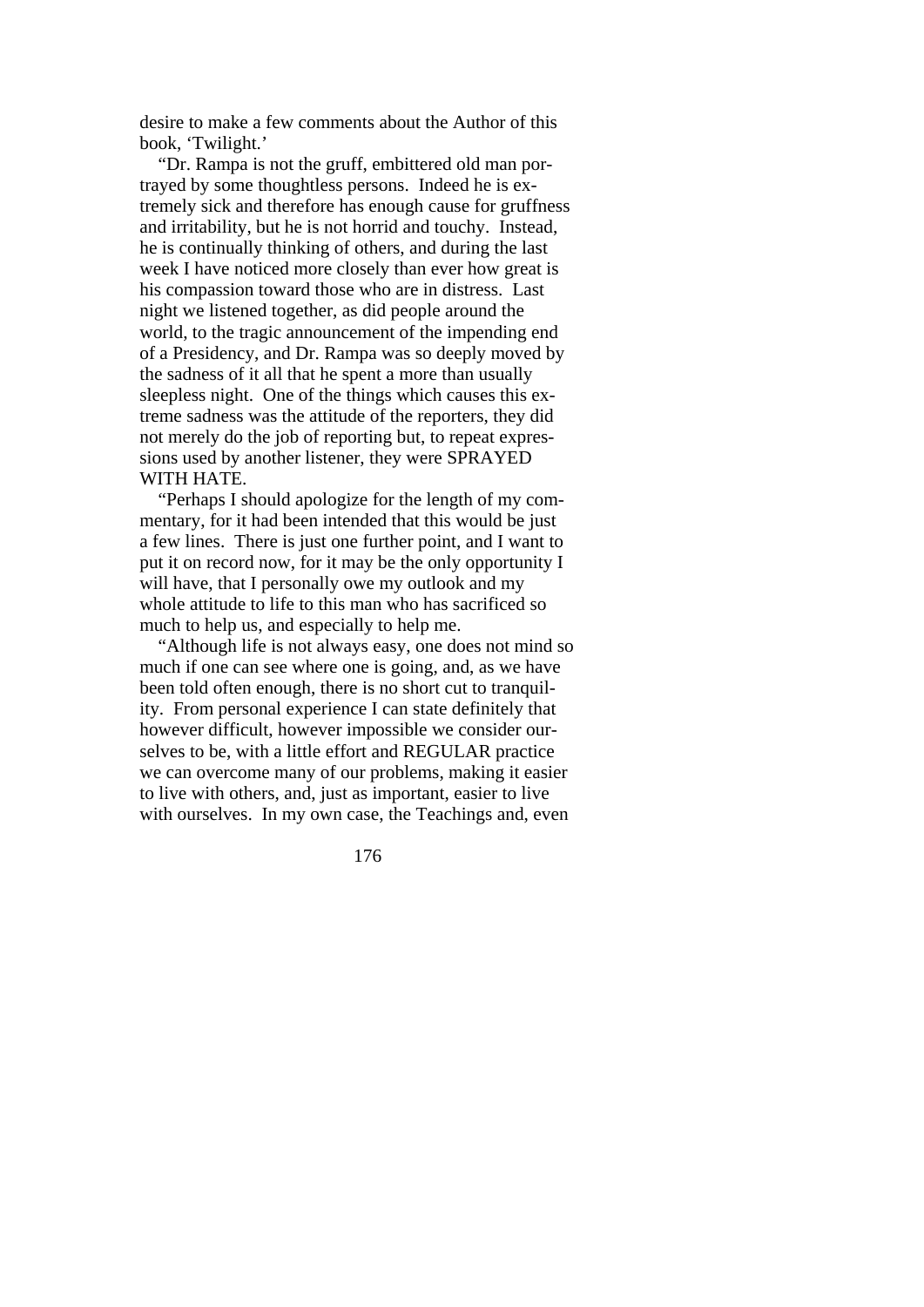desire to make a few comments about the Author of this book, 'Twilight.'

 "Dr. Rampa is not the gruff, embittered old man portrayed by some thoughtless persons. Indeed he is extremely sick and therefore has enough cause for gruffness and irritability, but he is not horrid and touchy. Instead, he is continually thinking of others, and during the last week I have noticed more closely than ever how great is his compassion toward those who are in distress. Last night we listened together, as did people around the world, to the tragic announcement of the impending end of a Presidency, and Dr. Rampa was so deeply moved by the sadness of it all that he spent a more than usually sleepless night. One of the things which causes this extreme sadness was the attitude of the reporters, they did not merely do the job of reporting but, to repeat expressions used by another listener, they were SPRAYED WITH HATE.

 "Perhaps I should apologize for the length of my commentary, for it had been intended that this would be just a few lines. There is just one further point, and I want to put it on record now, for it may be the only opportunity I will have, that I personally owe my outlook and my whole attitude to life to this man who has sacrificed so much to help us, and especially to help me.

 "Although life is not always easy, one does not mind so much if one can see where one is going, and, as we have been told often enough, there is no short cut to tranquility. From personal experience I can state definitely that however difficult, however impossible we consider ourselves to be, with a little effort and REGULAR practice we can overcome many of our problems, making it easier to live with others, and, just as important, easier to live with ourselves. In my own case, the Teachings and, even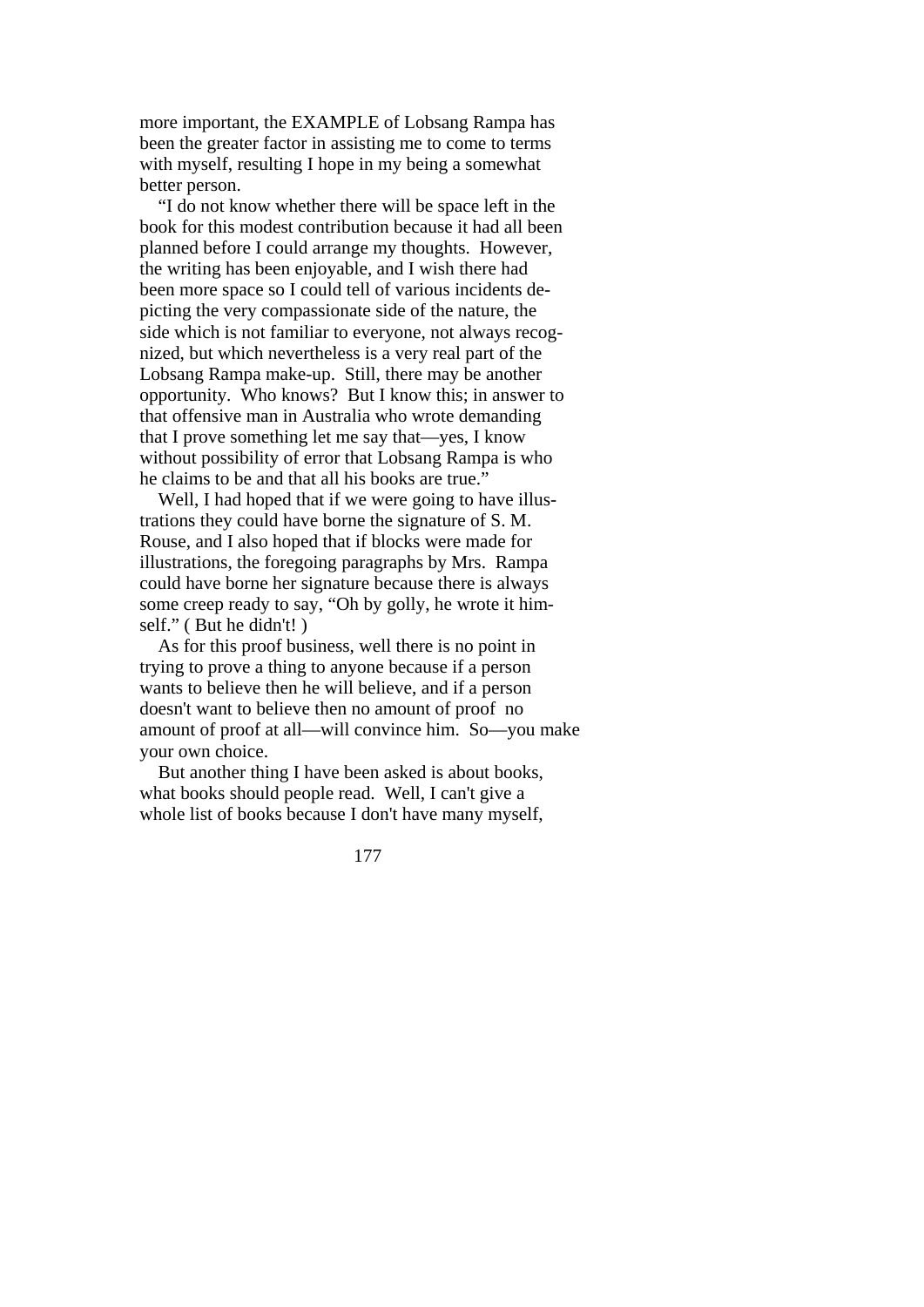more important, the EXAMPLE of Lobsang Rampa has been the greater factor in assisting me to come to terms with myself, resulting I hope in my being a somewhat better person.

 "I do not know whether there will be space left in the book for this modest contribution because it had all been planned before I could arrange my thoughts. However, the writing has been enjoyable, and I wish there had been more space so I could tell of various incidents depicting the very compassionate side of the nature, the side which is not familiar to everyone, not always recognized, but which nevertheless is a very real part of the Lobsang Rampa make-up. Still, there may be another opportunity. Who knows? But I know this; in answer to that offensive man in Australia who wrote demanding that I prove something let me say that—yes, I know without possibility of error that Lobsang Rampa is who he claims to be and that all his books are true."

Well, I had hoped that if we were going to have illustrations they could have borne the signature of S. M. Rouse, and I also hoped that if blocks were made for illustrations, the foregoing paragraphs by Mrs. Rampa could have borne her signature because there is always some creep ready to say, "Oh by golly, he wrote it himself." ( But he didn't! )

 As for this proof business, well there is no point in trying to prove a thing to anyone because if a person wants to believe then he will believe, and if a person doesn't want to believe then no amount of proof no amount of proof at all—will convince him. So—you make your own choice.

 But another thing I have been asked is about books, what books should people read. Well, I can't give a whole list of books because I don't have many myself,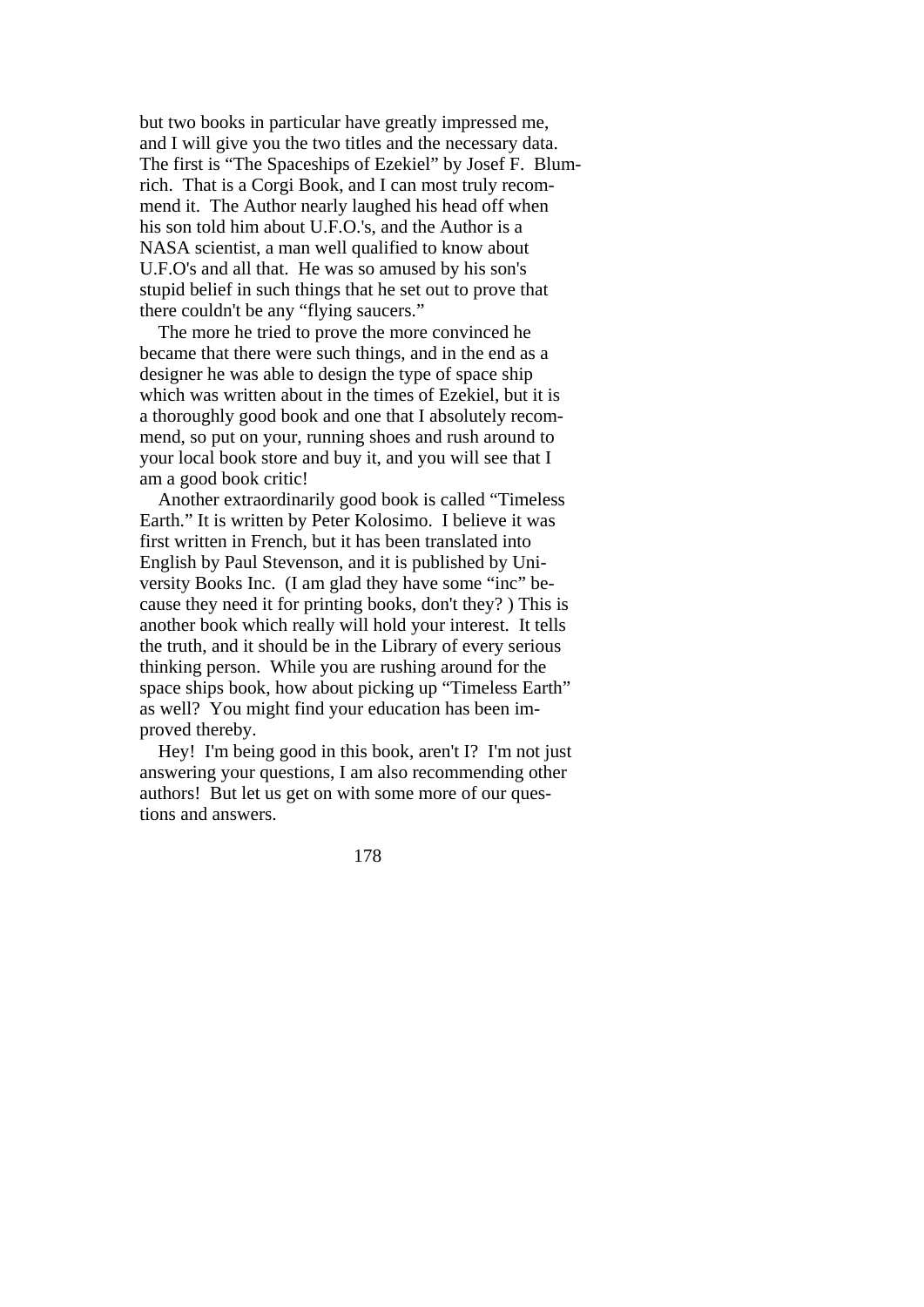but two books in particular have greatly impressed me, and I will give you the two titles and the necessary data. The first is "The Spaceships of Ezekiel" by Josef F. Blumrich. That is a Corgi Book, and I can most truly recommend it. The Author nearly laughed his head off when his son told him about U.F.O.'s, and the Author is a NASA scientist, a man well qualified to know about U.F.O's and all that. He was so amused by his son's stupid belief in such things that he set out to prove that there couldn't be any "flying saucers."

 The more he tried to prove the more convinced he became that there were such things, and in the end as a designer he was able to design the type of space ship which was written about in the times of Ezekiel, but it is a thoroughly good book and one that I absolutely recommend, so put on your, running shoes and rush around to your local book store and buy it, and you will see that I am a good book critic!

 Another extraordinarily good book is called "Timeless Earth." It is written by Peter Kolosimo. I believe it was first written in French, but it has been translated into English by Paul Stevenson, and it is published by University Books Inc. (I am glad they have some "inc" because they need it for printing books, don't they? ) This is another book which really will hold your interest. It tells the truth, and it should be in the Library of every serious thinking person. While you are rushing around for the space ships book, how about picking up "Timeless Earth" as well? You might find your education has been improved thereby.

 Hey! I'm being good in this book, aren't I? I'm not just answering your questions, I am also recommending other authors! But let us get on with some more of our questions and answers.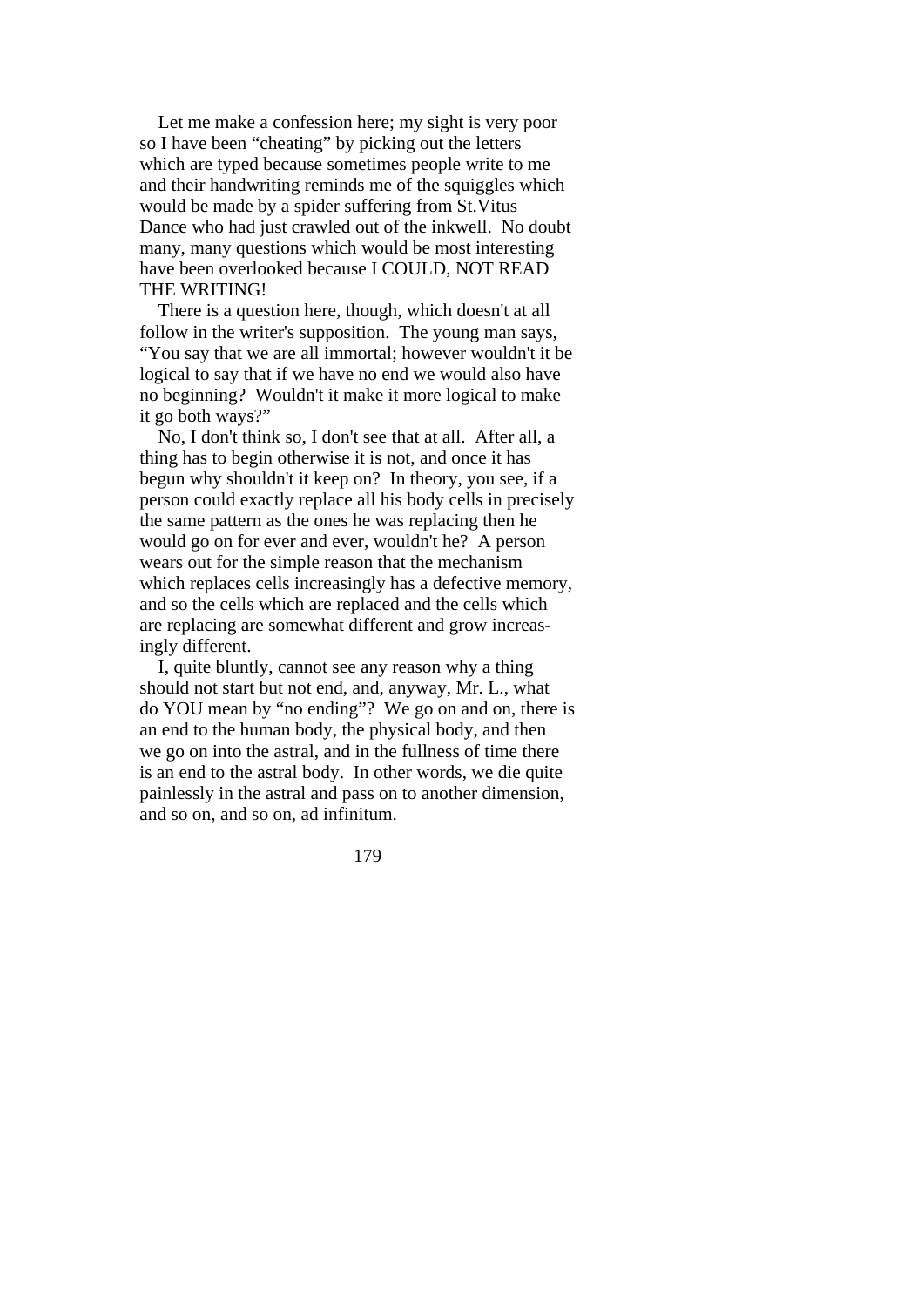Let me make a confession here; my sight is very poor so I have been "cheating" by picking out the letters which are typed because sometimes people write to me and their handwriting reminds me of the squiggles which would be made by a spider suffering from St.Vitus Dance who had just crawled out of the inkwell. No doubt many, many questions which would be most interesting have been overlooked because I COULD, NOT READ THE WRITING!

 There is a question here, though, which doesn't at all follow in the writer's supposition. The young man says, "You say that we are all immortal; however wouldn't it be logical to say that if we have no end we would also have no beginning? Wouldn't it make it more logical to make it go both ways?"

 No, I don't think so, I don't see that at all. After all, a thing has to begin otherwise it is not, and once it has begun why shouldn't it keep on? In theory, you see, if a person could exactly replace all his body cells in precisely the same pattern as the ones he was replacing then he would go on for ever and ever, wouldn't he? A person wears out for the simple reason that the mechanism which replaces cells increasingly has a defective memory, and so the cells which are replaced and the cells which are replacing are somewhat different and grow increasingly different.

 I, quite bluntly, cannot see any reason why a thing should not start but not end, and, anyway, Mr. L., what do YOU mean by "no ending"? We go on and on, there is an end to the human body, the physical body, and then we go on into the astral, and in the fullness of time there is an end to the astral body. In other words, we die quite painlessly in the astral and pass on to another dimension, and so on, and so on, ad infinitum.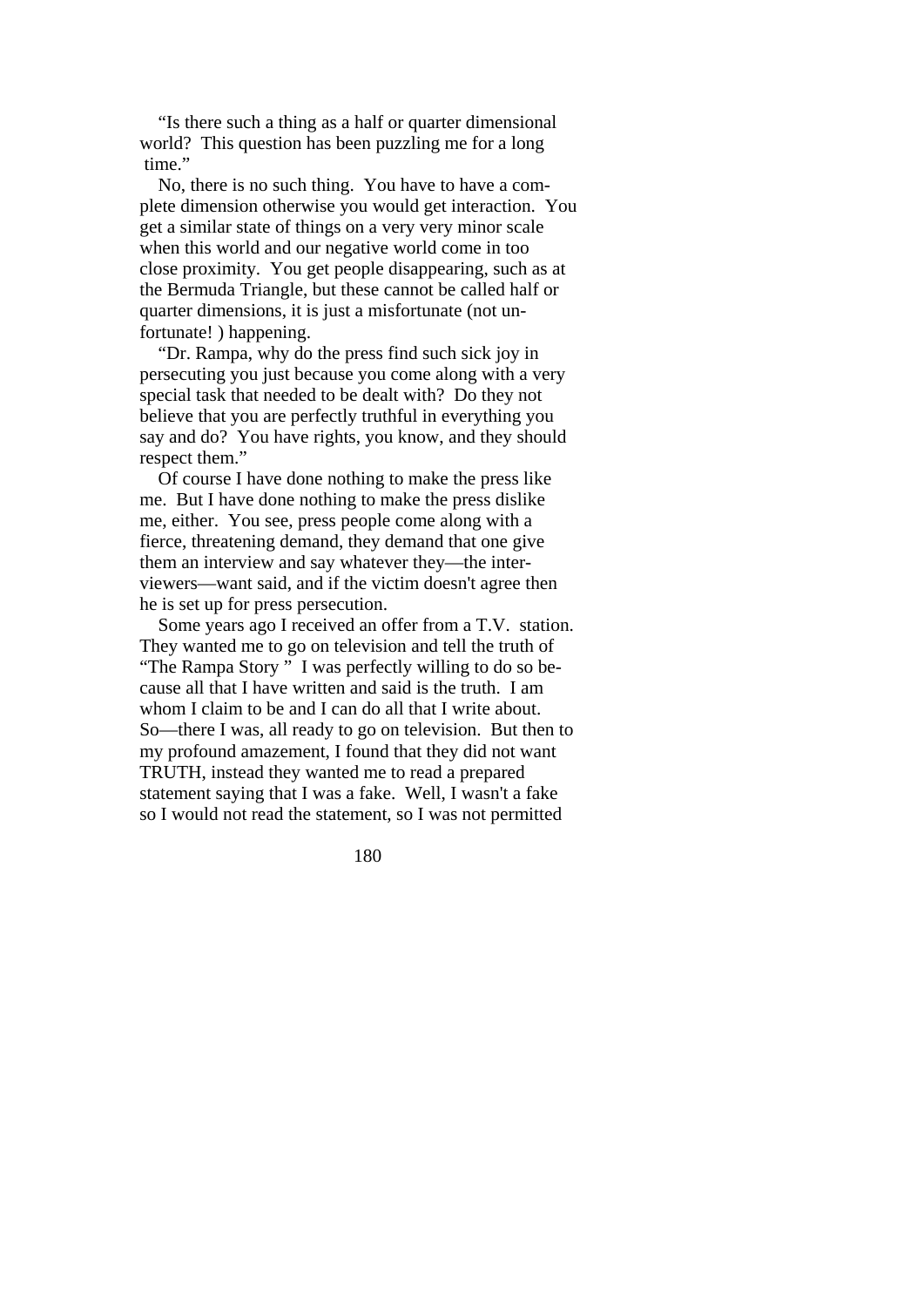"Is there such a thing as a half or quarter dimensional world? This question has been puzzling me for a long time."

 No, there is no such thing. You have to have a complete dimension otherwise you would get interaction. You get a similar state of things on a very very minor scale when this world and our negative world come in too close proximity. You get people disappearing, such as at the Bermuda Triangle, but these cannot be called half or quarter dimensions, it is just a misfortunate (not unfortunate! ) happening.

 "Dr. Rampa, why do the press find such sick joy in persecuting you just because you come along with a very special task that needed to be dealt with? Do they not believe that you are perfectly truthful in everything you say and do? You have rights, you know, and they should respect them."

 Of course I have done nothing to make the press like me. But I have done nothing to make the press dislike me, either. You see, press people come along with a fierce, threatening demand, they demand that one give them an interview and say whatever they—the interviewers—want said, and if the victim doesn't agree then he is set up for press persecution.

 Some years ago I received an offer from a T.V. station. They wanted me to go on television and tell the truth of "The Rampa Story " I was perfectly willing to do so because all that I have written and said is the truth. I am whom I claim to be and I can do all that I write about. So—there I was, all ready to go on television. But then to my profound amazement, I found that they did not want TRUTH, instead they wanted me to read a prepared statement saying that I was a fake. Well, I wasn't a fake so I would not read the statement, so I was not permitted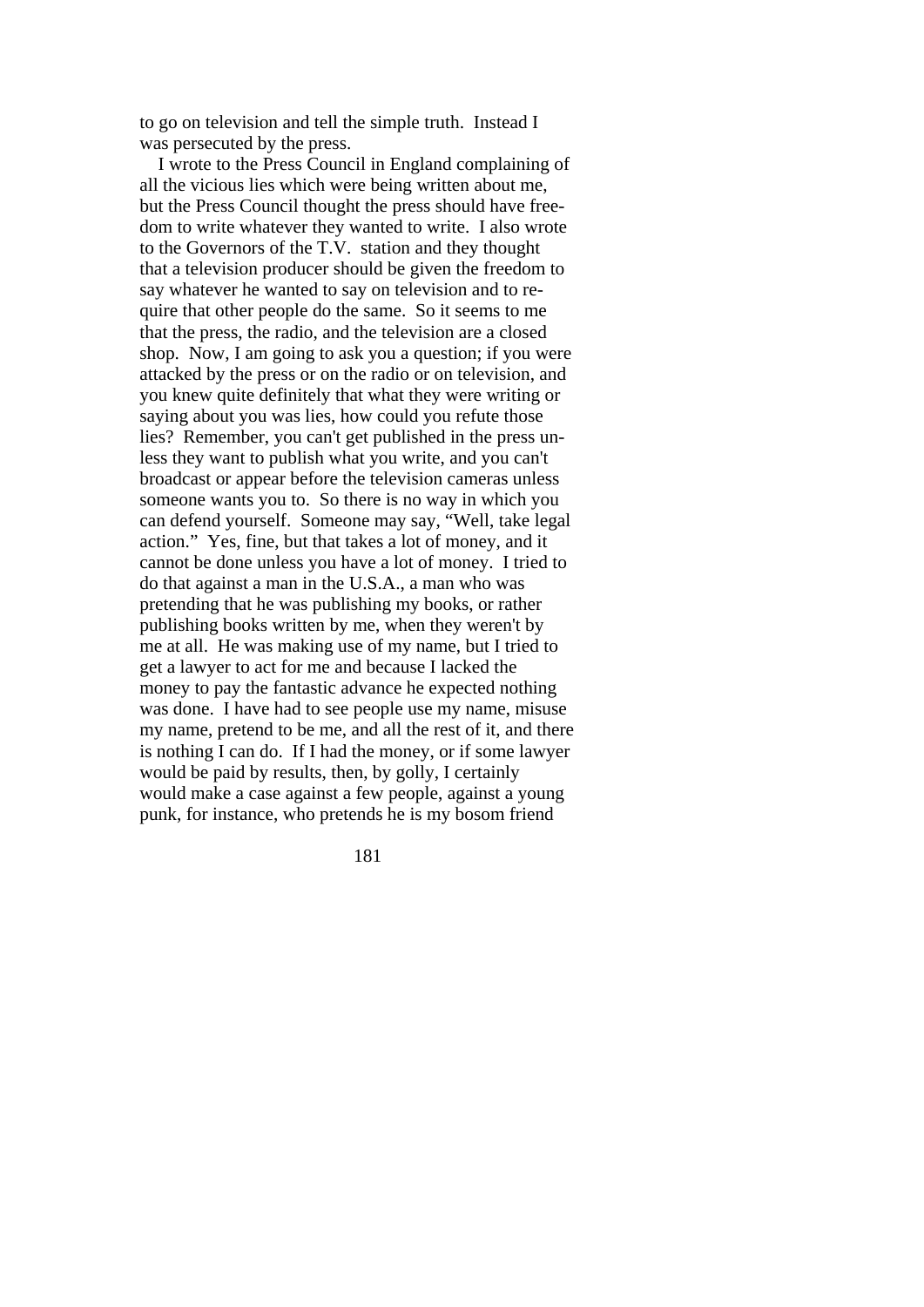to go on television and tell the simple truth. Instead I was persecuted by the press.

 I wrote to the Press Council in England complaining of all the vicious lies which were being written about me, but the Press Council thought the press should have freedom to write whatever they wanted to write. I also wrote to the Governors of the T.V. station and they thought that a television producer should be given the freedom to say whatever he wanted to say on television and to require that other people do the same. So it seems to me that the press, the radio, and the television are a closed shop. Now, I am going to ask you a question; if you were attacked by the press or on the radio or on television, and you knew quite definitely that what they were writing or saying about you was lies, how could you refute those lies? Remember, you can't get published in the press unless they want to publish what you write, and you can't broadcast or appear before the television cameras unless someone wants you to. So there is no way in which you can defend yourself. Someone may say, "Well, take legal action." Yes, fine, but that takes a lot of money, and it cannot be done unless you have a lot of money. I tried to do that against a man in the U.S.A., a man who was pretending that he was publishing my books, or rather publishing books written by me, when they weren't by me at all. He was making use of my name, but I tried to get a lawyer to act for me and because I lacked the money to pay the fantastic advance he expected nothing was done. I have had to see people use my name, misuse my name, pretend to be me, and all the rest of it, and there is nothing I can do. If I had the money, or if some lawyer would be paid by results, then, by golly, I certainly would make a case against a few people, against a young punk, for instance, who pretends he is my bosom friend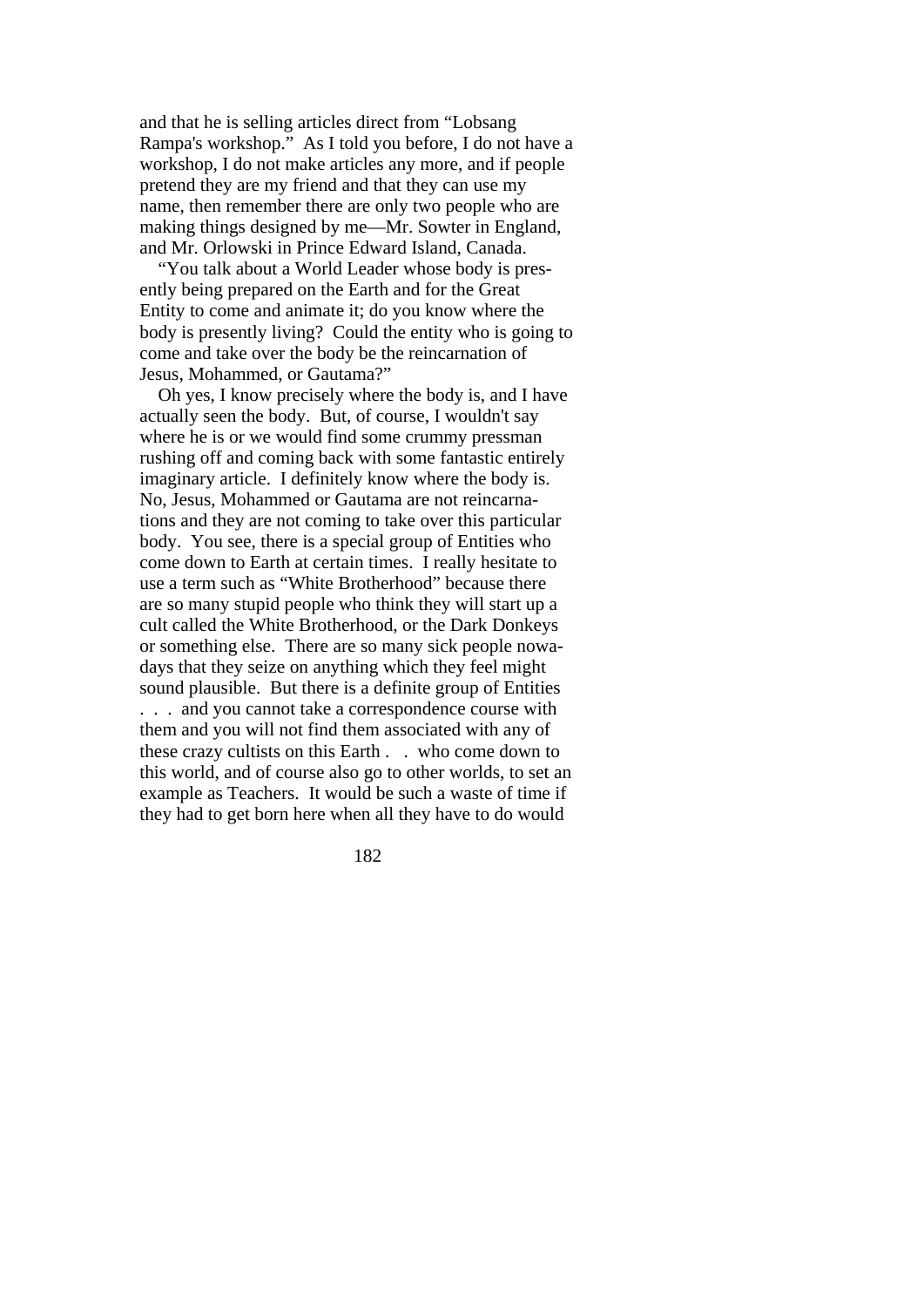and that he is selling articles direct from "Lobsang Rampa's workshop." As I told you before, I do not have a workshop, I do not make articles any more, and if people pretend they are my friend and that they can use my name, then remember there are only two people who are making things designed by me—Mr. Sowter in England, and Mr. Orlowski in Prince Edward Island, Canada.

 "You talk about a World Leader whose body is presently being prepared on the Earth and for the Great Entity to come and animate it; do you know where the body is presently living? Could the entity who is going to come and take over the body be the reincarnation of Jesus, Mohammed, or Gautama?"

 Oh yes, I know precisely where the body is, and I have actually seen the body. But, of course, I wouldn't say where he is or we would find some crummy pressman rushing off and coming back with some fantastic entirely imaginary article. I definitely know where the body is. No, Jesus, Mohammed or Gautama are not reincarnations and they are not coming to take over this particular body. You see, there is a special group of Entities who come down to Earth at certain times. I really hesitate to use a term such as "White Brotherhood" because there are so many stupid people who think they will start up a cult called the White Brotherhood, or the Dark Donkeys or something else. There are so many sick people nowadays that they seize on anything which they feel might sound plausible. But there is a definite group of Entities . . . and you cannot take a correspondence course with them and you will not find them associated with any of these crazy cultists on this Earth . . who come down to this world, and of course also go to other worlds, to set an example as Teachers. It would be such a waste of time if they had to get born here when all they have to do would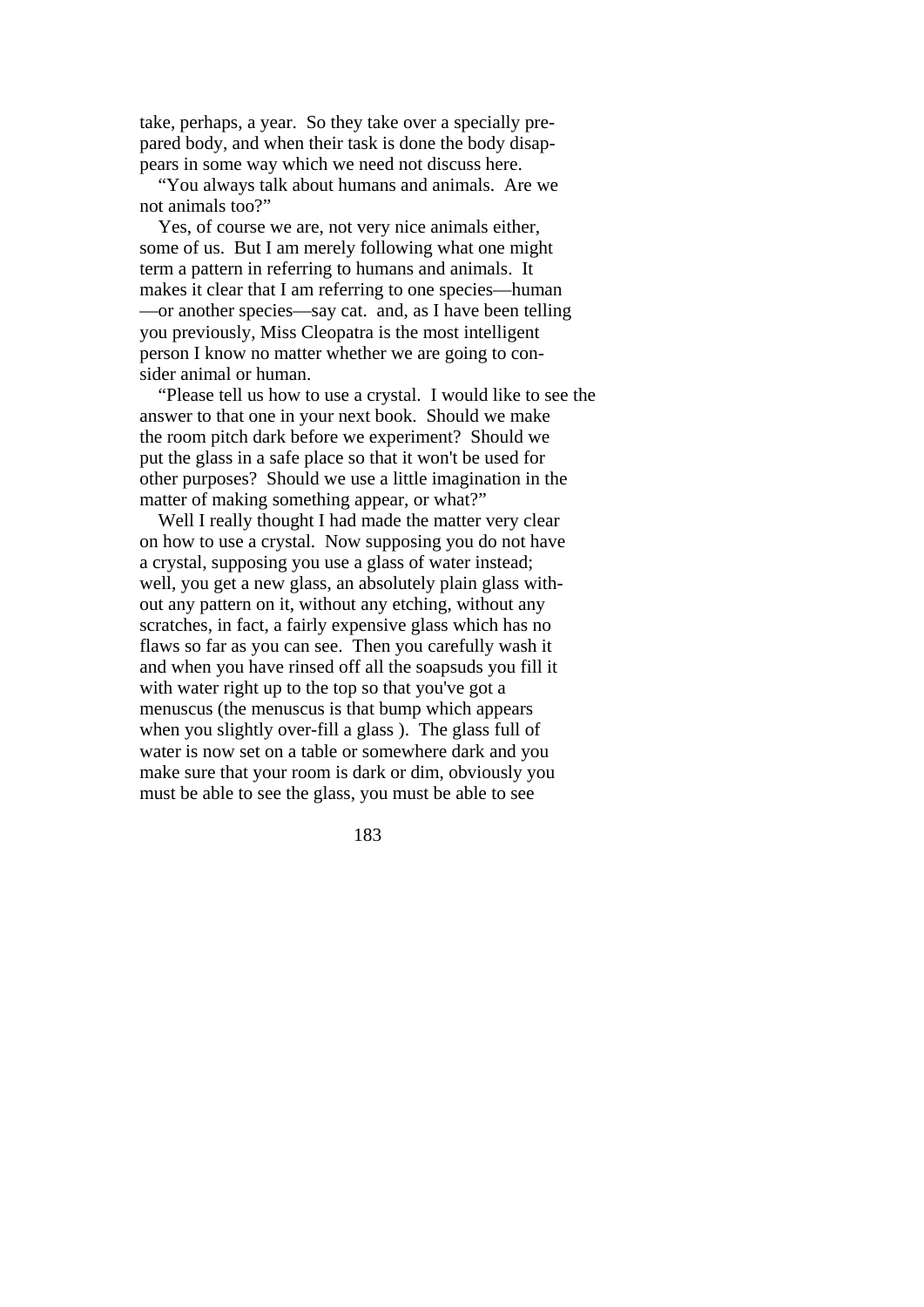take, perhaps, a year. So they take over a specially prepared body, and when their task is done the body disappears in some way which we need not discuss here.

 "You always talk about humans and animals. Are we not animals too?"

 Yes, of course we are, not very nice animals either, some of us. But I am merely following what one might term a pattern in referring to humans and animals. It makes it clear that I am referring to one species—human —or another species—say cat. and, as I have been telling you previously, Miss Cleopatra is the most intelligent person I know no matter whether we are going to consider animal or human.

 "Please tell us how to use a crystal. I would like to see the answer to that one in your next book. Should we make the room pitch dark before we experiment? Should we put the glass in a safe place so that it won't be used for other purposes? Should we use a little imagination in the matter of making something appear, or what?"

Well I really thought I had made the matter very clear on how to use a crystal. Now supposing you do not have a crystal, supposing you use a glass of water instead; well, you get a new glass, an absolutely plain glass without any pattern on it, without any etching, without any scratches, in fact, a fairly expensive glass which has no flaws so far as you can see. Then you carefully wash it and when you have rinsed off all the soapsuds you fill it with water right up to the top so that you've got a menuscus (the menuscus is that bump which appears when you slightly over-fill a glass ). The glass full of water is now set on a table or somewhere dark and you make sure that your room is dark or dim, obviously you must be able to see the glass, you must be able to see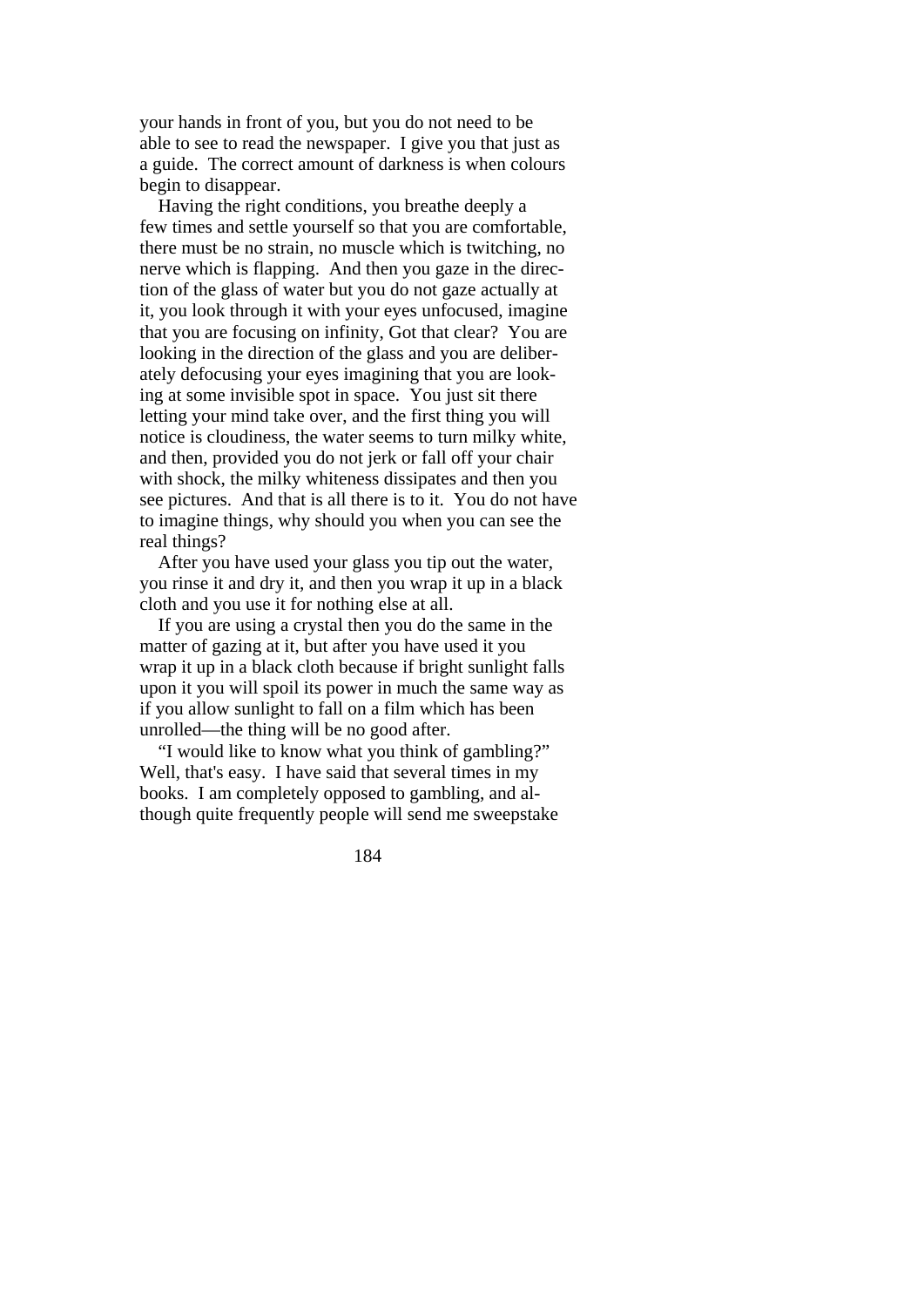your hands in front of you, but you do not need to be able to see to read the newspaper. I give you that just as a guide. The correct amount of darkness is when colours begin to disappear.

 Having the right conditions, you breathe deeply a few times and settle yourself so that you are comfortable, there must be no strain, no muscle which is twitching, no nerve which is flapping. And then you gaze in the direction of the glass of water but you do not gaze actually at it, you look through it with your eyes unfocused, imagine that you are focusing on infinity, Got that clear? You are looking in the direction of the glass and you are deliberately defocusing your eyes imagining that you are looking at some invisible spot in space. You just sit there letting your mind take over, and the first thing you will notice is cloudiness, the water seems to turn milky white, and then, provided you do not jerk or fall off your chair with shock, the milky whiteness dissipates and then you see pictures. And that is all there is to it. You do not have to imagine things, why should you when you can see the real things?

 After you have used your glass you tip out the water, you rinse it and dry it, and then you wrap it up in a black cloth and you use it for nothing else at all.

 If you are using a crystal then you do the same in the matter of gazing at it, but after you have used it you wrap it up in a black cloth because if bright sunlight falls upon it you will spoil its power in much the same way as if you allow sunlight to fall on a film which has been unrolled—the thing will be no good after.

 "I would like to know what you think of gambling?" Well, that's easy. I have said that several times in my books. I am completely opposed to gambling, and although quite frequently people will send me sweepstake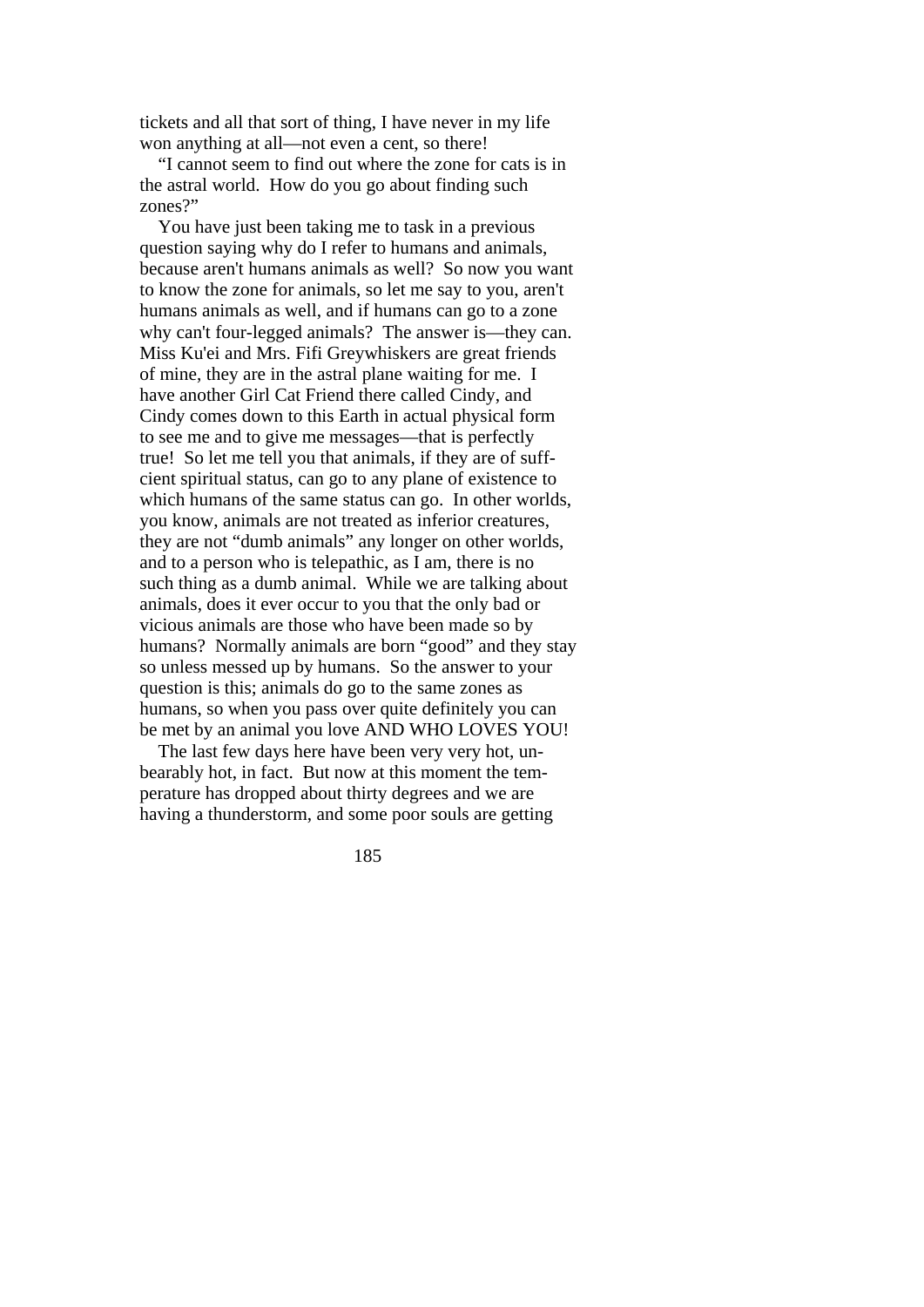tickets and all that sort of thing, I have never in my life won anything at all—not even a cent, so there!

 "I cannot seem to find out where the zone for cats is in the astral world. How do you go about finding such zones?"

 You have just been taking me to task in a previous question saying why do I refer to humans and animals, because aren't humans animals as well? So now you want to know the zone for animals, so let me say to you, aren't humans animals as well, and if humans can go to a zone why can't four-legged animals? The answer is—they can. Miss Ku'ei and Mrs. Fifi Greywhiskers are great friends of mine, they are in the astral plane waiting for me. I have another Girl Cat Friend there called Cindy, and Cindy comes down to this Earth in actual physical form to see me and to give me messages—that is perfectly true! So let me tell you that animals, if they are of suffcient spiritual status, can go to any plane of existence to which humans of the same status can go. In other worlds, you know, animals are not treated as inferior creatures, they are not "dumb animals" any longer on other worlds, and to a person who is telepathic, as I am, there is no such thing as a dumb animal. While we are talking about animals, does it ever occur to you that the only bad or vicious animals are those who have been made so by humans? Normally animals are born "good" and they stay so unless messed up by humans. So the answer to your question is this; animals do go to the same zones as humans, so when you pass over quite definitely you can be met by an animal you love AND WHO LOVES YOU!

 The last few days here have been very very hot, unbearably hot, in fact. But now at this moment the temperature has dropped about thirty degrees and we are having a thunderstorm, and some poor souls are getting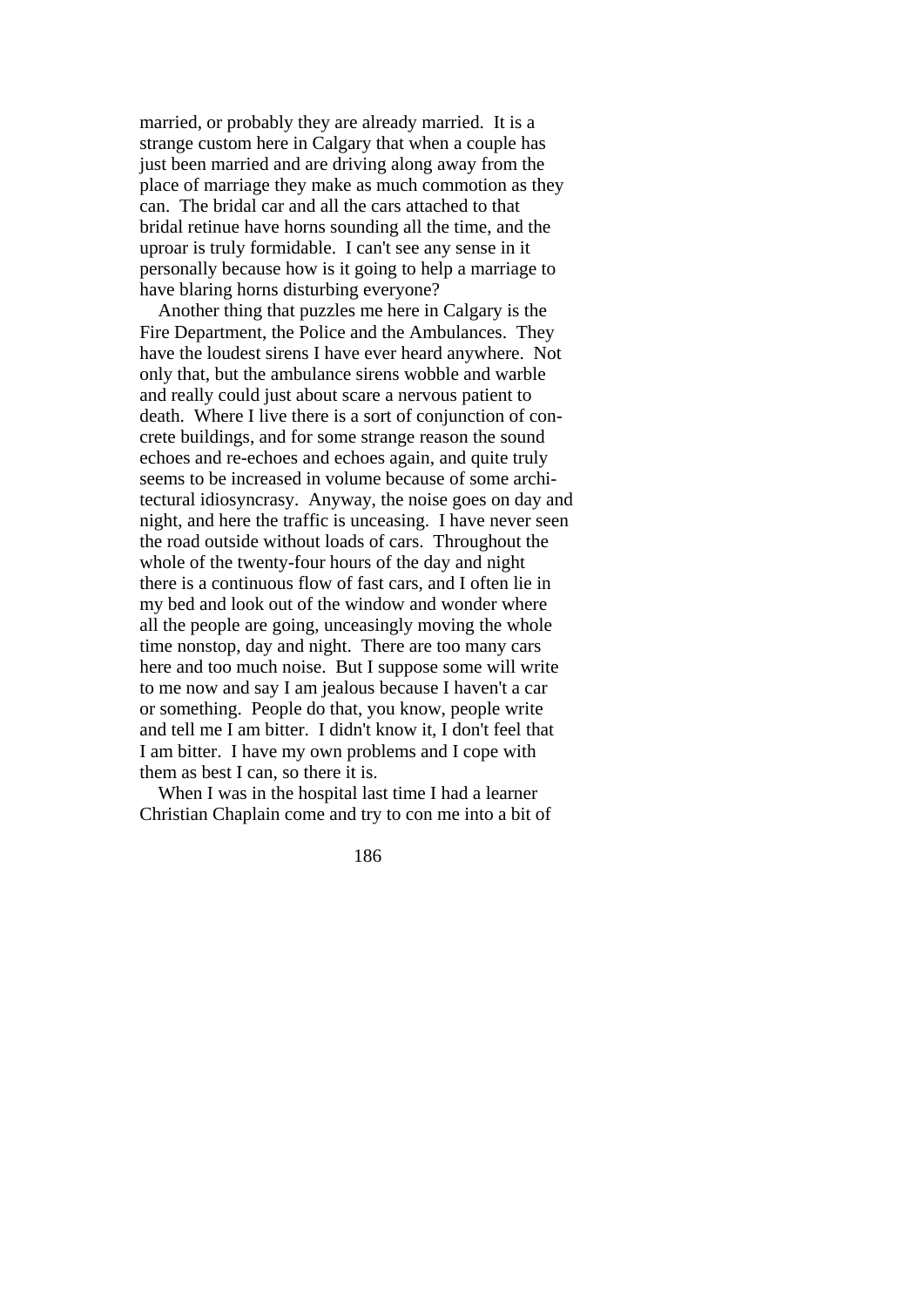married, or probably they are already married. It is a strange custom here in Calgary that when a couple has just been married and are driving along away from the place of marriage they make as much commotion as they can. The bridal car and all the cars attached to that bridal retinue have horns sounding all the time, and the uproar is truly formidable. I can't see any sense in it personally because how is it going to help a marriage to have blaring horns disturbing everyone?

 Another thing that puzzles me here in Calgary is the Fire Department, the Police and the Ambulances. They have the loudest sirens I have ever heard anywhere. Not only that, but the ambulance sirens wobble and warble and really could just about scare a nervous patient to death. Where I live there is a sort of conjunction of concrete buildings, and for some strange reason the sound echoes and re-echoes and echoes again, and quite truly seems to be increased in volume because of some architectural idiosyncrasy. Anyway, the noise goes on day and night, and here the traffic is unceasing. I have never seen the road outside without loads of cars. Throughout the whole of the twenty-four hours of the day and night there is a continuous flow of fast cars, and I often lie in my bed and look out of the window and wonder where all the people are going, unceasingly moving the whole time nonstop, day and night. There are too many cars here and too much noise. But I suppose some will write to me now and say I am jealous because I haven't a car or something. People do that, you know, people write and tell me I am bitter. I didn't know it, I don't feel that I am bitter. I have my own problems and I cope with them as best I can, so there it is.

 When I was in the hospital last time I had a learner Christian Chaplain come and try to con me into a bit of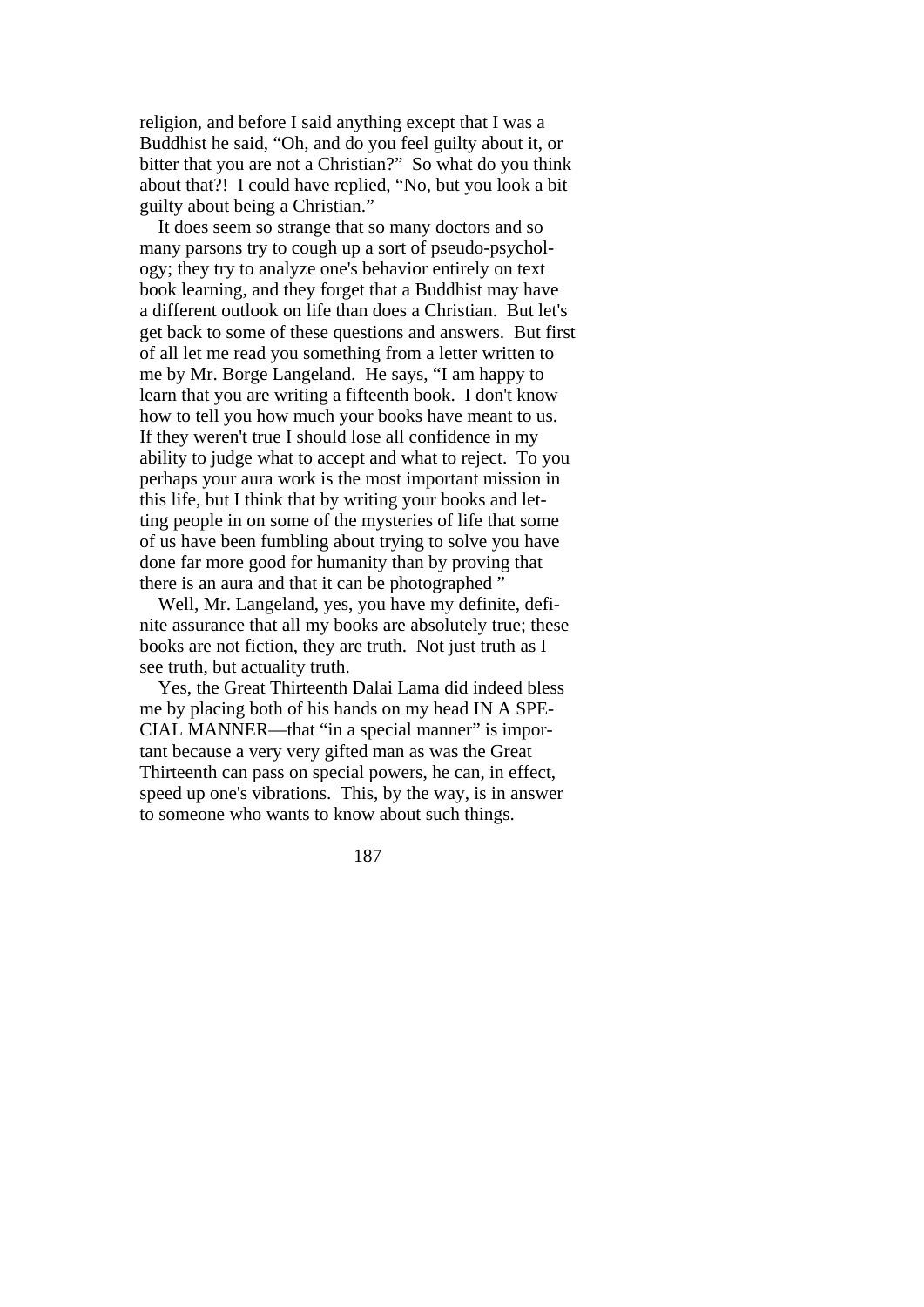religion, and before I said anything except that I was a Buddhist he said, "Oh, and do you feel guilty about it, or bitter that you are not a Christian?" So what do you think about that?! I could have replied, "No, but you look a bit guilty about being a Christian."

 It does seem so strange that so many doctors and so many parsons try to cough up a sort of pseudo-psychology; they try to analyze one's behavior entirely on text book learning, and they forget that a Buddhist may have a different outlook on life than does a Christian. But let's get back to some of these questions and answers. But first of all let me read you something from a letter written to me by Mr. Borge Langeland. He says, "I am happy to learn that you are writing a fifteenth book. I don't know how to tell you how much your books have meant to us. If they weren't true I should lose all confidence in my ability to judge what to accept and what to reject. To you perhaps your aura work is the most important mission in this life, but I think that by writing your books and letting people in on some of the mysteries of life that some of us have been fumbling about trying to solve you have done far more good for humanity than by proving that there is an aura and that it can be photographed "

 Well, Mr. Langeland, yes, you have my definite, definite assurance that all my books are absolutely true; these books are not fiction, they are truth. Not just truth as I see truth, but actuality truth.

 Yes, the Great Thirteenth Dalai Lama did indeed bless me by placing both of his hands on my head IN A SPE-CIAL MANNER—that "in a special manner" is important because a very very gifted man as was the Great Thirteenth can pass on special powers, he can, in effect, speed up one's vibrations. This, by the way, is in answer to someone who wants to know about such things.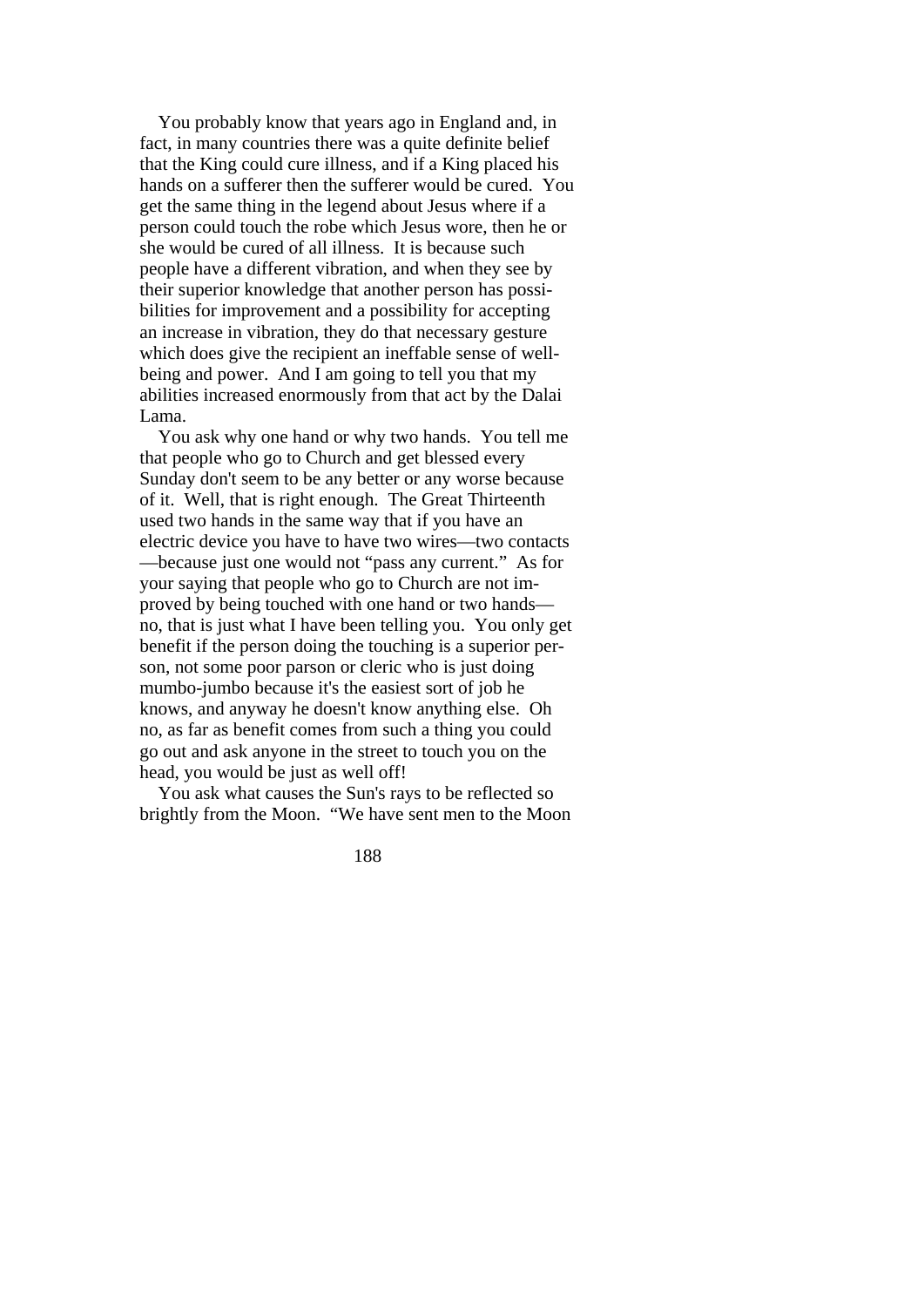You probably know that years ago in England and, in fact, in many countries there was a quite definite belief that the King could cure illness, and if a King placed his hands on a sufferer then the sufferer would be cured. You get the same thing in the legend about Jesus where if a person could touch the robe which Jesus wore, then he or she would be cured of all illness. It is because such people have a different vibration, and when they see by their superior knowledge that another person has possibilities for improvement and a possibility for accepting an increase in vibration, they do that necessary gesture which does give the recipient an ineffable sense of wellbeing and power. And I am going to tell you that my abilities increased enormously from that act by the Dalai Lama.

 You ask why one hand or why two hands. You tell me that people who go to Church and get blessed every Sunday don't seem to be any better or any worse because of it. Well, that is right enough. The Great Thirteenth used two hands in the same way that if you have an electric device you have to have two wires—two contacts —because just one would not "pass any current." As for your saying that people who go to Church are not improved by being touched with one hand or two hands no, that is just what I have been telling you. You only get benefit if the person doing the touching is a superior person, not some poor parson or cleric who is just doing mumbo-jumbo because it's the easiest sort of job he knows, and anyway he doesn't know anything else. Oh no, as far as benefit comes from such a thing you could go out and ask anyone in the street to touch you on the head, you would be just as well off!

 You ask what causes the Sun's rays to be reflected so brightly from the Moon. "We have sent men to the Moon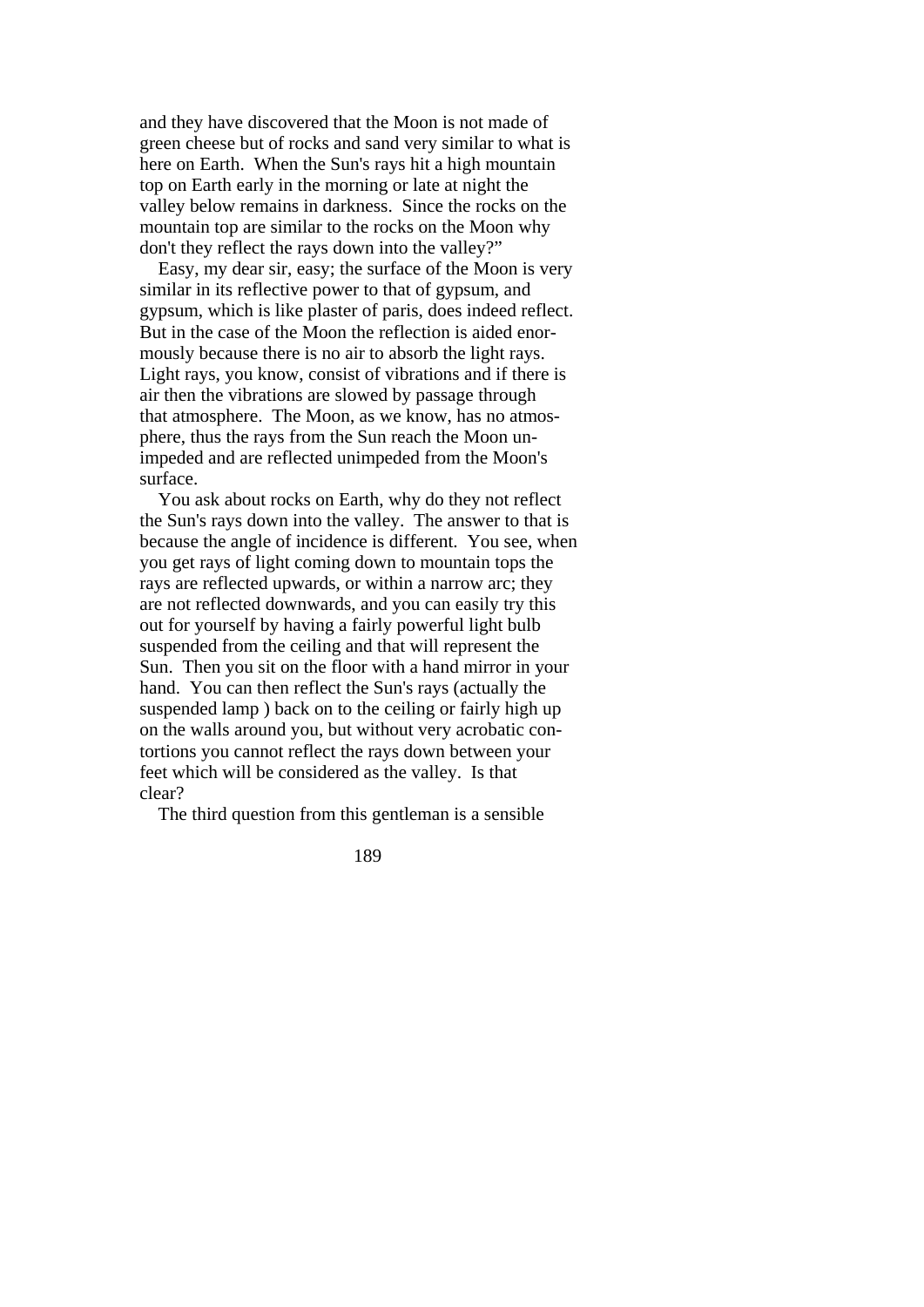and they have discovered that the Moon is not made of green cheese but of rocks and sand very similar to what is here on Earth. When the Sun's rays hit a high mountain top on Earth early in the morning or late at night the valley below remains in darkness. Since the rocks on the mountain top are similar to the rocks on the Moon why don't they reflect the rays down into the valley?"

 Easy, my dear sir, easy; the surface of the Moon is very similar in its reflective power to that of gypsum, and gypsum, which is like plaster of paris, does indeed reflect. But in the case of the Moon the reflection is aided enormously because there is no air to absorb the light rays. Light rays, you know, consist of vibrations and if there is air then the vibrations are slowed by passage through that atmosphere. The Moon, as we know, has no atmosphere, thus the rays from the Sun reach the Moon unimpeded and are reflected unimpeded from the Moon's surface.

 You ask about rocks on Earth, why do they not reflect the Sun's rays down into the valley. The answer to that is because the angle of incidence is different. You see, when you get rays of light coming down to mountain tops the rays are reflected upwards, or within a narrow arc; they are not reflected downwards, and you can easily try this out for yourself by having a fairly powerful light bulb suspended from the ceiling and that will represent the Sun. Then you sit on the floor with a hand mirror in your hand. You can then reflect the Sun's rays (actually the suspended lamp ) back on to the ceiling or fairly high up on the walls around you, but without very acrobatic contortions you cannot reflect the rays down between your feet which will be considered as the valley. Is that clear?

The third question from this gentleman is a sensible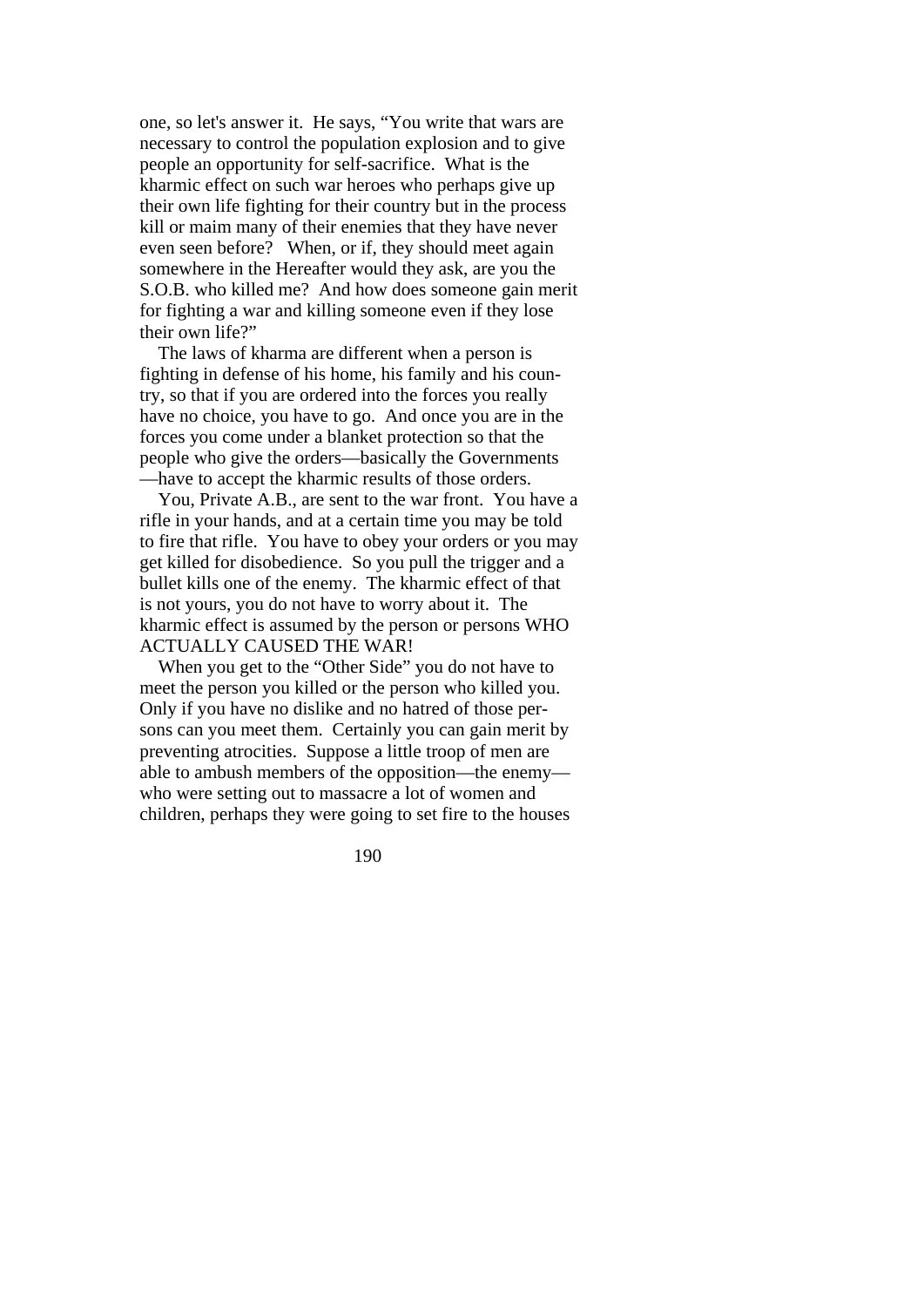one, so let's answer it. He says, "You write that wars are necessary to control the population explosion and to give people an opportunity for self-sacrifice. What is the kharmic effect on such war heroes who perhaps give up their own life fighting for their country but in the process kill or maim many of their enemies that they have never even seen before? When, or if, they should meet again somewhere in the Hereafter would they ask, are you the S.O.B. who killed me? And how does someone gain merit for fighting a war and killing someone even if they lose their own life?"

 The laws of kharma are different when a person is fighting in defense of his home, his family and his country, so that if you are ordered into the forces you really have no choice, you have to go. And once you are in the forces you come under a blanket protection so that the people who give the orders—basically the Governments —have to accept the kharmic results of those orders.

 You, Private A.B., are sent to the war front. You have a rifle in your hands, and at a certain time you may be told to fire that rifle. You have to obey your orders or you may get killed for disobedience. So you pull the trigger and a bullet kills one of the enemy. The kharmic effect of that is not yours, you do not have to worry about it. The kharmic effect is assumed by the person or persons WHO ACTUALLY CAUSED THE WAR!

 When you get to the "Other Side" you do not have to meet the person you killed or the person who killed you. Only if you have no dislike and no hatred of those persons can you meet them. Certainly you can gain merit by preventing atrocities. Suppose a little troop of men are able to ambush members of the opposition—the enemy who were setting out to massacre a lot of women and children, perhaps they were going to set fire to the houses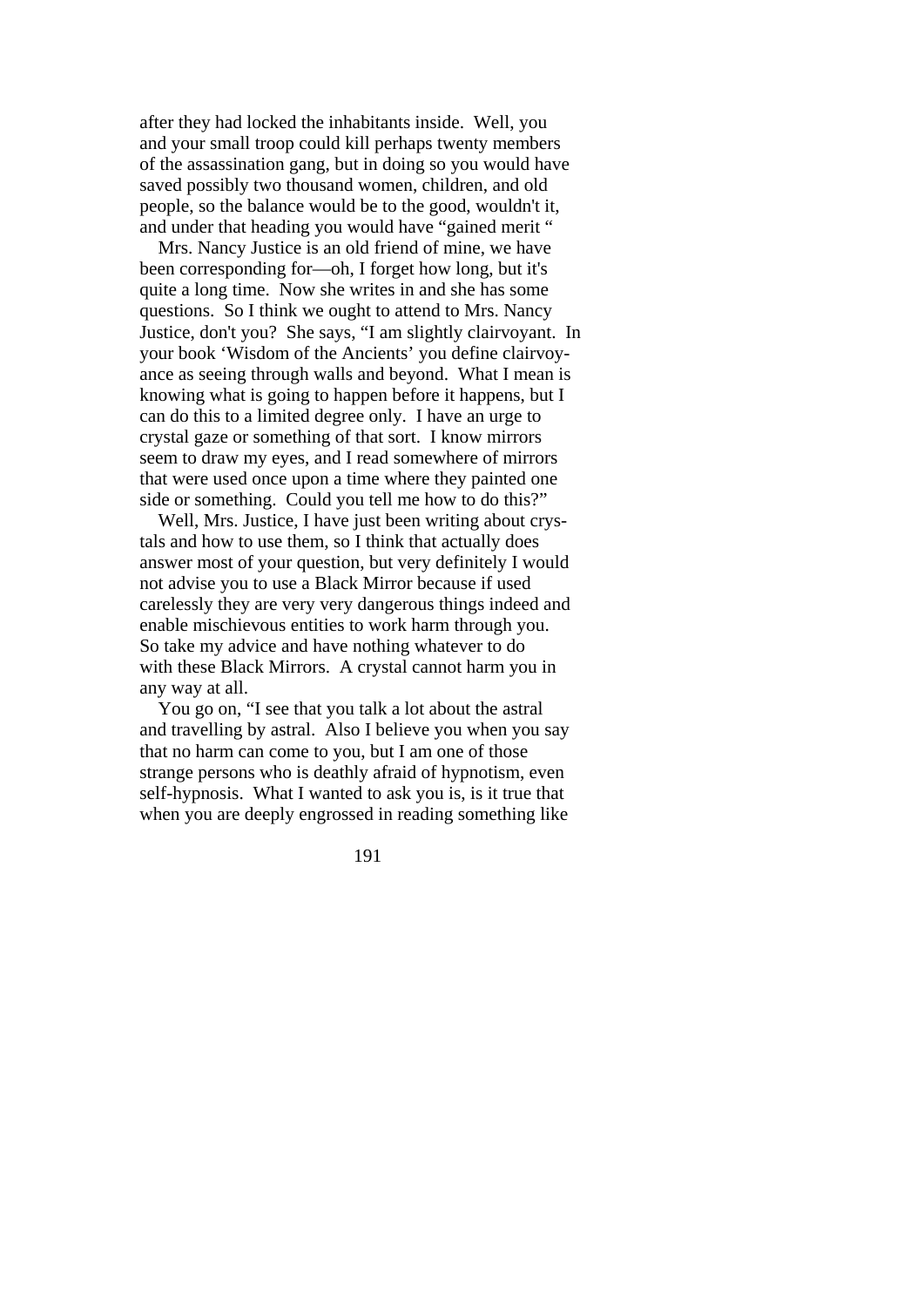after they had locked the inhabitants inside. Well, you and your small troop could kill perhaps twenty members of the assassination gang, but in doing so you would have saved possibly two thousand women, children, and old people, so the balance would be to the good, wouldn't it, and under that heading you would have "gained merit "

 Mrs. Nancy Justice is an old friend of mine, we have been corresponding for—oh, I forget how long, but it's quite a long time. Now she writes in and she has some questions. So I think we ought to attend to Mrs. Nancy Justice, don't you? She says, "I am slightly clairvoyant. In your book 'Wisdom of the Ancients' you define clairvoyance as seeing through walls and beyond. What I mean is knowing what is going to happen before it happens, but I can do this to a limited degree only. I have an urge to crystal gaze or something of that sort. I know mirrors seem to draw my eyes, and I read somewhere of mirrors that were used once upon a time where they painted one side or something. Could you tell me how to do this?"

 Well, Mrs. Justice, I have just been writing about crystals and how to use them, so I think that actually does answer most of your question, but very definitely I would not advise you to use a Black Mirror because if used carelessly they are very very dangerous things indeed and enable mischievous entities to work harm through you. So take my advice and have nothing whatever to do with these Black Mirrors. A crystal cannot harm you in any way at all.

 You go on, "I see that you talk a lot about the astral and travelling by astral. Also I believe you when you say that no harm can come to you, but I am one of those strange persons who is deathly afraid of hypnotism, even self-hypnosis. What I wanted to ask you is, is it true that when you are deeply engrossed in reading something like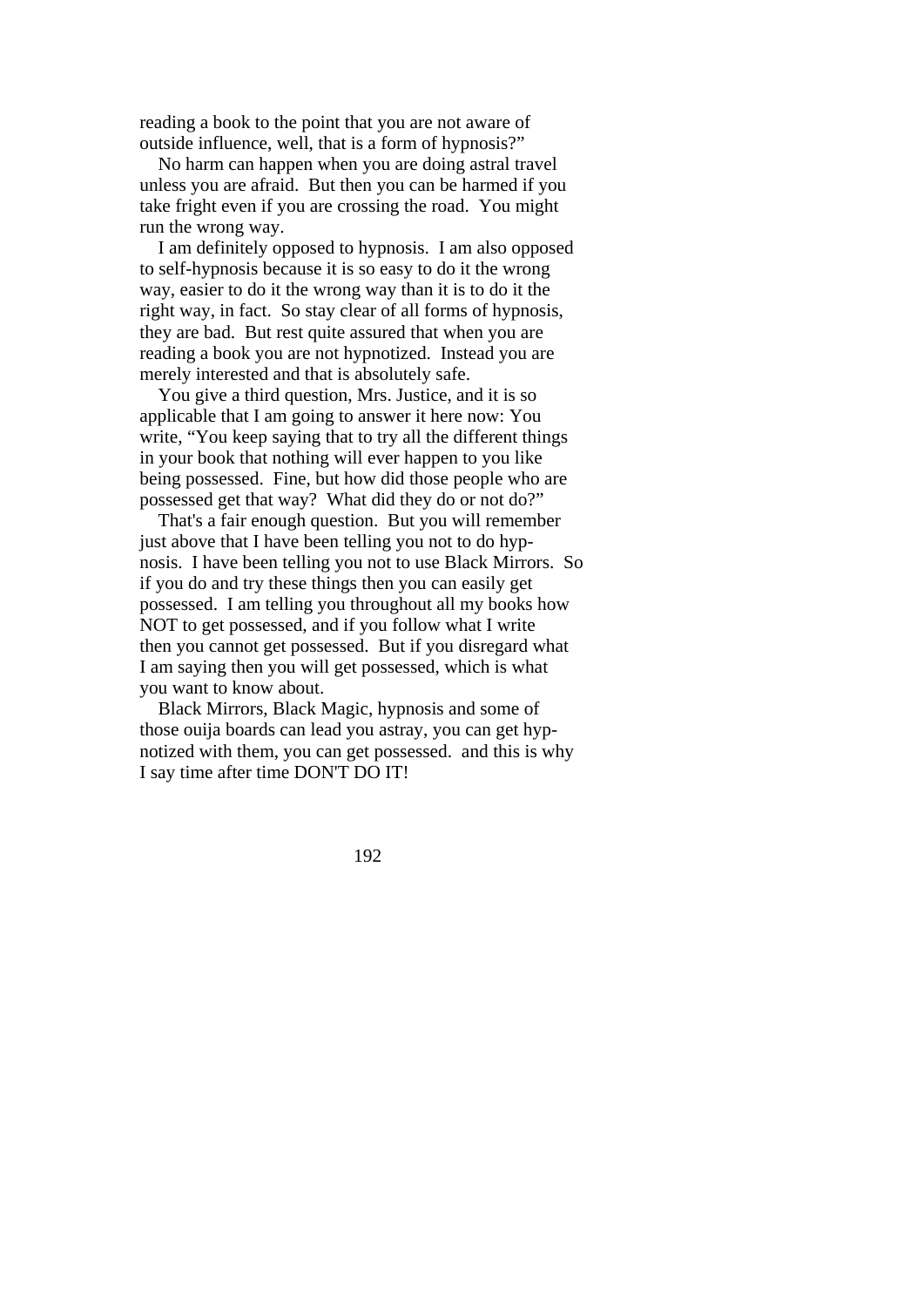reading a book to the point that you are not aware of outside influence, well, that is a form of hypnosis?"

 No harm can happen when you are doing astral travel unless you are afraid. But then you can be harmed if you take fright even if you are crossing the road. You might run the wrong way.

 I am definitely opposed to hypnosis. I am also opposed to self-hypnosis because it is so easy to do it the wrong way, easier to do it the wrong way than it is to do it the right way, in fact. So stay clear of all forms of hypnosis, they are bad. But rest quite assured that when you are reading a book you are not hypnotized. Instead you are merely interested and that is absolutely safe.

 You give a third question, Mrs. Justice, and it is so applicable that I am going to answer it here now: You write, "You keep saying that to try all the different things in your book that nothing will ever happen to you like being possessed. Fine, but how did those people who are possessed get that way? What did they do or not do?"

 That's a fair enough question. But you will remember just above that I have been telling you not to do hypnosis. I have been telling you not to use Black Mirrors. So if you do and try these things then you can easily get possessed. I am telling you throughout all my books how NOT to get possessed, and if you follow what I write then you cannot get possessed. But if you disregard what I am saying then you will get possessed, which is what you want to know about.

 Black Mirrors, Black Magic, hypnosis and some of those ouija boards can lead you astray, you can get hypnotized with them, you can get possessed. and this is why I say time after time DON'T DO IT!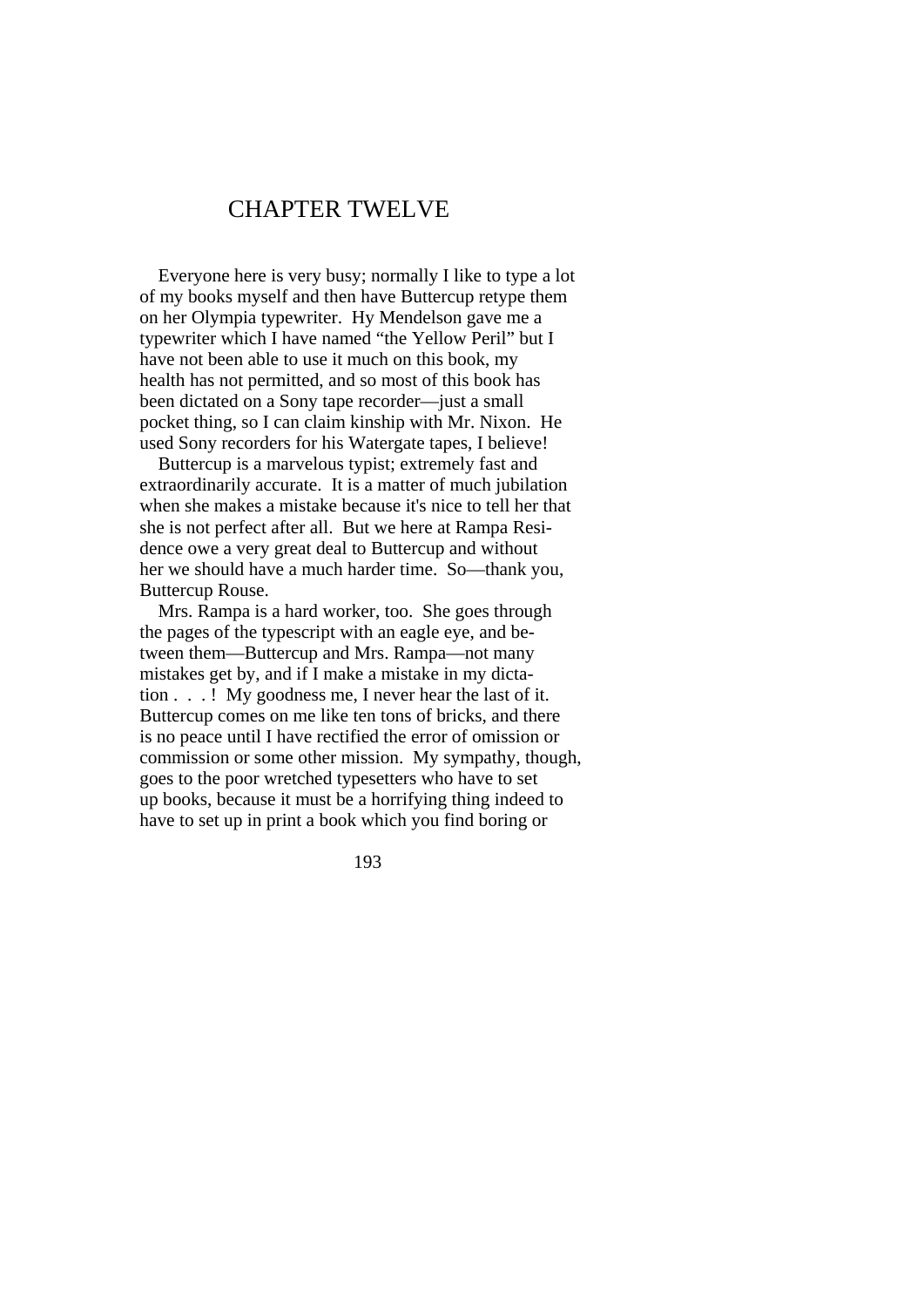## CHAPTER TWELVE

 Everyone here is very busy; normally I like to type a lot of my books myself and then have Buttercup retype them on her Olympia typewriter. Hy Mendelson gave me a typewriter which I have named "the Yellow Peril" but I have not been able to use it much on this book, my health has not permitted, and so most of this book has been dictated on a Sony tape recorder—just a small pocket thing, so I can claim kinship with Mr. Nixon. He used Sony recorders for his Watergate tapes, I believe!

 Buttercup is a marvelous typist; extremely fast and extraordinarily accurate. It is a matter of much jubilation when she makes a mistake because it's nice to tell her that she is not perfect after all. But we here at Rampa Residence owe a very great deal to Buttercup and without her we should have a much harder time. So—thank you, Buttercup Rouse.

 Mrs. Rampa is a hard worker, too. She goes through the pages of the typescript with an eagle eye, and between them—Buttercup and Mrs. Rampa—not many mistakes get by, and if I make a mistake in my dictation . . . ! My goodness me, I never hear the last of it. Buttercup comes on me like ten tons of bricks, and there is no peace until I have rectified the error of omission or commission or some other mission. My sympathy, though, goes to the poor wretched typesetters who have to set up books, because it must be a horrifying thing indeed to have to set up in print a book which you find boring or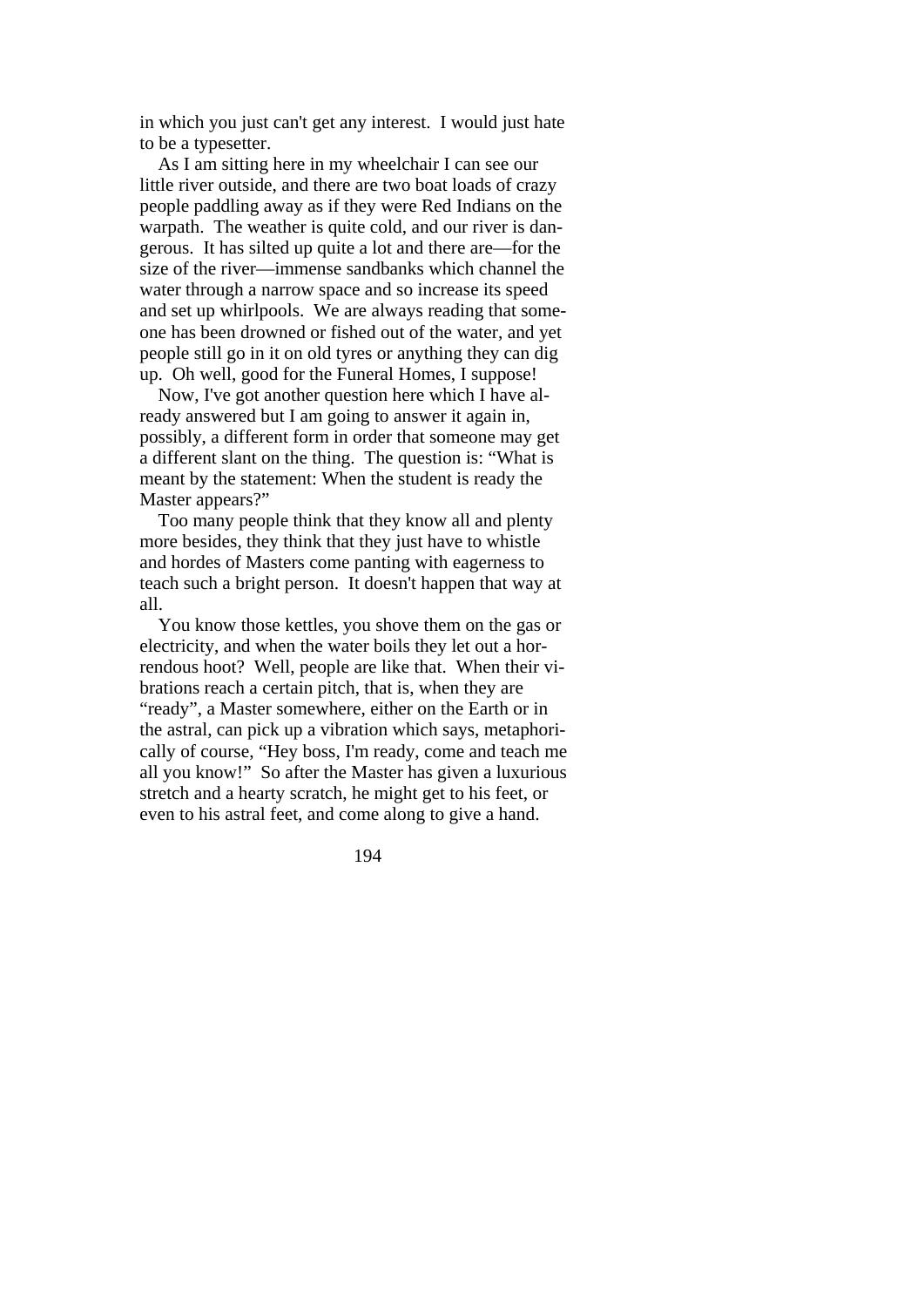in which you just can't get any interest. I would just hate to be a typesetter.

 As I am sitting here in my wheelchair I can see our little river outside, and there are two boat loads of crazy people paddling away as if they were Red Indians on the warpath. The weather is quite cold, and our river is dangerous. It has silted up quite a lot and there are—for the size of the river—immense sandbanks which channel the water through a narrow space and so increase its speed and set up whirlpools. We are always reading that someone has been drowned or fished out of the water, and yet people still go in it on old tyres or anything they can dig up. Oh well, good for the Funeral Homes, I suppose!

 Now, I've got another question here which I have already answered but I am going to answer it again in, possibly, a different form in order that someone may get a different slant on the thing. The question is: "What is meant by the statement: When the student is ready the Master appears?"

 Too many people think that they know all and plenty more besides, they think that they just have to whistle and hordes of Masters come panting with eagerness to teach such a bright person. It doesn't happen that way at all.

 You know those kettles, you shove them on the gas or electricity, and when the water boils they let out a horrendous hoot? Well, people are like that. When their vibrations reach a certain pitch, that is, when they are "ready", a Master somewhere, either on the Earth or in the astral, can pick up a vibration which says, metaphorically of course, "Hey boss, I'm ready, come and teach me all you know!" So after the Master has given a luxurious stretch and a hearty scratch, he might get to his feet, or even to his astral feet, and come along to give a hand.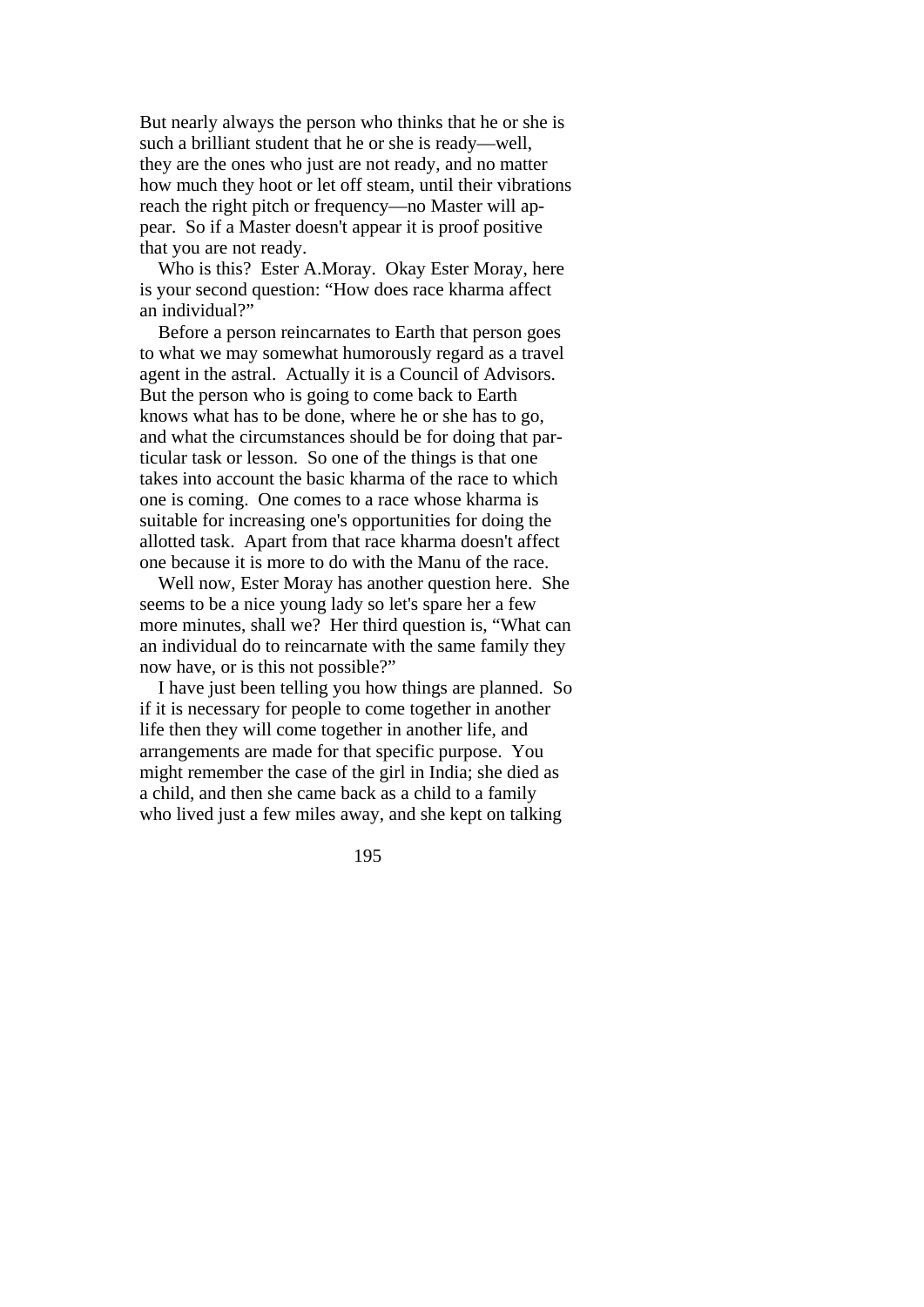But nearly always the person who thinks that he or she is such a brilliant student that he or she is ready—well, they are the ones who just are not ready, and no matter how much they hoot or let off steam, until their vibrations reach the right pitch or frequency—no Master will appear. So if a Master doesn't appear it is proof positive that you are not ready.

 Who is this? Ester A.Moray. Okay Ester Moray, here is your second question: "How does race kharma affect an individual?"

 Before a person reincarnates to Earth that person goes to what we may somewhat humorously regard as a travel agent in the astral. Actually it is a Council of Advisors. But the person who is going to come back to Earth knows what has to be done, where he or she has to go, and what the circumstances should be for doing that particular task or lesson. So one of the things is that one takes into account the basic kharma of the race to which one is coming. One comes to a race whose kharma is suitable for increasing one's opportunities for doing the allotted task. Apart from that race kharma doesn't affect one because it is more to do with the Manu of the race.

 Well now, Ester Moray has another question here. She seems to be a nice young lady so let's spare her a few more minutes, shall we? Her third question is, "What can an individual do to reincarnate with the same family they now have, or is this not possible?"

 I have just been telling you how things are planned. So if it is necessary for people to come together in another life then they will come together in another life, and arrangements are made for that specific purpose. You might remember the case of the girl in India; she died as a child, and then she came back as a child to a family who lived just a few miles away, and she kept on talking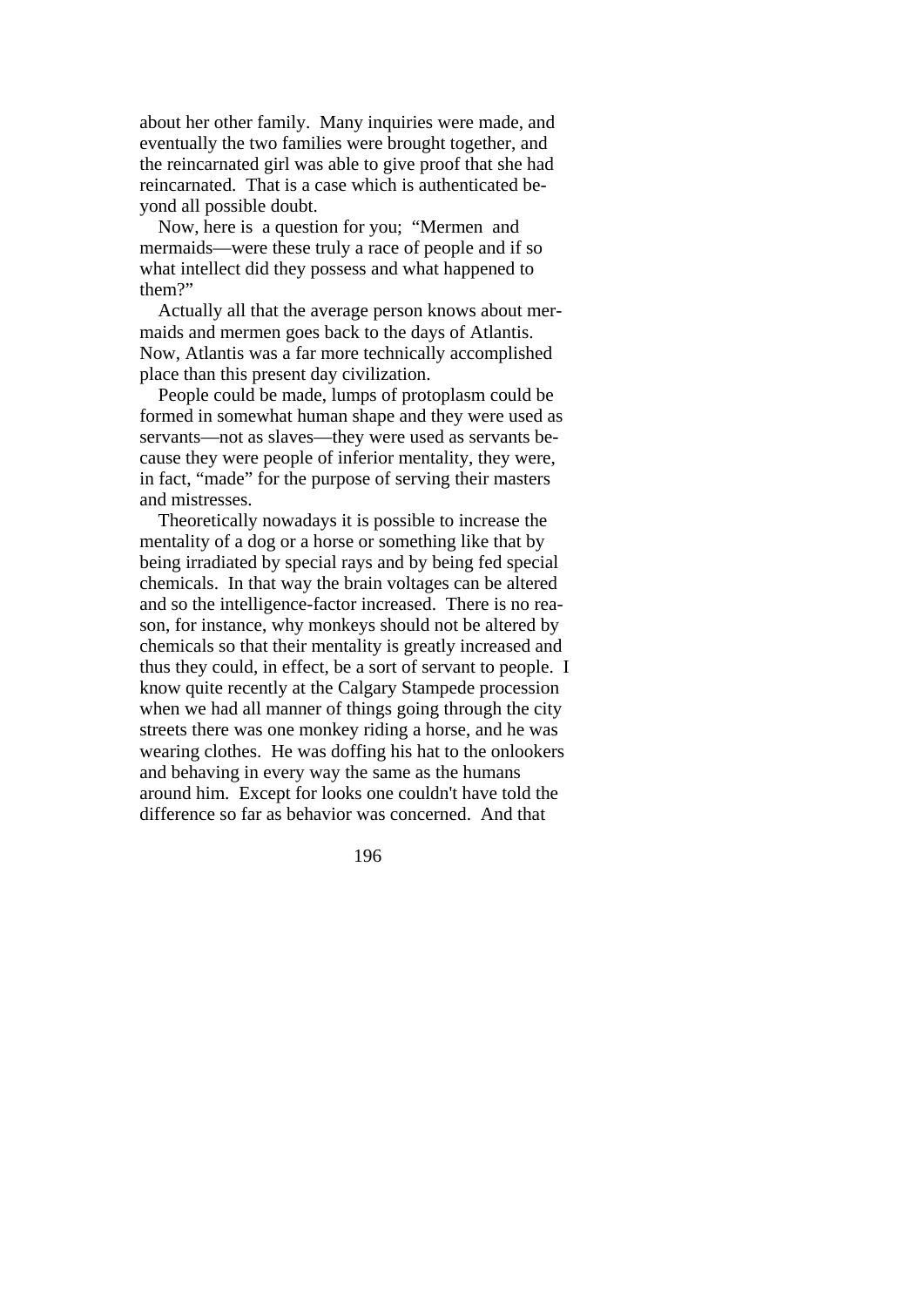about her other family. Many inquiries were made, and eventually the two families were brought together, and the reincarnated girl was able to give proof that she had reincarnated. That is a case which is authenticated beyond all possible doubt.

 Now, here is a question for you; "Mermen and mermaids—were these truly a race of people and if so what intellect did they possess and what happened to them?"

 Actually all that the average person knows about mermaids and mermen goes back to the days of Atlantis. Now, Atlantis was a far more technically accomplished place than this present day civilization.

 People could be made, lumps of protoplasm could be formed in somewhat human shape and they were used as servants—not as slaves—they were used as servants because they were people of inferior mentality, they were, in fact, "made" for the purpose of serving their masters and mistresses.

 Theoretically nowadays it is possible to increase the mentality of a dog or a horse or something like that by being irradiated by special rays and by being fed special chemicals. In that way the brain voltages can be altered and so the intelligence-factor increased. There is no reason, for instance, why monkeys should not be altered by chemicals so that their mentality is greatly increased and thus they could, in effect, be a sort of servant to people. I know quite recently at the Calgary Stampede procession when we had all manner of things going through the city streets there was one monkey riding a horse, and he was wearing clothes. He was doffing his hat to the onlookers and behaving in every way the same as the humans around him. Except for looks one couldn't have told the difference so far as behavior was concerned. And that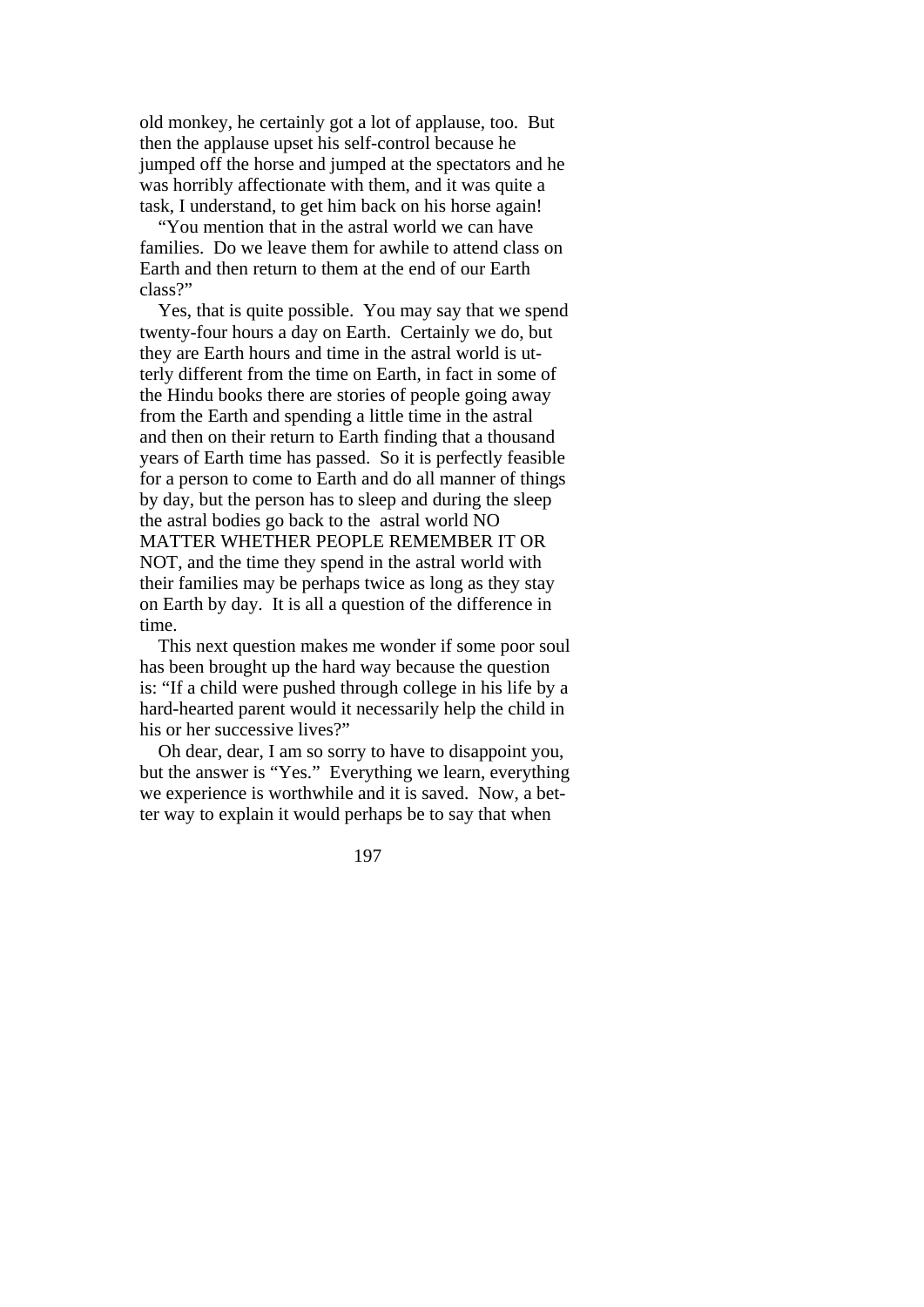old monkey, he certainly got a lot of applause, too. But then the applause upset his self-control because he jumped off the horse and jumped at the spectators and he was horribly affectionate with them, and it was quite a task, I understand, to get him back on his horse again!

 "You mention that in the astral world we can have families. Do we leave them for awhile to attend class on Earth and then return to them at the end of our Earth class?"

 Yes, that is quite possible. You may say that we spend twenty-four hours a day on Earth. Certainly we do, but they are Earth hours and time in the astral world is utterly different from the time on Earth, in fact in some of the Hindu books there are stories of people going away from the Earth and spending a little time in the astral and then on their return to Earth finding that a thousand years of Earth time has passed. So it is perfectly feasible for a person to come to Earth and do all manner of things by day, but the person has to sleep and during the sleep the astral bodies go back to the astral world NO MATTER WHETHER PEOPLE REMEMBER IT OR NOT, and the time they spend in the astral world with their families may be perhaps twice as long as they stay on Earth by day. It is all a question of the difference in time.

 This next question makes me wonder if some poor soul has been brought up the hard way because the question is: "If a child were pushed through college in his life by a hard-hearted parent would it necessarily help the child in his or her successive lives?"

 Oh dear, dear, I am so sorry to have to disappoint you, but the answer is "Yes." Everything we learn, everything we experience is worthwhile and it is saved. Now, a better way to explain it would perhaps be to say that when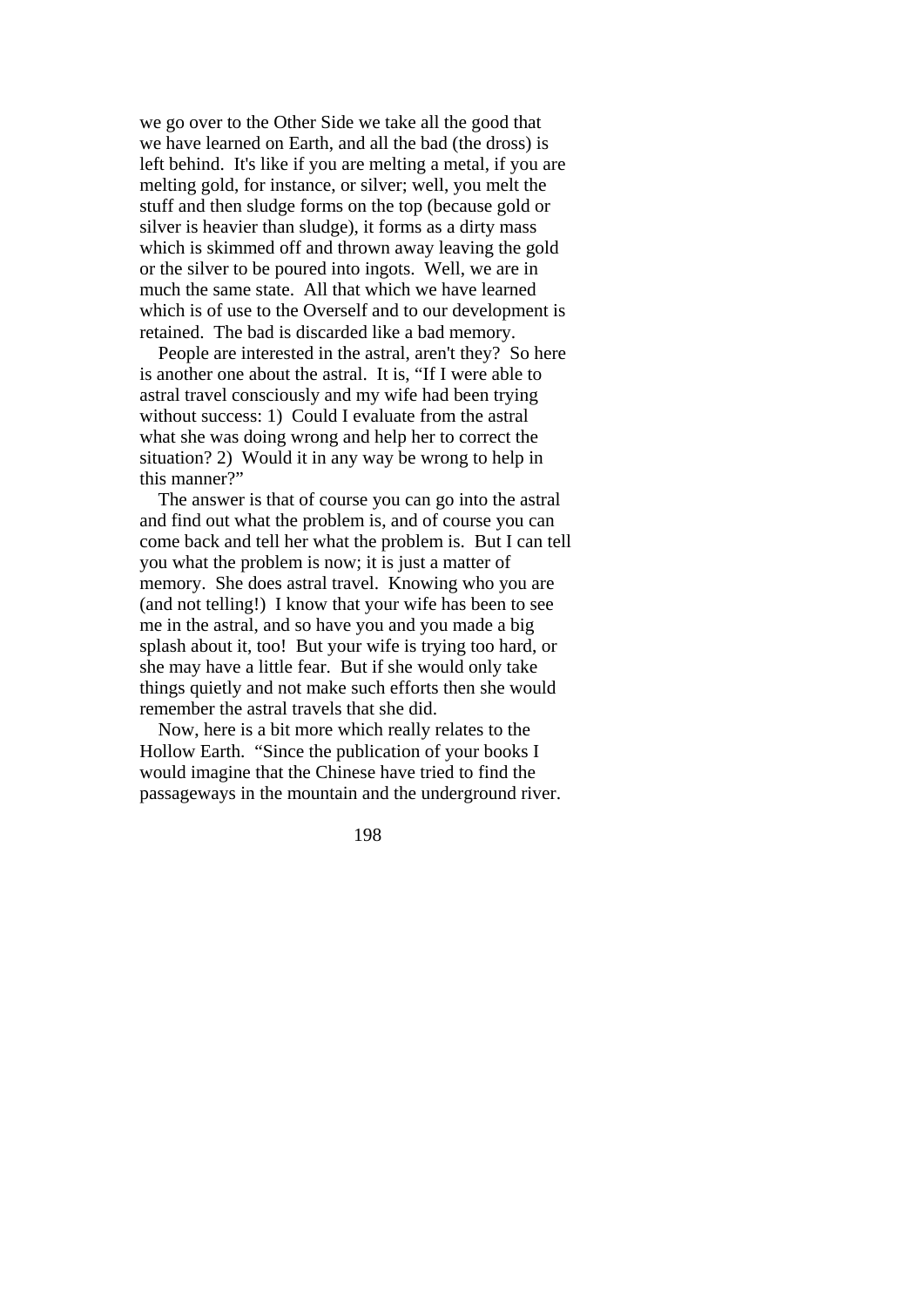we go over to the Other Side we take all the good that we have learned on Earth, and all the bad (the dross) is left behind. It's like if you are melting a metal, if you are melting gold, for instance, or silver; well, you melt the stuff and then sludge forms on the top (because gold or silver is heavier than sludge), it forms as a dirty mass which is skimmed off and thrown away leaving the gold or the silver to be poured into ingots. Well, we are in much the same state. All that which we have learned which is of use to the Overself and to our development is retained. The bad is discarded like a bad memory.

 People are interested in the astral, aren't they? So here is another one about the astral. It is, "If I were able to astral travel consciously and my wife had been trying without success: 1) Could I evaluate from the astral what she was doing wrong and help her to correct the situation? 2) Would it in any way be wrong to help in this manner?"

 The answer is that of course you can go into the astral and find out what the problem is, and of course you can come back and tell her what the problem is. But I can tell you what the problem is now; it is just a matter of memory. She does astral travel. Knowing who you are (and not telling!) I know that your wife has been to see me in the astral, and so have you and you made a big splash about it, too! But your wife is trying too hard, or she may have a little fear. But if she would only take things quietly and not make such efforts then she would remember the astral travels that she did.

 Now, here is a bit more which really relates to the Hollow Earth. "Since the publication of your books I would imagine that the Chinese have tried to find the passageways in the mountain and the underground river.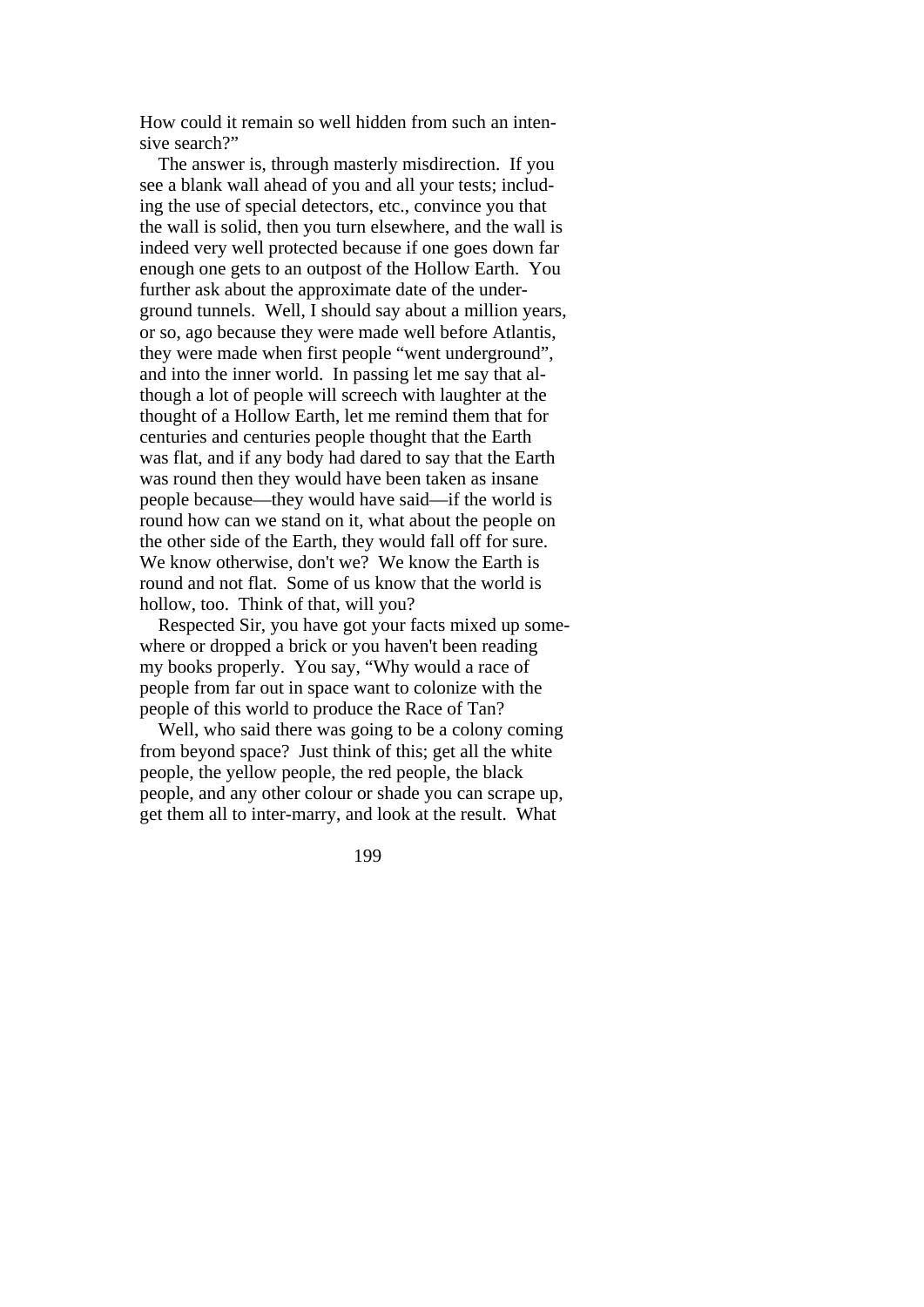How could it remain so well hidden from such an intensive search?"

 The answer is, through masterly misdirection. If you see a blank wall ahead of you and all your tests; including the use of special detectors, etc., convince you that the wall is solid, then you turn elsewhere, and the wall is indeed very well protected because if one goes down far enough one gets to an outpost of the Hollow Earth. You further ask about the approximate date of the underground tunnels. Well, I should say about a million years, or so, ago because they were made well before Atlantis, they were made when first people "went underground", and into the inner world. In passing let me say that although a lot of people will screech with laughter at the thought of a Hollow Earth, let me remind them that for centuries and centuries people thought that the Earth was flat, and if any body had dared to say that the Earth was round then they would have been taken as insane people because—they would have said—if the world is round how can we stand on it, what about the people on the other side of the Earth, they would fall off for sure. We know otherwise, don't we? We know the Earth is round and not flat. Some of us know that the world is hollow, too. Think of that, will you?

 Respected Sir, you have got your facts mixed up somewhere or dropped a brick or you haven't been reading my books properly. You say, "Why would a race of people from far out in space want to colonize with the people of this world to produce the Race of Tan?

 Well, who said there was going to be a colony coming from beyond space? Just think of this; get all the white people, the yellow people, the red people, the black people, and any other colour or shade you can scrape up, get them all to inter-marry, and look at the result. What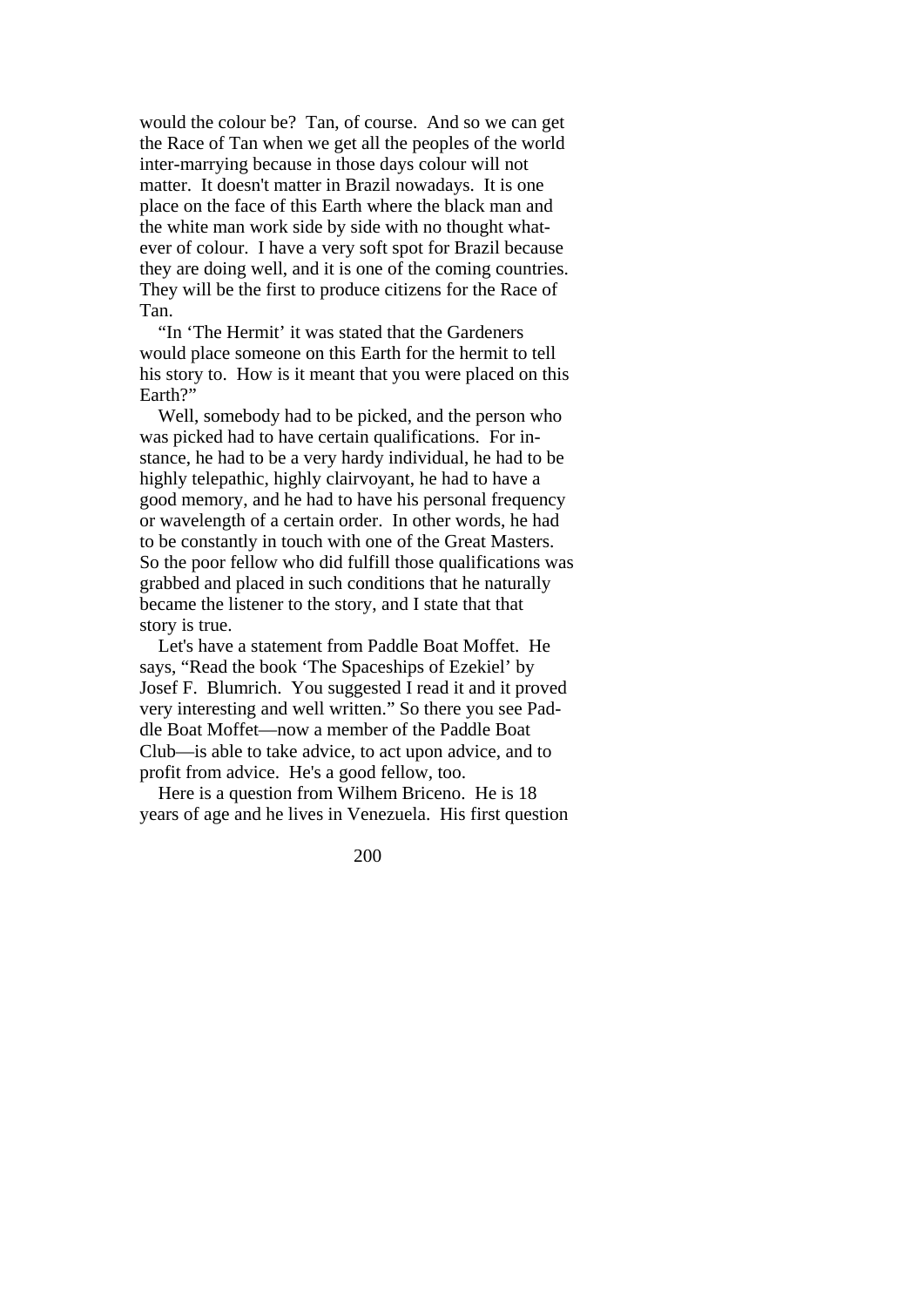would the colour be? Tan, of course. And so we can get the Race of Tan when we get all the peoples of the world inter-marrying because in those days colour will not matter. It doesn't matter in Brazil nowadays. It is one place on the face of this Earth where the black man and the white man work side by side with no thought whatever of colour. I have a very soft spot for Brazil because they are doing well, and it is one of the coming countries. They will be the first to produce citizens for the Race of Tan.

 "In 'The Hermit' it was stated that the Gardeners would place someone on this Earth for the hermit to tell his story to. How is it meant that you were placed on this Earth?"

 Well, somebody had to be picked, and the person who was picked had to have certain qualifications. For instance, he had to be a very hardy individual, he had to be highly telepathic, highly clairvoyant, he had to have a good memory, and he had to have his personal frequency or wavelength of a certain order. In other words, he had to be constantly in touch with one of the Great Masters. So the poor fellow who did fulfill those qualifications was grabbed and placed in such conditions that he naturally became the listener to the story, and I state that that story is true.

 Let's have a statement from Paddle Boat Moffet. He says, "Read the book 'The Spaceships of Ezekiel' by Josef F. Blumrich. You suggested I read it and it proved very interesting and well written." So there you see Paddle Boat Moffet—now a member of the Paddle Boat Club—is able to take advice, to act upon advice, and to profit from advice. He's a good fellow, too.

 Here is a question from Wilhem Briceno. He is 18 years of age and he lives in Venezuela. His first question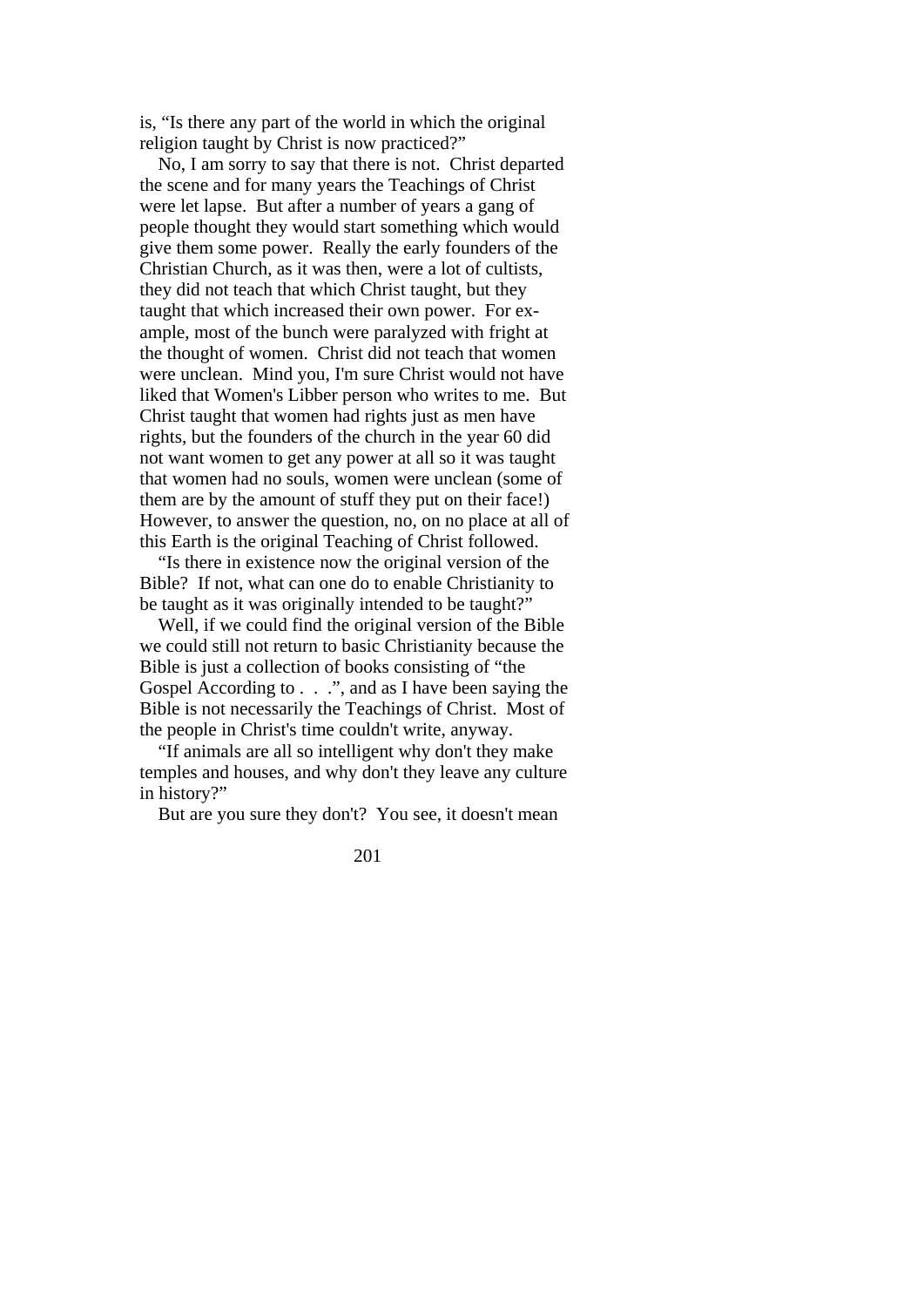is, "Is there any part of the world in which the original religion taught by Christ is now practiced?"

 No, I am sorry to say that there is not. Christ departed the scene and for many years the Teachings of Christ were let lapse. But after a number of years a gang of people thought they would start something which would give them some power. Really the early founders of the Christian Church, as it was then, were a lot of cultists, they did not teach that which Christ taught, but they taught that which increased their own power. For example, most of the bunch were paralyzed with fright at the thought of women. Christ did not teach that women were unclean. Mind you, I'm sure Christ would not have liked that Women's Libber person who writes to me. But Christ taught that women had rights just as men have rights, but the founders of the church in the year 60 did not want women to get any power at all so it was taught that women had no souls, women were unclean (some of them are by the amount of stuff they put on their face!) However, to answer the question, no, on no place at all of this Earth is the original Teaching of Christ followed.

 "Is there in existence now the original version of the Bible? If not, what can one do to enable Christianity to be taught as it was originally intended to be taught?"

 Well, if we could find the original version of the Bible we could still not return to basic Christianity because the Bible is just a collection of books consisting of "the Gospel According to . . .", and as I have been saying the Bible is not necessarily the Teachings of Christ. Most of the people in Christ's time couldn't write, anyway.

 "If animals are all so intelligent why don't they make temples and houses, and why don't they leave any culture in history?"

But are you sure they don't? You see, it doesn't mean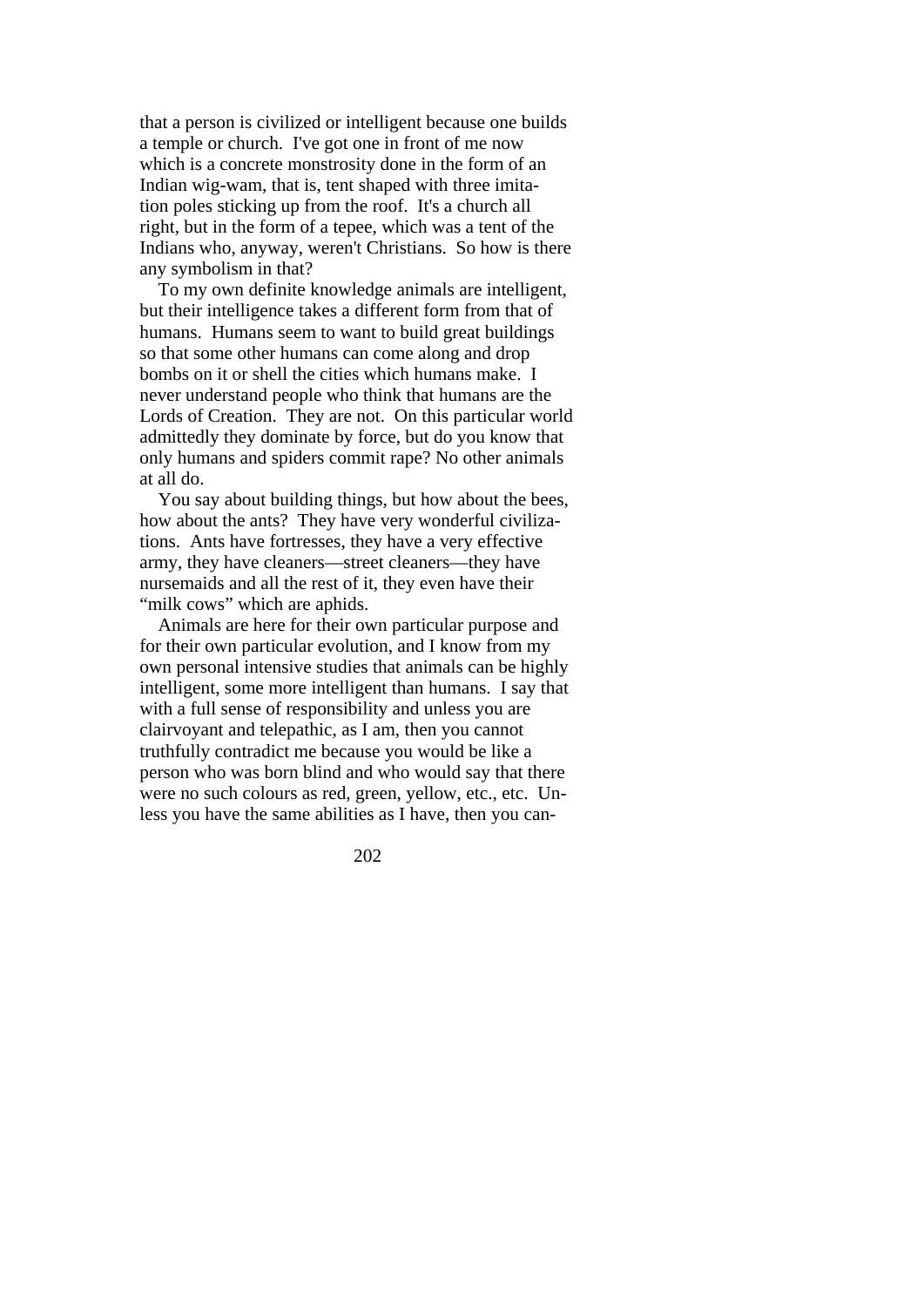that a person is civilized or intelligent because one builds a temple or church. I've got one in front of me now which is a concrete monstrosity done in the form of an Indian wig-wam, that is, tent shaped with three imitation poles sticking up from the roof. It's a church all right, but in the form of a tepee, which was a tent of the Indians who, anyway, weren't Christians. So how is there any symbolism in that?

 To my own definite knowledge animals are intelligent, but their intelligence takes a different form from that of humans. Humans seem to want to build great buildings so that some other humans can come along and drop bombs on it or shell the cities which humans make. I never understand people who think that humans are the Lords of Creation. They are not. On this particular world admittedly they dominate by force, but do you know that only humans and spiders commit rape? No other animals at all do.

 You say about building things, but how about the bees, how about the ants? They have very wonderful civilizations. Ants have fortresses, they have a very effective army, they have cleaners—street cleaners—they have nursemaids and all the rest of it, they even have their "milk cows" which are aphids.

 Animals are here for their own particular purpose and for their own particular evolution, and I know from my own personal intensive studies that animals can be highly intelligent, some more intelligent than humans. I say that with a full sense of responsibility and unless you are clairvoyant and telepathic, as I am, then you cannot truthfully contradict me because you would be like a person who was born blind and who would say that there were no such colours as red, green, yellow, etc., etc. Unless you have the same abilities as I have, then you can-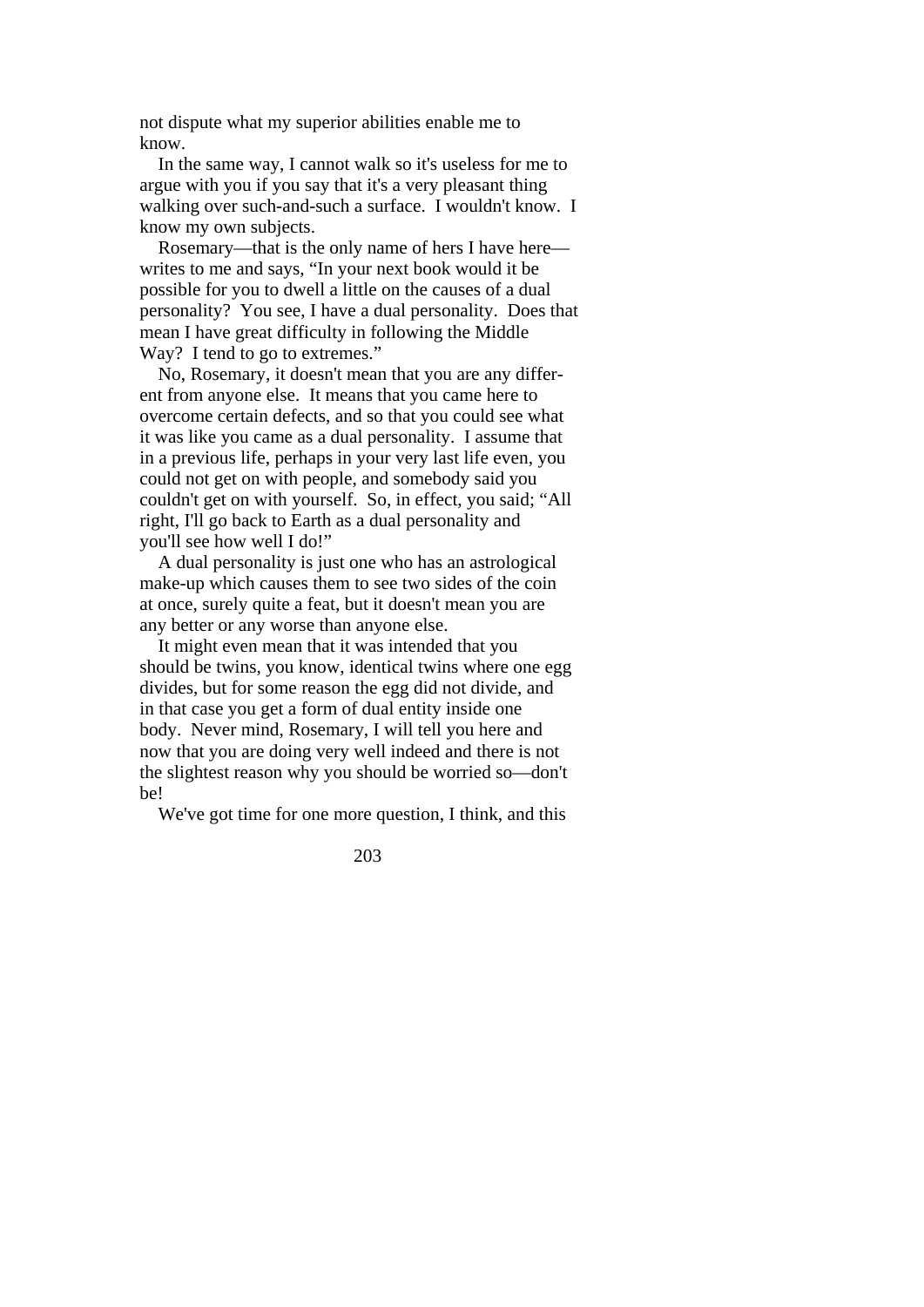not dispute what my superior abilities enable me to know.

 In the same way, I cannot walk so it's useless for me to argue with you if you say that it's a very pleasant thing walking over such-and-such a surface. I wouldn't know. I know my own subjects.

 Rosemary—that is the only name of hers I have here writes to me and says, "In your next book would it be possible for you to dwell a little on the causes of a dual personality? You see, I have a dual personality. Does that mean I have great difficulty in following the Middle Way? I tend to go to extremes."

 No, Rosemary, it doesn't mean that you are any different from anyone else. It means that you came here to overcome certain defects, and so that you could see what it was like you came as a dual personality. I assume that in a previous life, perhaps in your very last life even, you could not get on with people, and somebody said you couldn't get on with yourself. So, in effect, you said; "All right, I'll go back to Earth as a dual personality and you'll see how well I do!"

 A dual personality is just one who has an astrological make-up which causes them to see two sides of the coin at once, surely quite a feat, but it doesn't mean you are any better or any worse than anyone else.

 It might even mean that it was intended that you should be twins, you know, identical twins where one egg divides, but for some reason the egg did not divide, and in that case you get a form of dual entity inside one body. Never mind, Rosemary, I will tell you here and now that you are doing very well indeed and there is not the slightest reason why you should be worried so—don't be!

We've got time for one more question, I think, and this